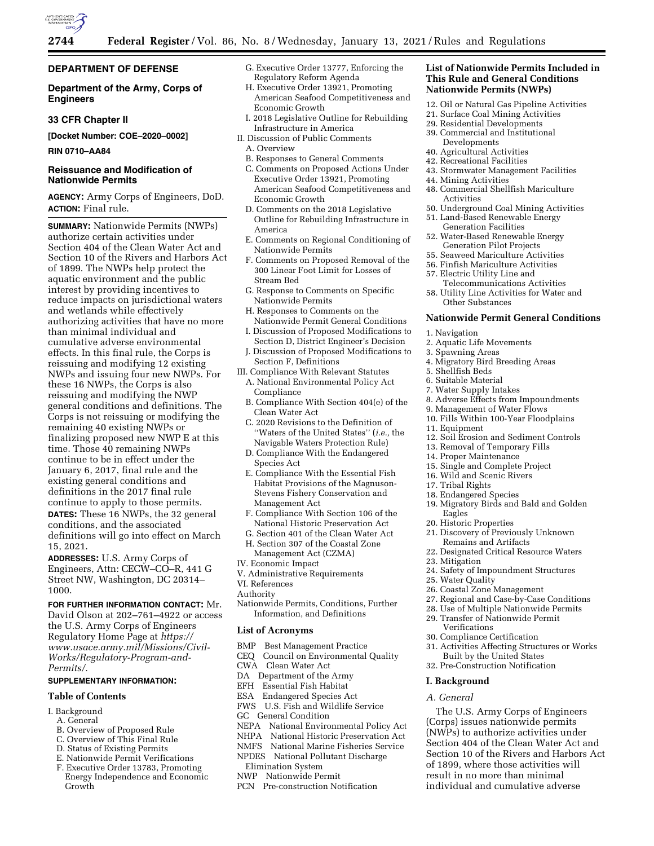

# **DEPARTMENT OF DEFENSE**

**Department of the Army, Corps of Engineers** 

# **33 CFR Chapter II**

**[Docket Number: COE–2020–0002]** 

### **RIN 0710–AA84**

# **Reissuance and Modification of Nationwide Permits**

**AGENCY:** Army Corps of Engineers, DoD. **ACTION:** Final rule.

**SUMMARY:** Nationwide Permits (NWPs) authorize certain activities under Section 404 of the Clean Water Act and Section 10 of the Rivers and Harbors Act of 1899. The NWPs help protect the aquatic environment and the public interest by providing incentives to reduce impacts on jurisdictional waters and wetlands while effectively authorizing activities that have no more than minimal individual and cumulative adverse environmental effects. In this final rule, the Corps is reissuing and modifying 12 existing NWPs and issuing four new NWPs. For these 16 NWPs, the Corps is also reissuing and modifying the NWP general conditions and definitions. The Corps is not reissuing or modifying the remaining 40 existing NWPs or finalizing proposed new NWP E at this time. Those 40 remaining NWPs continue to be in effect under the January 6, 2017, final rule and the existing general conditions and definitions in the 2017 final rule continue to apply to those permits. **DATES:** These 16 NWPs, the 32 general conditions, and the associated definitions will go into effect on March 15, 2021.

**ADDRESSES:** U.S. Army Corps of Engineers, Attn: CECW–CO–R, 441 G Street NW, Washington, DC 20314– 1000.

# **FOR FURTHER INFORMATION CONTACT:** Mr.

David Olson at 202–761–4922 or access the U.S. Army Corps of Engineers Regulatory Home Page at *[https://](https://www.usace.army.mil/Missions/Civil-Works/Regulatory-Program-and-Permits/) [www.usace.army.mil/Missions/Civil-](https://www.usace.army.mil/Missions/Civil-Works/Regulatory-Program-and-Permits/)[Works/Regulatory-Program-and-](https://www.usace.army.mil/Missions/Civil-Works/Regulatory-Program-and-Permits/)[Permits/.](https://www.usace.army.mil/Missions/Civil-Works/Regulatory-Program-and-Permits/)* 

# **SUPPLEMENTARY INFORMATION:**

#### **Table of Contents**

- I. Background
- A. General
- B. Overview of Proposed Rule
- C. Overview of This Final Rule
- D. Status of Existing Permits
- E. Nationwide Permit Verifications
- F. Executive Order 13783, Promoting
- Energy Independence and Economic Growth
- G. Executive Order 13777, Enforcing the Regulatory Reform Agenda
- H. Executive Order 13921, Promoting American Seafood Competitiveness and Economic Growth
- I. 2018 Legislative Outline for Rebuilding Infrastructure in America
- II. Discussion of Public Comments
	- A. Overview
	- B. Responses to General Comments
	- C. Comments on Proposed Actions Under Executive Order 13921, Promoting American Seafood Competitiveness and Economic Growth
	- D. Comments on the 2018 Legislative Outline for Rebuilding Infrastructure in America
	- E. Comments on Regional Conditioning of Nationwide Permits
	- F. Comments on Proposed Removal of the 300 Linear Foot Limit for Losses of Stream Bed
	- G. Response to Comments on Specific Nationwide Permits
	- H. Responses to Comments on the Nationwide Permit General Conditions
	- I. Discussion of Proposed Modifications to Section D, District Engineer's Decision
- J. Discussion of Proposed Modifications to Section F, Definitions
- III. Compliance With Relevant Statutes
- A. National Environmental Policy Act Compliance
- B. Compliance With Section 404(e) of the Clean Water Act
- C. 2020 Revisions to the Definition of ''Waters of the United States'' (*i.e.,* the Navigable Waters Protection Rule)
- D. Compliance With the Endangered Species Act
- E. Compliance With the Essential Fish Habitat Provisions of the Magnuson-Stevens Fishery Conservation and Management Act
- F. Compliance With Section 106 of the National Historic Preservation Act
- G. Section 401 of the Clean Water Act H. Section 307 of the Coastal Zone
- Management Act (CZMA)
- IV. Economic Impact
- V. Administrative Requirements
- VI. References
- Authority
- Nationwide Permits, Conditions, Further Information, and Definitions

#### **List of Acronyms**

- BMP Best Management Practice
- CEQ Council on Environmental Quality
- CWA Clean Water Act
- DA Department of the Army
- EFH Essential Fish Habitat
- ESA Endangered Species Act
- FWS U.S. Fish and Wildlife Service
- GC General Condition
- NEPA National Environmental Policy Act
- NHPA National Historic Preservation Act
- NMFS National Marine Fisheries Service
- NPDES National Pollutant Discharge
- Elimination System
- NWP Nationwide Permit
- PCN Pre-construction Notification

### **List of Nationwide Permits Included in This Rule and General Conditions Nationwide Permits (NWPs)**

- 12. Oil or Natural Gas Pipeline Activities
- 21. Surface Coal Mining Activities
- 29. Residential Developments
- 39. Commercial and Institutional Developments
- 40. Agricultural Activities
- 42. Recreational Facilities
- 43. Stormwater Management Facilities
- 44. Mining Activities
- 48. Commercial Shellfish Mariculture Activities
- 50. Underground Coal Mining Activities 51. Land-Based Renewable Energy
- Generation Facilities 52. Water-Based Renewable Energy
- Generation Pilot Projects
- 55. Seaweed Mariculture Activities
- 56. Finfish Mariculture Activities
- 57. Electric Utility Line and
- Telecommunications Activities 58. Utility Line Activities for Water and Other Substances

#### **Nationwide Permit General Conditions**

- 1. Navigation
- 2. Aquatic Life Movements
- 3. Spawning Areas
- 4. Migratory Bird Breeding Areas
- 5. Shellfish Beds
- 6. Suitable Material
- 7. Water Supply Intakes
- 8. Adverse Effects from Impoundments
- 9. Management of Water Flows
- 10. Fills Within 100-Year Floodplains
- 11. Equipment

17. Tribal Rights 18. Endangered Species

Eagles 20. Historic Properties

23. Mitigation

25. Water Quality

Verifications 30. Compliance Certification

**I. Background**  *A. General* 

12. Soil Erosion and Sediment Controls

19. Migratory Birds and Bald and Golden

21. Discovery of Previously Unknown Remains and Artifacts 22. Designated Critical Resource Waters

24. Safety of Impoundment Structures

27. Regional and Case-by-Case Conditions 28. Use of Multiple Nationwide Permits 29. Transfer of Nationwide Permit

31. Activities Affecting Structures or Works Built by the United States 32. Pre-Construction Notification

The U.S. Army Corps of Engineers (Corps) issues nationwide permits (NWPs) to authorize activities under Section 404 of the Clean Water Act and Section 10 of the Rivers and Harbors Act of 1899, where those activities will result in no more than minimal individual and cumulative adverse

26. Coastal Zone Management

- 13. Removal of Temporary Fills
- 14. Proper Maintenance
- 15. Single and Complete Project 16. Wild and Scenic Rivers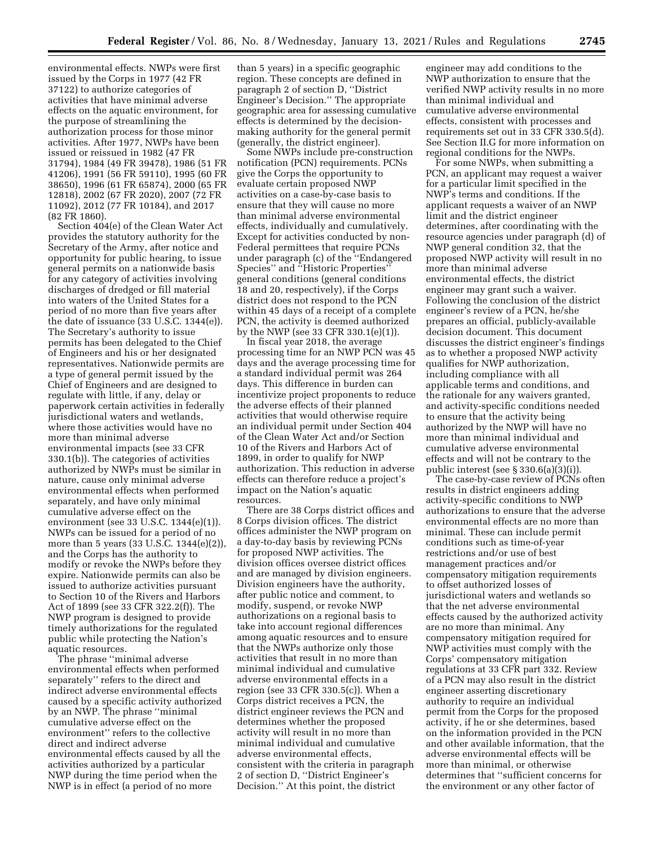environmental effects. NWPs were first issued by the Corps in 1977 (42 FR 37122) to authorize categories of activities that have minimal adverse effects on the aquatic environment, for the purpose of streamlining the authorization process for those minor activities. After 1977, NWPs have been issued or reissued in 1982 (47 FR 31794), 1984 (49 FR 39478), 1986 (51 FR 41206), 1991 (56 FR 59110), 1995 (60 FR 38650), 1996 (61 FR 65874), 2000 (65 FR 12818), 2002 (67 FR 2020), 2007 (72 FR 11092), 2012 (77 FR 10184), and 2017 (82 FR 1860).

Section 404(e) of the Clean Water Act provides the statutory authority for the Secretary of the Army, after notice and opportunity for public hearing, to issue general permits on a nationwide basis for any category of activities involving discharges of dredged or fill material into waters of the United States for a period of no more than five years after the date of issuance (33 U.S.C. 1344(e)). The Secretary's authority to issue permits has been delegated to the Chief of Engineers and his or her designated representatives. Nationwide permits are a type of general permit issued by the Chief of Engineers and are designed to regulate with little, if any, delay or paperwork certain activities in federally jurisdictional waters and wetlands, where those activities would have no more than minimal adverse environmental impacts (see 33 CFR 330.1(b)). The categories of activities authorized by NWPs must be similar in nature, cause only minimal adverse environmental effects when performed separately, and have only minimal cumulative adverse effect on the environment (see 33 U.S.C. 1344(e)(1)). NWPs can be issued for a period of no more than 5 years (33 U.S.C. 1344(e)(2)), and the Corps has the authority to modify or revoke the NWPs before they expire. Nationwide permits can also be issued to authorize activities pursuant to Section 10 of the Rivers and Harbors Act of 1899 (see 33 CFR 322.2(f)). The NWP program is designed to provide timely authorizations for the regulated public while protecting the Nation's aquatic resources.

The phrase ''minimal adverse environmental effects when performed separately'' refers to the direct and indirect adverse environmental effects caused by a specific activity authorized by an NWP. The phrase ''minimal cumulative adverse effect on the environment'' refers to the collective direct and indirect adverse environmental effects caused by all the activities authorized by a particular NWP during the time period when the NWP is in effect (a period of no more

than 5 years) in a specific geographic region. These concepts are defined in paragraph 2 of section D, ''District Engineer's Decision.'' The appropriate geographic area for assessing cumulative effects is determined by the decisionmaking authority for the general permit (generally, the district engineer).

Some NWPs include pre-construction notification (PCN) requirements. PCNs give the Corps the opportunity to evaluate certain proposed NWP activities on a case-by-case basis to ensure that they will cause no more than minimal adverse environmental effects, individually and cumulatively. Except for activities conducted by non-Federal permittees that require PCNs under paragraph (c) of the ''Endangered Species'' and ''Historic Properties'' general conditions (general conditions 18 and 20, respectively), if the Corps district does not respond to the PCN within 45 days of a receipt of a complete PCN, the activity is deemed authorized by the NWP (see 33 CFR 330.1(e)(1)).

In fiscal year 2018, the average processing time for an NWP PCN was 45 days and the average processing time for a standard individual permit was 264 days. This difference in burden can incentivize project proponents to reduce the adverse effects of their planned activities that would otherwise require an individual permit under Section 404 of the Clean Water Act and/or Section 10 of the Rivers and Harbors Act of 1899, in order to qualify for NWP authorization. This reduction in adverse effects can therefore reduce a project's impact on the Nation's aquatic resources.

There are 38 Corps district offices and 8 Corps division offices. The district offices administer the NWP program on a day-to-day basis by reviewing PCNs for proposed NWP activities. The division offices oversee district offices and are managed by division engineers. Division engineers have the authority, after public notice and comment, to modify, suspend, or revoke NWP authorizations on a regional basis to take into account regional differences among aquatic resources and to ensure that the NWPs authorize only those activities that result in no more than minimal individual and cumulative adverse environmental effects in a region (see 33 CFR 330.5(c)). When a Corps district receives a PCN, the district engineer reviews the PCN and determines whether the proposed activity will result in no more than minimal individual and cumulative adverse environmental effects, consistent with the criteria in paragraph 2 of section D, ''District Engineer's Decision.'' At this point, the district

engineer may add conditions to the NWP authorization to ensure that the verified NWP activity results in no more than minimal individual and cumulative adverse environmental effects, consistent with processes and requirements set out in 33 CFR 330.5(d). See Section II.G for more information on regional conditions for the NWPs.

For some NWPs, when submitting a PCN, an applicant may request a waiver for a particular limit specified in the NWP's terms and conditions. If the applicant requests a waiver of an NWP limit and the district engineer determines, after coordinating with the resource agencies under paragraph (d) of NWP general condition 32, that the proposed NWP activity will result in no more than minimal adverse environmental effects, the district engineer may grant such a waiver. Following the conclusion of the district engineer's review of a PCN, he/she prepares an official, publicly-available decision document. This document discusses the district engineer's findings as to whether a proposed NWP activity qualifies for NWP authorization, including compliance with all applicable terms and conditions, and the rationale for any waivers granted, and activity-specific conditions needed to ensure that the activity being authorized by the NWP will have no more than minimal individual and cumulative adverse environmental effects and will not be contrary to the public interest (see § 330.6(a)(3)(i)).

The case-by-case review of PCNs often results in district engineers adding activity-specific conditions to NWP authorizations to ensure that the adverse environmental effects are no more than minimal. These can include permit conditions such as time-of-year restrictions and/or use of best management practices and/or compensatory mitigation requirements to offset authorized losses of jurisdictional waters and wetlands so that the net adverse environmental effects caused by the authorized activity are no more than minimal. Any compensatory mitigation required for NWP activities must comply with the Corps' compensatory mitigation regulations at 33 CFR part 332. Review of a PCN may also result in the district engineer asserting discretionary authority to require an individual permit from the Corps for the proposed activity, if he or she determines, based on the information provided in the PCN and other available information, that the adverse environmental effects will be more than minimal, or otherwise determines that ''sufficient concerns for the environment or any other factor of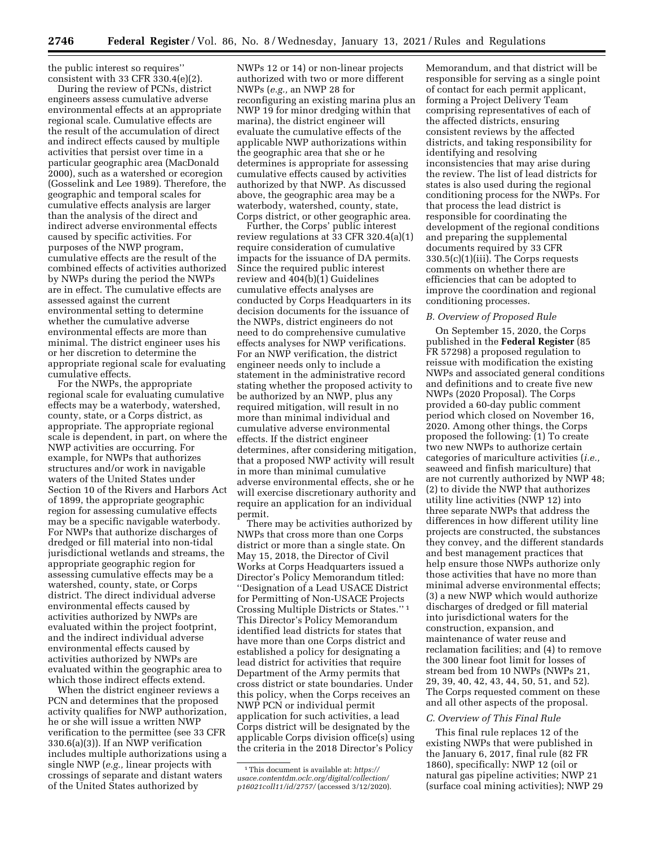the public interest so requires'' consistent with 33 CFR 330.4(e)(2).

During the review of PCNs, district engineers assess cumulative adverse environmental effects at an appropriate regional scale. Cumulative effects are the result of the accumulation of direct and indirect effects caused by multiple activities that persist over time in a particular geographic area (MacDonald 2000), such as a watershed or ecoregion (Gosselink and Lee 1989). Therefore, the geographic and temporal scales for cumulative effects analysis are larger than the analysis of the direct and indirect adverse environmental effects caused by specific activities. For purposes of the NWP program, cumulative effects are the result of the combined effects of activities authorized by NWPs during the period the NWPs are in effect. The cumulative effects are assessed against the current environmental setting to determine whether the cumulative adverse environmental effects are more than minimal. The district engineer uses his or her discretion to determine the appropriate regional scale for evaluating cumulative effects.

For the NWPs, the appropriate regional scale for evaluating cumulative effects may be a waterbody, watershed, county, state, or a Corps district, as appropriate. The appropriate regional scale is dependent, in part, on where the NWP activities are occurring. For example, for NWPs that authorizes structures and/or work in navigable waters of the United States under Section 10 of the Rivers and Harbors Act of 1899, the appropriate geographic region for assessing cumulative effects may be a specific navigable waterbody. For NWPs that authorize discharges of dredged or fill material into non-tidal jurisdictional wetlands and streams, the appropriate geographic region for assessing cumulative effects may be a watershed, county, state, or Corps district. The direct individual adverse environmental effects caused by activities authorized by NWPs are evaluated within the project footprint, and the indirect individual adverse environmental effects caused by activities authorized by NWPs are evaluated within the geographic area to which those indirect effects extend.

When the district engineer reviews a PCN and determines that the proposed activity qualifies for NWP authorization, he or she will issue a written NWP verification to the permittee (see 33 CFR 330.6(a)(3)). If an NWP verification includes multiple authorizations using a single NWP (*e.g.,* linear projects with crossings of separate and distant waters of the United States authorized by

NWPs 12 or 14) or non-linear projects authorized with two or more different NWPs (*e.g.,* an NWP 28 for reconfiguring an existing marina plus an NWP 19 for minor dredging within that marina), the district engineer will evaluate the cumulative effects of the applicable NWP authorizations within the geographic area that she or he determines is appropriate for assessing cumulative effects caused by activities authorized by that NWP. As discussed above, the geographic area may be a waterbody, watershed, county, state, Corps district, or other geographic area.

Further, the Corps' public interest review regulations at 33 CFR 320.4(a)(1) require consideration of cumulative impacts for the issuance of DA permits. Since the required public interest review and 404(b)(1) Guidelines cumulative effects analyses are conducted by Corps Headquarters in its decision documents for the issuance of the NWPs, district engineers do not need to do comprehensive cumulative effects analyses for NWP verifications. For an NWP verification, the district engineer needs only to include a statement in the administrative record stating whether the proposed activity to be authorized by an NWP, plus any required mitigation, will result in no more than minimal individual and cumulative adverse environmental effects. If the district engineer determines, after considering mitigation, that a proposed NWP activity will result in more than minimal cumulative adverse environmental effects, she or he will exercise discretionary authority and require an application for an individual permit.

There may be activities authorized by NWPs that cross more than one Corps district or more than a single state. On May 15, 2018, the Director of Civil Works at Corps Headquarters issued a Director's Policy Memorandum titled: ''Designation of a Lead USACE District for Permitting of Non-USACE Projects Crossing Multiple Districts or States.'' 1 This Director's Policy Memorandum identified lead districts for states that have more than one Corps district and established a policy for designating a lead district for activities that require Department of the Army permits that cross district or state boundaries. Under this policy, when the Corps receives an NWP PCN or individual permit application for such activities, a lead Corps district will be designated by the applicable Corps division office(s) using the criteria in the 2018 Director's Policy

Memorandum, and that district will be responsible for serving as a single point of contact for each permit applicant, forming a Project Delivery Team comprising representatives of each of the affected districts, ensuring consistent reviews by the affected districts, and taking responsibility for identifying and resolving inconsistencies that may arise during the review. The list of lead districts for states is also used during the regional conditioning process for the NWPs. For that process the lead district is responsible for coordinating the development of the regional conditions and preparing the supplemental documents required by 33 CFR 330.5(c)(1)(iii). The Corps requests comments on whether there are efficiencies that can be adopted to improve the coordination and regional conditioning processes.

#### *B. Overview of Proposed Rule*

On September 15, 2020, the Corps published in the **Federal Register** (85 FR 57298) a proposed regulation to reissue with modification the existing NWPs and associated general conditions and definitions and to create five new NWPs (2020 Proposal). The Corps provided a 60-day public comment period which closed on November 16, 2020. Among other things, the Corps proposed the following: (1) To create two new NWPs to authorize certain categories of mariculture activities (*i.e.,*  seaweed and finfish mariculture) that are not currently authorized by NWP 48; (2) to divide the NWP that authorizes utility line activities (NWP 12) into three separate NWPs that address the differences in how different utility line projects are constructed, the substances they convey, and the different standards and best management practices that help ensure those NWPs authorize only those activities that have no more than minimal adverse environmental effects; (3) a new NWP which would authorize discharges of dredged or fill material into jurisdictional waters for the construction, expansion, and maintenance of water reuse and reclamation facilities; and (4) to remove the 300 linear foot limit for losses of stream bed from 10 NWPs (NWPs 21, 29, 39, 40, 42, 43, 44, 50, 51, and 52). The Corps requested comment on these and all other aspects of the proposal.

### *C. Overview of This Final Rule*

This final rule replaces 12 of the existing NWPs that were published in the January 6, 2017, final rule (82 FR 1860), specifically: NWP 12 (oil or natural gas pipeline activities; NWP 21 (surface coal mining activities); NWP 29

<sup>1</sup>This document is available at: *[https://](https://usace.contentdm.oclc.org/digital/collection/p16021coll11/id/2757/) [usace.contentdm.oclc.org/digital/collection/](https://usace.contentdm.oclc.org/digital/collection/p16021coll11/id/2757/) [p16021coll11/id/2757/](https://usace.contentdm.oclc.org/digital/collection/p16021coll11/id/2757/)* (accessed 3/12/2020).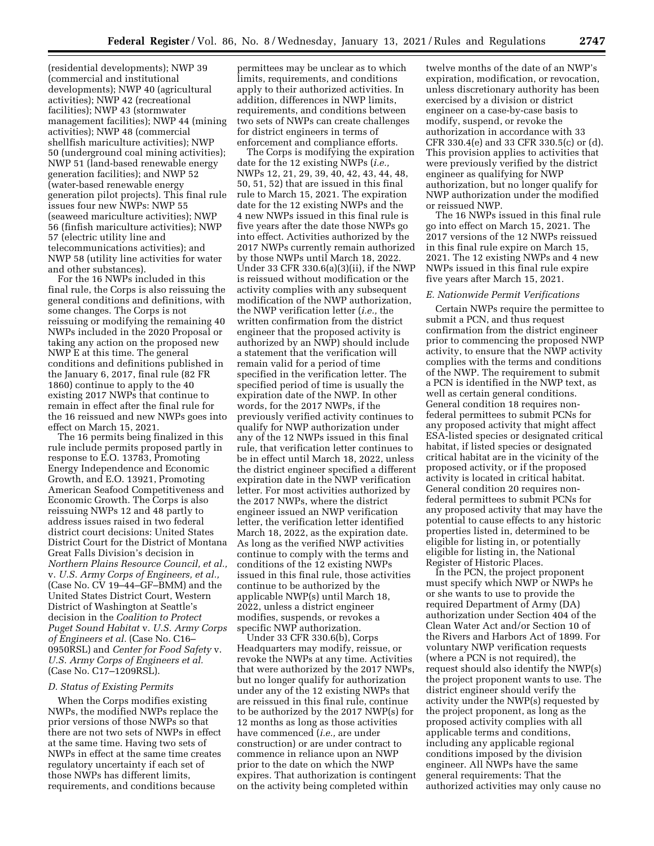(residential developments); NWP 39 (commercial and institutional developments); NWP 40 (agricultural activities); NWP 42 (recreational facilities); NWP 43 (stormwater management facilities); NWP 44 (mining activities); NWP 48 (commercial shellfish mariculture activities); NWP 50 (underground coal mining activities); NWP 51 (land-based renewable energy generation facilities); and NWP 52 (water-based renewable energy generation pilot projects). This final rule issues four new NWPs: NWP 55 (seaweed mariculture activities); NWP 56 (finfish mariculture activities); NWP 57 (electric utility line and telecommunications activities); and NWP 58 (utility line activities for water and other substances).

For the 16 NWPs included in this final rule, the Corps is also reissuing the general conditions and definitions, with some changes. The Corps is not reissuing or modifying the remaining 40 NWPs included in the 2020 Proposal or taking any action on the proposed new NWP E at this time. The general conditions and definitions published in the January 6, 2017, final rule (82 FR 1860) continue to apply to the 40 existing 2017 NWPs that continue to remain in effect after the final rule for the 16 reissued and new NWPs goes into effect on March 15, 2021.

The 16 permits being finalized in this rule include permits proposed partly in response to E.O. 13783, Promoting Energy Independence and Economic Growth, and E.O. 13921, Promoting American Seafood Competitiveness and Economic Growth. The Corps is also reissuing NWPs 12 and 48 partly to address issues raised in two federal district court decisions: United States District Court for the District of Montana Great Falls Division's decision in *Northern Plains Resource Council, et al.,*  v. *U.S. Army Corps of Engineers, et al.,*  (Case No. CV 19–44–GF–BMM) and the United States District Court, Western District of Washington at Seattle's decision in the *Coalition to Protect Puget Sound Habitat* v. *U.S. Army Corps of Engineers et al.* (Case No. C16– 0950RSL) and *Center for Food Safety* v. *U.S. Army Corps of Engineers et al.*  (Case No. C17–1209RSL).

#### *D. Status of Existing Permits*

When the Corps modifies existing NWPs, the modified NWPs replace the prior versions of those NWPs so that there are not two sets of NWPs in effect at the same time. Having two sets of NWPs in effect at the same time creates regulatory uncertainty if each set of those NWPs has different limits, requirements, and conditions because

permittees may be unclear as to which limits, requirements, and conditions apply to their authorized activities. In addition, differences in NWP limits, requirements, and conditions between two sets of NWPs can create challenges for district engineers in terms of enforcement and compliance efforts.

The Corps is modifying the expiration date for the 12 existing NWPs (*i.e.,*  NWPs 12, 21, 29, 39, 40, 42, 43, 44, 48, 50, 51, 52) that are issued in this final rule to March 15, 2021. The expiration date for the 12 existing NWPs and the 4 new NWPs issued in this final rule is five years after the date those NWPs go into effect. Activities authorized by the 2017 NWPs currently remain authorized by those NWPs until March 18, 2022. Under 33 CFR 330.6(a)(3)(ii), if the NWP is reissued without modification or the activity complies with any subsequent modification of the NWP authorization, the NWP verification letter (*i.e.,* the written confirmation from the district engineer that the proposed activity is authorized by an NWP) should include a statement that the verification will remain valid for a period of time specified in the verification letter. The specified period of time is usually the expiration date of the NWP. In other words, for the 2017 NWPs, if the previously verified activity continues to qualify for NWP authorization under any of the 12 NWPs issued in this final rule, that verification letter continues to be in effect until March 18, 2022, unless the district engineer specified a different expiration date in the NWP verification letter. For most activities authorized by the 2017 NWPs, where the district engineer issued an NWP verification letter, the verification letter identified March 18, 2022, as the expiration date. As long as the verified NWP activities continue to comply with the terms and conditions of the 12 existing NWPs issued in this final rule, those activities continue to be authorized by the applicable NWP(s) until March 18, 2022, unless a district engineer modifies, suspends, or revokes a specific NWP authorization.

Under 33 CFR 330.6(b), Corps Headquarters may modify, reissue, or revoke the NWPs at any time. Activities that were authorized by the 2017 NWPs, but no longer qualify for authorization under any of the 12 existing NWPs that are reissued in this final rule, continue to be authorized by the 2017 NWP(s) for 12 months as long as those activities have commenced (*i.e.,* are under construction) or are under contract to commence in reliance upon an NWP prior to the date on which the NWP expires. That authorization is contingent on the activity being completed within

twelve months of the date of an NWP's expiration, modification, or revocation, unless discretionary authority has been exercised by a division or district engineer on a case-by-case basis to modify, suspend, or revoke the authorization in accordance with 33 CFR 330.4(e) and 33 CFR 330.5(c) or (d). This provision applies to activities that were previously verified by the district engineer as qualifying for NWP authorization, but no longer qualify for NWP authorization under the modified or reissued NWP.

The 16 NWPs issued in this final rule go into effect on March 15, 2021. The 2017 versions of the 12 NWPs reissued in this final rule expire on March 15, 2021. The 12 existing NWPs and 4 new NWPs issued in this final rule expire five years after March 15, 2021.

#### *E. Nationwide Permit Verifications*

Certain NWPs require the permittee to submit a PCN, and thus request confirmation from the district engineer prior to commencing the proposed NWP activity, to ensure that the NWP activity complies with the terms and conditions of the NWP. The requirement to submit a PCN is identified in the NWP text, as well as certain general conditions. General condition 18 requires nonfederal permittees to submit PCNs for any proposed activity that might affect ESA-listed species or designated critical habitat, if listed species or designated critical habitat are in the vicinity of the proposed activity, or if the proposed activity is located in critical habitat. General condition 20 requires nonfederal permittees to submit PCNs for any proposed activity that may have the potential to cause effects to any historic properties listed in, determined to be eligible for listing in, or potentially eligible for listing in, the National Register of Historic Places.

In the PCN, the project proponent must specify which NWP or NWPs he or she wants to use to provide the required Department of Army (DA) authorization under Section 404 of the Clean Water Act and/or Section 10 of the Rivers and Harbors Act of 1899. For voluntary NWP verification requests (where a PCN is not required), the request should also identify the NWP(s) the project proponent wants to use. The district engineer should verify the activity under the NWP(s) requested by the project proponent, as long as the proposed activity complies with all applicable terms and conditions, including any applicable regional conditions imposed by the division engineer. All NWPs have the same general requirements: That the authorized activities may only cause no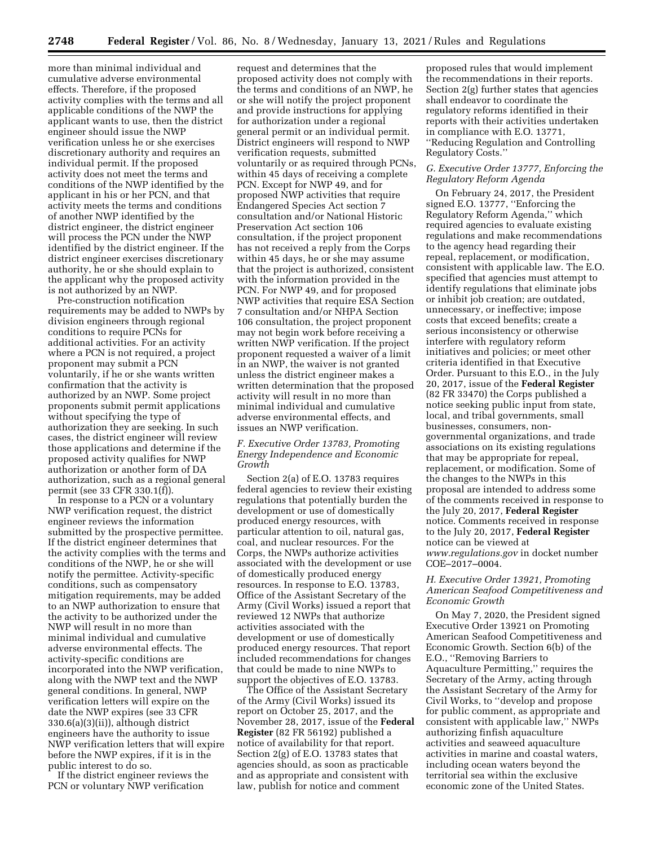more than minimal individual and cumulative adverse environmental effects. Therefore, if the proposed activity complies with the terms and all applicable conditions of the NWP the applicant wants to use, then the district engineer should issue the NWP verification unless he or she exercises discretionary authority and requires an individual permit. If the proposed activity does not meet the terms and conditions of the NWP identified by the applicant in his or her PCN, and that activity meets the terms and conditions of another NWP identified by the district engineer, the district engineer will process the PCN under the NWP identified by the district engineer. If the district engineer exercises discretionary authority, he or she should explain to the applicant why the proposed activity is not authorized by an NWP.

Pre-construction notification requirements may be added to NWPs by division engineers through regional conditions to require PCNs for additional activities. For an activity where a PCN is not required, a project proponent may submit a PCN voluntarily, if he or she wants written confirmation that the activity is authorized by an NWP. Some project proponents submit permit applications without specifying the type of authorization they are seeking. In such cases, the district engineer will review those applications and determine if the proposed activity qualifies for NWP authorization or another form of DA authorization, such as a regional general permit (see 33 CFR 330.1(f)).

In response to a PCN or a voluntary NWP verification request, the district engineer reviews the information submitted by the prospective permittee. If the district engineer determines that the activity complies with the terms and conditions of the NWP, he or she will notify the permittee. Activity-specific conditions, such as compensatory mitigation requirements, may be added to an NWP authorization to ensure that the activity to be authorized under the NWP will result in no more than minimal individual and cumulative adverse environmental effects. The activity-specific conditions are incorporated into the NWP verification, along with the NWP text and the NWP general conditions. In general, NWP verification letters will expire on the date the NWP expires (see 33 CFR 330.6(a)(3)(ii)), although district engineers have the authority to issue NWP verification letters that will expire before the NWP expires, if it is in the public interest to do so.

If the district engineer reviews the PCN or voluntary NWP verification

request and determines that the proposed activity does not comply with the terms and conditions of an NWP, he or she will notify the project proponent and provide instructions for applying for authorization under a regional general permit or an individual permit. District engineers will respond to NWP verification requests, submitted voluntarily or as required through PCNs, within 45 days of receiving a complete PCN. Except for NWP 49, and for proposed NWP activities that require Endangered Species Act section 7 consultation and/or National Historic Preservation Act section 106 consultation, if the project proponent has not received a reply from the Corps within 45 days, he or she may assume that the project is authorized, consistent with the information provided in the PCN. For NWP 49, and for proposed NWP activities that require ESA Section 7 consultation and/or NHPA Section 106 consultation, the project proponent may not begin work before receiving a written NWP verification. If the project proponent requested a waiver of a limit in an NWP, the waiver is not granted unless the district engineer makes a written determination that the proposed activity will result in no more than minimal individual and cumulative adverse environmental effects, and issues an NWP verification.

### *F. Executive Order 13783, Promoting Energy Independence and Economic Growth*

Section 2(a) of E.O. 13783 requires federal agencies to review their existing regulations that potentially burden the development or use of domestically produced energy resources, with particular attention to oil, natural gas, coal, and nuclear resources. For the Corps, the NWPs authorize activities associated with the development or use of domestically produced energy resources. In response to E.O. 13783, Office of the Assistant Secretary of the Army (Civil Works) issued a report that reviewed 12 NWPs that authorize activities associated with the development or use of domestically produced energy resources. That report included recommendations for changes that could be made to nine NWPs to support the objectives of E.O. 13783.

The Office of the Assistant Secretary of the Army (Civil Works) issued its report on October 25, 2017, and the November 28, 2017, issue of the **Federal Register** (82 FR 56192) published a notice of availability for that report. Section 2(g) of E.O. 13783 states that agencies should, as soon as practicable and as appropriate and consistent with law, publish for notice and comment

proposed rules that would implement the recommendations in their reports. Section 2(g) further states that agencies shall endeavor to coordinate the regulatory reforms identified in their reports with their activities undertaken in compliance with E.O. 13771, ''Reducing Regulation and Controlling Regulatory Costs.''

# *G. Executive Order 13777, Enforcing the Regulatory Reform Agenda*

On February 24, 2017, the President signed E.O. 13777, ''Enforcing the Regulatory Reform Agenda,'' which required agencies to evaluate existing regulations and make recommendations to the agency head regarding their repeal, replacement, or modification, consistent with applicable law. The E.O. specified that agencies must attempt to identify regulations that eliminate jobs or inhibit job creation; are outdated, unnecessary, or ineffective; impose costs that exceed benefits; create a serious inconsistency or otherwise interfere with regulatory reform initiatives and policies; or meet other criteria identified in that Executive Order. Pursuant to this E.O., in the July 20, 2017, issue of the **Federal Register**  (82 FR 33470) the Corps published a notice seeking public input from state, local, and tribal governments, small businesses, consumers, nongovernmental organizations, and trade associations on its existing regulations that may be appropriate for repeal, replacement, or modification. Some of the changes to the NWPs in this proposal are intended to address some of the comments received in response to the July 20, 2017, **Federal Register**  notice. Comments received in response to the July 20, 2017, **Federal Register**  notice can be viewed at *[www.regulations.gov](http://www.regulations.gov)* in docket number COE–2017–0004.

### *H. Executive Order 13921, Promoting American Seafood Competitiveness and Economic Growth*

On May 7, 2020, the President signed Executive Order 13921 on Promoting American Seafood Competitiveness and Economic Growth. Section 6(b) of the E.O., ''Removing Barriers to Aquaculture Permitting,'' requires the Secretary of the Army, acting through the Assistant Secretary of the Army for Civil Works, to ''develop and propose for public comment, as appropriate and consistent with applicable law,'' NWPs authorizing finfish aquaculture activities and seaweed aquaculture activities in marine and coastal waters, including ocean waters beyond the territorial sea within the exclusive economic zone of the United States.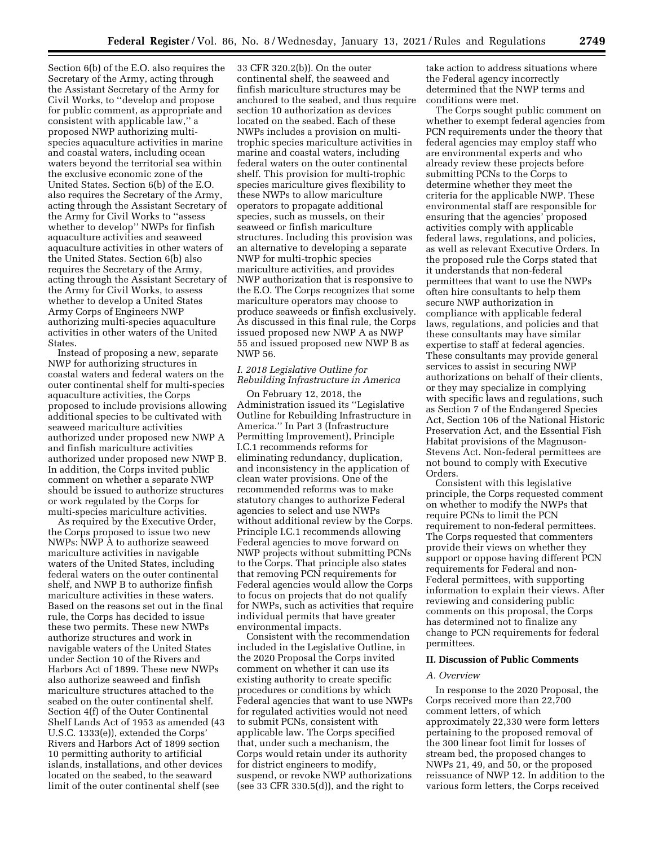Section 6(b) of the E.O. also requires the Secretary of the Army, acting through the Assistant Secretary of the Army for Civil Works, to ''develop and propose for public comment, as appropriate and consistent with applicable law,'' a proposed NWP authorizing multispecies aquaculture activities in marine and coastal waters, including ocean waters beyond the territorial sea within the exclusive economic zone of the United States. Section 6(b) of the E.O. also requires the Secretary of the Army, acting through the Assistant Secretary of the Army for Civil Works to ''assess whether to develop'' NWPs for finfish aquaculture activities and seaweed aquaculture activities in other waters of the United States. Section 6(b) also requires the Secretary of the Army, acting through the Assistant Secretary of the Army for Civil Works, to assess whether to develop a United States Army Corps of Engineers NWP authorizing multi-species aquaculture activities in other waters of the United States.

Instead of proposing a new, separate NWP for authorizing structures in coastal waters and federal waters on the outer continental shelf for multi-species aquaculture activities, the Corps proposed to include provisions allowing additional species to be cultivated with seaweed mariculture activities authorized under proposed new NWP A and finfish mariculture activities authorized under proposed new NWP B. In addition, the Corps invited public comment on whether a separate NWP should be issued to authorize structures or work regulated by the Corps for multi-species mariculture activities.

As required by the Executive Order, the Corps proposed to issue two new NWPs: NWP A to authorize seaweed mariculture activities in navigable waters of the United States, including federal waters on the outer continental shelf, and NWP B to authorize finfish mariculture activities in these waters. Based on the reasons set out in the final rule, the Corps has decided to issue these two permits. These new NWPs authorize structures and work in navigable waters of the United States under Section 10 of the Rivers and Harbors Act of 1899. These new NWPs also authorize seaweed and finfish mariculture structures attached to the seabed on the outer continental shelf. Section 4(f) of the Outer Continental Shelf Lands Act of 1953 as amended (43 U.S.C. 1333(e)), extended the Corps' Rivers and Harbors Act of 1899 section 10 permitting authority to artificial islands, installations, and other devices located on the seabed, to the seaward limit of the outer continental shelf (see

33 CFR 320.2(b)). On the outer continental shelf, the seaweed and finfish mariculture structures may be anchored to the seabed, and thus require section 10 authorization as devices located on the seabed. Each of these NWPs includes a provision on multitrophic species mariculture activities in marine and coastal waters, including federal waters on the outer continental shelf. This provision for multi-trophic species mariculture gives flexibility to these NWPs to allow mariculture operators to propagate additional species, such as mussels, on their seaweed or finfish mariculture structures. Including this provision was an alternative to developing a separate NWP for multi-trophic species mariculture activities, and provides NWP authorization that is responsive to the E.O. The Corps recognizes that some mariculture operators may choose to produce seaweeds or finfish exclusively. As discussed in this final rule, the Corps issued proposed new NWP A as NWP 55 and issued proposed new NWP B as NWP 56.

# *I. 2018 Legislative Outline for Rebuilding Infrastructure in America*

On February 12, 2018, the Administration issued its ''Legislative Outline for Rebuilding Infrastructure in America.'' In Part 3 (Infrastructure Permitting Improvement), Principle I.C.1 recommends reforms for eliminating redundancy, duplication, and inconsistency in the application of clean water provisions. One of the recommended reforms was to make statutory changes to authorize Federal agencies to select and use NWPs without additional review by the Corps. Principle I.C.1 recommends allowing Federal agencies to move forward on NWP projects without submitting PCNs to the Corps. That principle also states that removing PCN requirements for Federal agencies would allow the Corps to focus on projects that do not qualify for NWPs, such as activities that require individual permits that have greater environmental impacts.

Consistent with the recommendation included in the Legislative Outline, in the 2020 Proposal the Corps invited comment on whether it can use its existing authority to create specific procedures or conditions by which Federal agencies that want to use NWPs for regulated activities would not need to submit PCNs, consistent with applicable law. The Corps specified that, under such a mechanism, the Corps would retain under its authority for district engineers to modify, suspend, or revoke NWP authorizations (see 33 CFR 330.5(d)), and the right to

take action to address situations where the Federal agency incorrectly determined that the NWP terms and conditions were met.

The Corps sought public comment on whether to exempt federal agencies from PCN requirements under the theory that federal agencies may employ staff who are environmental experts and who already review these projects before submitting PCNs to the Corps to determine whether they meet the criteria for the applicable NWP. These environmental staff are responsible for ensuring that the agencies' proposed activities comply with applicable federal laws, regulations, and policies, as well as relevant Executive Orders. In the proposed rule the Corps stated that it understands that non-federal permittees that want to use the NWPs often hire consultants to help them secure NWP authorization in compliance with applicable federal laws, regulations, and policies and that these consultants may have similar expertise to staff at federal agencies. These consultants may provide general services to assist in securing NWP authorizations on behalf of their clients, or they may specialize in complying with specific laws and regulations, such as Section 7 of the Endangered Species Act, Section 106 of the National Historic Preservation Act, and the Essential Fish Habitat provisions of the Magnuson-Stevens Act. Non-federal permittees are not bound to comply with Executive Orders.

Consistent with this legislative principle, the Corps requested comment on whether to modify the NWPs that require PCNs to limit the PCN requirement to non-federal permittees. The Corps requested that commenters provide their views on whether they support or oppose having different PCN requirements for Federal and non-Federal permittees, with supporting information to explain their views. After reviewing and considering public comments on this proposal, the Corps has determined not to finalize any change to PCN requirements for federal permittees.

#### **II. Discussion of Public Comments**

#### *A. Overview*

In response to the 2020 Proposal, the Corps received more than 22,700 comment letters, of which approximately 22,330 were form letters pertaining to the proposed removal of the 300 linear foot limit for losses of stream bed, the proposed changes to NWPs 21, 49, and 50, or the proposed reissuance of NWP 12. In addition to the various form letters, the Corps received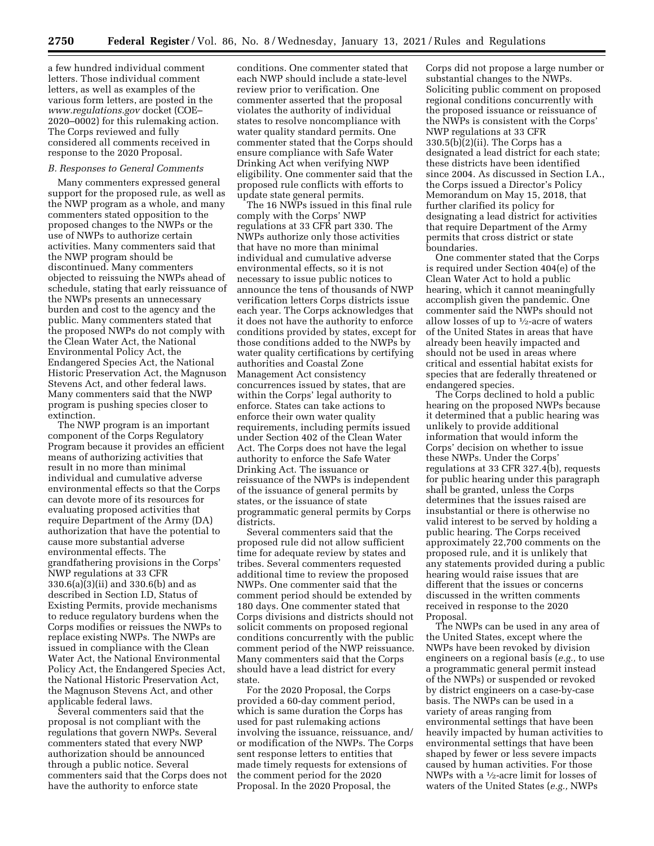a few hundred individual comment letters. Those individual comment letters, as well as examples of the various form letters, are posted in the *[www.regulations.gov](http://www.regulations.gov)* docket (COE– 2020–0002) for this rulemaking action. The Corps reviewed and fully considered all comments received in response to the 2020 Proposal.

### *B. Responses to General Comments*

Many commenters expressed general support for the proposed rule, as well as the NWP program as a whole, and many commenters stated opposition to the proposed changes to the NWPs or the use of NWPs to authorize certain activities. Many commenters said that the NWP program should be discontinued. Many commenters objected to reissuing the NWPs ahead of schedule, stating that early reissuance of the NWPs presents an unnecessary burden and cost to the agency and the public. Many commenters stated that the proposed NWPs do not comply with the Clean Water Act, the National Environmental Policy Act, the Endangered Species Act, the National Historic Preservation Act, the Magnuson Stevens Act, and other federal laws. Many commenters said that the NWP program is pushing species closer to extinction.

The NWP program is an important component of the Corps Regulatory Program because it provides an efficient means of authorizing activities that result in no more than minimal individual and cumulative adverse environmental effects so that the Corps can devote more of its resources for evaluating proposed activities that require Department of the Army (DA) authorization that have the potential to cause more substantial adverse environmental effects. The grandfathering provisions in the Corps' NWP regulations at 33 CFR 330.6(a)(3)(ii) and 330.6(b) and as described in Section I.D, Status of Existing Permits, provide mechanisms to reduce regulatory burdens when the Corps modifies or reissues the NWPs to replace existing NWPs. The NWPs are issued in compliance with the Clean Water Act, the National Environmental Policy Act, the Endangered Species Act, the National Historic Preservation Act, the Magnuson Stevens Act, and other applicable federal laws.

Several commenters said that the proposal is not compliant with the regulations that govern NWPs. Several commenters stated that every NWP authorization should be announced through a public notice. Several commenters said that the Corps does not have the authority to enforce state

conditions. One commenter stated that each NWP should include a state-level review prior to verification. One commenter asserted that the proposal violates the authority of individual states to resolve noncompliance with water quality standard permits. One commenter stated that the Corps should ensure compliance with Safe Water Drinking Act when verifying NWP eligibility. One commenter said that the proposed rule conflicts with efforts to update state general permits.

The 16 NWPs issued in this final rule comply with the Corps' NWP regulations at 33 CFR part 330. The NWPs authorize only those activities that have no more than minimal individual and cumulative adverse environmental effects, so it is not necessary to issue public notices to announce the tens of thousands of NWP verification letters Corps districts issue each year. The Corps acknowledges that it does not have the authority to enforce conditions provided by states, except for those conditions added to the NWPs by water quality certifications by certifying authorities and Coastal Zone Management Act consistency concurrences issued by states, that are within the Corps' legal authority to enforce. States can take actions to enforce their own water quality requirements, including permits issued under Section 402 of the Clean Water Act. The Corps does not have the legal authority to enforce the Safe Water Drinking Act. The issuance or reissuance of the NWPs is independent of the issuance of general permits by states, or the issuance of state programmatic general permits by Corps districts.

Several commenters said that the proposed rule did not allow sufficient time for adequate review by states and tribes. Several commenters requested additional time to review the proposed NWPs. One commenter said that the comment period should be extended by 180 days. One commenter stated that Corps divisions and districts should not solicit comments on proposed regional conditions concurrently with the public comment period of the NWP reissuance. Many commenters said that the Corps should have a lead district for every state.

For the 2020 Proposal, the Corps provided a 60-day comment period, which is same duration the Corps has used for past rulemaking actions involving the issuance, reissuance, and/ or modification of the NWPs. The Corps sent response letters to entities that made timely requests for extensions of the comment period for the 2020 Proposal. In the 2020 Proposal, the

Corps did not propose a large number or substantial changes to the NWPs. Soliciting public comment on proposed regional conditions concurrently with the proposed issuance or reissuance of the NWPs is consistent with the Corps' NWP regulations at 33 CFR 330.5(b)(2)(ii). The Corps has a designated a lead district for each state; these districts have been identified since 2004. As discussed in Section I.A., the Corps issued a Director's Policy Memorandum on May 15, 2018, that further clarified its policy for designating a lead district for activities that require Department of the Army permits that cross district or state boundaries.

One commenter stated that the Corps is required under Section 404(e) of the Clean Water Act to hold a public hearing, which it cannot meaningfully accomplish given the pandemic. One commenter said the NWPs should not allow losses of up to 1⁄2-acre of waters of the United States in areas that have already been heavily impacted and should not be used in areas where critical and essential habitat exists for species that are federally threatened or endangered species.

The Corps declined to hold a public hearing on the proposed NWPs because it determined that a public hearing was unlikely to provide additional information that would inform the Corps' decision on whether to issue these NWPs. Under the Corps' regulations at 33 CFR 327.4(b), requests for public hearing under this paragraph shall be granted, unless the Corps determines that the issues raised are insubstantial or there is otherwise no valid interest to be served by holding a public hearing. The Corps received approximately 22,700 comments on the proposed rule, and it is unlikely that any statements provided during a public hearing would raise issues that are different that the issues or concerns discussed in the written comments received in response to the 2020 Proposal.

The NWPs can be used in any area of the United States, except where the NWPs have been revoked by division engineers on a regional basis (*e.g.,* to use a programmatic general permit instead of the NWPs) or suspended or revoked by district engineers on a case-by-case basis. The NWPs can be used in a variety of areas ranging from environmental settings that have been heavily impacted by human activities to environmental settings that have been shaped by fewer or less severe impacts caused by human activities. For those NWPs with a 1⁄2-acre limit for losses of waters of the United States (*e.g.,* NWPs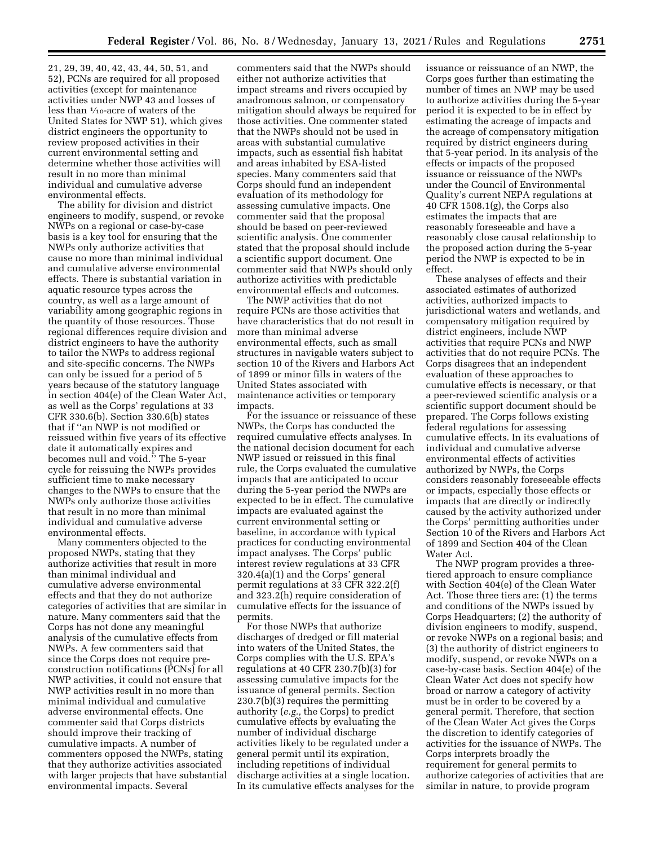21, 29, 39, 40, 42, 43, 44, 50, 51, and 52), PCNs are required for all proposed activities (except for maintenance activities under NWP 43 and losses of less than 1⁄10-acre of waters of the United States for NWP 51), which gives district engineers the opportunity to review proposed activities in their current environmental setting and determine whether those activities will result in no more than minimal individual and cumulative adverse environmental effects.

The ability for division and district engineers to modify, suspend, or revoke NWPs on a regional or case-by-case basis is a key tool for ensuring that the NWPs only authorize activities that cause no more than minimal individual and cumulative adverse environmental effects. There is substantial variation in aquatic resource types across the country, as well as a large amount of variability among geographic regions in the quantity of those resources. Those regional differences require division and district engineers to have the authority to tailor the NWPs to address regional and site-specific concerns. The NWPs can only be issued for a period of 5 years because of the statutory language in section 404(e) of the Clean Water Act, as well as the Corps' regulations at 33 CFR 330.6(b). Section 330.6(b) states that if ''an NWP is not modified or reissued within five years of its effective date it automatically expires and becomes null and void.'' The 5-year cycle for reissuing the NWPs provides sufficient time to make necessary changes to the NWPs to ensure that the NWPs only authorize those activities that result in no more than minimal individual and cumulative adverse environmental effects.

Many commenters objected to the proposed NWPs, stating that they authorize activities that result in more than minimal individual and cumulative adverse environmental effects and that they do not authorize categories of activities that are similar in nature. Many commenters said that the Corps has not done any meaningful analysis of the cumulative effects from NWPs. A few commenters said that since the Corps does not require preconstruction notifications (PCNs) for all NWP activities, it could not ensure that NWP activities result in no more than minimal individual and cumulative adverse environmental effects. One commenter said that Corps districts should improve their tracking of cumulative impacts. A number of commenters opposed the NWPs, stating that they authorize activities associated with larger projects that have substantial environmental impacts. Several

commenters said that the NWPs should either not authorize activities that impact streams and rivers occupied by anadromous salmon, or compensatory mitigation should always be required for those activities. One commenter stated that the NWPs should not be used in areas with substantial cumulative impacts, such as essential fish habitat and areas inhabited by ESA-listed species. Many commenters said that Corps should fund an independent evaluation of its methodology for assessing cumulative impacts. One commenter said that the proposal should be based on peer-reviewed scientific analysis. One commenter stated that the proposal should include a scientific support document. One commenter said that NWPs should only authorize activities with predictable environmental effects and outcomes.

The NWP activities that do not require PCNs are those activities that have characteristics that do not result in more than minimal adverse environmental effects, such as small structures in navigable waters subject to section 10 of the Rivers and Harbors Act of 1899 or minor fills in waters of the United States associated with maintenance activities or temporary impacts.

For the issuance or reissuance of these NWPs, the Corps has conducted the required cumulative effects analyses. In the national decision document for each NWP issued or reissued in this final rule, the Corps evaluated the cumulative impacts that are anticipated to occur during the 5-year period the NWPs are expected to be in effect. The cumulative impacts are evaluated against the current environmental setting or baseline, in accordance with typical practices for conducting environmental impact analyses. The Corps' public interest review regulations at 33 CFR 320.4(a)(1) and the Corps' general permit regulations at 33 CFR 322.2(f) and 323.2(h) require consideration of cumulative effects for the issuance of permits.

For those NWPs that authorize discharges of dredged or fill material into waters of the United States, the Corps complies with the U.S. EPA's regulations at 40 CFR 230.7(b)(3) for assessing cumulative impacts for the issuance of general permits. Section 230.7(b)(3) requires the permitting authority (*e.g.,* the Corps) to predict cumulative effects by evaluating the number of individual discharge activities likely to be regulated under a general permit until its expiration, including repetitions of individual discharge activities at a single location. In its cumulative effects analyses for the

issuance or reissuance of an NWP, the Corps goes further than estimating the number of times an NWP may be used to authorize activities during the 5-year period it is expected to be in effect by estimating the acreage of impacts and the acreage of compensatory mitigation required by district engineers during that 5-year period. In its analysis of the effects or impacts of the proposed issuance or reissuance of the NWPs under the Council of Environmental Quality's current NEPA regulations at 40 CFR 1508.1(g), the Corps also estimates the impacts that are reasonably foreseeable and have a reasonably close causal relationship to the proposed action during the 5-year period the NWP is expected to be in effect.

These analyses of effects and their associated estimates of authorized activities, authorized impacts to jurisdictional waters and wetlands, and compensatory mitigation required by district engineers, include NWP activities that require PCNs and NWP activities that do not require PCNs. The Corps disagrees that an independent evaluation of these approaches to cumulative effects is necessary, or that a peer-reviewed scientific analysis or a scientific support document should be prepared. The Corps follows existing federal regulations for assessing cumulative effects. In its evaluations of individual and cumulative adverse environmental effects of activities authorized by NWPs, the Corps considers reasonably foreseeable effects or impacts, especially those effects or impacts that are directly or indirectly caused by the activity authorized under the Corps' permitting authorities under Section 10 of the Rivers and Harbors Act of 1899 and Section 404 of the Clean Water Act.

The NWP program provides a threetiered approach to ensure compliance with Section 404(e) of the Clean Water Act. Those three tiers are: (1) the terms and conditions of the NWPs issued by Corps Headquarters; (2) the authority of division engineers to modify, suspend, or revoke NWPs on a regional basis; and (3) the authority of district engineers to modify, suspend, or revoke NWPs on a case-by-case basis. Section 404(e) of the Clean Water Act does not specify how broad or narrow a category of activity must be in order to be covered by a general permit. Therefore, that section of the Clean Water Act gives the Corps the discretion to identify categories of activities for the issuance of NWPs. The Corps interprets broadly the requirement for general permits to authorize categories of activities that are similar in nature, to provide program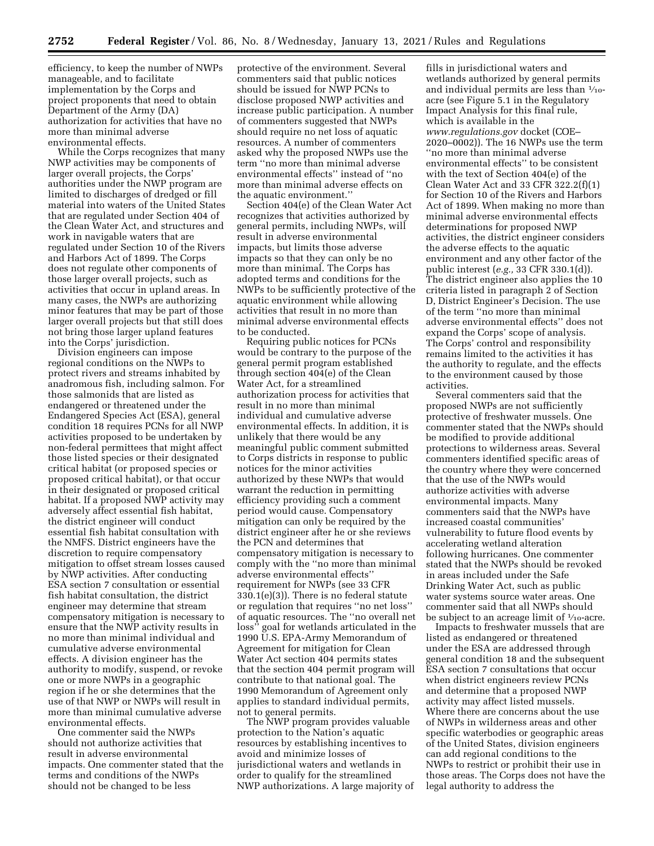efficiency, to keep the number of NWPs manageable, and to facilitate implementation by the Corps and project proponents that need to obtain Department of the Army (DA) authorization for activities that have no more than minimal adverse environmental effects.

While the Corps recognizes that many NWP activities may be components of larger overall projects, the Corps' authorities under the NWP program are limited to discharges of dredged or fill material into waters of the United States that are regulated under Section 404 of the Clean Water Act, and structures and work in navigable waters that are regulated under Section 10 of the Rivers and Harbors Act of 1899. The Corps does not regulate other components of those larger overall projects, such as activities that occur in upland areas. In many cases, the NWPs are authorizing minor features that may be part of those larger overall projects but that still does not bring those larger upland features into the Corps' jurisdiction.

Division engineers can impose regional conditions on the NWPs to protect rivers and streams inhabited by anadromous fish, including salmon. For those salmonids that are listed as endangered or threatened under the Endangered Species Act (ESA), general condition 18 requires PCNs for all NWP activities proposed to be undertaken by non-federal permittees that might affect those listed species or their designated critical habitat (or proposed species or proposed critical habitat), or that occur in their designated or proposed critical habitat. If a proposed NWP activity may adversely affect essential fish habitat, the district engineer will conduct essential fish habitat consultation with the NMFS. District engineers have the discretion to require compensatory mitigation to offset stream losses caused by NWP activities. After conducting ESA section 7 consultation or essential fish habitat consultation, the district engineer may determine that stream compensatory mitigation is necessary to ensure that the NWP activity results in no more than minimal individual and cumulative adverse environmental effects. A division engineer has the authority to modify, suspend, or revoke one or more NWPs in a geographic region if he or she determines that the use of that NWP or NWPs will result in more than minimal cumulative adverse environmental effects.

One commenter said the NWPs should not authorize activities that result in adverse environmental impacts. One commenter stated that the terms and conditions of the NWPs should not be changed to be less

protective of the environment. Several commenters said that public notices should be issued for NWP PCNs to disclose proposed NWP activities and increase public participation. A number of commenters suggested that NWPs should require no net loss of aquatic resources. A number of commenters asked why the proposed NWPs use the term ''no more than minimal adverse environmental effects'' instead of ''no more than minimal adverse effects on the aquatic environment.''

Section 404(e) of the Clean Water Act recognizes that activities authorized by general permits, including NWPs, will result in adverse environmental impacts, but limits those adverse impacts so that they can only be no more than minimal. The Corps has adopted terms and conditions for the NWPs to be sufficiently protective of the aquatic environment while allowing activities that result in no more than minimal adverse environmental effects to be conducted.

Requiring public notices for PCNs would be contrary to the purpose of the general permit program established through section 404(e) of the Clean Water Act, for a streamlined authorization process for activities that result in no more than minimal individual and cumulative adverse environmental effects. In addition, it is unlikely that there would be any meaningful public comment submitted to Corps districts in response to public notices for the minor activities authorized by these NWPs that would warrant the reduction in permitting efficiency providing such a comment period would cause. Compensatory mitigation can only be required by the district engineer after he or she reviews the PCN and determines that compensatory mitigation is necessary to comply with the ''no more than minimal adverse environmental effects'' requirement for NWPs (see 33 CFR 330.1(e)(3)). There is no federal statute or regulation that requires ''no net loss'' of aquatic resources. The ''no overall net loss'' goal for wetlands articulated in the 1990 U.S. EPA-Army Memorandum of Agreement for mitigation for Clean Water Act section 404 permits states that the section 404 permit program will contribute to that national goal. The 1990 Memorandum of Agreement only applies to standard individual permits, not to general permits.

The NWP program provides valuable protection to the Nation's aquatic resources by establishing incentives to avoid and minimize losses of jurisdictional waters and wetlands in order to qualify for the streamlined NWP authorizations. A large majority of

fills in jurisdictional waters and wetlands authorized by general permits and individual permits are less than 1⁄10 acre (see Figure 5.1 in the Regulatory Impact Analysis for this final rule, which is available in the *[www.regulations.gov](http://www.regulations.gov)* docket (COE– 2020–0002)). The 16 NWPs use the term ''no more than minimal adverse environmental effects'' to be consistent with the text of Section 404(e) of the Clean Water Act and 33 CFR 322.2(f)(1) for Section 10 of the Rivers and Harbors Act of 1899. When making no more than minimal adverse environmental effects determinations for proposed NWP activities, the district engineer considers the adverse effects to the aquatic environment and any other factor of the public interest (*e.g.,* 33 CFR 330.1(d)). The district engineer also applies the 10 criteria listed in paragraph 2 of Section D, District Engineer's Decision. The use of the term ''no more than minimal adverse environmental effects'' does not expand the Corps' scope of analysis. The Corps' control and responsibility remains limited to the activities it has the authority to regulate, and the effects to the environment caused by those activities.

Several commenters said that the proposed NWPs are not sufficiently protective of freshwater mussels. One commenter stated that the NWPs should be modified to provide additional protections to wilderness areas. Several commenters identified specific areas of the country where they were concerned that the use of the NWPs would authorize activities with adverse environmental impacts. Many commenters said that the NWPs have increased coastal communities' vulnerability to future flood events by accelerating wetland alteration following hurricanes. One commenter stated that the NWPs should be revoked in areas included under the Safe Drinking Water Act, such as public water systems source water areas. One commenter said that all NWPs should be subject to an acreage limit of  $\frac{1}{10}$ -acre.

Impacts to freshwater mussels that are listed as endangered or threatened under the ESA are addressed through general condition 18 and the subsequent ESA section 7 consultations that occur when district engineers review PCNs and determine that a proposed NWP activity may affect listed mussels. Where there are concerns about the use of NWPs in wilderness areas and other specific waterbodies or geographic areas of the United States, division engineers can add regional conditions to the NWPs to restrict or prohibit their use in those areas. The Corps does not have the legal authority to address the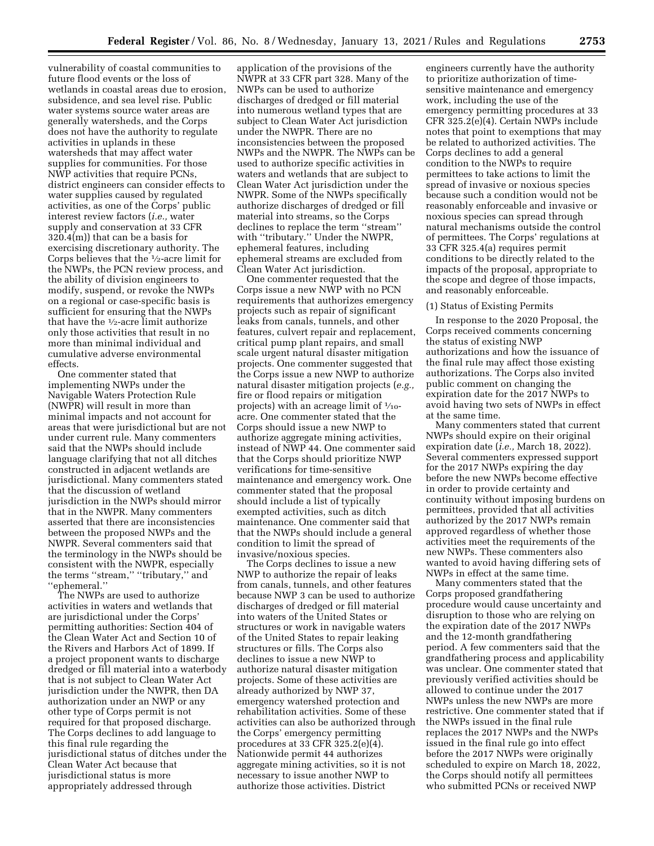vulnerability of coastal communities to future flood events or the loss of wetlands in coastal areas due to erosion, subsidence, and sea level rise. Public water systems source water areas are generally watersheds, and the Corps does not have the authority to regulate activities in uplands in these watersheds that may affect water supplies for communities. For those NWP activities that require PCNs, district engineers can consider effects to water supplies caused by regulated activities, as one of the Corps' public interest review factors (*i.e.,* water supply and conservation at 33 CFR 320.4(m)) that can be a basis for exercising discretionary authority. The Corps believes that the 1⁄2-acre limit for the NWPs, the PCN review process, and the ability of division engineers to modify, suspend, or revoke the NWPs on a regional or case-specific basis is sufficient for ensuring that the NWPs that have the 1⁄2-acre limit authorize only those activities that result in no more than minimal individual and cumulative adverse environmental effects.

One commenter stated that implementing NWPs under the Navigable Waters Protection Rule (NWPR) will result in more than minimal impacts and not account for areas that were jurisdictional but are not under current rule. Many commenters said that the NWPs should include language clarifying that not all ditches constructed in adjacent wetlands are jurisdictional. Many commenters stated that the discussion of wetland jurisdiction in the NWPs should mirror that in the NWPR. Many commenters asserted that there are inconsistencies between the proposed NWPs and the NWPR. Several commenters said that the terminology in the NWPs should be consistent with the NWPR, especially the terms "stream," "tributary," and ''ephemeral.''

The NWPs are used to authorize activities in waters and wetlands that are jurisdictional under the Corps' permitting authorities: Section 404 of the Clean Water Act and Section 10 of the Rivers and Harbors Act of 1899. If a project proponent wants to discharge dredged or fill material into a waterbody that is not subject to Clean Water Act jurisdiction under the NWPR, then DA authorization under an NWP or any other type of Corps permit is not required for that proposed discharge. The Corps declines to add language to this final rule regarding the jurisdictional status of ditches under the Clean Water Act because that jurisdictional status is more appropriately addressed through

application of the provisions of the NWPR at 33 CFR part 328. Many of the NWPs can be used to authorize discharges of dredged or fill material into numerous wetland types that are subject to Clean Water Act jurisdiction under the NWPR. There are no inconsistencies between the proposed NWPs and the NWPR. The NWPs can be used to authorize specific activities in waters and wetlands that are subject to Clean Water Act jurisdiction under the NWPR. Some of the NWPs specifically authorize discharges of dredged or fill material into streams, so the Corps declines to replace the term ''stream'' with ''tributary.'' Under the NWPR, ephemeral features, including ephemeral streams are excluded from Clean Water Act jurisdiction.

One commenter requested that the Corps issue a new NWP with no PCN requirements that authorizes emergency projects such as repair of significant leaks from canals, tunnels, and other features, culvert repair and replacement, critical pump plant repairs, and small scale urgent natural disaster mitigation projects. One commenter suggested that the Corps issue a new NWP to authorize natural disaster mitigation projects (*e.g.,*  fire or flood repairs or mitigation projects) with an acreage limit of  $\frac{1}{10}$ acre. One commenter stated that the Corps should issue a new NWP to authorize aggregate mining activities, instead of NWP 44. One commenter said that the Corps should prioritize NWP verifications for time-sensitive maintenance and emergency work. One commenter stated that the proposal should include a list of typically exempted activities, such as ditch maintenance. One commenter said that that the NWPs should include a general condition to limit the spread of invasive/noxious species.

The Corps declines to issue a new NWP to authorize the repair of leaks from canals, tunnels, and other features because NWP 3 can be used to authorize discharges of dredged or fill material into waters of the United States or structures or work in navigable waters of the United States to repair leaking structures or fills. The Corps also declines to issue a new NWP to authorize natural disaster mitigation projects. Some of these activities are already authorized by NWP 37, emergency watershed protection and rehabilitation activities. Some of these activities can also be authorized through the Corps' emergency permitting procedures at 33 CFR 325.2(e)(4). Nationwide permit 44 authorizes aggregate mining activities, so it is not necessary to issue another NWP to authorize those activities. District

engineers currently have the authority to prioritize authorization of timesensitive maintenance and emergency work, including the use of the emergency permitting procedures at 33 CFR 325.2(e)(4). Certain NWPs include notes that point to exemptions that may be related to authorized activities. The Corps declines to add a general condition to the NWPs to require permittees to take actions to limit the spread of invasive or noxious species because such a condition would not be reasonably enforceable and invasive or noxious species can spread through natural mechanisms outside the control of permittees. The Corps' regulations at 33 CFR 325.4(a) requires permit conditions to be directly related to the impacts of the proposal, appropriate to the scope and degree of those impacts, and reasonably enforceable.

#### (1) Status of Existing Permits

In response to the 2020 Proposal, the Corps received comments concerning the status of existing NWP authorizations and how the issuance of the final rule may affect those existing authorizations. The Corps also invited public comment on changing the expiration date for the 2017 NWPs to avoid having two sets of NWPs in effect at the same time.

Many commenters stated that current NWPs should expire on their original expiration date (*i.e.,* March 18, 2022). Several commenters expressed support for the 2017 NWPs expiring the day before the new NWPs become effective in order to provide certainty and continuity without imposing burdens on permittees, provided that all activities authorized by the 2017 NWPs remain approved regardless of whether those activities meet the requirements of the new NWPs. These commenters also wanted to avoid having differing sets of NWPs in effect at the same time.

Many commenters stated that the Corps proposed grandfathering procedure would cause uncertainty and disruption to those who are relying on the expiration date of the 2017 NWPs and the 12-month grandfathering period. A few commenters said that the grandfathering process and applicability was unclear. One commenter stated that previously verified activities should be allowed to continue under the 2017 NWPs unless the new NWPs are more restrictive. One commenter stated that if the NWPs issued in the final rule replaces the 2017 NWPs and the NWPs issued in the final rule go into effect before the 2017 NWPs were originally scheduled to expire on March 18, 2022, the Corps should notify all permittees who submitted PCNs or received NWP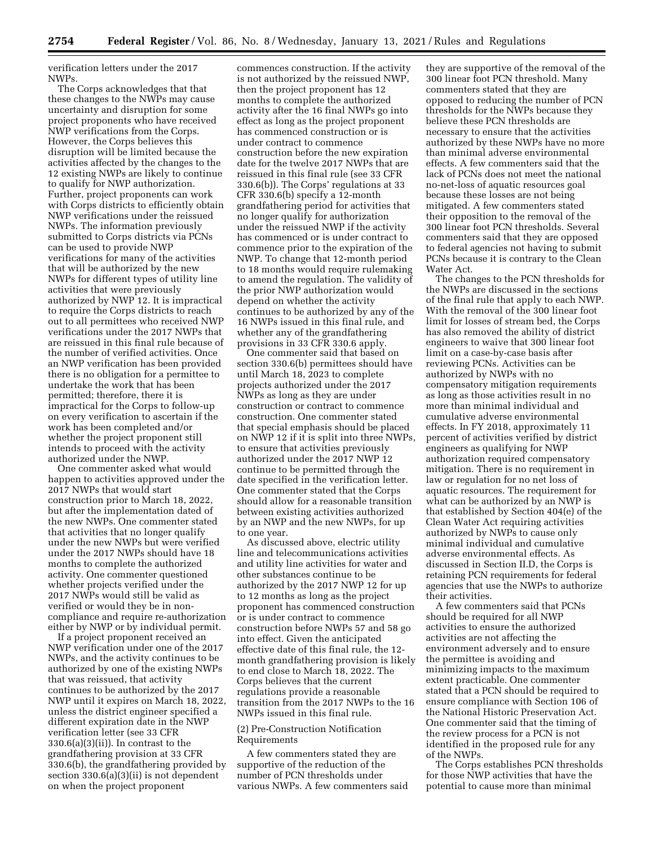verification letters under the 2017 NWPs.

The Corps acknowledges that that these changes to the NWPs may cause uncertainty and disruption for some project proponents who have received NWP verifications from the Corps. However, the Corps believes this disruption will be limited because the activities affected by the changes to the 12 existing NWPs are likely to continue to qualify for NWP authorization. Further, project proponents can work with Corps districts to efficiently obtain NWP verifications under the reissued NWPs. The information previously submitted to Corps districts via PCNs can be used to provide NWP verifications for many of the activities that will be authorized by the new NWPs for different types of utility line activities that were previously authorized by NWP 12. It is impractical to require the Corps districts to reach out to all permittees who received NWP verifications under the 2017 NWPs that are reissued in this final rule because of the number of verified activities. Once an NWP verification has been provided there is no obligation for a permittee to undertake the work that has been permitted; therefore, there it is impractical for the Corps to follow-up on every verification to ascertain if the work has been completed and/or whether the project proponent still intends to proceed with the activity authorized under the NWP.

One commenter asked what would happen to activities approved under the 2017 NWPs that would start construction prior to March 18, 2022, but after the implementation dated of the new NWPs. One commenter stated that activities that no longer qualify under the new NWPs but were verified under the 2017 NWPs should have 18 months to complete the authorized activity. One commenter questioned whether projects verified under the 2017 NWPs would still be valid as verified or would they be in noncompliance and require re-authorization either by NWP or by individual permit.

If a project proponent received an NWP verification under one of the 2017 NWPs, and the activity continues to be authorized by one of the existing NWPs that was reissued, that activity continues to be authorized by the 2017 NWP until it expires on March 18, 2022, unless the district engineer specified a different expiration date in the NWP verification letter (see 33 CFR  $330.6(a)(3)(ii)$ . In contrast to the grandfathering provision at 33 CFR 330.6(b), the grandfathering provided by section 330.6(a)(3)(ii) is not dependent on when the project proponent

commences construction. If the activity is not authorized by the reissued NWP, then the project proponent has 12 months to complete the authorized activity after the 16 final NWPs go into effect as long as the project proponent has commenced construction or is under contract to commence construction before the new expiration date for the twelve 2017 NWPs that are reissued in this final rule (see 33 CFR 330.6(b)). The Corps' regulations at 33 CFR 330.6(b) specify a 12-month grandfathering period for activities that no longer qualify for authorization under the reissued NWP if the activity has commenced or is under contract to commence prior to the expiration of the NWP. To change that 12-month period to 18 months would require rulemaking to amend the regulation. The validity of the prior NWP authorization would depend on whether the activity continues to be authorized by any of the 16 NWPs issued in this final rule, and whether any of the grandfathering provisions in 33 CFR 330.6 apply.

One commenter said that based on section 330.6(b) permittees should have until March 18, 2023 to complete projects authorized under the 2017 NWPs as long as they are under construction or contract to commence construction. One commenter stated that special emphasis should be placed on NWP 12 if it is split into three NWPs, to ensure that activities previously authorized under the 2017 NWP 12 continue to be permitted through the date specified in the verification letter. One commenter stated that the Corps should allow for a reasonable transition between existing activities authorized by an NWP and the new NWPs, for up to one year.

As discussed above, electric utility line and telecommunications activities and utility line activities for water and other substances continue to be authorized by the 2017 NWP 12 for up to 12 months as long as the project proponent has commenced construction or is under contract to commence construction before NWPs 57 and 58 go into effect. Given the anticipated effective date of this final rule, the 12 month grandfathering provision is likely to end close to March 18, 2022. The Corps believes that the current regulations provide a reasonable transition from the 2017 NWPs to the 16 NWPs issued in this final rule.

## (2) Pre-Construction Notification Requirements

A few commenters stated they are supportive of the reduction of the number of PCN thresholds under various NWPs. A few commenters said

they are supportive of the removal of the 300 linear foot PCN threshold. Many commenters stated that they are opposed to reducing the number of PCN thresholds for the NWPs because they believe these PCN thresholds are necessary to ensure that the activities authorized by these NWPs have no more than minimal adverse environmental effects. A few commenters said that the lack of PCNs does not meet the national no-net-loss of aquatic resources goal because these losses are not being mitigated. A few commenters stated their opposition to the removal of the 300 linear foot PCN thresholds. Several commenters said that they are opposed to federal agencies not having to submit PCNs because it is contrary to the Clean Water Act.

The changes to the PCN thresholds for the NWPs are discussed in the sections of the final rule that apply to each NWP. With the removal of the 300 linear foot limit for losses of stream bed, the Corps has also removed the ability of district engineers to waive that 300 linear foot limit on a case-by-case basis after reviewing PCNs. Activities can be authorized by NWPs with no compensatory mitigation requirements as long as those activities result in no more than minimal individual and cumulative adverse environmental effects. In FY 2018, approximately 11 percent of activities verified by district engineers as qualifying for NWP authorization required compensatory mitigation. There is no requirement in law or regulation for no net loss of aquatic resources. The requirement for what can be authorized by an NWP is that established by Section 404(e) of the Clean Water Act requiring activities authorized by NWPs to cause only minimal individual and cumulative adverse environmental effects. As discussed in Section II.D, the Corps is retaining PCN requirements for federal agencies that use the NWPs to authorize their activities.

A few commenters said that PCNs should be required for all NWP activities to ensure the authorized activities are not affecting the environment adversely and to ensure the permittee is avoiding and minimizing impacts to the maximum extent practicable. One commenter stated that a PCN should be required to ensure compliance with Section 106 of the National Historic Preservation Act. One commenter said that the timing of the review process for a PCN is not identified in the proposed rule for any of the NWPs.

The Corps establishes PCN thresholds for those NWP activities that have the potential to cause more than minimal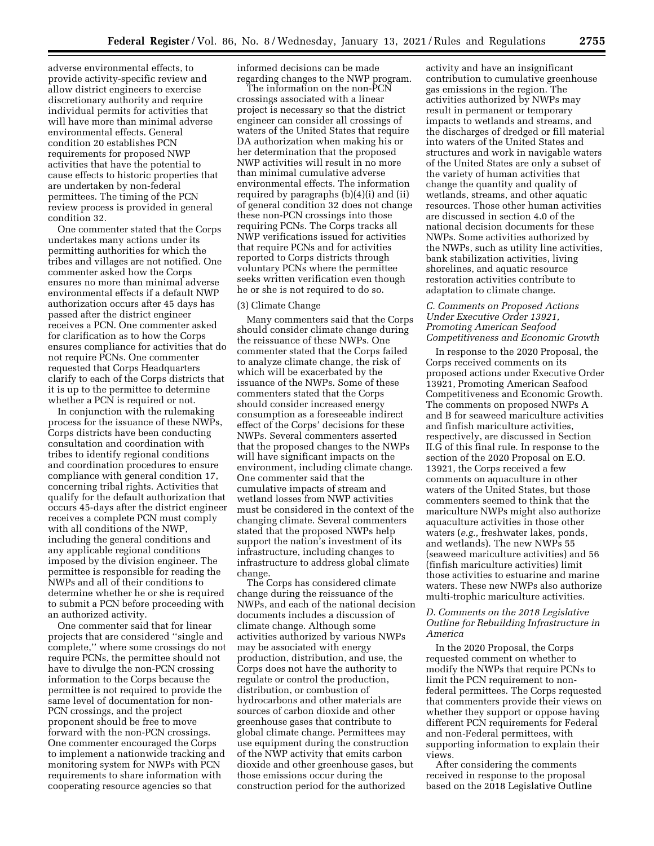adverse environmental effects, to provide activity-specific review and allow district engineers to exercise discretionary authority and require individual permits for activities that will have more than minimal adverse environmental effects. General condition 20 establishes PCN requirements for proposed NWP activities that have the potential to cause effects to historic properties that are undertaken by non-federal permittees. The timing of the PCN review process is provided in general condition 32.

One commenter stated that the Corps undertakes many actions under its permitting authorities for which the tribes and villages are not notified. One commenter asked how the Corps ensures no more than minimal adverse environmental effects if a default NWP authorization occurs after 45 days has passed after the district engineer receives a PCN. One commenter asked for clarification as to how the Corps ensures compliance for activities that do not require PCNs. One commenter requested that Corps Headquarters clarify to each of the Corps districts that it is up to the permittee to determine whether a PCN is required or not.

In conjunction with the rulemaking process for the issuance of these NWPs, Corps districts have been conducting consultation and coordination with tribes to identify regional conditions and coordination procedures to ensure compliance with general condition 17, concerning tribal rights. Activities that qualify for the default authorization that occurs 45-days after the district engineer receives a complete PCN must comply with all conditions of the NWP, including the general conditions and any applicable regional conditions imposed by the division engineer. The permittee is responsible for reading the NWPs and all of their conditions to determine whether he or she is required to submit a PCN before proceeding with an authorized activity.

One commenter said that for linear projects that are considered ''single and complete,'' where some crossings do not require PCNs, the permittee should not have to divulge the non-PCN crossing information to the Corps because the permittee is not required to provide the same level of documentation for non-PCN crossings, and the project proponent should be free to move forward with the non-PCN crossings. One commenter encouraged the Corps to implement a nationwide tracking and monitoring system for NWPs with PCN requirements to share information with cooperating resource agencies so that

informed decisions can be made regarding changes to the NWP program.

The information on the non-PCN crossings associated with a linear project is necessary so that the district engineer can consider all crossings of waters of the United States that require DA authorization when making his or her determination that the proposed NWP activities will result in no more than minimal cumulative adverse environmental effects. The information required by paragraphs (b)(4)(i) and (ii) of general condition 32 does not change these non-PCN crossings into those requiring PCNs. The Corps tracks all NWP verifications issued for activities that require PCNs and for activities reported to Corps districts through voluntary PCNs where the permittee seeks written verification even though he or she is not required to do so.

### (3) Climate Change

Many commenters said that the Corps should consider climate change during the reissuance of these NWPs. One commenter stated that the Corps failed to analyze climate change, the risk of which will be exacerbated by the issuance of the NWPs. Some of these commenters stated that the Corps should consider increased energy consumption as a foreseeable indirect effect of the Corps' decisions for these NWPs. Several commenters asserted that the proposed changes to the NWPs will have significant impacts on the environment, including climate change. One commenter said that the cumulative impacts of stream and wetland losses from NWP activities must be considered in the context of the changing climate. Several commenters stated that the proposed NWPs help support the nation's investment of its infrastructure, including changes to infrastructure to address global climate change.

The Corps has considered climate change during the reissuance of the NWPs, and each of the national decision documents includes a discussion of climate change. Although some activities authorized by various NWPs may be associated with energy production, distribution, and use, the Corps does not have the authority to regulate or control the production, distribution, or combustion of hydrocarbons and other materials are sources of carbon dioxide and other greenhouse gases that contribute to global climate change. Permittees may use equipment during the construction of the NWP activity that emits carbon dioxide and other greenhouse gases, but those emissions occur during the construction period for the authorized

activity and have an insignificant contribution to cumulative greenhouse gas emissions in the region. The activities authorized by NWPs may result in permanent or temporary impacts to wetlands and streams, and the discharges of dredged or fill material into waters of the United States and structures and work in navigable waters of the United States are only a subset of the variety of human activities that change the quantity and quality of wetlands, streams, and other aquatic resources. Those other human activities are discussed in section 4.0 of the national decision documents for these NWPs. Some activities authorized by the NWPs, such as utility line activities, bank stabilization activities, living shorelines, and aquatic resource restoration activities contribute to adaptation to climate change.

# *C. Comments on Proposed Actions Under Executive Order 13921, Promoting American Seafood Competitiveness and Economic Growth*

In response to the 2020 Proposal, the Corps received comments on its proposed actions under Executive Order 13921, Promoting American Seafood Competitiveness and Economic Growth. The comments on proposed NWPs A and B for seaweed mariculture activities and finfish mariculture activities, respectively, are discussed in Section II.G of this final rule. In response to the section of the 2020 Proposal on E.O. 13921, the Corps received a few comments on aquaculture in other waters of the United States, but those commenters seemed to think that the mariculture NWPs might also authorize aquaculture activities in those other waters (*e.g.,* freshwater lakes, ponds, and wetlands). The new NWPs 55 (seaweed mariculture activities) and 56 (finfish mariculture activities) limit those activities to estuarine and marine waters. These new NWPs also authorize multi-trophic mariculture activities.

### *D. Comments on the 2018 Legislative Outline for Rebuilding Infrastructure in America*

In the 2020 Proposal, the Corps requested comment on whether to modify the NWPs that require PCNs to limit the PCN requirement to nonfederal permittees. The Corps requested that commenters provide their views on whether they support or oppose having different PCN requirements for Federal and non-Federal permittees, with supporting information to explain their views.

After considering the comments received in response to the proposal based on the 2018 Legislative Outline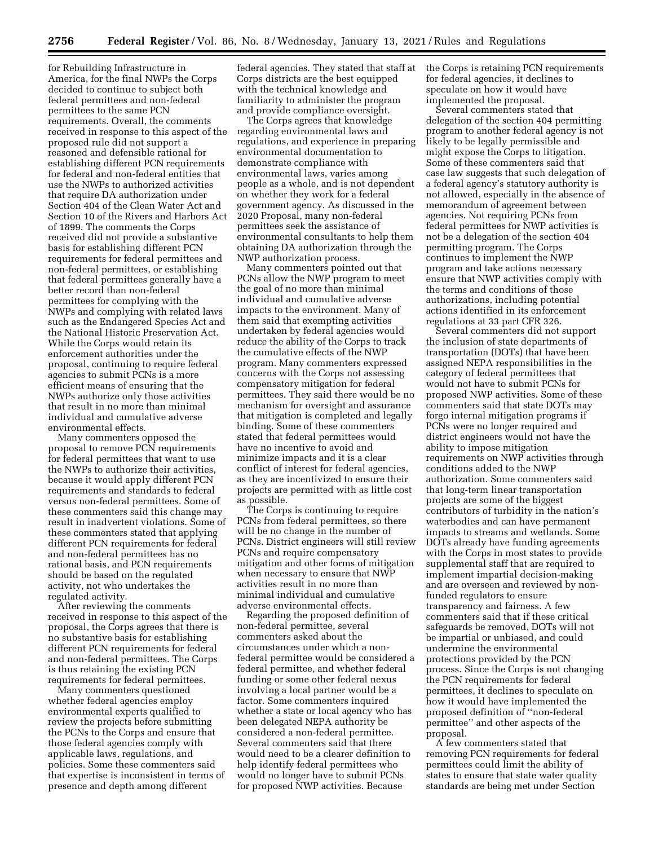for Rebuilding Infrastructure in America, for the final NWPs the Corps decided to continue to subject both federal permittees and non-federal permittees to the same PCN requirements. Overall, the comments received in response to this aspect of the proposed rule did not support a reasoned and defensible rational for establishing different PCN requirements for federal and non-federal entities that use the NWPs to authorized activities that require DA authorization under Section 404 of the Clean Water Act and Section 10 of the Rivers and Harbors Act of 1899. The comments the Corps received did not provide a substantive basis for establishing different PCN requirements for federal permittees and non-federal permittees, or establishing that federal permittees generally have a better record than non-federal permittees for complying with the NWPs and complying with related laws such as the Endangered Species Act and the National Historic Preservation Act. While the Corps would retain its enforcement authorities under the proposal, continuing to require federal agencies to submit PCNs is a more efficient means of ensuring that the NWPs authorize only those activities that result in no more than minimal individual and cumulative adverse environmental effects.

Many commenters opposed the proposal to remove PCN requirements for federal permittees that want to use the NWPs to authorize their activities, because it would apply different PCN requirements and standards to federal versus non-federal permittees. Some of these commenters said this change may result in inadvertent violations. Some of these commenters stated that applying different PCN requirements for federal and non-federal permittees has no rational basis, and PCN requirements should be based on the regulated activity, not who undertakes the regulated activity.

After reviewing the comments received in response to this aspect of the proposal, the Corps agrees that there is no substantive basis for establishing different PCN requirements for federal and non-federal permittees. The Corps is thus retaining the existing PCN requirements for federal permittees.

Many commenters questioned whether federal agencies employ environmental experts qualified to review the projects before submitting the PCNs to the Corps and ensure that those federal agencies comply with applicable laws, regulations, and policies. Some these commenters said that expertise is inconsistent in terms of presence and depth among different

federal agencies. They stated that staff at Corps districts are the best equipped with the technical knowledge and familiarity to administer the program and provide compliance oversight.

The Corps agrees that knowledge regarding environmental laws and regulations, and experience in preparing environmental documentation to demonstrate compliance with environmental laws, varies among people as a whole, and is not dependent on whether they work for a federal government agency. As discussed in the 2020 Proposal, many non-federal permittees seek the assistance of environmental consultants to help them obtaining DA authorization through the NWP authorization process.

Many commenters pointed out that PCNs allow the NWP program to meet the goal of no more than minimal individual and cumulative adverse impacts to the environment. Many of them said that exempting activities undertaken by federal agencies would reduce the ability of the Corps to track the cumulative effects of the NWP program. Many commenters expressed concerns with the Corps not assessing compensatory mitigation for federal permittees. They said there would be no mechanism for oversight and assurance that mitigation is completed and legally binding. Some of these commenters stated that federal permittees would have no incentive to avoid and minimize impacts and it is a clear conflict of interest for federal agencies, as they are incentivized to ensure their projects are permitted with as little cost as possible.

The Corps is continuing to require PCNs from federal permittees, so there will be no change in the number of PCNs. District engineers will still review PCNs and require compensatory mitigation and other forms of mitigation when necessary to ensure that NWP activities result in no more than minimal individual and cumulative adverse environmental effects.

Regarding the proposed definition of non-federal permittee, several commenters asked about the circumstances under which a nonfederal permittee would be considered a federal permittee, and whether federal funding or some other federal nexus involving a local partner would be a factor. Some commenters inquired whether a state or local agency who has been delegated NEPA authority be considered a non-federal permittee. Several commenters said that there would need to be a clearer definition to help identify federal permittees who would no longer have to submit PCNs for proposed NWP activities. Because

the Corps is retaining PCN requirements for federal agencies, it declines to speculate on how it would have implemented the proposal.

Several commenters stated that delegation of the section 404 permitting program to another federal agency is not likely to be legally permissible and might expose the Corps to litigation. Some of these commenters said that case law suggests that such delegation of a federal agency's statutory authority is not allowed, especially in the absence of memorandum of agreement between agencies. Not requiring PCNs from federal permittees for NWP activities is not be a delegation of the section 404 permitting program. The Corps continues to implement the NWP program and take actions necessary ensure that NWP activities comply with the terms and conditions of those authorizations, including potential actions identified in its enforcement regulations at 33 part CFR 326.

Several commenters did not support the inclusion of state departments of transportation (DOTs) that have been assigned NEPA responsibilities in the category of federal permittees that would not have to submit PCNs for proposed NWP activities. Some of these commenters said that state DOTs may forgo internal mitigation programs if PCNs were no longer required and district engineers would not have the ability to impose mitigation requirements on NWP activities through conditions added to the NWP authorization. Some commenters said that long-term linear transportation projects are some of the biggest contributors of turbidity in the nation's waterbodies and can have permanent impacts to streams and wetlands. Some DOTs already have funding agreements with the Corps in most states to provide supplemental staff that are required to implement impartial decision-making and are overseen and reviewed by nonfunded regulators to ensure transparency and fairness. A few commenters said that if these critical safeguards be removed, DOTs will not be impartial or unbiased, and could undermine the environmental protections provided by the PCN process. Since the Corps is not changing the PCN requirements for federal permittees, it declines to speculate on how it would have implemented the proposed definition of ''non-federal permittee'' and other aspects of the proposal.

A few commenters stated that removing PCN requirements for federal permittees could limit the ability of states to ensure that state water quality standards are being met under Section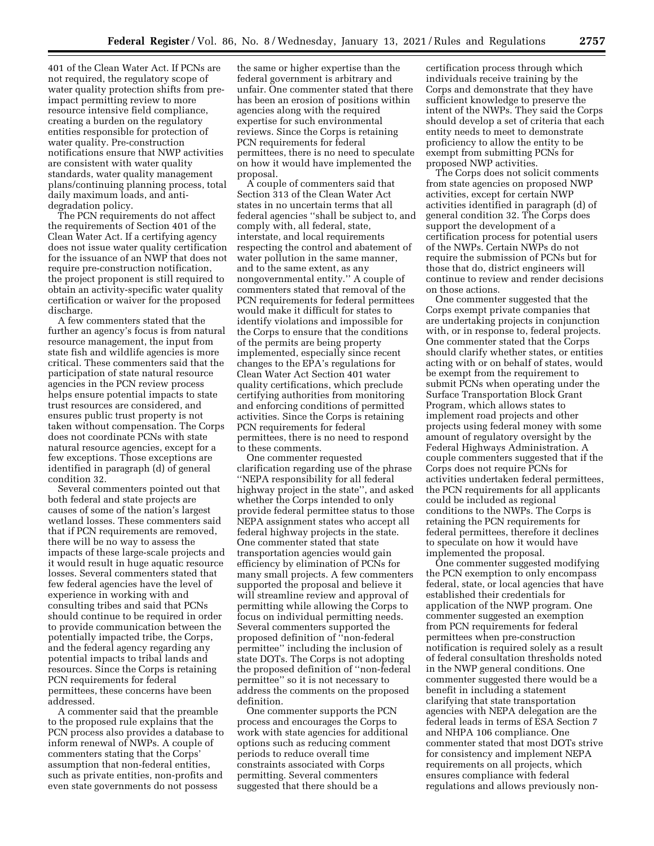401 of the Clean Water Act. If PCNs are not required, the regulatory scope of water quality protection shifts from preimpact permitting review to more resource intensive field compliance, creating a burden on the regulatory entities responsible for protection of water quality. Pre-construction notifications ensure that NWP activities are consistent with water quality standards, water quality management plans/continuing planning process, total daily maximum loads, and antidegradation policy.

The PCN requirements do not affect the requirements of Section 401 of the Clean Water Act. If a certifying agency does not issue water quality certification for the issuance of an NWP that does not require pre-construction notification, the project proponent is still required to obtain an activity-specific water quality certification or waiver for the proposed discharge.

A few commenters stated that the further an agency's focus is from natural resource management, the input from state fish and wildlife agencies is more critical. These commenters said that the participation of state natural resource agencies in the PCN review process helps ensure potential impacts to state trust resources are considered, and ensures public trust property is not taken without compensation. The Corps does not coordinate PCNs with state natural resource agencies, except for a few exceptions. Those exceptions are identified in paragraph (d) of general condition 32.

Several commenters pointed out that both federal and state projects are causes of some of the nation's largest wetland losses. These commenters said that if PCN requirements are removed, there will be no way to assess the impacts of these large-scale projects and it would result in huge aquatic resource losses. Several commenters stated that few federal agencies have the level of experience in working with and consulting tribes and said that PCNs should continue to be required in order to provide communication between the potentially impacted tribe, the Corps, and the federal agency regarding any potential impacts to tribal lands and resources. Since the Corps is retaining PCN requirements for federal permittees, these concerns have been addressed.

A commenter said that the preamble to the proposed rule explains that the PCN process also provides a database to inform renewal of NWPs. A couple of commenters stating that the Corps' assumption that non-federal entities, such as private entities, non-profits and even state governments do not possess

the same or higher expertise than the federal government is arbitrary and unfair. One commenter stated that there has been an erosion of positions within agencies along with the required expertise for such environmental reviews. Since the Corps is retaining PCN requirements for federal permittees, there is no need to speculate on how it would have implemented the proposal.

A couple of commenters said that Section 313 of the Clean Water Act states in no uncertain terms that all federal agencies ''shall be subject to, and comply with, all federal, state, interstate, and local requirements respecting the control and abatement of water pollution in the same manner, and to the same extent, as any nongovernmental entity.'' A couple of commenters stated that removal of the PCN requirements for federal permittees would make it difficult for states to identify violations and impossible for the Corps to ensure that the conditions of the permits are being property implemented, especially since recent changes to the EPA's regulations for Clean Water Act Section 401 water quality certifications, which preclude certifying authorities from monitoring and enforcing conditions of permitted activities. Since the Corps is retaining PCN requirements for federal permittees, there is no need to respond to these comments.

One commenter requested clarification regarding use of the phrase ''NEPA responsibility for all federal highway project in the state'', and asked whether the Corps intended to only provide federal permittee status to those NEPA assignment states who accept all federal highway projects in the state. One commenter stated that state transportation agencies would gain efficiency by elimination of PCNs for many small projects. A few commenters supported the proposal and believe it will streamline review and approval of permitting while allowing the Corps to focus on individual permitting needs. Several commenters supported the proposed definition of ''non-federal permittee'' including the inclusion of state DOTs. The Corps is not adopting the proposed definition of ''non-federal permittee'' so it is not necessary to address the comments on the proposed definition.

One commenter supports the PCN process and encourages the Corps to work with state agencies for additional options such as reducing comment periods to reduce overall time constraints associated with Corps permitting. Several commenters suggested that there should be a

certification process through which individuals receive training by the Corps and demonstrate that they have sufficient knowledge to preserve the intent of the NWPs. They said the Corps should develop a set of criteria that each entity needs to meet to demonstrate proficiency to allow the entity to be exempt from submitting PCNs for proposed NWP activities.

The Corps does not solicit comments from state agencies on proposed NWP activities, except for certain NWP activities identified in paragraph (d) of general condition 32. The Corps does support the development of a certification process for potential users of the NWPs. Certain NWPs do not require the submission of PCNs but for those that do, district engineers will continue to review and render decisions on those actions.

One commenter suggested that the Corps exempt private companies that are undertaking projects in conjunction with, or in response to, federal projects. One commenter stated that the Corps should clarify whether states, or entities acting with or on behalf of states, would be exempt from the requirement to submit PCNs when operating under the Surface Transportation Block Grant Program, which allows states to implement road projects and other projects using federal money with some amount of regulatory oversight by the Federal Highways Administration. A couple commenters suggested that if the Corps does not require PCNs for activities undertaken federal permittees, the PCN requirements for all applicants could be included as regional conditions to the NWPs. The Corps is retaining the PCN requirements for federal permittees, therefore it declines to speculate on how it would have implemented the proposal.

One commenter suggested modifying the PCN exemption to only encompass federal, state, or local agencies that have established their credentials for application of the NWP program. One commenter suggested an exemption from PCN requirements for federal permittees when pre-construction notification is required solely as a result of federal consultation thresholds noted in the NWP general conditions. One commenter suggested there would be a benefit in including a statement clarifying that state transportation agencies with NEPA delegation are the federal leads in terms of ESA Section 7 and NHPA 106 compliance. One commenter stated that most DOTs strive for consistency and implement NEPA requirements on all projects, which ensures compliance with federal regulations and allows previously non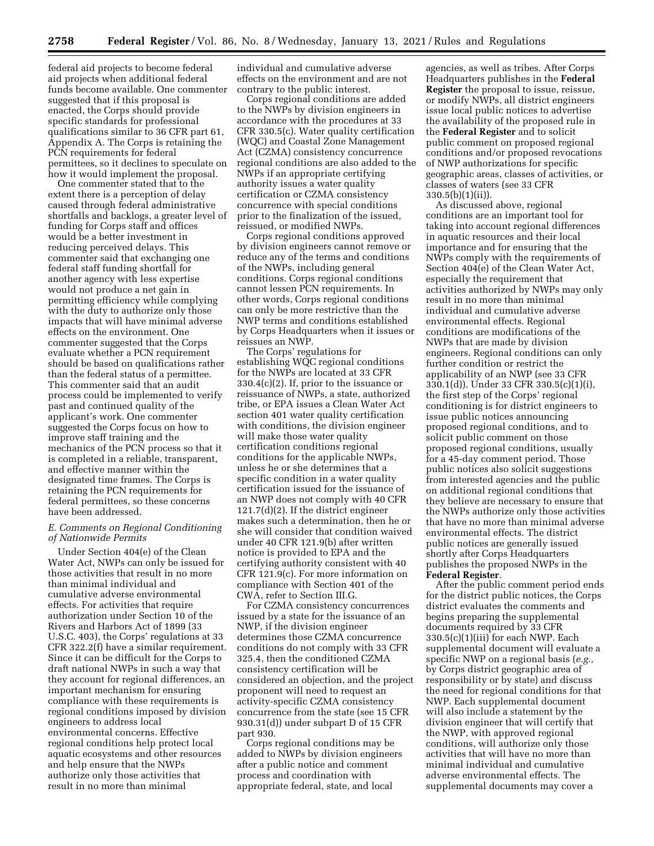federal aid projects to become federal aid projects when additional federal funds become available. One commenter suggested that if this proposal is enacted, the Corps should provide specific standards for professional qualifications similar to 36 CFR part 61, Appendix A. The Corps is retaining the PCN requirements for federal permittees, so it declines to speculate on how it would implement the proposal.

One commenter stated that to the extent there is a perception of delay caused through federal administrative shortfalls and backlogs, a greater level of funding for Corps staff and offices would be a better investment in reducing perceived delays. This commenter said that exchanging one federal staff funding shortfall for another agency with less expertise would not produce a net gain in permitting efficiency while complying with the duty to authorize only those impacts that will have minimal adverse effects on the environment. One commenter suggested that the Corps evaluate whether a PCN requirement should be based on qualifications rather than the federal status of a permittee. This commenter said that an audit process could be implemented to verify past and continued quality of the applicant's work. One commenter suggested the Corps focus on how to improve staff training and the mechanics of the PCN process so that it is completed in a reliable, transparent, and effective manner within the designated time frames. The Corps is retaining the PCN requirements for federal permittees, so these concerns have been addressed.

# *E. Comments on Regional Conditioning of Nationwide Permits*

Under Section 404(e) of the Clean Water Act, NWPs can only be issued for those activities that result in no more than minimal individual and cumulative adverse environmental effects. For activities that require authorization under Section 10 of the Rivers and Harbors Act of 1899 (33 U.S.C. 403), the Corps' regulations at 33 CFR 322.2(f) have a similar requirement. Since it can be difficult for the Corps to draft national NWPs in such a way that they account for regional differences, an important mechanism for ensuring compliance with these requirements is regional conditions imposed by division engineers to address local environmental concerns. Effective regional conditions help protect local aquatic ecosystems and other resources and help ensure that the NWPs authorize only those activities that result in no more than minimal

individual and cumulative adverse effects on the environment and are not contrary to the public interest.

Corps regional conditions are added to the NWPs by division engineers in accordance with the procedures at 33 CFR 330.5(c). Water quality certification (WQC) and Coastal Zone Management Act (CZMA) consistency concurrence regional conditions are also added to the NWPs if an appropriate certifying authority issues a water quality certification or CZMA consistency concurrence with special conditions prior to the finalization of the issued, reissued, or modified NWPs.

Corps regional conditions approved by division engineers cannot remove or reduce any of the terms and conditions of the NWPs, including general conditions. Corps regional conditions cannot lessen PCN requirements. In other words, Corps regional conditions can only be more restrictive than the NWP terms and conditions established by Corps Headquarters when it issues or reissues an NWP.

The Corps' regulations for establishing WQC regional conditions for the NWPs are located at 33 CFR 330.4(c)(2). If, prior to the issuance or reissuance of NWPs, a state, authorized tribe, or EPA issues a Clean Water Act section 401 water quality certification with conditions, the division engineer will make those water quality certification conditions regional conditions for the applicable NWPs, unless he or she determines that a specific condition in a water quality certification issued for the issuance of an NWP does not comply with 40 CFR 121.7(d)(2). If the district engineer makes such a determination, then he or she will consider that condition waived under 40 CFR 121.9(b) after written notice is provided to EPA and the certifying authority consistent with 40 CFR 121.9(c). For more information on compliance with Section 401 of the CWA, refer to Section III.G.

For CZMA consistency concurrences issued by a state for the issuance of an NWP, if the division engineer determines those CZMA concurrence conditions do not comply with 33 CFR 325.4, then the conditioned CZMA consistency certification will be considered an objection, and the project proponent will need to request an activity-specific CZMA consistency concurrence from the state (see 15 CFR 930.31(d)) under subpart D of 15 CFR part 930.

Corps regional conditions may be added to NWPs by division engineers after a public notice and comment process and coordination with appropriate federal, state, and local

agencies, as well as tribes. After Corps Headquarters publishes in the **Federal Register** the proposal to issue, reissue, or modify NWPs, all district engineers issue local public notices to advertise the availability of the proposed rule in the **Federal Register** and to solicit public comment on proposed regional conditions and/or proposed revocations of NWP authorizations for specific geographic areas, classes of activities, or classes of waters (see 33 CFR  $330.5(b)(1)(ii)$ .

As discussed above, regional conditions are an important tool for taking into account regional differences in aquatic resources and their local importance and for ensuring that the NWPs comply with the requirements of Section 404(e) of the Clean Water Act, especially the requirement that activities authorized by NWPs may only result in no more than minimal individual and cumulative adverse environmental effects. Regional conditions are modifications of the NWPs that are made by division engineers. Regional conditions can only further condition or restrict the applicability of an NWP (see 33 CFR 330.1(d)). Under 33 CFR 330.5(c)(1)(i), the first step of the Corps' regional conditioning is for district engineers to issue public notices announcing proposed regional conditions, and to solicit public comment on those proposed regional conditions, usually for a 45-day comment period. Those public notices also solicit suggestions from interested agencies and the public on additional regional conditions that they believe are necessary to ensure that the NWPs authorize only those activities that have no more than minimal adverse environmental effects. The district public notices are generally issued shortly after Corps Headquarters publishes the proposed NWPs in the **Federal Register**.

After the public comment period ends for the district public notices, the Corps district evaluates the comments and begins preparing the supplemental documents required by 33 CFR 330.5(c)(1)(iii) for each NWP. Each supplemental document will evaluate a specific NWP on a regional basis (*e.g.,*  by Corps district geographic area of responsibility or by state) and discuss the need for regional conditions for that NWP. Each supplemental document will also include a statement by the division engineer that will certify that the NWP, with approved regional conditions, will authorize only those activities that will have no more than minimal individual and cumulative adverse environmental effects. The supplemental documents may cover a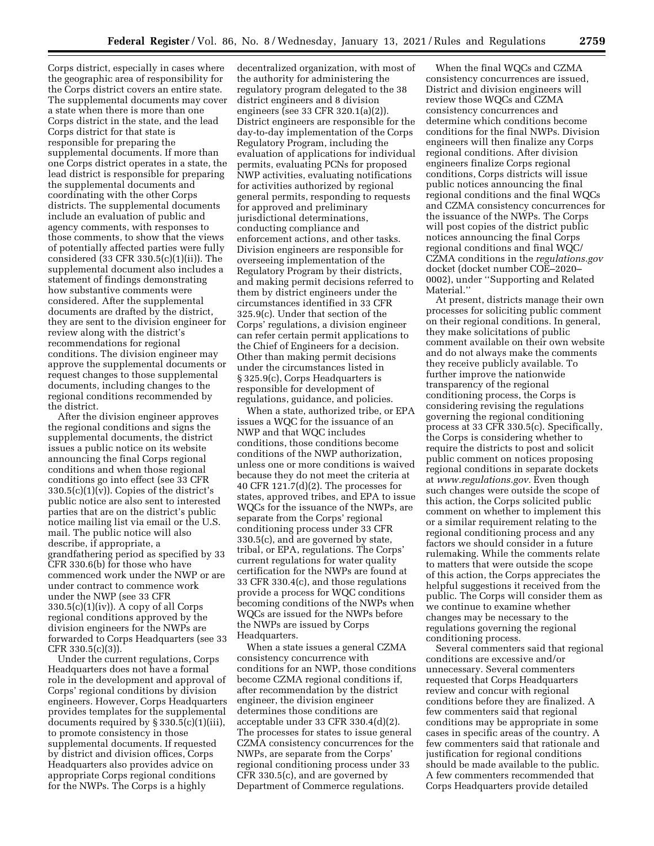Corps district, especially in cases where the geographic area of responsibility for the Corps district covers an entire state. The supplemental documents may cover a state when there is more than one Corps district in the state, and the lead Corps district for that state is responsible for preparing the supplemental documents. If more than one Corps district operates in a state, the lead district is responsible for preparing the supplemental documents and coordinating with the other Corps districts. The supplemental documents include an evaluation of public and agency comments, with responses to those comments, to show that the views of potentially affected parties were fully considered (33 CFR 330.5(c)(1)(ii)). The supplemental document also includes a statement of findings demonstrating how substantive comments were considered. After the supplemental documents are drafted by the district, they are sent to the division engineer for review along with the district's recommendations for regional conditions. The division engineer may approve the supplemental documents or request changes to those supplemental documents, including changes to the regional conditions recommended by the district.

After the division engineer approves the regional conditions and signs the supplemental documents, the district issues a public notice on its website announcing the final Corps regional conditions and when those regional conditions go into effect (see 33 CFR  $330.5(c)(1)(v)$ . Copies of the district's public notice are also sent to interested parties that are on the district's public notice mailing list via email or the U.S. mail. The public notice will also describe, if appropriate, a grandfathering period as specified by 33 CFR 330.6(b) for those who have commenced work under the NWP or are under contract to commence work under the NWP (see 33 CFR  $330.5(c)(1)(iv)$ . A copy of all Corps regional conditions approved by the division engineers for the NWPs are forwarded to Corps Headquarters (see 33 CFR 330.5(c)(3)).

Under the current regulations, Corps Headquarters does not have a formal role in the development and approval of Corps' regional conditions by division engineers. However, Corps Headquarters provides templates for the supplemental documents required by § 330.5(c)(1)(iii), to promote consistency in those supplemental documents. If requested by district and division offices, Corps Headquarters also provides advice on appropriate Corps regional conditions for the NWPs. The Corps is a highly

decentralized organization, with most of the authority for administering the regulatory program delegated to the 38 district engineers and 8 division engineers (see 33 CFR 320.1(a)(2)). District engineers are responsible for the day-to-day implementation of the Corps Regulatory Program, including the evaluation of applications for individual permits, evaluating PCNs for proposed NWP activities, evaluating notifications for activities authorized by regional general permits, responding to requests for approved and preliminary jurisdictional determinations, conducting compliance and enforcement actions, and other tasks. Division engineers are responsible for overseeing implementation of the Regulatory Program by their districts, and making permit decisions referred to them by district engineers under the circumstances identified in 33 CFR 325.9(c). Under that section of the Corps' regulations, a division engineer can refer certain permit applications to the Chief of Engineers for a decision. Other than making permit decisions under the circumstances listed in § 325.9(c), Corps Headquarters is responsible for development of regulations, guidance, and policies.

When a state, authorized tribe, or EPA issues a WQC for the issuance of an NWP and that WQC includes conditions, those conditions become conditions of the NWP authorization, unless one or more conditions is waived because they do not meet the criteria at 40 CFR 121.7(d)(2). The processes for states, approved tribes, and EPA to issue WQCs for the issuance of the NWPs, are separate from the Corps' regional conditioning process under 33 CFR 330.5(c), and are governed by state, tribal, or EPA, regulations. The Corps' current regulations for water quality certification for the NWPs are found at 33 CFR 330.4(c), and those regulations provide a process for WQC conditions becoming conditions of the NWPs when WQCs are issued for the NWPs before the NWPs are issued by Corps Headquarters.

When a state issues a general CZMA consistency concurrence with conditions for an NWP, those conditions become CZMA regional conditions if, after recommendation by the district engineer, the division engineer determines those conditions are acceptable under 33 CFR 330.4(d)(2). The processes for states to issue general CZMA consistency concurrences for the NWPs, are separate from the Corps' regional conditioning process under 33 CFR 330.5(c), and are governed by Department of Commerce regulations.

When the final WQCs and CZMA consistency concurrences are issued, District and division engineers will review those WQCs and CZMA consistency concurrences and determine which conditions become conditions for the final NWPs. Division engineers will then finalize any Corps regional conditions. After division engineers finalize Corps regional conditions, Corps districts will issue public notices announcing the final regional conditions and the final WQCs and CZMA consistency concurrences for the issuance of the NWPs. The Corps will post copies of the district public notices announcing the final Corps regional conditions and final WQC/ CZMA conditions in the *regulations.gov*  docket (docket number COE–2020– 0002), under ''Supporting and Related Material.''

At present, districts manage their own processes for soliciting public comment on their regional conditions. In general, they make solicitations of public comment available on their own website and do not always make the comments they receive publicly available. To further improve the nationwide transparency of the regional conditioning process, the Corps is considering revising the regulations governing the regional conditioning process at 33 CFR 330.5(c). Specifically, the Corps is considering whether to require the districts to post and solicit public comment on notices proposing regional conditions in separate dockets at *[www.regulations.gov.](http://www.regulations.gov)* Even though such changes were outside the scope of this action, the Corps solicited public comment on whether to implement this or a similar requirement relating to the regional conditioning process and any factors we should consider in a future rulemaking. While the comments relate to matters that were outside the scope of this action, the Corps appreciates the helpful suggestions it received from the public. The Corps will consider them as we continue to examine whether changes may be necessary to the regulations governing the regional conditioning process.

Several commenters said that regional conditions are excessive and/or unnecessary. Several commenters requested that Corps Headquarters review and concur with regional conditions before they are finalized. A few commenters said that regional conditions may be appropriate in some cases in specific areas of the country. A few commenters said that rationale and justification for regional conditions should be made available to the public. A few commenters recommended that Corps Headquarters provide detailed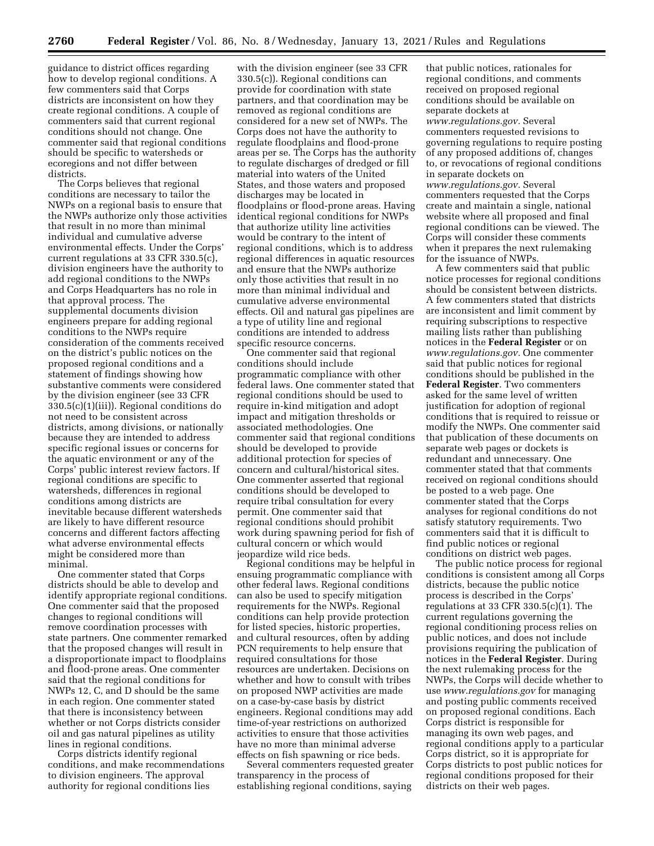guidance to district offices regarding how to develop regional conditions. A few commenters said that Corps districts are inconsistent on how they create regional conditions. A couple of commenters said that current regional conditions should not change. One commenter said that regional conditions should be specific to watersheds or ecoregions and not differ between districts.

The Corps believes that regional conditions are necessary to tailor the NWPs on a regional basis to ensure that the NWPs authorize only those activities that result in no more than minimal individual and cumulative adverse environmental effects. Under the Corps' current regulations at 33 CFR 330.5(c), division engineers have the authority to add regional conditions to the NWPs and Corps Headquarters has no role in that approval process. The supplemental documents division engineers prepare for adding regional conditions to the NWPs require consideration of the comments received on the district's public notices on the proposed regional conditions and a statement of findings showing how substantive comments were considered by the division engineer (see 33 CFR 330.5(c)(1)(iii)). Regional conditions do not need to be consistent across districts, among divisions, or nationally because they are intended to address specific regional issues or concerns for the aquatic environment or any of the Corps' public interest review factors. If regional conditions are specific to watersheds, differences in regional conditions among districts are inevitable because different watersheds are likely to have different resource concerns and different factors affecting what adverse environmental effects might be considered more than minimal.

One commenter stated that Corps districts should be able to develop and identify appropriate regional conditions. One commenter said that the proposed changes to regional conditions will remove coordination processes with state partners. One commenter remarked that the proposed changes will result in a disproportionate impact to floodplains and flood-prone areas. One commenter said that the regional conditions for NWPs 12, C, and D should be the same in each region. One commenter stated that there is inconsistency between whether or not Corps districts consider oil and gas natural pipelines as utility lines in regional conditions.

Corps districts identify regional conditions, and make recommendations to division engineers. The approval authority for regional conditions lies

with the division engineer (see 33 CFR 330.5(c)). Regional conditions can provide for coordination with state partners, and that coordination may be removed as regional conditions are considered for a new set of NWPs. The Corps does not have the authority to regulate floodplains and flood-prone areas per se. The Corps has the authority to regulate discharges of dredged or fill material into waters of the United States, and those waters and proposed discharges may be located in floodplains or flood-prone areas. Having identical regional conditions for NWPs that authorize utility line activities would be contrary to the intent of regional conditions, which is to address regional differences in aquatic resources and ensure that the NWPs authorize only those activities that result in no more than minimal individual and cumulative adverse environmental effects. Oil and natural gas pipelines are a type of utility line and regional conditions are intended to address specific resource concerns.

One commenter said that regional conditions should include programmatic compliance with other federal laws. One commenter stated that regional conditions should be used to require in-kind mitigation and adopt impact and mitigation thresholds or associated methodologies. One commenter said that regional conditions should be developed to provide additional protection for species of concern and cultural/historical sites. One commenter asserted that regional conditions should be developed to require tribal consultation for every permit. One commenter said that regional conditions should prohibit work during spawning period for fish of cultural concern or which would jeopardize wild rice beds.

Regional conditions may be helpful in ensuing programmatic compliance with other federal laws. Regional conditions can also be used to specify mitigation requirements for the NWPs. Regional conditions can help provide protection for listed species, historic properties, and cultural resources, often by adding PCN requirements to help ensure that required consultations for those resources are undertaken. Decisions on whether and how to consult with tribes on proposed NWP activities are made on a case-by-case basis by district engineers. Regional conditions may add time-of-year restrictions on authorized activities to ensure that those activities have no more than minimal adverse effects on fish spawning or rice beds.

Several commenters requested greater transparency in the process of establishing regional conditions, saying

that public notices, rationales for regional conditions, and comments received on proposed regional conditions should be available on separate dockets at *[www.regulations.gov.](http://www.regulations.gov)* Several commenters requested revisions to governing regulations to require posting of any proposed additions of, changes to, or revocations of regional conditions in separate dockets on *[www.regulations.gov.](http://www.regulations.gov)* Several commenters requested that the Corps create and maintain a single, national website where all proposed and final regional conditions can be viewed. The Corps will consider these comments when it prepares the next rulemaking for the issuance of NWPs.

A few commenters said that public notice processes for regional conditions should be consistent between districts. A few commenters stated that districts are inconsistent and limit comment by requiring subscriptions to respective mailing lists rather than publishing notices in the **Federal Register** or on *[www.regulations.gov.](http://www.regulations.gov)* One commenter said that public notices for regional conditions should be published in the **Federal Register**. Two commenters asked for the same level of written justification for adoption of regional conditions that is required to reissue or modify the NWPs. One commenter said that publication of these documents on separate web pages or dockets is redundant and unnecessary. One commenter stated that that comments received on regional conditions should be posted to a web page. One commenter stated that the Corps analyses for regional conditions do not satisfy statutory requirements. Two commenters said that it is difficult to find public notices or regional conditions on district web pages.

The public notice process for regional conditions is consistent among all Corps districts, because the public notice process is described in the Corps' regulations at 33 CFR 330.5(c)(1). The current regulations governing the regional conditioning process relies on public notices, and does not include provisions requiring the publication of notices in the **Federal Register**. During the next rulemaking process for the NWPs, the Corps will decide whether to use *[www.regulations.gov](http://www.regulations.gov)* for managing and posting public comments received on proposed regional conditions. Each Corps district is responsible for managing its own web pages, and regional conditions apply to a particular Corps district, so it is appropriate for Corps districts to post public notices for regional conditions proposed for their districts on their web pages.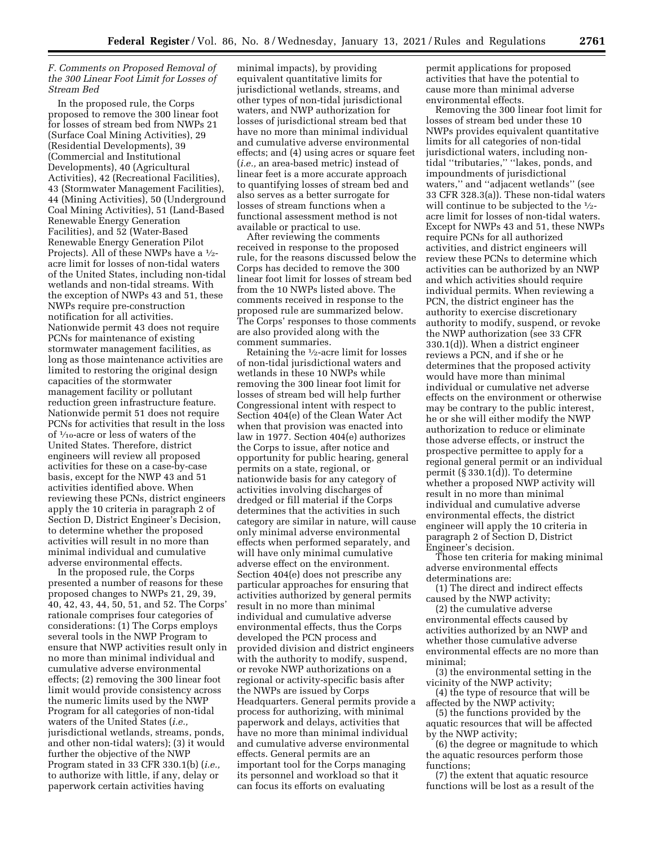### *F. Comments on Proposed Removal of the 300 Linear Foot Limit for Losses of Stream Bed*

In the proposed rule, the Corps proposed to remove the 300 linear foot for losses of stream bed from NWPs 21 (Surface Coal Mining Activities), 29 (Residential Developments), 39 (Commercial and Institutional Developments), 40 (Agricultural Activities), 42 (Recreational Facilities), 43 (Stormwater Management Facilities), 44 (Mining Activities), 50 (Underground Coal Mining Activities), 51 (Land-Based Renewable Energy Generation Facilities), and 52 (Water-Based Renewable Energy Generation Pilot Projects). All of these NWPs have a 1⁄2 acre limit for losses of non-tidal waters of the United States, including non-tidal wetlands and non-tidal streams. With the exception of NWPs 43 and 51, these NWPs require pre-construction notification for all activities. Nationwide permit 43 does not require PCNs for maintenance of existing stormwater management facilities, as long as those maintenance activities are limited to restoring the original design capacities of the stormwater management facility or pollutant reduction green infrastructure feature. Nationwide permit 51 does not require PCNs for activities that result in the loss of 1⁄10-acre or less of waters of the United States. Therefore, district engineers will review all proposed activities for these on a case-by-case basis, except for the NWP 43 and 51 activities identified above. When reviewing these PCNs, district engineers apply the 10 criteria in paragraph 2 of Section D, District Engineer's Decision, to determine whether the proposed activities will result in no more than minimal individual and cumulative adverse environmental effects.

In the proposed rule, the Corps presented a number of reasons for these proposed changes to NWPs 21, 29, 39, 40, 42, 43, 44, 50, 51, and 52. The Corps' rationale comprises four categories of considerations: (1) The Corps employs several tools in the NWP Program to ensure that NWP activities result only in no more than minimal individual and cumulative adverse environmental effects; (2) removing the 300 linear foot limit would provide consistency across the numeric limits used by the NWP Program for all categories of non-tidal waters of the United States (*i.e.,*  jurisdictional wetlands, streams, ponds, and other non-tidal waters); (3) it would further the objective of the NWP Program stated in 33 CFR 330.1(b) (*i.e.,*  to authorize with little, if any, delay or paperwork certain activities having

minimal impacts), by providing equivalent quantitative limits for jurisdictional wetlands, streams, and other types of non-tidal jurisdictional waters, and NWP authorization for losses of jurisdictional stream bed that have no more than minimal individual and cumulative adverse environmental effects; and (4) using acres or square feet (*i.e.,* an area-based metric) instead of linear feet is a more accurate approach to quantifying losses of stream bed and also serves as a better surrogate for losses of stream functions when a functional assessment method is not available or practical to use.

After reviewing the comments received in response to the proposed rule, for the reasons discussed below the Corps has decided to remove the 300 linear foot limit for losses of stream bed from the 10 NWPs listed above. The comments received in response to the proposed rule are summarized below. The Corps' responses to those comments are also provided along with the comment summaries.

Retaining the 1⁄2-acre limit for losses of non-tidal jurisdictional waters and wetlands in these 10 NWPs while removing the 300 linear foot limit for losses of stream bed will help further Congressional intent with respect to Section 404(e) of the Clean Water Act when that provision was enacted into law in 1977. Section 404(e) authorizes the Corps to issue, after notice and opportunity for public hearing, general permits on a state, regional, or nationwide basis for any category of activities involving discharges of dredged or fill material if the Corps determines that the activities in such category are similar in nature, will cause only minimal adverse environmental effects when performed separately, and will have only minimal cumulative adverse effect on the environment. Section 404(e) does not prescribe any particular approaches for ensuring that activities authorized by general permits result in no more than minimal individual and cumulative adverse environmental effects, thus the Corps developed the PCN process and provided division and district engineers with the authority to modify, suspend, or revoke NWP authorizations on a regional or activity-specific basis after the NWPs are issued by Corps Headquarters. General permits provide a process for authorizing, with minimal paperwork and delays, activities that have no more than minimal individual and cumulative adverse environmental effects. General permits are an important tool for the Corps managing its personnel and workload so that it can focus its efforts on evaluating

permit applications for proposed activities that have the potential to cause more than minimal adverse environmental effects.

Removing the 300 linear foot limit for losses of stream bed under these 10 NWPs provides equivalent quantitative limits for all categories of non-tidal jurisdictional waters, including nontidal ''tributaries,'' ''lakes, ponds, and impoundments of jurisdictional waters,'' and ''adjacent wetlands'' (see 33 CFR 328.3(a)). These non-tidal waters will continue to be subjected to the  $\frac{1}{2}$ acre limit for losses of non-tidal waters. Except for NWPs 43 and 51, these NWPs require PCNs for all authorized activities, and district engineers will review these PCNs to determine which activities can be authorized by an NWP and which activities should require individual permits. When reviewing a PCN, the district engineer has the authority to exercise discretionary authority to modify, suspend, or revoke the NWP authorization (see 33 CFR 330.1(d)). When a district engineer reviews a PCN, and if she or he determines that the proposed activity would have more than minimal individual or cumulative net adverse effects on the environment or otherwise may be contrary to the public interest, he or she will either modify the NWP authorization to reduce or eliminate those adverse effects, or instruct the prospective permittee to apply for a regional general permit or an individual permit (§ 330.1(d)). To determine whether a proposed NWP activity will result in no more than minimal individual and cumulative adverse environmental effects, the district engineer will apply the 10 criteria in paragraph 2 of Section D, District Engineer's decision.

Those ten criteria for making minimal adverse environmental effects determinations are:

(1) The direct and indirect effects caused by the NWP activity;

(2) the cumulative adverse environmental effects caused by activities authorized by an NWP and whether those cumulative adverse environmental effects are no more than minimal;

(3) the environmental setting in the vicinity of the NWP activity;

(4) the type of resource that will be affected by the NWP activity;

(5) the functions provided by the aquatic resources that will be affected by the NWP activity;

(6) the degree or magnitude to which the aquatic resources perform those functions;

(7) the extent that aquatic resource functions will be lost as a result of the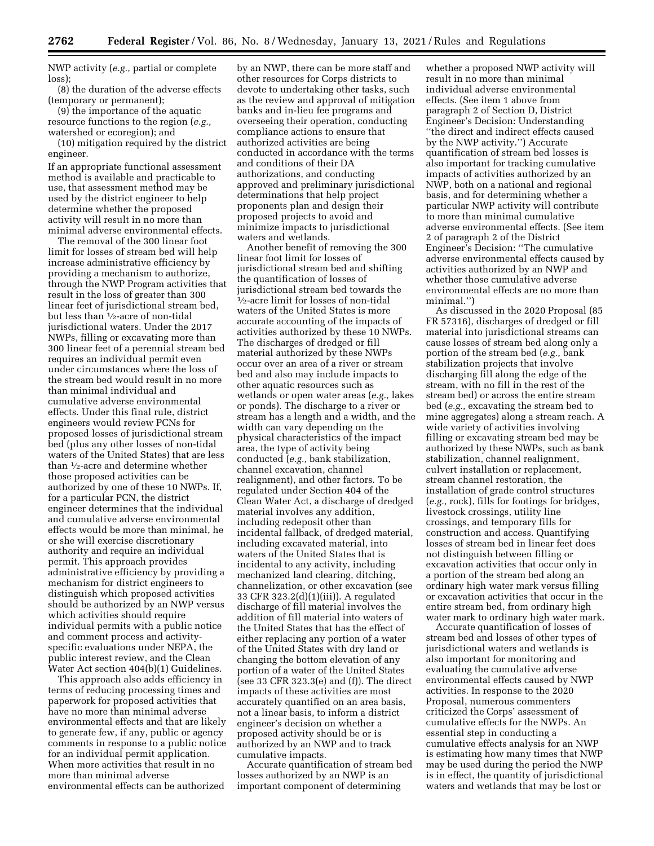NWP activity (*e.g.,* partial or complete loss);

(8) the duration of the adverse effects (temporary or permanent);

(9) the importance of the aquatic resource functions to the region (*e.g.,*  watershed or ecoregion); and

(10) mitigation required by the district engineer.

If an appropriate functional assessment method is available and practicable to use, that assessment method may be used by the district engineer to help determine whether the proposed activity will result in no more than minimal adverse environmental effects.

The removal of the 300 linear foot limit for losses of stream bed will help increase administrative efficiency by providing a mechanism to authorize, through the NWP Program activities that result in the loss of greater than 300 linear feet of jurisdictional stream bed, but less than 1⁄2-acre of non-tidal jurisdictional waters. Under the 2017 NWPs, filling or excavating more than 300 linear feet of a perennial stream bed requires an individual permit even under circumstances where the loss of the stream bed would result in no more than minimal individual and cumulative adverse environmental effects. Under this final rule, district engineers would review PCNs for proposed losses of jurisdictional stream bed (plus any other losses of non-tidal waters of the United States) that are less than 1⁄2-acre and determine whether those proposed activities can be authorized by one of these 10 NWPs. If, for a particular PCN, the district engineer determines that the individual and cumulative adverse environmental effects would be more than minimal, he or she will exercise discretionary authority and require an individual permit. This approach provides administrative efficiency by providing a mechanism for district engineers to distinguish which proposed activities should be authorized by an NWP versus which activities should require individual permits with a public notice and comment process and activityspecific evaluations under NEPA, the public interest review, and the Clean Water Act section 404(b)(1) Guidelines.

This approach also adds efficiency in terms of reducing processing times and paperwork for proposed activities that have no more than minimal adverse environmental effects and that are likely to generate few, if any, public or agency comments in response to a public notice for an individual permit application. When more activities that result in no more than minimal adverse environmental effects can be authorized

by an NWP, there can be more staff and other resources for Corps districts to devote to undertaking other tasks, such as the review and approval of mitigation banks and in-lieu fee programs and overseeing their operation, conducting compliance actions to ensure that authorized activities are being conducted in accordance with the terms and conditions of their DA authorizations, and conducting approved and preliminary jurisdictional determinations that help project proponents plan and design their proposed projects to avoid and minimize impacts to jurisdictional waters and wetlands.

Another benefit of removing the 300 linear foot limit for losses of jurisdictional stream bed and shifting the quantification of losses of jurisdictional stream bed towards the 1⁄2-acre limit for losses of non-tidal waters of the United States is more accurate accounting of the impacts of activities authorized by these 10 NWPs. The discharges of dredged or fill material authorized by these NWPs occur over an area of a river or stream bed and also may include impacts to other aquatic resources such as wetlands or open water areas (*e.g.,* lakes or ponds). The discharge to a river or stream has a length and a width, and the width can vary depending on the physical characteristics of the impact area, the type of activity being conducted (*e.g.,* bank stabilization, channel excavation, channel realignment), and other factors. To be regulated under Section 404 of the Clean Water Act, a discharge of dredged material involves any addition, including redeposit other than incidental fallback, of dredged material, including excavated material, into waters of the United States that is incidental to any activity, including mechanized land clearing, ditching, channelization, or other excavation (see 33 CFR 323.2(d)(1)(iii)). A regulated discharge of fill material involves the addition of fill material into waters of the United States that has the effect of either replacing any portion of a water of the United States with dry land or changing the bottom elevation of any portion of a water of the United States (see 33 CFR 323.3(e) and (f)). The direct impacts of these activities are most accurately quantified on an area basis, not a linear basis, to inform a district engineer's decision on whether a proposed activity should be or is authorized by an NWP and to track cumulative impacts.

Accurate quantification of stream bed losses authorized by an NWP is an important component of determining

whether a proposed NWP activity will result in no more than minimal individual adverse environmental effects. (See item 1 above from paragraph 2 of Section D, District Engineer's Decision: Understanding ''the direct and indirect effects caused by the NWP activity.'') Accurate quantification of stream bed losses is also important for tracking cumulative impacts of activities authorized by an NWP, both on a national and regional basis, and for determining whether a particular NWP activity will contribute to more than minimal cumulative adverse environmental effects. (See item 2 of paragraph 2 of the District Engineer's Decision: ''The cumulative adverse environmental effects caused by activities authorized by an NWP and whether those cumulative adverse environmental effects are no more than minimal.'')

As discussed in the 2020 Proposal (85 FR 57316), discharges of dredged or fill material into jurisdictional streams can cause losses of stream bed along only a portion of the stream bed (*e.g.,* bank stabilization projects that involve discharging fill along the edge of the stream, with no fill in the rest of the stream bed) or across the entire stream bed (*e.g.,* excavating the stream bed to mine aggregates) along a stream reach. A wide variety of activities involving filling or excavating stream bed may be authorized by these NWPs, such as bank stabilization, channel realignment, culvert installation or replacement, stream channel restoration, the installation of grade control structures (*e.g.,* rock), fills for footings for bridges, livestock crossings, utility line crossings, and temporary fills for construction and access. Quantifying losses of stream bed in linear feet does not distinguish between filling or excavation activities that occur only in a portion of the stream bed along an ordinary high water mark versus filling or excavation activities that occur in the entire stream bed, from ordinary high water mark to ordinary high water mark.

Accurate quantification of losses of stream bed and losses of other types of jurisdictional waters and wetlands is also important for monitoring and evaluating the cumulative adverse environmental effects caused by NWP activities. In response to the 2020 Proposal, numerous commenters criticized the Corps' assessment of cumulative effects for the NWPs. An essential step in conducting a cumulative effects analysis for an NWP is estimating how many times that NWP may be used during the period the NWP is in effect, the quantity of jurisdictional waters and wetlands that may be lost or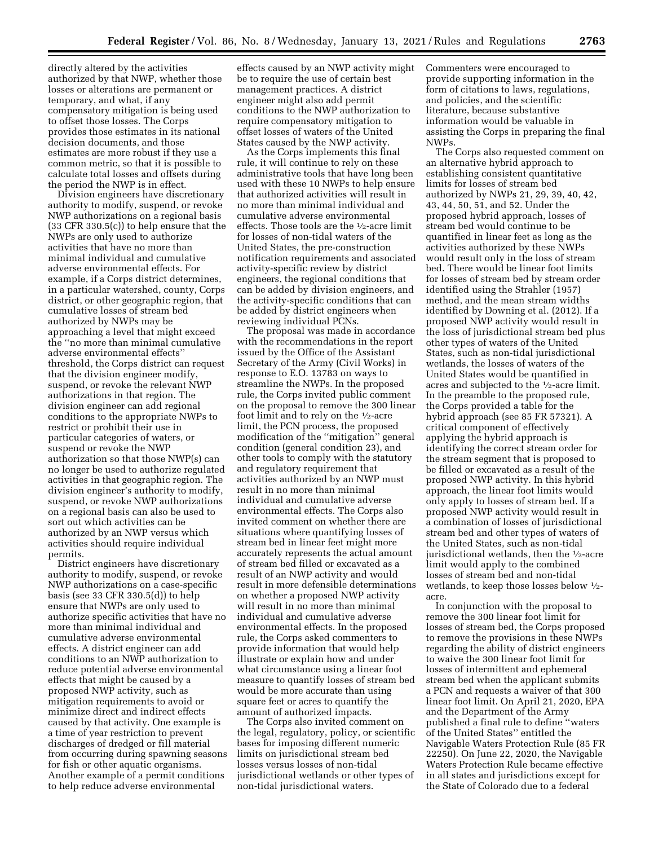directly altered by the activities authorized by that NWP, whether those losses or alterations are permanent or temporary, and what, if any compensatory mitigation is being used to offset those losses. The Corps provides those estimates in its national decision documents, and those estimates are more robust if they use a common metric, so that it is possible to calculate total losses and offsets during the period the NWP is in effect.

Division engineers have discretionary authority to modify, suspend, or revoke NWP authorizations on a regional basis (33 CFR 330.5(c)) to help ensure that the NWPs are only used to authorize activities that have no more than minimal individual and cumulative adverse environmental effects. For example, if a Corps district determines, in a particular watershed, county, Corps district, or other geographic region, that cumulative losses of stream bed authorized by NWPs may be approaching a level that might exceed the ''no more than minimal cumulative adverse environmental effects'' threshold, the Corps district can request that the division engineer modify, suspend, or revoke the relevant NWP authorizations in that region. The division engineer can add regional conditions to the appropriate NWPs to restrict or prohibit their use in particular categories of waters, or suspend or revoke the NWP authorization so that those NWP(s) can no longer be used to authorize regulated activities in that geographic region. The division engineer's authority to modify, suspend, or revoke NWP authorizations on a regional basis can also be used to sort out which activities can be authorized by an NWP versus which activities should require individual permits.

District engineers have discretionary authority to modify, suspend, or revoke NWP authorizations on a case-specific basis (see 33 CFR 330.5(d)) to help ensure that NWPs are only used to authorize specific activities that have no more than minimal individual and cumulative adverse environmental effects. A district engineer can add conditions to an NWP authorization to reduce potential adverse environmental effects that might be caused by a proposed NWP activity, such as mitigation requirements to avoid or minimize direct and indirect effects caused by that activity. One example is a time of year restriction to prevent discharges of dredged or fill material from occurring during spawning seasons for fish or other aquatic organisms. Another example of a permit conditions to help reduce adverse environmental

effects caused by an NWP activity might be to require the use of certain best management practices. A district engineer might also add permit conditions to the NWP authorization to require compensatory mitigation to offset losses of waters of the United States caused by the NWP activity.

As the Corps implements this final rule, it will continue to rely on these administrative tools that have long been used with these 10 NWPs to help ensure that authorized activities will result in no more than minimal individual and cumulative adverse environmental effects. Those tools are the 1⁄2-acre limit for losses of non-tidal waters of the United States, the pre-construction notification requirements and associated activity-specific review by district engineers, the regional conditions that can be added by division engineers, and the activity-specific conditions that can be added by district engineers when reviewing individual PCNs.

The proposal was made in accordance with the recommendations in the report issued by the Office of the Assistant Secretary of the Army (Civil Works) in response to E.O. 13783 on ways to streamline the NWPs. In the proposed rule, the Corps invited public comment on the proposal to remove the 300 linear foot limit and to rely on the 1⁄2-acre limit, the PCN process, the proposed modification of the ''mitigation'' general condition (general condition 23), and other tools to comply with the statutory and regulatory requirement that activities authorized by an NWP must result in no more than minimal individual and cumulative adverse environmental effects. The Corps also invited comment on whether there are situations where quantifying losses of stream bed in linear feet might more accurately represents the actual amount of stream bed filled or excavated as a result of an NWP activity and would result in more defensible determinations on whether a proposed NWP activity will result in no more than minimal individual and cumulative adverse environmental effects. In the proposed rule, the Corps asked commenters to provide information that would help illustrate or explain how and under what circumstance using a linear foot measure to quantify losses of stream bed would be more accurate than using square feet or acres to quantify the amount of authorized impacts.

The Corps also invited comment on the legal, regulatory, policy, or scientific bases for imposing different numeric limits on jurisdictional stream bed losses versus losses of non-tidal jurisdictional wetlands or other types of non-tidal jurisdictional waters.

Commenters were encouraged to provide supporting information in the form of citations to laws, regulations, and policies, and the scientific literature, because substantive information would be valuable in assisting the Corps in preparing the final NWPs.

The Corps also requested comment on an alternative hybrid approach to establishing consistent quantitative limits for losses of stream bed authorized by NWPs 21, 29, 39, 40, 42, 43, 44, 50, 51, and 52. Under the proposed hybrid approach, losses of stream bed would continue to be quantified in linear feet as long as the activities authorized by these NWPs would result only in the loss of stream bed. There would be linear foot limits for losses of stream bed by stream order identified using the Strahler (1957) method, and the mean stream widths identified by Downing et al. (2012). If a proposed NWP activity would result in the loss of jurisdictional stream bed plus other types of waters of the United States, such as non-tidal jurisdictional wetlands, the losses of waters of the United States would be quantified in acres and subjected to the 1⁄2-acre limit. In the preamble to the proposed rule, the Corps provided a table for the hybrid approach (see 85 FR 57321). A critical component of effectively applying the hybrid approach is identifying the correct stream order for the stream segment that is proposed to be filled or excavated as a result of the proposed NWP activity. In this hybrid approach, the linear foot limits would only apply to losses of stream bed. If a proposed NWP activity would result in a combination of losses of jurisdictional stream bed and other types of waters of the United States, such as non-tidal jurisdictional wetlands, then the 1⁄2-acre limit would apply to the combined losses of stream bed and non-tidal wetlands, to keep those losses below 1⁄2 acre.

In conjunction with the proposal to remove the 300 linear foot limit for losses of stream bed, the Corps proposed to remove the provisions in these NWPs regarding the ability of district engineers to waive the 300 linear foot limit for losses of intermittent and ephemeral stream bed when the applicant submits a PCN and requests a waiver of that 300 linear foot limit. On April 21, 2020, EPA and the Department of the Army published a final rule to define ''waters of the United States'' entitled the Navigable Waters Protection Rule (85 FR 22250). On June 22, 2020, the Navigable Waters Protection Rule became effective in all states and jurisdictions except for the State of Colorado due to a federal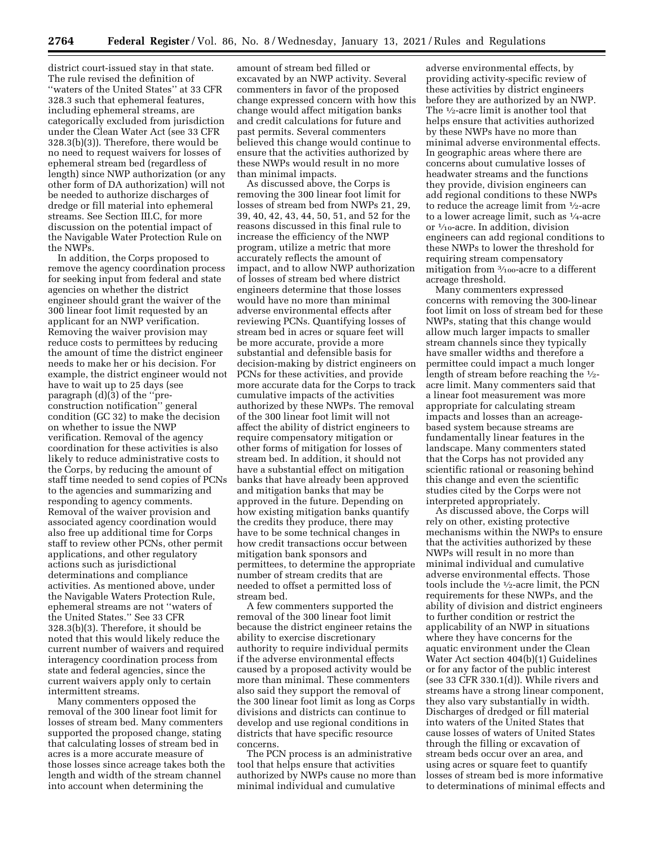district court-issued stay in that state. The rule revised the definition of ''waters of the United States'' at 33 CFR 328.3 such that ephemeral features, including ephemeral streams, are categorically excluded from jurisdiction under the Clean Water Act (see 33 CFR 328.3(b)(3)). Therefore, there would be no need to request waivers for losses of ephemeral stream bed (regardless of length) since NWP authorization (or any other form of DA authorization) will not be needed to authorize discharges of dredge or fill material into ephemeral streams. See Section III.C, for more discussion on the potential impact of the Navigable Water Protection Rule on the NWPs.

In addition, the Corps proposed to remove the agency coordination process for seeking input from federal and state agencies on whether the district engineer should grant the waiver of the 300 linear foot limit requested by an applicant for an NWP verification. Removing the waiver provision may reduce costs to permittees by reducing the amount of time the district engineer needs to make her or his decision. For example, the district engineer would not have to wait up to 25 days (see paragraph (d)(3) of the ''preconstruction notification'' general condition (GC 32) to make the decision on whether to issue the NWP verification. Removal of the agency coordination for these activities is also likely to reduce administrative costs to the Corps, by reducing the amount of staff time needed to send copies of PCNs to the agencies and summarizing and responding to agency comments. Removal of the waiver provision and associated agency coordination would also free up additional time for Corps staff to review other PCNs, other permit applications, and other regulatory actions such as jurisdictional determinations and compliance activities. As mentioned above, under the Navigable Waters Protection Rule, ephemeral streams are not ''waters of the United States.'' See 33 CFR 328.3(b)(3). Therefore, it should be noted that this would likely reduce the current number of waivers and required interagency coordination process from state and federal agencies, since the current waivers apply only to certain intermittent streams.

Many commenters opposed the removal of the 300 linear foot limit for losses of stream bed. Many commenters supported the proposed change, stating that calculating losses of stream bed in acres is a more accurate measure of those losses since acreage takes both the length and width of the stream channel into account when determining the

amount of stream bed filled or excavated by an NWP activity. Several commenters in favor of the proposed change expressed concern with how this change would affect mitigation banks and credit calculations for future and past permits. Several commenters believed this change would continue to ensure that the activities authorized by these NWPs would result in no more than minimal impacts.

As discussed above, the Corps is removing the 300 linear foot limit for losses of stream bed from NWPs 21, 29, 39, 40, 42, 43, 44, 50, 51, and 52 for the reasons discussed in this final rule to increase the efficiency of the NWP program, utilize a metric that more accurately reflects the amount of impact, and to allow NWP authorization of losses of stream bed where district engineers determine that those losses would have no more than minimal adverse environmental effects after reviewing PCNs. Quantifying losses of stream bed in acres or square feet will be more accurate, provide a more substantial and defensible basis for decision-making by district engineers on PCNs for these activities, and provide more accurate data for the Corps to track cumulative impacts of the activities authorized by these NWPs. The removal of the 300 linear foot limit will not affect the ability of district engineers to require compensatory mitigation or other forms of mitigation for losses of stream bed. In addition, it should not have a substantial effect on mitigation banks that have already been approved and mitigation banks that may be approved in the future. Depending on how existing mitigation banks quantify the credits they produce, there may have to be some technical changes in how credit transactions occur between mitigation bank sponsors and permittees, to determine the appropriate number of stream credits that are needed to offset a permitted loss of stream bed.

A few commenters supported the removal of the 300 linear foot limit because the district engineer retains the ability to exercise discretionary authority to require individual permits if the adverse environmental effects caused by a proposed activity would be more than minimal. These commenters also said they support the removal of the 300 linear foot limit as long as Corps divisions and districts can continue to develop and use regional conditions in districts that have specific resource concerns.

The PCN process is an administrative tool that helps ensure that activities authorized by NWPs cause no more than minimal individual and cumulative

adverse environmental effects, by providing activity-specific review of these activities by district engineers before they are authorized by an NWP. The  $\frac{1}{2}$ -acre limit is another tool that helps ensure that activities authorized by these NWPs have no more than minimal adverse environmental effects. In geographic areas where there are concerns about cumulative losses of headwater streams and the functions they provide, division engineers can add regional conditions to these NWPs to reduce the acreage limit from 1⁄2-acre to a lower acreage limit, such as 1⁄4-acre or 1⁄10-acre. In addition, division engineers can add regional conditions to these NWPs to lower the threshold for requiring stream compensatory mitigation from 3⁄100-acre to a different acreage threshold.

Many commenters expressed concerns with removing the 300-linear foot limit on loss of stream bed for these NWPs, stating that this change would allow much larger impacts to smaller stream channels since they typically have smaller widths and therefore a permittee could impact a much longer length of stream before reaching the 1⁄2 acre limit. Many commenters said that a linear foot measurement was more appropriate for calculating stream impacts and losses than an acreagebased system because streams are fundamentally linear features in the landscape. Many commenters stated that the Corps has not provided any scientific rational or reasoning behind this change and even the scientific studies cited by the Corps were not interpreted appropriately.

As discussed above, the Corps will rely on other, existing protective mechanisms within the NWPs to ensure that the activities authorized by these NWPs will result in no more than minimal individual and cumulative adverse environmental effects. Those tools include the 1⁄2-acre limit, the PCN requirements for these NWPs, and the ability of division and district engineers to further condition or restrict the applicability of an NWP in situations where they have concerns for the aquatic environment under the Clean Water Act section 404(b)(1) Guidelines or for any factor of the public interest (see 33 CFR 330.1(d)). While rivers and streams have a strong linear component, they also vary substantially in width. Discharges of dredged or fill material into waters of the United States that cause losses of waters of United States through the filling or excavation of stream beds occur over an area, and using acres or square feet to quantify losses of stream bed is more informative to determinations of minimal effects and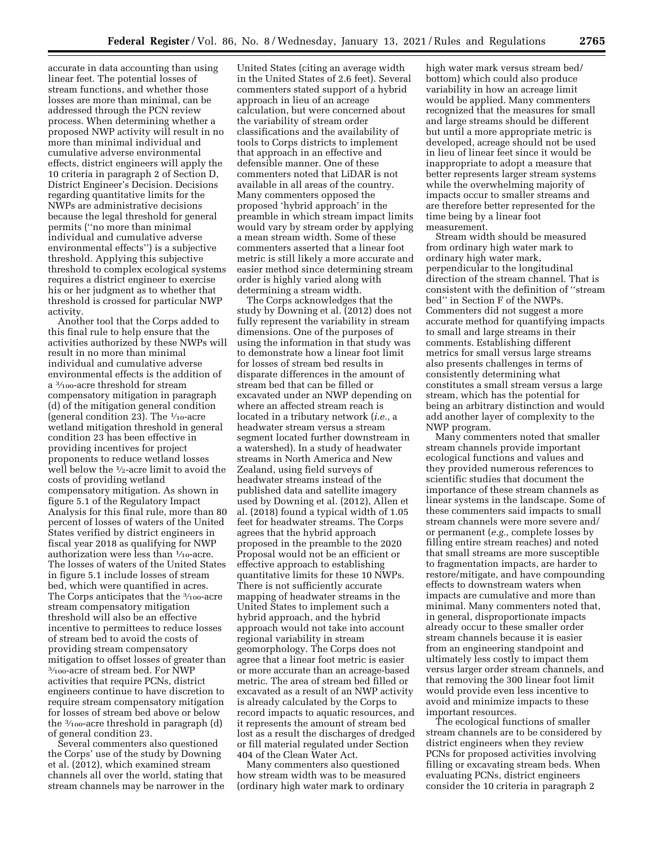accurate in data accounting than using linear feet. The potential losses of stream functions, and whether those losses are more than minimal, can be addressed through the PCN review process. When determining whether a proposed NWP activity will result in no more than minimal individual and cumulative adverse environmental effects, district engineers will apply the 10 criteria in paragraph 2 of Section D, District Engineer's Decision. Decisions regarding quantitative limits for the NWPs are administrative decisions because the legal threshold for general permits (''no more than minimal individual and cumulative adverse environmental effects'') is a subjective threshold. Applying this subjective threshold to complex ecological systems requires a district engineer to exercise his or her judgment as to whether that threshold is crossed for particular NWP activity.

Another tool that the Corps added to this final rule to help ensure that the activities authorized by these NWPs will result in no more than minimal individual and cumulative adverse environmental effects is the addition of a 3⁄100-acre threshold for stream compensatory mitigation in paragraph (d) of the mitigation general condition (general condition 23). The  $\frac{1}{10}$ -acre wetland mitigation threshold in general condition 23 has been effective in providing incentives for project proponents to reduce wetland losses well below the 1⁄2-acre limit to avoid the costs of providing wetland compensatory mitigation. As shown in figure 5.1 of the Regulatory Impact Analysis for this final rule, more than 80 percent of losses of waters of the United States verified by district engineers in fiscal year 2018 as qualifying for NWP authorization were less than 1⁄10-acre. The losses of waters of the United States in figure 5.1 include losses of stream bed, which were quantified in acres. The Corps anticipates that the 3/100-acre stream compensatory mitigation threshold will also be an effective incentive to permittees to reduce losses of stream bed to avoid the costs of providing stream compensatory mitigation to offset losses of greater than 3⁄100-acre of stream bed. For NWP activities that require PCNs, district engineers continue to have discretion to require stream compensatory mitigation for losses of stream bed above or below the 3⁄100-acre threshold in paragraph (d) of general condition 23.

Several commenters also questioned the Corps' use of the study by Downing et al. (2012), which examined stream channels all over the world, stating that stream channels may be narrower in the

United States (citing an average width in the United States of 2.6 feet). Several commenters stated support of a hybrid approach in lieu of an acreage calculation, but were concerned about the variability of stream order classifications and the availability of tools to Corps districts to implement that approach in an effective and defensible manner. One of these commenters noted that LiDAR is not available in all areas of the country. Many commenters opposed the proposed 'hybrid approach' in the preamble in which stream impact limits would vary by stream order by applying a mean stream width. Some of these commenters asserted that a linear foot metric is still likely a more accurate and easier method since determining stream order is highly varied along with determining a stream width.

The Corps acknowledges that the study by Downing et al. (2012) does not fully represent the variability in stream dimensions. One of the purposes of using the information in that study was to demonstrate how a linear foot limit for losses of stream bed results in disparate differences in the amount of stream bed that can be filled or excavated under an NWP depending on where an affected stream reach is located in a tributary network (*i.e.,* a headwater stream versus a stream segment located further downstream in a watershed). In a study of headwater streams in North America and New Zealand, using field surveys of headwater streams instead of the published data and satellite imagery used by Downing et al. (2012), Allen et al. (2018) found a typical width of 1.05 feet for headwater streams. The Corps agrees that the hybrid approach proposed in the preamble to the 2020 Proposal would not be an efficient or effective approach to establishing quantitative limits for these 10 NWPs. There is not sufficiently accurate mapping of headwater streams in the United States to implement such a hybrid approach, and the hybrid approach would not take into account regional variability in stream geomorphology. The Corps does not agree that a linear foot metric is easier or more accurate than an acreage-based metric. The area of stream bed filled or excavated as a result of an NWP activity is already calculated by the Corps to record impacts to aquatic resources, and it represents the amount of stream bed lost as a result the discharges of dredged or fill material regulated under Section 404 of the Clean Water Act.

Many commenters also questioned how stream width was to be measured (ordinary high water mark to ordinary

high water mark versus stream bed/ bottom) which could also produce variability in how an acreage limit would be applied. Many commenters recognized that the measures for small and large streams should be different but until a more appropriate metric is developed, acreage should not be used in lieu of linear feet since it would be inappropriate to adopt a measure that better represents larger stream systems while the overwhelming majority of impacts occur to smaller streams and are therefore better represented for the time being by a linear foot measurement.

Stream width should be measured from ordinary high water mark to ordinary high water mark, perpendicular to the longitudinal direction of the stream channel. That is consistent with the definition of ''stream bed'' in Section F of the NWPs. Commenters did not suggest a more accurate method for quantifying impacts to small and large streams in their comments. Establishing different metrics for small versus large streams also presents challenges in terms of consistently determining what constitutes a small stream versus a large stream, which has the potential for being an arbitrary distinction and would add another layer of complexity to the NWP program.

Many commenters noted that smaller stream channels provide important ecological functions and values and they provided numerous references to scientific studies that document the importance of these stream channels as linear systems in the landscape. Some of these commenters said impacts to small stream channels were more severe and/ or permanent (*e.g.,* complete losses by filling entire stream reaches) and noted that small streams are more susceptible to fragmentation impacts, are harder to restore/mitigate, and have compounding effects to downstream waters when impacts are cumulative and more than minimal. Many commenters noted that, in general, disproportionate impacts already occur to these smaller order stream channels because it is easier from an engineering standpoint and ultimately less costly to impact them versus larger order stream channels, and that removing the 300 linear foot limit would provide even less incentive to avoid and minimize impacts to these important resources.

The ecological functions of smaller stream channels are to be considered by district engineers when they review PCNs for proposed activities involving filling or excavating stream beds. When evaluating PCNs, district engineers consider the 10 criteria in paragraph 2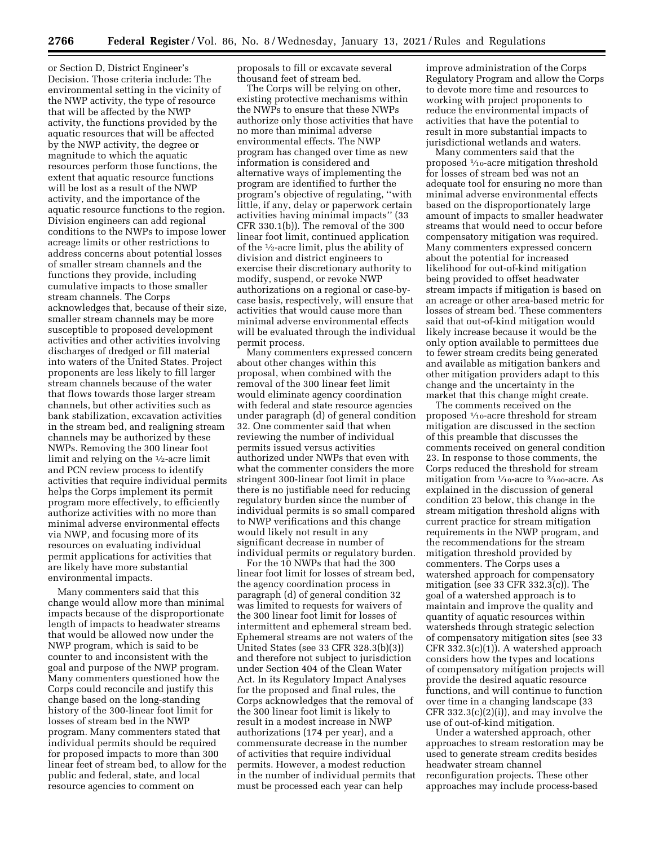or Section D, District Engineer's Decision. Those criteria include: The environmental setting in the vicinity of the NWP activity, the type of resource that will be affected by the NWP activity, the functions provided by the aquatic resources that will be affected by the NWP activity, the degree or magnitude to which the aquatic resources perform those functions, the extent that aquatic resource functions will be lost as a result of the NWP activity, and the importance of the aquatic resource functions to the region. Division engineers can add regional conditions to the NWPs to impose lower acreage limits or other restrictions to address concerns about potential losses of smaller stream channels and the functions they provide, including cumulative impacts to those smaller stream channels. The Corps acknowledges that, because of their size, smaller stream channels may be more susceptible to proposed development activities and other activities involving discharges of dredged or fill material into waters of the United States. Project proponents are less likely to fill larger stream channels because of the water that flows towards those larger stream channels, but other activities such as bank stabilization, excavation activities in the stream bed, and realigning stream channels may be authorized by these NWPs. Removing the 300 linear foot limit and relying on the 1⁄2-acre limit and PCN review process to identify activities that require individual permits helps the Corps implement its permit program more effectively, to efficiently authorize activities with no more than minimal adverse environmental effects via NWP, and focusing more of its resources on evaluating individual permit applications for activities that are likely have more substantial environmental impacts.

Many commenters said that this change would allow more than minimal impacts because of the disproportionate length of impacts to headwater streams that would be allowed now under the NWP program, which is said to be counter to and inconsistent with the goal and purpose of the NWP program. Many commenters questioned how the Corps could reconcile and justify this change based on the long-standing history of the 300-linear foot limit for losses of stream bed in the NWP program. Many commenters stated that individual permits should be required for proposed impacts to more than 300 linear feet of stream bed, to allow for the public and federal, state, and local resource agencies to comment on

proposals to fill or excavate several thousand feet of stream bed.

The Corps will be relying on other, existing protective mechanisms within the NWPs to ensure that these NWPs authorize only those activities that have no more than minimal adverse environmental effects. The NWP program has changed over time as new information is considered and alternative ways of implementing the program are identified to further the program's objective of regulating, ''with little, if any, delay or paperwork certain activities having minimal impacts'' (33 CFR 330.1(b)). The removal of the 300 linear foot limit, continued application of the 1⁄2-acre limit, plus the ability of division and district engineers to exercise their discretionary authority to modify, suspend, or revoke NWP authorizations on a regional or case-bycase basis, respectively, will ensure that activities that would cause more than minimal adverse environmental effects will be evaluated through the individual permit process.

Many commenters expressed concern about other changes within this proposal, when combined with the removal of the 300 linear feet limit would eliminate agency coordination with federal and state resource agencies under paragraph (d) of general condition 32. One commenter said that when reviewing the number of individual permits issued versus activities authorized under NWPs that even with what the commenter considers the more stringent 300-linear foot limit in place there is no justifiable need for reducing regulatory burden since the number of individual permits is so small compared to NWP verifications and this change would likely not result in any significant decrease in number of individual permits or regulatory burden.

For the 10 NWPs that had the 300 linear foot limit for losses of stream bed, the agency coordination process in paragraph (d) of general condition 32 was limited to requests for waivers of the 300 linear foot limit for losses of intermittent and ephemeral stream bed. Ephemeral streams are not waters of the United States (see 33 CFR 328.3(b)(3)) and therefore not subject to jurisdiction under Section 404 of the Clean Water Act. In its Regulatory Impact Analyses for the proposed and final rules, the Corps acknowledges that the removal of the 300 linear foot limit is likely to result in a modest increase in NWP authorizations (174 per year), and a commensurate decrease in the number of activities that require individual permits. However, a modest reduction in the number of individual permits that must be processed each year can help

improve administration of the Corps Regulatory Program and allow the Corps to devote more time and resources to working with project proponents to reduce the environmental impacts of activities that have the potential to result in more substantial impacts to jurisdictional wetlands and waters.

Many commenters said that the proposed 1⁄10-acre mitigation threshold for losses of stream bed was not an adequate tool for ensuring no more than minimal adverse environmental effects based on the disproportionately large amount of impacts to smaller headwater streams that would need to occur before compensatory mitigation was required. Many commenters expressed concern about the potential for increased likelihood for out-of-kind mitigation being provided to offset headwater stream impacts if mitigation is based on an acreage or other area-based metric for losses of stream bed. These commenters said that out-of-kind mitigation would likely increase because it would be the only option available to permittees due to fewer stream credits being generated and available as mitigation bankers and other mitigation providers adapt to this change and the uncertainty in the market that this change might create.

The comments received on the proposed 1⁄10-acre threshold for stream mitigation are discussed in the section of this preamble that discusses the comments received on general condition 23. In response to those comments, the Corps reduced the threshold for stream mitigation from  $\frac{1}{10}$ -acre to  $\frac{3}{100}$ -acre. As explained in the discussion of general condition 23 below, this change in the stream mitigation threshold aligns with current practice for stream mitigation requirements in the NWP program, and the recommendations for the stream mitigation threshold provided by commenters. The Corps uses a watershed approach for compensatory mitigation (see 33 CFR 332.3(c)). The goal of a watershed approach is to maintain and improve the quality and quantity of aquatic resources within watersheds through strategic selection of compensatory mitigation sites (see 33 CFR 332.3(c)(1)). A watershed approach considers how the types and locations of compensatory mitigation projects will provide the desired aquatic resource functions, and will continue to function over time in a changing landscape (33 CFR 332.3(c)(2)(i)), and may involve the use of out-of-kind mitigation.

Under a watershed approach, other approaches to stream restoration may be used to generate stream credits besides headwater stream channel reconfiguration projects. These other approaches may include process-based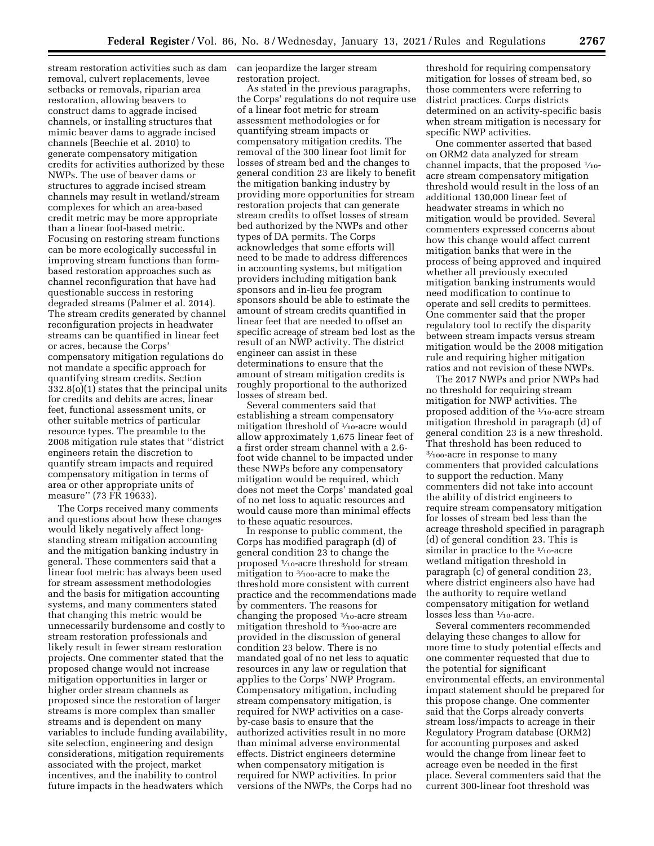stream restoration activities such as dam removal, culvert replacements, levee setbacks or removals, riparian area restoration, allowing beavers to construct dams to aggrade incised channels, or installing structures that mimic beaver dams to aggrade incised channels (Beechie et al. 2010) to generate compensatory mitigation credits for activities authorized by these NWPs. The use of beaver dams or structures to aggrade incised stream channels may result in wetland/stream complexes for which an area-based credit metric may be more appropriate than a linear foot-based metric. Focusing on restoring stream functions can be more ecologically successful in improving stream functions than formbased restoration approaches such as channel reconfiguration that have had questionable success in restoring degraded streams (Palmer et al. 2014). The stream credits generated by channel reconfiguration projects in headwater streams can be quantified in linear feet or acres, because the Corps' compensatory mitigation regulations do not mandate a specific approach for quantifying stream credits. Section 332.8(o)(1) states that the principal units for credits and debits are acres, linear feet, functional assessment units, or other suitable metrics of particular resource types. The preamble to the 2008 mitigation rule states that ''district engineers retain the discretion to quantify stream impacts and required compensatory mitigation in terms of area or other appropriate units of measure'' (73 FR 19633).

The Corps received many comments and questions about how these changes would likely negatively affect longstanding stream mitigation accounting and the mitigation banking industry in general. These commenters said that a linear foot metric has always been used for stream assessment methodologies and the basis for mitigation accounting systems, and many commenters stated that changing this metric would be unnecessarily burdensome and costly to stream restoration professionals and likely result in fewer stream restoration projects. One commenter stated that the proposed change would not increase mitigation opportunities in larger or higher order stream channels as proposed since the restoration of larger streams is more complex than smaller streams and is dependent on many variables to include funding availability, site selection, engineering and design considerations, mitigation requirements associated with the project, market incentives, and the inability to control future impacts in the headwaters which

can jeopardize the larger stream restoration project.

As stated in the previous paragraphs, the Corps' regulations do not require use of a linear foot metric for stream assessment methodologies or for quantifying stream impacts or compensatory mitigation credits. The removal of the 300 linear foot limit for losses of stream bed and the changes to general condition 23 are likely to benefit the mitigation banking industry by providing more opportunities for stream restoration projects that can generate stream credits to offset losses of stream bed authorized by the NWPs and other types of DA permits. The Corps acknowledges that some efforts will need to be made to address differences in accounting systems, but mitigation providers including mitigation bank sponsors and in-lieu fee program sponsors should be able to estimate the amount of stream credits quantified in linear feet that are needed to offset an specific acreage of stream bed lost as the result of an NWP activity. The district engineer can assist in these determinations to ensure that the amount of stream mitigation credits is roughly proportional to the authorized losses of stream bed.

Several commenters said that establishing a stream compensatory mitigation threshold of  $\frac{1}{10}$ -acre would allow approximately 1,675 linear feet of a first order stream channel with a 2.6 foot wide channel to be impacted under these NWPs before any compensatory mitigation would be required, which does not meet the Corps' mandated goal of no net loss to aquatic resources and would cause more than minimal effects to these aquatic resources.

In response to public comment, the Corps has modified paragraph (d) of general condition 23 to change the proposed 1⁄10-acre threshold for stream mitigation to 3⁄100-acre to make the threshold more consistent with current practice and the recommendations made by commenters. The reasons for changing the proposed 1⁄10-acre stream mitigation threshold to 3/100-acre are provided in the discussion of general condition 23 below. There is no mandated goal of no net less to aquatic resources in any law or regulation that applies to the Corps' NWP Program. Compensatory mitigation, including stream compensatory mitigation, is required for NWP activities on a caseby-case basis to ensure that the authorized activities result in no more than minimal adverse environmental effects. District engineers determine when compensatory mitigation is required for NWP activities. In prior versions of the NWPs, the Corps had no

threshold for requiring compensatory mitigation for losses of stream bed, so those commenters were referring to district practices. Corps districts determined on an activity-specific basis when stream mitigation is necessary for specific NWP activities.

One commenter asserted that based on ORM2 data analyzed for stream channel impacts, that the proposed  $\frac{1}{10}$ acre stream compensatory mitigation threshold would result in the loss of an additional 130,000 linear feet of headwater streams in which no mitigation would be provided. Several commenters expressed concerns about how this change would affect current mitigation banks that were in the process of being approved and inquired whether all previously executed mitigation banking instruments would need modification to continue to operate and sell credits to permittees. One commenter said that the proper regulatory tool to rectify the disparity between stream impacts versus stream mitigation would be the 2008 mitigation rule and requiring higher mitigation ratios and not revision of these NWPs.

The 2017 NWPs and prior NWPs had no threshold for requiring stream mitigation for NWP activities. The proposed addition of the 1/10-acre stream mitigation threshold in paragraph (d) of general condition 23 is a new threshold. That threshold has been reduced to 3⁄100-acre in response to many commenters that provided calculations to support the reduction. Many commenters did not take into account the ability of district engineers to require stream compensatory mitigation for losses of stream bed less than the acreage threshold specified in paragraph (d) of general condition 23. This is similar in practice to the  $1/10$ -acre wetland mitigation threshold in paragraph (c) of general condition 23, where district engineers also have had the authority to require wetland compensatory mitigation for wetland losses less than  $\frac{1}{10}$ -acre.

Several commenters recommended delaying these changes to allow for more time to study potential effects and one commenter requested that due to the potential for significant environmental effects, an environmental impact statement should be prepared for this propose change. One commenter said that the Corps already converts stream loss/impacts to acreage in their Regulatory Program database (ORM2) for accounting purposes and asked would the change from linear feet to acreage even be needed in the first place. Several commenters said that the current 300-linear foot threshold was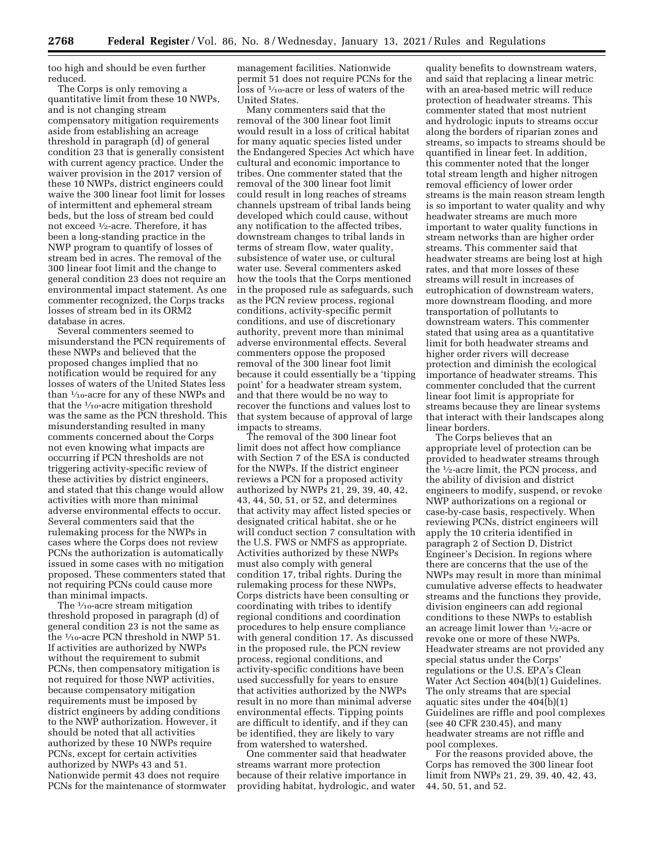too high and should be even further reduced.

The Corps is only removing a quantitative limit from these 10 NWPs, and is not changing stream compensatory mitigation requirements aside from establishing an acreage threshold in paragraph (d) of general condition 23 that is generally consistent with current agency practice. Under the waiver provision in the 2017 version of these 10 NWPs, district engineers could waive the 300 linear foot limit for losses of intermittent and ephemeral stream beds, but the loss of stream bed could not exceed 1⁄2-acre. Therefore, it has been a long-standing practice in the NWP program to quantify of losses of stream bed in acres. The removal of the 300 linear foot limit and the change to general condition 23 does not require an environmental impact statement. As one commenter recognized, the Corps tracks losses of stream bed in its ORM2 database in acres.

Several commenters seemed to misunderstand the PCN requirements of these NWPs and believed that the proposed changes implied that no notification would be required for any losses of waters of the United States less than 1⁄10-acre for any of these NWPs and that the  $\frac{1}{10}$ -acre mitigation threshold was the same as the PCN threshold. This misunderstanding resulted in many comments concerned about the Corps not even knowing what impacts are occurring if PCN thresholds are not triggering activity-specific review of these activities by district engineers, and stated that this change would allow activities with more than minimal adverse environmental effects to occur. Several commenters said that the rulemaking process for the NWPs in cases where the Corps does not review PCNs the authorization is automatically issued in some cases with no mitigation proposed. These commenters stated that not requiring PCNs could cause more than minimal impacts.

The  $\frac{1}{10}$ -acre stream mitigation threshold proposed in paragraph (d) of general condition 23 is not the same as the 1⁄10-acre PCN threshold in NWP 51. If activities are authorized by NWPs without the requirement to submit PCNs, then compensatory mitigation is not required for those NWP activities, because compensatory mitigation requirements must be imposed by district engineers by adding conditions to the NWP authorization. However, it should be noted that all activities authorized by these 10 NWPs require PCNs, except for certain activities authorized by NWPs 43 and 51. Nationwide permit 43 does not require PCNs for the maintenance of stormwater

management facilities. Nationwide permit 51 does not require PCNs for the loss of 1⁄10-acre or less of waters of the United States.

Many commenters said that the removal of the 300 linear foot limit would result in a loss of critical habitat for many aquatic species listed under the Endangered Species Act which have cultural and economic importance to tribes. One commenter stated that the removal of the 300 linear foot limit could result in long reaches of streams channels upstream of tribal lands being developed which could cause, without any notification to the affected tribes, downstream changes to tribal lands in terms of stream flow, water quality, subsistence of water use, or cultural water use. Several commenters asked how the tools that the Corps mentioned in the proposed rule as safeguards, such as the PCN review process, regional conditions, activity-specific permit conditions, and use of discretionary authority, prevent more than minimal adverse environmental effects. Several commenters oppose the proposed removal of the 300 linear foot limit because it could essentially be a 'tipping point' for a headwater stream system, and that there would be no way to recover the functions and values lost to that system because of approval of large impacts to streams.

The removal of the 300 linear foot limit does not affect how compliance with Section 7 of the ESA is conducted for the NWPs. If the district engineer reviews a PCN for a proposed activity authorized by NWPs 21, 29, 39, 40, 42, 43, 44, 50, 51, or 52, and determines that activity may affect listed species or designated critical habitat, she or he will conduct section 7 consultation with the U.S. FWS or NMFS as appropriate. Activities authorized by these NWPs must also comply with general condition 17, tribal rights. During the rulemaking process for these NWPs, Corps districts have been consulting or coordinating with tribes to identify regional conditions and coordination procedures to help ensure compliance with general condition 17. As discussed in the proposed rule, the PCN review process, regional conditions, and activity-specific conditions have been used successfully for years to ensure that activities authorized by the NWPs result in no more than minimal adverse environmental effects. Tipping points are difficult to identify, and if they can be identified, they are likely to vary from watershed to watershed.

One commenter said that headwater streams warrant more protection because of their relative importance in providing habitat, hydrologic, and water

quality benefits to downstream waters, and said that replacing a linear metric with an area-based metric will reduce protection of headwater streams. This commenter stated that most nutrient and hydrologic inputs to streams occur along the borders of riparian zones and streams, so impacts to streams should be quantified in linear feet. In addition, this commenter noted that the longer total stream length and higher nitrogen removal efficiency of lower order streams is the main reason stream length is so important to water quality and why headwater streams are much more important to water quality functions in stream networks than are higher order streams. This commenter said that headwater streams are being lost at high rates, and that more losses of these streams will result in increases of eutrophication of downstream waters, more downstream flooding, and more transportation of pollutants to downstream waters. This commenter stated that using area as a quantitative limit for both headwater streams and higher order rivers will decrease protection and diminish the ecological importance of headwater streams. This commenter concluded that the current linear foot limit is appropriate for streams because they are linear systems that interact with their landscapes along linear borders.

The Corps believes that an appropriate level of protection can be provided to headwater streams through the 1⁄2-acre limit, the PCN process, and the ability of division and district engineers to modify, suspend, or revoke NWP authorizations on a regional or case-by-case basis, respectively. When reviewing PCNs, district engineers will apply the 10 criteria identified in paragraph 2 of Section D, District Engineer's Decision. In regions where there are concerns that the use of the NWPs may result in more than minimal cumulative adverse effects to headwater streams and the functions they provide, division engineers can add regional conditions to these NWPs to establish an acreage limit lower than 1⁄2-acre or revoke one or more of these NWPs. Headwater streams are not provided any special status under the Corps' regulations or the U.S. EPA's Clean Water Act Section 404(b)(1) Guidelines. The only streams that are special aquatic sites under the 404(b)(1) Guidelines are riffle and pool complexes (see 40 CFR 230.45), and many headwater streams are not riffle and pool complexes.

For the reasons provided above, the Corps has removed the 300 linear foot limit from NWPs 21, 29, 39, 40, 42, 43, 44, 50, 51, and 52.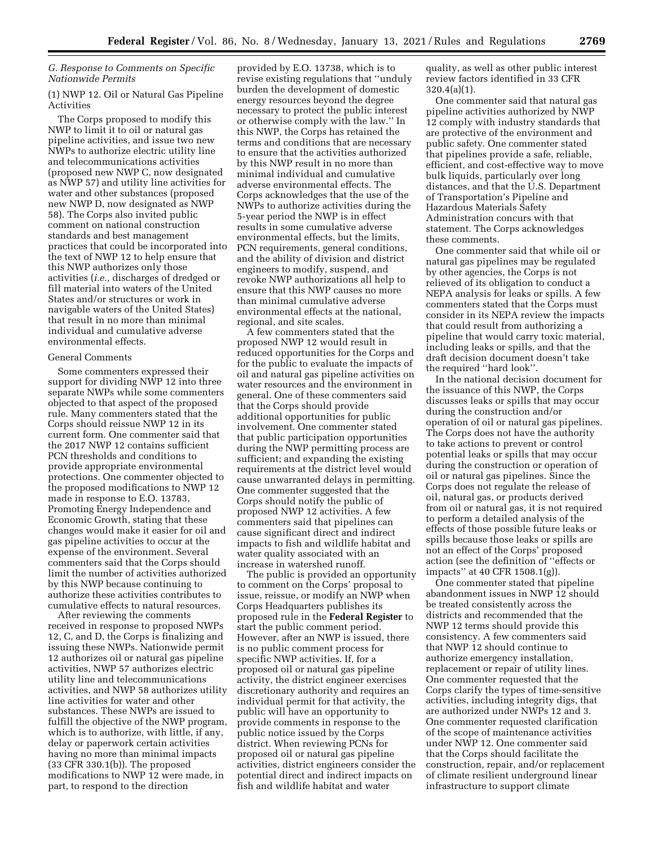# *G. Response to Comments on Specific Nationwide Permits*

# (1) NWP 12. Oil or Natural Gas Pipeline Activities

The Corps proposed to modify this NWP to limit it to oil or natural gas pipeline activities, and issue two new NWPs to authorize electric utility line and telecommunications activities (proposed new NWP C, now designated as NWP 57) and utility line activities for water and other substances (proposed new NWP D, now designated as NWP 58). The Corps also invited public comment on national construction standards and best management practices that could be incorporated into the text of NWP 12 to help ensure that this NWP authorizes only those activities (*i.e.,* discharges of dredged or fill material into waters of the United States and/or structures or work in navigable waters of the United States) that result in no more than minimal individual and cumulative adverse environmental effects.

#### General Comments

Some commenters expressed their support for dividing NWP 12 into three separate NWPs while some commenters objected to that aspect of the proposed rule. Many commenters stated that the Corps should reissue NWP 12 in its current form. One commenter said that the 2017 NWP 12 contains sufficient PCN thresholds and conditions to provide appropriate environmental protections. One commenter objected to the proposed modifications to NWP 12 made in response to E.O. 13783, Promoting Energy Independence and Economic Growth, stating that these changes would make it easier for oil and gas pipeline activities to occur at the expense of the environment. Several commenters said that the Corps should limit the number of activities authorized by this NWP because continuing to authorize these activities contributes to cumulative effects to natural resources.

After reviewing the comments received in response to proposed NWPs 12, C, and D, the Corps is finalizing and issuing these NWPs. Nationwide permit 12 authorizes oil or natural gas pipeline activities, NWP 57 authorizes electric utility line and telecommunications activities, and NWP 58 authorizes utility line activities for water and other substances. These NWPs are issued to fulfill the objective of the NWP program, which is to authorize, with little, if any, delay or paperwork certain activities having no more than minimal impacts (33 CFR 330.1(b)). The proposed modifications to NWP 12 were made, in part, to respond to the direction

provided by E.O. 13738, which is to revise existing regulations that ''unduly burden the development of domestic energy resources beyond the degree necessary to protect the public interest or otherwise comply with the law.'' In this NWP, the Corps has retained the terms and conditions that are necessary to ensure that the activities authorized by this NWP result in no more than minimal individual and cumulative adverse environmental effects. The Corps acknowledges that the use of the NWPs to authorize activities during the 5-year period the NWP is in effect results in some cumulative adverse environmental effects, but the limits, PCN requirements, general conditions, and the ability of division and district engineers to modify, suspend, and revoke NWP authorizations all help to ensure that this NWP causes no more than minimal cumulative adverse environmental effects at the national, regional, and site scales.

A few commenters stated that the proposed NWP 12 would result in reduced opportunities for the Corps and for the public to evaluate the impacts of oil and natural gas pipeline activities on water resources and the environment in general. One of these commenters said that the Corps should provide additional opportunities for public involvement. One commenter stated that public participation opportunities during the NWP permitting process are sufficient; and expanding the existing requirements at the district level would cause unwarranted delays in permitting. One commenter suggested that the Corps should notify the public of proposed NWP 12 activities. A few commenters said that pipelines can cause significant direct and indirect impacts to fish and wildlife habitat and water quality associated with an increase in watershed runoff.

The public is provided an opportunity to comment on the Corps' proposal to issue, reissue, or modify an NWP when Corps Headquarters publishes its proposed rule in the **Federal Register** to start the public comment period. However, after an NWP is issued, there is no public comment process for specific NWP activities. If, for a proposed oil or natural gas pipeline activity, the district engineer exercises discretionary authority and requires an individual permit for that activity, the public will have an opportunity to provide comments in response to the public notice issued by the Corps district. When reviewing PCNs for proposed oil or natural gas pipeline activities, district engineers consider the potential direct and indirect impacts on fish and wildlife habitat and water

quality, as well as other public interest review factors identified in 33 CFR 320.4(a)(1).

One commenter said that natural gas pipeline activities authorized by NWP 12 comply with industry standards that are protective of the environment and public safety. One commenter stated that pipelines provide a safe, reliable, efficient, and cost-effective way to move bulk liquids, particularly over long distances, and that the U.S. Department of Transportation's Pipeline and Hazardous Materials Safety Administration concurs with that statement. The Corps acknowledges these comments.

One commenter said that while oil or natural gas pipelines may be regulated by other agencies, the Corps is not relieved of its obligation to conduct a NEPA analysis for leaks or spills. A few commenters stated that the Corps must consider in its NEPA review the impacts that could result from authorizing a pipeline that would carry toxic material, including leaks or spills, and that the draft decision document doesn't take the required ''hard look''.

In the national decision document for the issuance of this NWP, the Corps discusses leaks or spills that may occur during the construction and/or operation of oil or natural gas pipelines. The Corps does not have the authority to take actions to prevent or control potential leaks or spills that may occur during the construction or operation of oil or natural gas pipelines. Since the Corps does not regulate the release of oil, natural gas, or products derived from oil or natural gas, it is not required to perform a detailed analysis of the effects of those possible future leaks or spills because those leaks or spills are not an effect of the Corps' proposed action (see the definition of ''effects or impacts'' at 40 CFR 1508.1(g)).

One commenter stated that pipeline abandonment issues in NWP 12 should be treated consistently across the districts and recommended that the NWP 12 terms should provide this consistency. A few commenters said that NWP 12 should continue to authorize emergency installation, replacement or repair of utility lines. One commenter requested that the Corps clarify the types of time-sensitive activities, including integrity digs, that are authorized under NWPs 12 and 3. One commenter requested clarification of the scope of maintenance activities under NWP 12. One commenter said that the Corps should facilitate the construction, repair, and/or replacement of climate resilient underground linear infrastructure to support climate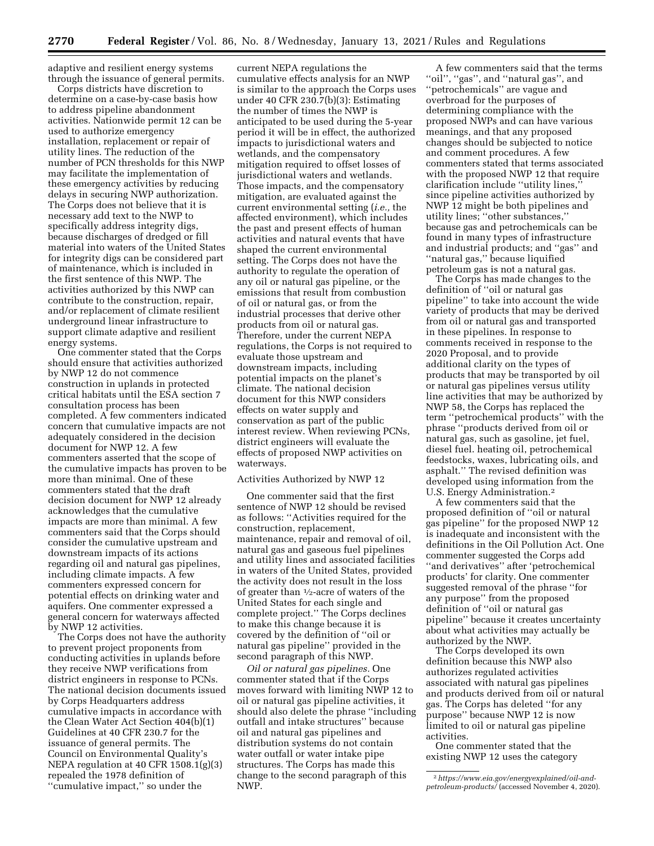adaptive and resilient energy systems through the issuance of general permits.

Corps districts have discretion to determine on a case-by-case basis how to address pipeline abandonment activities. Nationwide permit 12 can be used to authorize emergency installation, replacement or repair of utility lines. The reduction of the number of PCN thresholds for this NWP may facilitate the implementation of these emergency activities by reducing delays in securing NWP authorization. The Corps does not believe that it is necessary add text to the NWP to specifically address integrity digs, because discharges of dredged or fill material into waters of the United States for integrity digs can be considered part of maintenance, which is included in the first sentence of this NWP. The activities authorized by this NWP can contribute to the construction, repair, and/or replacement of climate resilient underground linear infrastructure to support climate adaptive and resilient energy systems.

One commenter stated that the Corps should ensure that activities authorized by NWP 12 do not commence construction in uplands in protected critical habitats until the ESA section 7 consultation process has been completed. A few commenters indicated concern that cumulative impacts are not adequately considered in the decision document for NWP 12. A few commenters asserted that the scope of the cumulative impacts has proven to be more than minimal. One of these commenters stated that the draft decision document for NWP 12 already acknowledges that the cumulative impacts are more than minimal. A few commenters said that the Corps should consider the cumulative upstream and downstream impacts of its actions regarding oil and natural gas pipelines, including climate impacts. A few commenters expressed concern for potential effects on drinking water and aquifers. One commenter expressed a general concern for waterways affected by NWP 12 activities.

The Corps does not have the authority to prevent project proponents from conducting activities in uplands before they receive NWP verifications from district engineers in response to PCNs. The national decision documents issued by Corps Headquarters address cumulative impacts in accordance with the Clean Water Act Section 404(b)(1) Guidelines at 40 CFR 230.7 for the issuance of general permits. The Council on Environmental Quality's NEPA regulation at 40 CFR 1508.1(g)(3) repealed the 1978 definition of ''cumulative impact,'' so under the

current NEPA regulations the cumulative effects analysis for an NWP is similar to the approach the Corps uses under 40 CFR 230.7(b)(3): Estimating the number of times the NWP is anticipated to be used during the 5-year period it will be in effect, the authorized impacts to jurisdictional waters and wetlands, and the compensatory mitigation required to offset losses of jurisdictional waters and wetlands. Those impacts, and the compensatory mitigation, are evaluated against the current environmental setting (*i.e.,* the affected environment), which includes the past and present effects of human activities and natural events that have shaped the current environmental setting. The Corps does not have the authority to regulate the operation of any oil or natural gas pipeline, or the emissions that result from combustion of oil or natural gas, or from the industrial processes that derive other products from oil or natural gas. Therefore, under the current NEPA regulations, the Corps is not required to evaluate those upstream and downstream impacts, including potential impacts on the planet's climate. The national decision document for this NWP considers effects on water supply and conservation as part of the public interest review. When reviewing PCNs, district engineers will evaluate the effects of proposed NWP activities on waterways.

#### Activities Authorized by NWP 12

One commenter said that the first sentence of NWP 12 should be revised as follows: ''Activities required for the construction, replacement, maintenance, repair and removal of oil, natural gas and gaseous fuel pipelines and utility lines and associated facilities in waters of the United States, provided the activity does not result in the loss of greater than 1⁄2-acre of waters of the United States for each single and complete project.'' The Corps declines to make this change because it is covered by the definition of ''oil or natural gas pipeline'' provided in the second paragraph of this NWP.

*Oil or natural gas pipelines.* One commenter stated that if the Corps moves forward with limiting NWP 12 to oil or natural gas pipeline activities, it should also delete the phrase ''including outfall and intake structures'' because oil and natural gas pipelines and distribution systems do not contain water outfall or water intake pipe structures. The Corps has made this change to the second paragraph of this NWP.

A few commenters said that the terms ''oil'', ''gas'', and ''natural gas'', and ''petrochemicals'' are vague and overbroad for the purposes of determining compliance with the proposed NWPs and can have various meanings, and that any proposed changes should be subjected to notice and comment procedures. A few commenters stated that terms associated with the proposed NWP 12 that require clarification include ''utility lines,'' since pipeline activities authorized by NWP 12 might be both pipelines and utility lines; ''other substances,'' because gas and petrochemicals can be found in many types of infrastructure and industrial products; and ''gas'' and ''natural gas,'' because liquified petroleum gas is not a natural gas.

The Corps has made changes to the definition of ''oil or natural gas pipeline'' to take into account the wide variety of products that may be derived from oil or natural gas and transported in these pipelines. In response to comments received in response to the 2020 Proposal, and to provide additional clarity on the types of products that may be transported by oil or natural gas pipelines versus utility line activities that may be authorized by NWP 58, the Corps has replaced the term ''petrochemical products'' with the phrase ''products derived from oil or natural gas, such as gasoline, jet fuel, diesel fuel. heating oil, petrochemical feedstocks, waxes, lubricating oils, and asphalt.'' The revised definition was developed using information from the U.S. Energy Administration.2

A few commenters said that the proposed definition of ''oil or natural gas pipeline'' for the proposed NWP 12 is inadequate and inconsistent with the definitions in the Oil Pollution Act. One commenter suggested the Corps add ''and derivatives'' after 'petrochemical products' for clarity. One commenter suggested removal of the phrase ''for any purpose'' from the proposed definition of ''oil or natural gas pipeline'' because it creates uncertainty about what activities may actually be authorized by the NWP.

The Corps developed its own definition because this NWP also authorizes regulated activities associated with natural gas pipelines and products derived from oil or natural gas. The Corps has deleted ''for any purpose'' because NWP 12 is now limited to oil or natural gas pipeline activities.

One commenter stated that the existing NWP 12 uses the category

<sup>2</sup>*[https://www.eia.gov/energyexplained/oil-and](https://www.eia.gov/energyexplained/oil-and-petroleum-products/)[petroleum-products/](https://www.eia.gov/energyexplained/oil-and-petroleum-products/)* (accessed November 4, 2020).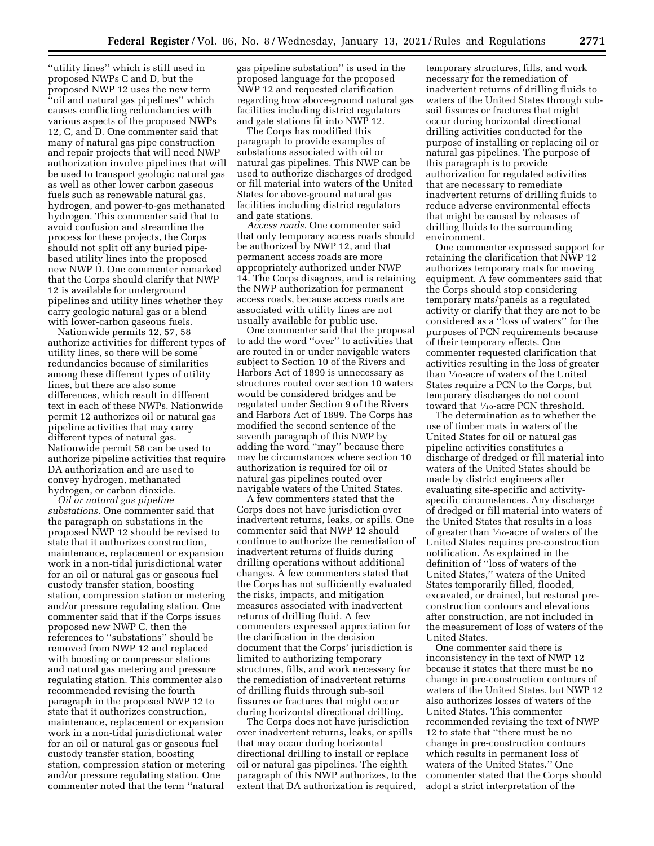''utility lines'' which is still used in proposed NWPs C and D, but the proposed NWP 12 uses the new term ''oil and natural gas pipelines'' which causes conflicting redundancies with various aspects of the proposed NWPs 12, C, and D. One commenter said that many of natural gas pipe construction and repair projects that will need NWP authorization involve pipelines that will be used to transport geologic natural gas as well as other lower carbon gaseous fuels such as renewable natural gas, hydrogen, and power-to-gas methanated hydrogen. This commenter said that to avoid confusion and streamline the process for these projects, the Corps should not split off any buried pipebased utility lines into the proposed new NWP D. One commenter remarked that the Corps should clarify that NWP 12 is available for underground pipelines and utility lines whether they carry geologic natural gas or a blend with lower-carbon gaseous fuels.

Nationwide permits 12, 57, 58 authorize activities for different types of utility lines, so there will be some redundancies because of similarities among these different types of utility lines, but there are also some differences, which result in different text in each of these NWPs. Nationwide permit 12 authorizes oil or natural gas pipeline activities that may carry different types of natural gas. Nationwide permit 58 can be used to authorize pipeline activities that require DA authorization and are used to convey hydrogen, methanated hydrogen, or carbon dioxide.

*Oil or natural gas pipeline substations.* One commenter said that the paragraph on substations in the proposed NWP 12 should be revised to state that it authorizes construction, maintenance, replacement or expansion work in a non-tidal jurisdictional water for an oil or natural gas or gaseous fuel custody transfer station, boosting station, compression station or metering and/or pressure regulating station. One commenter said that if the Corps issues proposed new NWP C, then the references to ''substations'' should be removed from NWP 12 and replaced with boosting or compressor stations and natural gas metering and pressure regulating station. This commenter also recommended revising the fourth paragraph in the proposed NWP 12 to state that it authorizes construction, maintenance, replacement or expansion work in a non-tidal jurisdictional water for an oil or natural gas or gaseous fuel custody transfer station, boosting station, compression station or metering and/or pressure regulating station. One commenter noted that the term ''natural

gas pipeline substation'' is used in the proposed language for the proposed NWP 12 and requested clarification regarding how above-ground natural gas facilities including district regulators and gate stations fit into NWP 12.

The Corps has modified this paragraph to provide examples of substations associated with oil or natural gas pipelines. This NWP can be used to authorize discharges of dredged or fill material into waters of the United States for above-ground natural gas facilities including district regulators and gate stations.

*Access roads.* One commenter said that only temporary access roads should be authorized by NWP 12, and that permanent access roads are more appropriately authorized under NWP 14. The Corps disagrees, and is retaining the NWP authorization for permanent access roads, because access roads are associated with utility lines are not usually available for public use.

One commenter said that the proposal to add the word ''over'' to activities that are routed in or under navigable waters subject to Section 10 of the Rivers and Harbors Act of 1899 is unnecessary as structures routed over section 10 waters would be considered bridges and be regulated under Section 9 of the Rivers and Harbors Act of 1899. The Corps has modified the second sentence of the seventh paragraph of this NWP by adding the word ''may'' because there may be circumstances where section 10 authorization is required for oil or natural gas pipelines routed over navigable waters of the United States.

A few commenters stated that the Corps does not have jurisdiction over inadvertent returns, leaks, or spills. One commenter said that NWP 12 should continue to authorize the remediation of inadvertent returns of fluids during drilling operations without additional changes. A few commenters stated that the Corps has not sufficiently evaluated the risks, impacts, and mitigation measures associated with inadvertent returns of drilling fluid. A few commenters expressed appreciation for the clarification in the decision document that the Corps' jurisdiction is limited to authorizing temporary structures, fills, and work necessary for the remediation of inadvertent returns of drilling fluids through sub-soil fissures or fractures that might occur during horizontal directional drilling.

The Corps does not have jurisdiction over inadvertent returns, leaks, or spills that may occur during horizontal directional drilling to install or replace oil or natural gas pipelines. The eighth paragraph of this NWP authorizes, to the extent that DA authorization is required,

temporary structures, fills, and work necessary for the remediation of inadvertent returns of drilling fluids to waters of the United States through subsoil fissures or fractures that might occur during horizontal directional drilling activities conducted for the purpose of installing or replacing oil or natural gas pipelines. The purpose of this paragraph is to provide authorization for regulated activities that are necessary to remediate inadvertent returns of drilling fluids to reduce adverse environmental effects that might be caused by releases of drilling fluids to the surrounding environment.

One commenter expressed support for retaining the clarification that NWP 12 authorizes temporary mats for moving equipment. A few commenters said that the Corps should stop considering temporary mats/panels as a regulated activity or clarify that they are not to be considered as a ''loss of waters'' for the purposes of PCN requirements because of their temporary effects. One commenter requested clarification that activities resulting in the loss of greater than 1⁄10-acre of waters of the United States require a PCN to the Corps, but temporary discharges do not count toward that 1/10-acre PCN threshold.

The determination as to whether the use of timber mats in waters of the United States for oil or natural gas pipeline activities constitutes a discharge of dredged or fill material into waters of the United States should be made by district engineers after evaluating site-specific and activityspecific circumstances. Any discharge of dredged or fill material into waters of the United States that results in a loss of greater than  $\frac{1}{10}$ -acre of waters of the United States requires pre-construction notification. As explained in the definition of ''loss of waters of the United States,'' waters of the United States temporarily filled, flooded, excavated, or drained, but restored preconstruction contours and elevations after construction, are not included in the measurement of loss of waters of the United States.

One commenter said there is inconsistency in the text of NWP 12 because it states that there must be no change in pre-construction contours of waters of the United States, but NWP 12 also authorizes losses of waters of the United States. This commenter recommended revising the text of NWP 12 to state that ''there must be no change in pre-construction contours which results in permanent loss of waters of the United States.'' One commenter stated that the Corps should adopt a strict interpretation of the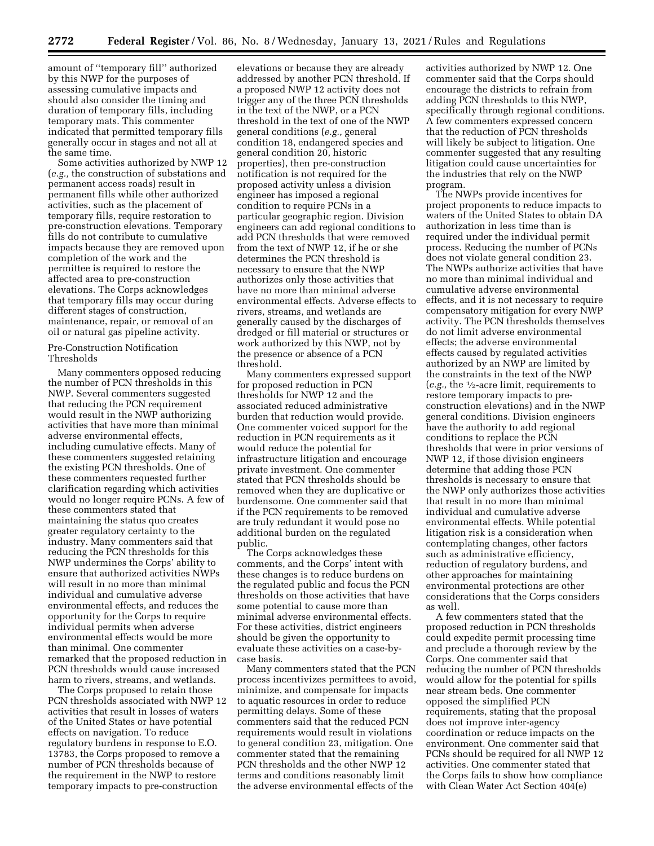amount of ''temporary fill'' authorized by this NWP for the purposes of assessing cumulative impacts and should also consider the timing and duration of temporary fills, including temporary mats. This commenter indicated that permitted temporary fills generally occur in stages and not all at the same time.

Some activities authorized by NWP 12 (*e.g.,* the construction of substations and permanent access roads) result in permanent fills while other authorized activities, such as the placement of temporary fills, require restoration to pre-construction elevations. Temporary fills do not contribute to cumulative impacts because they are removed upon completion of the work and the permittee is required to restore the affected area to pre-construction elevations. The Corps acknowledges that temporary fills may occur during different stages of construction, maintenance, repair, or removal of an oil or natural gas pipeline activity.

# Pre-Construction Notification Thresholds

Many commenters opposed reducing the number of PCN thresholds in this NWP. Several commenters suggested that reducing the PCN requirement would result in the NWP authorizing activities that have more than minimal adverse environmental effects, including cumulative effects. Many of these commenters suggested retaining the existing PCN thresholds. One of these commenters requested further clarification regarding which activities would no longer require PCNs. A few of these commenters stated that maintaining the status quo creates greater regulatory certainty to the industry. Many commenters said that reducing the PCN thresholds for this NWP undermines the Corps' ability to ensure that authorized activities NWPs will result in no more than minimal individual and cumulative adverse environmental effects, and reduces the opportunity for the Corps to require individual permits when adverse environmental effects would be more than minimal. One commenter remarked that the proposed reduction in PCN thresholds would cause increased harm to rivers, streams, and wetlands.

The Corps proposed to retain those PCN thresholds associated with NWP 12 activities that result in losses of waters of the United States or have potential effects on navigation. To reduce regulatory burdens in response to E.O. 13783, the Corps proposed to remove a number of PCN thresholds because of the requirement in the NWP to restore temporary impacts to pre-construction

elevations or because they are already addressed by another PCN threshold. If a proposed NWP 12 activity does not trigger any of the three PCN thresholds in the text of the NWP, or a PCN threshold in the text of one of the NWP general conditions (*e.g.,* general condition 18, endangered species and general condition 20, historic properties), then pre-construction notification is not required for the proposed activity unless a division engineer has imposed a regional condition to require PCNs in a particular geographic region. Division engineers can add regional conditions to add PCN thresholds that were removed from the text of NWP 12, if he or she determines the PCN threshold is necessary to ensure that the NWP authorizes only those activities that have no more than minimal adverse environmental effects. Adverse effects to rivers, streams, and wetlands are generally caused by the discharges of dredged or fill material or structures or work authorized by this NWP, not by the presence or absence of a PCN threshold.

Many commenters expressed support for proposed reduction in PCN thresholds for NWP 12 and the associated reduced administrative burden that reduction would provide. One commenter voiced support for the reduction in PCN requirements as it would reduce the potential for infrastructure litigation and encourage private investment. One commenter stated that PCN thresholds should be removed when they are duplicative or burdensome. One commenter said that if the PCN requirements to be removed are truly redundant it would pose no additional burden on the regulated public.

The Corps acknowledges these comments, and the Corps' intent with these changes is to reduce burdens on the regulated public and focus the PCN thresholds on those activities that have some potential to cause more than minimal adverse environmental effects. For these activities, district engineers should be given the opportunity to evaluate these activities on a case-bycase basis.

Many commenters stated that the PCN process incentivizes permittees to avoid, minimize, and compensate for impacts to aquatic resources in order to reduce permitting delays. Some of these commenters said that the reduced PCN requirements would result in violations to general condition 23, mitigation. One commenter stated that the remaining PCN thresholds and the other NWP 12 terms and conditions reasonably limit the adverse environmental effects of the

activities authorized by NWP 12. One commenter said that the Corps should encourage the districts to refrain from adding PCN thresholds to this NWP, specifically through regional conditions. A few commenters expressed concern that the reduction of PCN thresholds will likely be subject to litigation. One commenter suggested that any resulting litigation could cause uncertainties for the industries that rely on the NWP program.

The NWPs provide incentives for project proponents to reduce impacts to waters of the United States to obtain DA authorization in less time than is required under the individual permit process. Reducing the number of PCNs does not violate general condition 23. The NWPs authorize activities that have no more than minimal individual and cumulative adverse environmental effects, and it is not necessary to require compensatory mitigation for every NWP activity. The PCN thresholds themselves do not limit adverse environmental effects; the adverse environmental effects caused by regulated activities authorized by an NWP are limited by the constraints in the text of the NWP (*e.g.,* the 1⁄2-acre limit, requirements to restore temporary impacts to preconstruction elevations) and in the NWP general conditions. Division engineers have the authority to add regional conditions to replace the PCN thresholds that were in prior versions of NWP 12, if those division engineers determine that adding those PCN thresholds is necessary to ensure that the NWP only authorizes those activities that result in no more than minimal individual and cumulative adverse environmental effects. While potential litigation risk is a consideration when contemplating changes, other factors such as administrative efficiency, reduction of regulatory burdens, and other approaches for maintaining environmental protections are other considerations that the Corps considers as well.

A few commenters stated that the proposed reduction in PCN thresholds could expedite permit processing time and preclude a thorough review by the Corps. One commenter said that reducing the number of PCN thresholds would allow for the potential for spills near stream beds. One commenter opposed the simplified PCN requirements, stating that the proposal does not improve inter-agency coordination or reduce impacts on the environment. One commenter said that PCNs should be required for all NWP 12 activities. One commenter stated that the Corps fails to show how compliance with Clean Water Act Section 404(e)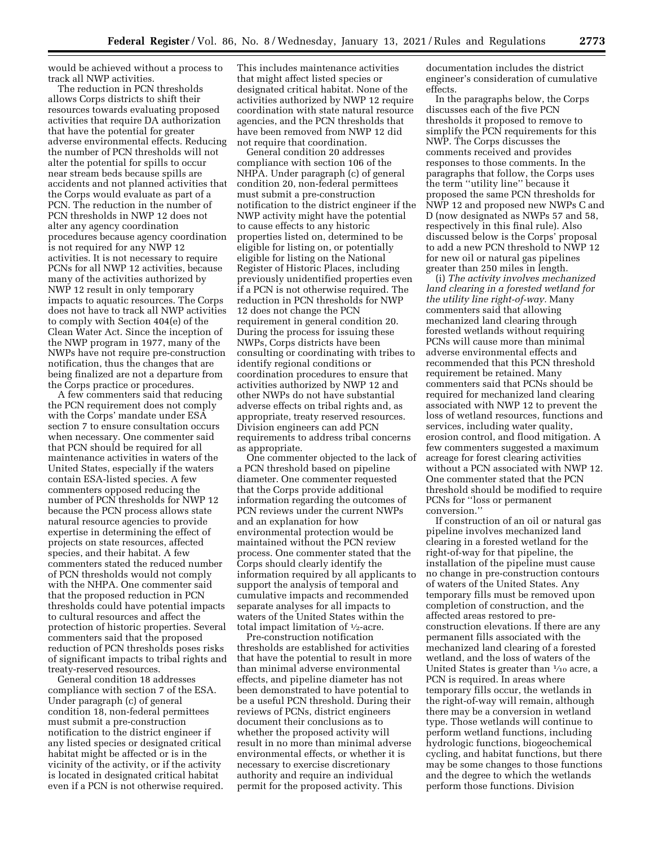would be achieved without a process to track all NWP activities.

The reduction in PCN thresholds allows Corps districts to shift their resources towards evaluating proposed activities that require DA authorization that have the potential for greater adverse environmental effects. Reducing the number of PCN thresholds will not alter the potential for spills to occur near stream beds because spills are accidents and not planned activities that the Corps would evaluate as part of a PCN. The reduction in the number of PCN thresholds in NWP 12 does not alter any agency coordination procedures because agency coordination is not required for any NWP 12 activities. It is not necessary to require PCNs for all NWP 12 activities, because many of the activities authorized by NWP 12 result in only temporary impacts to aquatic resources. The Corps does not have to track all NWP activities to comply with Section 404(e) of the Clean Water Act. Since the inception of the NWP program in 1977, many of the NWPs have not require pre-construction notification, thus the changes that are being finalized are not a departure from the Corps practice or procedures.

A few commenters said that reducing the PCN requirement does not comply with the Corps' mandate under ESA section 7 to ensure consultation occurs when necessary. One commenter said that PCN should be required for all maintenance activities in waters of the United States, especially if the waters contain ESA-listed species. A few commenters opposed reducing the number of PCN thresholds for NWP 12 because the PCN process allows state natural resource agencies to provide expertise in determining the effect of projects on state resources, affected species, and their habitat. A few commenters stated the reduced number of PCN thresholds would not comply with the NHPA. One commenter said that the proposed reduction in PCN thresholds could have potential impacts to cultural resources and affect the protection of historic properties. Several commenters said that the proposed reduction of PCN thresholds poses risks of significant impacts to tribal rights and treaty-reserved resources.

General condition 18 addresses compliance with section 7 of the ESA. Under paragraph (c) of general condition 18, non-federal permittees must submit a pre-construction notification to the district engineer if any listed species or designated critical habitat might be affected or is in the vicinity of the activity, or if the activity is located in designated critical habitat even if a PCN is not otherwise required.

This includes maintenance activities that might affect listed species or designated critical habitat. None of the activities authorized by NWP 12 require coordination with state natural resource agencies, and the PCN thresholds that have been removed from NWP 12 did not require that coordination.

General condition 20 addresses compliance with section 106 of the NHPA. Under paragraph (c) of general condition 20, non-federal permittees must submit a pre-construction notification to the district engineer if the NWP activity might have the potential to cause effects to any historic properties listed on, determined to be eligible for listing on, or potentially eligible for listing on the National Register of Historic Places, including previously unidentified properties even if a PCN is not otherwise required. The reduction in PCN thresholds for NWP 12 does not change the PCN requirement in general condition 20. During the process for issuing these NWPs, Corps districts have been consulting or coordinating with tribes to identify regional conditions or coordination procedures to ensure that activities authorized by NWP 12 and other NWPs do not have substantial adverse effects on tribal rights and, as appropriate, treaty reserved resources. Division engineers can add PCN requirements to address tribal concerns as appropriate.

One commenter objected to the lack of a PCN threshold based on pipeline diameter. One commenter requested that the Corps provide additional information regarding the outcomes of PCN reviews under the current NWPs and an explanation for how environmental protection would be maintained without the PCN review process. One commenter stated that the Corps should clearly identify the information required by all applicants to support the analysis of temporal and cumulative impacts and recommended separate analyses for all impacts to waters of the United States within the total impact limitation of  $\frac{1}{2}$ -acre.

Pre-construction notification thresholds are established for activities that have the potential to result in more than minimal adverse environmental effects, and pipeline diameter has not been demonstrated to have potential to be a useful PCN threshold. During their reviews of PCNs, district engineers document their conclusions as to whether the proposed activity will result in no more than minimal adverse environmental effects, or whether it is necessary to exercise discretionary authority and require an individual permit for the proposed activity. This

documentation includes the district engineer's consideration of cumulative effects.

In the paragraphs below, the Corps discusses each of the five PCN thresholds it proposed to remove to simplify the PCN requirements for this NWP. The Corps discusses the comments received and provides responses to those comments. In the paragraphs that follow, the Corps uses the term ''utility line'' because it proposed the same PCN thresholds for NWP 12 and proposed new NWPs C and D (now designated as NWPs 57 and 58, respectively in this final rule). Also discussed below is the Corps' proposal to add a new PCN threshold to NWP 12 for new oil or natural gas pipelines greater than 250 miles in length.

(i) *The activity involves mechanized land clearing in a forested wetland for the utility line right-of-way.* Many commenters said that allowing mechanized land clearing through forested wetlands without requiring PCNs will cause more than minimal adverse environmental effects and recommended that this PCN threshold requirement be retained. Many commenters said that PCNs should be required for mechanized land clearing associated with NWP 12 to prevent the loss of wetland resources, functions and services, including water quality, erosion control, and flood mitigation. A few commenters suggested a maximum acreage for forest clearing activities without a PCN associated with NWP 12. One commenter stated that the PCN threshold should be modified to require PCNs for ''loss or permanent conversion.''

If construction of an oil or natural gas pipeline involves mechanized land clearing in a forested wetland for the right-of-way for that pipeline, the installation of the pipeline must cause no change in pre-construction contours of waters of the United States. Any temporary fills must be removed upon completion of construction, and the affected areas restored to preconstruction elevations. If there are any permanent fills associated with the mechanized land clearing of a forested wetland, and the loss of waters of the United States is greater than  $\frac{1}{10}$  acre, a PCN is required. In areas where temporary fills occur, the wetlands in the right-of-way will remain, although there may be a conversion in wetland type. Those wetlands will continue to perform wetland functions, including hydrologic functions, biogeochemical cycling, and habitat functions, but there may be some changes to those functions and the degree to which the wetlands perform those functions. Division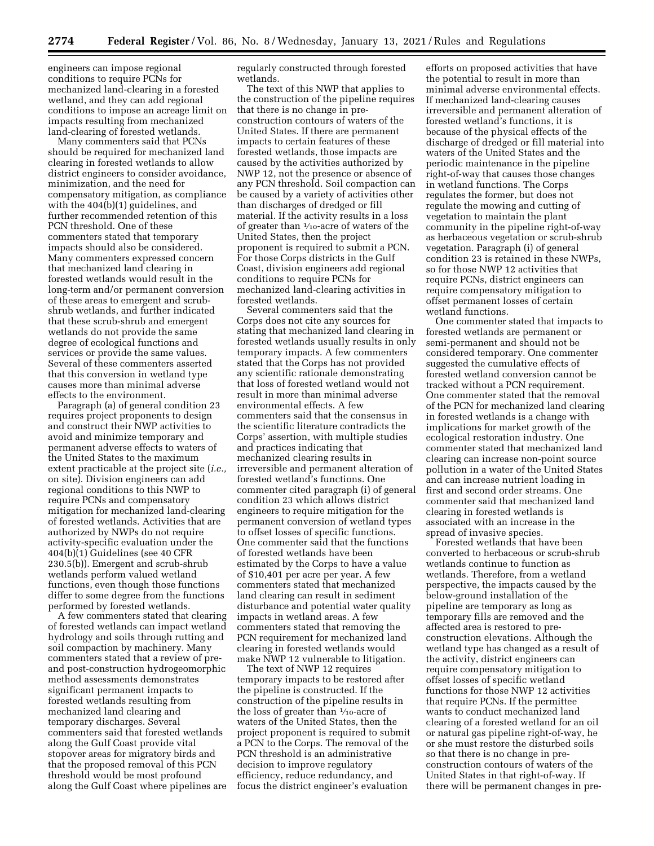engineers can impose regional conditions to require PCNs for mechanized land-clearing in a forested wetland, and they can add regional conditions to impose an acreage limit on impacts resulting from mechanized land-clearing of forested wetlands.

Many commenters said that PCNs should be required for mechanized land clearing in forested wetlands to allow district engineers to consider avoidance, minimization, and the need for compensatory mitigation, as compliance with the 404(b)(1) guidelines, and further recommended retention of this PCN threshold. One of these commenters stated that temporary impacts should also be considered. Many commenters expressed concern that mechanized land clearing in forested wetlands would result in the long-term and/or permanent conversion of these areas to emergent and scrubshrub wetlands, and further indicated that these scrub-shrub and emergent wetlands do not provide the same degree of ecological functions and services or provide the same values. Several of these commenters asserted that this conversion in wetland type causes more than minimal adverse effects to the environment.

Paragraph (a) of general condition 23 requires project proponents to design and construct their NWP activities to avoid and minimize temporary and permanent adverse effects to waters of the United States to the maximum extent practicable at the project site (*i.e.,*  on site). Division engineers can add regional conditions to this NWP to require PCNs and compensatory mitigation for mechanized land-clearing of forested wetlands. Activities that are authorized by NWPs do not require activity-specific evaluation under the 404(b)(1) Guidelines (see 40 CFR 230.5(b)). Emergent and scrub-shrub wetlands perform valued wetland functions, even though those functions differ to some degree from the functions performed by forested wetlands.

A few commenters stated that clearing of forested wetlands can impact wetland hydrology and soils through rutting and soil compaction by machinery. Many commenters stated that a review of preand post-construction hydrogeomorphic method assessments demonstrates significant permanent impacts to forested wetlands resulting from mechanized land clearing and temporary discharges. Several commenters said that forested wetlands along the Gulf Coast provide vital stopover areas for migratory birds and that the proposed removal of this PCN threshold would be most profound along the Gulf Coast where pipelines are regularly constructed through forested wetlands.

The text of this NWP that applies to the construction of the pipeline requires that there is no change in preconstruction contours of waters of the United States. If there are permanent impacts to certain features of these forested wetlands, those impacts are caused by the activities authorized by NWP 12, not the presence or absence of any PCN threshold. Soil compaction can be caused by a variety of activities other than discharges of dredged or fill material. If the activity results in a loss of greater than 1⁄10-acre of waters of the United States, then the project proponent is required to submit a PCN. For those Corps districts in the Gulf Coast, division engineers add regional conditions to require PCNs for mechanized land-clearing activities in forested wetlands.

Several commenters said that the Corps does not cite any sources for stating that mechanized land clearing in forested wetlands usually results in only temporary impacts. A few commenters stated that the Corps has not provided any scientific rationale demonstrating that loss of forested wetland would not result in more than minimal adverse environmental effects. A few commenters said that the consensus in the scientific literature contradicts the Corps' assertion, with multiple studies and practices indicating that mechanized clearing results in irreversible and permanent alteration of forested wetland's functions. One commenter cited paragraph (i) of general condition 23 which allows district engineers to require mitigation for the permanent conversion of wetland types to offset losses of specific functions. One commenter said that the functions of forested wetlands have been estimated by the Corps to have a value of \$10,401 per acre per year. A few commenters stated that mechanized land clearing can result in sediment disturbance and potential water quality impacts in wetland areas. A few commenters stated that removing the PCN requirement for mechanized land clearing in forested wetlands would make NWP 12 vulnerable to litigation.

The text of NWP 12 requires temporary impacts to be restored after the pipeline is constructed. If the construction of the pipeline results in the loss of greater than  $\frac{1}{10}$ -acre of waters of the United States, then the project proponent is required to submit a PCN to the Corps. The removal of the PCN threshold is an administrative decision to improve regulatory efficiency, reduce redundancy, and focus the district engineer's evaluation

efforts on proposed activities that have the potential to result in more than minimal adverse environmental effects. If mechanized land-clearing causes irreversible and permanent alteration of forested wetland's functions, it is because of the physical effects of the discharge of dredged or fill material into waters of the United States and the periodic maintenance in the pipeline right-of-way that causes those changes in wetland functions. The Corps regulates the former, but does not regulate the mowing and cutting of vegetation to maintain the plant community in the pipeline right-of-way as herbaceous vegetation or scrub-shrub vegetation. Paragraph (i) of general condition 23 is retained in these NWPs, so for those NWP 12 activities that require PCNs, district engineers can require compensatory mitigation to offset permanent losses of certain wetland functions.

One commenter stated that impacts to forested wetlands are permanent or semi-permanent and should not be considered temporary. One commenter suggested the cumulative effects of forested wetland conversion cannot be tracked without a PCN requirement. One commenter stated that the removal of the PCN for mechanized land clearing in forested wetlands is a change with implications for market growth of the ecological restoration industry. One commenter stated that mechanized land clearing can increase non-point source pollution in a water of the United States and can increase nutrient loading in first and second order streams. One commenter said that mechanized land clearing in forested wetlands is associated with an increase in the spread of invasive species.

Forested wetlands that have been converted to herbaceous or scrub-shrub wetlands continue to function as wetlands. Therefore, from a wetland perspective, the impacts caused by the below-ground installation of the pipeline are temporary as long as temporary fills are removed and the affected area is restored to preconstruction elevations. Although the wetland type has changed as a result of the activity, district engineers can require compensatory mitigation to offset losses of specific wetland functions for those NWP 12 activities that require PCNs. If the permittee wants to conduct mechanized land clearing of a forested wetland for an oil or natural gas pipeline right-of-way, he or she must restore the disturbed soils so that there is no change in preconstruction contours of waters of the United States in that right-of-way. If there will be permanent changes in pre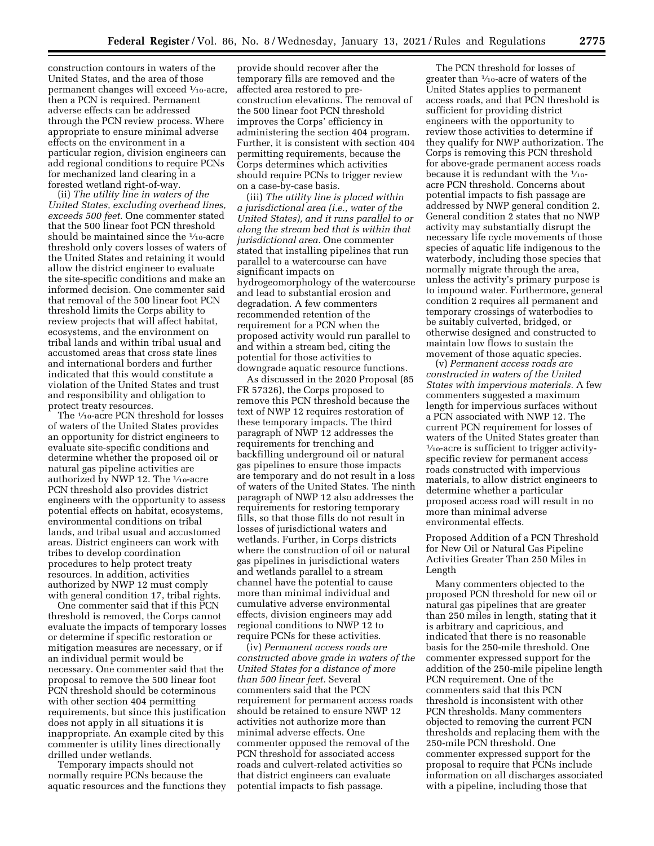construction contours in waters of the United States, and the area of those permanent changes will exceed 1⁄10-acre, then a PCN is required. Permanent adverse effects can be addressed through the PCN review process. Where appropriate to ensure minimal adverse effects on the environment in a particular region, division engineers can add regional conditions to require PCNs for mechanized land clearing in a forested wetland right-of-way.

(ii) *The utility line in waters of the United States, excluding overhead lines, exceeds 500 feet.* One commenter stated that the 500 linear foot PCN threshold should be maintained since the  $\frac{1}{10}$ -acre threshold only covers losses of waters of the United States and retaining it would allow the district engineer to evaluate the site-specific conditions and make an informed decision. One commenter said that removal of the 500 linear foot PCN threshold limits the Corps ability to review projects that will affect habitat, ecosystems, and the environment on tribal lands and within tribal usual and accustomed areas that cross state lines and international borders and further indicated that this would constitute a violation of the United States and trust and responsibility and obligation to protect treaty resources.

The 1⁄10-acre PCN threshold for losses of waters of the United States provides an opportunity for district engineers to evaluate site-specific conditions and determine whether the proposed oil or natural gas pipeline activities are authorized by NWP 12. The 1/10-acre PCN threshold also provides district engineers with the opportunity to assess potential effects on habitat, ecosystems, environmental conditions on tribal lands, and tribal usual and accustomed areas. District engineers can work with tribes to develop coordination procedures to help protect treaty resources. In addition, activities authorized by NWP 12 must comply with general condition 17, tribal rights.

One commenter said that if this PCN threshold is removed, the Corps cannot evaluate the impacts of temporary losses or determine if specific restoration or mitigation measures are necessary, or if an individual permit would be necessary. One commenter said that the proposal to remove the 500 linear foot PCN threshold should be coterminous with other section 404 permitting requirements, but since this justification does not apply in all situations it is inappropriate. An example cited by this commenter is utility lines directionally drilled under wetlands.

Temporary impacts should not normally require PCNs because the aquatic resources and the functions they

provide should recover after the temporary fills are removed and the affected area restored to preconstruction elevations. The removal of the 500 linear foot PCN threshold improves the Corps' efficiency in administering the section 404 program. Further, it is consistent with section 404 permitting requirements, because the Corps determines which activities should require PCNs to trigger review on a case-by-case basis.

(iii) *The utility line is placed within a jurisdictional area (i.e., water of the United States), and it runs parallel to or along the stream bed that is within that jurisdictional area.* One commenter stated that installing pipelines that run parallel to a watercourse can have significant impacts on hydrogeomorphology of the watercourse and lead to substantial erosion and degradation. A few commenters recommended retention of the requirement for a PCN when the proposed activity would run parallel to and within a stream bed, citing the potential for those activities to downgrade aquatic resource functions.

As discussed in the 2020 Proposal (85 FR 57326), the Corps proposed to remove this PCN threshold because the text of NWP 12 requires restoration of these temporary impacts. The third paragraph of NWP 12 addresses the requirements for trenching and backfilling underground oil or natural gas pipelines to ensure those impacts are temporary and do not result in a loss of waters of the United States. The ninth paragraph of NWP 12 also addresses the requirements for restoring temporary fills, so that those fills do not result in losses of jurisdictional waters and wetlands. Further, in Corps districts where the construction of oil or natural gas pipelines in jurisdictional waters and wetlands parallel to a stream channel have the potential to cause more than minimal individual and cumulative adverse environmental effects, division engineers may add regional conditions to NWP 12 to require PCNs for these activities.

(iv) *Permanent access roads are constructed above grade in waters of the United States for a distance of more than 500 linear feet.* Several commenters said that the PCN requirement for permanent access roads should be retained to ensure NWP 12 activities not authorize more than minimal adverse effects. One commenter opposed the removal of the PCN threshold for associated access roads and culvert-related activities so that district engineers can evaluate potential impacts to fish passage.

The PCN threshold for losses of greater than 1⁄10-acre of waters of the United States applies to permanent access roads, and that PCN threshold is sufficient for providing district engineers with the opportunity to review those activities to determine if they qualify for NWP authorization. The Corps is removing this PCN threshold for above-grade permanent access roads because it is redundant with the  $\frac{1}{10}$ acre PCN threshold. Concerns about potential impacts to fish passage are addressed by NWP general condition 2. General condition 2 states that no NWP activity may substantially disrupt the necessary life cycle movements of those species of aquatic life indigenous to the waterbody, including those species that normally migrate through the area, unless the activity's primary purpose is to impound water. Furthermore, general condition 2 requires all permanent and temporary crossings of waterbodies to be suitably culverted, bridged, or otherwise designed and constructed to maintain low flows to sustain the movement of those aquatic species.

(v) *Permanent access roads are constructed in waters of the United States with impervious materials.* A few commenters suggested a maximum length for impervious surfaces without a PCN associated with NWP 12. The current PCN requirement for losses of waters of the United States greater than  $\frac{1}{10}$ -acre is sufficient to trigger activityspecific review for permanent access roads constructed with impervious materials, to allow district engineers to determine whether a particular proposed access road will result in no more than minimal adverse environmental effects.

Proposed Addition of a PCN Threshold for New Oil or Natural Gas Pipeline Activities Greater Than 250 Miles in Length

Many commenters objected to the proposed PCN threshold for new oil or natural gas pipelines that are greater than 250 miles in length, stating that it is arbitrary and capricious, and indicated that there is no reasonable basis for the 250-mile threshold. One commenter expressed support for the addition of the 250-mile pipeline length PCN requirement. One of the commenters said that this PCN threshold is inconsistent with other PCN thresholds. Many commenters objected to removing the current PCN thresholds and replacing them with the 250-mile PCN threshold. One commenter expressed support for the proposal to require that PCNs include information on all discharges associated with a pipeline, including those that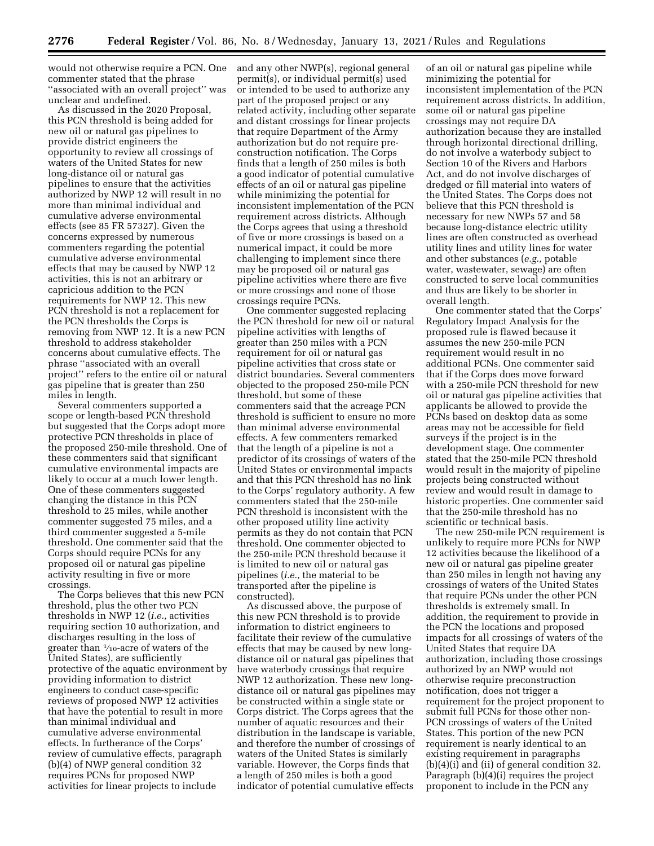would not otherwise require a PCN. One commenter stated that the phrase ''associated with an overall project'' was unclear and undefined.

As discussed in the 2020 Proposal, this PCN threshold is being added for new oil or natural gas pipelines to provide district engineers the opportunity to review all crossings of waters of the United States for new long-distance oil or natural gas pipelines to ensure that the activities authorized by NWP 12 will result in no more than minimal individual and cumulative adverse environmental effects (see 85 FR 57327). Given the concerns expressed by numerous commenters regarding the potential cumulative adverse environmental effects that may be caused by NWP 12 activities, this is not an arbitrary or capricious addition to the PCN requirements for NWP 12. This new PCN threshold is not a replacement for the PCN thresholds the Corps is removing from NWP 12. It is a new PCN threshold to address stakeholder concerns about cumulative effects. The phrase ''associated with an overall project'' refers to the entire oil or natural gas pipeline that is greater than 250 miles in length.

Several commenters supported a scope or length-based PCN threshold but suggested that the Corps adopt more protective PCN thresholds in place of the proposed 250-mile threshold. One of these commenters said that significant cumulative environmental impacts are likely to occur at a much lower length. One of these commenters suggested changing the distance in this PCN threshold to 25 miles, while another commenter suggested 75 miles, and a third commenter suggested a 5-mile threshold. One commenter said that the Corps should require PCNs for any proposed oil or natural gas pipeline activity resulting in five or more crossings.

The Corps believes that this new PCN threshold, plus the other two PCN thresholds in NWP 12 (*i.e.,* activities requiring section 10 authorization, and discharges resulting in the loss of greater than 1⁄10-acre of waters of the United States), are sufficiently protective of the aquatic environment by providing information to district engineers to conduct case-specific reviews of proposed NWP 12 activities that have the potential to result in more than minimal individual and cumulative adverse environmental effects. In furtherance of the Corps' review of cumulative effects, paragraph (b)(4) of NWP general condition 32 requires PCNs for proposed NWP activities for linear projects to include

and any other NWP(s), regional general permit(s), or individual permit(s) used or intended to be used to authorize any part of the proposed project or any related activity, including other separate and distant crossings for linear projects that require Department of the Army authorization but do not require preconstruction notification. The Corps finds that a length of 250 miles is both a good indicator of potential cumulative effects of an oil or natural gas pipeline while minimizing the potential for inconsistent implementation of the PCN requirement across districts. Although the Corps agrees that using a threshold of five or more crossings is based on a numerical impact, it could be more challenging to implement since there may be proposed oil or natural gas pipeline activities where there are five or more crossings and none of those crossings require PCNs.

One commenter suggested replacing the PCN threshold for new oil or natural pipeline activities with lengths of greater than 250 miles with a PCN requirement for oil or natural gas pipeline activities that cross state or district boundaries. Several commenters objected to the proposed 250-mile PCN threshold, but some of these commenters said that the acreage PCN threshold is sufficient to ensure no more than minimal adverse environmental effects. A few commenters remarked that the length of a pipeline is not a predictor of its crossings of waters of the United States or environmental impacts and that this PCN threshold has no link to the Corps' regulatory authority. A few commenters stated that the 250-mile PCN threshold is inconsistent with the other proposed utility line activity permits as they do not contain that PCN threshold. One commenter objected to the 250-mile PCN threshold because it is limited to new oil or natural gas pipelines (*i.e.,* the material to be transported after the pipeline is constructed).

As discussed above, the purpose of this new PCN threshold is to provide information to district engineers to facilitate their review of the cumulative effects that may be caused by new longdistance oil or natural gas pipelines that have waterbody crossings that require NWP 12 authorization. These new longdistance oil or natural gas pipelines may be constructed within a single state or Corps district. The Corps agrees that the number of aquatic resources and their distribution in the landscape is variable, and therefore the number of crossings of waters of the United States is similarly variable. However, the Corps finds that a length of 250 miles is both a good indicator of potential cumulative effects

of an oil or natural gas pipeline while minimizing the potential for inconsistent implementation of the PCN requirement across districts. In addition, some oil or natural gas pipeline crossings may not require DA authorization because they are installed through horizontal directional drilling, do not involve a waterbody subject to Section 10 of the Rivers and Harbors Act, and do not involve discharges of dredged or fill material into waters of the United States. The Corps does not believe that this PCN threshold is necessary for new NWPs 57 and 58 because long-distance electric utility lines are often constructed as overhead utility lines and utility lines for water and other substances (*e.g.,* potable water, wastewater, sewage) are often constructed to serve local communities and thus are likely to be shorter in overall length.

One commenter stated that the Corps' Regulatory Impact Analysis for the proposed rule is flawed because it assumes the new 250-mile PCN requirement would result in no additional PCNs. One commenter said that if the Corps does move forward with a 250-mile PCN threshold for new oil or natural gas pipeline activities that applicants be allowed to provide the PCNs based on desktop data as some areas may not be accessible for field surveys if the project is in the development stage. One commenter stated that the 250-mile PCN threshold would result in the majority of pipeline projects being constructed without review and would result in damage to historic properties. One commenter said that the 250-mile threshold has no scientific or technical basis.

The new 250-mile PCN requirement is unlikely to require more PCNs for NWP 12 activities because the likelihood of a new oil or natural gas pipeline greater than 250 miles in length not having any crossings of waters of the United States that require PCNs under the other PCN thresholds is extremely small. In addition, the requirement to provide in the PCN the locations and proposed impacts for all crossings of waters of the United States that require DA authorization, including those crossings authorized by an NWP would not otherwise require preconstruction notification, does not trigger a requirement for the project proponent to submit full PCNs for those other non-PCN crossings of waters of the United States. This portion of the new PCN requirement is nearly identical to an existing requirement in paragraphs (b)(4)(i) and (ii) of general condition 32. Paragraph (b)(4)(i) requires the project proponent to include in the PCN any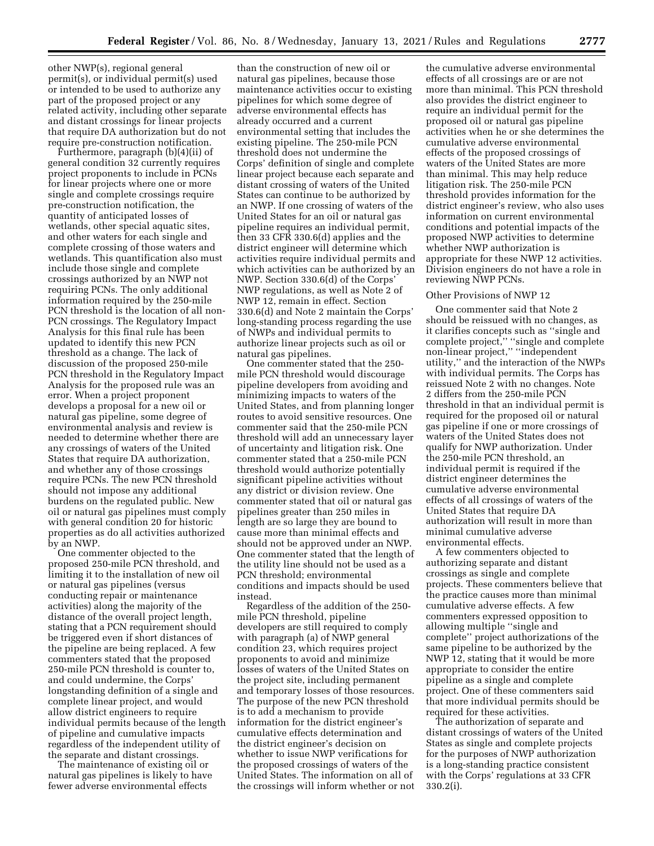other NWP(s), regional general permit(s), or individual permit(s) used or intended to be used to authorize any part of the proposed project or any related activity, including other separate and distant crossings for linear projects that require DA authorization but do not require pre-construction notification.

Furthermore, paragraph (b)(4)(ii) of general condition 32 currently requires project proponents to include in PCNs for linear projects where one or more single and complete crossings require pre-construction notification, the quantity of anticipated losses of wetlands, other special aquatic sites, and other waters for each single and complete crossing of those waters and wetlands. This quantification also must include those single and complete crossings authorized by an NWP not requiring PCNs. The only additional information required by the 250-mile PCN threshold is the location of all non-PCN crossings. The Regulatory Impact Analysis for this final rule has been updated to identify this new PCN threshold as a change. The lack of discussion of the proposed 250-mile PCN threshold in the Regulatory Impact Analysis for the proposed rule was an error. When a project proponent develops a proposal for a new oil or natural gas pipeline, some degree of environmental analysis and review is needed to determine whether there are any crossings of waters of the United States that require DA authorization, and whether any of those crossings require PCNs. The new PCN threshold should not impose any additional burdens on the regulated public. New oil or natural gas pipelines must comply with general condition 20 for historic properties as do all activities authorized by an NWP.

One commenter objected to the proposed 250-mile PCN threshold, and limiting it to the installation of new oil or natural gas pipelines (versus conducting repair or maintenance activities) along the majority of the distance of the overall project length, stating that a PCN requirement should be triggered even if short distances of the pipeline are being replaced. A few commenters stated that the proposed 250-mile PCN threshold is counter to, and could undermine, the Corps' longstanding definition of a single and complete linear project, and would allow district engineers to require individual permits because of the length of pipeline and cumulative impacts regardless of the independent utility of the separate and distant crossings.

The maintenance of existing oil or natural gas pipelines is likely to have fewer adverse environmental effects

than the construction of new oil or natural gas pipelines, because those maintenance activities occur to existing pipelines for which some degree of adverse environmental effects has already occurred and a current environmental setting that includes the existing pipeline. The 250-mile PCN threshold does not undermine the Corps' definition of single and complete linear project because each separate and distant crossing of waters of the United States can continue to be authorized by an NWP. If one crossing of waters of the United States for an oil or natural gas pipeline requires an individual permit, then 33 CFR 330.6(d) applies and the district engineer will determine which activities require individual permits and which activities can be authorized by an NWP. Section 330.6(d) of the Corps' NWP regulations, as well as Note 2 of NWP 12, remain in effect. Section 330.6(d) and Note 2 maintain the Corps' long-standing process regarding the use of NWPs and individual permits to authorize linear projects such as oil or natural gas pipelines.

One commenter stated that the 250 mile PCN threshold would discourage pipeline developers from avoiding and minimizing impacts to waters of the United States, and from planning longer routes to avoid sensitive resources. One commenter said that the 250-mile PCN threshold will add an unnecessary layer of uncertainty and litigation risk. One commenter stated that a 250-mile PCN threshold would authorize potentially significant pipeline activities without any district or division review. One commenter stated that oil or natural gas pipelines greater than 250 miles in length are so large they are bound to cause more than minimal effects and should not be approved under an NWP. One commenter stated that the length of the utility line should not be used as a PCN threshold; environmental conditions and impacts should be used instead.

Regardless of the addition of the 250 mile PCN threshold, pipeline developers are still required to comply with paragraph (a) of NWP general condition 23, which requires project proponents to avoid and minimize losses of waters of the United States on the project site, including permanent and temporary losses of those resources. The purpose of the new PCN threshold is to add a mechanism to provide information for the district engineer's cumulative effects determination and the district engineer's decision on whether to issue NWP verifications for the proposed crossings of waters of the United States. The information on all of the crossings will inform whether or not

the cumulative adverse environmental effects of all crossings are or are not more than minimal. This PCN threshold also provides the district engineer to require an individual permit for the proposed oil or natural gas pipeline activities when he or she determines the cumulative adverse environmental effects of the proposed crossings of waters of the United States are more than minimal. This may help reduce litigation risk. The 250-mile PCN threshold provides information for the district engineer's review, who also uses information on current environmental conditions and potential impacts of the proposed NWP activities to determine whether NWP authorization is appropriate for these NWP 12 activities. Division engineers do not have a role in reviewing NWP PCNs.

### Other Provisions of NWP 12

One commenter said that Note 2 should be reissued with no changes, as it clarifies concepts such as ''single and complete project,'' ''single and complete non-linear project,'' ''independent utility,'' and the interaction of the NWPs with individual permits. The Corps has reissued Note 2 with no changes. Note 2 differs from the 250-mile PCN threshold in that an individual permit is required for the proposed oil or natural gas pipeline if one or more crossings of waters of the United States does not qualify for NWP authorization. Under the 250-mile PCN threshold, an individual permit is required if the district engineer determines the cumulative adverse environmental effects of all crossings of waters of the United States that require DA authorization will result in more than minimal cumulative adverse environmental effects.

A few commenters objected to authorizing separate and distant crossings as single and complete projects. These commenters believe that the practice causes more than minimal cumulative adverse effects. A few commenters expressed opposition to allowing multiple ''single and complete'' project authorizations of the same pipeline to be authorized by the NWP 12, stating that it would be more appropriate to consider the entire pipeline as a single and complete project. One of these commenters said that more individual permits should be required for these activities.

The authorization of separate and distant crossings of waters of the United States as single and complete projects for the purposes of NWP authorization is a long-standing practice consistent with the Corps' regulations at 33 CFR 330.2(i).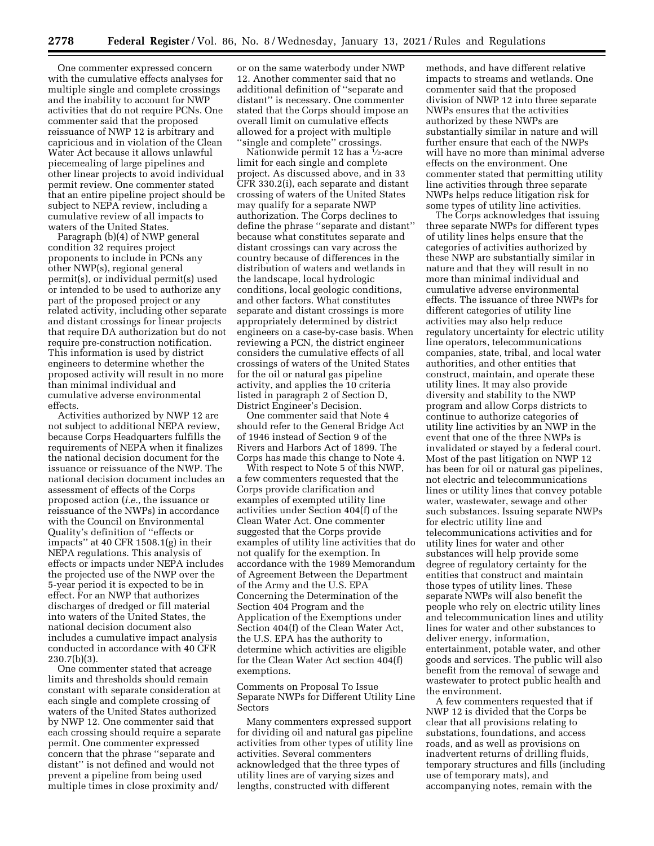One commenter expressed concern with the cumulative effects analyses for multiple single and complete crossings and the inability to account for NWP activities that do not require PCNs. One commenter said that the proposed reissuance of NWP 12 is arbitrary and capricious and in violation of the Clean Water Act because it allows unlawful piecemealing of large pipelines and other linear projects to avoid individual permit review. One commenter stated that an entire pipeline project should be subject to NEPA review, including a cumulative review of all impacts to waters of the United States.

Paragraph (b)(4) of NWP general condition 32 requires project proponents to include in PCNs any other NWP(s), regional general permit(s), or individual permit(s) used or intended to be used to authorize any part of the proposed project or any related activity, including other separate and distant crossings for linear projects that require DA authorization but do not require pre-construction notification. This information is used by district engineers to determine whether the proposed activity will result in no more than minimal individual and cumulative adverse environmental effects.

Activities authorized by NWP 12 are not subject to additional NEPA review, because Corps Headquarters fulfills the requirements of NEPA when it finalizes the national decision document for the issuance or reissuance of the NWP. The national decision document includes an assessment of effects of the Corps proposed action (*i.e.,* the issuance or reissuance of the NWPs) in accordance with the Council on Environmental Quality's definition of ''effects or impacts'' at 40 CFR 1508.1(g) in their NEPA regulations. This analysis of effects or impacts under NEPA includes the projected use of the NWP over the 5-year period it is expected to be in effect. For an NWP that authorizes discharges of dredged or fill material into waters of the United States, the national decision document also includes a cumulative impact analysis conducted in accordance with 40 CFR  $230.7(b)(3)$ .

One commenter stated that acreage limits and thresholds should remain constant with separate consideration at each single and complete crossing of waters of the United States authorized by NWP 12. One commenter said that each crossing should require a separate permit. One commenter expressed concern that the phrase ''separate and distant'' is not defined and would not prevent a pipeline from being used multiple times in close proximity and/

or on the same waterbody under NWP 12. Another commenter said that no additional definition of ''separate and distant'' is necessary. One commenter stated that the Corps should impose an overall limit on cumulative effects allowed for a project with multiple ''single and complete'' crossings.

Nationwide permit 12 has a  $\frac{1}{2}$ -acre limit for each single and complete project. As discussed above, and in 33 CFR 330.2(i), each separate and distant crossing of waters of the United States may qualify for a separate NWP authorization. The Corps declines to define the phrase ''separate and distant'' because what constitutes separate and distant crossings can vary across the country because of differences in the distribution of waters and wetlands in the landscape, local hydrologic conditions, local geologic conditions, and other factors. What constitutes separate and distant crossings is more appropriately determined by district engineers on a case-by-case basis. When reviewing a PCN, the district engineer considers the cumulative effects of all crossings of waters of the United States for the oil or natural gas pipeline activity, and applies the 10 criteria listed in paragraph 2 of Section D, District Engineer's Decision.

One commenter said that Note 4 should refer to the General Bridge Act of 1946 instead of Section 9 of the Rivers and Harbors Act of 1899. The Corps has made this change to Note 4.

With respect to Note 5 of this NWP, a few commenters requested that the Corps provide clarification and examples of exempted utility line activities under Section 404(f) of the Clean Water Act. One commenter suggested that the Corps provide examples of utility line activities that do not qualify for the exemption. In accordance with the 1989 Memorandum of Agreement Between the Department of the Army and the U.S. EPA Concerning the Determination of the Section 404 Program and the Application of the Exemptions under Section 404(f) of the Clean Water Act, the U.S. EPA has the authority to determine which activities are eligible for the Clean Water Act section 404(f) exemptions.

Comments on Proposal To Issue Separate NWPs for Different Utility Line Sectors

Many commenters expressed support for dividing oil and natural gas pipeline activities from other types of utility line activities. Several commenters acknowledged that the three types of utility lines are of varying sizes and lengths, constructed with different

methods, and have different relative impacts to streams and wetlands. One commenter said that the proposed division of NWP 12 into three separate NWPs ensures that the activities authorized by these NWPs are substantially similar in nature and will further ensure that each of the NWPs will have no more than minimal adverse effects on the environment. One commenter stated that permitting utility line activities through three separate NWPs helps reduce litigation risk for some types of utility line activities.

The Corps acknowledges that issuing three separate NWPs for different types of utility lines helps ensure that the categories of activities authorized by these NWP are substantially similar in nature and that they will result in no more than minimal individual and cumulative adverse environmental effects. The issuance of three NWPs for different categories of utility line activities may also help reduce regulatory uncertainty for electric utility line operators, telecommunications companies, state, tribal, and local water authorities, and other entities that construct, maintain, and operate these utility lines. It may also provide diversity and stability to the NWP program and allow Corps districts to continue to authorize categories of utility line activities by an NWP in the event that one of the three NWPs is invalidated or stayed by a federal court. Most of the past litigation on NWP 12 has been for oil or natural gas pipelines, not electric and telecommunications lines or utility lines that convey potable water, wastewater, sewage and other such substances. Issuing separate NWPs for electric utility line and telecommunications activities and for utility lines for water and other substances will help provide some degree of regulatory certainty for the entities that construct and maintain those types of utility lines. These separate NWPs will also benefit the people who rely on electric utility lines and telecommunication lines and utility lines for water and other substances to deliver energy, information, entertainment, potable water, and other goods and services. The public will also benefit from the removal of sewage and wastewater to protect public health and the environment.

A few commenters requested that if NWP 12 is divided that the Corps be clear that all provisions relating to substations, foundations, and access roads, and as well as provisions on inadvertent returns of drilling fluids, temporary structures and fills (including use of temporary mats), and accompanying notes, remain with the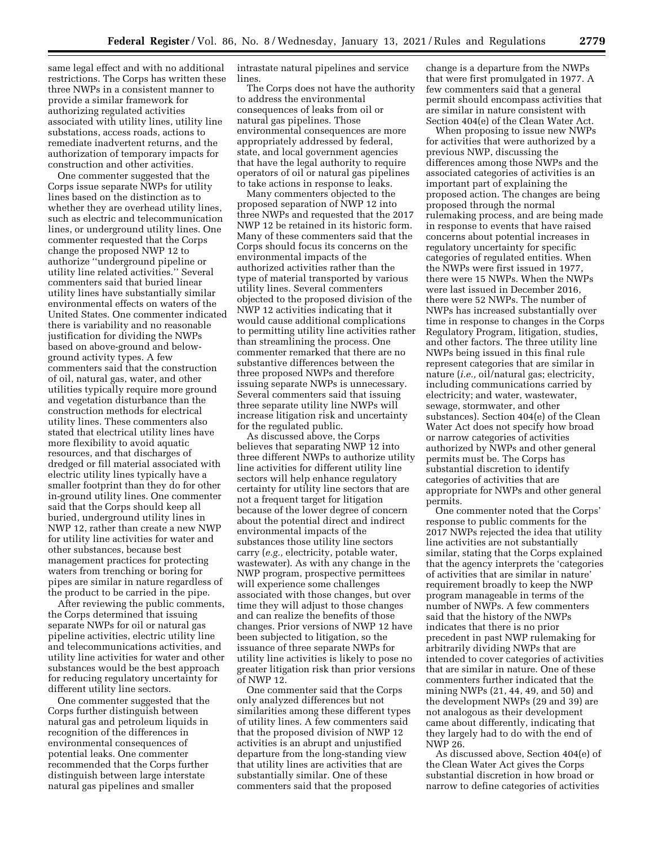same legal effect and with no additional restrictions. The Corps has written these three NWPs in a consistent manner to provide a similar framework for authorizing regulated activities associated with utility lines, utility line substations, access roads, actions to remediate inadvertent returns, and the authorization of temporary impacts for construction and other activities.

One commenter suggested that the Corps issue separate NWPs for utility lines based on the distinction as to whether they are overhead utility lines, such as electric and telecommunication lines, or underground utility lines. One commenter requested that the Corps change the proposed NWP 12 to authorize ''underground pipeline or utility line related activities.'' Several commenters said that buried linear utility lines have substantially similar environmental effects on waters of the United States. One commenter indicated there is variability and no reasonable justification for dividing the NWPs based on above-ground and belowground activity types. A few commenters said that the construction of oil, natural gas, water, and other utilities typically require more ground and vegetation disturbance than the construction methods for electrical utility lines. These commenters also stated that electrical utility lines have more flexibility to avoid aquatic resources, and that discharges of dredged or fill material associated with electric utility lines typically have a smaller footprint than they do for other in-ground utility lines. One commenter said that the Corps should keep all buried, underground utility lines in NWP 12, rather than create a new NWP for utility line activities for water and other substances, because best management practices for protecting waters from trenching or boring for pipes are similar in nature regardless of the product to be carried in the pipe.

After reviewing the public comments, the Corps determined that issuing separate NWPs for oil or natural gas pipeline activities, electric utility line and telecommunications activities, and utility line activities for water and other substances would be the best approach for reducing regulatory uncertainty for different utility line sectors.

One commenter suggested that the Corps further distinguish between natural gas and petroleum liquids in recognition of the differences in environmental consequences of potential leaks. One commenter recommended that the Corps further distinguish between large interstate natural gas pipelines and smaller

intrastate natural pipelines and service lines.

The Corps does not have the authority to address the environmental consequences of leaks from oil or natural gas pipelines. Those environmental consequences are more appropriately addressed by federal, state, and local government agencies that have the legal authority to require operators of oil or natural gas pipelines to take actions in response to leaks.

Many commenters objected to the proposed separation of NWP 12 into three NWPs and requested that the 2017 NWP 12 be retained in its historic form. Many of these commenters said that the Corps should focus its concerns on the environmental impacts of the authorized activities rather than the type of material transported by various utility lines. Several commenters objected to the proposed division of the NWP 12 activities indicating that it would cause additional complications to permitting utility line activities rather than streamlining the process. One commenter remarked that there are no substantive differences between the three proposed NWPs and therefore issuing separate NWPs is unnecessary. Several commenters said that issuing three separate utility line NWPs will increase litigation risk and uncertainty for the regulated public.

As discussed above, the Corps believes that separating NWP 12 into three different NWPs to authorize utility line activities for different utility line sectors will help enhance regulatory certainty for utility line sectors that are not a frequent target for litigation because of the lower degree of concern about the potential direct and indirect environmental impacts of the substances those utility line sectors carry (*e.g.,* electricity, potable water, wastewater). As with any change in the NWP program, prospective permittees will experience some challenges associated with those changes, but over time they will adjust to those changes and can realize the benefits of those changes. Prior versions of NWP 12 have been subjected to litigation, so the issuance of three separate NWPs for utility line activities is likely to pose no greater litigation risk than prior versions of NWP 12.

One commenter said that the Corps only analyzed differences but not similarities among these different types of utility lines. A few commenters said that the proposed division of NWP 12 activities is an abrupt and unjustified departure from the long-standing view that utility lines are activities that are substantially similar. One of these commenters said that the proposed

change is a departure from the NWPs that were first promulgated in 1977. A few commenters said that a general permit should encompass activities that are similar in nature consistent with Section 404(e) of the Clean Water Act.

When proposing to issue new NWPs for activities that were authorized by a previous NWP, discussing the differences among those NWPs and the associated categories of activities is an important part of explaining the proposed action. The changes are being proposed through the normal rulemaking process, and are being made in response to events that have raised concerns about potential increases in regulatory uncertainty for specific categories of regulated entities. When the NWPs were first issued in 1977, there were 15 NWPs. When the NWPs were last issued in December 2016, there were 52 NWPs. The number of NWPs has increased substantially over time in response to changes in the Corps Regulatory Program, litigation, studies, and other factors. The three utility line NWPs being issued in this final rule represent categories that are similar in nature (*i.e.,* oil/natural gas; electricity, including communications carried by electricity; and water, wastewater, sewage, stormwater, and other substances). Section 404(e) of the Clean Water Act does not specify how broad or narrow categories of activities authorized by NWPs and other general permits must be. The Corps has substantial discretion to identify categories of activities that are appropriate for NWPs and other general permits.

One commenter noted that the Corps' response to public comments for the 2017 NWPs rejected the idea that utility line activities are not substantially similar, stating that the Corps explained that the agency interprets the 'categories of activities that are similar in nature' requirement broadly to keep the NWP program manageable in terms of the number of NWPs. A few commenters said that the history of the NWPs indicates that there is no prior precedent in past NWP rulemaking for arbitrarily dividing NWPs that are intended to cover categories of activities that are similar in nature. One of these commenters further indicated that the mining NWPs (21, 44, 49, and 50) and the development NWPs (29 and 39) are not analogous as their development came about differently, indicating that they largely had to do with the end of NWP 26.

As discussed above, Section 404(e) of the Clean Water Act gives the Corps substantial discretion in how broad or narrow to define categories of activities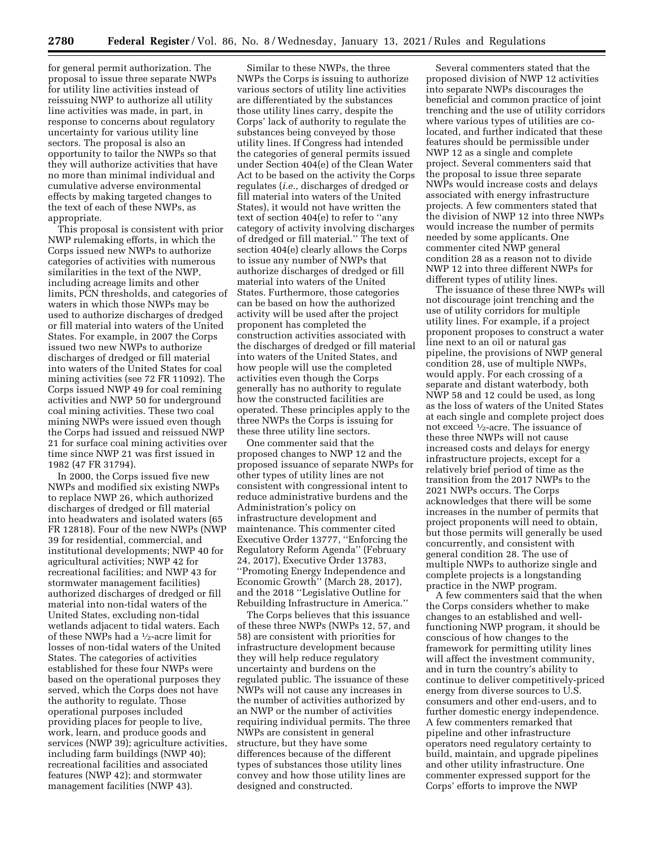for general permit authorization. The proposal to issue three separate NWPs for utility line activities instead of reissuing NWP to authorize all utility line activities was made, in part, in response to concerns about regulatory uncertainty for various utility line sectors. The proposal is also an opportunity to tailor the NWPs so that they will authorize activities that have no more than minimal individual and cumulative adverse environmental effects by making targeted changes to the text of each of these NWPs, as appropriate.

This proposal is consistent with prior NWP rulemaking efforts, in which the Corps issued new NWPs to authorize categories of activities with numerous similarities in the text of the NWP, including acreage limits and other limits, PCN thresholds, and categories of waters in which those NWPs may be used to authorize discharges of dredged or fill material into waters of the United States. For example, in 2007 the Corps issued two new NWPs to authorize discharges of dredged or fill material into waters of the United States for coal mining activities (see 72 FR 11092). The Corps issued NWP 49 for coal remining activities and NWP 50 for underground coal mining activities. These two coal mining NWPs were issued even though the Corps had issued and reissued NWP 21 for surface coal mining activities over time since NWP 21 was first issued in 1982 (47 FR 31794).

In 2000, the Corps issued five new NWPs and modified six existing NWPs to replace NWP 26, which authorized discharges of dredged or fill material into headwaters and isolated waters (65 FR 12818). Four of the new NWPs (NWP 39 for residential, commercial, and institutional developments; NWP 40 for agricultural activities; NWP 42 for recreational facilities; and NWP 43 for stormwater management facilities) authorized discharges of dredged or fill material into non-tidal waters of the United States, excluding non-tidal wetlands adjacent to tidal waters. Each of these NWPs had a 1⁄2-acre limit for losses of non-tidal waters of the United States. The categories of activities established for these four NWPs were based on the operational purposes they served, which the Corps does not have the authority to regulate. Those operational purposes included providing places for people to live, work, learn, and produce goods and services (NWP 39); agriculture activities, including farm buildings (NWP 40); recreational facilities and associated features (NWP 42); and stormwater management facilities (NWP 43).

Similar to these NWPs, the three NWPs the Corps is issuing to authorize various sectors of utility line activities are differentiated by the substances those utility lines carry, despite the Corps' lack of authority to regulate the substances being conveyed by those utility lines. If Congress had intended the categories of general permits issued under Section 404(e) of the Clean Water Act to be based on the activity the Corps regulates (*i.e.,* discharges of dredged or fill material into waters of the United States), it would not have written the text of section 404(e) to refer to ''any category of activity involving discharges of dredged or fill material.'' The text of section 404(e) clearly allows the Corps to issue any number of NWPs that authorize discharges of dredged or fill material into waters of the United States. Furthermore, those categories can be based on how the authorized activity will be used after the project proponent has completed the construction activities associated with the discharges of dredged or fill material into waters of the United States, and how people will use the completed activities even though the Corps generally has no authority to regulate how the constructed facilities are operated. These principles apply to the three NWPs the Corps is issuing for these three utility line sectors.

One commenter said that the proposed changes to NWP 12 and the proposed issuance of separate NWPs for other types of utility lines are not consistent with congressional intent to reduce administrative burdens and the Administration's policy on infrastructure development and maintenance. This commenter cited Executive Order 13777, ''Enforcing the Regulatory Reform Agenda'' (February 24, 2017), Executive Order 13783, ''Promoting Energy Independence and Economic Growth'' (March 28, 2017), and the 2018 ''Legislative Outline for Rebuilding Infrastructure in America.''

The Corps believes that this issuance of these three NWPs (NWPs 12, 57, and 58) are consistent with priorities for infrastructure development because they will help reduce regulatory uncertainty and burdens on the regulated public. The issuance of these NWPs will not cause any increases in the number of activities authorized by an NWP or the number of activities requiring individual permits. The three NWPs are consistent in general structure, but they have some differences because of the different types of substances those utility lines convey and how those utility lines are designed and constructed.

Several commenters stated that the proposed division of NWP 12 activities into separate NWPs discourages the beneficial and common practice of joint trenching and the use of utility corridors where various types of utilities are colocated, and further indicated that these features should be permissible under NWP 12 as a single and complete project. Several commenters said that the proposal to issue three separate NWPs would increase costs and delays associated with energy infrastructure projects. A few commenters stated that the division of NWP 12 into three NWPs would increase the number of permits needed by some applicants. One commenter cited NWP general condition 28 as a reason not to divide NWP 12 into three different NWPs for different types of utility lines.

The issuance of these three NWPs will not discourage joint trenching and the use of utility corridors for multiple utility lines. For example, if a project proponent proposes to construct a water line next to an oil or natural gas pipeline, the provisions of NWP general condition 28, use of multiple NWPs, would apply. For each crossing of a separate and distant waterbody, both NWP 58 and 12 could be used, as long as the loss of waters of the United States at each single and complete project does not exceed 1⁄2-acre. The issuance of these three NWPs will not cause increased costs and delays for energy infrastructure projects, except for a relatively brief period of time as the transition from the 2017 NWPs to the 2021 NWPs occurs. The Corps acknowledges that there will be some increases in the number of permits that project proponents will need to obtain, but those permits will generally be used concurrently, and consistent with general condition 28. The use of multiple NWPs to authorize single and complete projects is a longstanding practice in the NWP program.

A few commenters said that the when the Corps considers whether to make changes to an established and wellfunctioning NWP program, it should be conscious of how changes to the framework for permitting utility lines will affect the investment community, and in turn the country's ability to continue to deliver competitively-priced energy from diverse sources to U.S. consumers and other end-users, and to further domestic energy independence. A few commenters remarked that pipeline and other infrastructure operators need regulatory certainty to build, maintain, and upgrade pipelines and other utility infrastructure. One commenter expressed support for the Corps' efforts to improve the NWP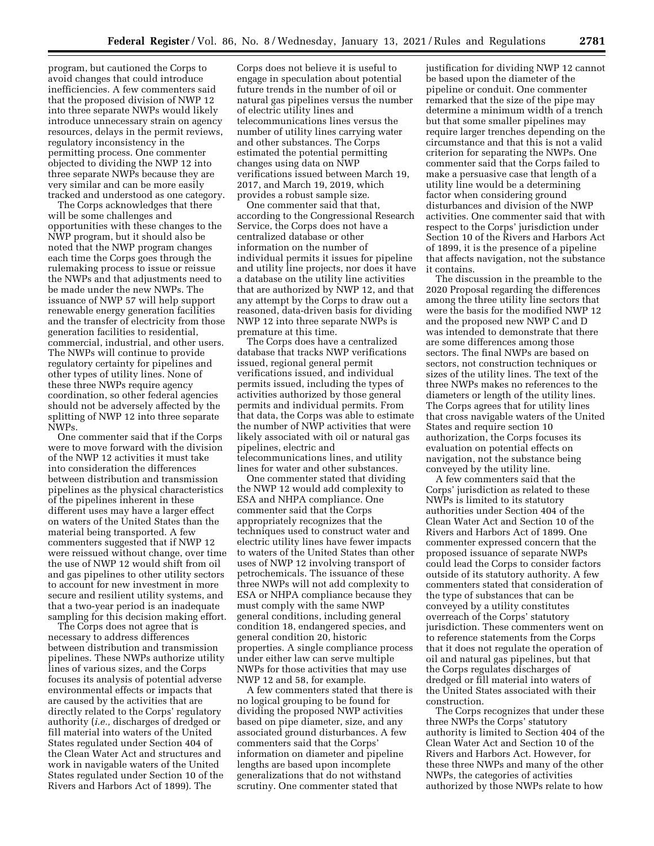program, but cautioned the Corps to avoid changes that could introduce inefficiencies. A few commenters said that the proposed division of NWP 12 into three separate NWPs would likely introduce unnecessary strain on agency resources, delays in the permit reviews, regulatory inconsistency in the permitting process. One commenter objected to dividing the NWP 12 into three separate NWPs because they are very similar and can be more easily tracked and understood as one category.

The Corps acknowledges that there will be some challenges and opportunities with these changes to the NWP program, but it should also be noted that the NWP program changes each time the Corps goes through the rulemaking process to issue or reissue the NWPs and that adjustments need to be made under the new NWPs. The issuance of NWP 57 will help support renewable energy generation facilities and the transfer of electricity from those generation facilities to residential, commercial, industrial, and other users. The NWPs will continue to provide regulatory certainty for pipelines and other types of utility lines. None of these three NWPs require agency coordination, so other federal agencies should not be adversely affected by the splitting of NWP 12 into three separate NWPs.

One commenter said that if the Corps were to move forward with the division of the NWP 12 activities it must take into consideration the differences between distribution and transmission pipelines as the physical characteristics of the pipelines inherent in these different uses may have a larger effect on waters of the United States than the material being transported. A few commenters suggested that if NWP 12 were reissued without change, over time the use of NWP 12 would shift from oil and gas pipelines to other utility sectors to account for new investment in more secure and resilient utility systems, and that a two-year period is an inadequate sampling for this decision making effort.

The Corps does not agree that is necessary to address differences between distribution and transmission pipelines. These NWPs authorize utility lines of various sizes, and the Corps focuses its analysis of potential adverse environmental effects or impacts that are caused by the activities that are directly related to the Corps' regulatory authority (*i.e.,* discharges of dredged or fill material into waters of the United States regulated under Section 404 of the Clean Water Act and structures and work in navigable waters of the United States regulated under Section 10 of the Rivers and Harbors Act of 1899). The

Corps does not believe it is useful to engage in speculation about potential future trends in the number of oil or natural gas pipelines versus the number of electric utility lines and telecommunications lines versus the number of utility lines carrying water and other substances. The Corps estimated the potential permitting changes using data on NWP verifications issued between March 19, 2017, and March 19, 2019, which provides a robust sample size.

One commenter said that that, according to the Congressional Research Service, the Corps does not have a centralized database or other information on the number of individual permits it issues for pipeline and utility line projects, nor does it have a database on the utility line activities that are authorized by NWP 12, and that any attempt by the Corps to draw out a reasoned, data-driven basis for dividing NWP 12 into three separate NWPs is premature at this time.

The Corps does have a centralized database that tracks NWP verifications issued, regional general permit verifications issued, and individual permits issued, including the types of activities authorized by those general permits and individual permits. From that data, the Corps was able to estimate the number of NWP activities that were likely associated with oil or natural gas pipelines, electric and telecommunications lines, and utility lines for water and other substances.

One commenter stated that dividing the NWP 12 would add complexity to ESA and NHPA compliance. One commenter said that the Corps appropriately recognizes that the techniques used to construct water and electric utility lines have fewer impacts to waters of the United States than other uses of NWP 12 involving transport of petrochemicals. The issuance of these three NWPs will not add complexity to ESA or NHPA compliance because they must comply with the same NWP general conditions, including general condition 18, endangered species, and general condition 20, historic properties. A single compliance process under either law can serve multiple NWPs for those activities that may use NWP 12 and 58, for example.

A few commenters stated that there is no logical grouping to be found for dividing the proposed NWP activities based on pipe diameter, size, and any associated ground disturbances. A few commenters said that the Corps' information on diameter and pipeline lengths are based upon incomplete generalizations that do not withstand scrutiny. One commenter stated that

justification for dividing NWP 12 cannot be based upon the diameter of the pipeline or conduit. One commenter remarked that the size of the pipe may determine a minimum width of a trench but that some smaller pipelines may require larger trenches depending on the circumstance and that this is not a valid criterion for separating the NWPs. One commenter said that the Corps failed to make a persuasive case that length of a utility line would be a determining factor when considering ground disturbances and division of the NWP activities. One commenter said that with respect to the Corps' jurisdiction under Section 10 of the Rivers and Harbors Act of 1899, it is the presence of a pipeline that affects navigation, not the substance it contains.

The discussion in the preamble to the 2020 Proposal regarding the differences among the three utility line sectors that were the basis for the modified NWP 12 and the proposed new NWP C and D was intended to demonstrate that there are some differences among those sectors. The final NWPs are based on sectors, not construction techniques or sizes of the utility lines. The text of the three NWPs makes no references to the diameters or length of the utility lines. The Corps agrees that for utility lines that cross navigable waters of the United States and require section 10 authorization, the Corps focuses its evaluation on potential effects on navigation, not the substance being conveyed by the utility line.

A few commenters said that the Corps' jurisdiction as related to these NWPs is limited to its statutory authorities under Section 404 of the Clean Water Act and Section 10 of the Rivers and Harbors Act of 1899. One commenter expressed concern that the proposed issuance of separate NWPs could lead the Corps to consider factors outside of its statutory authority. A few commenters stated that consideration of the type of substances that can be conveyed by a utility constitutes overreach of the Corps' statutory jurisdiction. These commenters went on to reference statements from the Corps that it does not regulate the operation of oil and natural gas pipelines, but that the Corps regulates discharges of dredged or fill material into waters of the United States associated with their construction.

The Corps recognizes that under these three NWPs the Corps' statutory authority is limited to Section 404 of the Clean Water Act and Section 10 of the Rivers and Harbors Act. However, for these three NWPs and many of the other NWPs, the categories of activities authorized by those NWPs relate to how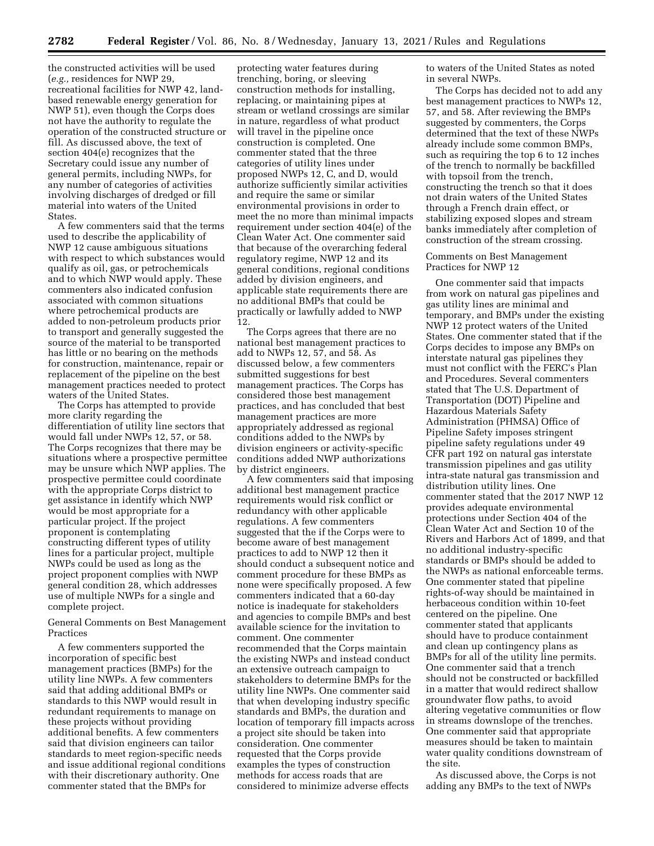the constructed activities will be used (*e.g.,* residences for NWP 29, recreational facilities for NWP 42, landbased renewable energy generation for NWP 51), even though the Corps does not have the authority to regulate the operation of the constructed structure or fill. As discussed above, the text of section 404(e) recognizes that the Secretary could issue any number of general permits, including NWPs, for any number of categories of activities involving discharges of dredged or fill material into waters of the United States.

A few commenters said that the terms used to describe the applicability of NWP 12 cause ambiguous situations with respect to which substances would qualify as oil, gas, or petrochemicals and to which NWP would apply. These commenters also indicated confusion associated with common situations where petrochemical products are added to non-petroleum products prior to transport and generally suggested the source of the material to be transported has little or no bearing on the methods for construction, maintenance, repair or replacement of the pipeline on the best management practices needed to protect waters of the United States.

The Corps has attempted to provide more clarity regarding the differentiation of utility line sectors that would fall under NWPs 12, 57, or 58. The Corps recognizes that there may be situations where a prospective permittee may be unsure which NWP applies. The prospective permittee could coordinate with the appropriate Corps district to get assistance in identify which NWP would be most appropriate for a particular project. If the project proponent is contemplating constructing different types of utility lines for a particular project, multiple NWPs could be used as long as the project proponent complies with NWP general condition 28, which addresses use of multiple NWPs for a single and complete project.

General Comments on Best Management Practices

A few commenters supported the incorporation of specific best management practices (BMPs) for the utility line NWPs. A few commenters said that adding additional BMPs or standards to this NWP would result in redundant requirements to manage on these projects without providing additional benefits. A few commenters said that division engineers can tailor standards to meet region-specific needs and issue additional regional conditions with their discretionary authority. One commenter stated that the BMPs for

protecting water features during trenching, boring, or sleeving construction methods for installing, replacing, or maintaining pipes at stream or wetland crossings are similar in nature, regardless of what product will travel in the pipeline once construction is completed. One commenter stated that the three categories of utility lines under proposed NWPs 12, C, and D, would authorize sufficiently similar activities and require the same or similar environmental provisions in order to meet the no more than minimal impacts requirement under section 404(e) of the Clean Water Act. One commenter said that because of the overarching federal regulatory regime, NWP 12 and its general conditions, regional conditions added by division engineers, and applicable state requirements there are no additional BMPs that could be practically or lawfully added to NWP 12.

The Corps agrees that there are no national best management practices to add to NWPs 12, 57, and 58. As discussed below, a few commenters submitted suggestions for best management practices. The Corps has considered those best management practices, and has concluded that best management practices are more appropriately addressed as regional conditions added to the NWPs by division engineers or activity-specific conditions added NWP authorizations by district engineers.

A few commenters said that imposing additional best management practice requirements would risk conflict or redundancy with other applicable regulations. A few commenters suggested that the if the Corps were to become aware of best management practices to add to NWP 12 then it should conduct a subsequent notice and comment procedure for these BMPs as none were specifically proposed. A few commenters indicated that a 60-day notice is inadequate for stakeholders and agencies to compile BMPs and best available science for the invitation to comment. One commenter recommended that the Corps maintain the existing NWPs and instead conduct an extensive outreach campaign to stakeholders to determine BMPs for the utility line NWPs. One commenter said that when developing industry specific standards and BMPs, the duration and location of temporary fill impacts across a project site should be taken into consideration. One commenter requested that the Corps provide examples the types of construction methods for access roads that are considered to minimize adverse effects

to waters of the United States as noted in several NWPs.

The Corps has decided not to add any best management practices to NWPs 12, 57, and 58. After reviewing the BMPs suggested by commenters, the Corps determined that the text of these NWPs already include some common BMPs, such as requiring the top 6 to 12 inches of the trench to normally be backfilled with topsoil from the trench, constructing the trench so that it does not drain waters of the United States through a French drain effect, or stabilizing exposed slopes and stream banks immediately after completion of construction of the stream crossing.

### Comments on Best Management Practices for NWP 12

One commenter said that impacts from work on natural gas pipelines and gas utility lines are minimal and temporary, and BMPs under the existing NWP 12 protect waters of the United States. One commenter stated that if the Corps decides to impose any BMPs on interstate natural gas pipelines they must not conflict with the FERC's Plan and Procedures. Several commenters stated that The U.S. Department of Transportation (DOT) Pipeline and Hazardous Materials Safety Administration (PHMSA) Office of Pipeline Safety imposes stringent pipeline safety regulations under 49 CFR part 192 on natural gas interstate transmission pipelines and gas utility intra-state natural gas transmission and distribution utility lines. One commenter stated that the 2017 NWP 12 provides adequate environmental protections under Section 404 of the Clean Water Act and Section 10 of the Rivers and Harbors Act of 1899, and that no additional industry-specific standards or BMPs should be added to the NWPs as national enforceable terms. One commenter stated that pipeline rights-of-way should be maintained in herbaceous condition within 10-feet centered on the pipeline. One commenter stated that applicants should have to produce containment and clean up contingency plans as BMPs for all of the utility line permits. One commenter said that a trench should not be constructed or backfilled in a matter that would redirect shallow groundwater flow paths, to avoid altering vegetative communities or flow in streams downslope of the trenches. One commenter said that appropriate measures should be taken to maintain water quality conditions downstream of the site.

As discussed above, the Corps is not adding any BMPs to the text of NWPs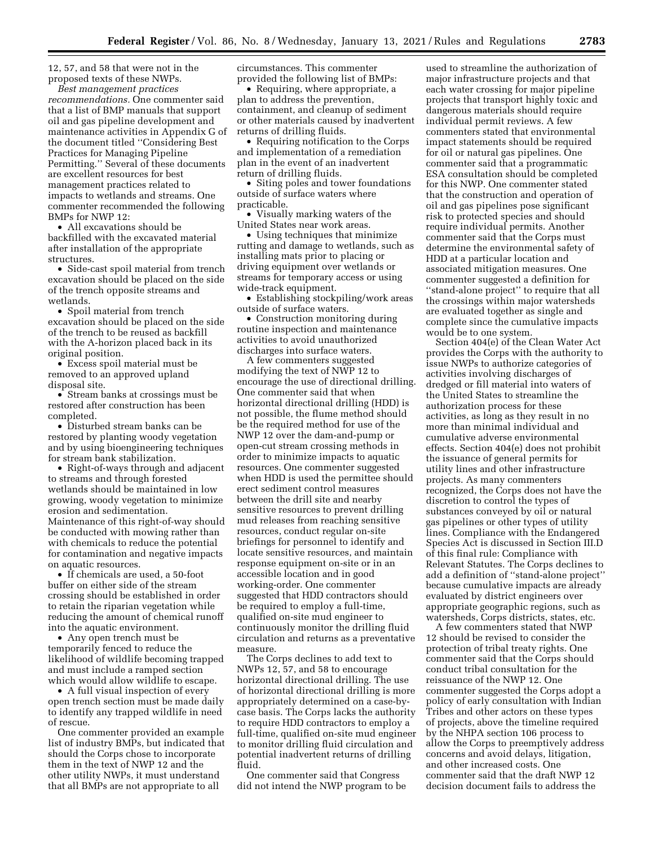12, 57, and 58 that were not in the proposed texts of these NWPs.

*Best management practices recommendations.* One commenter said that a list of BMP manuals that support oil and gas pipeline development and maintenance activities in Appendix G of the document titled ''Considering Best Practices for Managing Pipeline Permitting.'' Several of these documents are excellent resources for best management practices related to impacts to wetlands and streams. One commenter recommended the following BMPs for NWP 12:

• All excavations should be backfilled with the excavated material after installation of the appropriate structures.

• Side-cast spoil material from trench excavation should be placed on the side of the trench opposite streams and wetlands.

• Spoil material from trench excavation should be placed on the side of the trench to be reused as backfill with the A-horizon placed back in its original position.

• Excess spoil material must be removed to an approved upland disposal site.

• Stream banks at crossings must be restored after construction has been completed.

• Disturbed stream banks can be restored by planting woody vegetation and by using bioengineering techniques for stream bank stabilization.

• Right-of-ways through and adjacent to streams and through forested wetlands should be maintained in low growing, woody vegetation to minimize erosion and sedimentation. Maintenance of this right-of-way should be conducted with mowing rather than with chemicals to reduce the potential for contamination and negative impacts on aquatic resources.

• If chemicals are used, a 50-foot buffer on either side of the stream crossing should be established in order to retain the riparian vegetation while reducing the amount of chemical runoff into the aquatic environment.

• Any open trench must be temporarily fenced to reduce the likelihood of wildlife becoming trapped and must include a ramped section which would allow wildlife to escape.

• A full visual inspection of every open trench section must be made daily to identify any trapped wildlife in need of rescue.

One commenter provided an example list of industry BMPs, but indicated that should the Corps chose to incorporate them in the text of NWP 12 and the other utility NWPs, it must understand that all BMPs are not appropriate to all

circumstances. This commenter provided the following list of BMPs:

• Requiring, where appropriate, a plan to address the prevention, containment, and cleanup of sediment or other materials caused by inadvertent returns of drilling fluids.

• Requiring notification to the Corps and implementation of a remediation plan in the event of an inadvertent return of drilling fluids.

• Siting poles and tower foundations outside of surface waters where practicable.

• Visually marking waters of the United States near work areas.

• Using techniques that minimize rutting and damage to wetlands, such as installing mats prior to placing or driving equipment over wetlands or streams for temporary access or using wide-track equipment.

• Establishing stockpiling/work areas outside of surface waters.

• Construction monitoring during routine inspection and maintenance activities to avoid unauthorized discharges into surface waters.

A few commenters suggested modifying the text of NWP 12 to encourage the use of directional drilling. One commenter said that when horizontal directional drilling (HDD) is not possible, the flume method should be the required method for use of the NWP 12 over the dam-and-pump or open-cut stream crossing methods in order to minimize impacts to aquatic resources. One commenter suggested when HDD is used the permittee should erect sediment control measures between the drill site and nearby sensitive resources to prevent drilling mud releases from reaching sensitive resources, conduct regular on-site briefings for personnel to identify and locate sensitive resources, and maintain response equipment on-site or in an accessible location and in good working-order. One commenter suggested that HDD contractors should be required to employ a full-time, qualified on-site mud engineer to continuously monitor the drilling fluid circulation and returns as a preventative measure.

The Corps declines to add text to NWPs 12, 57, and 58 to encourage horizontal directional drilling. The use of horizontal directional drilling is more appropriately determined on a case-bycase basis. The Corps lacks the authority to require HDD contractors to employ a full-time, qualified on-site mud engineer to monitor drilling fluid circulation and potential inadvertent returns of drilling fluid.

One commenter said that Congress did not intend the NWP program to be

used to streamline the authorization of major infrastructure projects and that each water crossing for major pipeline projects that transport highly toxic and dangerous materials should require individual permit reviews. A few commenters stated that environmental impact statements should be required for oil or natural gas pipelines. One commenter said that a programmatic ESA consultation should be completed for this NWP. One commenter stated that the construction and operation of oil and gas pipelines pose significant risk to protected species and should require individual permits. Another commenter said that the Corps must determine the environmental safety of HDD at a particular location and associated mitigation measures. One commenter suggested a definition for ''stand-alone project'' to require that all the crossings within major watersheds are evaluated together as single and complete since the cumulative impacts would be to one system.

Section 404(e) of the Clean Water Act provides the Corps with the authority to issue NWPs to authorize categories of activities involving discharges of dredged or fill material into waters of the United States to streamline the authorization process for these activities, as long as they result in no more than minimal individual and cumulative adverse environmental effects. Section 404(e) does not prohibit the issuance of general permits for utility lines and other infrastructure projects. As many commenters recognized, the Corps does not have the discretion to control the types of substances conveyed by oil or natural gas pipelines or other types of utility lines. Compliance with the Endangered Species Act is discussed in Section III.D of this final rule: Compliance with Relevant Statutes. The Corps declines to add a definition of ''stand-alone project'' because cumulative impacts are already evaluated by district engineers over appropriate geographic regions, such as watersheds, Corps districts, states, etc.

A few commenters stated that NWP 12 should be revised to consider the protection of tribal treaty rights. One commenter said that the Corps should conduct tribal consultation for the reissuance of the NWP 12. One commenter suggested the Corps adopt a policy of early consultation with Indian Tribes and other actors on these types of projects, above the timeline required by the NHPA section 106 process to allow the Corps to preemptively address concerns and avoid delays, litigation, and other increased costs. One commenter said that the draft NWP 12 decision document fails to address the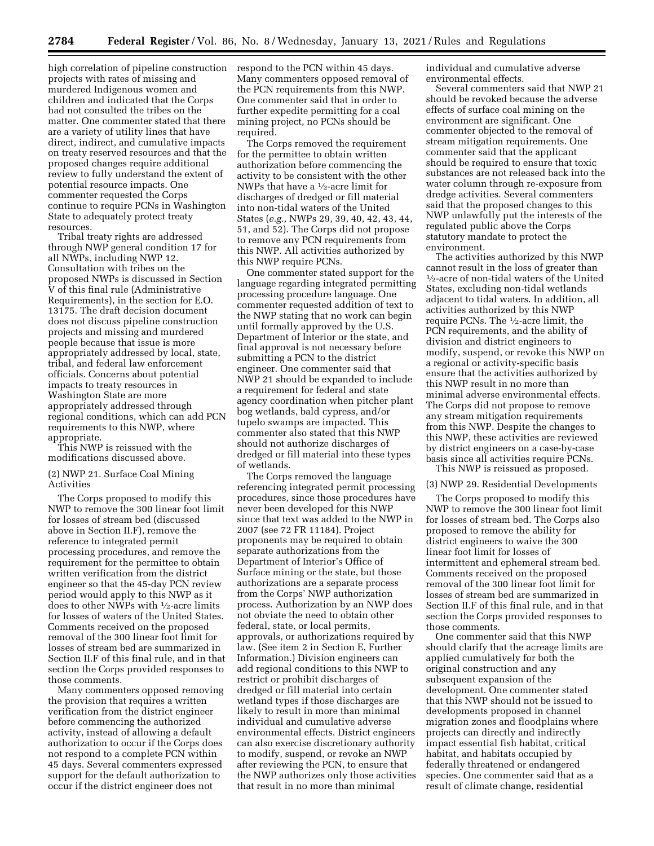high correlation of pipeline construction respond to the PCN within 45 days. projects with rates of missing and murdered Indigenous women and children and indicated that the Corps had not consulted the tribes on the matter. One commenter stated that there are a variety of utility lines that have direct, indirect, and cumulative impacts on treaty reserved resources and that the proposed changes require additional review to fully understand the extent of potential resource impacts. One commenter requested the Corps continue to require PCNs in Washington State to adequately protect treaty resources.

Tribal treaty rights are addressed through NWP general condition 17 for all NWPs, including NWP 12. Consultation with tribes on the proposed NWPs is discussed in Section V of this final rule (Administrative Requirements), in the section for E.O. 13175. The draft decision document does not discuss pipeline construction projects and missing and murdered people because that issue is more appropriately addressed by local, state, tribal, and federal law enforcement officials. Concerns about potential impacts to treaty resources in Washington State are more appropriately addressed through regional conditions, which can add PCN requirements to this NWP, where appropriate.

This NWP is reissued with the modifications discussed above.

## (2) NWP 21. Surface Coal Mining Activities

The Corps proposed to modify this NWP to remove the 300 linear foot limit for losses of stream bed (discussed above in Section II.F), remove the reference to integrated permit processing procedures, and remove the requirement for the permittee to obtain written verification from the district engineer so that the 45-day PCN review period would apply to this NWP as it does to other NWPs with 1⁄2-acre limits for losses of waters of the United States. Comments received on the proposed removal of the 300 linear foot limit for losses of stream bed are summarized in Section II.F of this final rule, and in that section the Corps provided responses to those comments.

Many commenters opposed removing the provision that requires a written verification from the district engineer before commencing the authorized activity, instead of allowing a default authorization to occur if the Corps does not respond to a complete PCN within 45 days. Several commenters expressed support for the default authorization to occur if the district engineer does not

Many commenters opposed removal of the PCN requirements from this NWP. One commenter said that in order to further expedite permitting for a coal mining project, no PCNs should be required.

The Corps removed the requirement for the permittee to obtain written authorization before commencing the activity to be consistent with the other NWPs that have a 1⁄2-acre limit for discharges of dredged or fill material into non-tidal waters of the United States (*e.g.,* NWPs 29, 39, 40, 42, 43, 44, 51, and 52). The Corps did not propose to remove any PCN requirements from this NWP. All activities authorized by this NWP require PCNs.

One commenter stated support for the language regarding integrated permitting processing procedure language. One commenter requested addition of text to the NWP stating that no work can begin until formally approved by the U.S. Department of Interior or the state, and final approval is not necessary before submitting a PCN to the district engineer. One commenter said that NWP 21 should be expanded to include a requirement for federal and state agency coordination when pitcher plant bog wetlands, bald cypress, and/or tupelo swamps are impacted. This commenter also stated that this NWP should not authorize discharges of dredged or fill material into these types of wetlands.

The Corps removed the language referencing integrated permit processing procedures, since those procedures have never been developed for this NWP since that text was added to the NWP in 2007 (see 72 FR 11184). Project proponents may be required to obtain separate authorizations from the Department of Interior's Office of Surface mining or the state, but those authorizations are a separate process from the Corps' NWP authorization process. Authorization by an NWP does not obviate the need to obtain other federal, state, or local permits, approvals, or authorizations required by law. (See item 2 in Section E, Further Information.) Division engineers can add regional conditions to this NWP to restrict or prohibit discharges of dredged or fill material into certain wetland types if those discharges are likely to result in more than minimal individual and cumulative adverse environmental effects. District engineers can also exercise discretionary authority to modify, suspend, or revoke an NWP after reviewing the PCN, to ensure that the NWP authorizes only those activities that result in no more than minimal

individual and cumulative adverse environmental effects.

Several commenters said that NWP 21 should be revoked because the adverse effects of surface coal mining on the environment are significant. One commenter objected to the removal of stream mitigation requirements. One commenter said that the applicant should be required to ensure that toxic substances are not released back into the water column through re-exposure from dredge activities. Several commenters said that the proposed changes to this NWP unlawfully put the interests of the regulated public above the Corps statutory mandate to protect the environment.

The activities authorized by this NWP cannot result in the loss of greater than 1⁄2-acre of non-tidal waters of the United States, excluding non-tidal wetlands adjacent to tidal waters. In addition, all activities authorized by this NWP require PCNs. The 1⁄2-acre limit, the PCN requirements, and the ability of division and district engineers to modify, suspend, or revoke this NWP on a regional or activity-specific basis ensure that the activities authorized by this NWP result in no more than minimal adverse environmental effects. The Corps did not propose to remove any stream mitigation requirements from this NWP. Despite the changes to this NWP, these activities are reviewed by district engineers on a case-by-case basis since all activities require PCNs. This NWP is reissued as proposed.

#### (3) NWP 29. Residential Developments

The Corps proposed to modify this NWP to remove the 300 linear foot limit for losses of stream bed. The Corps also proposed to remove the ability for district engineers to waive the 300 linear foot limit for losses of intermittent and ephemeral stream bed. Comments received on the proposed removal of the 300 linear foot limit for losses of stream bed are summarized in Section II.F of this final rule, and in that section the Corps provided responses to those comments.

One commenter said that this NWP should clarify that the acreage limits are applied cumulatively for both the original construction and any subsequent expansion of the development. One commenter stated that this NWP should not be issued to developments proposed in channel migration zones and floodplains where projects can directly and indirectly impact essential fish habitat, critical habitat, and habitats occupied by federally threatened or endangered species. One commenter said that as a result of climate change, residential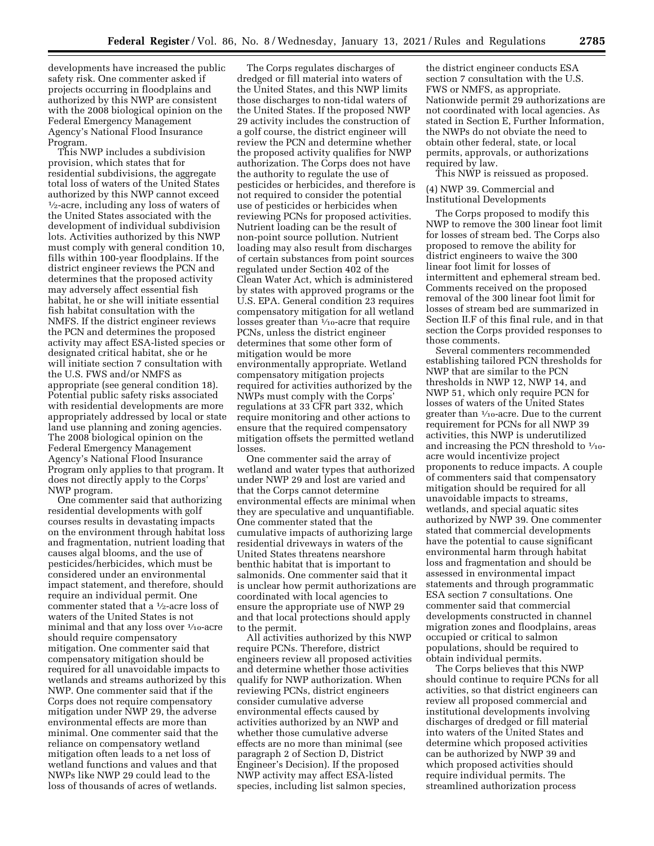developments have increased the public safety risk. One commenter asked if projects occurring in floodplains and authorized by this NWP are consistent with the 2008 biological opinion on the Federal Emergency Management Agency's National Flood Insurance Program.

This NWP includes a subdivision provision, which states that for residential subdivisions, the aggregate total loss of waters of the United States authorized by this NWP cannot exceed  $\frac{1}{2}$ -acre, including any loss of waters of the United States associated with the development of individual subdivision lots. Activities authorized by this NWP must comply with general condition 10, fills within 100-year floodplains. If the district engineer reviews the PCN and determines that the proposed activity may adversely affect essential fish habitat, he or she will initiate essential fish habitat consultation with the NMFS. If the district engineer reviews the PCN and determines the proposed activity may affect ESA-listed species or designated critical habitat, she or he will initiate section 7 consultation with the U.S. FWS and/or NMFS as appropriate (see general condition 18). Potential public safety risks associated with residential developments are more appropriately addressed by local or state land use planning and zoning agencies. The 2008 biological opinion on the Federal Emergency Management Agency's National Flood Insurance Program only applies to that program. It does not directly apply to the Corps' NWP program.

One commenter said that authorizing residential developments with golf courses results in devastating impacts on the environment through habitat loss and fragmentation, nutrient loading that causes algal blooms, and the use of pesticides/herbicides, which must be considered under an environmental impact statement, and therefore, should require an individual permit. One commenter stated that a 1⁄2-acre loss of waters of the United States is not minimal and that any loss over  $\frac{1}{10}$ -acre should require compensatory mitigation. One commenter said that compensatory mitigation should be required for all unavoidable impacts to wetlands and streams authorized by this NWP. One commenter said that if the Corps does not require compensatory mitigation under NWP 29, the adverse environmental effects are more than minimal. One commenter said that the reliance on compensatory wetland mitigation often leads to a net loss of wetland functions and values and that NWPs like NWP 29 could lead to the loss of thousands of acres of wetlands.

The Corps regulates discharges of dredged or fill material into waters of the United States, and this NWP limits those discharges to non-tidal waters of the United States. If the proposed NWP 29 activity includes the construction of a golf course, the district engineer will review the PCN and determine whether the proposed activity qualifies for NWP authorization. The Corps does not have the authority to regulate the use of pesticides or herbicides, and therefore is not required to consider the potential use of pesticides or herbicides when reviewing PCNs for proposed activities. Nutrient loading can be the result of non-point source pollution. Nutrient loading may also result from discharges of certain substances from point sources regulated under Section 402 of the Clean Water Act, which is administered by states with approved programs or the U.S. EPA. General condition 23 requires compensatory mitigation for all wetland losses greater than  $\frac{1}{10}$ -acre that require PCNs, unless the district engineer determines that some other form of mitigation would be more environmentally appropriate. Wetland compensatory mitigation projects required for activities authorized by the NWPs must comply with the Corps' regulations at 33 CFR part 332, which require monitoring and other actions to ensure that the required compensatory mitigation offsets the permitted wetland losses.

One commenter said the array of wetland and water types that authorized under NWP 29 and lost are varied and that the Corps cannot determine environmental effects are minimal when they are speculative and unquantifiable. One commenter stated that the cumulative impacts of authorizing large residential driveways in waters of the United States threatens nearshore benthic habitat that is important to salmonids. One commenter said that it is unclear how permit authorizations are coordinated with local agencies to ensure the appropriate use of NWP 29 and that local protections should apply to the permit.

All activities authorized by this NWP require PCNs. Therefore, district engineers review all proposed activities and determine whether those activities qualify for NWP authorization. When reviewing PCNs, district engineers consider cumulative adverse environmental effects caused by activities authorized by an NWP and whether those cumulative adverse effects are no more than minimal (see paragraph 2 of Section D, District Engineer's Decision). If the proposed NWP activity may affect ESA-listed species, including list salmon species,

the district engineer conducts ESA section 7 consultation with the U.S. FWS or NMFS, as appropriate. Nationwide permit 29 authorizations are not coordinated with local agencies. As stated in Section E, Further Information, the NWPs do not obviate the need to obtain other federal, state, or local permits, approvals, or authorizations required by law.

This NWP is reissued as proposed.

(4) NWP 39. Commercial and Institutional Developments

The Corps proposed to modify this NWP to remove the 300 linear foot limit for losses of stream bed. The Corps also proposed to remove the ability for district engineers to waive the 300 linear foot limit for losses of intermittent and ephemeral stream bed. Comments received on the proposed removal of the 300 linear foot limit for losses of stream bed are summarized in Section II.F of this final rule, and in that section the Corps provided responses to those comments.

Several commenters recommended establishing tailored PCN thresholds for NWP that are similar to the PCN thresholds in NWP 12, NWP 14, and NWP 51, which only require PCN for losses of waters of the United States greater than 1⁄10-acre. Due to the current requirement for PCNs for all NWP 39 activities, this NWP is underutilized and increasing the PCN threshold to  $\frac{1}{10}$ acre would incentivize project proponents to reduce impacts. A couple of commenters said that compensatory mitigation should be required for all unavoidable impacts to streams, wetlands, and special aquatic sites authorized by NWP 39. One commenter stated that commercial developments have the potential to cause significant environmental harm through habitat loss and fragmentation and should be assessed in environmental impact statements and through programmatic ESA section 7 consultations. One commenter said that commercial developments constructed in channel migration zones and floodplains, areas occupied or critical to salmon populations, should be required to obtain individual permits.

The Corps believes that this NWP should continue to require PCNs for all activities, so that district engineers can review all proposed commercial and institutional developments involving discharges of dredged or fill material into waters of the United States and determine which proposed activities can be authorized by NWP 39 and which proposed activities should require individual permits. The streamlined authorization process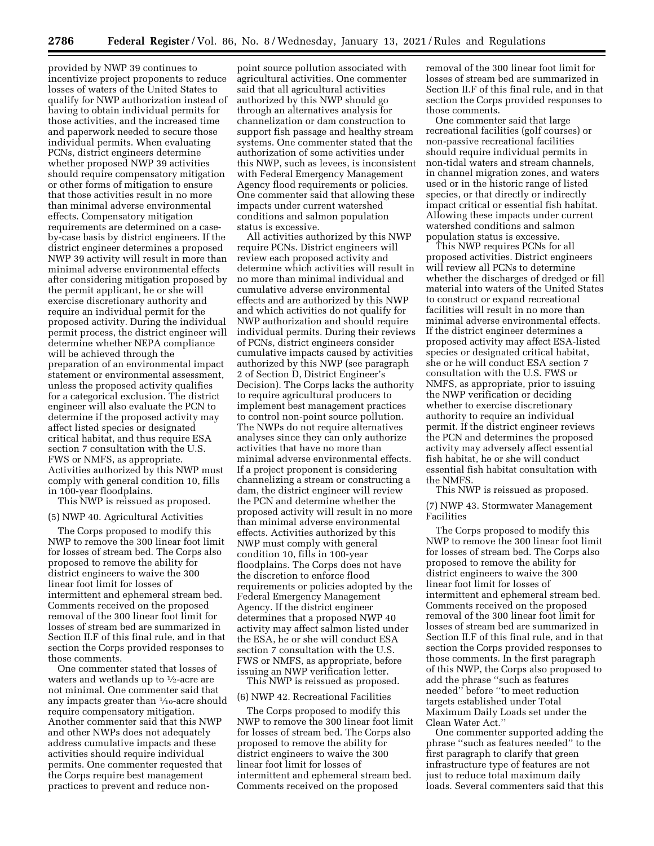provided by NWP 39 continues to incentivize project proponents to reduce losses of waters of the United States to qualify for NWP authorization instead of having to obtain individual permits for those activities, and the increased time and paperwork needed to secure those individual permits. When evaluating PCNs, district engineers determine whether proposed NWP 39 activities should require compensatory mitigation or other forms of mitigation to ensure that those activities result in no more than minimal adverse environmental effects. Compensatory mitigation requirements are determined on a caseby-case basis by district engineers. If the district engineer determines a proposed NWP 39 activity will result in more than minimal adverse environmental effects after considering mitigation proposed by the permit applicant, he or she will exercise discretionary authority and require an individual permit for the proposed activity. During the individual permit process, the district engineer will determine whether NEPA compliance will be achieved through the preparation of an environmental impact statement or environmental assessment, unless the proposed activity qualifies for a categorical exclusion. The district engineer will also evaluate the PCN to determine if the proposed activity may affect listed species or designated critical habitat, and thus require ESA section 7 consultation with the U.S. FWS or NMFS, as appropriate. Activities authorized by this NWP must comply with general condition 10, fills in 100-year floodplains.

This NWP is reissued as proposed.

## (5) NWP 40. Agricultural Activities

The Corps proposed to modify this NWP to remove the 300 linear foot limit for losses of stream bed. The Corps also proposed to remove the ability for district engineers to waive the 300 linear foot limit for losses of intermittent and ephemeral stream bed. Comments received on the proposed removal of the 300 linear foot limit for losses of stream bed are summarized in Section II.F of this final rule, and in that section the Corps provided responses to those comments.

One commenter stated that losses of waters and wetlands up to  $\frac{1}{2}$ -acre are not minimal. One commenter said that any impacts greater than 1⁄10-acre should require compensatory mitigation. Another commenter said that this NWP and other NWPs does not adequately address cumulative impacts and these activities should require individual permits. One commenter requested that the Corps require best management practices to prevent and reduce non-

point source pollution associated with agricultural activities. One commenter said that all agricultural activities authorized by this NWP should go through an alternatives analysis for channelization or dam construction to support fish passage and healthy stream systems. One commenter stated that the authorization of some activities under this NWP, such as levees, is inconsistent with Federal Emergency Management Agency flood requirements or policies. One commenter said that allowing these impacts under current watershed conditions and salmon population status is excessive.

All activities authorized by this NWP require PCNs. District engineers will review each proposed activity and determine which activities will result in no more than minimal individual and cumulative adverse environmental effects and are authorized by this NWP and which activities do not qualify for NWP authorization and should require individual permits. During their reviews of PCNs, district engineers consider cumulative impacts caused by activities authorized by this NWP (see paragraph 2 of Section D, District Engineer's Decision). The Corps lacks the authority to require agricultural producers to implement best management practices to control non-point source pollution. The NWPs do not require alternatives analyses since they can only authorize activities that have no more than minimal adverse environmental effects. If a project proponent is considering channelizing a stream or constructing a dam, the district engineer will review the PCN and determine whether the proposed activity will result in no more than minimal adverse environmental effects. Activities authorized by this NWP must comply with general condition 10, fills in 100-year floodplains. The Corps does not have the discretion to enforce flood requirements or policies adopted by the Federal Emergency Management Agency. If the district engineer determines that a proposed NWP 40 activity may affect salmon listed under the ESA, he or she will conduct ESA section 7 consultation with the U.S. FWS or NMFS, as appropriate, before issuing an NWP verification letter.

This NWP is reissued as proposed.

# (6) NWP 42. Recreational Facilities

The Corps proposed to modify this NWP to remove the 300 linear foot limit for losses of stream bed. The Corps also proposed to remove the ability for district engineers to waive the 300 linear foot limit for losses of intermittent and ephemeral stream bed. Comments received on the proposed

removal of the 300 linear foot limit for losses of stream bed are summarized in Section II.F of this final rule, and in that section the Corps provided responses to those comments.

One commenter said that large recreational facilities (golf courses) or non-passive recreational facilities should require individual permits in non-tidal waters and stream channels, in channel migration zones, and waters used or in the historic range of listed species, or that directly or indirectly impact critical or essential fish habitat. Allowing these impacts under current watershed conditions and salmon population status is excessive.

This NWP requires PCNs for all proposed activities. District engineers will review all PCNs to determine whether the discharges of dredged or fill material into waters of the United States to construct or expand recreational facilities will result in no more than minimal adverse environmental effects. If the district engineer determines a proposed activity may affect ESA-listed species or designated critical habitat, she or he will conduct ESA section 7 consultation with the U.S. FWS or NMFS, as appropriate, prior to issuing the NWP verification or deciding whether to exercise discretionary authority to require an individual permit. If the district engineer reviews the PCN and determines the proposed activity may adversely affect essential fish habitat, he or she will conduct essential fish habitat consultation with the NMFS.

This NWP is reissued as proposed.

(7) NWP 43. Stormwater Management Facilities

The Corps proposed to modify this NWP to remove the 300 linear foot limit for losses of stream bed. The Corps also proposed to remove the ability for district engineers to waive the 300 linear foot limit for losses of intermittent and ephemeral stream bed. Comments received on the proposed removal of the 300 linear foot limit for losses of stream bed are summarized in Section II.F of this final rule, and in that section the Corps provided responses to those comments. In the first paragraph of this NWP, the Corps also proposed to add the phrase ''such as features needed'' before ''to meet reduction targets established under Total Maximum Daily Loads set under the Clean Water Act.''

One commenter supported adding the phrase ''such as features needed'' to the first paragraph to clarify that green infrastructure type of features are not just to reduce total maximum daily loads. Several commenters said that this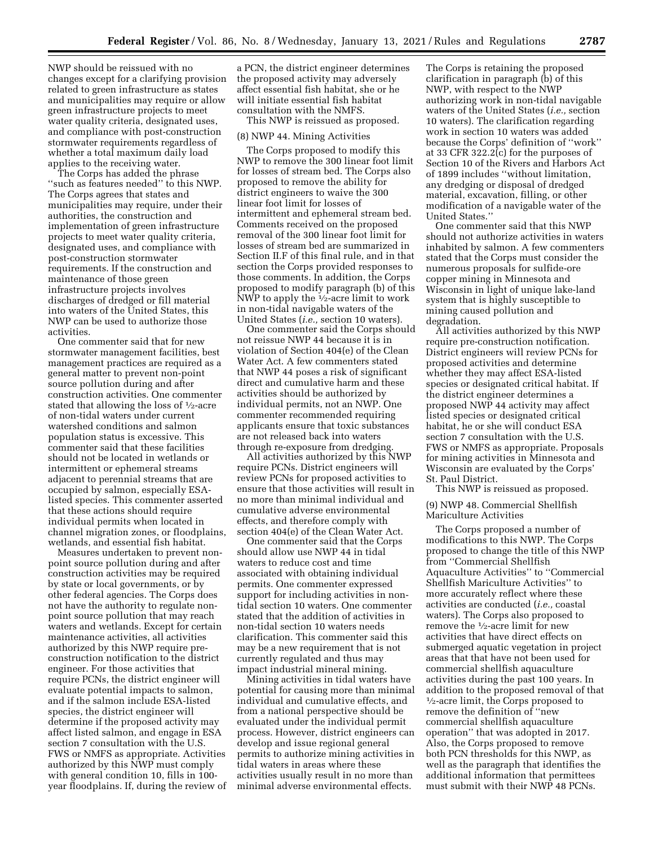NWP should be reissued with no changes except for a clarifying provision related to green infrastructure as states and municipalities may require or allow green infrastructure projects to meet water quality criteria, designated uses, and compliance with post-construction stormwater requirements regardless of whether a total maximum daily load applies to the receiving water.

The Corps has added the phrase ''such as features needed'' to this NWP. The Corps agrees that states and municipalities may require, under their authorities, the construction and implementation of green infrastructure projects to meet water quality criteria, designated uses, and compliance with post-construction stormwater requirements. If the construction and maintenance of those green infrastructure projects involves discharges of dredged or fill material into waters of the United States, this NWP can be used to authorize those activities.

One commenter said that for new stormwater management facilities, best management practices are required as a general matter to prevent non-point source pollution during and after construction activities. One commenter stated that allowing the loss of  $\frac{1}{2}$ -acre of non-tidal waters under current watershed conditions and salmon population status is excessive. This commenter said that these facilities should not be located in wetlands or intermittent or ephemeral streams adjacent to perennial streams that are occupied by salmon, especially ESAlisted species. This commenter asserted that these actions should require individual permits when located in channel migration zones, or floodplains, wetlands, and essential fish habitat.

Measures undertaken to prevent nonpoint source pollution during and after construction activities may be required by state or local governments, or by other federal agencies. The Corps does not have the authority to regulate nonpoint source pollution that may reach waters and wetlands. Except for certain maintenance activities, all activities authorized by this NWP require preconstruction notification to the district engineer. For those activities that require PCNs, the district engineer will evaluate potential impacts to salmon, and if the salmon include ESA-listed species, the district engineer will determine if the proposed activity may affect listed salmon, and engage in ESA section 7 consultation with the U.S. FWS or NMFS as appropriate. Activities authorized by this NWP must comply with general condition 10, fills in 100 year floodplains. If, during the review of

a PCN, the district engineer determines the proposed activity may adversely affect essential fish habitat, she or he will initiate essential fish habitat consultation with the NMFS.

This NWP is reissued as proposed.

### (8) NWP 44. Mining Activities

The Corps proposed to modify this NWP to remove the 300 linear foot limit for losses of stream bed. The Corps also proposed to remove the ability for district engineers to waive the 300 linear foot limit for losses of intermittent and ephemeral stream bed. Comments received on the proposed removal of the 300 linear foot limit for losses of stream bed are summarized in Section II.F of this final rule, and in that section the Corps provided responses to those comments. In addition, the Corps proposed to modify paragraph (b) of this NWP to apply the  $\frac{1}{2}$ -acre limit to work in non-tidal navigable waters of the United States (*i.e.,* section 10 waters).

One commenter said the Corps should not reissue NWP 44 because it is in violation of Section 404(e) of the Clean Water Act. A few commenters stated that NWP 44 poses a risk of significant direct and cumulative harm and these activities should be authorized by individual permits, not an NWP. One commenter recommended requiring applicants ensure that toxic substances are not released back into waters through re-exposure from dredging.

All activities authorized by this NWP require PCNs. District engineers will review PCNs for proposed activities to ensure that those activities will result in no more than minimal individual and cumulative adverse environmental effects, and therefore comply with section 404(e) of the Clean Water Act.

One commenter said that the Corps should allow use NWP 44 in tidal waters to reduce cost and time associated with obtaining individual permits. One commenter expressed support for including activities in nontidal section 10 waters. One commenter stated that the addition of activities in non-tidal section 10 waters needs clarification. This commenter said this may be a new requirement that is not currently regulated and thus may impact industrial mineral mining.

Mining activities in tidal waters have potential for causing more than minimal individual and cumulative effects, and from a national perspective should be evaluated under the individual permit process. However, district engineers can develop and issue regional general permits to authorize mining activities in tidal waters in areas where these activities usually result in no more than minimal adverse environmental effects.

The Corps is retaining the proposed clarification in paragraph (b) of this NWP, with respect to the NWP authorizing work in non-tidal navigable waters of the United States (*i.e.,* section 10 waters). The clarification regarding work in section 10 waters was added because the Corps' definition of ''work'' at 33 CFR 322.2(c) for the purposes of Section 10 of the Rivers and Harbors Act of 1899 includes ''without limitation, any dredging or disposal of dredged material, excavation, filling, or other modification of a navigable water of the United States.''

One commenter said that this NWP should not authorize activities in waters inhabited by salmon. A few commenters stated that the Corps must consider the numerous proposals for sulfide-ore copper mining in Minnesota and Wisconsin in light of unique lake-land system that is highly susceptible to mining caused pollution and degradation.

All activities authorized by this NWP require pre-construction notification. District engineers will review PCNs for proposed activities and determine whether they may affect ESA-listed species or designated critical habitat. If the district engineer determines a proposed NWP 44 activity may affect listed species or designated critical habitat, he or she will conduct ESA section 7 consultation with the U.S. FWS or NMFS as appropriate. Proposals for mining activities in Minnesota and Wisconsin are evaluated by the Corps' St. Paul District.

This NWP is reissued as proposed.

(9) NWP 48. Commercial Shellfish Mariculture Activities

The Corps proposed a number of modifications to this NWP. The Corps proposed to change the title of this NWP from ''Commercial Shellfish Aquaculture Activities'' to ''Commercial Shellfish Mariculture Activities'' to more accurately reflect where these activities are conducted (*i.e.,* coastal waters). The Corps also proposed to remove the 1⁄2-acre limit for new activities that have direct effects on submerged aquatic vegetation in project areas that that have not been used for commercial shellfish aquaculture activities during the past 100 years. In addition to the proposed removal of that 1⁄2-acre limit, the Corps proposed to remove the definition of ''new commercial shellfish aquaculture operation'' that was adopted in 2017. Also, the Corps proposed to remove both PCN thresholds for this NWP, as well as the paragraph that identifies the additional information that permittees must submit with their NWP 48 PCNs.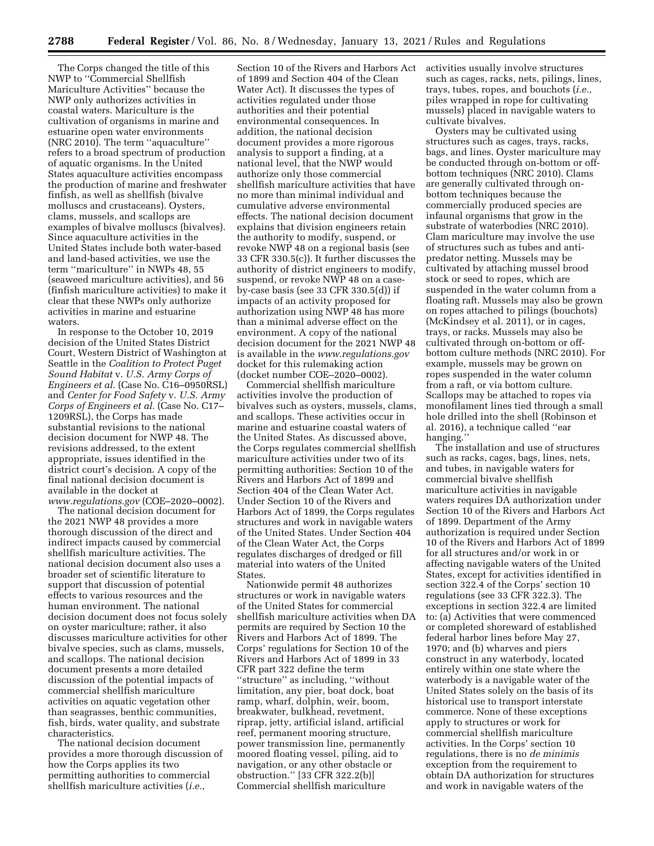The Corps changed the title of this NWP to ''Commercial Shellfish Mariculture Activities'' because the NWP only authorizes activities in coastal waters. Mariculture is the cultivation of organisms in marine and estuarine open water environments (NRC 2010). The term ''aquaculture'' refers to a broad spectrum of production of aquatic organisms. In the United States aquaculture activities encompass the production of marine and freshwater finfish, as well as shellfish (bivalve molluscs and crustaceans). Oysters, clams, mussels, and scallops are examples of bivalve molluscs (bivalves). Since aquaculture activities in the United States include both water-based and land-based activities, we use the term ''mariculture'' in NWPs 48, 55 (seaweed mariculture activities), and 56 (finfish mariculture activities) to make it clear that these NWPs only authorize activities in marine and estuarine waters.

In response to the October 10, 2019 decision of the United States District Court, Western District of Washington at Seattle in the *Coalition to Protect Puget Sound Habitat* v. *U.S. Army Corps of Engineers et al.* (Case No. C16–0950RSL) and *Center for Food Safety* v. *U.S. Army Corps of Engineers et al.* (Case No. C17– 1209RSL), the Corps has made substantial revisions to the national decision document for NWP 48. The revisions addressed, to the extent appropriate, issues identified in the district court's decision. A copy of the final national decision document is available in the docket at *[www.regulations.gov](http://www.regulations.gov)* (COE–2020–0002).

The national decision document for the 2021 NWP 48 provides a more thorough discussion of the direct and indirect impacts caused by commercial shellfish mariculture activities. The national decision document also uses a broader set of scientific literature to support that discussion of potential effects to various resources and the human environment. The national decision document does not focus solely on oyster mariculture; rather, it also discusses mariculture activities for other bivalve species, such as clams, mussels, and scallops. The national decision document presents a more detailed discussion of the potential impacts of commercial shellfish mariculture activities on aquatic vegetation other than seagrasses, benthic communities, fish, birds, water quality, and substrate characteristics.

The national decision document provides a more thorough discussion of how the Corps applies its two permitting authorities to commercial shellfish mariculture activities (*i.e.,* 

Section 10 of the Rivers and Harbors Act of 1899 and Section 404 of the Clean Water Act). It discusses the types of activities regulated under those authorities and their potential environmental consequences. In addition, the national decision document provides a more rigorous analysis to support a finding, at a national level, that the NWP would authorize only those commercial shellfish mariculture activities that have no more than minimal individual and cumulative adverse environmental effects. The national decision document explains that division engineers retain the authority to modify, suspend, or revoke NWP 48 on a regional basis (see 33 CFR 330.5(c)). It further discusses the authority of district engineers to modify, suspend, or revoke NWP 48 on a caseby-case basis (see 33 CFR 330.5(d)) if impacts of an activity proposed for authorization using NWP 48 has more than a minimal adverse effect on the environment. A copy of the national decision document for the 2021 NWP 48 is available in the *[www.regulations.gov](http://www.regulations.gov)*  docket for this rulemaking action (docket number COE–2020–0002).

Commercial shellfish mariculture activities involve the production of bivalves such as oysters, mussels, clams, and scallops. These activities occur in marine and estuarine coastal waters of the United States. As discussed above, the Corps regulates commercial shellfish mariculture activities under two of its permitting authorities: Section 10 of the Rivers and Harbors Act of 1899 and Section 404 of the Clean Water Act. Under Section 10 of the Rivers and Harbors Act of 1899, the Corps regulates structures and work in navigable waters of the United States. Under Section 404 of the Clean Water Act, the Corps regulates discharges of dredged or fill material into waters of the United States.

Nationwide permit 48 authorizes structures or work in navigable waters of the United States for commercial shellfish mariculture activities when DA permits are required by Section 10 the Rivers and Harbors Act of 1899. The Corps' regulations for Section 10 of the Rivers and Harbors Act of 1899 in 33 CFR part 322 define the term ''structure'' as including, ''without limitation, any pier, boat dock, boat ramp, wharf, dolphin, weir, boom, breakwater, bulkhead, revetment, riprap, jetty, artificial island, artificial reef, permanent mooring structure, power transmission line, permanently moored floating vessel, piling, aid to navigation, or any other obstacle or obstruction.'' [33 CFR 322.2(b)] Commercial shellfish mariculture

activities usually involve structures such as cages, racks, nets, pilings, lines, trays, tubes, ropes, and bouchots (*i.e.,*  piles wrapped in rope for cultivating mussels) placed in navigable waters to cultivate bivalves.

Oysters may be cultivated using structures such as cages, trays, racks, bags, and lines. Oyster mariculture may be conducted through on-bottom or offbottom techniques (NRC 2010). Clams are generally cultivated through onbottom techniques because the commercially produced species are infaunal organisms that grow in the substrate of waterbodies (NRC 2010). Clam mariculture may involve the use of structures such as tubes and antipredator netting. Mussels may be cultivated by attaching mussel brood stock or seed to ropes, which are suspended in the water column from a floating raft. Mussels may also be grown on ropes attached to pilings (bouchots) (McKindsey et al. 2011), or in cages, trays, or racks. Mussels may also be cultivated through on-bottom or offbottom culture methods (NRC 2010). For example, mussels may be grown on ropes suspended in the water column from a raft, or via bottom culture. Scallops may be attached to ropes via monofilament lines tied through a small hole drilled into the shell (Robinson et al. 2016), a technique called ''ear hanging.'

The installation and use of structures such as racks, cages, bags, lines, nets, and tubes, in navigable waters for commercial bivalve shellfish mariculture activities in navigable waters requires DA authorization under Section 10 of the Rivers and Harbors Act of 1899. Department of the Army authorization is required under Section 10 of the Rivers and Harbors Act of 1899 for all structures and/or work in or affecting navigable waters of the United States, except for activities identified in section 322.4 of the Corps' section 10 regulations (see 33 CFR 322.3). The exceptions in section 322.4 are limited to: (a) Activities that were commenced or completed shoreward of established federal harbor lines before May 27, 1970; and (b) wharves and piers construct in any waterbody, located entirely within one state where the waterbody is a navigable water of the United States solely on the basis of its historical use to transport interstate commerce. None of these exceptions apply to structures or work for commercial shellfish mariculture activities. In the Corps' section 10 regulations, there is no *de minimis*  exception from the requirement to obtain DA authorization for structures and work in navigable waters of the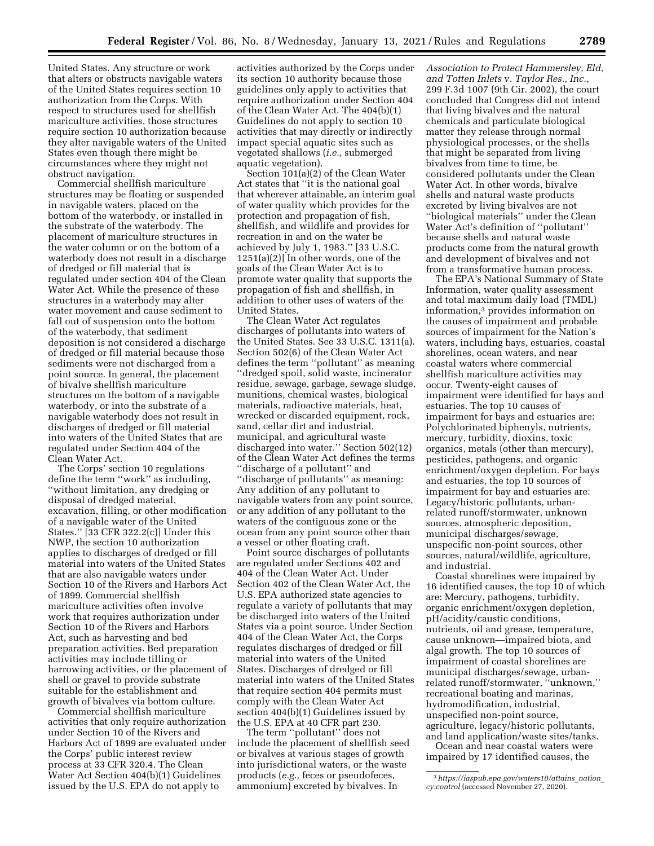United States. Any structure or work that alters or obstructs navigable waters of the United States requires section 10 authorization from the Corps. With respect to structures used for shellfish mariculture activities, those structures require section 10 authorization because they alter navigable waters of the United States even though there might be circumstances where they might not obstruct navigation.

Commercial shellfish mariculture structures may be floating or suspended in navigable waters, placed on the bottom of the waterbody, or installed in the substrate of the waterbody. The placement of mariculture structures in the water column or on the bottom of a waterbody does not result in a discharge of dredged or fill material that is regulated under section 404 of the Clean Water Act. While the presence of these structures in a waterbody may alter water movement and cause sediment to fall out of suspension onto the bottom of the waterbody, that sediment deposition is not considered a discharge of dredged or fill material because those sediments were not discharged from a point source. In general, the placement of bivalve shellfish mariculture structures on the bottom of a navigable waterbody, or into the substrate of a navigable waterbody does not result in discharges of dredged or fill material into waters of the United States that are regulated under Section 404 of the Clean Water Act.

The Corps' section 10 regulations define the term ''work'' as including, ''without limitation, any dredging or disposal of dredged material, excavation, filling, or other modification of a navigable water of the United States.'' [33 CFR 322.2(c)] Under this NWP, the section 10 authorization applies to discharges of dredged or fill material into waters of the United States that are also navigable waters under Section 10 of the Rivers and Harbors Act of 1899. Commercial shellfish mariculture activities often involve work that requires authorization under Section 10 of the Rivers and Harbors Act, such as harvesting and bed preparation activities. Bed preparation activities may include tilling or harrowing activities, or the placement of shell or gravel to provide substrate suitable for the establishment and growth of bivalves via bottom culture.

Commercial shellfish mariculture activities that only require authorization under Section 10 of the Rivers and Harbors Act of 1899 are evaluated under the Corps' public interest review process at 33 CFR 320.4. The Clean Water Act Section 404(b)(1) Guidelines issued by the U.S. EPA do not apply to

activities authorized by the Corps under its section 10 authority because those guidelines only apply to activities that require authorization under Section 404 of the Clean Water Act. The 404(b)(1) Guidelines do not apply to section 10 activities that may directly or indirectly impact special aquatic sites such as vegetated shallows (*i.e.,* submerged aquatic vegetation).

Section 101(a)(2) of the Clean Water Act states that ''it is the national goal that wherever attainable, an interim goal of water quality which provides for the protection and propagation of fish, shellfish, and wildlife and provides for recreation in and on the water be achieved by July 1, 1983.'' [33 U.S.C. 1251(a)(2)] In other words, one of the goals of the Clean Water Act is to promote water quality that supports the propagation of fish and shellfish, in addition to other uses of waters of the United States.

The Clean Water Act regulates discharges of pollutants into waters of the United States. See 33 U.S.C. 1311(a). Section 502(6) of the Clean Water Act defines the term ''pollutant'' as meaning ''dredged spoil, solid waste, incinerator residue, sewage, garbage, sewage sludge, munitions, chemical wastes, biological materials, radioactive materials, heat, wrecked or discarded equipment, rock, sand, cellar dirt and industrial, municipal, and agricultural waste discharged into water.'' Section 502(12) of the Clean Water Act defines the terms ''discharge of a pollutant'' and ''discharge of pollutants'' as meaning: Any addition of any pollutant to navigable waters from any point source, or any addition of any pollutant to the waters of the contiguous zone or the ocean from any point source other than a vessel or other floating craft.

Point source discharges of pollutants are regulated under Sections 402 and 404 of the Clean Water Act. Under Section 402 of the Clean Water Act, the U.S. EPA authorized state agencies to regulate a variety of pollutants that may be discharged into waters of the United States via a point source. Under Section 404 of the Clean Water Act, the Corps regulates discharges of dredged or fill material into waters of the United States. Discharges of dredged or fill material into waters of the United States that require section 404 permits must comply with the Clean Water Act section 404(b)(1) Guidelines issued by the U.S. EPA at 40 CFR part 230.

The term ''pollutant'' does not include the placement of shellfish seed or bivalves at various stages of growth into jurisdictional waters, or the waste products (*e.g.,* feces or pseudofeces, ammonium) excreted by bivalves. In

*Association to Protect Hammersley, Eld, and Totten Inlets* v. *Taylor Res., Inc.,*  299 F.3d 1007 (9th Cir. 2002), the court concluded that Congress did not intend that living bivalves and the natural chemicals and particulate biological matter they release through normal physiological processes, or the shells that might be separated from living bivalves from time to time, be considered pollutants under the Clean Water Act. In other words, bivalve shells and natural waste products excreted by living bivalves are not ''biological materials'' under the Clean Water Act's definition of ''pollutant'' because shells and natural waste products come from the natural growth and development of bivalves and not from a transformative human process.

The EPA's National Summary of State Information, water quality assessment and total maximum daily load (TMDL) information,3 provides information on the causes of impairment and probable sources of impairment for the Nation's waters, including bays, estuaries, coastal shorelines, ocean waters, and near coastal waters where commercial shellfish mariculture activities may occur. Twenty-eight causes of impairment were identified for bays and estuaries. The top 10 causes of impairment for bays and estuaries are: Polychlorinated biphenyls, nutrients, mercury, turbidity, dioxins, toxic organics, metals (other than mercury), pesticides, pathogens, and organic enrichment/oxygen depletion. For bays and estuaries, the top 10 sources of impairment for bay and estuaries are: Legacy/historic pollutants, urbanrelated runoff/stormwater, unknown sources, atmospheric deposition, municipal discharges/sewage, unspecific non-point sources, other sources, natural/wildlife, agriculture, and industrial.

Coastal shorelines were impaired by 16 identified causes, the top 10 of which are: Mercury, pathogens, turbidity, organic enrichment/oxygen depletion, pH/acidity/caustic conditions, nutrients, oil and grease, temperature, cause unknown—impaired biota, and algal growth. The top 10 sources of impairment of coastal shorelines are municipal discharges/sewage, urbanrelated runoff/stormwater, ''unknown,'' recreational boating and marinas, hydromodification, industrial, unspecified non-point source, agriculture, legacy/historic pollutants,

Ocean and near coastal waters were

and land application/waste sites/tanks.

impaired by 17 identified causes, the

<sup>3</sup>*[https://iaspub.epa.gov/waters10/attains](https://iaspub.epa.gov/waters10/attains_nation_cy.control)*\_*nation*\_ *[cy.control](https://iaspub.epa.gov/waters10/attains_nation_cy.control)* (accessed November 27, 2020).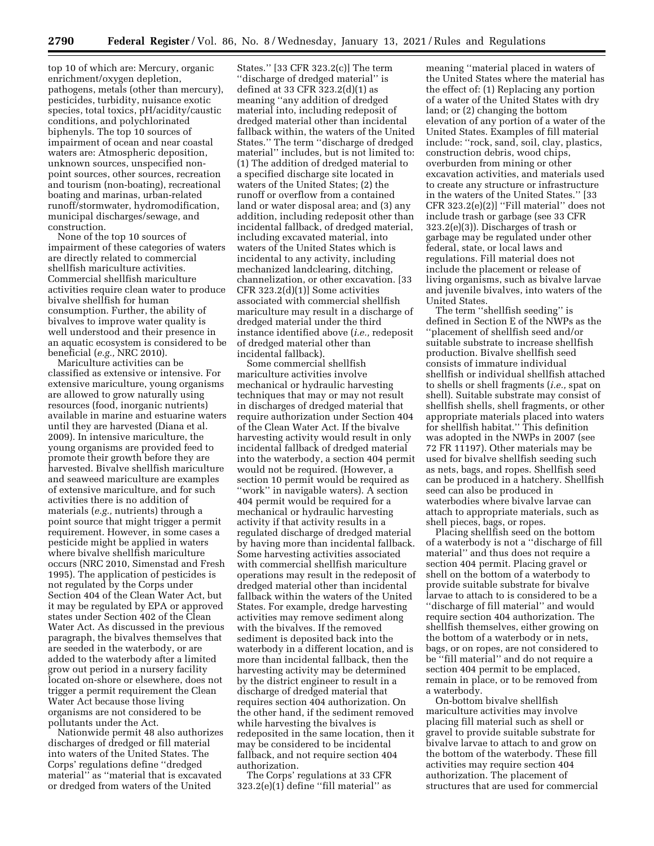top 10 of which are: Mercury, organic enrichment/oxygen depletion, pathogens, metals (other than mercury), pesticides, turbidity, nuisance exotic species, total toxics, pH/acidity/caustic conditions, and polychlorinated biphenyls. The top 10 sources of impairment of ocean and near coastal waters are: Atmospheric deposition, unknown sources, unspecified nonpoint sources, other sources, recreation and tourism (non-boating), recreational boating and marinas, urban-related runoff/stormwater, hydromodification, municipal discharges/sewage, and construction.

None of the top 10 sources of impairment of these categories of waters are directly related to commercial shellfish mariculture activities. Commercial shellfish mariculture activities require clean water to produce bivalve shellfish for human consumption. Further, the ability of bivalves to improve water quality is well understood and their presence in an aquatic ecosystem is considered to be beneficial (*e.g.,* NRC 2010).

Mariculture activities can be classified as extensive or intensive. For extensive mariculture, young organisms are allowed to grow naturally using resources (food, inorganic nutrients) available in marine and estuarine waters until they are harvested (Diana et al. 2009). In intensive mariculture, the young organisms are provided feed to promote their growth before they are harvested. Bivalve shellfish mariculture and seaweed mariculture are examples of extensive mariculture, and for such activities there is no addition of materials (*e.g.,* nutrients) through a point source that might trigger a permit requirement. However, in some cases a pesticide might be applied in waters where bivalve shellfish mariculture occurs (NRC 2010, Simenstad and Fresh 1995). The application of pesticides is not regulated by the Corps under Section 404 of the Clean Water Act, but it may be regulated by EPA or approved states under Section 402 of the Clean Water Act. As discussed in the previous paragraph, the bivalves themselves that are seeded in the waterbody, or are added to the waterbody after a limited grow out period in a nursery facility located on-shore or elsewhere, does not trigger a permit requirement the Clean Water Act because those living organisms are not considered to be pollutants under the Act.

Nationwide permit 48 also authorizes discharges of dredged or fill material into waters of the United States. The Corps' regulations define ''dredged material'' as ''material that is excavated or dredged from waters of the United

States.'' [33 CFR 323.2(c)] The term ''discharge of dredged material'' is defined at 33 CFR 323.2(d)(1) as meaning ''any addition of dredged material into, including redeposit of dredged material other than incidental fallback within, the waters of the United States.'' The term ''discharge of dredged material'' includes, but is not limited to: (1) The addition of dredged material to a specified discharge site located in waters of the United States; (2) the runoff or overflow from a contained land or water disposal area; and (3) any addition, including redeposit other than incidental fallback, of dredged material, including excavated material, into waters of the United States which is incidental to any activity, including mechanized landclearing, ditching, channelization, or other excavation. [33 CFR 323.2(d)(1)] Some activities associated with commercial shellfish mariculture may result in a discharge of dredged material under the third instance identified above (*i.e.,* redeposit of dredged material other than incidental fallback).

Some commercial shellfish mariculture activities involve mechanical or hydraulic harvesting techniques that may or may not result in discharges of dredged material that require authorization under Section 404 of the Clean Water Act. If the bivalve harvesting activity would result in only incidental fallback of dredged material into the waterbody, a section 404 permit would not be required. (However, a section 10 permit would be required as ''work'' in navigable waters). A section 404 permit would be required for a mechanical or hydraulic harvesting activity if that activity results in a regulated discharge of dredged material by having more than incidental fallback. Some harvesting activities associated with commercial shellfish mariculture operations may result in the redeposit of dredged material other than incidental fallback within the waters of the United States. For example, dredge harvesting activities may remove sediment along with the bivalves. If the removed sediment is deposited back into the waterbody in a different location, and is more than incidental fallback, then the harvesting activity may be determined by the district engineer to result in a discharge of dredged material that requires section 404 authorization. On the other hand, if the sediment removed while harvesting the bivalves is redeposited in the same location, then it may be considered to be incidental fallback, and not require section 404 authorization.

The Corps' regulations at 33 CFR  $323.2(e)(1)$  define "fill material" as

meaning ''material placed in waters of the United States where the material has the effect of: (1) Replacing any portion of a water of the United States with dry land; or (2) changing the bottom elevation of any portion of a water of the United States. Examples of fill material include: ''rock, sand, soil, clay, plastics, construction debris, wood chips, overburden from mining or other excavation activities, and materials used to create any structure or infrastructure in the waters of the United States.'' [33 CFR 323.2(e)(2)] ''Fill material'' does not include trash or garbage (see 33 CFR 323.2(e)(3)). Discharges of trash or garbage may be regulated under other federal, state, or local laws and regulations. Fill material does not include the placement or release of living organisms, such as bivalve larvae and juvenile bivalves, into waters of the United States.

The term ''shellfish seeding'' is defined in Section E of the NWPs as the ''placement of shellfish seed and/or suitable substrate to increase shellfish production. Bivalve shellfish seed consists of immature individual shellfish or individual shellfish attached to shells or shell fragments (*i.e.,* spat on shell). Suitable substrate may consist of shellfish shells, shell fragments, or other appropriate materials placed into waters for shellfish habitat.'' This definition was adopted in the NWPs in 2007 (see 72 FR 11197). Other materials may be used for bivalve shellfish seeding such as nets, bags, and ropes. Shellfish seed can be produced in a hatchery. Shellfish seed can also be produced in waterbodies where bivalve larvae can attach to appropriate materials, such as shell pieces, bags, or ropes.

Placing shellfish seed on the bottom of a waterbody is not a ''discharge of fill material'' and thus does not require a section 404 permit. Placing gravel or shell on the bottom of a waterbody to provide suitable substrate for bivalve larvae to attach to is considered to be a ''discharge of fill material'' and would require section 404 authorization. The shellfish themselves, either growing on the bottom of a waterbody or in nets, bags, or on ropes, are not considered to be ''fill material'' and do not require a section 404 permit to be emplaced, remain in place, or to be removed from a waterbody.

On-bottom bivalve shellfish mariculture activities may involve placing fill material such as shell or gravel to provide suitable substrate for bivalve larvae to attach to and grow on the bottom of the waterbody. These fill activities may require section 404 authorization. The placement of structures that are used for commercial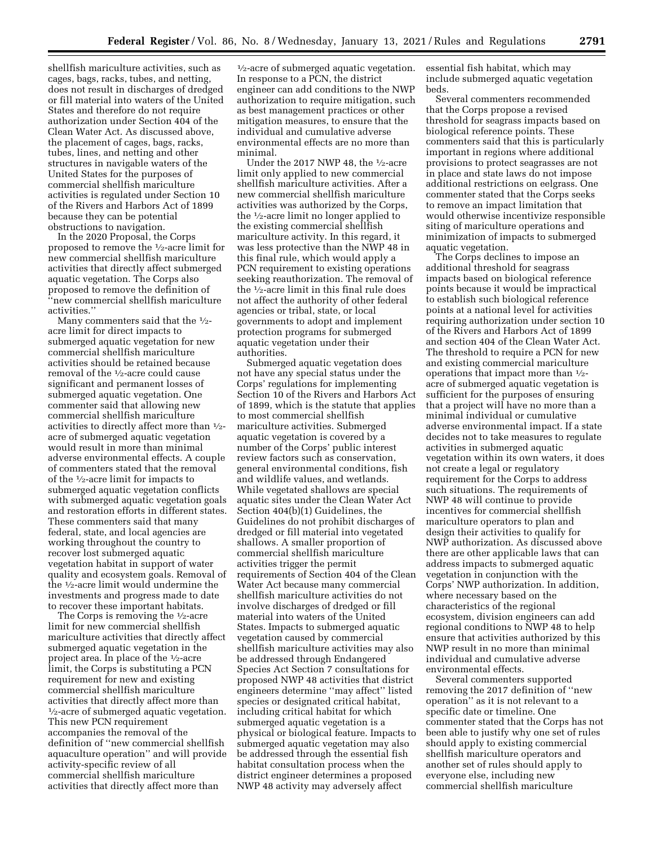shellfish mariculture activities, such as cages, bags, racks, tubes, and netting, does not result in discharges of dredged or fill material into waters of the United States and therefore do not require authorization under Section 404 of the Clean Water Act. As discussed above, the placement of cages, bags, racks, tubes, lines, and netting and other structures in navigable waters of the United States for the purposes of commercial shellfish mariculture activities is regulated under Section 10 of the Rivers and Harbors Act of 1899 because they can be potential obstructions to navigation.

In the 2020 Proposal, the Corps proposed to remove the 1⁄2-acre limit for new commercial shellfish mariculture activities that directly affect submerged aquatic vegetation. The Corps also proposed to remove the definition of ''new commercial shellfish mariculture activities.''

Many commenters said that the  $\frac{1}{2}$ acre limit for direct impacts to submerged aquatic vegetation for new commercial shellfish mariculture activities should be retained because removal of the 1⁄2-acre could cause significant and permanent losses of submerged aquatic vegetation. One commenter said that allowing new commercial shellfish mariculture activities to directly affect more than 1⁄2 acre of submerged aquatic vegetation would result in more than minimal adverse environmental effects. A couple of commenters stated that the removal of the 1⁄2-acre limit for impacts to submerged aquatic vegetation conflicts with submerged aquatic vegetation goals and restoration efforts in different states. These commenters said that many federal, state, and local agencies are working throughout the country to recover lost submerged aquatic vegetation habitat in support of water quality and ecosystem goals. Removal of the 1⁄2-acre limit would undermine the investments and progress made to date to recover these important habitats.

The Corps is removing the 1⁄2-acre limit for new commercial shellfish mariculture activities that directly affect submerged aquatic vegetation in the project area. In place of the 1⁄2-acre limit, the Corps is substituting a PCN requirement for new and existing commercial shellfish mariculture activities that directly affect more than  $\frac{1}{2}$ -acre of submerged aquatic vegetation. This new PCN requirement accompanies the removal of the definition of ''new commercial shellfish aquaculture operation'' and will provide activity-specific review of all commercial shellfish mariculture activities that directly affect more than

 $\frac{1}{2}$ -acre of submerged aquatic vegetation. In response to a PCN, the district engineer can add conditions to the NWP authorization to require mitigation, such as best management practices or other mitigation measures, to ensure that the individual and cumulative adverse environmental effects are no more than minimal.

Under the 2017 NWP 48, the 1⁄2-acre limit only applied to new commercial shellfish mariculture activities. After a new commercial shellfish mariculture activities was authorized by the Corps, the 1⁄2-acre limit no longer applied to the existing commercial shellfish mariculture activity. In this regard, it was less protective than the NWP 48 in this final rule, which would apply a PCN requirement to existing operations seeking reauthorization. The removal of the 1⁄2-acre limit in this final rule does not affect the authority of other federal agencies or tribal, state, or local governments to adopt and implement protection programs for submerged aquatic vegetation under their authorities.

Submerged aquatic vegetation does not have any special status under the Corps' regulations for implementing Section 10 of the Rivers and Harbors Act of 1899, which is the statute that applies to most commercial shellfish mariculture activities. Submerged aquatic vegetation is covered by a number of the Corps' public interest review factors such as conservation, general environmental conditions, fish and wildlife values, and wetlands. While vegetated shallows are special aquatic sites under the Clean Water Act Section 404(b)(1) Guidelines, the Guidelines do not prohibit discharges of dredged or fill material into vegetated shallows. A smaller proportion of commercial shellfish mariculture activities trigger the permit requirements of Section 404 of the Clean Water Act because many commercial shellfish mariculture activities do not involve discharges of dredged or fill material into waters of the United States. Impacts to submerged aquatic vegetation caused by commercial shellfish mariculture activities may also be addressed through Endangered Species Act Section 7 consultations for proposed NWP 48 activities that district engineers determine ''may affect'' listed species or designated critical habitat, including critical habitat for which submerged aquatic vegetation is a physical or biological feature. Impacts to submerged aquatic vegetation may also be addressed through the essential fish habitat consultation process when the district engineer determines a proposed NWP 48 activity may adversely affect

essential fish habitat, which may include submerged aquatic vegetation beds.

Several commenters recommended that the Corps propose a revised threshold for seagrass impacts based on biological reference points. These commenters said that this is particularly important in regions where additional provisions to protect seagrasses are not in place and state laws do not impose additional restrictions on eelgrass. One commenter stated that the Corps seeks to remove an impact limitation that would otherwise incentivize responsible siting of mariculture operations and minimization of impacts to submerged aquatic vegetation.

The Corps declines to impose an additional threshold for seagrass impacts based on biological reference points because it would be impractical to establish such biological reference points at a national level for activities requiring authorization under section 10 of the Rivers and Harbors Act of 1899 and section 404 of the Clean Water Act. The threshold to require a PCN for new and existing commercial mariculture operations that impact more than  $\frac{1}{2}$ acre of submerged aquatic vegetation is sufficient for the purposes of ensuring that a project will have no more than a minimal individual or cumulative adverse environmental impact. If a state decides not to take measures to regulate activities in submerged aquatic vegetation within its own waters, it does not create a legal or regulatory requirement for the Corps to address such situations. The requirements of NWP 48 will continue to provide incentives for commercial shellfish mariculture operators to plan and design their activities to qualify for NWP authorization. As discussed above there are other applicable laws that can address impacts to submerged aquatic vegetation in conjunction with the Corps' NWP authorization. In addition, where necessary based on the characteristics of the regional ecosystem, division engineers can add regional conditions to NWP 48 to help ensure that activities authorized by this NWP result in no more than minimal individual and cumulative adverse environmental effects.

Several commenters supported removing the 2017 definition of ''new operation'' as it is not relevant to a specific date or timeline. One commenter stated that the Corps has not been able to justify why one set of rules should apply to existing commercial shellfish mariculture operators and another set of rules should apply to everyone else, including new commercial shellfish mariculture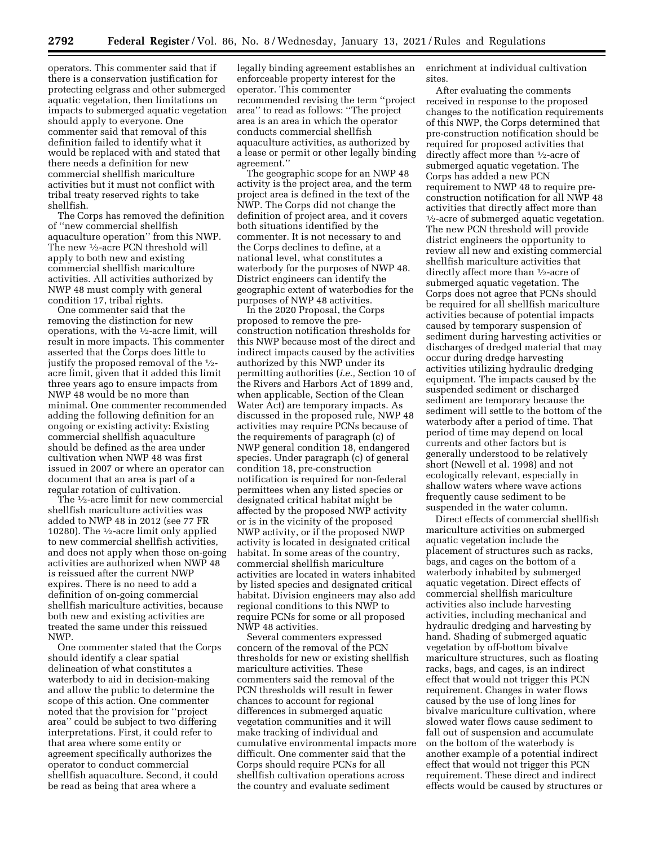operators. This commenter said that if there is a conservation justification for protecting eelgrass and other submerged aquatic vegetation, then limitations on impacts to submerged aquatic vegetation should apply to everyone. One commenter said that removal of this definition failed to identify what it would be replaced with and stated that there needs a definition for new commercial shellfish mariculture activities but it must not conflict with tribal treaty reserved rights to take shellfish.

The Corps has removed the definition of ''new commercial shellfish aquaculture operation'' from this NWP. The new  $\frac{1}{2}$ -acre PCN threshold will apply to both new and existing commercial shellfish mariculture activities. All activities authorized by NWP 48 must comply with general condition 17, tribal rights.

One commenter said that the removing the distinction for new operations, with the 1⁄2-acre limit, will result in more impacts. This commenter asserted that the Corps does little to justify the proposed removal of the 1⁄2 acre limit, given that it added this limit three years ago to ensure impacts from NWP 48 would be no more than minimal. One commenter recommended adding the following definition for an ongoing or existing activity: Existing commercial shellfish aquaculture should be defined as the area under cultivation when NWP 48 was first issued in 2007 or where an operator can document that an area is part of a regular rotation of cultivation.

The 1⁄2-acre limit for new commercial shellfish mariculture activities was added to NWP 48 in 2012 (see 77 FR 10280). The 1⁄2-acre limit only applied to new commercial shellfish activities, and does not apply when those on-going activities are authorized when NWP 48 is reissued after the current NWP expires. There is no need to add a definition of on-going commercial shellfish mariculture activities, because both new and existing activities are treated the same under this reissued NWP.

One commenter stated that the Corps should identify a clear spatial delineation of what constitutes a waterbody to aid in decision-making and allow the public to determine the scope of this action. One commenter noted that the provision for ''project area'' could be subject to two differing interpretations. First, it could refer to that area where some entity or agreement specifically authorizes the operator to conduct commercial shellfish aquaculture. Second, it could be read as being that area where a

legally binding agreement establishes an enforceable property interest for the operator. This commenter recommended revising the term ''project area'' to read as follows: ''The project area is an area in which the operator conducts commercial shellfish aquaculture activities, as authorized by a lease or permit or other legally binding agreement.''

The geographic scope for an NWP 48 activity is the project area, and the term project area is defined in the text of the NWP. The Corps did not change the definition of project area, and it covers both situations identified by the commenter. It is not necessary to and the Corps declines to define, at a national level, what constitutes a waterbody for the purposes of NWP 48. District engineers can identify the geographic extent of waterbodies for the purposes of NWP 48 activities.

In the 2020 Proposal, the Corps proposed to remove the preconstruction notification thresholds for this NWP because most of the direct and indirect impacts caused by the activities authorized by this NWP under its permitting authorities (*i.e.,* Section 10 of the Rivers and Harbors Act of 1899 and, when applicable, Section of the Clean Water Act) are temporary impacts. As discussed in the proposed rule, NWP 48 activities may require PCNs because of the requirements of paragraph (c) of NWP general condition 18, endangered species. Under paragraph (c) of general condition 18, pre-construction notification is required for non-federal permittees when any listed species or designated critical habitat might be affected by the proposed NWP activity or is in the vicinity of the proposed NWP activity, or if the proposed NWP activity is located in designated critical habitat. In some areas of the country, commercial shellfish mariculture activities are located in waters inhabited by listed species and designated critical habitat. Division engineers may also add regional conditions to this NWP to require PCNs for some or all proposed NWP 48 activities.

Several commenters expressed concern of the removal of the PCN thresholds for new or existing shellfish mariculture activities. These commenters said the removal of the PCN thresholds will result in fewer chances to account for regional differences in submerged aquatic vegetation communities and it will make tracking of individual and cumulative environmental impacts more difficult. One commenter said that the Corps should require PCNs for all shellfish cultivation operations across the country and evaluate sediment

enrichment at individual cultivation sites.

After evaluating the comments received in response to the proposed changes to the notification requirements of this NWP, the Corps determined that pre-construction notification should be required for proposed activities that directly affect more than 1⁄2-acre of submerged aquatic vegetation. The Corps has added a new PCN requirement to NWP 48 to require preconstruction notification for all NWP 48 activities that directly affect more than  $\frac{1}{2}$ -acre of submerged aquatic vegetation. The new PCN threshold will provide district engineers the opportunity to review all new and existing commercial shellfish mariculture activities that directly affect more than 1⁄2-acre of submerged aquatic vegetation. The Corps does not agree that PCNs should be required for all shellfish mariculture activities because of potential impacts caused by temporary suspension of sediment during harvesting activities or discharges of dredged material that may occur during dredge harvesting activities utilizing hydraulic dredging equipment. The impacts caused by the suspended sediment or discharged sediment are temporary because the sediment will settle to the bottom of the waterbody after a period of time. That period of time may depend on local currents and other factors but is generally understood to be relatively short (Newell et al. 1998) and not ecologically relevant, especially in shallow waters where wave actions frequently cause sediment to be suspended in the water column.

Direct effects of commercial shellfish mariculture activities on submerged aquatic vegetation include the placement of structures such as racks, bags, and cages on the bottom of a waterbody inhabited by submerged aquatic vegetation. Direct effects of commercial shellfish mariculture activities also include harvesting activities, including mechanical and hydraulic dredging and harvesting by hand. Shading of submerged aquatic vegetation by off-bottom bivalve mariculture structures, such as floating racks, bags, and cages, is an indirect effect that would not trigger this PCN requirement. Changes in water flows caused by the use of long lines for bivalve mariculture cultivation, where slowed water flows cause sediment to fall out of suspension and accumulate on the bottom of the waterbody is another example of a potential indirect effect that would not trigger this PCN requirement. These direct and indirect effects would be caused by structures or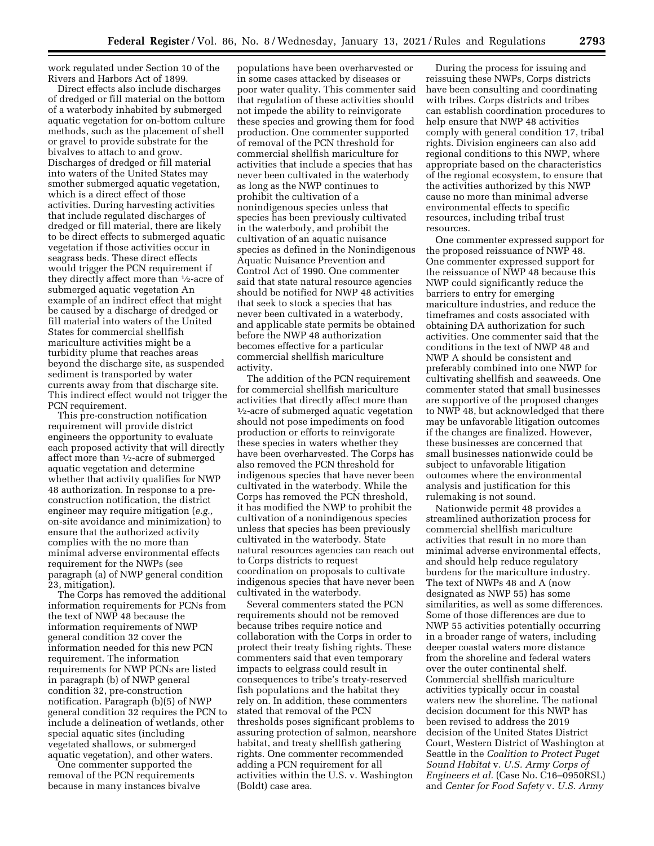work regulated under Section 10 of the Rivers and Harbors Act of 1899.

Direct effects also include discharges of dredged or fill material on the bottom of a waterbody inhabited by submerged aquatic vegetation for on-bottom culture methods, such as the placement of shell or gravel to provide substrate for the bivalves to attach to and grow. Discharges of dredged or fill material into waters of the United States may smother submerged aquatic vegetation, which is a direct effect of those activities. During harvesting activities that include regulated discharges of dredged or fill material, there are likely to be direct effects to submerged aquatic vegetation if those activities occur in seagrass beds. These direct effects would trigger the PCN requirement if they directly affect more than 1⁄2-acre of submerged aquatic vegetation An example of an indirect effect that might be caused by a discharge of dredged or fill material into waters of the United States for commercial shellfish mariculture activities might be a turbidity plume that reaches areas beyond the discharge site, as suspended sediment is transported by water currents away from that discharge site. This indirect effect would not trigger the PCN requirement.

This pre-construction notification requirement will provide district engineers the opportunity to evaluate each proposed activity that will directly affect more than 1⁄2-acre of submerged aquatic vegetation and determine whether that activity qualifies for NWP 48 authorization. In response to a preconstruction notification, the district engineer may require mitigation (*e.g.,*  on-site avoidance and minimization) to ensure that the authorized activity complies with the no more than minimal adverse environmental effects requirement for the NWPs (see paragraph (a) of NWP general condition 23, mitigation).

The Corps has removed the additional information requirements for PCNs from the text of NWP 48 because the information requirements of NWP general condition 32 cover the information needed for this new PCN requirement. The information requirements for NWP PCNs are listed in paragraph (b) of NWP general condition 32, pre-construction notification. Paragraph (b)(5) of NWP general condition 32 requires the PCN to include a delineation of wetlands, other special aquatic sites (including vegetated shallows, or submerged aquatic vegetation), and other waters.

One commenter supported the removal of the PCN requirements because in many instances bivalve

populations have been overharvested or in some cases attacked by diseases or poor water quality. This commenter said that regulation of these activities should not impede the ability to reinvigorate these species and growing them for food production. One commenter supported of removal of the PCN threshold for commercial shellfish mariculture for activities that include a species that has never been cultivated in the waterbody as long as the NWP continues to prohibit the cultivation of a nonindigenous species unless that species has been previously cultivated in the waterbody, and prohibit the cultivation of an aquatic nuisance species as defined in the Nonindigenous Aquatic Nuisance Prevention and Control Act of 1990. One commenter said that state natural resource agencies should be notified for NWP 48 activities that seek to stock a species that has never been cultivated in a waterbody, and applicable state permits be obtained before the NWP 48 authorization becomes effective for a particular commercial shellfish mariculture activity.

The addition of the PCN requirement for commercial shellfish mariculture activities that directly affect more than 1⁄2-acre of submerged aquatic vegetation should not pose impediments on food production or efforts to reinvigorate these species in waters whether they have been overharvested. The Corps has also removed the PCN threshold for indigenous species that have never been cultivated in the waterbody. While the Corps has removed the PCN threshold, it has modified the NWP to prohibit the cultivation of a nonindigenous species unless that species has been previously cultivated in the waterbody. State natural resources agencies can reach out to Corps districts to request coordination on proposals to cultivate indigenous species that have never been cultivated in the waterbody.

Several commenters stated the PCN requirements should not be removed because tribes require notice and collaboration with the Corps in order to protect their treaty fishing rights. These commenters said that even temporary impacts to eelgrass could result in consequences to tribe's treaty-reserved fish populations and the habitat they rely on. In addition, these commenters stated that removal of the PCN thresholds poses significant problems to assuring protection of salmon, nearshore habitat, and treaty shellfish gathering rights. One commenter recommended adding a PCN requirement for all activities within the U.S. v. Washington (Boldt) case area.

During the process for issuing and reissuing these NWPs, Corps districts have been consulting and coordinating with tribes. Corps districts and tribes can establish coordination procedures to help ensure that NWP 48 activities comply with general condition 17, tribal rights. Division engineers can also add regional conditions to this NWP, where appropriate based on the characteristics of the regional ecosystem, to ensure that the activities authorized by this NWP cause no more than minimal adverse environmental effects to specific resources, including tribal trust resources.

One commenter expressed support for the proposed reissuance of NWP 48. One commenter expressed support for the reissuance of NWP 48 because this NWP could significantly reduce the barriers to entry for emerging mariculture industries, and reduce the timeframes and costs associated with obtaining DA authorization for such activities. One commenter said that the conditions in the text of NWP 48 and NWP A should be consistent and preferably combined into one NWP for cultivating shellfish and seaweeds. One commenter stated that small businesses are supportive of the proposed changes to NWP 48, but acknowledged that there may be unfavorable litigation outcomes if the changes are finalized. However, these businesses are concerned that small businesses nationwide could be subject to unfavorable litigation outcomes where the environmental analysis and justification for this rulemaking is not sound.

Nationwide permit 48 provides a streamlined authorization process for commercial shellfish mariculture activities that result in no more than minimal adverse environmental effects, and should help reduce regulatory burdens for the mariculture industry. The text of NWPs 48 and A (now designated as NWP 55) has some similarities, as well as some differences. Some of those differences are due to NWP 55 activities potentially occurring in a broader range of waters, including deeper coastal waters more distance from the shoreline and federal waters over the outer continental shelf. Commercial shellfish mariculture activities typically occur in coastal waters new the shoreline. The national decision document for this NWP has been revised to address the 2019 decision of the United States District Court, Western District of Washington at Seattle in the *Coalition to Protect Puget Sound Habitat* v. *U.S. Army Corps of Engineers et al.* (Case No. C16–0950RSL) and *Center for Food Safety* v. *U.S. Army*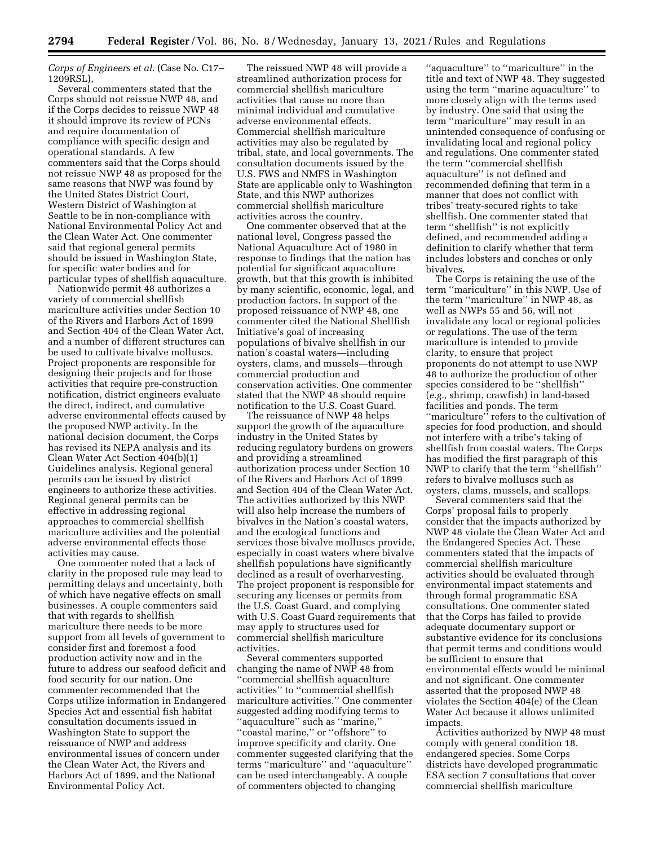*Corps of Engineers et al.* (Case No. C17– 1209RSL),

Several commenters stated that the Corps should not reissue NWP 48, and if the Corps decides to reissue NWP 48 it should improve its review of PCNs and require documentation of compliance with specific design and operational standards. A few commenters said that the Corps should not reissue NWP 48 as proposed for the same reasons that NWP was found by the United States District Court, Western District of Washington at Seattle to be in non-compliance with National Environmental Policy Act and the Clean Water Act. One commenter said that regional general permits should be issued in Washington State, for specific water bodies and for particular types of shellfish aquaculture.

Nationwide permit 48 authorizes a variety of commercial shellfish mariculture activities under Section 10 of the Rivers and Harbors Act of 1899 and Section 404 of the Clean Water Act, and a number of different structures can be used to cultivate bivalve molluscs. Project proponents are responsible for designing their projects and for those activities that require pre-construction notification, district engineers evaluate the direct, indirect, and cumulative adverse environmental effects caused by the proposed NWP activity. In the national decision document, the Corps has revised its NEPA analysis and its Clean Water Act Section 404(b)(1) Guidelines analysis. Regional general permits can be issued by district engineers to authorize these activities. Regional general permits can be effective in addressing regional approaches to commercial shellfish mariculture activities and the potential adverse environmental effects those activities may cause.

One commenter noted that a lack of clarity in the proposed rule may lead to permitting delays and uncertainty, both of which have negative effects on small businesses. A couple commenters said that with regards to shellfish mariculture there needs to be more support from all levels of government to consider first and foremost a food production activity now and in the future to address our seafood deficit and food security for our nation. One commenter recommended that the Corps utilize information in Endangered Species Act and essential fish habitat consultation documents issued in Washington State to support the reissuance of NWP and address environmental issues of concern under the Clean Water Act, the Rivers and Harbors Act of 1899, and the National Environmental Policy Act.

The reissued NWP 48 will provide a streamlined authorization process for commercial shellfish mariculture activities that cause no more than minimal individual and cumulative adverse environmental effects. Commercial shellfish mariculture activities may also be regulated by tribal, state, and local governments. The consultation documents issued by the U.S. FWS and NMFS in Washington State are applicable only to Washington State, and this NWP authorizes commercial shellfish mariculture activities across the country.

One commenter observed that at the national level, Congress passed the National Aquaculture Act of 1980 in response to findings that the nation has potential for significant aquaculture growth, but that this growth is inhibited by many scientific, economic, legal, and production factors. In support of the proposed reissuance of NWP 48, one commenter cited the National Shellfish Initiative's goal of increasing populations of bivalve shellfish in our nation's coastal waters—including oysters, clams, and mussels—through commercial production and conservation activities. One commenter stated that the NWP 48 should require notification to the U.S. Coast Guard.

The reissuance of NWP 48 helps support the growth of the aquaculture industry in the United States by reducing regulatory burdens on growers and providing a streamlined authorization process under Section 10 of the Rivers and Harbors Act of 1899 and Section 404 of the Clean Water Act. The activities authorized by this NWP will also help increase the numbers of bivalves in the Nation's coastal waters, and the ecological functions and services those bivalve molluscs provide, especially in coast waters where bivalve shellfish populations have significantly declined as a result of overharvesting. The project proponent is responsible for securing any licenses or permits from the U.S. Coast Guard, and complying with U.S. Coast Guard requirements that may apply to structures used for commercial shellfish mariculture activities.

Several commenters supported changing the name of NWP 48 from ''commercial shellfish aquaculture activities'' to ''commercial shellfish mariculture activities.'' One commenter suggested adding modifying terms to ''aquaculture'' such as ''marine,'' ''coastal marine,'' or ''offshore'' to improve specificity and clarity. One commenter suggested clarifying that the terms ''mariculture'' and ''aquaculture'' can be used interchangeably. A couple of commenters objected to changing

''aquaculture'' to ''mariculture'' in the title and text of NWP 48. They suggested using the term ''marine aquaculture'' to more closely align with the terms used by industry. One said that using the term ''mariculture'' may result in an unintended consequence of confusing or invalidating local and regional policy and regulations. One commenter stated the term ''commercial shellfish aquaculture'' is not defined and recommended defining that term in a manner that does not conflict with tribes' treaty-secured rights to take shellfish. One commenter stated that term ''shellfish'' is not explicitly defined, and recommended adding a definition to clarify whether that term includes lobsters and conches or only bivalves.

The Corps is retaining the use of the term ''mariculture'' in this NWP. Use of the term ''mariculture'' in NWP 48, as well as NWPs 55 and 56, will not invalidate any local or regional policies or regulations. The use of the term mariculture is intended to provide clarity, to ensure that project proponents do not attempt to use NWP 48 to authorize the production of other species considered to be ''shellfish'' (*e.g.,* shrimp, crawfish) in land-based facilities and ponds. The term ''mariculture'' refers to the cultivation of species for food production, and should not interfere with a tribe's taking of shellfish from coastal waters. The Corps has modified the first paragraph of this NWP to clarify that the term ''shellfish'' refers to bivalve molluscs such as oysters, clams, mussels, and scallops.

Several commenters said that the Corps' proposal fails to properly consider that the impacts authorized by NWP 48 violate the Clean Water Act and the Endangered Species Act. These commenters stated that the impacts of commercial shellfish mariculture activities should be evaluated through environmental impact statements and through formal programmatic ESA consultations. One commenter stated that the Corps has failed to provide adequate documentary support or substantive evidence for its conclusions that permit terms and conditions would be sufficient to ensure that environmental effects would be minimal and not significant. One commenter asserted that the proposed NWP 48 violates the Section 404(e) of the Clean Water Act because it allows unlimited impacts.

Activities authorized by NWP 48 must comply with general condition 18, endangered species. Some Corps districts have developed programmatic ESA section 7 consultations that cover commercial shellfish mariculture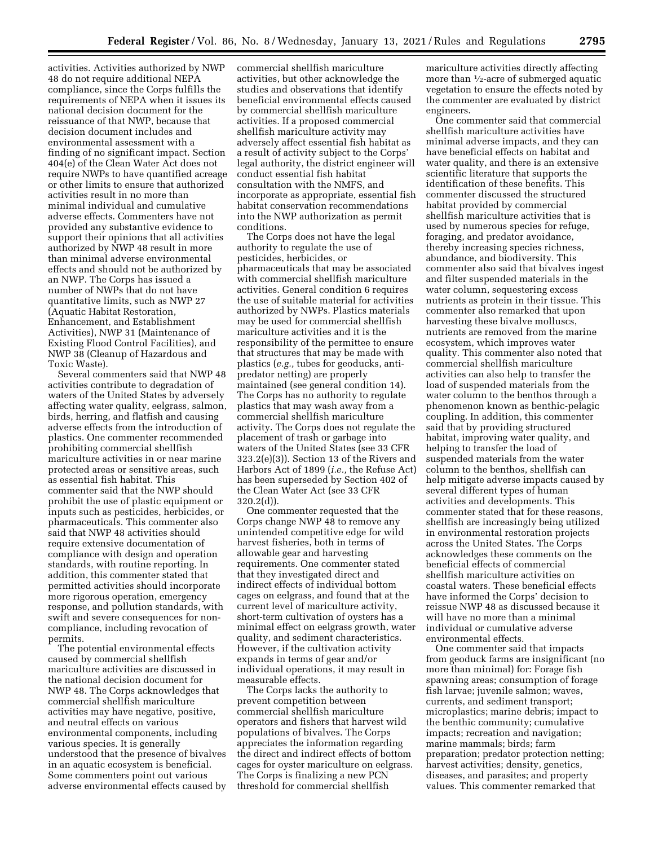activities. Activities authorized by NWP 48 do not require additional NEPA compliance, since the Corps fulfills the requirements of NEPA when it issues its national decision document for the reissuance of that NWP, because that decision document includes and environmental assessment with a finding of no significant impact. Section 404(e) of the Clean Water Act does not require NWPs to have quantified acreage or other limits to ensure that authorized activities result in no more than minimal individual and cumulative adverse effects. Commenters have not provided any substantive evidence to support their opinions that all activities authorized by NWP 48 result in more than minimal adverse environmental effects and should not be authorized by an NWP. The Corps has issued a number of NWPs that do not have quantitative limits, such as NWP 27 (Aquatic Habitat Restoration, Enhancement, and Establishment Activities), NWP 31 (Maintenance of Existing Flood Control Facilities), and NWP 38 (Cleanup of Hazardous and Toxic Waste).

Several commenters said that NWP 48 activities contribute to degradation of waters of the United States by adversely affecting water quality, eelgrass, salmon, birds, herring, and flatfish and causing adverse effects from the introduction of plastics. One commenter recommended prohibiting commercial shellfish mariculture activities in or near marine protected areas or sensitive areas, such as essential fish habitat. This commenter said that the NWP should prohibit the use of plastic equipment or inputs such as pesticides, herbicides, or pharmaceuticals. This commenter also said that NWP 48 activities should require extensive documentation of compliance with design and operation standards, with routine reporting. In addition, this commenter stated that permitted activities should incorporate more rigorous operation, emergency response, and pollution standards, with swift and severe consequences for noncompliance, including revocation of permits.

The potential environmental effects caused by commercial shellfish mariculture activities are discussed in the national decision document for NWP 48. The Corps acknowledges that commercial shellfish mariculture activities may have negative, positive, and neutral effects on various environmental components, including various species. It is generally understood that the presence of bivalves in an aquatic ecosystem is beneficial. Some commenters point out various adverse environmental effects caused by

commercial shellfish mariculture activities, but other acknowledge the studies and observations that identify beneficial environmental effects caused by commercial shellfish mariculture activities. If a proposed commercial shellfish mariculture activity may adversely affect essential fish habitat as a result of activity subject to the Corps' legal authority, the district engineer will conduct essential fish habitat consultation with the NMFS, and incorporate as appropriate, essential fish habitat conservation recommendations into the NWP authorization as permit conditions.

The Corps does not have the legal authority to regulate the use of pesticides, herbicides, or pharmaceuticals that may be associated with commercial shellfish mariculture activities. General condition 6 requires the use of suitable material for activities authorized by NWPs. Plastics materials may be used for commercial shellfish mariculture activities and it is the responsibility of the permittee to ensure that structures that may be made with plastics (*e.g.,* tubes for geoducks, antipredator netting) are properly maintained (see general condition 14). The Corps has no authority to regulate plastics that may wash away from a commercial shellfish mariculture activity. The Corps does not regulate the placement of trash or garbage into waters of the United States (see 33 CFR 323.2(e)(3)). Section 13 of the Rivers and Harbors Act of 1899 (*i.e.,* the Refuse Act) has been superseded by Section 402 of the Clean Water Act (see 33 CFR 320.2(d)).

One commenter requested that the Corps change NWP 48 to remove any unintended competitive edge for wild harvest fisheries, both in terms of allowable gear and harvesting requirements. One commenter stated that they investigated direct and indirect effects of individual bottom cages on eelgrass, and found that at the current level of mariculture activity, short-term cultivation of oysters has a minimal effect on eelgrass growth, water quality, and sediment characteristics. However, if the cultivation activity expands in terms of gear and/or individual operations, it may result in measurable effects.

The Corps lacks the authority to prevent competition between commercial shellfish mariculture operators and fishers that harvest wild populations of bivalves. The Corps appreciates the information regarding the direct and indirect effects of bottom cages for oyster mariculture on eelgrass. The Corps is finalizing a new PCN threshold for commercial shellfish

mariculture activities directly affecting more than 1⁄2-acre of submerged aquatic vegetation to ensure the effects noted by the commenter are evaluated by district engineers.

One commenter said that commercial shellfish mariculture activities have minimal adverse impacts, and they can have beneficial effects on habitat and water quality, and there is an extensive scientific literature that supports the identification of these benefits. This commenter discussed the structured habitat provided by commercial shellfish mariculture activities that is used by numerous species for refuge, foraging, and predator avoidance, thereby increasing species richness, abundance, and biodiversity. This commenter also said that bivalves ingest and filter suspended materials in the water column, sequestering excess nutrients as protein in their tissue. This commenter also remarked that upon harvesting these bivalve molluscs, nutrients are removed from the marine ecosystem, which improves water quality. This commenter also noted that commercial shellfish mariculture activities can also help to transfer the load of suspended materials from the water column to the benthos through a phenomenon known as benthic-pelagic coupling. In addition, this commenter said that by providing structured habitat, improving water quality, and helping to transfer the load of suspended materials from the water column to the benthos, shellfish can help mitigate adverse impacts caused by several different types of human activities and developments. This commenter stated that for these reasons, shellfish are increasingly being utilized in environmental restoration projects across the United States. The Corps acknowledges these comments on the beneficial effects of commercial shellfish mariculture activities on coastal waters. These beneficial effects have informed the Corps' decision to reissue NWP 48 as discussed because it will have no more than a minimal individual or cumulative adverse environmental effects.

One commenter said that impacts from geoduck farms are insignificant (no more than minimal) for: Forage fish spawning areas; consumption of forage fish larvae; juvenile salmon; waves, currents, and sediment transport; microplastics; marine debris; impact to the benthic community; cumulative impacts; recreation and navigation; marine mammals; birds; farm preparation; predator protection netting; harvest activities; density, genetics, diseases, and parasites; and property values. This commenter remarked that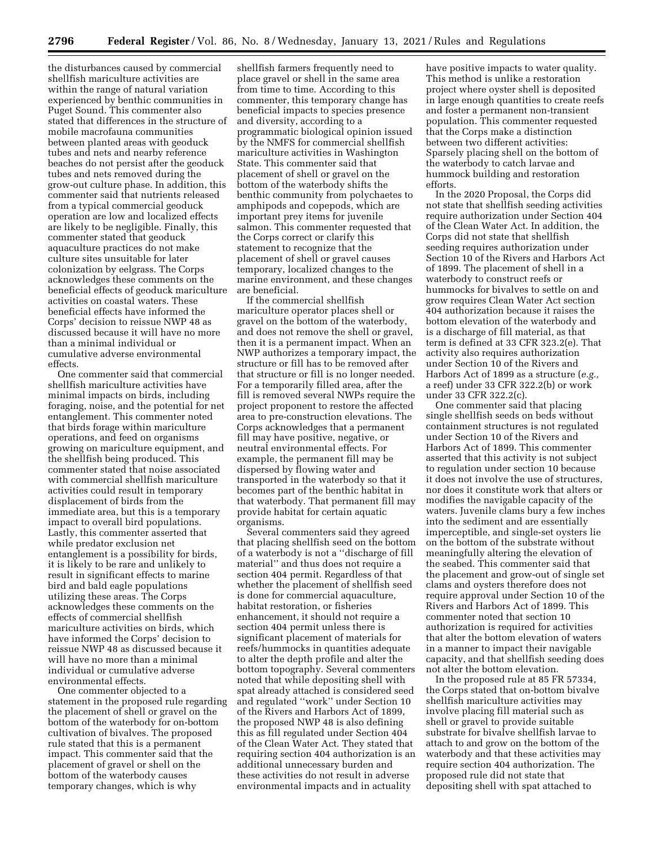the disturbances caused by commercial shellfish mariculture activities are within the range of natural variation experienced by benthic communities in Puget Sound. This commenter also stated that differences in the structure of mobile macrofauna communities between planted areas with geoduck tubes and nets and nearby reference beaches do not persist after the geoduck tubes and nets removed during the grow-out culture phase. In addition, this commenter said that nutrients released from a typical commercial geoduck operation are low and localized effects are likely to be negligible. Finally, this commenter stated that geoduck aquaculture practices do not make culture sites unsuitable for later colonization by eelgrass. The Corps acknowledges these comments on the beneficial effects of geoduck mariculture activities on coastal waters. These beneficial effects have informed the Corps' decision to reissue NWP 48 as discussed because it will have no more than a minimal individual or cumulative adverse environmental effects.

One commenter said that commercial shellfish mariculture activities have minimal impacts on birds, including foraging, noise, and the potential for net entanglement. This commenter noted that birds forage within mariculture operations, and feed on organisms growing on mariculture equipment, and the shellfish being produced. This commenter stated that noise associated with commercial shellfish mariculture activities could result in temporary displacement of birds from the immediate area, but this is a temporary impact to overall bird populations. Lastly, this commenter asserted that while predator exclusion net entanglement is a possibility for birds, it is likely to be rare and unlikely to result in significant effects to marine bird and bald eagle populations utilizing these areas. The Corps acknowledges these comments on the effects of commercial shellfish mariculture activities on birds, which have informed the Corps' decision to reissue NWP 48 as discussed because it will have no more than a minimal individual or cumulative adverse environmental effects.

One commenter objected to a statement in the proposed rule regarding the placement of shell or gravel on the bottom of the waterbody for on-bottom cultivation of bivalves. The proposed rule stated that this is a permanent impact. This commenter said that the placement of gravel or shell on the bottom of the waterbody causes temporary changes, which is why

shellfish farmers frequently need to place gravel or shell in the same area from time to time. According to this commenter, this temporary change has beneficial impacts to species presence and diversity, according to a programmatic biological opinion issued by the NMFS for commercial shellfish mariculture activities in Washington State. This commenter said that placement of shell or gravel on the bottom of the waterbody shifts the benthic community from polychaetes to amphipods and copepods, which are important prey items for juvenile salmon. This commenter requested that the Corps correct or clarify this statement to recognize that the placement of shell or gravel causes temporary, localized changes to the marine environment, and these changes are beneficial.

If the commercial shellfish mariculture operator places shell or gravel on the bottom of the waterbody, and does not remove the shell or gravel, then it is a permanent impact. When an NWP authorizes a temporary impact, the structure or fill has to be removed after that structure or fill is no longer needed. For a temporarily filled area, after the fill is removed several NWPs require the project proponent to restore the affected area to pre-construction elevations. The Corps acknowledges that a permanent fill may have positive, negative, or neutral environmental effects. For example, the permanent fill may be dispersed by flowing water and transported in the waterbody so that it becomes part of the benthic habitat in that waterbody. That permanent fill may provide habitat for certain aquatic organisms.

Several commenters said they agreed that placing shellfish seed on the bottom of a waterbody is not a ''discharge of fill material'' and thus does not require a section 404 permit. Regardless of that whether the placement of shellfish seed is done for commercial aquaculture, habitat restoration, or fisheries enhancement, it should not require a section 404 permit unless there is significant placement of materials for reefs/hummocks in quantities adequate to alter the depth profile and alter the bottom topography. Several commenters noted that while depositing shell with spat already attached is considered seed and regulated ''work'' under Section 10 of the Rivers and Harbors Act of 1899, the proposed NWP 48 is also defining this as fill regulated under Section 404 of the Clean Water Act. They stated that requiring section 404 authorization is an additional unnecessary burden and these activities do not result in adverse environmental impacts and in actuality

have positive impacts to water quality. This method is unlike a restoration project where oyster shell is deposited in large enough quantities to create reefs and foster a permanent non-transient population. This commenter requested that the Corps make a distinction between two different activities: Sparsely placing shell on the bottom of the waterbody to catch larvae and hummock building and restoration efforts.

In the 2020 Proposal, the Corps did not state that shellfish seeding activities require authorization under Section 404 of the Clean Water Act. In addition, the Corps did not state that shellfish seeding requires authorization under Section 10 of the Rivers and Harbors Act of 1899. The placement of shell in a waterbody to construct reefs or hummocks for bivalves to settle on and grow requires Clean Water Act section 404 authorization because it raises the bottom elevation of the waterbody and is a discharge of fill material, as that term is defined at 33 CFR 323.2(e). That activity also requires authorization under Section 10 of the Rivers and Harbors Act of 1899 as a structure (*e.g.,*  a reef) under 33 CFR 322.2(b) or work under 33 CFR 322.2(c).

One commenter said that placing single shellfish seeds on beds without containment structures is not regulated under Section 10 of the Rivers and Harbors Act of 1899. This commenter asserted that this activity is not subject to regulation under section 10 because it does not involve the use of structures, nor does it constitute work that alters or modifies the navigable capacity of the waters. Juvenile clams bury a few inches into the sediment and are essentially imperceptible, and single-set oysters lie on the bottom of the substrate without meaningfully altering the elevation of the seabed. This commenter said that the placement and grow-out of single set clams and oysters therefore does not require approval under Section 10 of the Rivers and Harbors Act of 1899. This commenter noted that section 10 authorization is required for activities that alter the bottom elevation of waters in a manner to impact their navigable capacity, and that shellfish seeding does not alter the bottom elevation.

In the proposed rule at 85 FR 57334, the Corps stated that on-bottom bivalve shellfish mariculture activities may involve placing fill material such as shell or gravel to provide suitable substrate for bivalve shellfish larvae to attach to and grow on the bottom of the waterbody and that these activities may require section 404 authorization. The proposed rule did not state that depositing shell with spat attached to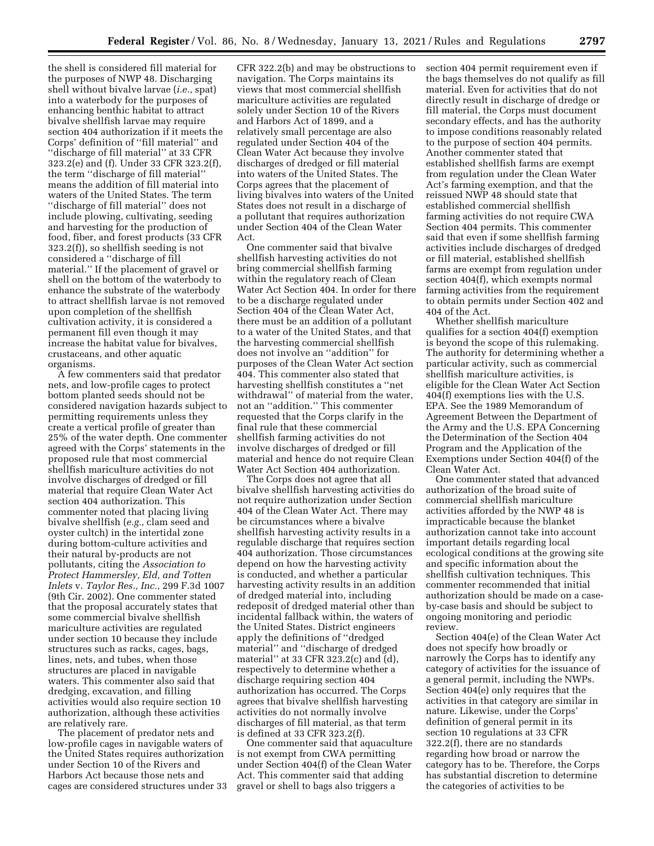the shell is considered fill material for the purposes of NWP 48. Discharging shell without bivalve larvae (*i.e.,* spat) into a waterbody for the purposes of enhancing benthic habitat to attract bivalve shellfish larvae may require section 404 authorization if it meets the Corps' definition of ''fill material'' and ''discharge of fill material'' at 33 CFR 323.2(e) and (f). Under 33 CFR 323.2(f), the term ''discharge of fill material'' means the addition of fill material into waters of the United States. The term ''discharge of fill material'' does not include plowing, cultivating, seeding and harvesting for the production of food, fiber, and forest products (33 CFR 323.2(f)), so shellfish seeding is not considered a ''discharge of fill material.'' If the placement of gravel or shell on the bottom of the waterbody to enhance the substrate of the waterbody to attract shellfish larvae is not removed upon completion of the shellfish cultivation activity, it is considered a permanent fill even though it may increase the habitat value for bivalves, crustaceans, and other aquatic organisms.

A few commenters said that predator nets, and low-profile cages to protect bottom planted seeds should not be considered navigation hazards subject to permitting requirements unless they create a vertical profile of greater than 25% of the water depth. One commenter agreed with the Corps' statements in the proposed rule that most commercial shellfish mariculture activities do not involve discharges of dredged or fill material that require Clean Water Act section 404 authorization. This commenter noted that placing living bivalve shellfish (*e.g.,* clam seed and oyster cultch) in the intertidal zone during bottom-culture activities and their natural by-products are not pollutants, citing the *Association to Protect Hammersley, Eld, and Totten Inlets* v. *Taylor Res., Inc.,* 299 F.3d 1007 (9th Cir. 2002). One commenter stated that the proposal accurately states that some commercial bivalve shellfish mariculture activities are regulated under section 10 because they include structures such as racks, cages, bags, lines, nets, and tubes, when those structures are placed in navigable waters. This commenter also said that dredging, excavation, and filling activities would also require section 10 authorization, although these activities are relatively rare.

The placement of predator nets and low-profile cages in navigable waters of the United States requires authorization under Section 10 of the Rivers and Harbors Act because those nets and cages are considered structures under 33

CFR 322.2(b) and may be obstructions to navigation. The Corps maintains its views that most commercial shellfish mariculture activities are regulated solely under Section 10 of the Rivers and Harbors Act of 1899, and a relatively small percentage are also regulated under Section 404 of the Clean Water Act because they involve discharges of dredged or fill material into waters of the United States. The Corps agrees that the placement of living bivalves into waters of the United States does not result in a discharge of a pollutant that requires authorization under Section 404 of the Clean Water Act.

One commenter said that bivalve shellfish harvesting activities do not bring commercial shellfish farming within the regulatory reach of Clean Water Act Section 404. In order for there to be a discharge regulated under Section 404 of the Clean Water Act, there must be an addition of a pollutant to a water of the United States, and that the harvesting commercial shellfish does not involve an ''addition'' for purposes of the Clean Water Act section 404. This commenter also stated that harvesting shellfish constitutes a ''net withdrawal'' of material from the water, not an ''addition.'' This commenter requested that the Corps clarify in the final rule that these commercial shellfish farming activities do not involve discharges of dredged or fill material and hence do not require Clean Water Act Section 404 authorization.

The Corps does not agree that all bivalve shellfish harvesting activities do not require authorization under Section 404 of the Clean Water Act. There may be circumstances where a bivalve shellfish harvesting activity results in a regulable discharge that requires section 404 authorization. Those circumstances depend on how the harvesting activity is conducted, and whether a particular harvesting activity results in an addition of dredged material into, including redeposit of dredged material other than incidental fallback within, the waters of the United States. District engineers apply the definitions of ''dredged material'' and ''discharge of dredged material'' at 33 CFR 323.2(c) and (d), respectively to determine whether a discharge requiring section 404 authorization has occurred. The Corps agrees that bivalve shellfish harvesting activities do not normally involve discharges of fill material, as that term is defined at 33 CFR 323.2(f).

One commenter said that aquaculture is not exempt from CWA permitting under Section 404(f) of the Clean Water Act. This commenter said that adding gravel or shell to bags also triggers a

section 404 permit requirement even if the bags themselves do not qualify as fill material. Even for activities that do not directly result in discharge of dredge or fill material, the Corps must document secondary effects, and has the authority to impose conditions reasonably related to the purpose of section 404 permits. Another commenter stated that established shellfish farms are exempt from regulation under the Clean Water Act's farming exemption, and that the reissued NWP 48 should state that established commercial shellfish farming activities do not require CWA Section 404 permits. This commenter said that even if some shellfish farming activities include discharges of dredged or fill material, established shellfish farms are exempt from regulation under section 404(f), which exempts normal farming activities from the requirement to obtain permits under Section 402 and 404 of the Act.

Whether shellfish mariculture qualifies for a section 404(f) exemption is beyond the scope of this rulemaking. The authority for determining whether a particular activity, such as commercial shellfish mariculture activities, is eligible for the Clean Water Act Section 404(f) exemptions lies with the U.S. EPA. See the 1989 Memorandum of Agreement Between the Department of the Army and the U.S. EPA Concerning the Determination of the Section 404 Program and the Application of the Exemptions under Section 404(f) of the Clean Water Act.

One commenter stated that advanced authorization of the broad suite of commercial shellfish mariculture activities afforded by the NWP 48 is impracticable because the blanket authorization cannot take into account important details regarding local ecological conditions at the growing site and specific information about the shellfish cultivation techniques. This commenter recommended that initial authorization should be made on a caseby-case basis and should be subject to ongoing monitoring and periodic review.

Section 404(e) of the Clean Water Act does not specify how broadly or narrowly the Corps has to identify any category of activities for the issuance of a general permit, including the NWPs. Section 404(e) only requires that the activities in that category are similar in nature. Likewise, under the Corps' definition of general permit in its section 10 regulations at 33 CFR 322.2(f), there are no standards regarding how broad or narrow the category has to be. Therefore, the Corps has substantial discretion to determine the categories of activities to be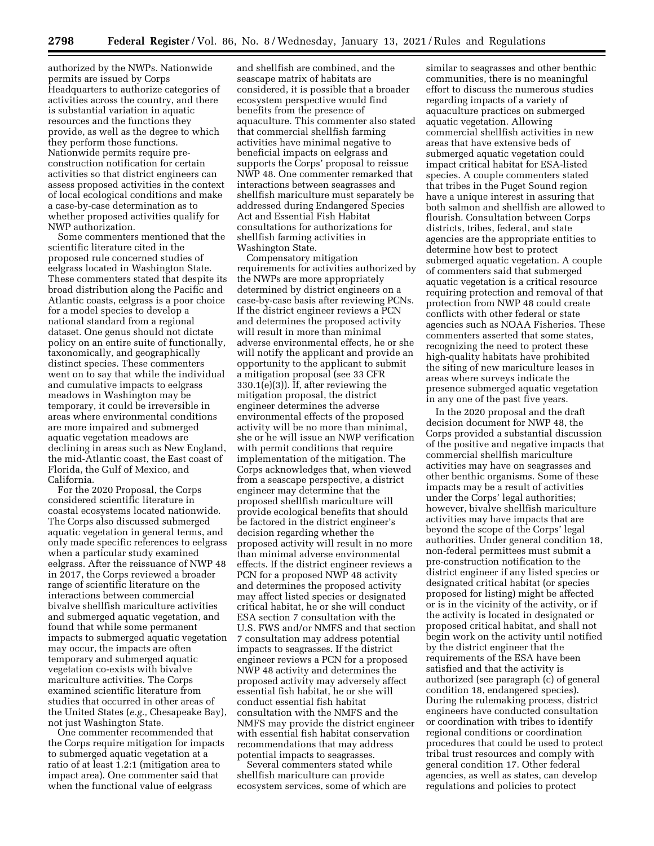authorized by the NWPs. Nationwide permits are issued by Corps Headquarters to authorize categories of activities across the country, and there is substantial variation in aquatic resources and the functions they provide, as well as the degree to which they perform those functions. Nationwide permits require preconstruction notification for certain activities so that district engineers can assess proposed activities in the context of local ecological conditions and make a case-by-case determination as to whether proposed activities qualify for NWP authorization.

Some commenters mentioned that the scientific literature cited in the proposed rule concerned studies of eelgrass located in Washington State. These commenters stated that despite its broad distribution along the Pacific and Atlantic coasts, eelgrass is a poor choice for a model species to develop a national standard from a regional dataset. One genus should not dictate policy on an entire suite of functionally, taxonomically, and geographically distinct species. These commenters went on to say that while the individual and cumulative impacts to eelgrass meadows in Washington may be temporary, it could be irreversible in areas where environmental conditions are more impaired and submerged aquatic vegetation meadows are declining in areas such as New England, the mid-Atlantic coast, the East coast of Florida, the Gulf of Mexico, and California.

For the 2020 Proposal, the Corps considered scientific literature in coastal ecosystems located nationwide. The Corps also discussed submerged aquatic vegetation in general terms, and only made specific references to eelgrass when a particular study examined eelgrass. After the reissuance of NWP 48 in 2017, the Corps reviewed a broader range of scientific literature on the interactions between commercial bivalve shellfish mariculture activities and submerged aquatic vegetation, and found that while some permanent impacts to submerged aquatic vegetation may occur, the impacts are often temporary and submerged aquatic vegetation co-exists with bivalve mariculture activities. The Corps examined scientific literature from studies that occurred in other areas of the United States (*e.g.,* Chesapeake Bay), not just Washington State.

One commenter recommended that the Corps require mitigation for impacts to submerged aquatic vegetation at a ratio of at least 1.2:1 (mitigation area to impact area). One commenter said that when the functional value of eelgrass

and shellfish are combined, and the seascape matrix of habitats are considered, it is possible that a broader ecosystem perspective would find benefits from the presence of aquaculture. This commenter also stated that commercial shellfish farming activities have minimal negative to beneficial impacts on eelgrass and supports the Corps' proposal to reissue NWP 48. One commenter remarked that interactions between seagrasses and shellfish mariculture must separately be addressed during Endangered Species Act and Essential Fish Habitat consultations for authorizations for shellfish farming activities in Washington State.

Compensatory mitigation requirements for activities authorized by the NWPs are more appropriately determined by district engineers on a case-by-case basis after reviewing PCNs. If the district engineer reviews a PCN and determines the proposed activity will result in more than minimal adverse environmental effects, he or she will notify the applicant and provide an opportunity to the applicant to submit a mitigation proposal (see 33 CFR 330.1(e)(3)). If, after reviewing the mitigation proposal, the district engineer determines the adverse environmental effects of the proposed activity will be no more than minimal, she or he will issue an NWP verification with permit conditions that require implementation of the mitigation. The Corps acknowledges that, when viewed from a seascape perspective, a district engineer may determine that the proposed shellfish mariculture will provide ecological benefits that should be factored in the district engineer's decision regarding whether the proposed activity will result in no more than minimal adverse environmental effects. If the district engineer reviews a PCN for a proposed NWP 48 activity and determines the proposed activity may affect listed species or designated critical habitat, he or she will conduct ESA section 7 consultation with the U.S. FWS and/or NMFS and that section 7 consultation may address potential impacts to seagrasses. If the district engineer reviews a PCN for a proposed NWP 48 activity and determines the proposed activity may adversely affect essential fish habitat, he or she will conduct essential fish habitat consultation with the NMFS and the NMFS may provide the district engineer with essential fish habitat conservation recommendations that may address potential impacts to seagrasses.

Several commenters stated while shellfish mariculture can provide ecosystem services, some of which are

similar to seagrasses and other benthic communities, there is no meaningful effort to discuss the numerous studies regarding impacts of a variety of aquaculture practices on submerged aquatic vegetation. Allowing commercial shellfish activities in new areas that have extensive beds of submerged aquatic vegetation could impact critical habitat for ESA-listed species. A couple commenters stated that tribes in the Puget Sound region have a unique interest in assuring that both salmon and shellfish are allowed to flourish. Consultation between Corps districts, tribes, federal, and state agencies are the appropriate entities to determine how best to protect submerged aquatic vegetation. A couple of commenters said that submerged aquatic vegetation is a critical resource requiring protection and removal of that protection from NWP 48 could create conflicts with other federal or state agencies such as NOAA Fisheries. These commenters asserted that some states, recognizing the need to protect these high-quality habitats have prohibited the siting of new mariculture leases in areas where surveys indicate the presence submerged aquatic vegetation in any one of the past five years.

In the 2020 proposal and the draft decision document for NWP 48, the Corps provided a substantial discussion of the positive and negative impacts that commercial shellfish mariculture activities may have on seagrasses and other benthic organisms. Some of these impacts may be a result of activities under the Corps' legal authorities; however, bivalve shellfish mariculture activities may have impacts that are beyond the scope of the Corps' legal authorities. Under general condition 18, non-federal permittees must submit a pre-construction notification to the district engineer if any listed species or designated critical habitat (or species proposed for listing) might be affected or is in the vicinity of the activity, or if the activity is located in designated or proposed critical habitat, and shall not begin work on the activity until notified by the district engineer that the requirements of the ESA have been satisfied and that the activity is authorized (see paragraph (c) of general condition 18, endangered species). During the rulemaking process, district engineers have conducted consultation or coordination with tribes to identify regional conditions or coordination procedures that could be used to protect tribal trust resources and comply with general condition 17. Other federal agencies, as well as states, can develop regulations and policies to protect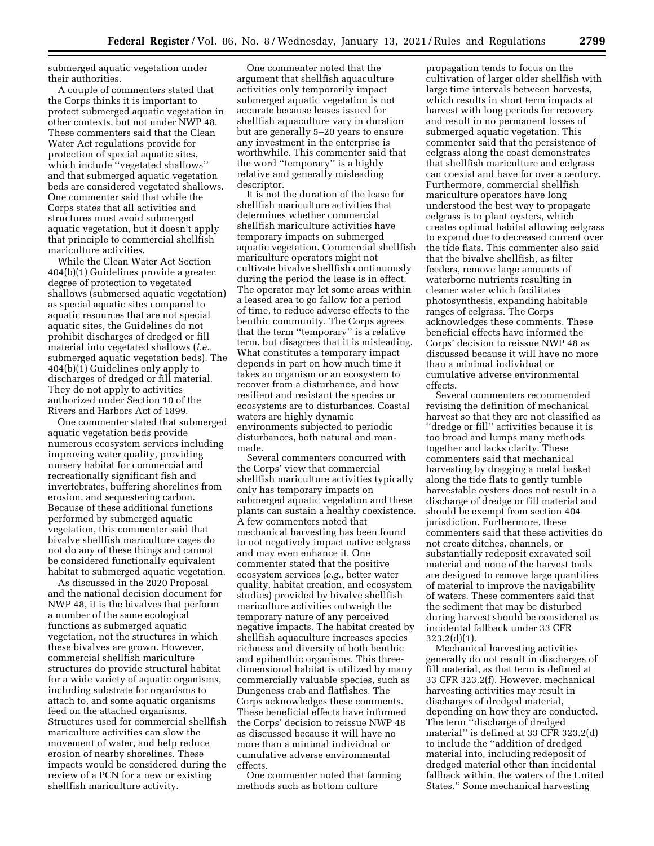submerged aquatic vegetation under their authorities.

A couple of commenters stated that the Corps thinks it is important to protect submerged aquatic vegetation in other contexts, but not under NWP 48. These commenters said that the Clean Water Act regulations provide for protection of special aquatic sites, which include ''vegetated shallows'' and that submerged aquatic vegetation beds are considered vegetated shallows. One commenter said that while the Corps states that all activities and structures must avoid submerged aquatic vegetation, but it doesn't apply that principle to commercial shellfish mariculture activities.

While the Clean Water Act Section 404(b)(1) Guidelines provide a greater degree of protection to vegetated shallows (submersed aquatic vegetation) as special aquatic sites compared to aquatic resources that are not special aquatic sites, the Guidelines do not prohibit discharges of dredged or fill material into vegetated shallows (*i.e.,*  submerged aquatic vegetation beds). The 404(b)(1) Guidelines only apply to discharges of dredged or fill material. They do not apply to activities authorized under Section 10 of the Rivers and Harbors Act of 1899.

One commenter stated that submerged aquatic vegetation beds provide numerous ecosystem services including improving water quality, providing nursery habitat for commercial and recreationally significant fish and invertebrates, buffering shorelines from erosion, and sequestering carbon. Because of these additional functions performed by submerged aquatic vegetation, this commenter said that bivalve shellfish mariculture cages do not do any of these things and cannot be considered functionally equivalent habitat to submerged aquatic vegetation.

As discussed in the 2020 Proposal and the national decision document for NWP 48, it is the bivalves that perform a number of the same ecological functions as submerged aquatic vegetation, not the structures in which these bivalves are grown. However, commercial shellfish mariculture structures do provide structural habitat for a wide variety of aquatic organisms, including substrate for organisms to attach to, and some aquatic organisms feed on the attached organisms. Structures used for commercial shellfish mariculture activities can slow the movement of water, and help reduce erosion of nearby shorelines. These impacts would be considered during the review of a PCN for a new or existing shellfish mariculture activity.

One commenter noted that the argument that shellfish aquaculture activities only temporarily impact submerged aquatic vegetation is not accurate because leases issued for shellfish aquaculture vary in duration but are generally 5–20 years to ensure any investment in the enterprise is worthwhile. This commenter said that the word ''temporary'' is a highly relative and generally misleading descriptor.

It is not the duration of the lease for shellfish mariculture activities that determines whether commercial shellfish mariculture activities have temporary impacts on submerged aquatic vegetation. Commercial shellfish mariculture operators might not cultivate bivalve shellfish continuously during the period the lease is in effect. The operator may let some areas within a leased area to go fallow for a period of time, to reduce adverse effects to the benthic community. The Corps agrees that the term ''temporary'' is a relative term, but disagrees that it is misleading. What constitutes a temporary impact depends in part on how much time it takes an organism or an ecosystem to recover from a disturbance, and how resilient and resistant the species or ecosystems are to disturbances. Coastal waters are highly dynamic environments subjected to periodic disturbances, both natural and manmade.

Several commenters concurred with the Corps' view that commercial shellfish mariculture activities typically only has temporary impacts on submerged aquatic vegetation and these plants can sustain a healthy coexistence. A few commenters noted that mechanical harvesting has been found to not negatively impact native eelgrass and may even enhance it. One commenter stated that the positive ecosystem services (*e.g.,* better water quality, habitat creation, and ecosystem studies) provided by bivalve shellfish mariculture activities outweigh the temporary nature of any perceived negative impacts. The habitat created by shellfish aquaculture increases species richness and diversity of both benthic and epibenthic organisms. This threedimensional habitat is utilized by many commercially valuable species, such as Dungeness crab and flatfishes. The Corps acknowledges these comments. These beneficial effects have informed the Corps' decision to reissue NWP 48 as discussed because it will have no more than a minimal individual or cumulative adverse environmental effects.

One commenter noted that farming methods such as bottom culture

propagation tends to focus on the cultivation of larger older shellfish with large time intervals between harvests, which results in short term impacts at harvest with long periods for recovery and result in no permanent losses of submerged aquatic vegetation. This commenter said that the persistence of eelgrass along the coast demonstrates that shellfish mariculture and eelgrass can coexist and have for over a century. Furthermore, commercial shellfish mariculture operators have long understood the best way to propagate eelgrass is to plant oysters, which creates optimal habitat allowing eelgrass to expand due to decreased current over the tide flats. This commenter also said that the bivalve shellfish, as filter feeders, remove large amounts of waterborne nutrients resulting in cleaner water which facilitates photosynthesis, expanding habitable ranges of eelgrass. The Corps acknowledges these comments. These beneficial effects have informed the Corps' decision to reissue NWP 48 as discussed because it will have no more than a minimal individual or cumulative adverse environmental effects.

Several commenters recommended revising the definition of mechanical harvest so that they are not classified as ''dredge or fill'' activities because it is too broad and lumps many methods together and lacks clarity. These commenters said that mechanical harvesting by dragging a metal basket along the tide flats to gently tumble harvestable oysters does not result in a discharge of dredge or fill material and should be exempt from section 404 jurisdiction. Furthermore, these commenters said that these activities do not create ditches, channels, or substantially redeposit excavated soil material and none of the harvest tools are designed to remove large quantities of material to improve the navigability of waters. These commenters said that the sediment that may be disturbed during harvest should be considered as incidental fallback under 33 CFR 323.2(d)(1).

Mechanical harvesting activities generally do not result in discharges of fill material, as that term is defined at 33 CFR 323.2(f). However, mechanical harvesting activities may result in discharges of dredged material, depending on how they are conducted. The term ''discharge of dredged material'' is defined at 33 CFR 323.2(d) to include the ''addition of dredged material into, including redeposit of dredged material other than incidental fallback within, the waters of the United States.'' Some mechanical harvesting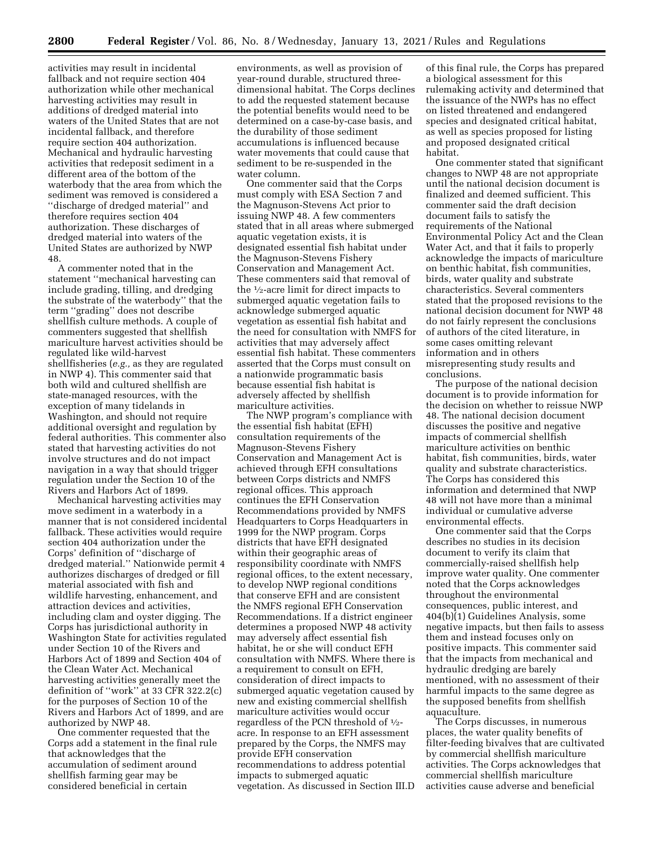activities may result in incidental fallback and not require section 404 authorization while other mechanical harvesting activities may result in additions of dredged material into waters of the United States that are not incidental fallback, and therefore require section 404 authorization. Mechanical and hydraulic harvesting activities that redeposit sediment in a different area of the bottom of the waterbody that the area from which the sediment was removed is considered a ''discharge of dredged material'' and therefore requires section 404 authorization. These discharges of dredged material into waters of the United States are authorized by NWP 48.

A commenter noted that in the statement ''mechanical harvesting can include grading, tilling, and dredging the substrate of the waterbody'' that the term ''grading'' does not describe shellfish culture methods. A couple of commenters suggested that shellfish mariculture harvest activities should be regulated like wild-harvest shellfisheries (*e.g.,* as they are regulated in NWP 4). This commenter said that both wild and cultured shellfish are state-managed resources, with the exception of many tidelands in Washington, and should not require additional oversight and regulation by federal authorities. This commenter also stated that harvesting activities do not involve structures and do not impact navigation in a way that should trigger regulation under the Section 10 of the Rivers and Harbors Act of 1899.

Mechanical harvesting activities may move sediment in a waterbody in a manner that is not considered incidental fallback. These activities would require section 404 authorization under the Corps' definition of ''discharge of dredged material.'' Nationwide permit 4 authorizes discharges of dredged or fill material associated with fish and wildlife harvesting, enhancement, and attraction devices and activities, including clam and oyster digging. The Corps has jurisdictional authority in Washington State for activities regulated under Section 10 of the Rivers and Harbors Act of 1899 and Section 404 of the Clean Water Act. Mechanical harvesting activities generally meet the definition of ''work'' at 33 CFR 322.2(c) for the purposes of Section 10 of the Rivers and Harbors Act of 1899, and are authorized by NWP 48.

One commenter requested that the Corps add a statement in the final rule that acknowledges that the accumulation of sediment around shellfish farming gear may be considered beneficial in certain

environments, as well as provision of year-round durable, structured threedimensional habitat. The Corps declines to add the requested statement because the potential benefits would need to be determined on a case-by-case basis, and the durability of those sediment accumulations is influenced because water movements that could cause that sediment to be re-suspended in the water column.

One commenter said that the Corps must comply with ESA Section 7 and the Magnuson-Stevens Act prior to issuing NWP 48. A few commenters stated that in all areas where submerged aquatic vegetation exists, it is designated essential fish habitat under the Magnuson-Stevens Fishery Conservation and Management Act. These commenters said that removal of the 1⁄2-acre limit for direct impacts to submerged aquatic vegetation fails to acknowledge submerged aquatic vegetation as essential fish habitat and the need for consultation with NMFS for activities that may adversely affect essential fish habitat. These commenters asserted that the Corps must consult on a nationwide programmatic basis because essential fish habitat is adversely affected by shellfish mariculture activities.

The NWP program's compliance with the essential fish habitat (EFH) consultation requirements of the Magnuson-Stevens Fishery Conservation and Management Act is achieved through EFH consultations between Corps districts and NMFS regional offices. This approach continues the EFH Conservation Recommendations provided by NMFS Headquarters to Corps Headquarters in 1999 for the NWP program. Corps districts that have EFH designated within their geographic areas of responsibility coordinate with NMFS regional offices, to the extent necessary, to develop NWP regional conditions that conserve EFH and are consistent the NMFS regional EFH Conservation Recommendations. If a district engineer determines a proposed NWP 48 activity may adversely affect essential fish habitat, he or she will conduct EFH consultation with NMFS. Where there is a requirement to consult on EFH, consideration of direct impacts to submerged aquatic vegetation caused by new and existing commercial shellfish mariculture activities would occur regardless of the PCN threshold of 1⁄2 acre. In response to an EFH assessment prepared by the Corps, the NMFS may provide EFH conservation recommendations to address potential impacts to submerged aquatic vegetation. As discussed in Section III.D

of this final rule, the Corps has prepared a biological assessment for this rulemaking activity and determined that the issuance of the NWPs has no effect on listed threatened and endangered species and designated critical habitat, as well as species proposed for listing and proposed designated critical habitat.

One commenter stated that significant changes to NWP 48 are not appropriate until the national decision document is finalized and deemed sufficient. This commenter said the draft decision document fails to satisfy the requirements of the National Environmental Policy Act and the Clean Water Act, and that it fails to properly acknowledge the impacts of mariculture on benthic habitat, fish communities, birds, water quality and substrate characteristics. Several commenters stated that the proposed revisions to the national decision document for NWP 48 do not fairly represent the conclusions of authors of the cited literature, in some cases omitting relevant information and in others misrepresenting study results and conclusions.

The purpose of the national decision document is to provide information for the decision on whether to reissue NWP 48. The national decision document discusses the positive and negative impacts of commercial shellfish mariculture activities on benthic habitat, fish communities, birds, water quality and substrate characteristics. The Corps has considered this information and determined that NWP 48 will not have more than a minimal individual or cumulative adverse environmental effects.

One commenter said that the Corps describes no studies in its decision document to verify its claim that commercially-raised shellfish help improve water quality. One commenter noted that the Corps acknowledges throughout the environmental consequences, public interest, and 404(b)(1) Guidelines Analysis, some negative impacts, but then fails to assess them and instead focuses only on positive impacts. This commenter said that the impacts from mechanical and hydraulic dredging are barely mentioned, with no assessment of their harmful impacts to the same degree as the supposed benefits from shellfish aquaculture.

The Corps discusses, in numerous places, the water quality benefits of filter-feeding bivalves that are cultivated by commercial shellfish mariculture activities. The Corps acknowledges that commercial shellfish mariculture activities cause adverse and beneficial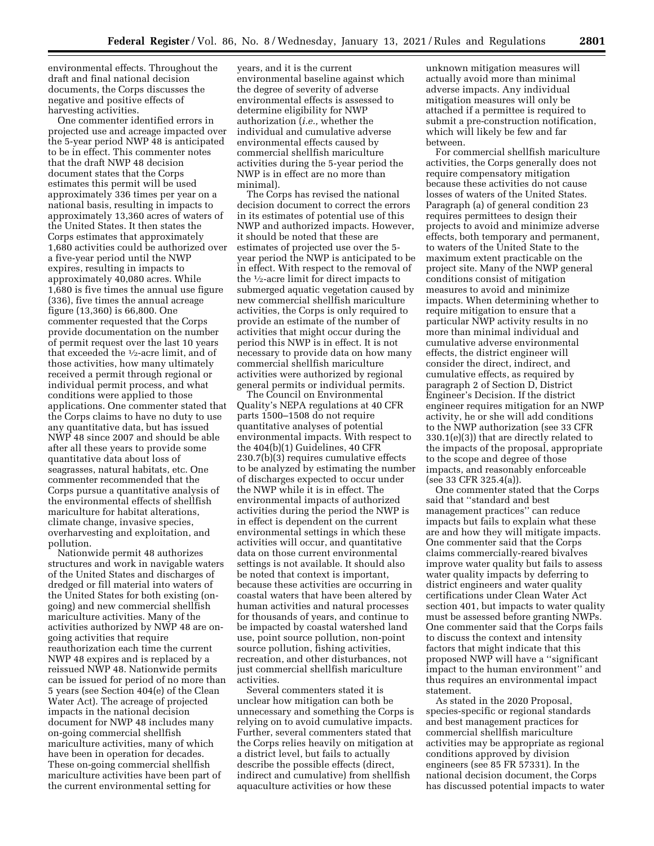environmental effects. Throughout the draft and final national decision documents, the Corps discusses the negative and positive effects of harvesting activities.

One commenter identified errors in projected use and acreage impacted over the 5-year period NWP 48 is anticipated to be in effect. This commenter notes that the draft NWP 48 decision document states that the Corps estimates this permit will be used approximately 336 times per year on a national basis, resulting in impacts to approximately 13,360 acres of waters of the United States. It then states the Corps estimates that approximately 1,680 activities could be authorized over a five-year period until the NWP expires, resulting in impacts to approximately 40,080 acres. While 1,680 is five times the annual use figure (336), five times the annual acreage figure (13,360) is 66,800. One commenter requested that the Corps provide documentation on the number of permit request over the last 10 years that exceeded the 1⁄2-acre limit, and of those activities, how many ultimately received a permit through regional or individual permit process, and what conditions were applied to those applications. One commenter stated that the Corps claims to have no duty to use any quantitative data, but has issued NWP 48 since 2007 and should be able after all these years to provide some quantitative data about loss of seagrasses, natural habitats, etc. One commenter recommended that the Corps pursue a quantitative analysis of the environmental effects of shellfish mariculture for habitat alterations, climate change, invasive species, overharvesting and exploitation, and pollution.

Nationwide permit 48 authorizes structures and work in navigable waters of the United States and discharges of dredged or fill material into waters of the United States for both existing (ongoing) and new commercial shellfish mariculture activities. Many of the activities authorized by NWP 48 are ongoing activities that require reauthorization each time the current NWP 48 expires and is replaced by a reissued NWP 48. Nationwide permits can be issued for period of no more than 5 years (see Section 404(e) of the Clean Water Act). The acreage of projected impacts in the national decision document for NWP 48 includes many on-going commercial shellfish mariculture activities, many of which have been in operation for decades. These on-going commercial shellfish mariculture activities have been part of the current environmental setting for

years, and it is the current environmental baseline against which the degree of severity of adverse environmental effects is assessed to determine eligibility for NWP authorization (*i.e.,* whether the individual and cumulative adverse environmental effects caused by commercial shellfish mariculture activities during the 5-year period the NWP is in effect are no more than minimal).

The Corps has revised the national decision document to correct the errors in its estimates of potential use of this NWP and authorized impacts. However, it should be noted that these are estimates of projected use over the 5 year period the NWP is anticipated to be in effect. With respect to the removal of the 1⁄2-acre limit for direct impacts to submerged aquatic vegetation caused by new commercial shellfish mariculture activities, the Corps is only required to provide an estimate of the number of activities that might occur during the period this NWP is in effect. It is not necessary to provide data on how many commercial shellfish mariculture activities were authorized by regional general permits or individual permits.

The Council on Environmental Quality's NEPA regulations at 40 CFR parts 1500–1508 do not require quantitative analyses of potential environmental impacts. With respect to the 404(b)(1) Guidelines, 40 CFR 230.7(b)(3) requires cumulative effects to be analyzed by estimating the number of discharges expected to occur under the NWP while it is in effect. The environmental impacts of authorized activities during the period the NWP is in effect is dependent on the current environmental settings in which these activities will occur, and quantitative data on those current environmental settings is not available. It should also be noted that context is important, because these activities are occurring in coastal waters that have been altered by human activities and natural processes for thousands of years, and continue to be impacted by coastal watershed land use, point source pollution, non-point source pollution, fishing activities, recreation, and other disturbances, not just commercial shellfish mariculture activities.

Several commenters stated it is unclear how mitigation can both be unnecessary and something the Corps is relying on to avoid cumulative impacts. Further, several commenters stated that the Corps relies heavily on mitigation at a district level, but fails to actually describe the possible effects (direct, indirect and cumulative) from shellfish aquaculture activities or how these

unknown mitigation measures will actually avoid more than minimal adverse impacts. Any individual mitigation measures will only be attached if a permittee is required to submit a pre-construction notification, which will likely be few and far between.

For commercial shellfish mariculture activities, the Corps generally does not require compensatory mitigation because these activities do not cause losses of waters of the United States. Paragraph (a) of general condition 23 requires permittees to design their projects to avoid and minimize adverse effects, both temporary and permanent, to waters of the United State to the maximum extent practicable on the project site. Many of the NWP general conditions consist of mitigation measures to avoid and minimize impacts. When determining whether to require mitigation to ensure that a particular NWP activity results in no more than minimal individual and cumulative adverse environmental effects, the district engineer will consider the direct, indirect, and cumulative effects, as required by paragraph 2 of Section D, District Engineer's Decision. If the district engineer requires mitigation for an NWP activity, he or she will add conditions to the NWP authorization (see 33 CFR 330.1(e)(3)) that are directly related to the impacts of the proposal, appropriate to the scope and degree of those impacts, and reasonably enforceable (see 33 CFR 325.4(a)).

One commenter stated that the Corps said that ''standard and best management practices'' can reduce impacts but fails to explain what these are and how they will mitigate impacts. One commenter said that the Corps claims commercially-reared bivalves improve water quality but fails to assess water quality impacts by deferring to district engineers and water quality certifications under Clean Water Act section 401, but impacts to water quality must be assessed before granting NWPs. One commenter said that the Corps fails to discuss the context and intensity factors that might indicate that this proposed NWP will have a ''significant impact to the human environment'' and thus requires an environmental impact statement.

As stated in the 2020 Proposal, species-specific or regional standards and best management practices for commercial shellfish mariculture activities may be appropriate as regional conditions approved by division engineers (see 85 FR 57331). In the national decision document, the Corps has discussed potential impacts to water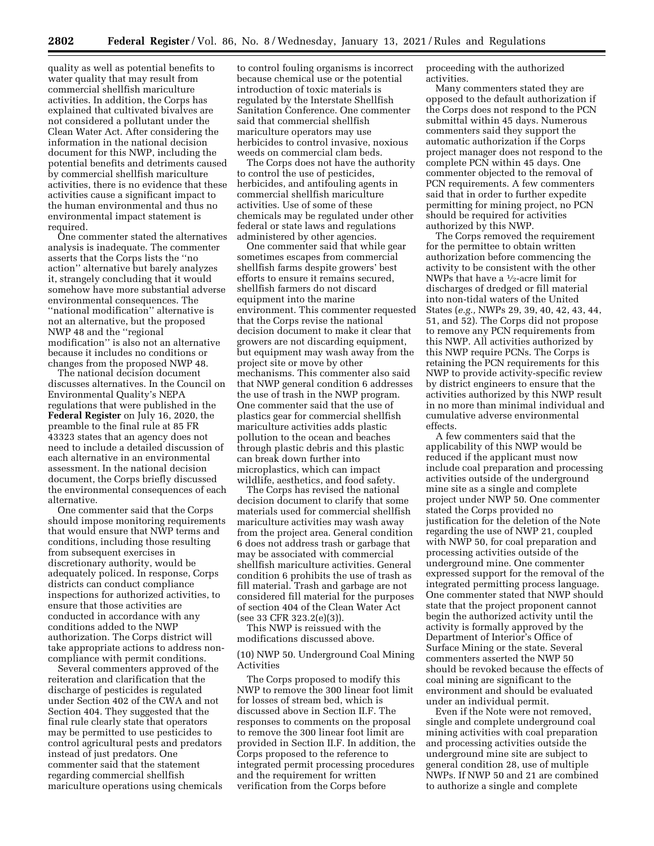quality as well as potential benefits to water quality that may result from commercial shellfish mariculture activities. In addition, the Corps has explained that cultivated bivalves are not considered a pollutant under the Clean Water Act. After considering the information in the national decision document for this NWP, including the potential benefits and detriments caused by commercial shellfish mariculture activities, there is no evidence that these activities cause a significant impact to the human environmental and thus no environmental impact statement is required.

One commenter stated the alternatives analysis is inadequate. The commenter asserts that the Corps lists the ''no action'' alternative but barely analyzes it, strangely concluding that it would somehow have more substantial adverse environmental consequences. The ''national modification'' alternative is not an alternative, but the proposed NWP 48 and the ''regional modification'' is also not an alternative because it includes no conditions or changes from the proposed NWP 48.

The national decision document discusses alternatives. In the Council on Environmental Quality's NEPA regulations that were published in the **Federal Register** on July 16, 2020, the preamble to the final rule at 85 FR 43323 states that an agency does not need to include a detailed discussion of each alternative in an environmental assessment. In the national decision document, the Corps briefly discussed the environmental consequences of each alternative.

One commenter said that the Corps should impose monitoring requirements that would ensure that NWP terms and conditions, including those resulting from subsequent exercises in discretionary authority, would be adequately policed. In response, Corps districts can conduct compliance inspections for authorized activities, to ensure that those activities are conducted in accordance with any conditions added to the NWP authorization. The Corps district will take appropriate actions to address noncompliance with permit conditions.

Several commenters approved of the reiteration and clarification that the discharge of pesticides is regulated under Section 402 of the CWA and not Section 404. They suggested that the final rule clearly state that operators may be permitted to use pesticides to control agricultural pests and predators instead of just predators. One commenter said that the statement regarding commercial shellfish mariculture operations using chemicals to control fouling organisms is incorrect because chemical use or the potential introduction of toxic materials is regulated by the Interstate Shellfish Sanitation Conference. One commenter said that commercial shellfish mariculture operators may use herbicides to control invasive, noxious weeds on commercial clam beds.

The Corps does not have the authority to control the use of pesticides, herbicides, and antifouling agents in commercial shellfish mariculture activities. Use of some of these chemicals may be regulated under other federal or state laws and regulations administered by other agencies.

One commenter said that while gear sometimes escapes from commercial shellfish farms despite growers' best efforts to ensure it remains secured, shellfish farmers do not discard equipment into the marine environment. This commenter requested that the Corps revise the national decision document to make it clear that growers are not discarding equipment, but equipment may wash away from the project site or move by other mechanisms. This commenter also said that NWP general condition 6 addresses the use of trash in the NWP program. One commenter said that the use of plastics gear for commercial shellfish mariculture activities adds plastic pollution to the ocean and beaches through plastic debris and this plastic can break down further into microplastics, which can impact wildlife, aesthetics, and food safety.

The Corps has revised the national decision document to clarify that some materials used for commercial shellfish mariculture activities may wash away from the project area. General condition 6 does not address trash or garbage that may be associated with commercial shellfish mariculture activities. General condition 6 prohibits the use of trash as fill material. Trash and garbage are not considered fill material for the purposes of section 404 of the Clean Water Act (see 33 CFR 323.2(e)(3)).

This NWP is reissued with the modifications discussed above.

(10) NWP 50. Underground Coal Mining Activities

The Corps proposed to modify this NWP to remove the 300 linear foot limit for losses of stream bed, which is discussed above in Section II.F. The responses to comments on the proposal to remove the 300 linear foot limit are provided in Section II.F. In addition, the Corps proposed to the reference to integrated permit processing procedures and the requirement for written verification from the Corps before

proceeding with the authorized activities.

Many commenters stated they are opposed to the default authorization if the Corps does not respond to the PCN submittal within 45 days. Numerous commenters said they support the automatic authorization if the Corps project manager does not respond to the complete PCN within 45 days. One commenter objected to the removal of PCN requirements. A few commenters said that in order to further expedite permitting for mining project, no PCN should be required for activities authorized by this NWP.

The Corps removed the requirement for the permittee to obtain written authorization before commencing the activity to be consistent with the other NWPs that have a 1⁄2-acre limit for discharges of dredged or fill material into non-tidal waters of the United States (*e.g.,* NWPs 29, 39, 40, 42, 43, 44, 51, and 52). The Corps did not propose to remove any PCN requirements from this NWP. All activities authorized by this NWP require PCNs. The Corps is retaining the PCN requirements for this NWP to provide activity-specific review by district engineers to ensure that the activities authorized by this NWP result in no more than minimal individual and cumulative adverse environmental effects.

A few commenters said that the applicability of this NWP would be reduced if the applicant must now include coal preparation and processing activities outside of the underground mine site as a single and complete project under NWP 50. One commenter stated the Corps provided no justification for the deletion of the Note regarding the use of NWP 21, coupled with NWP 50, for coal preparation and processing activities outside of the underground mine. One commenter expressed support for the removal of the integrated permitting process language. One commenter stated that NWP should state that the project proponent cannot begin the authorized activity until the activity is formally approved by the Department of Interior's Office of Surface Mining or the state. Several commenters asserted the NWP 50 should be revoked because the effects of coal mining are significant to the environment and should be evaluated under an individual permit.

Even if the Note were not removed, single and complete underground coal mining activities with coal preparation and processing activities outside the underground mine site are subject to general condition 28, use of multiple NWPs. If NWP 50 and 21 are combined to authorize a single and complete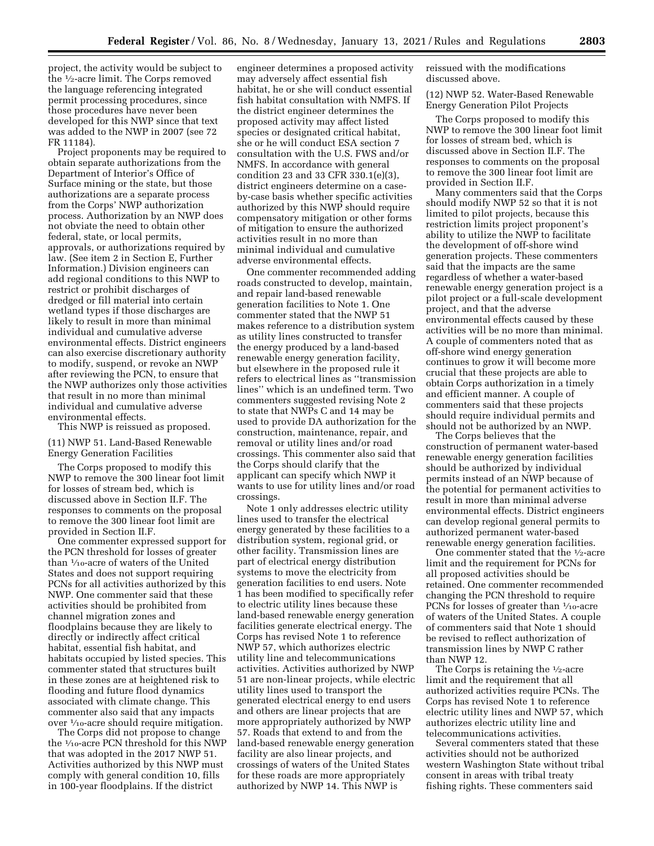project, the activity would be subject to the 1⁄2-acre limit. The Corps removed the language referencing integrated permit processing procedures, since those procedures have never been developed for this NWP since that text was added to the NWP in 2007 (see 72 FR 11184).

Project proponents may be required to obtain separate authorizations from the Department of Interior's Office of Surface mining or the state, but those authorizations are a separate process from the Corps' NWP authorization process. Authorization by an NWP does not obviate the need to obtain other federal, state, or local permits, approvals, or authorizations required by law. (See item 2 in Section E, Further Information.) Division engineers can add regional conditions to this NWP to restrict or prohibit discharges of dredged or fill material into certain wetland types if those discharges are likely to result in more than minimal individual and cumulative adverse environmental effects. District engineers can also exercise discretionary authority to modify, suspend, or revoke an NWP after reviewing the PCN, to ensure that the NWP authorizes only those activities that result in no more than minimal individual and cumulative adverse environmental effects.

This NWP is reissued as proposed.

(11) NWP 51. Land-Based Renewable Energy Generation Facilities

The Corps proposed to modify this NWP to remove the 300 linear foot limit for losses of stream bed, which is discussed above in Section II.F. The responses to comments on the proposal to remove the 300 linear foot limit are provided in Section II.F.

One commenter expressed support for the PCN threshold for losses of greater than 1⁄10-acre of waters of the United States and does not support requiring PCNs for all activities authorized by this NWP. One commenter said that these activities should be prohibited from channel migration zones and floodplains because they are likely to directly or indirectly affect critical habitat, essential fish habitat, and habitats occupied by listed species. This commenter stated that structures built in these zones are at heightened risk to flooding and future flood dynamics associated with climate change. This commenter also said that any impacts over 1⁄10-acre should require mitigation.

The Corps did not propose to change the 1⁄10-acre PCN threshold for this NWP that was adopted in the 2017 NWP 51. Activities authorized by this NWP must comply with general condition 10, fills in 100-year floodplains. If the district

engineer determines a proposed activity may adversely affect essential fish habitat, he or she will conduct essential fish habitat consultation with NMFS. If the district engineer determines the proposed activity may affect listed species or designated critical habitat, she or he will conduct ESA section 7 consultation with the U.S. FWS and/or NMFS. In accordance with general condition 23 and 33 CFR 330.1(e)(3), district engineers determine on a caseby-case basis whether specific activities authorized by this NWP should require compensatory mitigation or other forms of mitigation to ensure the authorized activities result in no more than minimal individual and cumulative adverse environmental effects.

One commenter recommended adding roads constructed to develop, maintain, and repair land-based renewable generation facilities to Note 1. One commenter stated that the NWP 51 makes reference to a distribution system as utility lines constructed to transfer the energy produced by a land-based renewable energy generation facility, but elsewhere in the proposed rule it refers to electrical lines as ''transmission lines'' which is an undefined term. Two commenters suggested revising Note 2 to state that NWPs C and 14 may be used to provide DA authorization for the construction, maintenance, repair, and removal or utility lines and/or road crossings. This commenter also said that the Corps should clarify that the applicant can specify which NWP it wants to use for utility lines and/or road crossings.

Note 1 only addresses electric utility lines used to transfer the electrical energy generated by these facilities to a distribution system, regional grid, or other facility. Transmission lines are part of electrical energy distribution systems to move the electricity from generation facilities to end users. Note 1 has been modified to specifically refer to electric utility lines because these land-based renewable energy generation facilities generate electrical energy. The Corps has revised Note 1 to reference NWP 57, which authorizes electric utility line and telecommunications activities. Activities authorized by NWP 51 are non-linear projects, while electric utility lines used to transport the generated electrical energy to end users and others are linear projects that are more appropriately authorized by NWP 57. Roads that extend to and from the land-based renewable energy generation facility are also linear projects, and crossings of waters of the United States for these roads are more appropriately authorized by NWP 14. This NWP is

reissued with the modifications discussed above.

(12) NWP 52. Water-Based Renewable Energy Generation Pilot Projects

The Corps proposed to modify this NWP to remove the 300 linear foot limit for losses of stream bed, which is discussed above in Section II.F. The responses to comments on the proposal to remove the 300 linear foot limit are provided in Section II.F.

Many commenters said that the Corps should modify NWP 52 so that it is not limited to pilot projects, because this restriction limits project proponent's ability to utilize the NWP to facilitate the development of off-shore wind generation projects. These commenters said that the impacts are the same regardless of whether a water-based renewable energy generation project is a pilot project or a full-scale development project, and that the adverse environmental effects caused by these activities will be no more than minimal. A couple of commenters noted that as off-shore wind energy generation continues to grow it will become more crucial that these projects are able to obtain Corps authorization in a timely and efficient manner. A couple of commenters said that these projects should require individual permits and should not be authorized by an NWP.

The Corps believes that the construction of permanent water-based renewable energy generation facilities should be authorized by individual permits instead of an NWP because of the potential for permanent activities to result in more than minimal adverse environmental effects. District engineers can develop regional general permits to authorized permanent water-based renewable energy generation facilities.

One commenter stated that the 1⁄2-acre limit and the requirement for PCNs for all proposed activities should be retained. One commenter recommended changing the PCN threshold to require PCNs for losses of greater than  $\frac{1}{10}$ -acre of waters of the United States. A couple of commenters said that Note 1 should be revised to reflect authorization of transmission lines by NWP C rather than NWP 12.

The Corps is retaining the  $\frac{1}{2}$ -acre limit and the requirement that all authorized activities require PCNs. The Corps has revised Note 1 to reference electric utility lines and NWP 57, which authorizes electric utility line and telecommunications activities.

Several commenters stated that these activities should not be authorized western Washington State without tribal consent in areas with tribal treaty fishing rights. These commenters said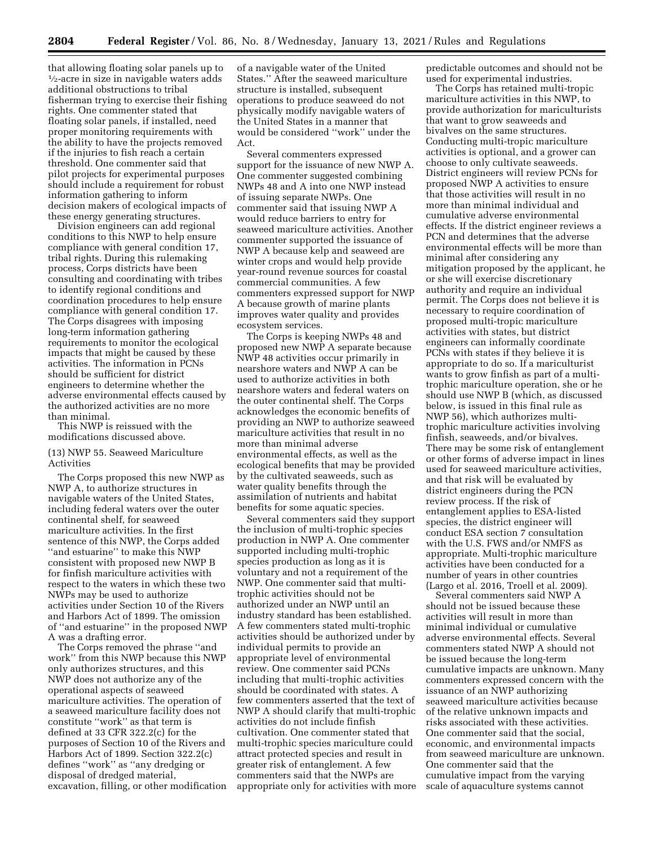that allowing floating solar panels up to 1⁄2-acre in size in navigable waters adds additional obstructions to tribal fisherman trying to exercise their fishing rights. One commenter stated that floating solar panels, if installed, need proper monitoring requirements with the ability to have the projects removed if the injuries to fish reach a certain threshold. One commenter said that pilot projects for experimental purposes should include a requirement for robust information gathering to inform decision makers of ecological impacts of these energy generating structures.

Division engineers can add regional conditions to this NWP to help ensure compliance with general condition 17, tribal rights. During this rulemaking process, Corps districts have been consulting and coordinating with tribes to identify regional conditions and coordination procedures to help ensure compliance with general condition 17. The Corps disagrees with imposing long-term information gathering requirements to monitor the ecological impacts that might be caused by these activities. The information in PCNs should be sufficient for district engineers to determine whether the adverse environmental effects caused by the authorized activities are no more than minimal.

This NWP is reissued with the modifications discussed above.

## (13) NWP 55. Seaweed Mariculture Activities

The Corps proposed this new NWP as NWP A, to authorize structures in navigable waters of the United States, including federal waters over the outer continental shelf, for seaweed mariculture activities. In the first sentence of this NWP, the Corps added ''and estuarine'' to make this NWP consistent with proposed new NWP B for finfish mariculture activities with respect to the waters in which these two NWPs may be used to authorize activities under Section 10 of the Rivers and Harbors Act of 1899. The omission of ''and estuarine'' in the proposed NWP A was a drafting error.

The Corps removed the phrase ''and work'' from this NWP because this NWP only authorizes structures, and this NWP does not authorize any of the operational aspects of seaweed mariculture activities. The operation of a seaweed mariculture facility does not constitute ''work'' as that term is defined at 33 CFR 322.2(c) for the purposes of Section 10 of the Rivers and Harbors Act of 1899. Section 322.2(c) defines ''work'' as ''any dredging or disposal of dredged material, excavation, filling, or other modification

of a navigable water of the United States.'' After the seaweed mariculture structure is installed, subsequent operations to produce seaweed do not physically modify navigable waters of the United States in a manner that would be considered ''work'' under the Act.

Several commenters expressed support for the issuance of new NWP A. One commenter suggested combining NWPs 48 and A into one NWP instead of issuing separate NWPs. One commenter said that issuing NWP A would reduce barriers to entry for seaweed mariculture activities. Another commenter supported the issuance of NWP A because kelp and seaweed are winter crops and would help provide year-round revenue sources for coastal commercial communities. A few commenters expressed support for NWP A because growth of marine plants improves water quality and provides ecosystem services.

The Corps is keeping NWPs 48 and proposed new NWP A separate because NWP 48 activities occur primarily in nearshore waters and NWP A can be used to authorize activities in both nearshore waters and federal waters on the outer continental shelf. The Corps acknowledges the economic benefits of providing an NWP to authorize seaweed mariculture activities that result in no more than minimal adverse environmental effects, as well as the ecological benefits that may be provided by the cultivated seaweeds, such as water quality benefits through the assimilation of nutrients and habitat benefits for some aquatic species.

Several commenters said they support the inclusion of multi-trophic species production in NWP A. One commenter supported including multi-trophic species production as long as it is voluntary and not a requirement of the NWP. One commenter said that multitrophic activities should not be authorized under an NWP until an industry standard has been established. A few commenters stated multi-trophic activities should be authorized under by individual permits to provide an appropriate level of environmental review. One commenter said PCNs including that multi-trophic activities should be coordinated with states. A few commenters asserted that the text of NWP A should clarify that multi-trophic activities do not include finfish cultivation. One commenter stated that multi-trophic species mariculture could attract protected species and result in greater risk of entanglement. A few commenters said that the NWPs are appropriate only for activities with more predictable outcomes and should not be used for experimental industries.

The Corps has retained multi-tropic mariculture activities in this NWP, to provide authorization for mariculturists that want to grow seaweeds and bivalves on the same structures. Conducting multi-tropic mariculture activities is optional, and a grower can choose to only cultivate seaweeds. District engineers will review PCNs for proposed NWP A activities to ensure that those activities will result in no more than minimal individual and cumulative adverse environmental effects. If the district engineer reviews a PCN and determines that the adverse environmental effects will be more than minimal after considering any mitigation proposed by the applicant, he or she will exercise discretionary authority and require an individual permit. The Corps does not believe it is necessary to require coordination of proposed multi-tropic mariculture activities with states, but district engineers can informally coordinate PCNs with states if they believe it is appropriate to do so. If a mariculturist wants to grow finfish as part of a multitrophic mariculture operation, she or he should use NWP B (which, as discussed below, is issued in this final rule as NWP 56), which authorizes multitrophic mariculture activities involving finfish, seaweeds, and/or bivalves. There may be some risk of entanglement or other forms of adverse impact in lines used for seaweed mariculture activities, and that risk will be evaluated by district engineers during the PCN review process. If the risk of entanglement applies to ESA-listed species, the district engineer will conduct ESA section 7 consultation with the U.S. FWS and/or NMFS as appropriate. Multi-trophic mariculture activities have been conducted for a number of years in other countries (Largo et al. 2016, Troell et al. 2009).

Several commenters said NWP A should not be issued because these activities will result in more than minimal individual or cumulative adverse environmental effects. Several commenters stated NWP A should not be issued because the long-term cumulative impacts are unknown. Many commenters expressed concern with the issuance of an NWP authorizing seaweed mariculture activities because of the relative unknown impacts and risks associated with these activities. One commenter said that the social, economic, and environmental impacts from seaweed mariculture are unknown. One commenter said that the cumulative impact from the varying scale of aquaculture systems cannot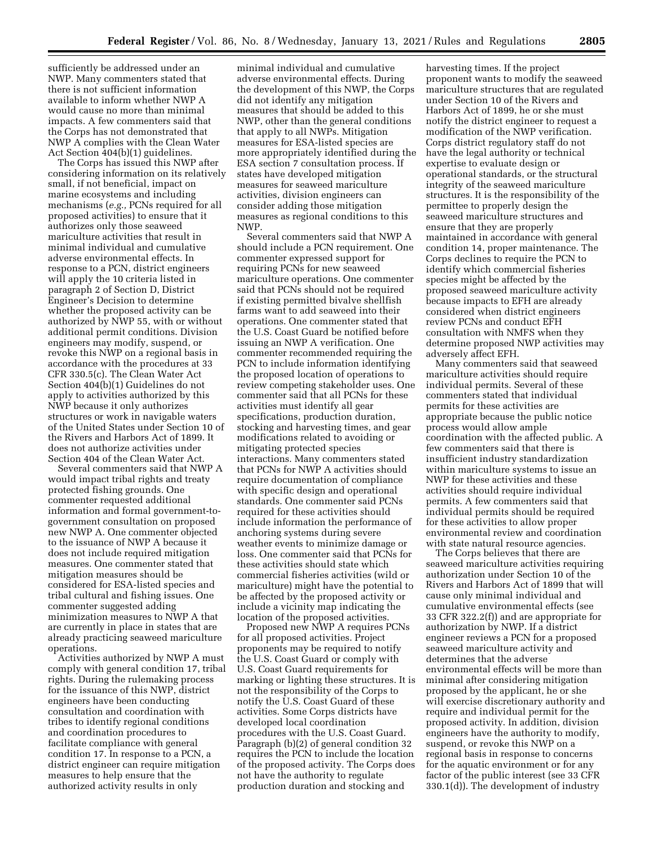sufficiently be addressed under an NWP. Many commenters stated that there is not sufficient information available to inform whether NWP A would cause no more than minimal impacts. A few commenters said that the Corps has not demonstrated that NWP A complies with the Clean Water Act Section 404(b)(1) guidelines.

The Corps has issued this NWP after considering information on its relatively small, if not beneficial, impact on marine ecosystems and including mechanisms (*e.g.,* PCNs required for all proposed activities) to ensure that it authorizes only those seaweed mariculture activities that result in minimal individual and cumulative adverse environmental effects. In response to a PCN, district engineers will apply the 10 criteria listed in paragraph 2 of Section D, District Engineer's Decision to determine whether the proposed activity can be authorized by NWP 55, with or without additional permit conditions. Division engineers may modify, suspend, or revoke this NWP on a regional basis in accordance with the procedures at 33 CFR 330.5(c). The Clean Water Act Section 404(b)(1) Guidelines do not apply to activities authorized by this NWP because it only authorizes structures or work in navigable waters of the United States under Section 10 of the Rivers and Harbors Act of 1899. It does not authorize activities under Section 404 of the Clean Water Act.

Several commenters said that NWP A would impact tribal rights and treaty protected fishing grounds. One commenter requested additional information and formal government-togovernment consultation on proposed new NWP A. One commenter objected to the issuance of NWP A because it does not include required mitigation measures. One commenter stated that mitigation measures should be considered for ESA-listed species and tribal cultural and fishing issues. One commenter suggested adding minimization measures to NWP A that are currently in place in states that are already practicing seaweed mariculture operations.

Activities authorized by NWP A must comply with general condition 17, tribal rights. During the rulemaking process for the issuance of this NWP, district engineers have been conducting consultation and coordination with tribes to identify regional conditions and coordination procedures to facilitate compliance with general condition 17. In response to a PCN, a district engineer can require mitigation measures to help ensure that the authorized activity results in only

minimal individual and cumulative adverse environmental effects. During the development of this NWP, the Corps did not identify any mitigation measures that should be added to this NWP, other than the general conditions that apply to all NWPs. Mitigation measures for ESA-listed species are more appropriately identified during the ESA section 7 consultation process. If states have developed mitigation measures for seaweed mariculture activities, division engineers can consider adding those mitigation measures as regional conditions to this NWP.

Several commenters said that NWP A should include a PCN requirement. One commenter expressed support for requiring PCNs for new seaweed mariculture operations. One commenter said that PCNs should not be required if existing permitted bivalve shellfish farms want to add seaweed into their operations. One commenter stated that the U.S. Coast Guard be notified before issuing an NWP A verification. One commenter recommended requiring the PCN to include information identifying the proposed location of operations to review competing stakeholder uses. One commenter said that all PCNs for these activities must identify all gear specifications, production duration, stocking and harvesting times, and gear modifications related to avoiding or mitigating protected species interactions. Many commenters stated that PCNs for NWP A activities should require documentation of compliance with specific design and operational standards. One commenter said PCNs required for these activities should include information the performance of anchoring systems during severe weather events to minimize damage or loss. One commenter said that PCNs for these activities should state which commercial fisheries activities (wild or mariculture) might have the potential to be affected by the proposed activity or include a vicinity map indicating the location of the proposed activities.

Proposed new NWP A requires PCNs for all proposed activities. Project proponents may be required to notify the U.S. Coast Guard or comply with U.S. Coast Guard requirements for marking or lighting these structures. It is not the responsibility of the Corps to notify the U.S. Coast Guard of these activities. Some Corps districts have developed local coordination procedures with the U.S. Coast Guard. Paragraph (b)(2) of general condition 32 requires the PCN to include the location of the proposed activity. The Corps does not have the authority to regulate production duration and stocking and

harvesting times. If the project proponent wants to modify the seaweed mariculture structures that are regulated under Section 10 of the Rivers and Harbors Act of 1899, he or she must notify the district engineer to request a modification of the NWP verification. Corps district regulatory staff do not have the legal authority or technical expertise to evaluate design or operational standards, or the structural integrity of the seaweed mariculture structures. It is the responsibility of the permittee to properly design the seaweed mariculture structures and ensure that they are properly maintained in accordance with general condition 14, proper maintenance. The Corps declines to require the PCN to identify which commercial fisheries species might be affected by the proposed seaweed mariculture activity because impacts to EFH are already considered when district engineers review PCNs and conduct EFH consultation with NMFS when they determine proposed NWP activities may adversely affect EFH.

Many commenters said that seaweed mariculture activities should require individual permits. Several of these commenters stated that individual permits for these activities are appropriate because the public notice process would allow ample coordination with the affected public. A few commenters said that there is insufficient industry standardization within mariculture systems to issue an NWP for these activities and these activities should require individual permits. A few commenters said that individual permits should be required for these activities to allow proper environmental review and coordination with state natural resource agencies.

The Corps believes that there are seaweed mariculture activities requiring authorization under Section 10 of the Rivers and Harbors Act of 1899 that will cause only minimal individual and cumulative environmental effects (see 33 CFR 322.2(f)) and are appropriate for authorization by NWP. If a district engineer reviews a PCN for a proposed seaweed mariculture activity and determines that the adverse environmental effects will be more than minimal after considering mitigation proposed by the applicant, he or she will exercise discretionary authority and require and individual permit for the proposed activity. In addition, division engineers have the authority to modify, suspend, or revoke this NWP on a regional basis in response to concerns for the aquatic environment or for any factor of the public interest (see 33 CFR 330.1(d)). The development of industry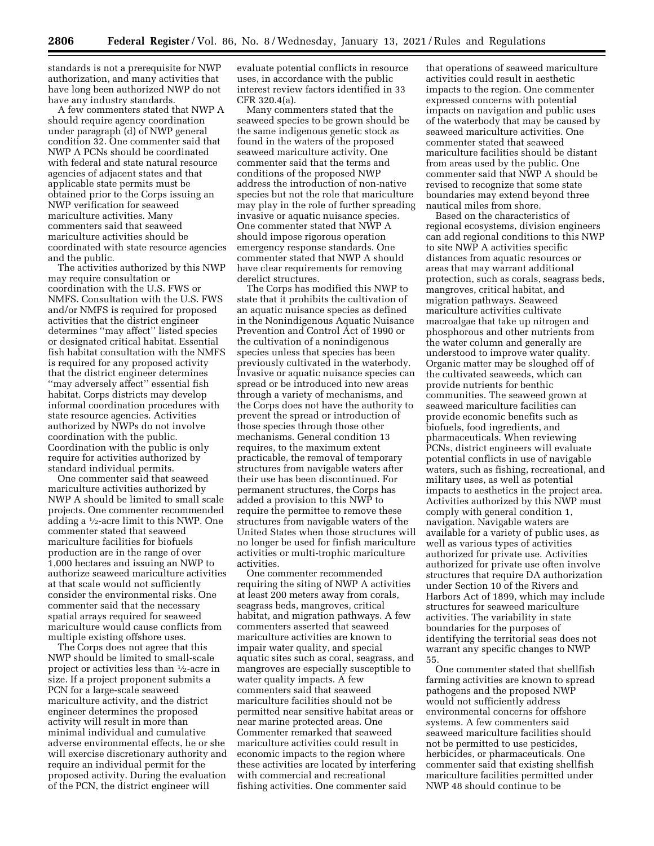standards is not a prerequisite for NWP authorization, and many activities that have long been authorized NWP do not have any industry standards.

A few commenters stated that NWP A should require agency coordination under paragraph (d) of NWP general condition 32. One commenter said that NWP A PCNs should be coordinated with federal and state natural resource agencies of adjacent states and that applicable state permits must be obtained prior to the Corps issuing an NWP verification for seaweed mariculture activities. Many commenters said that seaweed mariculture activities should be coordinated with state resource agencies and the public.

The activities authorized by this NWP may require consultation or coordination with the U.S. FWS or NMFS. Consultation with the U.S. FWS and/or NMFS is required for proposed activities that the district engineer determines ''may affect'' listed species or designated critical habitat. Essential fish habitat consultation with the NMFS is required for any proposed activity that the district engineer determines ''may adversely affect'' essential fish habitat. Corps districts may develop informal coordination procedures with state resource agencies. Activities authorized by NWPs do not involve coordination with the public. Coordination with the public is only require for activities authorized by standard individual permits.

One commenter said that seaweed mariculture activities authorized by NWP A should be limited to small scale projects. One commenter recommended adding a 1⁄2-acre limit to this NWP. One commenter stated that seaweed mariculture facilities for biofuels production are in the range of over 1,000 hectares and issuing an NWP to authorize seaweed mariculture activities at that scale would not sufficiently consider the environmental risks. One commenter said that the necessary spatial arrays required for seaweed mariculture would cause conflicts from multiple existing offshore uses.

The Corps does not agree that this NWP should be limited to small-scale project or activities less than 1⁄2-acre in size. If a project proponent submits a PCN for a large-scale seaweed mariculture activity, and the district engineer determines the proposed activity will result in more than minimal individual and cumulative adverse environmental effects, he or she will exercise discretionary authority and require an individual permit for the proposed activity. During the evaluation of the PCN, the district engineer will

evaluate potential conflicts in resource uses, in accordance with the public interest review factors identified in 33 CFR 320.4(a).

Many commenters stated that the seaweed species to be grown should be the same indigenous genetic stock as found in the waters of the proposed seaweed mariculture activity. One commenter said that the terms and conditions of the proposed NWP address the introduction of non-native species but not the role that mariculture may play in the role of further spreading invasive or aquatic nuisance species. One commenter stated that NWP A should impose rigorous operation emergency response standards. One commenter stated that NWP A should have clear requirements for removing derelict structures.

The Corps has modified this NWP to state that it prohibits the cultivation of an aquatic nuisance species as defined in the Nonindigenous Aquatic Nuisance Prevention and Control Act of 1990 or the cultivation of a nonindigenous species unless that species has been previously cultivated in the waterbody. Invasive or aquatic nuisance species can spread or be introduced into new areas through a variety of mechanisms, and the Corps does not have the authority to prevent the spread or introduction of those species through those other mechanisms. General condition 13 requires, to the maximum extent practicable, the removal of temporary structures from navigable waters after their use has been discontinued. For permanent structures, the Corps has added a provision to this NWP to require the permittee to remove these structures from navigable waters of the United States when those structures will no longer be used for finfish mariculture activities or multi-trophic mariculture activities.

One commenter recommended requiring the siting of NWP A activities at least 200 meters away from corals, seagrass beds, mangroves, critical habitat, and migration pathways. A few commenters asserted that seaweed mariculture activities are known to impair water quality, and special aquatic sites such as coral, seagrass, and mangroves are especially susceptible to water quality impacts. A few commenters said that seaweed mariculture facilities should not be permitted near sensitive habitat areas or near marine protected areas. One Commenter remarked that seaweed mariculture activities could result in economic impacts to the region where these activities are located by interfering with commercial and recreational fishing activities. One commenter said

that operations of seaweed mariculture activities could result in aesthetic impacts to the region. One commenter expressed concerns with potential impacts on navigation and public uses of the waterbody that may be caused by seaweed mariculture activities. One commenter stated that seaweed mariculture facilities should be distant from areas used by the public. One commenter said that NWP A should be revised to recognize that some state boundaries may extend beyond three nautical miles from shore.

Based on the characteristics of regional ecosystems, division engineers can add regional conditions to this NWP to site NWP A activities specific distances from aquatic resources or areas that may warrant additional protection, such as corals, seagrass beds, mangroves, critical habitat, and migration pathways. Seaweed mariculture activities cultivate macroalgae that take up nitrogen and phosphorous and other nutrients from the water column and generally are understood to improve water quality. Organic matter may be sloughed off of the cultivated seaweeds, which can provide nutrients for benthic communities. The seaweed grown at seaweed mariculture facilities can provide economic benefits such as biofuels, food ingredients, and pharmaceuticals. When reviewing PCNs, district engineers will evaluate potential conflicts in use of navigable waters, such as fishing, recreational, and military uses, as well as potential impacts to aesthetics in the project area. Activities authorized by this NWP must comply with general condition 1, navigation. Navigable waters are available for a variety of public uses, as well as various types of activities authorized for private use. Activities authorized for private use often involve structures that require DA authorization under Section 10 of the Rivers and Harbors Act of 1899, which may include structures for seaweed mariculture activities. The variability in state boundaries for the purposes of identifying the territorial seas does not warrant any specific changes to NWP 55.

One commenter stated that shellfish farming activities are known to spread pathogens and the proposed NWP would not sufficiently address environmental concerns for offshore systems. A few commenters said seaweed mariculture facilities should not be permitted to use pesticides, herbicides, or pharmaceuticals. One commenter said that existing shellfish mariculture facilities permitted under NWP 48 should continue to be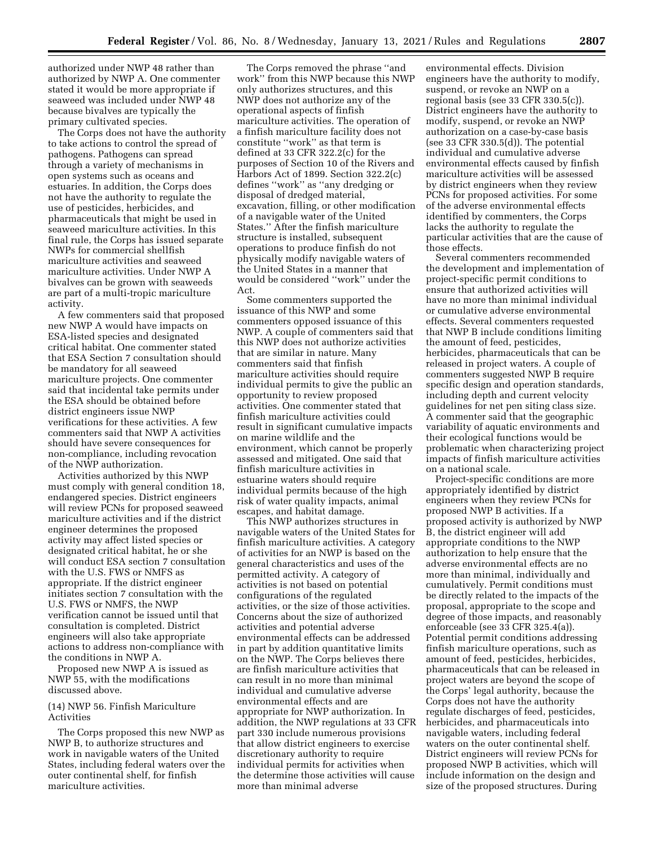authorized under NWP 48 rather than authorized by NWP A. One commenter stated it would be more appropriate if seaweed was included under NWP 48 because bivalves are typically the primary cultivated species.

The Corps does not have the authority to take actions to control the spread of pathogens. Pathogens can spread through a variety of mechanisms in open systems such as oceans and estuaries. In addition, the Corps does not have the authority to regulate the use of pesticides, herbicides, and pharmaceuticals that might be used in seaweed mariculture activities. In this final rule, the Corps has issued separate NWPs for commercial shellfish mariculture activities and seaweed mariculture activities. Under NWP A bivalves can be grown with seaweeds are part of a multi-tropic mariculture activity.

A few commenters said that proposed new NWP A would have impacts on ESA-listed species and designated critical habitat. One commenter stated that ESA Section 7 consultation should be mandatory for all seaweed mariculture projects. One commenter said that incidental take permits under the ESA should be obtained before district engineers issue NWP verifications for these activities. A few commenters said that NWP A activities should have severe consequences for non-compliance, including revocation of the NWP authorization.

Activities authorized by this NWP must comply with general condition 18, endangered species. District engineers will review PCNs for proposed seaweed mariculture activities and if the district engineer determines the proposed activity may affect listed species or designated critical habitat, he or she will conduct ESA section 7 consultation with the U.S. FWS or NMFS as appropriate. If the district engineer initiates section 7 consultation with the U.S. FWS or NMFS, the NWP verification cannot be issued until that consultation is completed. District engineers will also take appropriate actions to address non-compliance with the conditions in NWP A.

Proposed new NWP A is issued as NWP 55, with the modifications discussed above.

### (14) NWP 56. Finfish Mariculture Activities

The Corps proposed this new NWP as NWP B, to authorize structures and work in navigable waters of the United States, including federal waters over the outer continental shelf, for finfish mariculture activities.

The Corps removed the phrase ''and work'' from this NWP because this NWP only authorizes structures, and this NWP does not authorize any of the operational aspects of finfish mariculture activities. The operation of a finfish mariculture facility does not constitute ''work'' as that term is defined at 33 CFR 322.2(c) for the purposes of Section 10 of the Rivers and Harbors Act of 1899. Section 322.2(c) defines ''work'' as ''any dredging or disposal of dredged material, excavation, filling, or other modification of a navigable water of the United States.'' After the finfish mariculture structure is installed, subsequent operations to produce finfish do not physically modify navigable waters of the United States in a manner that would be considered ''work'' under the Act.

Some commenters supported the issuance of this NWP and some commenters opposed issuance of this NWP. A couple of commenters said that this NWP does not authorize activities that are similar in nature. Many commenters said that finfish mariculture activities should require individual permits to give the public an opportunity to review proposed activities. One commenter stated that finfish mariculture activities could result in significant cumulative impacts on marine wildlife and the environment, which cannot be properly assessed and mitigated. One said that finfish mariculture activities in estuarine waters should require individual permits because of the high risk of water quality impacts, animal escapes, and habitat damage.

This NWP authorizes structures in navigable waters of the United States for finfish mariculture activities. A category of activities for an NWP is based on the general characteristics and uses of the permitted activity. A category of activities is not based on potential configurations of the regulated activities, or the size of those activities. Concerns about the size of authorized activities and potential adverse environmental effects can be addressed in part by addition quantitative limits on the NWP. The Corps believes there are finfish mariculture activities that can result in no more than minimal individual and cumulative adverse environmental effects and are appropriate for NWP authorization. In addition, the NWP regulations at 33 CFR part 330 include numerous provisions that allow district engineers to exercise discretionary authority to require individual permits for activities when the determine those activities will cause more than minimal adverse

environmental effects. Division engineers have the authority to modify, suspend, or revoke an NWP on a regional basis (see 33 CFR 330.5(c)). District engineers have the authority to modify, suspend, or revoke an NWP authorization on a case-by-case basis (see 33 CFR 330.5(d)). The potential individual and cumulative adverse environmental effects caused by finfish mariculture activities will be assessed by district engineers when they review PCNs for proposed activities. For some of the adverse environmental effects identified by commenters, the Corps lacks the authority to regulate the particular activities that are the cause of those effects.

Several commenters recommended the development and implementation of project-specific permit conditions to ensure that authorized activities will have no more than minimal individual or cumulative adverse environmental effects. Several commenters requested that NWP B include conditions limiting the amount of feed, pesticides, herbicides, pharmaceuticals that can be released in project waters. A couple of commenters suggested NWP B require specific design and operation standards, including depth and current velocity guidelines for net pen siting class size. A commenter said that the geographic variability of aquatic environments and their ecological functions would be problematic when characterizing project impacts of finfish mariculture activities on a national scale.

Project-specific conditions are more appropriately identified by district engineers when they review PCNs for proposed NWP B activities. If a proposed activity is authorized by NWP B, the district engineer will add appropriate conditions to the NWP authorization to help ensure that the adverse environmental effects are no more than minimal, individually and cumulatively. Permit conditions must be directly related to the impacts of the proposal, appropriate to the scope and degree of those impacts, and reasonably enforceable (see 33 CFR 325.4(a)). Potential permit conditions addressing finfish mariculture operations, such as amount of feed, pesticides, herbicides, pharmaceuticals that can be released in project waters are beyond the scope of the Corps' legal authority, because the Corps does not have the authority regulate discharges of feed, pesticides, herbicides, and pharmaceuticals into navigable waters, including federal waters on the outer continental shelf. District engineers will review PCNs for proposed NWP B activities, which will include information on the design and size of the proposed structures. During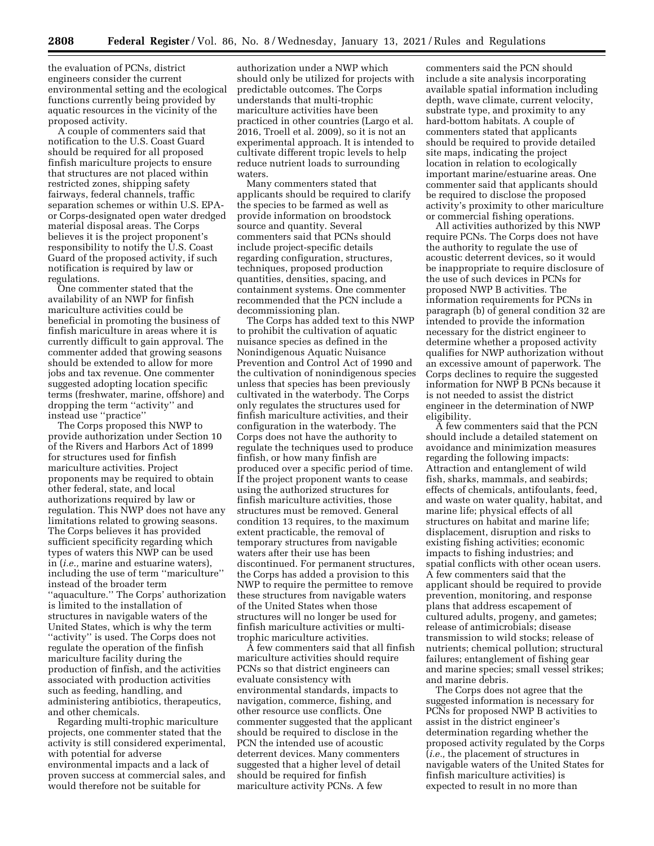the evaluation of PCNs, district engineers consider the current environmental setting and the ecological functions currently being provided by aquatic resources in the vicinity of the proposed activity.

A couple of commenters said that notification to the U.S. Coast Guard should be required for all proposed finfish mariculture projects to ensure that structures are not placed within restricted zones, shipping safety fairways, federal channels, traffic separation schemes or within U.S. EPAor Corps-designated open water dredged material disposal areas. The Corps believes it is the project proponent's responsibility to notify the U.S. Coast Guard of the proposed activity, if such notification is required by law or regulations.

One commenter stated that the availability of an NWP for finfish mariculture activities could be beneficial in promoting the business of finfish mariculture in areas where it is currently difficult to gain approval. The commenter added that growing seasons should be extended to allow for more jobs and tax revenue. One commenter suggested adopting location specific terms (freshwater, marine, offshore) and dropping the term ''activity'' and instead use ''practice''

The Corps proposed this NWP to provide authorization under Section 10 of the Rivers and Harbors Act of 1899 for structures used for finfish mariculture activities. Project proponents may be required to obtain other federal, state, and local authorizations required by law or regulation. This NWP does not have any limitations related to growing seasons. The Corps believes it has provided sufficient specificity regarding which types of waters this NWP can be used in (*i.e.,* marine and estuarine waters), including the use of term ''mariculture'' instead of the broader term ''aquaculture.'' The Corps' authorization is limited to the installation of structures in navigable waters of the United States, which is why the term ''activity'' is used. The Corps does not regulate the operation of the finfish mariculture facility during the production of finfish, and the activities associated with production activities such as feeding, handling, and administering antibiotics, therapeutics, and other chemicals.

Regarding multi-trophic mariculture projects, one commenter stated that the activity is still considered experimental, with potential for adverse environmental impacts and a lack of proven success at commercial sales, and would therefore not be suitable for

authorization under a NWP which should only be utilized for projects with predictable outcomes. The Corps understands that multi-trophic mariculture activities have been practiced in other countries (Largo et al. 2016, Troell et al. 2009), so it is not an experimental approach. It is intended to cultivate different tropic levels to help reduce nutrient loads to surrounding waters.

Many commenters stated that applicants should be required to clarify the species to be farmed as well as provide information on broodstock source and quantity. Several commenters said that PCNs should include project-specific details regarding configuration, structures, techniques, proposed production quantities, densities, spacing, and containment systems. One commenter recommended that the PCN include a decommissioning plan.

The Corps has added text to this NWP to prohibit the cultivation of aquatic nuisance species as defined in the Nonindigenous Aquatic Nuisance Prevention and Control Act of 1990 and the cultivation of nonindigenous species unless that species has been previously cultivated in the waterbody. The Corps only regulates the structures used for finfish mariculture activities, and their configuration in the waterbody. The Corps does not have the authority to regulate the techniques used to produce finfish, or how many finfish are produced over a specific period of time. If the project proponent wants to cease using the authorized structures for finfish mariculture activities, those structures must be removed. General condition 13 requires, to the maximum extent practicable, the removal of temporary structures from navigable waters after their use has been discontinued. For permanent structures, the Corps has added a provision to this NWP to require the permittee to remove these structures from navigable waters of the United States when those structures will no longer be used for finfish mariculture activities or multitrophic mariculture activities.

A few commenters said that all finfish mariculture activities should require PCNs so that district engineers can evaluate consistency with environmental standards, impacts to navigation, commerce, fishing, and other resource use conflicts. One commenter suggested that the applicant should be required to disclose in the PCN the intended use of acoustic deterrent devices. Many commenters suggested that a higher level of detail should be required for finfish mariculture activity PCNs. A few

commenters said the PCN should include a site analysis incorporating available spatial information including depth, wave climate, current velocity, substrate type, and proximity to any hard-bottom habitats. A couple of commenters stated that applicants should be required to provide detailed site maps, indicating the project location in relation to ecologically important marine/estuarine areas. One commenter said that applicants should be required to disclose the proposed activity's proximity to other mariculture or commercial fishing operations.

All activities authorized by this NWP require PCNs. The Corps does not have the authority to regulate the use of acoustic deterrent devices, so it would be inappropriate to require disclosure of the use of such devices in PCNs for proposed NWP B activities. The information requirements for PCNs in paragraph (b) of general condition 32 are intended to provide the information necessary for the district engineer to determine whether a proposed activity qualifies for NWP authorization without an excessive amount of paperwork. The Corps declines to require the suggested information for NWP B PCNs because it is not needed to assist the district engineer in the determination of NWP eligibility.

A few commenters said that the PCN should include a detailed statement on avoidance and minimization measures regarding the following impacts: Attraction and entanglement of wild fish, sharks, mammals, and seabirds; effects of chemicals, antifoulants, feed, and waste on water quality, habitat, and marine life; physical effects of all structures on habitat and marine life; displacement, disruption and risks to existing fishing activities; economic impacts to fishing industries; and spatial conflicts with other ocean users. A few commenters said that the applicant should be required to provide prevention, monitoring, and response plans that address escapement of cultured adults, progeny, and gametes; release of antimicrobials; disease transmission to wild stocks; release of nutrients; chemical pollution; structural failures; entanglement of fishing gear and marine species; small vessel strikes; and marine debris.

The Corps does not agree that the suggested information is necessary for PCNs for proposed NWP B activities to assist in the district engineer's determination regarding whether the proposed activity regulated by the Corps (*i.e.,* the placement of structures in navigable waters of the United States for finfish mariculture activities) is expected to result in no more than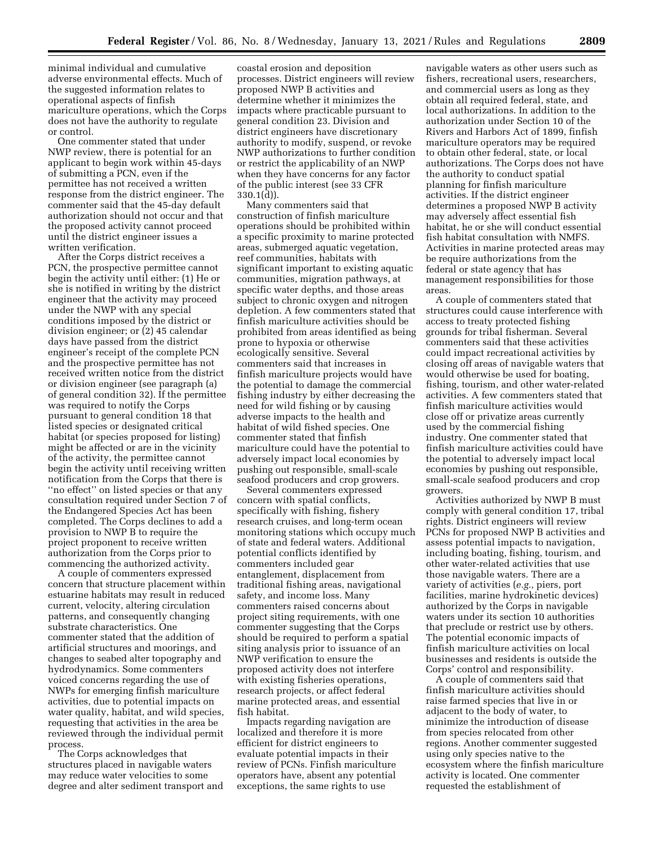minimal individual and cumulative adverse environmental effects. Much of the suggested information relates to operational aspects of finfish mariculture operations, which the Corps does not have the authority to regulate or control.

One commenter stated that under NWP review, there is potential for an applicant to begin work within 45-days of submitting a PCN, even if the permittee has not received a written response from the district engineer. The commenter said that the 45-day default authorization should not occur and that the proposed activity cannot proceed until the district engineer issues a written verification.

After the Corps district receives a PCN, the prospective permittee cannot begin the activity until either: (1) He or she is notified in writing by the district engineer that the activity may proceed under the NWP with any special conditions imposed by the district or division engineer; or (2) 45 calendar days have passed from the district engineer's receipt of the complete PCN and the prospective permittee has not received written notice from the district or division engineer (see paragraph (a) of general condition 32). If the permittee was required to notify the Corps pursuant to general condition 18 that listed species or designated critical habitat (or species proposed for listing) might be affected or are in the vicinity of the activity, the permittee cannot begin the activity until receiving written notification from the Corps that there is "no effect" on listed species or that any consultation required under Section 7 of the Endangered Species Act has been completed. The Corps declines to add a provision to NWP B to require the project proponent to receive written authorization from the Corps prior to commencing the authorized activity.

A couple of commenters expressed concern that structure placement within estuarine habitats may result in reduced current, velocity, altering circulation patterns, and consequently changing substrate characteristics. One commenter stated that the addition of artificial structures and moorings, and changes to seabed alter topography and hydrodynamics. Some commenters voiced concerns regarding the use of NWPs for emerging finfish mariculture activities, due to potential impacts on water quality, habitat, and wild species, requesting that activities in the area be reviewed through the individual permit process.

The Corps acknowledges that structures placed in navigable waters may reduce water velocities to some degree and alter sediment transport and

coastal erosion and deposition processes. District engineers will review proposed NWP B activities and determine whether it minimizes the impacts where practicable pursuant to general condition 23. Division and district engineers have discretionary authority to modify, suspend, or revoke NWP authorizations to further condition or restrict the applicability of an NWP when they have concerns for any factor of the public interest (see 33 CFR 330.1(d)).

Many commenters said that construction of finfish mariculture operations should be prohibited within a specific proximity to marine protected areas, submerged aquatic vegetation, reef communities, habitats with significant important to existing aquatic communities, migration pathways, at specific water depths, and those areas subject to chronic oxygen and nitrogen depletion. A few commenters stated that finfish mariculture activities should be prohibited from areas identified as being prone to hypoxia or otherwise ecologically sensitive. Several commenters said that increases in finfish mariculture projects would have the potential to damage the commercial fishing industry by either decreasing the need for wild fishing or by causing adverse impacts to the health and habitat of wild fished species. One commenter stated that finfish mariculture could have the potential to adversely impact local economies by pushing out responsible, small-scale seafood producers and crop growers.

Several commenters expressed concern with spatial conflicts, specifically with fishing, fishery research cruises, and long-term ocean monitoring stations which occupy much of state and federal waters. Additional potential conflicts identified by commenters included gear entanglement, displacement from traditional fishing areas, navigational safety, and income loss. Many commenters raised concerns about project siting requirements, with one commenter suggesting that the Corps should be required to perform a spatial siting analysis prior to issuance of an NWP verification to ensure the proposed activity does not interfere with existing fisheries operations, research projects, or affect federal marine protected areas, and essential fish habitat.

Impacts regarding navigation are localized and therefore it is more efficient for district engineers to evaluate potential impacts in their review of PCNs. Finfish mariculture operators have, absent any potential exceptions, the same rights to use

navigable waters as other users such as fishers, recreational users, researchers, and commercial users as long as they obtain all required federal, state, and local authorizations. In addition to the authorization under Section 10 of the Rivers and Harbors Act of 1899, finfish mariculture operators may be required to obtain other federal, state, or local authorizations. The Corps does not have the authority to conduct spatial planning for finfish mariculture activities. If the district engineer determines a proposed NWP B activity may adversely affect essential fish habitat, he or she will conduct essential fish habitat consultation with NMFS. Activities in marine protected areas may be require authorizations from the federal or state agency that has management responsibilities for those areas.

A couple of commenters stated that structures could cause interference with access to treaty protected fishing grounds for tribal fisherman. Several commenters said that these activities could impact recreational activities by closing off areas of navigable waters that would otherwise be used for boating, fishing, tourism, and other water-related activities. A few commenters stated that finfish mariculture activities would close off or privatize areas currently used by the commercial fishing industry. One commenter stated that finfish mariculture activities could have the potential to adversely impact local economies by pushing out responsible, small-scale seafood producers and crop growers.

Activities authorized by NWP B must comply with general condition 17, tribal rights. District engineers will review PCNs for proposed NWP B activities and assess potential impacts to navigation, including boating, fishing, tourism, and other water-related activities that use those navigable waters. There are a variety of activities (*e.g.,* piers, port facilities, marine hydrokinetic devices) authorized by the Corps in navigable waters under its section 10 authorities that preclude or restrict use by others. The potential economic impacts of finfish mariculture activities on local businesses and residents is outside the Corps' control and responsibility.

A couple of commenters said that finfish mariculture activities should raise farmed species that live in or adjacent to the body of water, to minimize the introduction of disease from species relocated from other regions. Another commenter suggested using only species native to the ecosystem where the finfish mariculture activity is located. One commenter requested the establishment of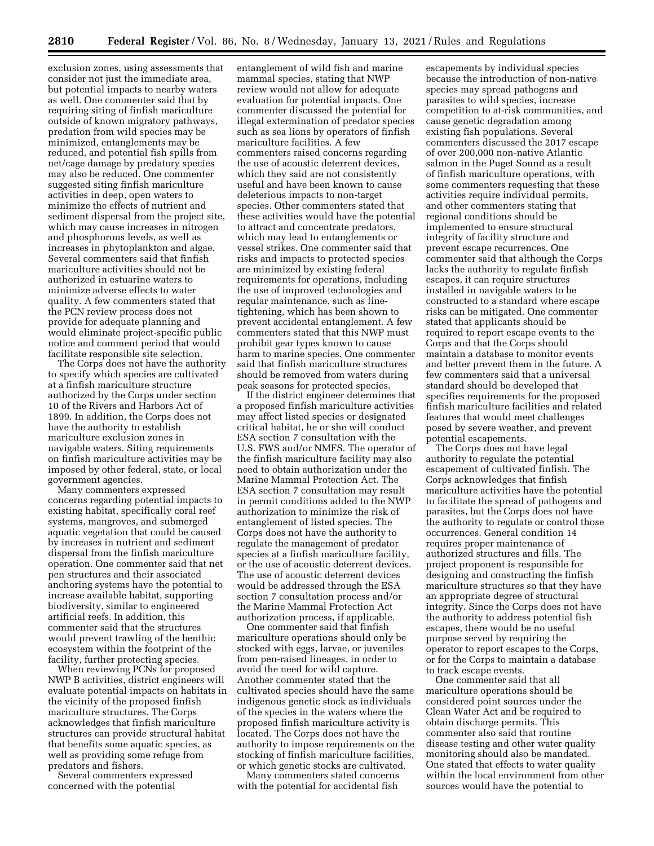exclusion zones, using assessments that consider not just the immediate area, but potential impacts to nearby waters as well. One commenter said that by requiring siting of finfish mariculture outside of known migratory pathways, predation from wild species may be minimized, entanglements may be reduced, and potential fish spills from net/cage damage by predatory species may also be reduced. One commenter suggested siting finfish mariculture activities in deep, open waters to minimize the effects of nutrient and sediment dispersal from the project site, which may cause increases in nitrogen and phosphorous levels, as well as increases in phytoplankton and algae. Several commenters said that finfish mariculture activities should not be authorized in estuarine waters to minimize adverse effects to water quality. A few commenters stated that the PCN review process does not provide for adequate planning and would eliminate project-specific public notice and comment period that would facilitate responsible site selection.

The Corps does not have the authority to specify which species are cultivated at a finfish mariculture structure authorized by the Corps under section 10 of the Rivers and Harbors Act of 1899. In addition, the Corps does not have the authority to establish mariculture exclusion zones in navigable waters. Siting requirements on finfish mariculture activities may be imposed by other federal, state, or local government agencies.

Many commenters expressed concerns regarding potential impacts to existing habitat, specifically coral reef systems, mangroves, and submerged aquatic vegetation that could be caused by increases in nutrient and sediment dispersal from the finfish mariculture operation. One commenter said that net pen structures and their associated anchoring systems have the potential to increase available habitat, supporting biodiversity, similar to engineered artificial reefs. In addition, this commenter said that the structures would prevent trawling of the benthic ecosystem within the footprint of the facility, further protecting species.

When reviewing PCNs for proposed NWP B activities, district engineers will evaluate potential impacts on habitats in the vicinity of the proposed finfish mariculture structures. The Corps acknowledges that finfish mariculture structures can provide structural habitat that benefits some aquatic species, as well as providing some refuge from predators and fishers.

Several commenters expressed concerned with the potential

entanglement of wild fish and marine mammal species, stating that NWP review would not allow for adequate evaluation for potential impacts. One commenter discussed the potential for illegal extermination of predator species such as sea lions by operators of finfish mariculture facilities. A few commenters raised concerns regarding the use of acoustic deterrent devices, which they said are not consistently useful and have been known to cause deleterious impacts to non-target species. Other commenters stated that these activities would have the potential to attract and concentrate predators, which may lead to entanglements or vessel strikes. One commenter said that risks and impacts to protected species are minimized by existing federal requirements for operations, including the use of improved technologies and regular maintenance, such as linetightening, which has been shown to prevent accidental entanglement. A few commenters stated that this NWP must prohibit gear types known to cause harm to marine species. One commenter said that finfish mariculture structures should be removed from waters during peak seasons for protected species.

If the district engineer determines that a proposed finfish mariculture activities may affect listed species or designated critical habitat, he or she will conduct ESA section 7 consultation with the U.S. FWS and/or NMFS. The operator of the finfish mariculture facility may also need to obtain authorization under the Marine Mammal Protection Act. The ESA section 7 consultation may result in permit conditions added to the NWP authorization to minimize the risk of entanglement of listed species. The Corps does not have the authority to regulate the management of predator species at a finfish mariculture facility, or the use of acoustic deterrent devices. The use of acoustic deterrent devices would be addressed through the ESA section 7 consultation process and/or the Marine Mammal Protection Act authorization process, if applicable.

One commenter said that finfish mariculture operations should only be stocked with eggs, larvae, or juveniles from pen-raised lineages, in order to avoid the need for wild capture. Another commenter stated that the cultivated species should have the same indigenous genetic stock as individuals of the species in the waters where the proposed finfish mariculture activity is located. The Corps does not have the authority to impose requirements on the stocking of finfish mariculture facilities, or which genetic stocks are cultivated.

Many commenters stated concerns with the potential for accidental fish

escapements by individual species because the introduction of non-native species may spread pathogens and parasites to wild species, increase competition to at-risk communities, and cause genetic degradation among existing fish populations. Several commenters discussed the 2017 escape of over 200,000 non-native Atlantic salmon in the Puget Sound as a result of finfish mariculture operations, with some commenters requesting that these activities require individual permits, and other commenters stating that regional conditions should be implemented to ensure structural integrity of facility structure and prevent escape recurrences. One commenter said that although the Corps lacks the authority to regulate finfish escapes, it can require structures installed in navigable waters to be constructed to a standard where escape risks can be mitigated. One commenter stated that applicants should be required to report escape events to the Corps and that the Corps should maintain a database to monitor events and better prevent them in the future. A few commenters said that a universal standard should be developed that specifies requirements for the proposed finfish mariculture facilities and related features that would meet challenges posed by severe weather, and prevent potential escapements.

The Corps does not have legal authority to regulate the potential escapement of cultivated finfish. The Corps acknowledges that finfish mariculture activities have the potential to facilitate the spread of pathogens and parasites, but the Corps does not have the authority to regulate or control those occurrences. General condition 14 requires proper maintenance of authorized structures and fills. The project proponent is responsible for designing and constructing the finfish mariculture structures so that they have an appropriate degree of structural integrity. Since the Corps does not have the authority to address potential fish escapes, there would be no useful purpose served by requiring the operator to report escapes to the Corps, or for the Corps to maintain a database to track escape events.

One commenter said that all mariculture operations should be considered point sources under the Clean Water Act and be required to obtain discharge permits. This commenter also said that routine disease testing and other water quality monitoring should also be mandated. One stated that effects to water quality within the local environment from other sources would have the potential to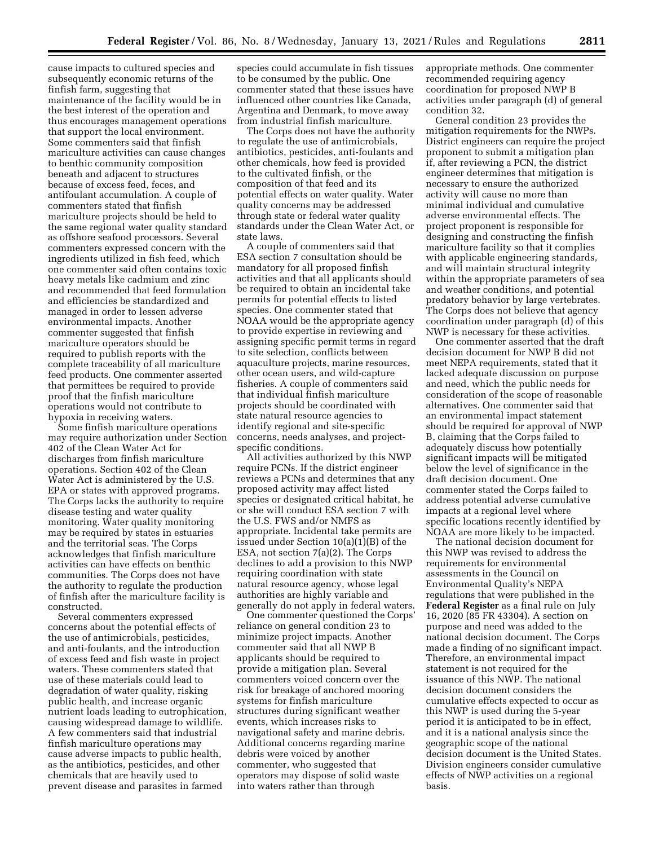cause impacts to cultured species and subsequently economic returns of the finfish farm, suggesting that maintenance of the facility would be in the best interest of the operation and thus encourages management operations that support the local environment. Some commenters said that finfish mariculture activities can cause changes to benthic community composition beneath and adjacent to structures because of excess feed, feces, and antifoulant accumulation. A couple of commenters stated that finfish mariculture projects should be held to the same regional water quality standard as offshore seafood processors. Several commenters expressed concern with the ingredients utilized in fish feed, which one commenter said often contains toxic heavy metals like cadmium and zinc and recommended that feed formulation and efficiencies be standardized and managed in order to lessen adverse environmental impacts. Another commenter suggested that finfish mariculture operators should be required to publish reports with the complete traceability of all mariculture feed products. One commenter asserted that permittees be required to provide proof that the finfish mariculture operations would not contribute to hypoxia in receiving waters.

Some finfish mariculture operations may require authorization under Section 402 of the Clean Water Act for discharges from finfish mariculture operations. Section 402 of the Clean Water Act is administered by the U.S. EPA or states with approved programs. The Corps lacks the authority to require disease testing and water quality monitoring. Water quality monitoring may be required by states in estuaries and the territorial seas. The Corps acknowledges that finfish mariculture activities can have effects on benthic communities. The Corps does not have the authority to regulate the production of finfish after the mariculture facility is constructed.

Several commenters expressed concerns about the potential effects of the use of antimicrobials, pesticides, and anti-foulants, and the introduction of excess feed and fish waste in project waters. These commenters stated that use of these materials could lead to degradation of water quality, risking public health, and increase organic nutrient loads leading to eutrophication, causing widespread damage to wildlife. A few commenters said that industrial finfish mariculture operations may cause adverse impacts to public health, as the antibiotics, pesticides, and other chemicals that are heavily used to prevent disease and parasites in farmed

species could accumulate in fish tissues to be consumed by the public. One commenter stated that these issues have influenced other countries like Canada, Argentina and Denmark, to move away from industrial finfish mariculture.

The Corps does not have the authority to regulate the use of antimicrobials, antibiotics, pesticides, anti-foulants and other chemicals, how feed is provided to the cultivated finfish, or the composition of that feed and its potential effects on water quality. Water quality concerns may be addressed through state or federal water quality standards under the Clean Water Act, or state laws.

A couple of commenters said that ESA section 7 consultation should be mandatory for all proposed finfish activities and that all applicants should be required to obtain an incidental take permits for potential effects to listed species. One commenter stated that NOAA would be the appropriate agency to provide expertise in reviewing and assigning specific permit terms in regard to site selection, conflicts between aquaculture projects, marine resources, other ocean users, and wild-capture fisheries. A couple of commenters said that individual finfish mariculture projects should be coordinated with state natural resource agencies to identify regional and site-specific concerns, needs analyses, and projectspecific conditions.

All activities authorized by this NWP require PCNs. If the district engineer reviews a PCNs and determines that any proposed activity may affect listed species or designated critical habitat, he or she will conduct ESA section 7 with the U.S. FWS and/or NMFS as appropriate. Incidental take permits are issued under Section 10(a)(1)(B) of the ESA, not section 7(a)(2). The Corps declines to add a provision to this NWP requiring coordination with state natural resource agency, whose legal authorities are highly variable and generally do not apply in federal waters.

One commenter questioned the Corps' reliance on general condition 23 to minimize project impacts. Another commenter said that all NWP B applicants should be required to provide a mitigation plan. Several commenters voiced concern over the risk for breakage of anchored mooring systems for finfish mariculture structures during significant weather events, which increases risks to navigational safety and marine debris. Additional concerns regarding marine debris were voiced by another commenter, who suggested that operators may dispose of solid waste into waters rather than through

appropriate methods. One commenter recommended requiring agency coordination for proposed NWP B activities under paragraph (d) of general condition 32.

General condition 23 provides the mitigation requirements for the NWPs. District engineers can require the project proponent to submit a mitigation plan if, after reviewing a PCN, the district engineer determines that mitigation is necessary to ensure the authorized activity will cause no more than minimal individual and cumulative adverse environmental effects. The project proponent is responsible for designing and constructing the finfish mariculture facility so that it complies with applicable engineering standards, and will maintain structural integrity within the appropriate parameters of sea and weather conditions, and potential predatory behavior by large vertebrates. The Corps does not believe that agency coordination under paragraph (d) of this NWP is necessary for these activities.

One commenter asserted that the draft decision document for NWP B did not meet NEPA requirements, stated that it lacked adequate discussion on purpose and need, which the public needs for consideration of the scope of reasonable alternatives. One commenter said that an environmental impact statement should be required for approval of NWP B, claiming that the Corps failed to adequately discuss how potentially significant impacts will be mitigated below the level of significance in the draft decision document. One commenter stated the Corps failed to address potential adverse cumulative impacts at a regional level where specific locations recently identified by NOAA are more likely to be impacted.

The national decision document for this NWP was revised to address the requirements for environmental assessments in the Council on Environmental Quality's NEPA regulations that were published in the **Federal Register** as a final rule on July 16, 2020 (85 FR 43304). A section on purpose and need was added to the national decision document. The Corps made a finding of no significant impact. Therefore, an environmental impact statement is not required for the issuance of this NWP. The national decision document considers the cumulative effects expected to occur as this NWP is used during the 5-year period it is anticipated to be in effect, and it is a national analysis since the geographic scope of the national decision document is the United States. Division engineers consider cumulative effects of NWP activities on a regional basis.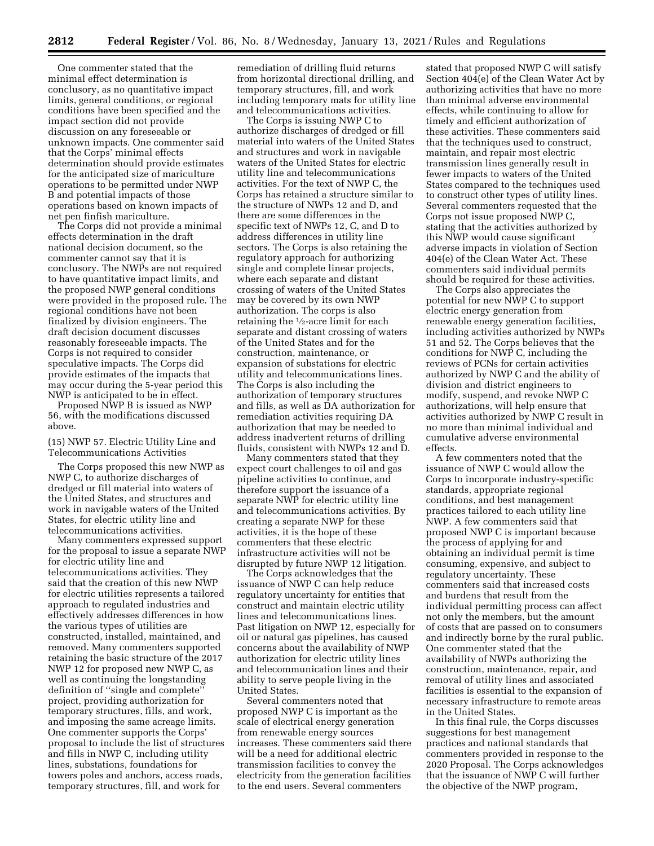One commenter stated that the minimal effect determination is conclusory, as no quantitative impact limits, general conditions, or regional conditions have been specified and the impact section did not provide discussion on any foreseeable or unknown impacts. One commenter said that the Corps' minimal effects determination should provide estimates for the anticipated size of mariculture operations to be permitted under NWP B and potential impacts of those operations based on known impacts of net pen finfish mariculture.

The Corps did not provide a minimal effects determination in the draft national decision document, so the commenter cannot say that it is conclusory. The NWPs are not required to have quantitative impact limits, and the proposed NWP general conditions were provided in the proposed rule. The regional conditions have not been finalized by division engineers. The draft decision document discusses reasonably foreseeable impacts. The Corps is not required to consider speculative impacts. The Corps did provide estimates of the impacts that may occur during the 5-year period this NWP is anticipated to be in effect.

Proposed NWP B is issued as NWP 56, with the modifications discussed above.

## (15) NWP 57. Electric Utility Line and Telecommunications Activities

The Corps proposed this new NWP as NWP C, to authorize discharges of dredged or fill material into waters of the United States, and structures and work in navigable waters of the United States, for electric utility line and telecommunications activities.

Many commenters expressed support for the proposal to issue a separate NWP for electric utility line and telecommunications activities. They said that the creation of this new NWP for electric utilities represents a tailored approach to regulated industries and effectively addresses differences in how the various types of utilities are constructed, installed, maintained, and removed. Many commenters supported retaining the basic structure of the 2017 NWP 12 for proposed new NWP C, as well as continuing the longstanding definition of ''single and complete'' project, providing authorization for temporary structures, fills, and work, and imposing the same acreage limits. One commenter supports the Corps' proposal to include the list of structures and fills in NWP C, including utility lines, substations, foundations for towers poles and anchors, access roads, temporary structures, fill, and work for

remediation of drilling fluid returns from horizontal directional drilling, and temporary structures, fill, and work including temporary mats for utility line and telecommunications activities.

The Corps is issuing NWP C to authorize discharges of dredged or fill material into waters of the United States and structures and work in navigable waters of the United States for electric utility line and telecommunications activities. For the text of NWP C, the Corps has retained a structure similar to the structure of NWPs 12 and D, and there are some differences in the specific text of NWPs 12, C, and D to address differences in utility line sectors. The Corps is also retaining the regulatory approach for authorizing single and complete linear projects, where each separate and distant crossing of waters of the United States may be covered by its own NWP authorization. The corps is also retaining the 1⁄2-acre limit for each separate and distant crossing of waters of the United States and for the construction, maintenance, or expansion of substations for electric utility and telecommunications lines. The Corps is also including the authorization of temporary structures and fills, as well as DA authorization for remediation activities requiring DA authorization that may be needed to address inadvertent returns of drilling fluids, consistent with NWPs 12 and D.

Many commenters stated that they expect court challenges to oil and gas pipeline activities to continue, and therefore support the issuance of a separate NWP for electric utility line and telecommunications activities. By creating a separate NWP for these activities, it is the hope of these commenters that these electric infrastructure activities will not be disrupted by future NWP 12 litigation.

The Corps acknowledges that the issuance of NWP C can help reduce regulatory uncertainty for entities that construct and maintain electric utility lines and telecommunications lines. Past litigation on NWP 12, especially for oil or natural gas pipelines, has caused concerns about the availability of NWP authorization for electric utility lines and telecommunication lines and their ability to serve people living in the United States.

Several commenters noted that proposed NWP C is important as the scale of electrical energy generation from renewable energy sources increases. These commenters said there will be a need for additional electric transmission facilities to convey the electricity from the generation facilities to the end users. Several commenters

stated that proposed NWP C will satisfy Section 404(e) of the Clean Water Act by authorizing activities that have no more than minimal adverse environmental effects, while continuing to allow for timely and efficient authorization of these activities. These commenters said that the techniques used to construct, maintain, and repair most electric transmission lines generally result in fewer impacts to waters of the United States compared to the techniques used to construct other types of utility lines. Several commenters requested that the Corps not issue proposed NWP C, stating that the activities authorized by this NWP would cause significant adverse impacts in violation of Section 404(e) of the Clean Water Act. These commenters said individual permits should be required for these activities.

The Corps also appreciates the potential for new NWP C to support electric energy generation from renewable energy generation facilities, including activities authorized by NWPs 51 and 52. The Corps believes that the conditions for NWP C, including the reviews of PCNs for certain activities authorized by NWP C and the ability of division and district engineers to modify, suspend, and revoke NWP C authorizations, will help ensure that activities authorized by NWP C result in no more than minimal individual and cumulative adverse environmental effects.

A few commenters noted that the issuance of NWP C would allow the Corps to incorporate industry-specific standards, appropriate regional conditions, and best management practices tailored to each utility line NWP. A few commenters said that proposed NWP C is important because the process of applying for and obtaining an individual permit is time consuming, expensive, and subject to regulatory uncertainty. These commenters said that increased costs and burdens that result from the individual permitting process can affect not only the members, but the amount of costs that are passed on to consumers and indirectly borne by the rural public. One commenter stated that the availability of NWPs authorizing the construction, maintenance, repair, and removal of utility lines and associated facilities is essential to the expansion of necessary infrastructure to remote areas in the United States.

In this final rule, the Corps discusses suggestions for best management practices and national standards that commenters provided in response to the 2020 Proposal. The Corps acknowledges that the issuance of NWP C will further the objective of the NWP program,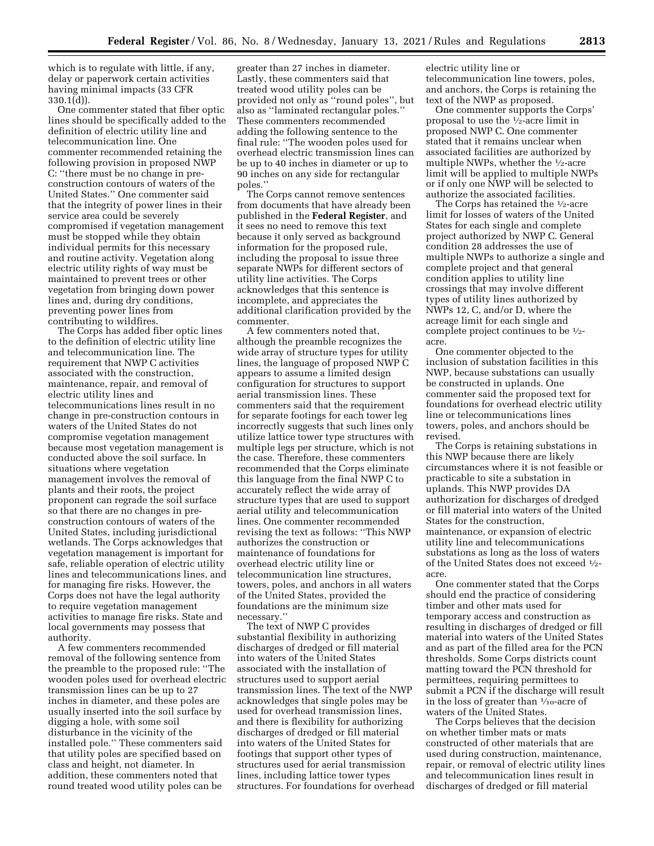which is to regulate with little, if any, delay or paperwork certain activities having minimal impacts (33 CFR 330.1(d)).

One commenter stated that fiber optic lines should be specifically added to the definition of electric utility line and telecommunication line. One commenter recommended retaining the following provision in proposed NWP C: ''there must be no change in preconstruction contours of waters of the United States.'' One commenter said that the integrity of power lines in their service area could be severely compromised if vegetation management must be stopped while they obtain individual permits for this necessary and routine activity. Vegetation along electric utility rights of way must be maintained to prevent trees or other vegetation from bringing down power lines and, during dry conditions, preventing power lines from contributing to wildfires.

The Corps has added fiber optic lines to the definition of electric utility line and telecommunication line. The requirement that NWP C activities associated with the construction, maintenance, repair, and removal of electric utility lines and telecommunications lines result in no change in pre-construction contours in waters of the United States do not compromise vegetation management because most vegetation management is conducted above the soil surface. In situations where vegetation management involves the removal of plants and their roots, the project proponent can regrade the soil surface so that there are no changes in preconstruction contours of waters of the United States, including jurisdictional wetlands. The Corps acknowledges that vegetation management is important for safe, reliable operation of electric utility lines and telecommunications lines, and for managing fire risks. However, the Corps does not have the legal authority to require vegetation management activities to manage fire risks. State and local governments may possess that authority.

A few commenters recommended removal of the following sentence from the preamble to the proposed rule: ''The wooden poles used for overhead electric transmission lines can be up to 27 inches in diameter, and these poles are usually inserted into the soil surface by digging a hole, with some soil disturbance in the vicinity of the installed pole.'' These commenters said that utility poles are specified based on class and height, not diameter. In addition, these commenters noted that round treated wood utility poles can be

greater than 27 inches in diameter. Lastly, these commenters said that treated wood utility poles can be provided not only as ''round poles'', but also as ''laminated rectangular poles.'' These commenters recommended adding the following sentence to the final rule: ''The wooden poles used for overhead electric transmission lines can be up to 40 inches in diameter or up to 90 inches on any side for rectangular poles.''

The Corps cannot remove sentences from documents that have already been published in the **Federal Register**, and it sees no need to remove this text because it only served as background information for the proposed rule, including the proposal to issue three separate NWPs for different sectors of utility line activities. The Corps acknowledges that this sentence is incomplete, and appreciates the additional clarification provided by the commenter.

A few commenters noted that, although the preamble recognizes the wide array of structure types for utility lines, the language of proposed NWP C appears to assume a limited design configuration for structures to support aerial transmission lines. These commenters said that the requirement for separate footings for each tower leg incorrectly suggests that such lines only utilize lattice tower type structures with multiple legs per structure, which is not the case. Therefore, these commenters recommended that the Corps eliminate this language from the final NWP C to accurately reflect the wide array of structure types that are used to support aerial utility and telecommunication lines. One commenter recommended revising the text as follows: ''This NWP authorizes the construction or maintenance of foundations for overhead electric utility line or telecommunication line structures, towers, poles, and anchors in all waters of the United States, provided the foundations are the minimum size necessary.''

The text of NWP C provides substantial flexibility in authorizing discharges of dredged or fill material into waters of the United States associated with the installation of structures used to support aerial transmission lines. The text of the NWP acknowledges that single poles may be used for overhead transmission lines, and there is flexibility for authorizing discharges of dredged or fill material into waters of the United States for footings that support other types of structures used for aerial transmission lines, including lattice tower types structures. For foundations for overhead

electric utility line or telecommunication line towers, poles, and anchors, the Corps is retaining the text of the NWP as proposed.

One commenter supports the Corps' proposal to use the 1⁄2-acre limit in proposed NWP C. One commenter stated that it remains unclear when associated facilities are authorized by multiple NWPs, whether the 1⁄2-acre limit will be applied to multiple NWPs or if only one NWP will be selected to authorize the associated facilities.

The Corps has retained the 1⁄2-acre limit for losses of waters of the United States for each single and complete project authorized by NWP C. General condition 28 addresses the use of multiple NWPs to authorize a single and complete project and that general condition applies to utility line crossings that may involve different types of utility lines authorized by NWPs 12, C, and/or D, where the acreage limit for each single and complete project continues to be 1⁄2 acre.

One commenter objected to the inclusion of substation facilities in this NWP, because substations can usually be constructed in uplands. One commenter said the proposed text for foundations for overhead electric utility line or telecommunications lines towers, poles, and anchors should be revised.

The Corps is retaining substations in this NWP because there are likely circumstances where it is not feasible or practicable to site a substation in uplands. This NWP provides DA authorization for discharges of dredged or fill material into waters of the United States for the construction, maintenance, or expansion of electric utility line and telecommunications substations as long as the loss of waters of the United States does not exceed 1⁄2 acre.

One commenter stated that the Corps should end the practice of considering timber and other mats used for temporary access and construction as resulting in discharges of dredged or fill material into waters of the United States and as part of the filled area for the PCN thresholds. Some Corps districts count matting toward the PCN threshold for permittees, requiring permittees to submit a PCN if the discharge will result in the loss of greater than  $\frac{1}{10}$ -acre of waters of the United States.

The Corps believes that the decision on whether timber mats or mats constructed of other materials that are used during construction, maintenance, repair, or removal of electric utility lines and telecommunication lines result in discharges of dredged or fill material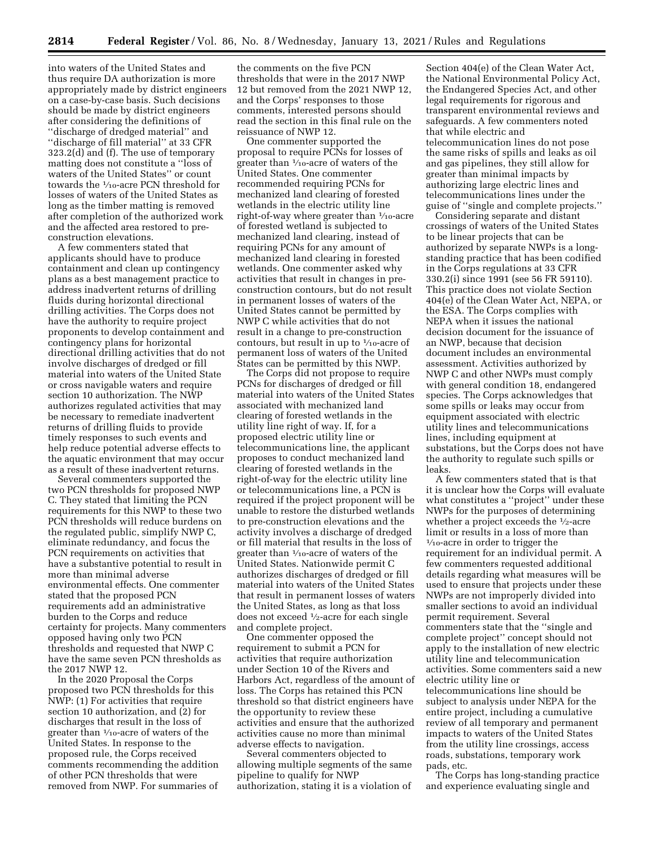into waters of the United States and thus require DA authorization is more appropriately made by district engineers on a case-by-case basis. Such decisions should be made by district engineers after considering the definitions of ''discharge of dredged material'' and ''discharge of fill material'' at 33 CFR 323.2(d) and (f). The use of temporary matting does not constitute a ''loss of waters of the United States'' or count towards the 1⁄10-acre PCN threshold for losses of waters of the United States as long as the timber matting is removed after completion of the authorized work and the affected area restored to preconstruction elevations.

A few commenters stated that applicants should have to produce containment and clean up contingency plans as a best management practice to address inadvertent returns of drilling fluids during horizontal directional drilling activities. The Corps does not have the authority to require project proponents to develop containment and contingency plans for horizontal directional drilling activities that do not involve discharges of dredged or fill material into waters of the United State or cross navigable waters and require section 10 authorization. The NWP authorizes regulated activities that may be necessary to remediate inadvertent returns of drilling fluids to provide timely responses to such events and help reduce potential adverse effects to the aquatic environment that may occur as a result of these inadvertent returns.

Several commenters supported the two PCN thresholds for proposed NWP C. They stated that limiting the PCN requirements for this NWP to these two PCN thresholds will reduce burdens on the regulated public, simplify NWP C, eliminate redundancy, and focus the PCN requirements on activities that have a substantive potential to result in more than minimal adverse environmental effects. One commenter stated that the proposed PCN requirements add an administrative burden to the Corps and reduce certainty for projects. Many commenters opposed having only two PCN thresholds and requested that NWP C have the same seven PCN thresholds as the 2017 NWP 12.

In the 2020 Proposal the Corps proposed two PCN thresholds for this NWP: (1) For activities that require section 10 authorization, and (2) for discharges that result in the loss of greater than 1⁄10-acre of waters of the United States. In response to the proposed rule, the Corps received comments recommending the addition of other PCN thresholds that were removed from NWP. For summaries of

the comments on the five PCN thresholds that were in the 2017 NWP 12 but removed from the 2021 NWP 12, and the Corps' responses to those comments, interested persons should read the section in this final rule on the reissuance of NWP 12.

One commenter supported the proposal to require PCNs for losses of greater than 1⁄10-acre of waters of the United States. One commenter recommended requiring PCNs for mechanized land clearing of forested wetlands in the electric utility line right-of-way where greater than 1⁄10-acre of forested wetland is subjected to mechanized land clearing, instead of requiring PCNs for any amount of mechanized land clearing in forested wetlands. One commenter asked why activities that result in changes in preconstruction contours, but do not result in permanent losses of waters of the United States cannot be permitted by NWP C while activities that do not result in a change to pre-construction contours, but result in up to  $\frac{1}{10}$ -acre of permanent loss of waters of the United States can be permitted by this NWP.

The Corps did not propose to require PCNs for discharges of dredged or fill material into waters of the United States associated with mechanized land clearing of forested wetlands in the utility line right of way. If, for a proposed electric utility line or telecommunications line, the applicant proposes to conduct mechanized land clearing of forested wetlands in the right-of-way for the electric utility line or telecommunications line, a PCN is required if the project proponent will be unable to restore the disturbed wetlands to pre-construction elevations and the activity involves a discharge of dredged or fill material that results in the loss of greater than 1⁄10-acre of waters of the United States. Nationwide permit C authorizes discharges of dredged or fill material into waters of the United States that result in permanent losses of waters the United States, as long as that loss does not exceed 1⁄2-acre for each single and complete project.

One commenter opposed the requirement to submit a PCN for activities that require authorization under Section 10 of the Rivers and Harbors Act, regardless of the amount of loss. The Corps has retained this PCN threshold so that district engineers have the opportunity to review these activities and ensure that the authorized activities cause no more than minimal adverse effects to navigation.

Several commenters objected to allowing multiple segments of the same pipeline to qualify for NWP authorization, stating it is a violation of

Section 404(e) of the Clean Water Act, the National Environmental Policy Act, the Endangered Species Act, and other legal requirements for rigorous and transparent environmental reviews and safeguards. A few commenters noted that while electric and telecommunication lines do not pose the same risks of spills and leaks as oil and gas pipelines, they still allow for greater than minimal impacts by authorizing large electric lines and telecommunications lines under the guise of ''single and complete projects.''

Considering separate and distant crossings of waters of the United States to be linear projects that can be authorized by separate NWPs is a longstanding practice that has been codified in the Corps regulations at 33 CFR 330.2(i) since 1991 (see 56 FR 59110). This practice does not violate Section 404(e) of the Clean Water Act, NEPA, or the ESA. The Corps complies with NEPA when it issues the national decision document for the issuance of an NWP, because that decision document includes an environmental assessment. Activities authorized by NWP C and other NWPs must comply with general condition 18, endangered species. The Corps acknowledges that some spills or leaks may occur from equipment associated with electric utility lines and telecommunications lines, including equipment at substations, but the Corps does not have the authority to regulate such spills or leaks.

A few commenters stated that is that it is unclear how the Corps will evaluate what constitutes a ''project'' under these NWPs for the purposes of determining whether a project exceeds the 1⁄2-acre limit or results in a loss of more than  $\frac{1}{10}$ -acre in order to trigger the requirement for an individual permit. A few commenters requested additional details regarding what measures will be used to ensure that projects under these NWPs are not improperly divided into smaller sections to avoid an individual permit requirement. Several commenters state that the ''single and complete project'' concept should not apply to the installation of new electric utility line and telecommunication activities. Some commenters said a new electric utility line or telecommunications line should be subject to analysis under NEPA for the entire project, including a cumulative review of all temporary and permanent impacts to waters of the United States from the utility line crossings, access roads, substations, temporary work pads, etc.

The Corps has long-standing practice and experience evaluating single and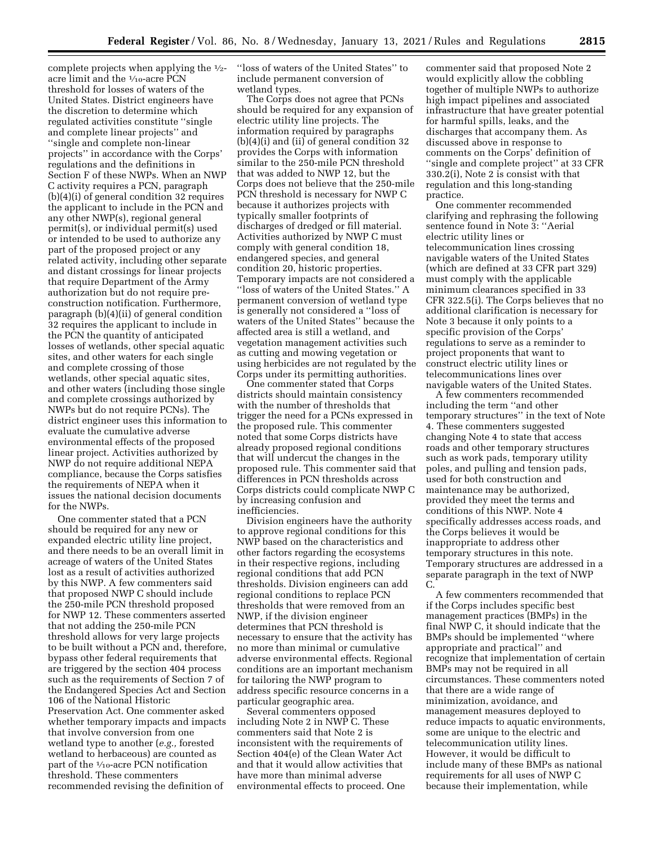complete projects when applying the 1⁄2 acre limit and the 1⁄10-acre PCN threshold for losses of waters of the United States. District engineers have the discretion to determine which regulated activities constitute ''single and complete linear projects'' and ''single and complete non-linear projects'' in accordance with the Corps' regulations and the definitions in Section F of these NWPs. When an NWP C activity requires a PCN, paragraph (b)(4)(i) of general condition 32 requires the applicant to include in the PCN and any other NWP(s), regional general permit(s), or individual permit(s) used or intended to be used to authorize any part of the proposed project or any related activity, including other separate and distant crossings for linear projects that require Department of the Army authorization but do not require preconstruction notification. Furthermore, paragraph (b)(4)(ii) of general condition 32 requires the applicant to include in the PCN the quantity of anticipated losses of wetlands, other special aquatic sites, and other waters for each single and complete crossing of those wetlands, other special aquatic sites, and other waters (including those single and complete crossings authorized by NWPs but do not require PCNs). The district engineer uses this information to evaluate the cumulative adverse environmental effects of the proposed linear project. Activities authorized by NWP do not require additional NEPA compliance, because the Corps satisfies the requirements of NEPA when it issues the national decision documents for the NWPs.

One commenter stated that a PCN should be required for any new or expanded electric utility line project, and there needs to be an overall limit in acreage of waters of the United States lost as a result of activities authorized by this NWP. A few commenters said that proposed NWP C should include the 250-mile PCN threshold proposed for NWP 12. These commenters asserted that not adding the 250-mile PCN threshold allows for very large projects to be built without a PCN and, therefore, bypass other federal requirements that are triggered by the section 404 process such as the requirements of Section 7 of the Endangered Species Act and Section 106 of the National Historic Preservation Act. One commenter asked whether temporary impacts and impacts that involve conversion from one wetland type to another (*e.g.,* forested wetland to herbaceous) are counted as part of the 1⁄10-acre PCN notification threshold. These commenters recommended revising the definition of

''loss of waters of the United States'' to include permanent conversion of wetland types.

The Corps does not agree that PCNs should be required for any expansion of electric utility line projects. The information required by paragraphs (b)(4)(i) and (ii) of general condition 32 provides the Corps with information similar to the 250-mile PCN threshold that was added to NWP 12, but the Corps does not believe that the 250-mile PCN threshold is necessary for NWP C because it authorizes projects with typically smaller footprints of discharges of dredged or fill material. Activities authorized by NWP C must comply with general condition 18, endangered species, and general condition 20, historic properties. Temporary impacts are not considered a ''loss of waters of the United States.'' A permanent conversion of wetland type is generally not considered a ''loss of waters of the United States'' because the affected area is still a wetland, and vegetation management activities such as cutting and mowing vegetation or using herbicides are not regulated by the Corps under its permitting authorities.

One commenter stated that Corps districts should maintain consistency with the number of thresholds that trigger the need for a PCNs expressed in the proposed rule. This commenter noted that some Corps districts have already proposed regional conditions that will undercut the changes in the proposed rule. This commenter said that differences in PCN thresholds across Corps districts could complicate NWP C by increasing confusion and inefficiencies.

Division engineers have the authority to approve regional conditions for this NWP based on the characteristics and other factors regarding the ecosystems in their respective regions, including regional conditions that add PCN thresholds. Division engineers can add regional conditions to replace PCN thresholds that were removed from an NWP, if the division engineer determines that PCN threshold is necessary to ensure that the activity has no more than minimal or cumulative adverse environmental effects. Regional conditions are an important mechanism for tailoring the NWP program to address specific resource concerns in a particular geographic area.

Several commenters opposed including Note 2 in NWP C. These commenters said that Note 2 is inconsistent with the requirements of Section 404(e) of the Clean Water Act and that it would allow activities that have more than minimal adverse environmental effects to proceed. One

commenter said that proposed Note 2 would explicitly allow the cobbling together of multiple NWPs to authorize high impact pipelines and associated infrastructure that have greater potential for harmful spills, leaks, and the discharges that accompany them. As discussed above in response to comments on the Corps' definition of ''single and complete project'' at 33 CFR 330.2(i), Note 2 is consist with that regulation and this long-standing practice.

One commenter recommended clarifying and rephrasing the following sentence found in Note 3: ''Aerial electric utility lines or telecommunication lines crossing navigable waters of the United States (which are defined at 33 CFR part 329) must comply with the applicable minimum clearances specified in 33 CFR 322.5(i). The Corps believes that no additional clarification is necessary for Note 3 because it only points to a specific provision of the Corps' regulations to serve as a reminder to project proponents that want to construct electric utility lines or telecommunications lines over navigable waters of the United States.

A few commenters recommended including the term ''and other temporary structures'' in the text of Note 4. These commenters suggested changing Note 4 to state that access roads and other temporary structures such as work pads, temporary utility poles, and pulling and tension pads, used for both construction and maintenance may be authorized, provided they meet the terms and conditions of this NWP. Note 4 specifically addresses access roads, and the Corps believes it would be inappropriate to address other temporary structures in this note. Temporary structures are addressed in a separate paragraph in the text of NWP C.

A few commenters recommended that if the Corps includes specific best management practices (BMPs) in the final NWP C, it should indicate that the BMPs should be implemented ''where appropriate and practical'' and recognize that implementation of certain BMPs may not be required in all circumstances. These commenters noted that there are a wide range of minimization, avoidance, and management measures deployed to reduce impacts to aquatic environments, some are unique to the electric and telecommunication utility lines. However, it would be difficult to include many of these BMPs as national requirements for all uses of NWP C because their implementation, while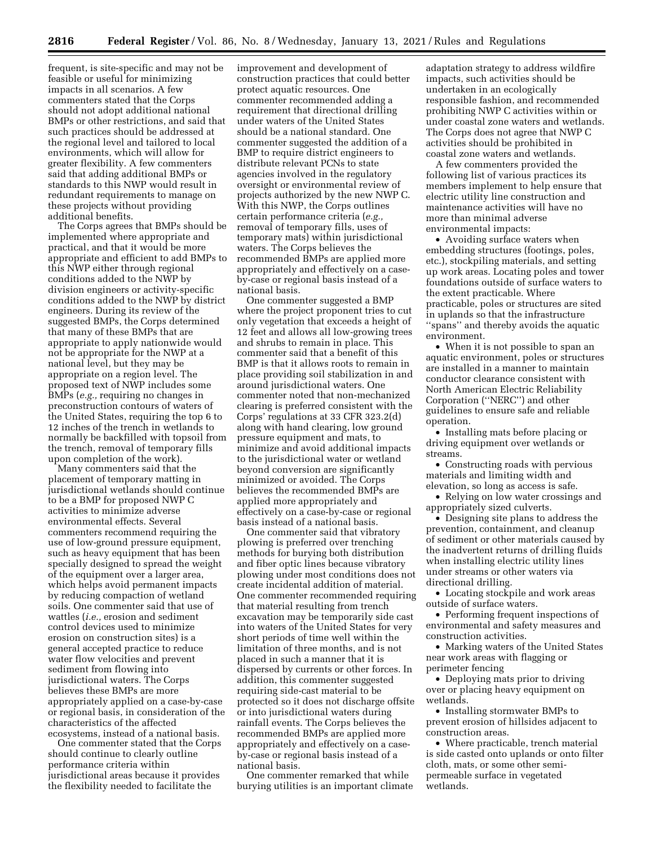frequent, is site-specific and may not be feasible or useful for minimizing impacts in all scenarios. A few commenters stated that the Corps should not adopt additional national BMPs or other restrictions, and said that such practices should be addressed at the regional level and tailored to local environments, which will allow for greater flexibility. A few commenters said that adding additional BMPs or standards to this NWP would result in redundant requirements to manage on these projects without providing additional benefits.

The Corps agrees that BMPs should be implemented where appropriate and practical, and that it would be more appropriate and efficient to add BMPs to this NWP either through regional conditions added to the NWP by division engineers or activity-specific conditions added to the NWP by district engineers. During its review of the suggested BMPs, the Corps determined that many of these BMPs that are appropriate to apply nationwide would not be appropriate for the NWP at a national level, but they may be appropriate on a region level. The proposed text of NWP includes some BMPs (*e.g.,* requiring no changes in preconstruction contours of waters of the United States, requiring the top 6 to 12 inches of the trench in wetlands to normally be backfilled with topsoil from the trench, removal of temporary fills upon completion of the work).

Many commenters said that the placement of temporary matting in jurisdictional wetlands should continue to be a BMP for proposed NWP C activities to minimize adverse environmental effects. Several commenters recommend requiring the use of low-ground pressure equipment, such as heavy equipment that has been specially designed to spread the weight of the equipment over a larger area, which helps avoid permanent impacts by reducing compaction of wetland soils. One commenter said that use of wattles (*i.e.,* erosion and sediment control devices used to minimize erosion on construction sites) is a general accepted practice to reduce water flow velocities and prevent sediment from flowing into jurisdictional waters. The Corps believes these BMPs are more appropriately applied on a case-by-case or regional basis, in consideration of the characteristics of the affected ecosystems, instead of a national basis.

One commenter stated that the Corps should continue to clearly outline performance criteria within jurisdictional areas because it provides the flexibility needed to facilitate the

improvement and development of construction practices that could better protect aquatic resources. One commenter recommended adding a requirement that directional drilling under waters of the United States should be a national standard. One commenter suggested the addition of a BMP to require district engineers to distribute relevant PCNs to state agencies involved in the regulatory oversight or environmental review of projects authorized by the new NWP C. With this NWP, the Corps outlines certain performance criteria (*e.g.,*  removal of temporary fills, uses of temporary mats) within jurisdictional waters. The Corps believes the recommended BMPs are applied more appropriately and effectively on a caseby-case or regional basis instead of a national basis.

One commenter suggested a BMP where the project proponent tries to cut only vegetation that exceeds a height of 12 feet and allows all low-growing trees and shrubs to remain in place. This commenter said that a benefit of this BMP is that it allows roots to remain in place providing soil stabilization in and around jurisdictional waters. One commenter noted that non-mechanized clearing is preferred consistent with the Corps' regulations at 33 CFR 323.2(d) along with hand clearing, low ground pressure equipment and mats, to minimize and avoid additional impacts to the jurisdictional water or wetland beyond conversion are significantly minimized or avoided. The Corps believes the recommended BMPs are applied more appropriately and effectively on a case-by-case or regional basis instead of a national basis.

One commenter said that vibratory plowing is preferred over trenching methods for burying both distribution and fiber optic lines because vibratory plowing under most conditions does not create incidental addition of material. One commenter recommended requiring that material resulting from trench excavation may be temporarily side cast into waters of the United States for very short periods of time well within the limitation of three months, and is not placed in such a manner that it is dispersed by currents or other forces. In addition, this commenter suggested requiring side-cast material to be protected so it does not discharge offsite or into jurisdictional waters during rainfall events. The Corps believes the recommended BMPs are applied more appropriately and effectively on a caseby-case or regional basis instead of a national basis.

One commenter remarked that while burying utilities is an important climate adaptation strategy to address wildfire impacts, such activities should be undertaken in an ecologically responsible fashion, and recommended prohibiting NWP C activities within or under coastal zone waters and wetlands. The Corps does not agree that NWP C activities should be prohibited in coastal zone waters and wetlands.

A few commenters provided the following list of various practices its members implement to help ensure that electric utility line construction and maintenance activities will have no more than minimal adverse environmental impacts:

• Avoiding surface waters when embedding structures (footings, poles, etc.), stockpiling materials, and setting up work areas. Locating poles and tower foundations outside of surface waters to the extent practicable. Where practicable, poles or structures are sited in uplands so that the infrastructure ''spans'' and thereby avoids the aquatic environment.

• When it is not possible to span an aquatic environment, poles or structures are installed in a manner to maintain conductor clearance consistent with North American Electric Reliability Corporation (''NERC'') and other guidelines to ensure safe and reliable operation.

• Installing mats before placing or driving equipment over wetlands or streams.

• Constructing roads with pervious materials and limiting width and elevation, so long as access is safe.

• Relying on low water crossings and appropriately sized culverts.

• Designing site plans to address the prevention, containment, and cleanup of sediment or other materials caused by the inadvertent returns of drilling fluids when installing electric utility lines under streams or other waters via directional drilling.

• Locating stockpile and work areas outside of surface waters.

• Performing frequent inspections of environmental and safety measures and construction activities.

• Marking waters of the United States near work areas with flagging or perimeter fencing

• Deploying mats prior to driving over or placing heavy equipment on wetlands.

• Installing stormwater BMPs to prevent erosion of hillsides adjacent to construction areas.

• Where practicable, trench material is side casted onto uplands or onto filter cloth, mats, or some other semipermeable surface in vegetated wetlands.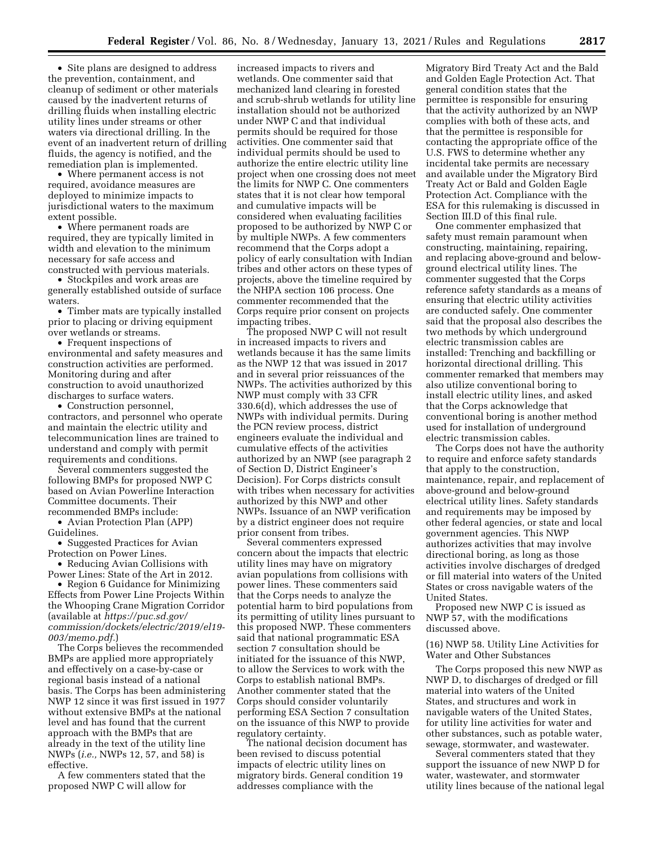• Site plans are designed to address the prevention, containment, and cleanup of sediment or other materials caused by the inadvertent returns of drilling fluids when installing electric utility lines under streams or other waters via directional drilling. In the event of an inadvertent return of drilling fluids, the agency is notified, and the remediation plan is implemented.

• Where permanent access is not required, avoidance measures are deployed to minimize impacts to jurisdictional waters to the maximum extent possible.

• Where permanent roads are required, they are typically limited in width and elevation to the minimum necessary for safe access and constructed with pervious materials.

• Stockpiles and work areas are generally established outside of surface waters.

• Timber mats are typically installed prior to placing or driving equipment over wetlands or streams.

• Frequent inspections of environmental and safety measures and construction activities are performed. Monitoring during and after construction to avoid unauthorized discharges to surface waters.

• Construction personnel, contractors, and personnel who operate and maintain the electric utility and telecommunication lines are trained to understand and comply with permit requirements and conditions.

Several commenters suggested the following BMPs for proposed NWP C based on Avian Powerline Interaction Committee documents. Their recommended BMPs include:

• Avian Protection Plan (APP) Guidelines.

• Suggested Practices for Avian Protection on Power Lines.

• Reducing Avian Collisions with Power Lines: State of the Art in 2012.

• Region 6 Guidance for Minimizing Effects from Power Line Projects Within the Whooping Crane Migration Corridor (available at *[https://puc.sd.gov/](https://puc.sd.gov/commission/dockets/electric/2019/el19-003/memo.pdf)  [commission/dockets/electric/2019/el19-](https://puc.sd.gov/commission/dockets/electric/2019/el19-003/memo.pdf)  [003/memo.pdf.](https://puc.sd.gov/commission/dockets/electric/2019/el19-003/memo.pdf)*)

The Corps believes the recommended BMPs are applied more appropriately and effectively on a case-by-case or regional basis instead of a national basis. The Corps has been administering NWP 12 since it was first issued in 1977 without extensive BMPs at the national level and has found that the current approach with the BMPs that are already in the text of the utility line NWPs (*i.e.,* NWPs 12, 57, and 58) is effective.

A few commenters stated that the proposed NWP C will allow for

increased impacts to rivers and wetlands. One commenter said that mechanized land clearing in forested and scrub-shrub wetlands for utility line installation should not be authorized under NWP C and that individual permits should be required for those activities. One commenter said that individual permits should be used to authorize the entire electric utility line project when one crossing does not meet the limits for NWP C. One commenters states that it is not clear how temporal and cumulative impacts will be considered when evaluating facilities proposed to be authorized by NWP C or by multiple NWPs. A few commenters recommend that the Corps adopt a policy of early consultation with Indian tribes and other actors on these types of projects, above the timeline required by the NHPA section 106 process. One commenter recommended that the Corps require prior consent on projects impacting tribes.

The proposed NWP C will not result in increased impacts to rivers and wetlands because it has the same limits as the NWP 12 that was issued in 2017 and in several prior reissuances of the NWPs. The activities authorized by this NWP must comply with 33 CFR 330.6(d), which addresses the use of NWPs with individual permits. During the PCN review process, district engineers evaluate the individual and cumulative effects of the activities authorized by an NWP (see paragraph 2 of Section D, District Engineer's Decision). For Corps districts consult with tribes when necessary for activities authorized by this NWP and other NWPs. Issuance of an NWP verification by a district engineer does not require prior consent from tribes.

Several commenters expressed concern about the impacts that electric utility lines may have on migratory avian populations from collisions with power lines. These commenters said that the Corps needs to analyze the potential harm to bird populations from its permitting of utility lines pursuant to this proposed NWP. These commenters said that national programmatic ESA section 7 consultation should be initiated for the issuance of this NWP, to allow the Services to work with the Corps to establish national BMPs. Another commenter stated that the Corps should consider voluntarily performing ESA Section 7 consultation on the issuance of this NWP to provide regulatory certainty.

The national decision document has been revised to discuss potential impacts of electric utility lines on migratory birds. General condition 19 addresses compliance with the

Migratory Bird Treaty Act and the Bald and Golden Eagle Protection Act. That general condition states that the permittee is responsible for ensuring that the activity authorized by an NWP complies with both of these acts, and that the permittee is responsible for contacting the appropriate office of the U.S. FWS to determine whether any incidental take permits are necessary and available under the Migratory Bird Treaty Act or Bald and Golden Eagle Protection Act. Compliance with the ESA for this rulemaking is discussed in Section III.D of this final rule.

One commenter emphasized that safety must remain paramount when constructing, maintaining, repairing, and replacing above-ground and belowground electrical utility lines. The commenter suggested that the Corps reference safety standards as a means of ensuring that electric utility activities are conducted safely. One commenter said that the proposal also describes the two methods by which underground electric transmission cables are installed: Trenching and backfilling or horizontal directional drilling. This commenter remarked that members may also utilize conventional boring to install electric utility lines, and asked that the Corps acknowledge that conventional boring is another method used for installation of underground electric transmission cables.

The Corps does not have the authority to require and enforce safety standards that apply to the construction, maintenance, repair, and replacement of above-ground and below-ground electrical utility lines. Safety standards and requirements may be imposed by other federal agencies, or state and local government agencies. This NWP authorizes activities that may involve directional boring, as long as those activities involve discharges of dredged or fill material into waters of the United States or cross navigable waters of the United States.

Proposed new NWP C is issued as NWP 57, with the modifications discussed above.

(16) NWP 58. Utility Line Activities for Water and Other Substances

The Corps proposed this new NWP as NWP D, to discharges of dredged or fill material into waters of the United States, and structures and work in navigable waters of the United States, for utility line activities for water and other substances, such as potable water, sewage, stormwater, and wastewater.

Several commenters stated that they support the issuance of new NWP D for water, wastewater, and stormwater utility lines because of the national legal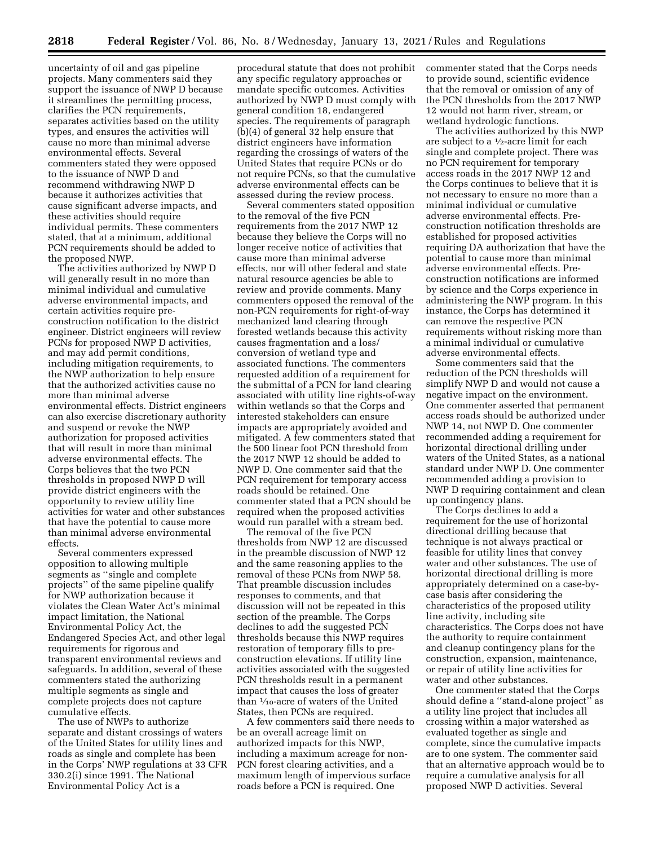uncertainty of oil and gas pipeline projects. Many commenters said they support the issuance of NWP D because it streamlines the permitting process, clarifies the PCN requirements, separates activities based on the utility types, and ensures the activities will cause no more than minimal adverse environmental effects. Several commenters stated they were opposed to the issuance of NWP D and recommend withdrawing NWP D because it authorizes activities that cause significant adverse impacts, and these activities should require individual permits. These commenters stated, that at a minimum, additional PCN requirements should be added to the proposed NWP.

The activities authorized by NWP D will generally result in no more than minimal individual and cumulative adverse environmental impacts, and certain activities require preconstruction notification to the district engineer. District engineers will review PCNs for proposed NWP D activities, and may add permit conditions, including mitigation requirements, to the NWP authorization to help ensure that the authorized activities cause no more than minimal adverse environmental effects. District engineers can also exercise discretionary authority and suspend or revoke the NWP authorization for proposed activities that will result in more than minimal adverse environmental effects. The Corps believes that the two PCN thresholds in proposed NWP D will provide district engineers with the opportunity to review utility line activities for water and other substances that have the potential to cause more than minimal adverse environmental effects.

Several commenters expressed opposition to allowing multiple segments as ''single and complete projects'' of the same pipeline qualify for NWP authorization because it violates the Clean Water Act's minimal impact limitation, the National Environmental Policy Act, the Endangered Species Act, and other legal requirements for rigorous and transparent environmental reviews and safeguards. In addition, several of these commenters stated the authorizing multiple segments as single and complete projects does not capture cumulative effects.

The use of NWPs to authorize separate and distant crossings of waters of the United States for utility lines and roads as single and complete has been in the Corps' NWP regulations at 33 CFR 330.2(i) since 1991. The National Environmental Policy Act is a

procedural statute that does not prohibit any specific regulatory approaches or mandate specific outcomes. Activities authorized by NWP D must comply with general condition 18, endangered species. The requirements of paragraph (b)(4) of general 32 help ensure that district engineers have information regarding the crossings of waters of the United States that require PCNs or do not require PCNs, so that the cumulative adverse environmental effects can be assessed during the review process.

Several commenters stated opposition to the removal of the five PCN requirements from the 2017 NWP 12 because they believe the Corps will no longer receive notice of activities that cause more than minimal adverse effects, nor will other federal and state natural resource agencies be able to review and provide comments. Many commenters opposed the removal of the non-PCN requirements for right-of-way mechanized land clearing through forested wetlands because this activity causes fragmentation and a loss/ conversion of wetland type and associated functions. The commenters requested addition of a requirement for the submittal of a PCN for land clearing associated with utility line rights-of-way within wetlands so that the Corps and interested stakeholders can ensure impacts are appropriately avoided and mitigated. A few commenters stated that the 500 linear foot PCN threshold from the 2017 NWP 12 should be added to NWP D. One commenter said that the PCN requirement for temporary access roads should be retained. One commenter stated that a PCN should be required when the proposed activities would run parallel with a stream bed.

The removal of the five PCN thresholds from NWP 12 are discussed in the preamble discussion of NWP 12 and the same reasoning applies to the removal of these PCNs from NWP 58. That preamble discussion includes responses to comments, and that discussion will not be repeated in this section of the preamble. The Corps declines to add the suggested PCN thresholds because this NWP requires restoration of temporary fills to preconstruction elevations. If utility line activities associated with the suggested PCN thresholds result in a permanent impact that causes the loss of greater than 1⁄10-acre of waters of the United States, then PCNs are required.

A few commenters said there needs to be an overall acreage limit on authorized impacts for this NWP, including a maximum acreage for non-PCN forest clearing activities, and a maximum length of impervious surface roads before a PCN is required. One

commenter stated that the Corps needs to provide sound, scientific evidence that the removal or omission of any of the PCN thresholds from the 2017 NWP 12 would not harm river, stream, or wetland hydrologic functions.

The activities authorized by this NWP are subject to a 1⁄2-acre limit for each single and complete project. There was no PCN requirement for temporary access roads in the 2017 NWP 12 and the Corps continues to believe that it is not necessary to ensure no more than a minimal individual or cumulative adverse environmental effects. Preconstruction notification thresholds are established for proposed activities requiring DA authorization that have the potential to cause more than minimal adverse environmental effects. Preconstruction notifications are informed by science and the Corps experience in administering the NWP program. In this instance, the Corps has determined it can remove the respective PCN requirements without risking more than a minimal individual or cumulative adverse environmental effects.

Some commenters said that the reduction of the PCN thresholds will simplify NWP D and would not cause a negative impact on the environment. One commenter asserted that permanent access roads should be authorized under NWP 14, not NWP D. One commenter recommended adding a requirement for horizontal directional drilling under waters of the United States, as a national standard under NWP D. One commenter recommended adding a provision to NWP D requiring containment and clean up contingency plans.

The Corps declines to add a requirement for the use of horizontal directional drilling because that technique is not always practical or feasible for utility lines that convey water and other substances. The use of horizontal directional drilling is more appropriately determined on a case-bycase basis after considering the characteristics of the proposed utility line activity, including site characteristics. The Corps does not have the authority to require containment and cleanup contingency plans for the construction, expansion, maintenance, or repair of utility line activities for water and other substances.

One commenter stated that the Corps should define a ''stand-alone project'' as a utility line project that includes all crossing within a major watershed as evaluated together as single and complete, since the cumulative impacts are to one system. The commenter said that an alternative approach would be to require a cumulative analysis for all proposed NWP D activities. Several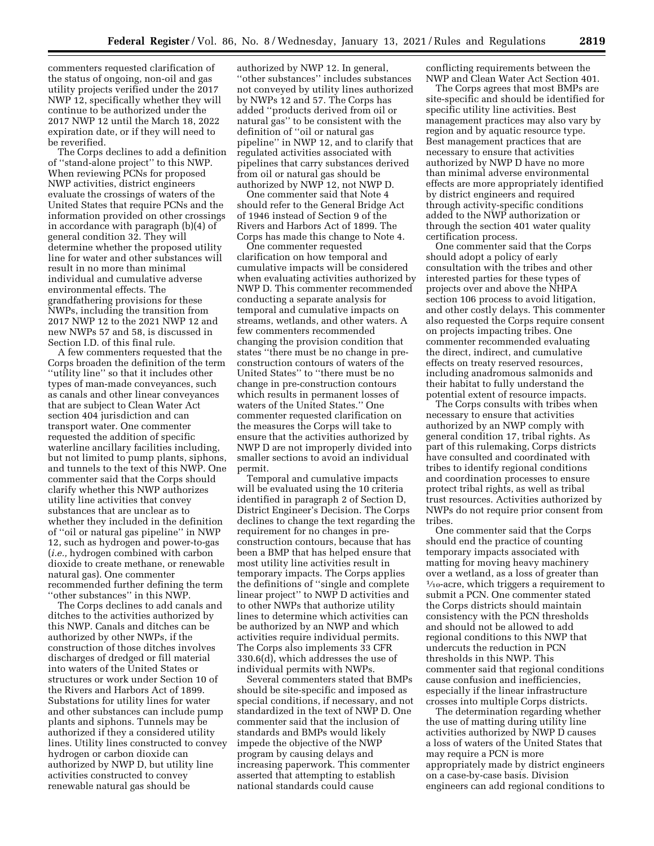commenters requested clarification of the status of ongoing, non-oil and gas utility projects verified under the 2017 NWP 12, specifically whether they will continue to be authorized under the 2017 NWP 12 until the March 18, 2022 expiration date, or if they will need to be reverified.

The Corps declines to add a definition of ''stand-alone project'' to this NWP. When reviewing PCNs for proposed NWP activities, district engineers evaluate the crossings of waters of the United States that require PCNs and the information provided on other crossings in accordance with paragraph (b)(4) of general condition 32. They will determine whether the proposed utility line for water and other substances will result in no more than minimal individual and cumulative adverse environmental effects. The grandfathering provisions for these NWPs, including the transition from 2017 NWP 12 to the 2021 NWP 12 and new NWPs 57 and 58, is discussed in Section I.D. of this final rule.

A few commenters requested that the Corps broaden the definition of the term ''utility line'' so that it includes other types of man-made conveyances, such as canals and other linear conveyances that are subject to Clean Water Act section 404 jurisdiction and can transport water. One commenter requested the addition of specific waterline ancillary facilities including, but not limited to pump plants, siphons, and tunnels to the text of this NWP. One commenter said that the Corps should clarify whether this NWP authorizes utility line activities that convey substances that are unclear as to whether they included in the definition of ''oil or natural gas pipeline'' in NWP 12, such as hydrogen and power-to-gas (*i.e.,* hydrogen combined with carbon dioxide to create methane, or renewable natural gas). One commenter recommended further defining the term ''other substances'' in this NWP.

The Corps declines to add canals and ditches to the activities authorized by this NWP. Canals and ditches can be authorized by other NWPs, if the construction of those ditches involves discharges of dredged or fill material into waters of the United States or structures or work under Section 10 of the Rivers and Harbors Act of 1899. Substations for utility lines for water and other substances can include pump plants and siphons. Tunnels may be authorized if they a considered utility lines. Utility lines constructed to convey hydrogen or carbon dioxide can authorized by NWP D, but utility line activities constructed to convey renewable natural gas should be

authorized by NWP 12. In general, ''other substances'' includes substances not conveyed by utility lines authorized by NWPs 12 and 57. The Corps has added ''products derived from oil or natural gas'' to be consistent with the definition of ''oil or natural gas pipeline'' in NWP 12, and to clarify that regulated activities associated with pipelines that carry substances derived from oil or natural gas should be authorized by NWP 12, not NWP D.

One commenter said that Note 4 should refer to the General Bridge Act of 1946 instead of Section 9 of the Rivers and Harbors Act of 1899. The Corps has made this change to Note 4.

One commenter requested clarification on how temporal and cumulative impacts will be considered when evaluating activities authorized by NWP D. This commenter recommended conducting a separate analysis for temporal and cumulative impacts on streams, wetlands, and other waters. A few commenters recommended changing the provision condition that states ''there must be no change in preconstruction contours of waters of the United States'' to ''there must be no change in pre-construction contours which results in permanent losses of waters of the United States.'' One commenter requested clarification on the measures the Corps will take to ensure that the activities authorized by NWP D are not improperly divided into smaller sections to avoid an individual permit.

Temporal and cumulative impacts will be evaluated using the 10 criteria identified in paragraph 2 of Section D, District Engineer's Decision. The Corps declines to change the text regarding the requirement for no changes in preconstruction contours, because that has been a BMP that has helped ensure that most utility line activities result in temporary impacts. The Corps applies the definitions of ''single and complete linear project'' to NWP D activities and to other NWPs that authorize utility lines to determine which activities can be authorized by an NWP and which activities require individual permits. The Corps also implements 33 CFR 330.6(d), which addresses the use of individual permits with NWPs.

Several commenters stated that BMPs should be site-specific and imposed as special conditions, if necessary, and not standardized in the text of NWP D. One commenter said that the inclusion of standards and BMPs would likely impede the objective of the NWP program by causing delays and increasing paperwork. This commenter asserted that attempting to establish national standards could cause

conflicting requirements between the NWP and Clean Water Act Section 401.

The Corps agrees that most BMPs are site-specific and should be identified for specific utility line activities. Best management practices may also vary by region and by aquatic resource type. Best management practices that are necessary to ensure that activities authorized by NWP D have no more than minimal adverse environmental effects are more appropriately identified by district engineers and required through activity-specific conditions added to the NWP authorization or through the section 401 water quality certification process.

One commenter said that the Corps should adopt a policy of early consultation with the tribes and other interested parties for these types of projects over and above the NHPA section 106 process to avoid litigation, and other costly delays. This commenter also requested the Corps require consent on projects impacting tribes. One commenter recommended evaluating the direct, indirect, and cumulative effects on treaty reserved resources, including anadromous salmonids and their habitat to fully understand the potential extent of resource impacts.

The Corps consults with tribes when necessary to ensure that activities authorized by an NWP comply with general condition 17, tribal rights. As part of this rulemaking, Corps districts have consulted and coordinated with tribes to identify regional conditions and coordination processes to ensure protect tribal rights, as well as tribal trust resources. Activities authorized by NWPs do not require prior consent from tribes.

One commenter said that the Corps should end the practice of counting temporary impacts associated with matting for moving heavy machinery over a wetland, as a loss of greater than  $\frac{1}{10}$ -acre, which triggers a requirement to submit a PCN. One commenter stated the Corps districts should maintain consistency with the PCN thresholds and should not be allowed to add regional conditions to this NWP that undercuts the reduction in PCN thresholds in this NWP. This commenter said that regional conditions cause confusion and inefficiencies, especially if the linear infrastructure crosses into multiple Corps districts.

The determination regarding whether the use of matting during utility line activities authorized by NWP D causes a loss of waters of the United States that may require a PCN is more appropriately made by district engineers on a case-by-case basis. Division engineers can add regional conditions to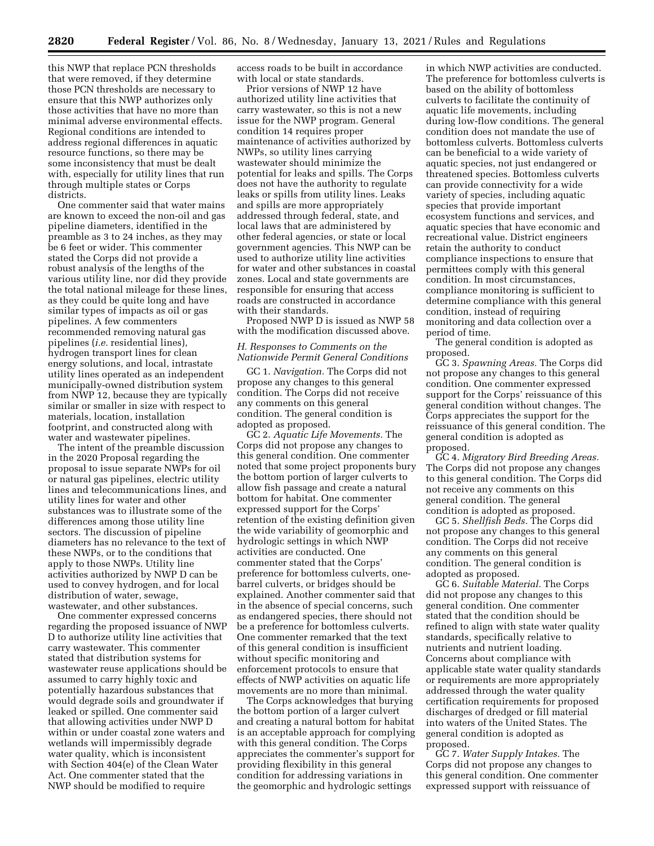this NWP that replace PCN thresholds that were removed, if they determine those PCN thresholds are necessary to ensure that this NWP authorizes only those activities that have no more than minimal adverse environmental effects. Regional conditions are intended to address regional differences in aquatic resource functions, so there may be some inconsistency that must be dealt with, especially for utility lines that run through multiple states or Corps districts.

One commenter said that water mains are known to exceed the non-oil and gas pipeline diameters, identified in the preamble as 3 to 24 inches, as they may be 6 feet or wider. This commenter stated the Corps did not provide a robust analysis of the lengths of the various utility line, nor did they provide the total national mileage for these lines, as they could be quite long and have similar types of impacts as oil or gas pipelines. A few commenters recommended removing natural gas pipelines (*i.e.* residential lines), hydrogen transport lines for clean energy solutions, and local, intrastate utility lines operated as an independent municipally-owned distribution system from NWP 12, because they are typically similar or smaller in size with respect to materials, location, installation footprint, and constructed along with water and wastewater pipelines.

The intent of the preamble discussion in the 2020 Proposal regarding the proposal to issue separate NWPs for oil or natural gas pipelines, electric utility lines and telecommunications lines, and utility lines for water and other substances was to illustrate some of the differences among those utility line sectors. The discussion of pipeline diameters has no relevance to the text of these NWPs, or to the conditions that apply to those NWPs. Utility line activities authorized by NWP D can be used to convey hydrogen, and for local distribution of water, sewage, wastewater, and other substances.

One commenter expressed concerns regarding the proposed issuance of NWP D to authorize utility line activities that carry wastewater. This commenter stated that distribution systems for wastewater reuse applications should be assumed to carry highly toxic and potentially hazardous substances that would degrade soils and groundwater if leaked or spilled. One commenter said that allowing activities under NWP D within or under coastal zone waters and wetlands will impermissibly degrade water quality, which is inconsistent with Section 404(e) of the Clean Water Act. One commenter stated that the NWP should be modified to require

access roads to be built in accordance with local or state standards.

Prior versions of NWP 12 have authorized utility line activities that carry wastewater, so this is not a new issue for the NWP program. General condition 14 requires proper maintenance of activities authorized by NWPs, so utility lines carrying wastewater should minimize the potential for leaks and spills. The Corps does not have the authority to regulate leaks or spills from utility lines. Leaks and spills are more appropriately addressed through federal, state, and local laws that are administered by other federal agencies, or state or local government agencies. This NWP can be used to authorize utility line activities for water and other substances in coastal zones. Local and state governments are responsible for ensuring that access roads are constructed in accordance with their standards.

Proposed NWP D is issued as NWP 58 with the modification discussed above.

# *H. Responses to Comments on the Nationwide Permit General Conditions*

GC 1. *Navigation.* The Corps did not propose any changes to this general condition. The Corps did not receive any comments on this general condition. The general condition is adopted as proposed.

GC 2. *Aquatic Life Movements.* The Corps did not propose any changes to this general condition. One commenter noted that some project proponents bury the bottom portion of larger culverts to allow fish passage and create a natural bottom for habitat. One commenter expressed support for the Corps' retention of the existing definition given the wide variability of geomorphic and hydrologic settings in which NWP activities are conducted. One commenter stated that the Corps' preference for bottomless culverts, onebarrel culverts, or bridges should be explained. Another commenter said that in the absence of special concerns, such as endangered species, there should not be a preference for bottomless culverts. One commenter remarked that the text of this general condition is insufficient without specific monitoring and enforcement protocols to ensure that effects of NWP activities on aquatic life movements are no more than minimal.

The Corps acknowledges that burying the bottom portion of a larger culvert and creating a natural bottom for habitat is an acceptable approach for complying with this general condition. The Corps appreciates the commenter's support for providing flexibility in this general condition for addressing variations in the geomorphic and hydrologic settings

in which NWP activities are conducted. The preference for bottomless culverts is based on the ability of bottomless culverts to facilitate the continuity of aquatic life movements, including during low-flow conditions. The general condition does not mandate the use of bottomless culverts. Bottomless culverts can be beneficial to a wide variety of aquatic species, not just endangered or threatened species. Bottomless culverts can provide connectivity for a wide variety of species, including aquatic species that provide important ecosystem functions and services, and aquatic species that have economic and recreational value. District engineers retain the authority to conduct compliance inspections to ensure that permittees comply with this general condition. In most circumstances, compliance monitoring is sufficient to determine compliance with this general condition, instead of requiring monitoring and data collection over a period of time.

The general condition is adopted as proposed.

GC 3. *Spawning Areas.* The Corps did not propose any changes to this general condition. One commenter expressed support for the Corps' reissuance of this general condition without changes. The Corps appreciates the support for the reissuance of this general condition. The general condition is adopted as proposed.

GC 4. *Migratory Bird Breeding Areas.*  The Corps did not propose any changes to this general condition. The Corps did not receive any comments on this general condition. The general condition is adopted as proposed.

GC 5. *Shellfish Beds.* The Corps did not propose any changes to this general condition. The Corps did not receive any comments on this general condition. The general condition is adopted as proposed.

GC 6. *Suitable Material.* The Corps did not propose any changes to this general condition. One commenter stated that the condition should be refined to align with state water quality standards, specifically relative to nutrients and nutrient loading. Concerns about compliance with applicable state water quality standards or requirements are more appropriately addressed through the water quality certification requirements for proposed discharges of dredged or fill material into waters of the United States. The general condition is adopted as proposed.

GC 7. *Water Supply Intakes.* The Corps did not propose any changes to this general condition. One commenter expressed support with reissuance of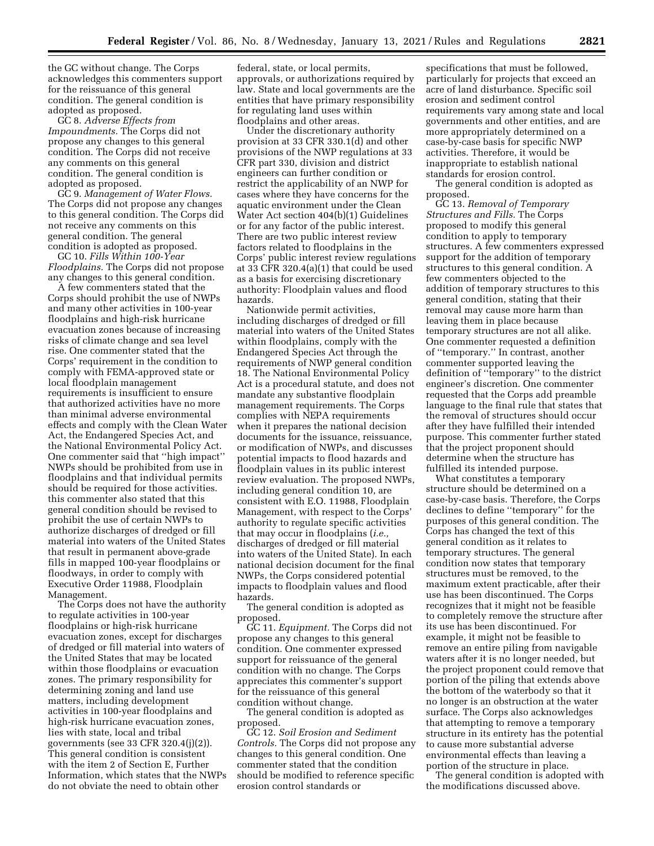the GC without change. The Corps acknowledges this commenters support for the reissuance of this general condition. The general condition is adopted as proposed.

GC 8. *Adverse Effects from Impoundments.* The Corps did not propose any changes to this general condition. The Corps did not receive any comments on this general condition. The general condition is adopted as proposed.

GC 9. *Management of Water Flows.*  The Corps did not propose any changes to this general condition. The Corps did not receive any comments on this general condition. The general condition is adopted as proposed.

GC 10. *Fills Within 100-Year Floodplains.* The Corps did not propose any changes to this general condition.

A few commenters stated that the Corps should prohibit the use of NWPs and many other activities in 100-year floodplains and high-risk hurricane evacuation zones because of increasing risks of climate change and sea level rise. One commenter stated that the Corps' requirement in the condition to comply with FEMA-approved state or local floodplain management requirements is insufficient to ensure that authorized activities have no more than minimal adverse environmental effects and comply with the Clean Water Act, the Endangered Species Act, and the National Environmental Policy Act. One commenter said that ''high impact'' NWPs should be prohibited from use in floodplains and that individual permits should be required for those activities. this commenter also stated that this general condition should be revised to prohibit the use of certain NWPs to authorize discharges of dredged or fill material into waters of the United States that result in permanent above-grade fills in mapped 100-year floodplains or floodways, in order to comply with Executive Order 11988, Floodplain Management.

The Corps does not have the authority to regulate activities in 100-year floodplains or high-risk hurricane evacuation zones, except for discharges of dredged or fill material into waters of the United States that may be located within those floodplains or evacuation zones. The primary responsibility for determining zoning and land use matters, including development activities in 100-year floodplains and high-risk hurricane evacuation zones, lies with state, local and tribal governments (see 33 CFR 320.4(j)(2)). This general condition is consistent with the item 2 of Section E, Further Information, which states that the NWPs do not obviate the need to obtain other

federal, state, or local permits, approvals, or authorizations required by law. State and local governments are the entities that have primary responsibility for regulating land uses within floodplains and other areas.

Under the discretionary authority provision at 33 CFR 330.1(d) and other provisions of the NWP regulations at 33 CFR part 330, division and district engineers can further condition or restrict the applicability of an NWP for cases where they have concerns for the aquatic environment under the Clean Water Act section 404(b)(1) Guidelines or for any factor of the public interest. There are two public interest review factors related to floodplains in the Corps' public interest review regulations at  $33 \overline{CFR} 320.4(a)(1)$  that could be used as a basis for exercising discretionary authority: Floodplain values and flood hazards.

Nationwide permit activities, including discharges of dredged or fill material into waters of the United States within floodplains, comply with the Endangered Species Act through the requirements of NWP general condition 18. The National Environmental Policy Act is a procedural statute, and does not mandate any substantive floodplain management requirements. The Corps complies with NEPA requirements when it prepares the national decision documents for the issuance, reissuance, or modification of NWPs, and discusses potential impacts to flood hazards and floodplain values in its public interest review evaluation. The proposed NWPs, including general condition 10, are consistent with E.O. 11988, Floodplain Management, with respect to the Corps' authority to regulate specific activities that may occur in floodplains (*i.e.,*  discharges of dredged or fill material into waters of the United State). In each national decision document for the final NWPs, the Corps considered potential impacts to floodplain values and flood hazards.

The general condition is adopted as proposed.

GC 11. *Equipment.* The Corps did not propose any changes to this general condition. One commenter expressed support for reissuance of the general condition with no change. The Corps appreciates this commenter's support for the reissuance of this general condition without change.

The general condition is adopted as proposed.

GC 12. *Soil Erosion and Sediment Controls.* The Corps did not propose any changes to this general condition. One commenter stated that the condition should be modified to reference specific erosion control standards or

specifications that must be followed, particularly for projects that exceed an acre of land disturbance. Specific soil erosion and sediment control requirements vary among state and local governments and other entities, and are more appropriately determined on a case-by-case basis for specific NWP activities. Therefore, it would be inappropriate to establish national standards for erosion control.

The general condition is adopted as proposed.

GC 13. *Removal of Temporary Structures and Fills.* The Corps proposed to modify this general condition to apply to temporary structures. A few commenters expressed support for the addition of temporary structures to this general condition. A few commenters objected to the addition of temporary structures to this general condition, stating that their removal may cause more harm than leaving them in place because temporary structures are not all alike. One commenter requested a definition of ''temporary.'' In contrast, another commenter supported leaving the definition of ''temporary'' to the district engineer's discretion. One commenter requested that the Corps add preamble language to the final rule that states that the removal of structures should occur after they have fulfilled their intended purpose. This commenter further stated that the project proponent should determine when the structure has fulfilled its intended purpose.

What constitutes a temporary structure should be determined on a case-by-case basis. Therefore, the Corps declines to define ''temporary'' for the purposes of this general condition. The Corps has changed the text of this general condition as it relates to temporary structures. The general condition now states that temporary structures must be removed, to the maximum extent practicable, after their use has been discontinued. The Corps recognizes that it might not be feasible to completely remove the structure after its use has been discontinued. For example, it might not be feasible to remove an entire piling from navigable waters after it is no longer needed, but the project proponent could remove that portion of the piling that extends above the bottom of the waterbody so that it no longer is an obstruction at the water surface. The Corps also acknowledges that attempting to remove a temporary structure in its entirety has the potential to cause more substantial adverse environmental effects than leaving a portion of the structure in place.

The general condition is adopted with the modifications discussed above.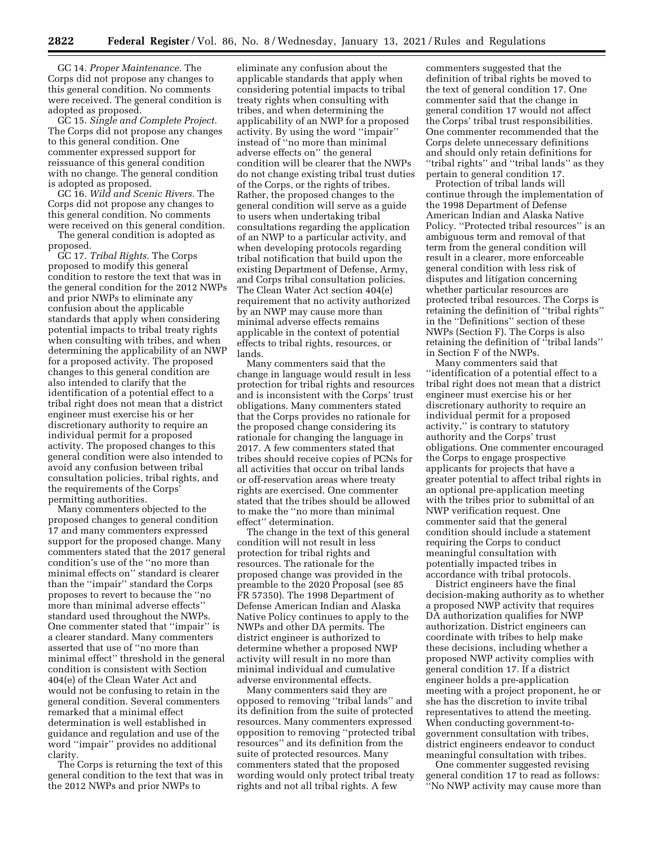GC 14. *Proper Maintenance.* The Corps did not propose any changes to this general condition. No comments were received. The general condition is adopted as proposed.

GC 15. *Single and Complete Project.*  The Corps did not propose any changes to this general condition. One commenter expressed support for reissuance of this general condition with no change. The general condition is adopted as proposed.

GC 16. *Wild and Scenic Rivers.* The Corps did not propose any changes to this general condition. No comments were received on this general condition.

The general condition is adopted as proposed.

GC 17. *Tribal Rights.* The Corps proposed to modify this general condition to restore the text that was in the general condition for the 2012 NWPs and prior NWPs to eliminate any confusion about the applicable standards that apply when considering potential impacts to tribal treaty rights when consulting with tribes, and when determining the applicability of an NWP for a proposed activity. The proposed changes to this general condition are also intended to clarify that the identification of a potential effect to a tribal right does not mean that a district engineer must exercise his or her discretionary authority to require an individual permit for a proposed activity. The proposed changes to this general condition were also intended to avoid any confusion between tribal consultation policies, tribal rights, and the requirements of the Corps' permitting authorities.

Many commenters objected to the proposed changes to general condition 17 and many commenters expressed support for the proposed change. Many commenters stated that the 2017 general condition's use of the ''no more than minimal effects on'' standard is clearer than the ''impair'' standard the Corps proposes to revert to because the ''no more than minimal adverse effects'' standard used throughout the NWPs. One commenter stated that ''impair'' is a clearer standard. Many commenters asserted that use of ''no more than minimal effect'' threshold in the general condition is consistent with Section 404(e) of the Clean Water Act and would not be confusing to retain in the general condition. Several commenters remarked that a minimal effect determination is well established in guidance and regulation and use of the word ''impair'' provides no additional clarity.

The Corps is returning the text of this general condition to the text that was in the 2012 NWPs and prior NWPs to

eliminate any confusion about the applicable standards that apply when considering potential impacts to tribal treaty rights when consulting with tribes, and when determining the applicability of an NWP for a proposed activity. By using the word ''impair'' instead of ''no more than minimal adverse effects on'' the general condition will be clearer that the NWPs do not change existing tribal trust duties of the Corps, or the rights of tribes. Rather, the proposed changes to the general condition will serve as a guide to users when undertaking tribal consultations regarding the application of an NWP to a particular activity, and when developing protocols regarding tribal notification that build upon the existing Department of Defense, Army, and Corps tribal consultation policies. The Clean Water Act section 404(e) requirement that no activity authorized by an NWP may cause more than minimal adverse effects remains applicable in the context of potential effects to tribal rights, resources, or lands.

Many commenters said that the change in language would result in less protection for tribal rights and resources and is inconsistent with the Corps' trust obligations. Many commenters stated that the Corps provides no rationale for the proposed change considering its rationale for changing the language in 2017. A few commenters stated that tribes should receive copies of PCNs for all activities that occur on tribal lands or off-reservation areas where treaty rights are exercised. One commenter stated that the tribes should be allowed to make the ''no more than minimal effect'' determination.

The change in the text of this general condition will not result in less protection for tribal rights and resources. The rationale for the proposed change was provided in the preamble to the 2020 Proposal (see 85 FR 57350). The 1998 Department of Defense American Indian and Alaska Native Policy continues to apply to the NWPs and other DA permits. The district engineer is authorized to determine whether a proposed NWP activity will result in no more than minimal individual and cumulative adverse environmental effects.

Many commenters said they are opposed to removing ''tribal lands'' and its definition from the suite of protected resources. Many commenters expressed opposition to removing ''protected tribal resources'' and its definition from the suite of protected resources. Many commenters stated that the proposed wording would only protect tribal treaty rights and not all tribal rights. A few

commenters suggested that the definition of tribal rights be moved to the text of general condition 17. One commenter said that the change in general condition 17 would not affect the Corps' tribal trust responsibilities. One commenter recommended that the Corps delete unnecessary definitions and should only retain definitions for ''tribal rights'' and ''tribal lands'' as they pertain to general condition 17.

Protection of tribal lands will continue through the implementation of the 1998 Department of Defense American Indian and Alaska Native Policy. ''Protected tribal resources'' is an ambiguous term and removal of that term from the general condition will result in a clearer, more enforceable general condition with less risk of disputes and litigation concerning whether particular resources are protected tribal resources. The Corps is retaining the definition of ''tribal rights'' in the ''Definitions'' section of these NWPs (Section F). The Corps is also retaining the definition of ''tribal lands'' in Section F of the NWPs.

Many commenters said that ''identification of a potential effect to a tribal right does not mean that a district engineer must exercise his or her discretionary authority to require an individual permit for a proposed activity,'' is contrary to statutory authority and the Corps' trust obligations. One commenter encouraged the Corps to engage prospective applicants for projects that have a greater potential to affect tribal rights in an optional pre-application meeting with the tribes prior to submittal of an NWP verification request. One commenter said that the general condition should include a statement requiring the Corps to conduct meaningful consultation with potentially impacted tribes in accordance with tribal protocols.

District engineers have the final decision-making authority as to whether a proposed NWP activity that requires DA authorization qualifies for NWP authorization. District engineers can coordinate with tribes to help make these decisions, including whether a proposed NWP activity complies with general condition 17. If a district engineer holds a pre-application meeting with a project proponent, he or she has the discretion to invite tribal representatives to attend the meeting. When conducting government-togovernment consultation with tribes, district engineers endeavor to conduct meaningful consultation with tribes.

One commenter suggested revising general condition 17 to read as follows: ''No NWP activity may cause more than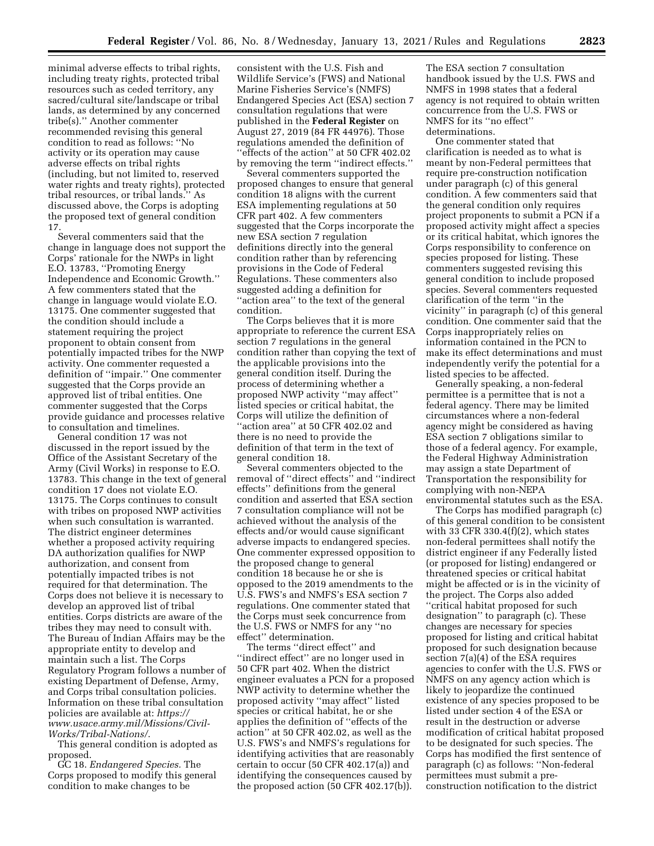minimal adverse effects to tribal rights, including treaty rights, protected tribal resources such as ceded territory, any sacred/cultural site/landscape or tribal lands, as determined by any concerned tribe(s).'' Another commenter recommended revising this general condition to read as follows: ''No activity or its operation may cause adverse effects on tribal rights (including, but not limited to, reserved water rights and treaty rights), protected tribal resources, or tribal lands.'' As discussed above, the Corps is adopting the proposed text of general condition 17.

Several commenters said that the change in language does not support the Corps' rationale for the NWPs in light E.O. 13783, ''Promoting Energy Independence and Economic Growth.'' A few commenters stated that the change in language would violate E.O. 13175. One commenter suggested that the condition should include a statement requiring the project proponent to obtain consent from potentially impacted tribes for the NWP activity. One commenter requested a definition of ''impair.'' One commenter suggested that the Corps provide an approved list of tribal entities. One commenter suggested that the Corps provide guidance and processes relative to consultation and timelines.

General condition 17 was not discussed in the report issued by the Office of the Assistant Secretary of the Army (Civil Works) in response to E.O. 13783. This change in the text of general condition 17 does not violate E.O. 13175. The Corps continues to consult with tribes on proposed NWP activities when such consultation is warranted. The district engineer determines whether a proposed activity requiring DA authorization qualifies for NWP authorization, and consent from potentially impacted tribes is not required for that determination. The Corps does not believe it is necessary to develop an approved list of tribal entities. Corps districts are aware of the tribes they may need to consult with. The Bureau of Indian Affairs may be the appropriate entity to develop and maintain such a list. The Corps Regulatory Program follows a number of existing Department of Defense, Army, and Corps tribal consultation policies. Information on these tribal consultation policies are available at: *[https://](https://www.usace.army.mil/Missions/Civil-Works/Tribal-Nations/) [www.usace.army.mil/Missions/Civil-](https://www.usace.army.mil/Missions/Civil-Works/Tribal-Nations/)[Works/Tribal-Nations/](https://www.usace.army.mil/Missions/Civil-Works/Tribal-Nations/)*.

This general condition is adopted as proposed.

GC 18. *Endangered Species.* The Corps proposed to modify this general condition to make changes to be

consistent with the U.S. Fish and Wildlife Service's (FWS) and National Marine Fisheries Service's (NMFS) Endangered Species Act (ESA) section 7 consultation regulations that were published in the **Federal Register** on August 27, 2019 (84 FR 44976). Those regulations amended the definition of ''effects of the action'' at 50 CFR 402.02 by removing the term ''indirect effects.''

Several commenters supported the proposed changes to ensure that general condition 18 aligns with the current ESA implementing regulations at 50 CFR part 402. A few commenters suggested that the Corps incorporate the new ESA section 7 regulation definitions directly into the general condition rather than by referencing provisions in the Code of Federal Regulations. These commenters also suggested adding a definition for ''action area'' to the text of the general condition.

The Corps believes that it is more appropriate to reference the current ESA section 7 regulations in the general condition rather than copying the text of the applicable provisions into the general condition itself. During the process of determining whether a proposed NWP activity ''may affect'' listed species or critical habitat, the Corps will utilize the definition of ''action area'' at 50 CFR 402.02 and there is no need to provide the definition of that term in the text of general condition 18.

Several commenters objected to the removal of ''direct effects'' and ''indirect effects'' definitions from the general condition and asserted that ESA section 7 consultation compliance will not be achieved without the analysis of the effects and/or would cause significant adverse impacts to endangered species. One commenter expressed opposition to the proposed change to general condition 18 because he or she is opposed to the 2019 amendments to the U.S. FWS's and NMFS's ESA section 7 regulations. One commenter stated that the Corps must seek concurrence from the U.S. FWS or NMFS for any ''no effect'' determination.

The terms ''direct effect'' and ''indirect effect'' are no longer used in 50 CFR part 402. When the district engineer evaluates a PCN for a proposed NWP activity to determine whether the proposed activity ''may affect'' listed species or critical habitat, he or she applies the definition of ''effects of the action'' at 50 CFR 402.02, as well as the U.S. FWS's and NMFS's regulations for identifying activities that are reasonably certain to occur (50 CFR 402.17(a)) and identifying the consequences caused by the proposed action (50 CFR 402.17(b)).

The ESA section 7 consultation handbook issued by the U.S. FWS and NMFS in 1998 states that a federal agency is not required to obtain written concurrence from the U.S. FWS or NMFS for its ''no effect'' determinations.

One commenter stated that clarification is needed as to what is meant by non-Federal permittees that require pre-construction notification under paragraph (c) of this general condition. A few commenters said that the general condition only requires project proponents to submit a PCN if a proposed activity might affect a species or its critical habitat, which ignores the Corps responsibility to conference on species proposed for listing. These commenters suggested revising this general condition to include proposed species. Several commenters requested clarification of the term ''in the vicinity'' in paragraph (c) of this general condition. One commenter said that the Corps inappropriately relies on information contained in the PCN to make its effect determinations and must independently verify the potential for a listed species to be affected.

Generally speaking, a non-federal permittee is a permittee that is not a federal agency. There may be limited circumstances where a non-federal agency might be considered as having ESA section 7 obligations similar to those of a federal agency. For example, the Federal Highway Administration may assign a state Department of Transportation the responsibility for complying with non-NEPA environmental statutes such as the ESA.

The Corps has modified paragraph (c) of this general condition to be consistent with 33 CFR 330.4 $(f)(2)$ , which states non-federal permittees shall notify the district engineer if any Federally listed (or proposed for listing) endangered or threatened species or critical habitat might be affected or is in the vicinity of the project. The Corps also added ''critical habitat proposed for such designation'' to paragraph (c). These changes are necessary for species proposed for listing and critical habitat proposed for such designation because section 7(a)(4) of the ESA requires agencies to confer with the U.S. FWS or NMFS on any agency action which is likely to jeopardize the continued existence of any species proposed to be listed under section 4 of the ESA or result in the destruction or adverse modification of critical habitat proposed to be designated for such species. The Corps has modified the first sentence of paragraph (c) as follows: ''Non-federal permittees must submit a preconstruction notification to the district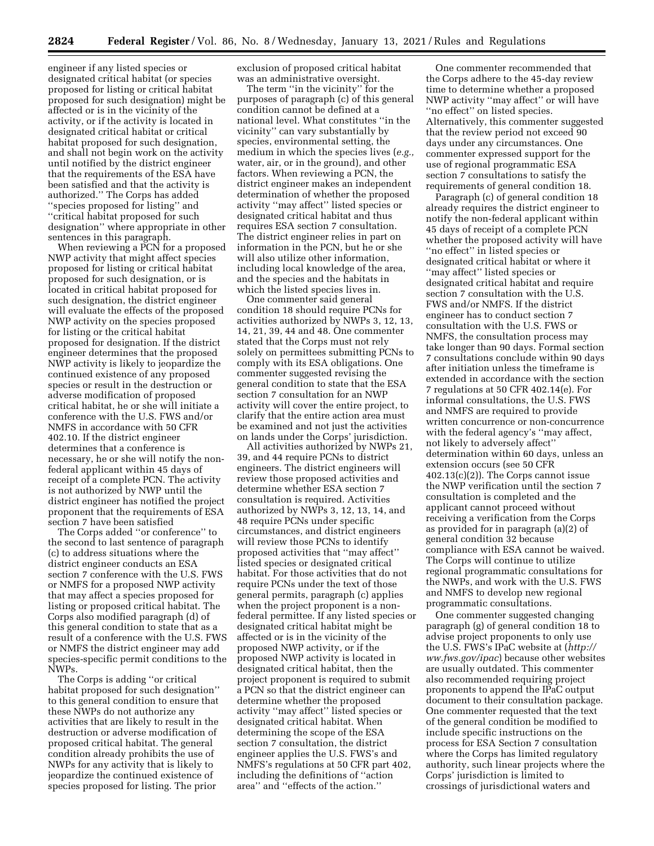engineer if any listed species or designated critical habitat (or species proposed for listing or critical habitat proposed for such designation) might be affected or is in the vicinity of the activity, or if the activity is located in designated critical habitat or critical habitat proposed for such designation, and shall not begin work on the activity until notified by the district engineer that the requirements of the ESA have been satisfied and that the activity is authorized.'' The Corps has added ''species proposed for listing'' and ''critical habitat proposed for such designation'' where appropriate in other sentences in this paragraph.

When reviewing a PCN for a proposed NWP activity that might affect species proposed for listing or critical habitat proposed for such designation, or is located in critical habitat proposed for such designation, the district engineer will evaluate the effects of the proposed NWP activity on the species proposed for listing or the critical habitat proposed for designation. If the district engineer determines that the proposed NWP activity is likely to jeopardize the continued existence of any proposed species or result in the destruction or adverse modification of proposed critical habitat, he or she will initiate a conference with the U.S. FWS and/or NMFS in accordance with 50 CFR 402.10. If the district engineer determines that a conference is necessary, he or she will notify the nonfederal applicant within 45 days of receipt of a complete PCN. The activity is not authorized by NWP until the district engineer has notified the project proponent that the requirements of ESA section 7 have been satisfied

The Corps added ''or conference'' to the second to last sentence of paragraph (c) to address situations where the district engineer conducts an ESA section 7 conference with the U.S. FWS or NMFS for a proposed NWP activity that may affect a species proposed for listing or proposed critical habitat. The Corps also modified paragraph (d) of this general condition to state that as a result of a conference with the U.S. FWS or NMFS the district engineer may add species-specific permit conditions to the NWPs.

The Corps is adding ''or critical habitat proposed for such designation'' to this general condition to ensure that these NWPs do not authorize any activities that are likely to result in the destruction or adverse modification of proposed critical habitat. The general condition already prohibits the use of NWPs for any activity that is likely to jeopardize the continued existence of species proposed for listing. The prior

exclusion of proposed critical habitat was an administrative oversight.

The term ''in the vicinity'' for the purposes of paragraph (c) of this general condition cannot be defined at a national level. What constitutes ''in the vicinity'' can vary substantially by species, environmental setting, the medium in which the species lives (*e.g.,*  water, air, or in the ground), and other factors. When reviewing a PCN, the district engineer makes an independent determination of whether the proposed activity ''may affect'' listed species or designated critical habitat and thus requires ESA section 7 consultation. The district engineer relies in part on information in the PCN, but he or she will also utilize other information, including local knowledge of the area, and the species and the habitats in which the listed species lives in.

One commenter said general condition 18 should require PCNs for activities authorized by NWPs 3, 12, 13, 14, 21, 39, 44 and 48. One commenter stated that the Corps must not rely solely on permittees submitting PCNs to comply with its ESA obligations. One commenter suggested revising the general condition to state that the ESA section 7 consultation for an NWP activity will cover the entire project, to clarify that the entire action area must be examined and not just the activities on lands under the Corps' jurisdiction.

All activities authorized by NWPs 21, 39, and 44 require PCNs to district engineers. The district engineers will review those proposed activities and determine whether ESA section 7 consultation is required. Activities authorized by NWPs 3, 12, 13, 14, and 48 require PCNs under specific circumstances, and district engineers will review those PCNs to identify proposed activities that ''may affect'' listed species or designated critical habitat. For those activities that do not require PCNs under the text of those general permits, paragraph (c) applies when the project proponent is a nonfederal permittee. If any listed species or designated critical habitat might be affected or is in the vicinity of the proposed NWP activity, or if the proposed NWP activity is located in designated critical habitat, then the project proponent is required to submit a PCN so that the district engineer can determine whether the proposed activity ''may affect'' listed species or designated critical habitat. When determining the scope of the ESA section 7 consultation, the district engineer applies the U.S. FWS's and NMFS's regulations at 50 CFR part 402, including the definitions of ''action area'' and ''effects of the action.''

One commenter recommended that the Corps adhere to the 45-day review time to determine whether a proposed NWP activity ''may affect'' or will have ''no effect'' on listed species. Alternatively, this commenter suggested that the review period not exceed 90 days under any circumstances. One commenter expressed support for the use of regional programmatic ESA section 7 consultations to satisfy the requirements of general condition 18.

Paragraph (c) of general condition 18 already requires the district engineer to notify the non-federal applicant within 45 days of receipt of a complete PCN whether the proposed activity will have ''no effect'' in listed species or designated critical habitat or where it ''may affect'' listed species or designated critical habitat and require section 7 consultation with the U.S. FWS and/or NMFS. If the district engineer has to conduct section 7 consultation with the U.S. FWS or NMFS, the consultation process may take longer than 90 days. Formal section 7 consultations conclude within 90 days after initiation unless the timeframe is extended in accordance with the section 7 regulations at 50 CFR 402.14(e). For informal consultations, the U.S. FWS and NMFS are required to provide written concurrence or non-concurrence with the federal agency's ''may affect, not likely to adversely affect'' determination within 60 days, unless an extension occurs (see 50 CFR 402.13(c)(2)). The Corps cannot issue the NWP verification until the section 7 consultation is completed and the applicant cannot proceed without receiving a verification from the Corps as provided for in paragraph (a)(2) of general condition 32 because compliance with ESA cannot be waived. The Corps will continue to utilize regional programmatic consultations for the NWPs, and work with the U.S. FWS and NMFS to develop new regional programmatic consultations.

One commenter suggested changing paragraph (g) of general condition 18 to advise project proponents to only use the U.S. FWS's IPaC website at (*[http://](http://ww.fws.gov/ipac) [ww.fws.gov/ipac](http://ww.fws.gov/ipac)*) because other websites are usually outdated. This commenter also recommended requiring project proponents to append the IPaC output document to their consultation package. One commenter requested that the text of the general condition be modified to include specific instructions on the process for ESA Section 7 consultation where the Corps has limited regulatory authority, such linear projects where the Corps' jurisdiction is limited to crossings of jurisdictional waters and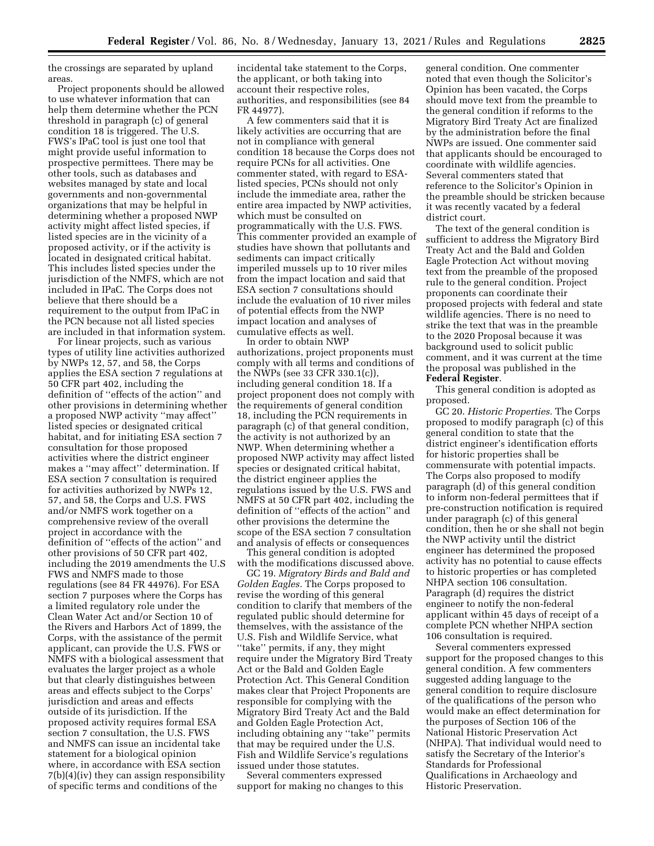the crossings are separated by upland areas.

Project proponents should be allowed to use whatever information that can help them determine whether the PCN threshold in paragraph (c) of general condition 18 is triggered. The U.S. FWS's IPaC tool is just one tool that might provide useful information to prospective permittees. There may be other tools, such as databases and websites managed by state and local governments and non-governmental organizations that may be helpful in determining whether a proposed NWP activity might affect listed species, if listed species are in the vicinity of a proposed activity, or if the activity is located in designated critical habitat. This includes listed species under the jurisdiction of the NMFS, which are not included in IPaC. The Corps does not believe that there should be a requirement to the output from IPaC in the PCN because not all listed species are included in that information system.

For linear projects, such as various types of utility line activities authorized by NWPs 12, 57, and 58, the Corps applies the ESA section 7 regulations at 50 CFR part 402, including the definition of ''effects of the action'' and other provisions in determining whether a proposed NWP activity ''may affect'' listed species or designated critical habitat, and for initiating ESA section 7 consultation for those proposed activities where the district engineer makes a ''may affect'' determination. If ESA section 7 consultation is required for activities authorized by NWPs 12, 57, and 58, the Corps and U.S. FWS and/or NMFS work together on a comprehensive review of the overall project in accordance with the definition of ''effects of the action'' and other provisions of 50 CFR part 402, including the 2019 amendments the U.S FWS and NMFS made to those regulations (see 84 FR 44976). For ESA section 7 purposes where the Corps has a limited regulatory role under the Clean Water Act and/or Section 10 of the Rivers and Harbors Act of 1899, the Corps, with the assistance of the permit applicant, can provide the U.S. FWS or NMFS with a biological assessment that evaluates the larger project as a whole but that clearly distinguishes between areas and effects subject to the Corps' jurisdiction and areas and effects outside of its jurisdiction. If the proposed activity requires formal ESA section 7 consultation, the U.S. FWS and NMFS can issue an incidental take statement for a biological opinion where, in accordance with ESA section 7(b)(4)(iv) they can assign responsibility of specific terms and conditions of the

incidental take statement to the Corps, the applicant, or both taking into account their respective roles, authorities, and responsibilities (see 84 FR 44977).

A few commenters said that it is likely activities are occurring that are not in compliance with general condition 18 because the Corps does not require PCNs for all activities. One commenter stated, with regard to ESAlisted species, PCNs should not only include the immediate area, rather the entire area impacted by NWP activities, which must be consulted on programmatically with the U.S. FWS. This commenter provided an example of studies have shown that pollutants and sediments can impact critically imperiled mussels up to 10 river miles from the impact location and said that ESA section 7 consultations should include the evaluation of 10 river miles of potential effects from the NWP impact location and analyses of cumulative effects as well.

In order to obtain NWP authorizations, project proponents must comply with all terms and conditions of the NWPs (see 33 CFR 330.1(c)), including general condition 18. If a project proponent does not comply with the requirements of general condition 18, including the PCN requirements in paragraph (c) of that general condition, the activity is not authorized by an NWP. When determining whether a proposed NWP activity may affect listed species or designated critical habitat, the district engineer applies the regulations issued by the U.S. FWS and NMFS at 50 CFR part 402, including the definition of ''effects of the action'' and other provisions the determine the scope of the ESA section 7 consultation and analysis of effects or consequences

This general condition is adopted with the modifications discussed above.

GC 19. *Migratory Birds and Bald and Golden Eagles.* The Corps proposed to revise the wording of this general condition to clarify that members of the regulated public should determine for themselves, with the assistance of the U.S. Fish and Wildlife Service, what ''take'' permits, if any, they might require under the Migratory Bird Treaty Act or the Bald and Golden Eagle Protection Act. This General Condition makes clear that Project Proponents are responsible for complying with the Migratory Bird Treaty Act and the Bald and Golden Eagle Protection Act, including obtaining any ''take'' permits that may be required under the U.S. Fish and Wildlife Service's regulations issued under those statutes.

Several commenters expressed support for making no changes to this general condition. One commenter noted that even though the Solicitor's Opinion has been vacated, the Corps should move text from the preamble to the general condition if reforms to the Migratory Bird Treaty Act are finalized by the administration before the final NWPs are issued. One commenter said that applicants should be encouraged to coordinate with wildlife agencies. Several commenters stated that reference to the Solicitor's Opinion in the preamble should be stricken because it was recently vacated by a federal district court.

The text of the general condition is sufficient to address the Migratory Bird Treaty Act and the Bald and Golden Eagle Protection Act without moving text from the preamble of the proposed rule to the general condition. Project proponents can coordinate their proposed projects with federal and state wildlife agencies. There is no need to strike the text that was in the preamble to the 2020 Proposal because it was background used to solicit public comment, and it was current at the time the proposal was published in the **Federal Register**.

This general condition is adopted as proposed.

GC 20. *Historic Properties.* The Corps proposed to modify paragraph (c) of this general condition to state that the district engineer's identification efforts for historic properties shall be commensurate with potential impacts. The Corps also proposed to modify paragraph (d) of this general condition to inform non-federal permittees that if pre-construction notification is required under paragraph (c) of this general condition, then he or she shall not begin the NWP activity until the district engineer has determined the proposed activity has no potential to cause effects to historic properties or has completed NHPA section 106 consultation. Paragraph (d) requires the district engineer to notify the non-federal applicant within 45 days of receipt of a complete PCN whether NHPA section 106 consultation is required.

Several commenters expressed support for the proposed changes to this general condition. A few commenters suggested adding language to the general condition to require disclosure of the qualifications of the person who would make an effect determination for the purposes of Section 106 of the National Historic Preservation Act (NHPA). That individual would need to satisfy the Secretary of the Interior's Standards for Professional Qualifications in Archaeology and Historic Preservation.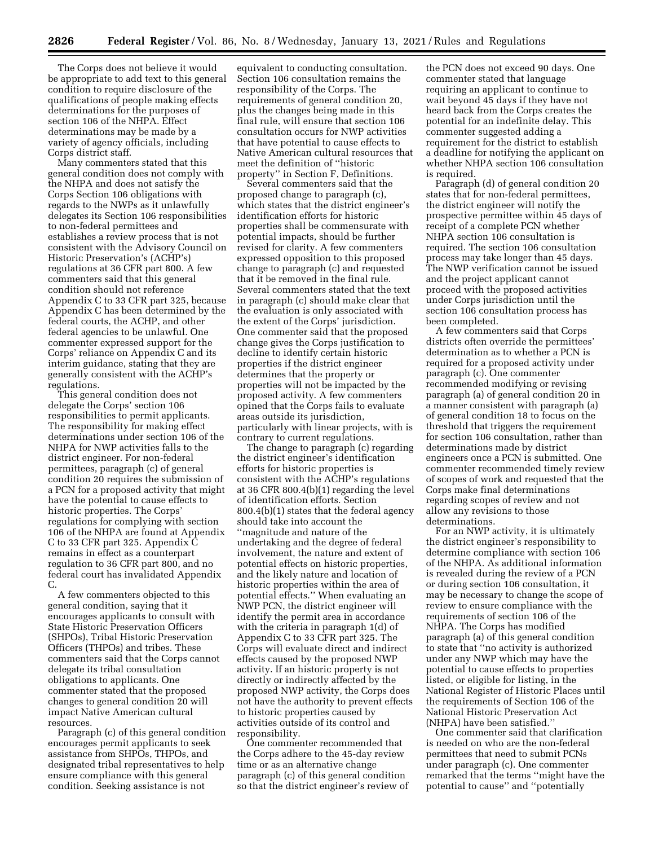The Corps does not believe it would be appropriate to add text to this general condition to require disclosure of the qualifications of people making effects determinations for the purposes of section 106 of the NHPA. Effect determinations may be made by a variety of agency officials, including Corps district staff.

Many commenters stated that this general condition does not comply with the NHPA and does not satisfy the Corps Section 106 obligations with regards to the NWPs as it unlawfully delegates its Section 106 responsibilities to non-federal permittees and establishes a review process that is not consistent with the Advisory Council on Historic Preservation's (ACHP's) regulations at 36 CFR part 800. A few commenters said that this general condition should not reference Appendix C to 33 CFR part 325, because Appendix C has been determined by the federal courts, the ACHP, and other federal agencies to be unlawful. One commenter expressed support for the Corps' reliance on Appendix C and its interim guidance, stating that they are generally consistent with the ACHP's regulations.

This general condition does not delegate the Corps' section 106 responsibilities to permit applicants. The responsibility for making effect determinations under section 106 of the NHPA for NWP activities falls to the district engineer. For non-federal permittees, paragraph (c) of general condition 20 requires the submission of a PCN for a proposed activity that might have the potential to cause effects to historic properties. The Corps' regulations for complying with section 106 of the NHPA are found at Appendix C to 33 CFR part 325. Appendix C remains in effect as a counterpart regulation to 36 CFR part 800, and no federal court has invalidated Appendix C.

A few commenters objected to this general condition, saying that it encourages applicants to consult with State Historic Preservation Officers (SHPOs), Tribal Historic Preservation Officers (THPOs) and tribes. These commenters said that the Corps cannot delegate its tribal consultation obligations to applicants. One commenter stated that the proposed changes to general condition 20 will impact Native American cultural resources.

Paragraph (c) of this general condition encourages permit applicants to seek assistance from SHPOs, THPOs, and designated tribal representatives to help ensure compliance with this general condition. Seeking assistance is not

equivalent to conducting consultation. Section 106 consultation remains the responsibility of the Corps. The requirements of general condition 20, plus the changes being made in this final rule, will ensure that section 106 consultation occurs for NWP activities that have potential to cause effects to Native American cultural resources that meet the definition of ''historic property'' in Section F, Definitions.

Several commenters said that the proposed change to paragraph (c), which states that the district engineer's identification efforts for historic properties shall be commensurate with potential impacts, should be further revised for clarity. A few commenters expressed opposition to this proposed change to paragraph (c) and requested that it be removed in the final rule. Several commenters stated that the text in paragraph (c) should make clear that the evaluation is only associated with the extent of the Corps' jurisdiction. One commenter said that the proposed change gives the Corps justification to decline to identify certain historic properties if the district engineer determines that the property or properties will not be impacted by the proposed activity. A few commenters opined that the Corps fails to evaluate areas outside its jurisdiction, particularly with linear projects, with is contrary to current regulations.

The change to paragraph (c) regarding the district engineer's identification efforts for historic properties is consistent with the ACHP's regulations at 36 CFR 800.4(b)(1) regarding the level of identification efforts. Section 800.4(b)(1) states that the federal agency should take into account the ''magnitude and nature of the undertaking and the degree of federal involvement, the nature and extent of potential effects on historic properties, and the likely nature and location of historic properties within the area of potential effects.'' When evaluating an NWP PCN, the district engineer will identify the permit area in accordance with the criteria in paragraph 1(d) of Appendix C to 33 CFR part 325. The Corps will evaluate direct and indirect effects caused by the proposed NWP activity. If an historic property is not directly or indirectly affected by the proposed NWP activity, the Corps does not have the authority to prevent effects to historic properties caused by activities outside of its control and responsibility.

One commenter recommended that the Corps adhere to the 45-day review time or as an alternative change paragraph (c) of this general condition so that the district engineer's review of

the PCN does not exceed 90 days. One commenter stated that language requiring an applicant to continue to wait beyond 45 days if they have not heard back from the Corps creates the potential for an indefinite delay. This commenter suggested adding a requirement for the district to establish a deadline for notifying the applicant on whether NHPA section 106 consultation is required.

Paragraph (d) of general condition 20 states that for non-federal permittees, the district engineer will notify the prospective permittee within 45 days of receipt of a complete PCN whether NHPA section 106 consultation is required. The section 106 consultation process may take longer than 45 days. The NWP verification cannot be issued and the project applicant cannot proceed with the proposed activities under Corps jurisdiction until the section 106 consultation process has been completed.

A few commenters said that Corps districts often override the permittees' determination as to whether a PCN is required for a proposed activity under paragraph (c). One commenter recommended modifying or revising paragraph (a) of general condition 20 in a manner consistent with paragraph (a) of general condition 18 to focus on the threshold that triggers the requirement for section 106 consultation, rather than determinations made by district engineers once a PCN is submitted. One commenter recommended timely review of scopes of work and requested that the Corps make final determinations regarding scopes of review and not allow any revisions to those determinations.

For an NWP activity, it is ultimately the district engineer's responsibility to determine compliance with section 106 of the NHPA. As additional information is revealed during the review of a PCN or during section 106 consultation, it may be necessary to change the scope of review to ensure compliance with the requirements of section 106 of the NHPA. The Corps has modified paragraph (a) of this general condition to state that ''no activity is authorized under any NWP which may have the potential to cause effects to properties listed, or eligible for listing, in the National Register of Historic Places until the requirements of Section 106 of the National Historic Preservation Act (NHPA) have been satisfied.''

One commenter said that clarification is needed on who are the non-federal permittees that need to submit PCNs under paragraph (c). One commenter remarked that the terms ''might have the potential to cause'' and ''potentially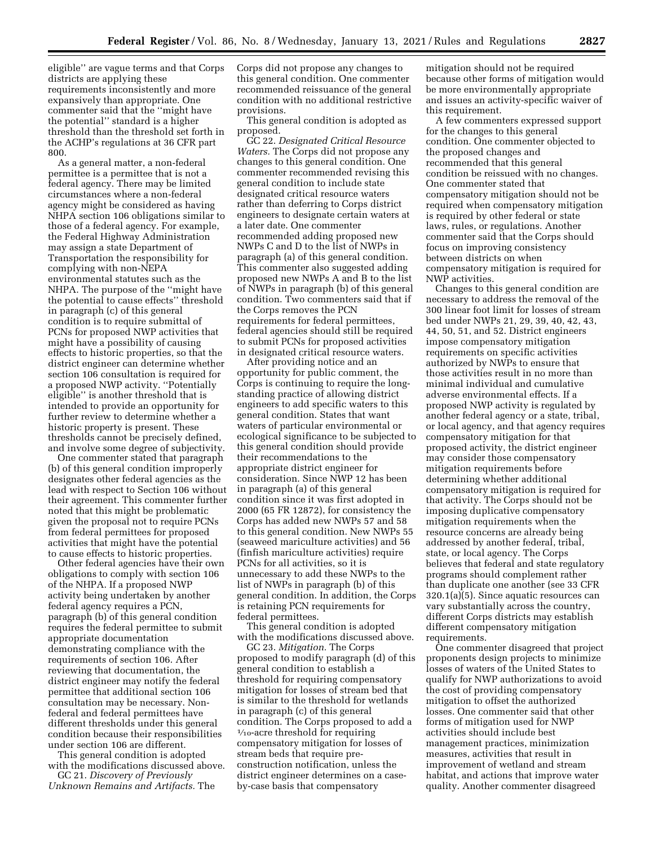eligible'' are vague terms and that Corps districts are applying these requirements inconsistently and more expansively than appropriate. One commenter said that the ''might have the potential'' standard is a higher threshold than the threshold set forth in the ACHP's regulations at 36 CFR part 800.

As a general matter, a non-federal permittee is a permittee that is not a federal agency. There may be limited circumstances where a non-federal agency might be considered as having NHPA section 106 obligations similar to those of a federal agency. For example, the Federal Highway Administration may assign a state Department of Transportation the responsibility for complying with non-NEPA environmental statutes such as the NHPA. The purpose of the ''might have the potential to cause effects'' threshold in paragraph (c) of this general condition is to require submittal of PCNs for proposed NWP activities that might have a possibility of causing effects to historic properties, so that the district engineer can determine whether section 106 consultation is required for a proposed NWP activity. ''Potentially eligible'' is another threshold that is intended to provide an opportunity for further review to determine whether a historic property is present. These thresholds cannot be precisely defined, and involve some degree of subjectivity.

One commenter stated that paragraph (b) of this general condition improperly designates other federal agencies as the lead with respect to Section 106 without their agreement. This commenter further noted that this might be problematic given the proposal not to require PCNs from federal permittees for proposed activities that might have the potential to cause effects to historic properties.

Other federal agencies have their own obligations to comply with section 106 of the NHPA. If a proposed NWP activity being undertaken by another federal agency requires a PCN, paragraph (b) of this general condition requires the federal permittee to submit appropriate documentation demonstrating compliance with the requirements of section 106. After reviewing that documentation, the district engineer may notify the federal permittee that additional section 106 consultation may be necessary. Nonfederal and federal permittees have different thresholds under this general condition because their responsibilities under section 106 are different.

This general condition is adopted with the modifications discussed above.

GC 21. *Discovery of Previously Unknown Remains and Artifacts.* The Corps did not propose any changes to this general condition. One commenter recommended reissuance of the general condition with no additional restrictive provisions.

This general condition is adopted as proposed.

GC 22. *Designated Critical Resource Waters.* The Corps did not propose any changes to this general condition. One commenter recommended revising this general condition to include state designated critical resource waters rather than deferring to Corps district engineers to designate certain waters at a later date. One commenter recommended adding proposed new NWPs C and D to the list of NWPs in paragraph (a) of this general condition. This commenter also suggested adding proposed new NWPs A and B to the list of NWPs in paragraph (b) of this general condition. Two commenters said that if the Corps removes the PCN requirements for federal permittees, federal agencies should still be required to submit PCNs for proposed activities in designated critical resource waters.

After providing notice and an opportunity for public comment, the Corps is continuing to require the longstanding practice of allowing district engineers to add specific waters to this general condition. States that want waters of particular environmental or ecological significance to be subjected to this general condition should provide their recommendations to the appropriate district engineer for consideration. Since NWP 12 has been in paragraph (a) of this general condition since it was first adopted in 2000 (65 FR 12872), for consistency the Corps has added new NWPs 57 and 58 to this general condition. New NWPs 55 (seaweed mariculture activities) and 56 (finfish mariculture activities) require PCNs for all activities, so it is unnecessary to add these NWPs to the list of NWPs in paragraph (b) of this general condition. In addition, the Corps is retaining PCN requirements for federal permittees.

This general condition is adopted with the modifications discussed above.

GC 23. *Mitigation.* The Corps proposed to modify paragraph (d) of this general condition to establish a threshold for requiring compensatory mitigation for losses of stream bed that is similar to the threshold for wetlands in paragraph (c) of this general condition. The Corps proposed to add a 1⁄10-acre threshold for requiring compensatory mitigation for losses of stream beds that require preconstruction notification, unless the district engineer determines on a caseby-case basis that compensatory

mitigation should not be required because other forms of mitigation would be more environmentally appropriate and issues an activity-specific waiver of this requirement.

A few commenters expressed support for the changes to this general condition. One commenter objected to the proposed changes and recommended that this general condition be reissued with no changes. One commenter stated that compensatory mitigation should not be required when compensatory mitigation is required by other federal or state laws, rules, or regulations. Another commenter said that the Corps should focus on improving consistency between districts on when compensatory mitigation is required for NWP activities.

Changes to this general condition are necessary to address the removal of the 300 linear foot limit for losses of stream bed under NWPs 21, 29, 39, 40, 42, 43, 44, 50, 51, and 52. District engineers impose compensatory mitigation requirements on specific activities authorized by NWPs to ensure that those activities result in no more than minimal individual and cumulative adverse environmental effects. If a proposed NWP activity is regulated by another federal agency or a state, tribal, or local agency, and that agency requires compensatory mitigation for that proposed activity, the district engineer may consider those compensatory mitigation requirements before determining whether additional compensatory mitigation is required for that activity. The Corps should not be imposing duplicative compensatory mitigation requirements when the resource concerns are already being addressed by another federal, tribal, state, or local agency. The Corps believes that federal and state regulatory programs should complement rather than duplicate one another (see 33 CFR  $320.1(a)\overline{(5)}$ . Since aquatic resources can vary substantially across the country, different Corps districts may establish different compensatory mitigation requirements.

One commenter disagreed that project proponents design projects to minimize losses of waters of the United States to qualify for NWP authorizations to avoid the cost of providing compensatory mitigation to offset the authorized losses. One commenter said that other forms of mitigation used for NWP activities should include best management practices, minimization measures, activities that result in improvement of wetland and stream habitat, and actions that improve water quality. Another commenter disagreed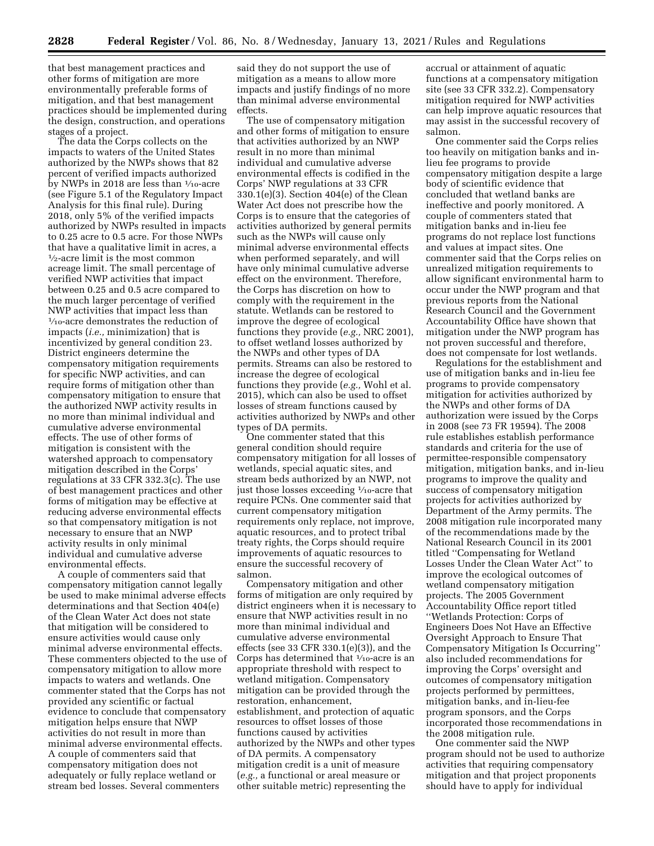that best management practices and other forms of mitigation are more environmentally preferable forms of mitigation, and that best management practices should be implemented during the design, construction, and operations stages of a project.

The data the Corps collects on the impacts to waters of the United States authorized by the NWPs shows that 82 percent of verified impacts authorized by NWPs in 2018 are less than  $\frac{1}{10}$ -acre (see Figure 5.1 of the Regulatory Impact Analysis for this final rule). During 2018, only 5% of the verified impacts authorized by NWPs resulted in impacts to 0.25 acre to 0.5 acre. For those NWPs that have a qualitative limit in acres, a 1⁄2-acre limit is the most common acreage limit. The small percentage of verified NWP activities that impact between 0.25 and 0.5 acre compared to the much larger percentage of verified NWP activities that impact less than 1⁄10-acre demonstrates the reduction of impacts (*i.e.,* minimization) that is incentivized by general condition 23. District engineers determine the compensatory mitigation requirements for specific NWP activities, and can require forms of mitigation other than compensatory mitigation to ensure that the authorized NWP activity results in no more than minimal individual and cumulative adverse environmental effects. The use of other forms of mitigation is consistent with the watershed approach to compensatory mitigation described in the Corps' regulations at 33 CFR 332.3(c). The use of best management practices and other forms of mitigation may be effective at reducing adverse environmental effects so that compensatory mitigation is not necessary to ensure that an NWP activity results in only minimal individual and cumulative adverse environmental effects.

A couple of commenters said that compensatory mitigation cannot legally be used to make minimal adverse effects determinations and that Section 404(e) of the Clean Water Act does not state that mitigation will be considered to ensure activities would cause only minimal adverse environmental effects. These commenters objected to the use of compensatory mitigation to allow more impacts to waters and wetlands. One commenter stated that the Corps has not provided any scientific or factual evidence to conclude that compensatory mitigation helps ensure that NWP activities do not result in more than minimal adverse environmental effects. A couple of commenters said that compensatory mitigation does not adequately or fully replace wetland or stream bed losses. Several commenters

said they do not support the use of mitigation as a means to allow more impacts and justify findings of no more than minimal adverse environmental effects.

The use of compensatory mitigation and other forms of mitigation to ensure that activities authorized by an NWP result in no more than minimal individual and cumulative adverse environmental effects is codified in the Corps' NWP regulations at 33 CFR 330.1(e)(3). Section 404(e) of the Clean Water Act does not prescribe how the Corps is to ensure that the categories of activities authorized by general permits such as the NWPs will cause only minimal adverse environmental effects when performed separately, and will have only minimal cumulative adverse effect on the environment. Therefore, the Corps has discretion on how to comply with the requirement in the statute. Wetlands can be restored to improve the degree of ecological functions they provide (*e.g.,* NRC 2001), to offset wetland losses authorized by the NWPs and other types of DA permits. Streams can also be restored to increase the degree of ecological functions they provide (*e.g.,* Wohl et al. 2015), which can also be used to offset losses of stream functions caused by activities authorized by NWPs and other types of DA permits.

One commenter stated that this general condition should require compensatory mitigation for all losses of wetlands, special aquatic sites, and stream beds authorized by an NWP, not just those losses exceeding 1⁄10-acre that require PCNs. One commenter said that current compensatory mitigation requirements only replace, not improve, aquatic resources, and to protect tribal treaty rights, the Corps should require improvements of aquatic resources to ensure the successful recovery of salmon.

Compensatory mitigation and other forms of mitigation are only required by district engineers when it is necessary to ensure that NWP activities result in no more than minimal individual and cumulative adverse environmental effects (see 33 CFR 330.1(e)(3)), and the Corps has determined that  $\frac{1}{10}$ -acre is an appropriate threshold with respect to wetland mitigation. Compensatory mitigation can be provided through the restoration, enhancement, establishment, and protection of aquatic resources to offset losses of those functions caused by activities authorized by the NWPs and other types of DA permits. A compensatory mitigation credit is a unit of measure (*e.g.,* a functional or areal measure or other suitable metric) representing the

accrual or attainment of aquatic functions at a compensatory mitigation site (see 33 CFR 332.2). Compensatory mitigation required for NWP activities can help improve aquatic resources that may assist in the successful recovery of salmon.

One commenter said the Corps relies too heavily on mitigation banks and inlieu fee programs to provide compensatory mitigation despite a large body of scientific evidence that concluded that wetland banks are ineffective and poorly monitored. A couple of commenters stated that mitigation banks and in-lieu fee programs do not replace lost functions and values at impact sites. One commenter said that the Corps relies on unrealized mitigation requirements to allow significant environmental harm to occur under the NWP program and that previous reports from the National Research Council and the Government Accountability Office have shown that mitigation under the NWP program has not proven successful and therefore, does not compensate for lost wetlands.

Regulations for the establishment and use of mitigation banks and in-lieu fee programs to provide compensatory mitigation for activities authorized by the NWPs and other forms of DA authorization were issued by the Corps in 2008 (see 73 FR 19594). The 2008 rule establishes establish performance standards and criteria for the use of permittee-responsible compensatory mitigation, mitigation banks, and in-lieu programs to improve the quality and success of compensatory mitigation projects for activities authorized by Department of the Army permits. The 2008 mitigation rule incorporated many of the recommendations made by the National Research Council in its 2001 titled ''Compensating for Wetland Losses Under the Clean Water Act'' to improve the ecological outcomes of wetland compensatory mitigation projects. The 2005 Government Accountability Office report titled ''Wetlands Protection: Corps of Engineers Does Not Have an Effective Oversight Approach to Ensure That Compensatory Mitigation Is Occurring'' also included recommendations for improving the Corps' oversight and outcomes of compensatory mitigation projects performed by permittees, mitigation banks, and in-lieu-fee program sponsors, and the Corps incorporated those recommendations in the 2008 mitigation rule.

One commenter said the NWP program should not be used to authorize activities that requiring compensatory mitigation and that project proponents should have to apply for individual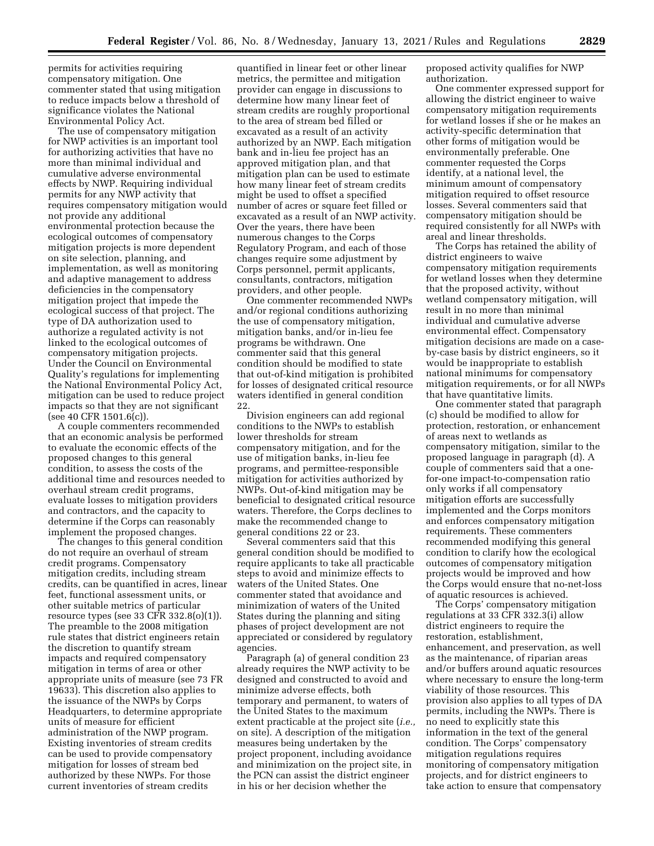permits for activities requiring compensatory mitigation. One commenter stated that using mitigation to reduce impacts below a threshold of significance violates the National Environmental Policy Act.

The use of compensatory mitigation for NWP activities is an important tool for authorizing activities that have no more than minimal individual and cumulative adverse environmental effects by NWP. Requiring individual permits for any NWP activity that requires compensatory mitigation would not provide any additional environmental protection because the ecological outcomes of compensatory mitigation projects is more dependent on site selection, planning, and implementation, as well as monitoring and adaptive management to address deficiencies in the compensatory mitigation project that impede the ecological success of that project. The type of DA authorization used to authorize a regulated activity is not linked to the ecological outcomes of compensatory mitigation projects. Under the Council on Environmental Quality's regulations for implementing the National Environmental Policy Act, mitigation can be used to reduce project impacts so that they are not significant (see 40 CFR 1501.6(c)).

A couple commenters recommended that an economic analysis be performed to evaluate the economic effects of the proposed changes to this general condition, to assess the costs of the additional time and resources needed to overhaul stream credit programs, evaluate losses to mitigation providers and contractors, and the capacity to determine if the Corps can reasonably implement the proposed changes.

The changes to this general condition do not require an overhaul of stream credit programs. Compensatory mitigation credits, including stream credits, can be quantified in acres, linear feet, functional assessment units, or other suitable metrics of particular resource types (see 33 CFR 332.8(o)(1)). The preamble to the 2008 mitigation rule states that district engineers retain the discretion to quantify stream impacts and required compensatory mitigation in terms of area or other appropriate units of measure (see 73 FR 19633). This discretion also applies to the issuance of the NWPs by Corps Headquarters, to determine appropriate units of measure for efficient administration of the NWP program. Existing inventories of stream credits can be used to provide compensatory mitigation for losses of stream bed authorized by these NWPs. For those current inventories of stream credits

quantified in linear feet or other linear metrics, the permittee and mitigation provider can engage in discussions to determine how many linear feet of stream credits are roughly proportional to the area of stream bed filled or excavated as a result of an activity authorized by an NWP. Each mitigation bank and in-lieu fee project has an approved mitigation plan, and that mitigation plan can be used to estimate how many linear feet of stream credits might be used to offset a specified number of acres or square feet filled or excavated as a result of an NWP activity. Over the years, there have been numerous changes to the Corps Regulatory Program, and each of those changes require some adjustment by Corps personnel, permit applicants, consultants, contractors, mitigation providers, and other people.

One commenter recommended NWPs and/or regional conditions authorizing the use of compensatory mitigation, mitigation banks, and/or in-lieu fee programs be withdrawn. One commenter said that this general condition should be modified to state that out-of-kind mitigation is prohibited for losses of designated critical resource waters identified in general condition 22.

Division engineers can add regional conditions to the NWPs to establish lower thresholds for stream compensatory mitigation, and for the use of mitigation banks, in-lieu fee programs, and permittee-responsible mitigation for activities authorized by NWPs. Out-of-kind mitigation may be beneficial to designated critical resource waters. Therefore, the Corps declines to make the recommended change to general conditions 22 or 23.

Several commenters said that this general condition should be modified to require applicants to take all practicable steps to avoid and minimize effects to waters of the United States. One commenter stated that avoidance and minimization of waters of the United States during the planning and siting phases of project development are not appreciated or considered by regulatory agencies.

Paragraph (a) of general condition 23 already requires the NWP activity to be designed and constructed to avoid and minimize adverse effects, both temporary and permanent, to waters of the United States to the maximum extent practicable at the project site (*i.e.,*  on site). A description of the mitigation measures being undertaken by the project proponent, including avoidance and minimization on the project site, in the PCN can assist the district engineer in his or her decision whether the

proposed activity qualifies for NWP authorization.

One commenter expressed support for allowing the district engineer to waive compensatory mitigation requirements for wetland losses if she or he makes an activity-specific determination that other forms of mitigation would be environmentally preferable. One commenter requested the Corps identify, at a national level, the minimum amount of compensatory mitigation required to offset resource losses. Several commenters said that compensatory mitigation should be required consistently for all NWPs with areal and linear thresholds.

The Corps has retained the ability of district engineers to waive compensatory mitigation requirements for wetland losses when they determine that the proposed activity, without wetland compensatory mitigation, will result in no more than minimal individual and cumulative adverse environmental effect. Compensatory mitigation decisions are made on a caseby-case basis by district engineers, so it would be inappropriate to establish national minimums for compensatory mitigation requirements, or for all NWPs that have quantitative limits.

One commenter stated that paragraph (c) should be modified to allow for protection, restoration, or enhancement of areas next to wetlands as compensatory mitigation, similar to the proposed language in paragraph (d). A couple of commenters said that a onefor-one impact-to-compensation ratio only works if all compensatory mitigation efforts are successfully implemented and the Corps monitors and enforces compensatory mitigation requirements. These commenters recommended modifying this general condition to clarify how the ecological outcomes of compensatory mitigation projects would be improved and how the Corps would ensure that no-net-loss of aquatic resources is achieved.

The Corps' compensatory mitigation regulations at 33 CFR 332.3(i) allow district engineers to require the restoration, establishment, enhancement, and preservation, as well as the maintenance, of riparian areas and/or buffers around aquatic resources where necessary to ensure the long-term viability of those resources. This provision also applies to all types of DA permits, including the NWPs. There is no need to explicitly state this information in the text of the general condition. The Corps' compensatory mitigation regulations requires monitoring of compensatory mitigation projects, and for district engineers to take action to ensure that compensatory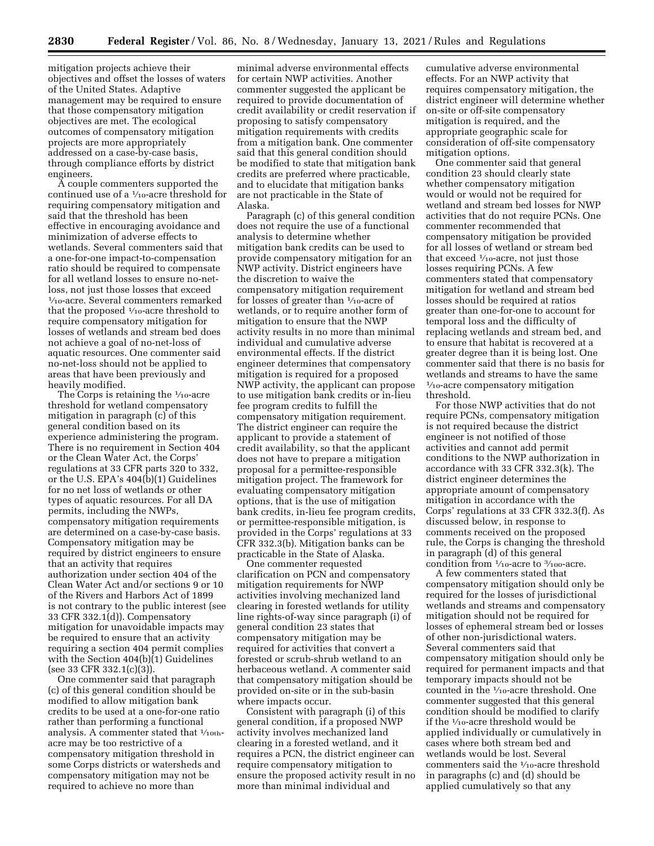mitigation projects achieve their objectives and offset the losses of waters of the United States. Adaptive management may be required to ensure that those compensatory mitigation objectives are met. The ecological outcomes of compensatory mitigation projects are more appropriately addressed on a case-by-case basis, through compliance efforts by district engineers.

A couple commenters supported the continued use of a  $\frac{1}{10}$ -acre threshold for requiring compensatory mitigation and said that the threshold has been effective in encouraging avoidance and minimization of adverse effects to wetlands. Several commenters said that a one-for-one impact-to-compensation ratio should be required to compensate for all wetland losses to ensure no-netloss, not just those losses that exceed 1⁄10-acre. Several commenters remarked that the proposed  $\frac{1}{10}$ -acre threshold to require compensatory mitigation for losses of wetlands and stream bed does not achieve a goal of no-net-loss of aquatic resources. One commenter said no-net-loss should not be applied to areas that have been previously and heavily modified.

The Corps is retaining the  $\frac{1}{10}$ -acre threshold for wetland compensatory mitigation in paragraph (c) of this general condition based on its experience administering the program. There is no requirement in Section 404 or the Clean Water Act, the Corps' regulations at 33 CFR parts 320 to 332, or the U.S. EPA's 404(b)(1) Guidelines for no net loss of wetlands or other types of aquatic resources. For all DA permits, including the NWPs, compensatory mitigation requirements are determined on a case-by-case basis. Compensatory mitigation may be required by district engineers to ensure that an activity that requires authorization under section 404 of the Clean Water Act and/or sections 9 or 10 of the Rivers and Harbors Act of 1899 is not contrary to the public interest (see 33 CFR 332.1(d)). Compensatory mitigation for unavoidable impacts may be required to ensure that an activity requiring a section 404 permit complies with the Section 404(b)(1) Guidelines (see 33 CFR 332.1(c)(3)).

One commenter said that paragraph (c) of this general condition should be modified to allow mitigation bank credits to be used at a one-for-one ratio rather than performing a functional analysis. A commenter stated that  $1/10$ thacre may be too restrictive of a compensatory mitigation threshold in some Corps districts or watersheds and compensatory mitigation may not be required to achieve no more than

minimal adverse environmental effects for certain NWP activities. Another commenter suggested the applicant be required to provide documentation of credit availability or credit reservation if proposing to satisfy compensatory mitigation requirements with credits from a mitigation bank. One commenter said that this general condition should be modified to state that mitigation bank credits are preferred where practicable, and to elucidate that mitigation banks are not practicable in the State of Alaska.

Paragraph (c) of this general condition does not require the use of a functional analysis to determine whether mitigation bank credits can be used to provide compensatory mitigation for an NWP activity. District engineers have the discretion to waive the compensatory mitigation requirement for losses of greater than  $\frac{1}{10}$ -acre of wetlands, or to require another form of mitigation to ensure that the NWP activity results in no more than minimal individual and cumulative adverse environmental effects. If the district engineer determines that compensatory mitigation is required for a proposed NWP activity, the applicant can propose to use mitigation bank credits or in-lieu fee program credits to fulfill the compensatory mitigation requirement. The district engineer can require the applicant to provide a statement of credit availability, so that the applicant does not have to prepare a mitigation proposal for a permittee-responsible mitigation project. The framework for evaluating compensatory mitigation options, that is the use of mitigation bank credits, in-lieu fee program credits, or permittee-responsible mitigation, is provided in the Corps' regulations at 33 CFR 332.3(b). Mitigation banks can be practicable in the State of Alaska.

One commenter requested clarification on PCN and compensatory mitigation requirements for NWP activities involving mechanized land clearing in forested wetlands for utility line rights-of-way since paragraph (i) of general condition 23 states that compensatory mitigation may be required for activities that convert a forested or scrub-shrub wetland to an herbaceous wetland. A commenter said that compensatory mitigation should be provided on-site or in the sub-basin where impacts occur.

Consistent with paragraph (i) of this general condition, if a proposed NWP activity involves mechanized land clearing in a forested wetland, and it requires a PCN, the district engineer can require compensatory mitigation to ensure the proposed activity result in no more than minimal individual and

cumulative adverse environmental effects. For an NWP activity that requires compensatory mitigation, the district engineer will determine whether on-site or off-site compensatory mitigation is required, and the appropriate geographic scale for consideration of off-site compensatory mitigation options.

One commenter said that general condition 23 should clearly state whether compensatory mitigation would or would not be required for wetland and stream bed losses for NWP activities that do not require PCNs. One commenter recommended that compensatory mitigation be provided for all losses of wetland or stream bed that exceed  $\frac{1}{10}$ -acre, not just those losses requiring PCNs. A few commenters stated that compensatory mitigation for wetland and stream bed losses should be required at ratios greater than one-for-one to account for temporal loss and the difficulty of replacing wetlands and stream bed, and to ensure that habitat is recovered at a greater degree than it is being lost. One commenter said that there is no basis for wetlands and streams to have the same  $\frac{1}{10}$ -acre compensatory mitigation threshold.

For those NWP activities that do not require PCNs, compensatory mitigation is not required because the district engineer is not notified of those activities and cannot add permit conditions to the NWP authorization in accordance with 33 CFR 332.3(k). The district engineer determines the appropriate amount of compensatory mitigation in accordance with the Corps' regulations at 33 CFR 332.3(f). As discussed below, in response to comments received on the proposed rule, the Corps is changing the threshold in paragraph (d) of this general condition from  $\frac{1}{10}$ -acre to  $\frac{3}{100}$ -acre.

A few commenters stated that compensatory mitigation should only be required for the losses of jurisdictional wetlands and streams and compensatory mitigation should not be required for losses of ephemeral stream bed or losses of other non-jurisdictional waters. Several commenters said that compensatory mitigation should only be required for permanent impacts and that temporary impacts should not be counted in the 1⁄10-acre threshold. One commenter suggested that this general condition should be modified to clarify if the 1⁄10-acre threshold would be applied individually or cumulatively in cases where both stream bed and wetlands would be lost. Several commenters said the  $1\!/_{10}\mbox{-}\mathrm{acre}$  threshold in paragraphs (c) and (d) should be applied cumulatively so that any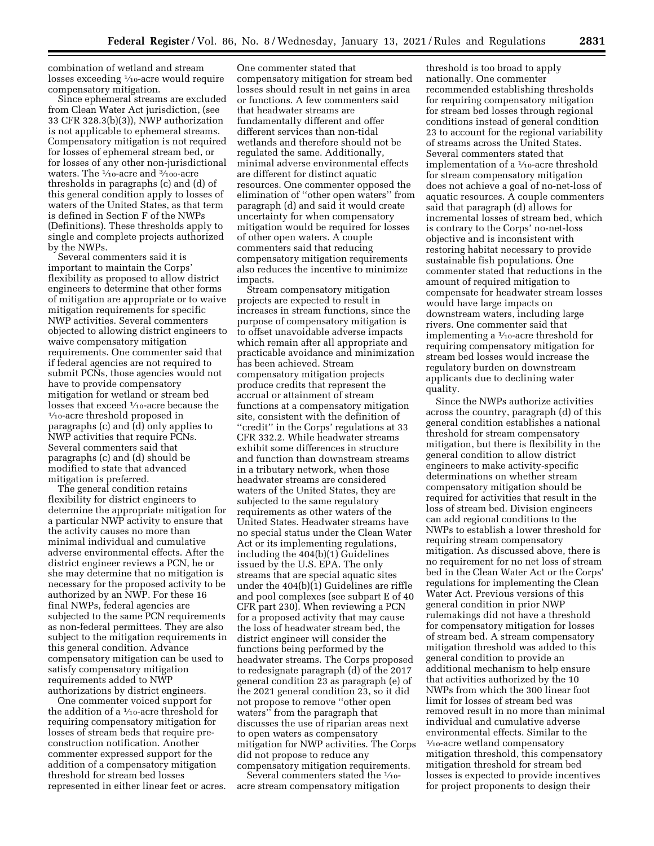combination of wetland and stream losses exceeding 1⁄10-acre would require compensatory mitigation.

Since ephemeral streams are excluded from Clean Water Act jurisdiction, (see 33 CFR 328.3(b)(3)), NWP authorization is not applicable to ephemeral streams. Compensatory mitigation is not required for losses of ephemeral stream bed, or for losses of any other non-jurisdictional waters. The  $\frac{1}{10}$ -acre and  $\frac{3}{100}$ -acre thresholds in paragraphs (c) and (d) of this general condition apply to losses of waters of the United States, as that term is defined in Section F of the NWPs (Definitions). These thresholds apply to single and complete projects authorized by the NWPs.

Several commenters said it is important to maintain the Corps' flexibility as proposed to allow district engineers to determine that other forms of mitigation are appropriate or to waive mitigation requirements for specific NWP activities. Several commenters objected to allowing district engineers to waive compensatory mitigation requirements. One commenter said that if federal agencies are not required to submit PCNs, those agencies would not have to provide compensatory mitigation for wetland or stream bed losses that exceed <sup>1</sup>/10-acre because the <sup>1</sup>/<sub>10</sub>-acre threshold proposed in paragraphs (c) and (d) only applies to NWP activities that require PCNs. Several commenters said that paragraphs (c) and (d) should be modified to state that advanced mitigation is preferred.

The general condition retains flexibility for district engineers to determine the appropriate mitigation for a particular NWP activity to ensure that the activity causes no more than minimal individual and cumulative adverse environmental effects. After the district engineer reviews a PCN, he or she may determine that no mitigation is necessary for the proposed activity to be authorized by an NWP. For these 16 final NWPs, federal agencies are subjected to the same PCN requirements as non-federal permittees. They are also subject to the mitigation requirements in this general condition. Advance compensatory mitigation can be used to satisfy compensatory mitigation requirements added to NWP authorizations by district engineers.

One commenter voiced support for the addition of a 1⁄10-acre threshold for requiring compensatory mitigation for losses of stream beds that require preconstruction notification. Another commenter expressed support for the addition of a compensatory mitigation threshold for stream bed losses represented in either linear feet or acres.

One commenter stated that compensatory mitigation for stream bed losses should result in net gains in area or functions. A few commenters said that headwater streams are fundamentally different and offer different services than non-tidal wetlands and therefore should not be regulated the same. Additionally, minimal adverse environmental effects are different for distinct aquatic resources. One commenter opposed the elimination of ''other open waters'' from paragraph (d) and said it would create uncertainty for when compensatory mitigation would be required for losses of other open waters. A couple commenters said that reducing compensatory mitigation requirements also reduces the incentive to minimize impacts.

Stream compensatory mitigation projects are expected to result in increases in stream functions, since the purpose of compensatory mitigation is to offset unavoidable adverse impacts which remain after all appropriate and practicable avoidance and minimization has been achieved. Stream compensatory mitigation projects produce credits that represent the accrual or attainment of stream functions at a compensatory mitigation site, consistent with the definition of "credit" in the Corps' regulations at 33 CFR 332.2. While headwater streams exhibit some differences in structure and function than downstream streams in a tributary network, when those headwater streams are considered waters of the United States, they are subjected to the same regulatory requirements as other waters of the United States. Headwater streams have no special status under the Clean Water Act or its implementing regulations, including the 404(b)(1) Guidelines issued by the U.S. EPA. The only streams that are special aquatic sites under the 404(b)(1) Guidelines are riffle and pool complexes (see subpart E of 40 CFR part 230). When reviewing a PCN for a proposed activity that may cause the loss of headwater stream bed, the district engineer will consider the functions being performed by the headwater streams. The Corps proposed to redesignate paragraph (d) of the 2017 general condition 23 as paragraph (e) of the 2021 general condition 23, so it did not propose to remove ''other open waters'' from the paragraph that discusses the use of riparian areas next to open waters as compensatory mitigation for NWP activities. The Corps did not propose to reduce any compensatory mitigation requirements.

Several commenters stated the  $\frac{1}{10}$ acre stream compensatory mitigation

threshold is too broad to apply nationally. One commenter recommended establishing thresholds for requiring compensatory mitigation for stream bed losses through regional conditions instead of general condition 23 to account for the regional variability of streams across the United States. Several commenters stated that implementation of a 1⁄10-acre threshold for stream compensatory mitigation does not achieve a goal of no-net-loss of aquatic resources. A couple commenters said that paragraph (d) allows for incremental losses of stream bed, which is contrary to the Corps' no-net-loss objective and is inconsistent with restoring habitat necessary to provide sustainable fish populations. One commenter stated that reductions in the amount of required mitigation to compensate for headwater stream losses would have large impacts on downstream waters, including large rivers. One commenter said that implementing a 1⁄10-acre threshold for requiring compensatory mitigation for stream bed losses would increase the regulatory burden on downstream applicants due to declining water quality.

Since the NWPs authorize activities across the country, paragraph (d) of this general condition establishes a national threshold for stream compensatory mitigation, but there is flexibility in the general condition to allow district engineers to make activity-specific determinations on whether stream compensatory mitigation should be required for activities that result in the loss of stream bed. Division engineers can add regional conditions to the NWPs to establish a lower threshold for requiring stream compensatory mitigation. As discussed above, there is no requirement for no net loss of stream bed in the Clean Water Act or the Corps' regulations for implementing the Clean Water Act. Previous versions of this general condition in prior NWP rulemakings did not have a threshold for compensatory mitigation for losses of stream bed. A stream compensatory mitigation threshold was added to this general condition to provide an additional mechanism to help ensure that activities authorized by the 10 NWPs from which the 300 linear foot limit for losses of stream bed was removed result in no more than minimal individual and cumulative adverse environmental effects. Similar to the 1⁄10-acre wetland compensatory mitigation threshold, this compensatory mitigation threshold for stream bed losses is expected to provide incentives for project proponents to design their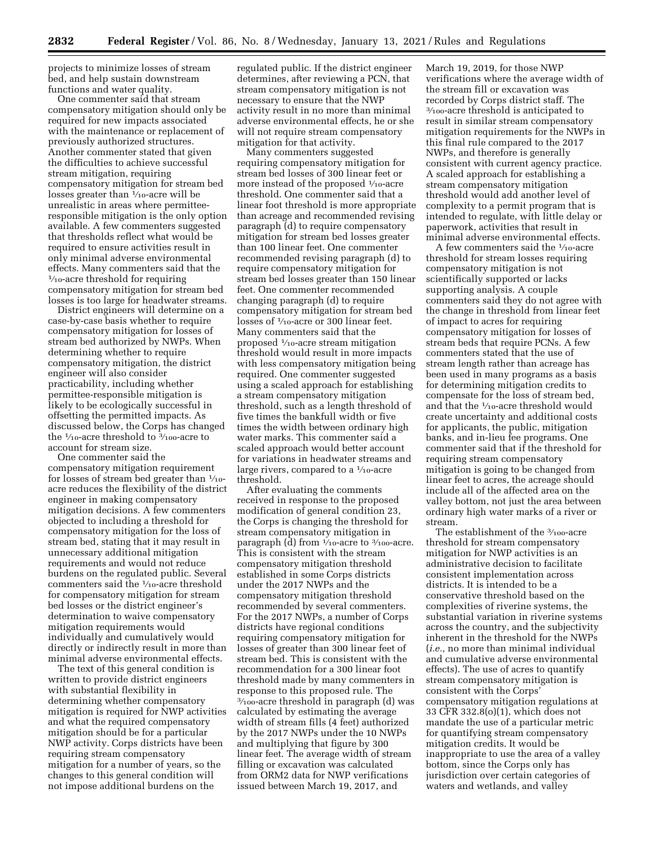projects to minimize losses of stream bed, and help sustain downstream functions and water quality.

One commenter said that stream compensatory mitigation should only be required for new impacts associated with the maintenance or replacement of previously authorized structures. Another commenter stated that given the difficulties to achieve successful stream mitigation, requiring compensatory mitigation for stream bed losses greater than  $\frac{1}{10}$ -acre will be unrealistic in areas where permitteeresponsible mitigation is the only option available. A few commenters suggested that thresholds reflect what would be required to ensure activities result in only minimal adverse environmental effects. Many commenters said that the  $\frac{1}{10}$ -acre threshold for requiring compensatory mitigation for stream bed losses is too large for headwater streams.

District engineers will determine on a case-by-case basis whether to require compensatory mitigation for losses of stream bed authorized by NWPs. When determining whether to require compensatory mitigation, the district engineer will also consider practicability, including whether permittee-responsible mitigation is likely to be ecologically successful in offsetting the permitted impacts. As discussed below, the Corps has changed the 1⁄10-acre threshold to 3⁄100-acre to account for stream size.

One commenter said the compensatory mitigation requirement for losses of stream bed greater than  $\frac{1}{10}$ acre reduces the flexibility of the district engineer in making compensatory mitigation decisions. A few commenters objected to including a threshold for compensatory mitigation for the loss of stream bed, stating that it may result in unnecessary additional mitigation requirements and would not reduce burdens on the regulated public. Several commenters said the 1/10-acre threshold for compensatory mitigation for stream bed losses or the district engineer's determination to waive compensatory mitigation requirements would individually and cumulatively would directly or indirectly result in more than minimal adverse environmental effects.

The text of this general condition is written to provide district engineers with substantial flexibility in determining whether compensatory mitigation is required for NWP activities and what the required compensatory mitigation should be for a particular NWP activity. Corps districts have been requiring stream compensatory mitigation for a number of years, so the changes to this general condition will not impose additional burdens on the

regulated public. If the district engineer determines, after reviewing a PCN, that stream compensatory mitigation is not necessary to ensure that the NWP activity result in no more than minimal adverse environmental effects, he or she will not require stream compensatory mitigation for that activity.

Many commenters suggested requiring compensatory mitigation for stream bed losses of 300 linear feet or more instead of the proposed  $\frac{1}{10}$ -acre threshold. One commenter said that a linear foot threshold is more appropriate than acreage and recommended revising paragraph (d) to require compensatory mitigation for stream bed losses greater than 100 linear feet. One commenter recommended revising paragraph (d) to require compensatory mitigation for stream bed losses greater than 150 linear feet. One commenter recommended changing paragraph (d) to require compensatory mitigation for stream bed losses of  $\frac{1}{10}$ -acre or 300 linear feet. Many commenters said that the proposed 1⁄10-acre stream mitigation threshold would result in more impacts with less compensatory mitigation being required. One commenter suggested using a scaled approach for establishing a stream compensatory mitigation threshold, such as a length threshold of five times the bankfull width or five times the width between ordinary high water marks. This commenter said a scaled approach would better account for variations in headwater streams and large rivers, compared to a  $\frac{1}{10}$ -acre threshold.

After evaluating the comments received in response to the proposed modification of general condition 23, the Corps is changing the threshold for stream compensatory mitigation in paragraph (d) from  $\frac{1}{10}$ -acre to  $\frac{3}{100}$ -acre. This is consistent with the stream compensatory mitigation threshold established in some Corps districts under the 2017 NWPs and the compensatory mitigation threshold recommended by several commenters. For the 2017 NWPs, a number of Corps districts have regional conditions requiring compensatory mitigation for losses of greater than 300 linear feet of stream bed. This is consistent with the recommendation for a 300 linear foot threshold made by many commenters in response to this proposed rule. The 3⁄100-acre threshold in paragraph (d) was calculated by estimating the average width of stream fills (4 feet) authorized by the 2017 NWPs under the 10 NWPs and multiplying that figure by 300 linear feet. The average width of stream filling or excavation was calculated from ORM2 data for NWP verifications issued between March 19, 2017, and

March 19, 2019, for those NWP verifications where the average width of the stream fill or excavation was recorded by Corps district staff. The 3⁄100-acre threshold is anticipated to result in similar stream compensatory mitigation requirements for the NWPs in this final rule compared to the 2017 NWPs, and therefore is generally consistent with current agency practice. A scaled approach for establishing a stream compensatory mitigation threshold would add another level of complexity to a permit program that is intended to regulate, with little delay or paperwork, activities that result in minimal adverse environmental effects.

A few commenters said the 1⁄10-acre threshold for stream losses requiring compensatory mitigation is not scientifically supported or lacks supporting analysis. A couple commenters said they do not agree with the change in threshold from linear feet of impact to acres for requiring compensatory mitigation for losses of stream beds that require PCNs. A few commenters stated that the use of stream length rather than acreage has been used in many programs as a basis for determining mitigation credits to compensate for the loss of stream bed, and that the 1⁄10-acre threshold would create uncertainty and additional costs for applicants, the public, mitigation banks, and in-lieu fee programs. One commenter said that if the threshold for requiring stream compensatory mitigation is going to be changed from linear feet to acres, the acreage should include all of the affected area on the valley bottom, not just the area between ordinary high water marks of a river or stream.

The establishment of the 3/100-acre threshold for stream compensatory mitigation for NWP activities is an administrative decision to facilitate consistent implementation across districts. It is intended to be a conservative threshold based on the complexities of riverine systems, the substantial variation in riverine systems across the country, and the subjectivity inherent in the threshold for the NWPs (*i.e.,* no more than minimal individual and cumulative adverse environmental effects). The use of acres to quantify stream compensatory mitigation is consistent with the Corps' compensatory mitigation regulations at 33 CFR 332.8(o)(1), which does not mandate the use of a particular metric for quantifying stream compensatory mitigation credits. It would be inappropriate to use the area of a valley bottom, since the Corps only has jurisdiction over certain categories of waters and wetlands, and valley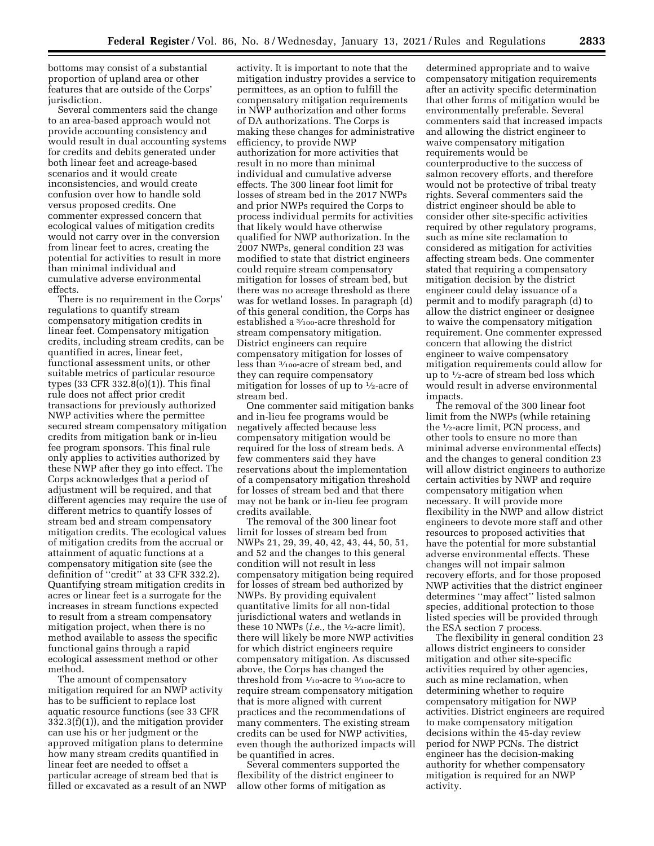bottoms may consist of a substantial proportion of upland area or other features that are outside of the Corps' jurisdiction.

Several commenters said the change to an area-based approach would not provide accounting consistency and would result in dual accounting systems for credits and debits generated under both linear feet and acreage-based scenarios and it would create inconsistencies, and would create confusion over how to handle sold versus proposed credits. One commenter expressed concern that ecological values of mitigation credits would not carry over in the conversion from linear feet to acres, creating the potential for activities to result in more than minimal individual and cumulative adverse environmental effects.

There is no requirement in the Corps' regulations to quantify stream compensatory mitigation credits in linear feet. Compensatory mitigation credits, including stream credits, can be quantified in acres, linear feet, functional assessment units, or other suitable metrics of particular resource types (33 CFR 332.8 $(o)(1)$ ). This final rule does not affect prior credit transactions for previously authorized NWP activities where the permittee secured stream compensatory mitigation credits from mitigation bank or in-lieu fee program sponsors. This final rule only applies to activities authorized by these NWP after they go into effect. The Corps acknowledges that a period of adjustment will be required, and that different agencies may require the use of different metrics to quantify losses of stream bed and stream compensatory mitigation credits. The ecological values of mitigation credits from the accrual or attainment of aquatic functions at a compensatory mitigation site (see the definition of ''credit'' at 33 CFR 332.2). Quantifying stream mitigation credits in acres or linear feet is a surrogate for the increases in stream functions expected to result from a stream compensatory mitigation project, when there is no method available to assess the specific functional gains through a rapid ecological assessment method or other method.

The amount of compensatory mitigation required for an NWP activity has to be sufficient to replace lost aquatic resource functions (see 33 CFR 332.3(f)(1)), and the mitigation provider can use his or her judgment or the approved mitigation plans to determine how many stream credits quantified in linear feet are needed to offset a particular acreage of stream bed that is filled or excavated as a result of an NWP

activity. It is important to note that the mitigation industry provides a service to permittees, as an option to fulfill the compensatory mitigation requirements in NWP authorization and other forms of DA authorizations. The Corps is making these changes for administrative efficiency, to provide NWP authorization for more activities that result in no more than minimal individual and cumulative adverse effects. The 300 linear foot limit for losses of stream bed in the 2017 NWPs and prior NWPs required the Corps to process individual permits for activities that likely would have otherwise qualified for NWP authorization. In the 2007 NWPs, general condition 23 was modified to state that district engineers could require stream compensatory mitigation for losses of stream bed, but there was no acreage threshold as there was for wetland losses. In paragraph (d) of this general condition, the Corps has established a 3⁄100-acre threshold for stream compensatory mitigation. District engineers can require compensatory mitigation for losses of less than 3⁄100-acre of stream bed, and they can require compensatory mitigation for losses of up to 1⁄2-acre of stream bed.

One commenter said mitigation banks and in-lieu fee programs would be negatively affected because less compensatory mitigation would be required for the loss of stream beds. A few commenters said they have reservations about the implementation of a compensatory mitigation threshold for losses of stream bed and that there may not be bank or in-lieu fee program credits available.

The removal of the 300 linear foot limit for losses of stream bed from NWPs 21, 29, 39, 40, 42, 43, 44, 50, 51, and 52 and the changes to this general condition will not result in less compensatory mitigation being required for losses of stream bed authorized by NWPs. By providing equivalent quantitative limits for all non-tidal jurisdictional waters and wetlands in these 10 NWPs (*i.e.,* the 1⁄2-acre limit), there will likely be more NWP activities for which district engineers require compensatory mitigation. As discussed above, the Corps has changed the threshold from  $\frac{1}{10}$ -acre to  $\frac{3}{100}$ -acre to require stream compensatory mitigation that is more aligned with current practices and the recommendations of many commenters. The existing stream credits can be used for NWP activities, even though the authorized impacts will be quantified in acres.

Several commenters supported the flexibility of the district engineer to allow other forms of mitigation as

determined appropriate and to waive compensatory mitigation requirements after an activity specific determination that other forms of mitigation would be environmentally preferable. Several commenters said that increased impacts and allowing the district engineer to waive compensatory mitigation requirements would be counterproductive to the success of salmon recovery efforts, and therefore would not be protective of tribal treaty rights. Several commenters said the district engineer should be able to consider other site-specific activities required by other regulatory programs, such as mine site reclamation to considered as mitigation for activities affecting stream beds. One commenter stated that requiring a compensatory mitigation decision by the district engineer could delay issuance of a permit and to modify paragraph (d) to allow the district engineer or designee to waive the compensatory mitigation requirement. One commenter expressed concern that allowing the district engineer to waive compensatory mitigation requirements could allow for up to 1⁄2-acre of stream bed loss which would result in adverse environmental impacts.

The removal of the 300 linear foot limit from the NWPs (while retaining the 1⁄2-acre limit, PCN process, and other tools to ensure no more than minimal adverse environmental effects) and the changes to general condition 23 will allow district engineers to authorize certain activities by NWP and require compensatory mitigation when necessary. It will provide more flexibility in the NWP and allow district engineers to devote more staff and other resources to proposed activities that have the potential for more substantial adverse environmental effects. These changes will not impair salmon recovery efforts, and for those proposed NWP activities that the district engineer determines ''may affect'' listed salmon species, additional protection to those listed species will be provided through the ESA section 7 process.

The flexibility in general condition 23 allows district engineers to consider mitigation and other site-specific activities required by other agencies, such as mine reclamation, when determining whether to require compensatory mitigation for NWP activities. District engineers are required to make compensatory mitigation decisions within the 45-day review period for NWP PCNs. The district engineer has the decision-making authority for whether compensatory mitigation is required for an NWP activity.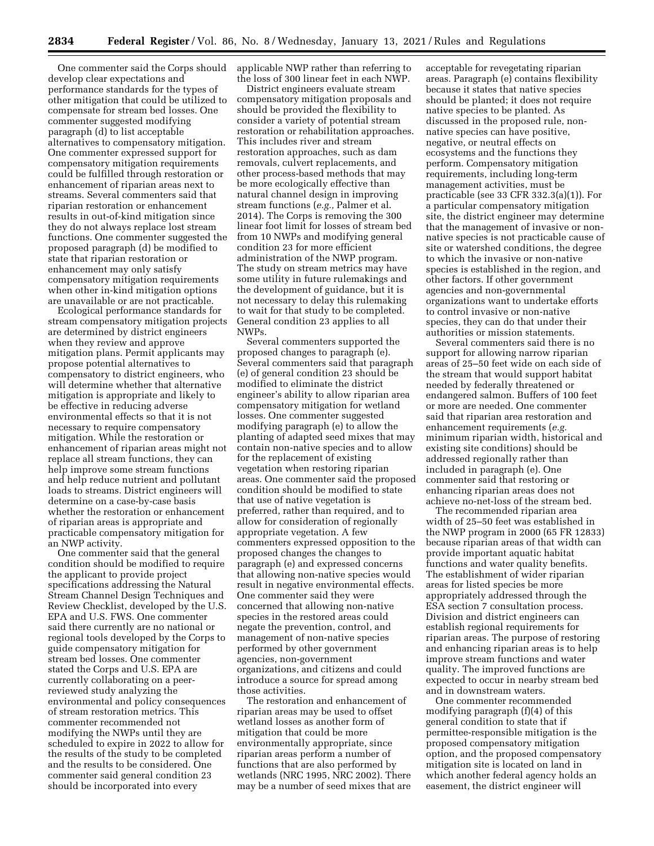One commenter said the Corps should develop clear expectations and performance standards for the types of other mitigation that could be utilized to compensate for stream bed losses. One commenter suggested modifying paragraph (d) to list acceptable alternatives to compensatory mitigation. One commenter expressed support for compensatory mitigation requirements could be fulfilled through restoration or enhancement of riparian areas next to streams. Several commenters said that riparian restoration or enhancement results in out-of-kind mitigation since they do not always replace lost stream functions. One commenter suggested the proposed paragraph (d) be modified to state that riparian restoration or enhancement may only satisfy compensatory mitigation requirements when other in-kind mitigation options are unavailable or are not practicable.

Ecological performance standards for stream compensatory mitigation projects are determined by district engineers when they review and approve mitigation plans. Permit applicants may propose potential alternatives to compensatory to district engineers, who will determine whether that alternative mitigation is appropriate and likely to be effective in reducing adverse environmental effects so that it is not necessary to require compensatory mitigation. While the restoration or enhancement of riparian areas might not replace all stream functions, they can help improve some stream functions and help reduce nutrient and pollutant loads to streams. District engineers will determine on a case-by-case basis whether the restoration or enhancement of riparian areas is appropriate and practicable compensatory mitigation for an NWP activity.

One commenter said that the general condition should be modified to require the applicant to provide project specifications addressing the Natural Stream Channel Design Techniques and Review Checklist, developed by the U.S. EPA and U.S. FWS. One commenter said there currently are no national or regional tools developed by the Corps to guide compensatory mitigation for stream bed losses. One commenter stated the Corps and U.S. EPA are currently collaborating on a peerreviewed study analyzing the environmental and policy consequences of stream restoration metrics. This commenter recommended not modifying the NWPs until they are scheduled to expire in 2022 to allow for the results of the study to be completed and the results to be considered. One commenter said general condition 23 should be incorporated into every

applicable NWP rather than referring to the loss of 300 linear feet in each NWP.

District engineers evaluate stream compensatory mitigation proposals and should be provided the flexibility to consider a variety of potential stream restoration or rehabilitation approaches. This includes river and stream restoration approaches, such as dam removals, culvert replacements, and other process-based methods that may be more ecologically effective than natural channel design in improving stream functions (*e.g.,* Palmer et al. 2014). The Corps is removing the 300 linear foot limit for losses of stream bed from 10 NWPs and modifying general condition 23 for more efficient administration of the NWP program. The study on stream metrics may have some utility in future rulemakings and the development of guidance, but it is not necessary to delay this rulemaking to wait for that study to be completed. General condition 23 applies to all NWPs.

Several commenters supported the proposed changes to paragraph (e). Several commenters said that paragraph (e) of general condition 23 should be modified to eliminate the district engineer's ability to allow riparian area compensatory mitigation for wetland losses. One commenter suggested modifying paragraph (e) to allow the planting of adapted seed mixes that may contain non-native species and to allow for the replacement of existing vegetation when restoring riparian areas. One commenter said the proposed condition should be modified to state that use of native vegetation is preferred, rather than required, and to allow for consideration of regionally appropriate vegetation. A few commenters expressed opposition to the proposed changes the changes to paragraph (e) and expressed concerns that allowing non-native species would result in negative environmental effects. One commenter said they were concerned that allowing non-native species in the restored areas could negate the prevention, control, and management of non-native species performed by other government agencies, non-government organizations, and citizens and could introduce a source for spread among those activities.

The restoration and enhancement of riparian areas may be used to offset wetland losses as another form of mitigation that could be more environmentally appropriate, since riparian areas perform a number of functions that are also performed by wetlands (NRC 1995, NRC 2002). There may be a number of seed mixes that are acceptable for revegetating riparian areas. Paragraph (e) contains flexibility because it states that native species should be planted; it does not require native species to be planted. As discussed in the proposed rule, nonnative species can have positive, negative, or neutral effects on ecosystems and the functions they perform. Compensatory mitigation requirements, including long-term management activities, must be practicable (see 33 CFR 332.3(a)(1)). For a particular compensatory mitigation site, the district engineer may determine that the management of invasive or nonnative species is not practicable cause of site or watershed conditions, the degree to which the invasive or non-native species is established in the region, and other factors. If other government agencies and non-governmental organizations want to undertake efforts to control invasive or non-native species, they can do that under their authorities or mission statements.

Several commenters said there is no support for allowing narrow riparian areas of 25–50 feet wide on each side of the stream that would support habitat needed by federally threatened or endangered salmon. Buffers of 100 feet or more are needed. One commenter said that riparian area restoration and enhancement requirements (*e.g.*  minimum riparian width, historical and existing site conditions) should be addressed regionally rather than included in paragraph (e). One commenter said that restoring or enhancing riparian areas does not achieve no-net-loss of the stream bed.

The recommended riparian area width of 25–50 feet was established in the NWP program in 2000 (65 FR 12833) because riparian areas of that width can provide important aquatic habitat functions and water quality benefits. The establishment of wider riparian areas for listed species be more appropriately addressed through the ESA section 7 consultation process. Division and district engineers can establish regional requirements for riparian areas. The purpose of restoring and enhancing riparian areas is to help improve stream functions and water quality. The improved functions are expected to occur in nearby stream bed and in downstream waters.

One commenter recommended modifying paragraph (f)(4) of this general condition to state that if permittee-responsible mitigation is the proposed compensatory mitigation option, and the proposed compensatory mitigation site is located on land in which another federal agency holds an easement, the district engineer will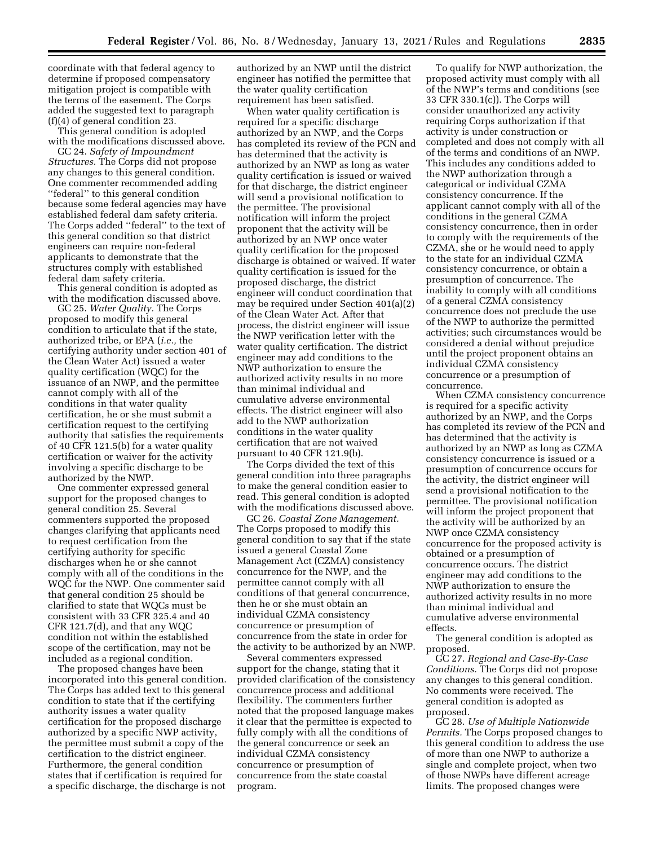coordinate with that federal agency to determine if proposed compensatory mitigation project is compatible with the terms of the easement. The Corps added the suggested text to paragraph (f)(4) of general condition 23.

This general condition is adopted with the modifications discussed above.

GC 24. *Safety of Impoundment Structures.* The Corps did not propose any changes to this general condition. One commenter recommended adding ''federal'' to this general condition because some federal agencies may have established federal dam safety criteria. The Corps added ''federal'' to the text of this general condition so that district engineers can require non-federal applicants to demonstrate that the structures comply with established federal dam safety criteria.

This general condition is adopted as with the modification discussed above.

GC 25. *Water Quality.* The Corps proposed to modify this general condition to articulate that if the state, authorized tribe, or EPA (*i.e.,* the certifying authority under section 401 of the Clean Water Act) issued a water quality certification (WQC) for the issuance of an NWP, and the permittee cannot comply with all of the conditions in that water quality certification, he or she must submit a certification request to the certifying authority that satisfies the requirements of 40 CFR 121.5(b) for a water quality certification or waiver for the activity involving a specific discharge to be authorized by the NWP.

One commenter expressed general support for the proposed changes to general condition 25. Several commenters supported the proposed changes clarifying that applicants need to request certification from the certifying authority for specific discharges when he or she cannot comply with all of the conditions in the WQC for the NWP. One commenter said that general condition 25 should be clarified to state that WQCs must be consistent with 33 CFR 325.4 and 40 CFR 121.7(d), and that any WQC condition not within the established scope of the certification, may not be included as a regional condition.

The proposed changes have been incorporated into this general condition. The Corps has added text to this general condition to state that if the certifying authority issues a water quality certification for the proposed discharge authorized by a specific NWP activity, the permittee must submit a copy of the certification to the district engineer. Furthermore, the general condition states that if certification is required for a specific discharge, the discharge is not

authorized by an NWP until the district engineer has notified the permittee that the water quality certification requirement has been satisfied.

When water quality certification is required for a specific discharge authorized by an NWP, and the Corps has completed its review of the PCN and has determined that the activity is authorized by an NWP as long as water quality certification is issued or waived for that discharge, the district engineer will send a provisional notification to the permittee. The provisional notification will inform the project proponent that the activity will be authorized by an NWP once water quality certification for the proposed discharge is obtained or waived. If water quality certification is issued for the proposed discharge, the district engineer will conduct coordination that may be required under Section 401(a)(2) of the Clean Water Act. After that process, the district engineer will issue the NWP verification letter with the water quality certification. The district engineer may add conditions to the NWP authorization to ensure the authorized activity results in no more than minimal individual and cumulative adverse environmental effects. The district engineer will also add to the NWP authorization conditions in the water quality certification that are not waived pursuant to 40 CFR 121.9(b).

The Corps divided the text of this general condition into three paragraphs to make the general condition easier to read. This general condition is adopted with the modifications discussed above.

GC 26. *Coastal Zone Management.*  The Corps proposed to modify this general condition to say that if the state issued a general Coastal Zone Management Act (CZMA) consistency concurrence for the NWP, and the permittee cannot comply with all conditions of that general concurrence, then he or she must obtain an individual CZMA consistency concurrence or presumption of concurrence from the state in order for the activity to be authorized by an NWP.

Several commenters expressed support for the change, stating that it provided clarification of the consistency concurrence process and additional flexibility. The commenters further noted that the proposed language makes it clear that the permittee is expected to fully comply with all the conditions of the general concurrence or seek an individual CZMA consistency concurrence or presumption of concurrence from the state coastal program.

To qualify for NWP authorization, the proposed activity must comply with all of the NWP's terms and conditions (see 33 CFR 330.1(c)). The Corps will consider unauthorized any activity requiring Corps authorization if that activity is under construction or completed and does not comply with all of the terms and conditions of an NWP. This includes any conditions added to the NWP authorization through a categorical or individual CZMA consistency concurrence. If the applicant cannot comply with all of the conditions in the general CZMA consistency concurrence, then in order to comply with the requirements of the CZMA, she or he would need to apply to the state for an individual CZMA consistency concurrence, or obtain a presumption of concurrence. The inability to comply with all conditions of a general CZMA consistency concurrence does not preclude the use of the NWP to authorize the permitted activities; such circumstances would be considered a denial without prejudice until the project proponent obtains an individual CZMA consistency concurrence or a presumption of concurrence.

When CZMA consistency concurrence is required for a specific activity authorized by an NWP, and the Corps has completed its review of the PCN and has determined that the activity is authorized by an NWP as long as CZMA consistency concurrence is issued or a presumption of concurrence occurs for the activity, the district engineer will send a provisional notification to the permittee. The provisional notification will inform the project proponent that the activity will be authorized by an NWP once CZMA consistency concurrence for the proposed activity is obtained or a presumption of concurrence occurs. The district engineer may add conditions to the NWP authorization to ensure the authorized activity results in no more than minimal individual and cumulative adverse environmental effects.

The general condition is adopted as proposed.

GC 27. *Regional and Case-By-Case Conditions.* The Corps did not propose any changes to this general condition. No comments were received. The general condition is adopted as proposed.

GC 28. *Use of Multiple Nationwide Permits.* The Corps proposed changes to this general condition to address the use of more than one NWP to authorize a single and complete project, when two of those NWPs have different acreage limits. The proposed changes were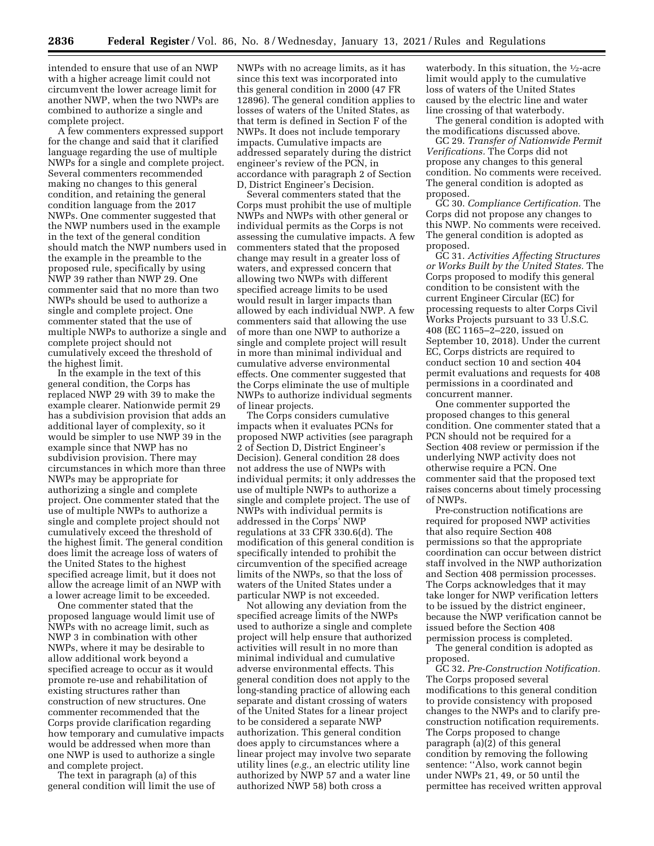intended to ensure that use of an NWP with a higher acreage limit could not circumvent the lower acreage limit for another NWP, when the two NWPs are combined to authorize a single and complete project.

A few commenters expressed support for the change and said that it clarified language regarding the use of multiple NWPs for a single and complete project. Several commenters recommended making no changes to this general condition, and retaining the general condition language from the 2017 NWPs. One commenter suggested that the NWP numbers used in the example in the text of the general condition should match the NWP numbers used in the example in the preamble to the proposed rule, specifically by using NWP 39 rather than NWP 29. One commenter said that no more than two NWPs should be used to authorize a single and complete project. One commenter stated that the use of multiple NWPs to authorize a single and complete project should not cumulatively exceed the threshold of the highest limit.

In the example in the text of this general condition, the Corps has replaced NWP 29 with 39 to make the example clearer. Nationwide permit 29 has a subdivision provision that adds an additional layer of complexity, so it would be simpler to use NWP 39 in the example since that NWP has no subdivision provision. There may circumstances in which more than three NWPs may be appropriate for authorizing a single and complete project. One commenter stated that the use of multiple NWPs to authorize a single and complete project should not cumulatively exceed the threshold of the highest limit. The general condition does limit the acreage loss of waters of the United States to the highest specified acreage limit, but it does not allow the acreage limit of an NWP with a lower acreage limit to be exceeded.

One commenter stated that the proposed language would limit use of NWPs with no acreage limit, such as NWP 3 in combination with other NWPs, where it may be desirable to allow additional work beyond a specified acreage to occur as it would promote re-use and rehabilitation of existing structures rather than construction of new structures. One commenter recommended that the Corps provide clarification regarding how temporary and cumulative impacts would be addressed when more than one NWP is used to authorize a single and complete project.

The text in paragraph (a) of this general condition will limit the use of NWPs with no acreage limits, as it has since this text was incorporated into this general condition in 2000 (47 FR 12896). The general condition applies to losses of waters of the United States, as that term is defined in Section F of the NWPs. It does not include temporary impacts. Cumulative impacts are addressed separately during the district engineer's review of the PCN, in accordance with paragraph 2 of Section D, District Engineer's Decision.

Several commenters stated that the Corps must prohibit the use of multiple NWPs and NWPs with other general or individual permits as the Corps is not assessing the cumulative impacts. A few commenters stated that the proposed change may result in a greater loss of waters, and expressed concern that allowing two NWPs with different specified acreage limits to be used would result in larger impacts than allowed by each individual NWP. A few commenters said that allowing the use of more than one NWP to authorize a single and complete project will result in more than minimal individual and cumulative adverse environmental effects. One commenter suggested that the Corps eliminate the use of multiple NWPs to authorize individual segments of linear projects.

The Corps considers cumulative impacts when it evaluates PCNs for proposed NWP activities (see paragraph 2 of Section D, District Engineer's Decision). General condition 28 does not address the use of NWPs with individual permits; it only addresses the use of multiple NWPs to authorize a single and complete project. The use of NWPs with individual permits is addressed in the Corps' NWP regulations at 33 CFR 330.6(d). The modification of this general condition is specifically intended to prohibit the circumvention of the specified acreage limits of the NWPs, so that the loss of waters of the United States under a particular NWP is not exceeded.

Not allowing any deviation from the specified acreage limits of the NWPs used to authorize a single and complete project will help ensure that authorized activities will result in no more than minimal individual and cumulative adverse environmental effects. This general condition does not apply to the long-standing practice of allowing each separate and distant crossing of waters of the United States for a linear project to be considered a separate NWP authorization. This general condition does apply to circumstances where a linear project may involve two separate utility lines (*e.g.,* an electric utility line authorized by NWP 57 and a water line authorized NWP 58) both cross a

waterbody. In this situation, the  $\frac{1}{2}$ -acre limit would apply to the cumulative loss of waters of the United States caused by the electric line and water line crossing of that waterbody.

The general condition is adopted with the modifications discussed above.

GC 29. *Transfer of Nationwide Permit Verifications.* The Corps did not propose any changes to this general condition. No comments were received. The general condition is adopted as proposed.

GC 30. *Compliance Certification.* The Corps did not propose any changes to this NWP. No comments were received. The general condition is adopted as proposed.

GC 31. *Activities Affecting Structures or Works Built by the United States.* The Corps proposed to modify this general condition to be consistent with the current Engineer Circular (EC) for processing requests to alter Corps Civil Works Projects pursuant to 33 U.S.C. 408 (EC 1165–2–220, issued on September 10, 2018). Under the current EC, Corps districts are required to conduct section 10 and section 404 permit evaluations and requests for 408 permissions in a coordinated and concurrent manner.

One commenter supported the proposed changes to this general condition. One commenter stated that a PCN should not be required for a Section 408 review or permission if the underlying NWP activity does not otherwise require a PCN. One commenter said that the proposed text raises concerns about timely processing of NWPs.

Pre-construction notifications are required for proposed NWP activities that also require Section 408 permissions so that the appropriate coordination can occur between district staff involved in the NWP authorization and Section 408 permission processes. The Corps acknowledges that it may take longer for NWP verification letters to be issued by the district engineer, because the NWP verification cannot be issued before the Section 408 permission process is completed.

The general condition is adopted as proposed.

GC 32. *Pre-Construction Notification.*  The Corps proposed several modifications to this general condition to provide consistency with proposed changes to the NWPs and to clarify preconstruction notification requirements. The Corps proposed to change paragraph (a)(2) of this general condition by removing the following sentence: ''Also, work cannot begin under NWPs 21, 49, or 50 until the permittee has received written approval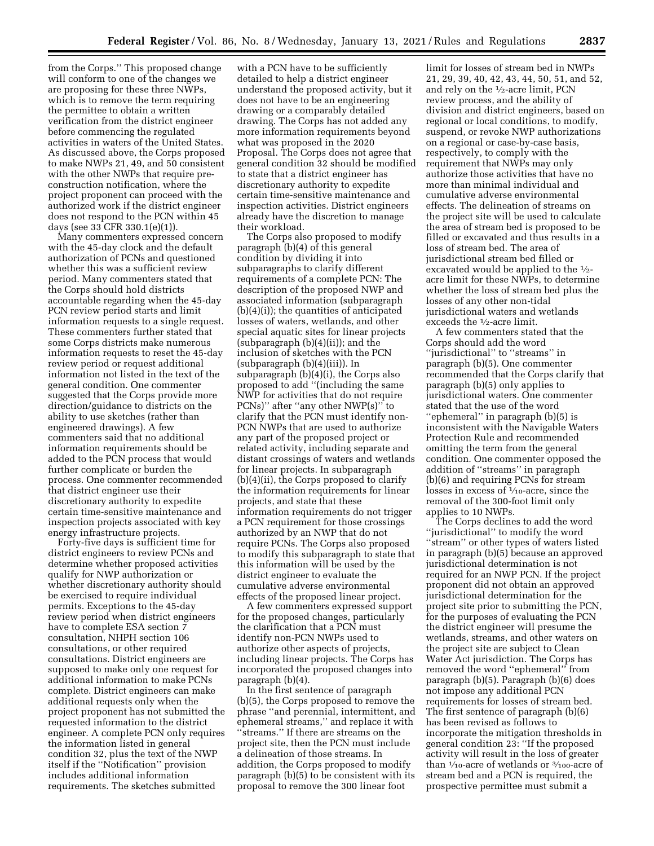from the Corps.'' This proposed change will conform to one of the changes we are proposing for these three NWPs, which is to remove the term requiring the permittee to obtain a written verification from the district engineer before commencing the regulated activities in waters of the United States. As discussed above, the Corps proposed to make NWPs 21, 49, and 50 consistent with the other NWPs that require preconstruction notification, where the project proponent can proceed with the authorized work if the district engineer does not respond to the PCN within 45 days (see 33 CFR 330.1(e)(1)).

Many commenters expressed concern with the 45-day clock and the default authorization of PCNs and questioned whether this was a sufficient review period. Many commenters stated that the Corps should hold districts accountable regarding when the 45-day PCN review period starts and limit information requests to a single request. These commenters further stated that some Corps districts make numerous information requests to reset the 45-day review period or request additional information not listed in the text of the general condition. One commenter suggested that the Corps provide more direction/guidance to districts on the ability to use sketches (rather than engineered drawings). A few commenters said that no additional information requirements should be added to the PCN process that would further complicate or burden the process. One commenter recommended that district engineer use their discretionary authority to expedite certain time-sensitive maintenance and inspection projects associated with key energy infrastructure projects.

Forty-five days is sufficient time for district engineers to review PCNs and determine whether proposed activities qualify for NWP authorization or whether discretionary authority should be exercised to require individual permits. Exceptions to the 45-day review period when district engineers have to complete ESA section 7 consultation, NHPH section 106 consultations, or other required consultations. District engineers are supposed to make only one request for additional information to make PCNs complete. District engineers can make additional requests only when the project proponent has not submitted the requested information to the district engineer. A complete PCN only requires the information listed in general condition 32, plus the text of the NWP itself if the ''Notification'' provision includes additional information requirements. The sketches submitted

with a PCN have to be sufficiently detailed to help a district engineer understand the proposed activity, but it does not have to be an engineering drawing or a comparably detailed drawing. The Corps has not added any more information requirements beyond what was proposed in the 2020 Proposal. The Corps does not agree that general condition 32 should be modified to state that a district engineer has discretionary authority to expedite certain time-sensitive maintenance and inspection activities. District engineers already have the discretion to manage their workload.

The Corps also proposed to modify paragraph (b)(4) of this general condition by dividing it into subparagraphs to clarify different requirements of a complete PCN: The description of the proposed NWP and associated information (subparagraph (b)(4)(i)); the quantities of anticipated losses of waters, wetlands, and other special aquatic sites for linear projects (subparagraph (b)(4)(ii)); and the inclusion of sketches with the PCN (subparagraph (b)(4)(iii)). In subparagraph (b)(4)(i), the Corps also proposed to add ''(including the same NWP for activities that do not require PCNs)'' after ''any other NWP(s)'' to clarify that the PCN must identify non-PCN NWPs that are used to authorize any part of the proposed project or related activity, including separate and distant crossings of waters and wetlands for linear projects. In subparagraph (b)(4)(ii), the Corps proposed to clarify the information requirements for linear projects, and state that these information requirements do not trigger a PCN requirement for those crossings authorized by an NWP that do not require PCNs. The Corps also proposed to modify this subparagraph to state that this information will be used by the district engineer to evaluate the cumulative adverse environmental effects of the proposed linear project.

A few commenters expressed support for the proposed changes, particularly the clarification that a PCN must identify non-PCN NWPs used to authorize other aspects of projects, including linear projects. The Corps has incorporated the proposed changes into paragraph (b)(4).

In the first sentence of paragraph (b)(5), the Corps proposed to remove the phrase ''and perennial, intermittent, and ephemeral streams,'' and replace it with ''streams.'' If there are streams on the project site, then the PCN must include a delineation of those streams. In addition, the Corps proposed to modify paragraph (b)(5) to be consistent with its proposal to remove the 300 linear foot

limit for losses of stream bed in NWPs 21, 29, 39, 40, 42, 43, 44, 50, 51, and 52, and rely on the 1⁄2-acre limit, PCN review process, and the ability of division and district engineers, based on regional or local conditions, to modify, suspend, or revoke NWP authorizations on a regional or case-by-case basis, respectively, to comply with the requirement that NWPs may only authorize those activities that have no more than minimal individual and cumulative adverse environmental effects. The delineation of streams on the project site will be used to calculate the area of stream bed is proposed to be filled or excavated and thus results in a loss of stream bed. The area of jurisdictional stream bed filled or excavated would be applied to the 1⁄2 acre limit for these NWPs, to determine whether the loss of stream bed plus the losses of any other non-tidal jurisdictional waters and wetlands exceeds the 1⁄2-acre limit.

A few commenters stated that the Corps should add the word ''jurisdictional'' to ''streams'' in paragraph (b)(5). One commenter recommended that the Corps clarify that paragraph (b)(5) only applies to jurisdictional waters. One commenter stated that the use of the word ''ephemeral'' in paragraph (b)(5) is inconsistent with the Navigable Waters Protection Rule and recommended omitting the term from the general condition. One commenter opposed the addition of ''streams'' in paragraph (b)(6) and requiring PCNs for stream losses in excess of  $\frac{1}{10}$ -acre, since the removal of the 300-foot limit only applies to 10 NWPs.

The Corps declines to add the word ''jurisdictional'' to modify the word ''stream'' or other types of waters listed in paragraph (b)(5) because an approved jurisdictional determination is not required for an NWP PCN. If the project proponent did not obtain an approved jurisdictional determination for the project site prior to submitting the PCN, for the purposes of evaluating the PCN the district engineer will presume the wetlands, streams, and other waters on the project site are subject to Clean Water Act jurisdiction. The Corps has removed the word ''ephemeral'' from paragraph (b)(5). Paragraph (b)(6) does not impose any additional PCN requirements for losses of stream bed. The first sentence of paragraph (b)(6) has been revised as follows to incorporate the mitigation thresholds in general condition 23: ''If the proposed activity will result in the loss of greater than 1/10-acre of wetlands or 3/100-acre of stream bed and a PCN is required, the prospective permittee must submit a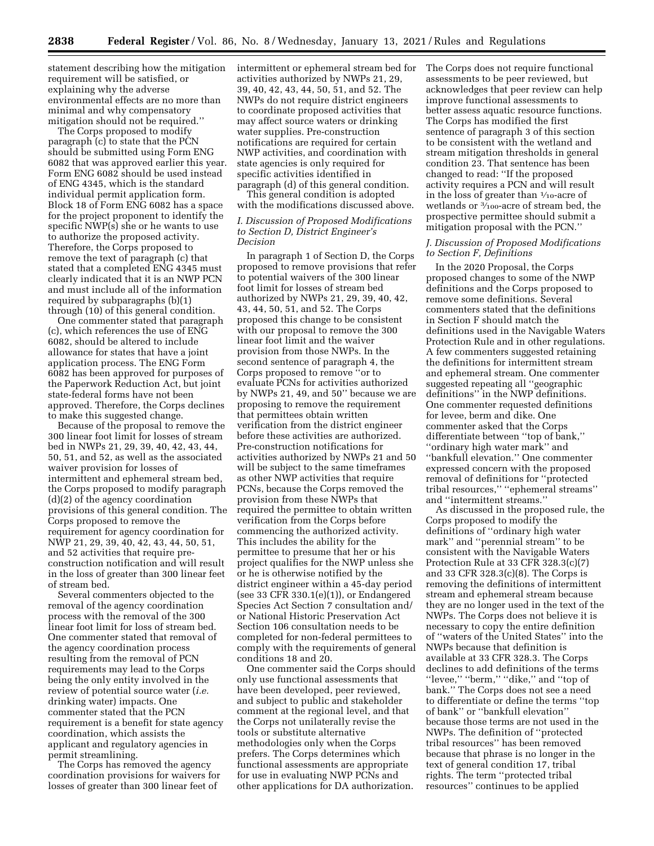statement describing how the mitigation requirement will be satisfied, or explaining why the adverse environmental effects are no more than minimal and why compensatory mitigation should not be required.''

The Corps proposed to modify paragraph (c) to state that the PCN should be submitted using Form ENG 6082 that was approved earlier this year. Form ENG 6082 should be used instead of ENG 4345, which is the standard individual permit application form. Block 18 of Form ENG 6082 has a space for the project proponent to identify the specific NWP(s) she or he wants to use to authorize the proposed activity. Therefore, the Corps proposed to remove the text of paragraph (c) that stated that a completed ENG 4345 must clearly indicated that it is an NWP PCN and must include all of the information required by subparagraphs (b)(1) through (10) of this general condition.

One commenter stated that paragraph (c), which references the use of ENG 6082, should be altered to include allowance for states that have a joint application process. The ENG Form 6082 has been approved for purposes of the Paperwork Reduction Act, but joint state-federal forms have not been approved. Therefore, the Corps declines to make this suggested change.

Because of the proposal to remove the 300 linear foot limit for losses of stream bed in NWPs 21, 29, 39, 40, 42, 43, 44, 50, 51, and 52, as well as the associated waiver provision for losses of intermittent and ephemeral stream bed, the Corps proposed to modify paragraph (d)(2) of the agency coordination provisions of this general condition. The Corps proposed to remove the requirement for agency coordination for NWP 21, 29, 39, 40, 42, 43, 44, 50, 51, and 52 activities that require preconstruction notification and will result in the loss of greater than 300 linear feet of stream bed.

Several commenters objected to the removal of the agency coordination process with the removal of the 300 linear foot limit for loss of stream bed. One commenter stated that removal of the agency coordination process resulting from the removal of PCN requirements may lead to the Corps being the only entity involved in the review of potential source water (*i.e.*  drinking water) impacts. One commenter stated that the PCN requirement is a benefit for state agency coordination, which assists the applicant and regulatory agencies in permit streamlining.

The Corps has removed the agency coordination provisions for waivers for losses of greater than 300 linear feet of

intermittent or ephemeral stream bed for activities authorized by NWPs 21, 29, 39, 40, 42, 43, 44, 50, 51, and 52. The NWPs do not require district engineers to coordinate proposed activities that may affect source waters or drinking water supplies. Pre-construction notifications are required for certain NWP activities, and coordination with state agencies is only required for specific activities identified in paragraph (d) of this general condition.

This general condition is adopted with the modifications discussed above.

# *I. Discussion of Proposed Modifications to Section D, District Engineer's Decision*

In paragraph 1 of Section D, the Corps proposed to remove provisions that refer to potential waivers of the 300 linear foot limit for losses of stream bed authorized by NWPs 21, 29, 39, 40, 42, 43, 44, 50, 51, and 52. The Corps proposed this change to be consistent with our proposal to remove the 300 linear foot limit and the waiver provision from those NWPs. In the second sentence of paragraph 4, the Corps proposed to remove ''or to evaluate PCNs for activities authorized by NWPs 21, 49, and 50'' because we are proposing to remove the requirement that permittees obtain written verification from the district engineer before these activities are authorized. Pre-construction notifications for activities authorized by NWPs 21 and 50 will be subject to the same timeframes as other NWP activities that require PCNs, because the Corps removed the provision from these NWPs that required the permittee to obtain written verification from the Corps before commencing the authorized activity. This includes the ability for the permittee to presume that her or his project qualifies for the NWP unless she or he is otherwise notified by the district engineer within a 45-day period (see 33 CFR 330.1(e)(1)), or Endangered Species Act Section 7 consultation and/ or National Historic Preservation Act Section 106 consultation needs to be completed for non-federal permittees to comply with the requirements of general conditions 18 and 20.

One commenter said the Corps should only use functional assessments that have been developed, peer reviewed, and subject to public and stakeholder comment at the regional level, and that the Corps not unilaterally revise the tools or substitute alternative methodologies only when the Corps prefers. The Corps determines which functional assessments are appropriate for use in evaluating NWP PCNs and other applications for DA authorization.

The Corps does not require functional assessments to be peer reviewed, but acknowledges that peer review can help improve functional assessments to better assess aquatic resource functions. The Corps has modified the first sentence of paragraph 3 of this section to be consistent with the wetland and stream mitigation thresholds in general condition 23. That sentence has been changed to read: ''If the proposed activity requires a PCN and will result in the loss of greater than  $\frac{1}{10}$ -acre of wetlands or 3⁄100-acre of stream bed, the prospective permittee should submit a mitigation proposal with the PCN.''

#### *J. Discussion of Proposed Modifications to Section F, Definitions*

In the 2020 Proposal, the Corps proposed changes to some of the NWP definitions and the Corps proposed to remove some definitions. Several commenters stated that the definitions in Section F should match the definitions used in the Navigable Waters Protection Rule and in other regulations. A few commenters suggested retaining the definitions for intermittent stream and ephemeral stream. One commenter suggested repeating all ''geographic definitions'' in the NWP definitions. One commenter requested definitions for levee, berm and dike. One commenter asked that the Corps differentiate between ''top of bank,'' ''ordinary high water mark'' and ''bankfull elevation.'' One commenter expressed concern with the proposed removal of definitions for ''protected tribal resources,'' ''ephemeral streams'' and ''intermittent streams.''

As discussed in the proposed rule, the Corps proposed to modify the definitions of ''ordinary high water mark'' and ''perennial stream'' to be consistent with the Navigable Waters Protection Rule at 33 CFR 328.3(c)(7) and 33 CFR 328.3(c)(8). The Corps is removing the definitions of intermittent stream and ephemeral stream because they are no longer used in the text of the NWPs. The Corps does not believe it is necessary to copy the entire definition of ''waters of the United States'' into the NWPs because that definition is available at 33 CFR 328.3. The Corps declines to add definitions of the terms ''levee,'' ''berm,'' ''dike,'' and ''top of bank.'' The Corps does not see a need to differentiate or define the terms ''top of bank'' or ''bankfull elevation'' because those terms are not used in the NWPs. The definition of ''protected tribal resources'' has been removed because that phrase is no longer in the text of general condition 17, tribal rights. The term ''protected tribal resources'' continues to be applied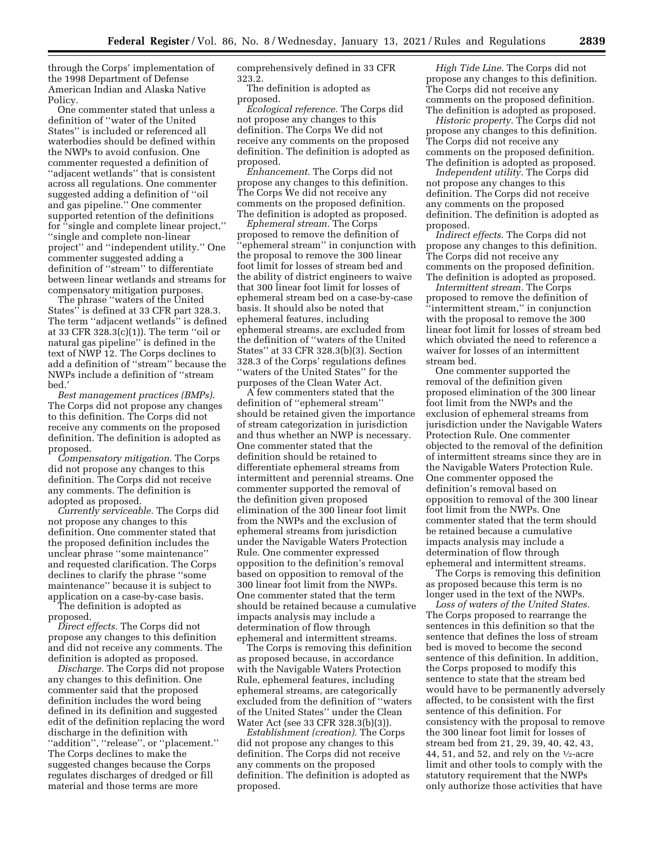through the Corps' implementation of the 1998 Department of Defense American Indian and Alaska Native Policy.

One commenter stated that unless a definition of ''water of the United States'' is included or referenced all waterbodies should be defined within the NWPs to avoid confusion. One commenter requested a definition of ''adjacent wetlands'' that is consistent across all regulations. One commenter suggested adding a definition of ''oil and gas pipeline.'' One commenter supported retention of the definitions for ''single and complete linear project,'' ''single and complete non-linear project'' and ''independent utility.'' One commenter suggested adding a definition of ''stream'' to differentiate between linear wetlands and streams for compensatory mitigation purposes.

The phrase ''waters of the United States'' is defined at 33 CFR part 328.3. The term ''adjacent wetlands'' is defined at 33 CFR 328.3(c)(1)). The term ''oil or natural gas pipeline'' is defined in the text of NWP 12. The Corps declines to add a definition of ''stream'' because the NWPs include a definition of ''stream bed.'

*Best management practices (BMPs).*  The Corps did not propose any changes to this definition. The Corps did not receive any comments on the proposed definition. The definition is adopted as proposed.

*Compensatory mitigation.* The Corps did not propose any changes to this definition. The Corps did not receive any comments. The definition is adopted as proposed.

*Currently serviceable.* The Corps did not propose any changes to this definition. One commenter stated that the proposed definition includes the unclear phrase ''some maintenance'' and requested clarification. The Corps declines to clarify the phrase ''some maintenance'' because it is subject to application on a case-by-case basis.

The definition is adopted as proposed.

*Direct effects.* The Corps did not propose any changes to this definition and did not receive any comments. The definition is adopted as proposed.

*Discharge.* The Corps did not propose any changes to this definition. One commenter said that the proposed definition includes the word being defined in its definition and suggested edit of the definition replacing the word discharge in the definition with ''addition'', ''release'', or ''placement.'' The Corps declines to make the suggested changes because the Corps regulates discharges of dredged or fill material and those terms are more

comprehensively defined in 33 CFR 323.2.

The definition is adopted as proposed.

*Ecological reference.* The Corps did not propose any changes to this definition. The Corps We did not receive any comments on the proposed definition. The definition is adopted as proposed.

*Enhancement.* The Corps did not propose any changes to this definition. The Corps We did not receive any comments on the proposed definition. The definition is adopted as proposed.

*Ephemeral stream.* The Corps proposed to remove the definition of ''ephemeral stream'' in conjunction with the proposal to remove the 300 linear foot limit for losses of stream bed and the ability of district engineers to waive that 300 linear foot limit for losses of ephemeral stream bed on a case-by-case basis. It should also be noted that ephemeral features, including ephemeral streams, are excluded from the definition of ''waters of the United States'' at 33 CFR 328.3(b)(3). Section 328.3 of the Corps' regulations defines ''waters of the United States'' for the purposes of the Clean Water Act.

A few commenters stated that the definition of ''ephemeral stream'' should be retained given the importance of stream categorization in jurisdiction and thus whether an NWP is necessary. One commenter stated that the definition should be retained to differentiate ephemeral streams from intermittent and perennial streams. One commenter supported the removal of the definition given proposed elimination of the 300 linear foot limit from the NWPs and the exclusion of ephemeral streams from jurisdiction under the Navigable Waters Protection Rule. One commenter expressed opposition to the definition's removal based on opposition to removal of the 300 linear foot limit from the NWPs. One commenter stated that the term should be retained because a cumulative impacts analysis may include a determination of flow through ephemeral and intermittent streams.

The Corps is removing this definition as proposed because, in accordance with the Navigable Waters Protection Rule, ephemeral features, including ephemeral streams, are categorically excluded from the definition of ''waters of the United States'' under the Clean Water Act (see 33 CFR 328.3(b)(3)).

*Establishment (creation).* The Corps did not propose any changes to this definition. The Corps did not receive any comments on the proposed definition. The definition is adopted as proposed.

*High Tide Line.* The Corps did not propose any changes to this definition. The Corps did not receive any comments on the proposed definition. The definition is adopted as proposed.

*Historic property.* The Corps did not propose any changes to this definition. The Corps did not receive any comments on the proposed definition. The definition is adopted as proposed.

*Independent utility.* The Corps did not propose any changes to this definition. The Corps did not receive any comments on the proposed definition. The definition is adopted as proposed.

*Indirect effects.* The Corps did not propose any changes to this definition. The Corps did not receive any comments on the proposed definition. The definition is adopted as proposed.

*Intermittent stream.* The Corps proposed to remove the definition of ''intermittent stream,'' in conjunction with the proposal to remove the 300 linear foot limit for losses of stream bed which obviated the need to reference a waiver for losses of an intermittent stream bed.

One commenter supported the removal of the definition given proposed elimination of the 300 linear foot limit from the NWPs and the exclusion of ephemeral streams from jurisdiction under the Navigable Waters Protection Rule. One commenter objected to the removal of the definition of intermittent streams since they are in the Navigable Waters Protection Rule. One commenter opposed the definition's removal based on opposition to removal of the 300 linear foot limit from the NWPs. One commenter stated that the term should be retained because a cumulative impacts analysis may include a determination of flow through ephemeral and intermittent streams.

The Corps is removing this definition as proposed because this term is no longer used in the text of the NWPs.

*Loss of waters of the United States.*  The Corps proposed to rearrange the sentences in this definition so that the sentence that defines the loss of stream bed is moved to become the second sentence of this definition. In addition, the Corps proposed to modify this sentence to state that the stream bed would have to be permanently adversely affected, to be consistent with the first sentence of this definition. For consistency with the proposal to remove the 300 linear foot limit for losses of stream bed from 21, 29, 39, 40, 42, 43, 44, 51, and 52, and rely on the  $\frac{1}{2}$ -acre limit and other tools to comply with the statutory requirement that the NWPs only authorize those activities that have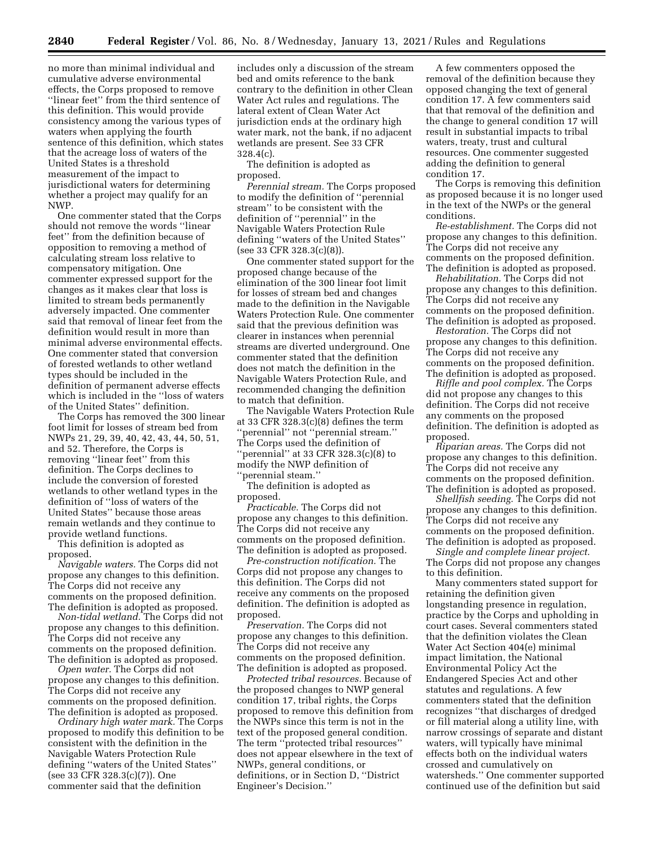no more than minimal individual and cumulative adverse environmental effects, the Corps proposed to remove ''linear feet'' from the third sentence of this definition. This would provide consistency among the various types of waters when applying the fourth sentence of this definition, which states that the acreage loss of waters of the United States is a threshold measurement of the impact to jurisdictional waters for determining whether a project may qualify for an NWP.

One commenter stated that the Corps should not remove the words ''linear feet'' from the definition because of opposition to removing a method of calculating stream loss relative to compensatory mitigation. One commenter expressed support for the changes as it makes clear that loss is limited to stream beds permanently adversely impacted. One commenter said that removal of linear feet from the definition would result in more than minimal adverse environmental effects. One commenter stated that conversion of forested wetlands to other wetland types should be included in the definition of permanent adverse effects which is included in the ''loss of waters of the United States'' definition.

The Corps has removed the 300 linear foot limit for losses of stream bed from NWPs 21, 29, 39, 40, 42, 43, 44, 50, 51, and 52. Therefore, the Corps is removing ''linear feet'' from this definition. The Corps declines to include the conversion of forested wetlands to other wetland types in the definition of ''loss of waters of the United States'' because those areas remain wetlands and they continue to provide wetland functions.

This definition is adopted as proposed.

*Navigable waters.* The Corps did not propose any changes to this definition. The Corps did not receive any comments on the proposed definition. The definition is adopted as proposed.

*Non-tidal wetland.* The Corps did not propose any changes to this definition. The Corps did not receive any comments on the proposed definition. The definition is adopted as proposed.

*Open water.* The Corps did not propose any changes to this definition. The Corps did not receive any comments on the proposed definition. The definition is adopted as proposed.

*Ordinary high water mark.* The Corps proposed to modify this definition to be consistent with the definition in the Navigable Waters Protection Rule defining ''waters of the United States'' (see 33 CFR 328.3(c)(7)). One commenter said that the definition

includes only a discussion of the stream bed and omits reference to the bank contrary to the definition in other Clean Water Act rules and regulations. The lateral extent of Clean Water Act jurisdiction ends at the ordinary high water mark, not the bank, if no adjacent wetlands are present. See 33 CFR 328.4(c).

The definition is adopted as proposed.

*Perennial stream.* The Corps proposed to modify the definition of ''perennial stream'' to be consistent with the definition of ''perennial'' in the Navigable Waters Protection Rule defining ''waters of the United States'' (see 33 CFR 328.3(c)(8)).

One commenter stated support for the proposed change because of the elimination of the 300 linear foot limit for losses of stream bed and changes made to the definition in the Navigable Waters Protection Rule. One commenter said that the previous definition was clearer in instances when perennial streams are diverted underground. One commenter stated that the definition does not match the definition in the Navigable Waters Protection Rule, and recommended changing the definition to match that definition.

The Navigable Waters Protection Rule at 33 CFR 328.3(c)(8) defines the term ''perennial'' not ''perennial stream.'' The Corps used the definition of ''perennial'' at 33 CFR 328.3(c)(8) to modify the NWP definition of ''perennial steam.''

The definition is adopted as proposed.

*Practicable.* The Corps did not propose any changes to this definition. The Corps did not receive any comments on the proposed definition. The definition is adopted as proposed.

*Pre-construction notification.* The Corps did not propose any changes to this definition. The Corps did not receive any comments on the proposed definition. The definition is adopted as proposed.

*Preservation.* The Corps did not propose any changes to this definition. The Corps did not receive any comments on the proposed definition. The definition is adopted as proposed.

*Protected tribal resources.* Because of the proposed changes to NWP general condition 17, tribal rights, the Corps proposed to remove this definition from the NWPs since this term is not in the text of the proposed general condition. The term ''protected tribal resources'' does not appear elsewhere in the text of NWPs, general conditions, or definitions, or in Section D, ''District Engineer's Decision.''

A few commenters opposed the removal of the definition because they opposed changing the text of general condition 17. A few commenters said that that removal of the definition and the change to general condition 17 will result in substantial impacts to tribal waters, treaty, trust and cultural resources. One commenter suggested adding the definition to general condition 17.

The Corps is removing this definition as proposed because it is no longer used in the text of the NWPs or the general conditions.

*Re-establishment.* The Corps did not propose any changes to this definition. The Corps did not receive any comments on the proposed definition. The definition is adopted as proposed.

*Rehabilitation.* The Corps did not propose any changes to this definition. The Corps did not receive any comments on the proposed definition. The definition is adopted as proposed.

*Restoration.* The Corps did not propose any changes to this definition. The Corps did not receive any comments on the proposed definition. The definition is adopted as proposed.

*Riffle and pool complex.* The Corps did not propose any changes to this definition. The Corps did not receive any comments on the proposed definition. The definition is adopted as proposed.

*Riparian areas.* The Corps did not propose any changes to this definition. The Corps did not receive any comments on the proposed definition. The definition is adopted as proposed.

*Shellfish seeding.* The Corps did not propose any changes to this definition. The Corps did not receive any comments on the proposed definition. The definition is adopted as proposed.

*Single and complete linear project.*  The Corps did not propose any changes to this definition.

Many commenters stated support for retaining the definition given longstanding presence in regulation, practice by the Corps and upholding in court cases. Several commenters stated that the definition violates the Clean Water Act Section 404(e) minimal impact limitation, the National Environmental Policy Act the Endangered Species Act and other statutes and regulations. A few commenters stated that the definition recognizes ''that discharges of dredged or fill material along a utility line, with narrow crossings of separate and distant waters, will typically have minimal effects both on the individual waters crossed and cumulatively on watersheds.'' One commenter supported continued use of the definition but said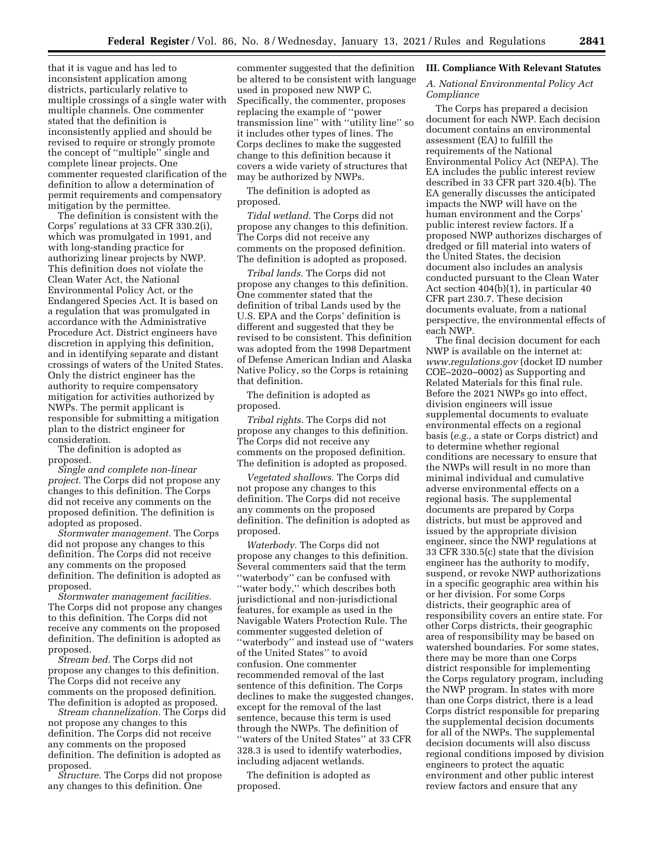that it is vague and has led to inconsistent application among districts, particularly relative to multiple crossings of a single water with multiple channels. One commenter stated that the definition is inconsistently applied and should be revised to require or strongly promote the concept of ''multiple'' single and complete linear projects. One commenter requested clarification of the definition to allow a determination of permit requirements and compensatory mitigation by the permittee.

The definition is consistent with the Corps' regulations at 33 CFR 330.2(i), which was promulgated in 1991, and with long-standing practice for authorizing linear projects by NWP. This definition does not violate the Clean Water Act, the National Environmental Policy Act, or the Endangered Species Act. It is based on a regulation that was promulgated in accordance with the Administrative Procedure Act. District engineers have discretion in applying this definition, and in identifying separate and distant crossings of waters of the United States. Only the district engineer has the authority to require compensatory mitigation for activities authorized by NWPs. The permit applicant is responsible for submitting a mitigation plan to the district engineer for consideration.

The definition is adopted as proposed.

*Single and complete non-linear project.* The Corps did not propose any changes to this definition. The Corps did not receive any comments on the proposed definition. The definition is adopted as proposed.

*Stormwater management.* The Corps did not propose any changes to this definition. The Corps did not receive any comments on the proposed definition. The definition is adopted as proposed.

*Stormwater management facilities.*  The Corps did not propose any changes to this definition. The Corps did not receive any comments on the proposed definition. The definition is adopted as proposed.

*Stream bed.* The Corps did not propose any changes to this definition. The Corps did not receive any comments on the proposed definition. The definition is adopted as proposed.

*Stream channelization.* The Corps did not propose any changes to this definition. The Corps did not receive any comments on the proposed definition. The definition is adopted as proposed.

*Structure.* The Corps did not propose any changes to this definition. One

commenter suggested that the definition be altered to be consistent with language used in proposed new NWP C. Specifically, the commenter, proposes replacing the example of ''power transmission line'' with ''utility line'' so it includes other types of lines. The Corps declines to make the suggested change to this definition because it covers a wide variety of structures that may be authorized by NWPs.

The definition is adopted as proposed.

*Tidal wetland.* The Corps did not propose any changes to this definition. The Corps did not receive any comments on the proposed definition. The definition is adopted as proposed.

*Tribal lands.* The Corps did not propose any changes to this definition. One commenter stated that the definition of tribal Lands used by the U.S. EPA and the Corps' definition is different and suggested that they be revised to be consistent. This definition was adopted from the 1998 Department of Defense American Indian and Alaska Native Policy, so the Corps is retaining that definition.

The definition is adopted as proposed.

*Tribal rights.* The Corps did not propose any changes to this definition. The Corps did not receive any comments on the proposed definition. The definition is adopted as proposed.

*Vegetated shallows.* The Corps did not propose any changes to this definition. The Corps did not receive any comments on the proposed definition. The definition is adopted as proposed.

*Waterbody.* The Corps did not propose any changes to this definition. Several commenters said that the term ''waterbody'' can be confused with ''water body,'' which describes both jurisdictional and non-jurisdictional features, for example as used in the Navigable Waters Protection Rule. The commenter suggested deletion of ''waterbody'' and instead use of ''waters of the United States'' to avoid confusion. One commenter recommended removal of the last sentence of this definition. The Corps declines to make the suggested changes, except for the removal of the last sentence, because this term is used through the NWPs. The definition of ''waters of the United States'' at 33 CFR 328.3 is used to identify waterbodies, including adjacent wetlands.

The definition is adopted as proposed.

#### **III. Compliance With Relevant Statutes**

# *A. National Environmental Policy Act Compliance*

The Corps has prepared a decision document for each NWP. Each decision document contains an environmental assessment (EA) to fulfill the requirements of the National Environmental Policy Act (NEPA). The EA includes the public interest review described in 33 CFR part 320.4(b). The EA generally discusses the anticipated impacts the NWP will have on the human environment and the Corps' public interest review factors. If a proposed NWP authorizes discharges of dredged or fill material into waters of the United States, the decision document also includes an analysis conducted pursuant to the Clean Water Act section 404(b)(1), in particular 40 CFR part 230.7. These decision documents evaluate, from a national perspective, the environmental effects of each NWP.

The final decision document for each NWP is available on the internet at: *[www.regulations.gov](http://www.regulations.gov)* (docket ID number COE–2020–0002) as Supporting and Related Materials for this final rule. Before the 2021 NWPs go into effect, division engineers will issue supplemental documents to evaluate environmental effects on a regional basis (*e.g.,* a state or Corps district) and to determine whether regional conditions are necessary to ensure that the NWPs will result in no more than minimal individual and cumulative adverse environmental effects on a regional basis. The supplemental documents are prepared by Corps districts, but must be approved and issued by the appropriate division engineer, since the NWP regulations at 33 CFR 330.5(c) state that the division engineer has the authority to modify, suspend, or revoke NWP authorizations in a specific geographic area within his or her division. For some Corps districts, their geographic area of responsibility covers an entire state. For other Corps districts, their geographic area of responsibility may be based on watershed boundaries. For some states, there may be more than one Corps district responsible for implementing the Corps regulatory program, including the NWP program. In states with more than one Corps district, there is a lead Corps district responsible for preparing the supplemental decision documents for all of the NWPs. The supplemental decision documents will also discuss regional conditions imposed by division engineers to protect the aquatic environment and other public interest review factors and ensure that any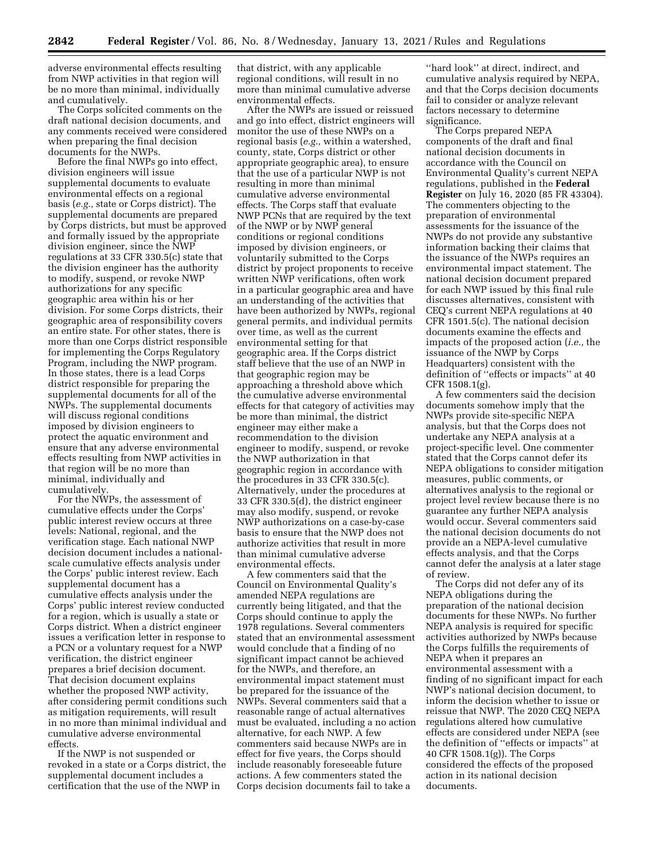adverse environmental effects resulting from NWP activities in that region will be no more than minimal, individually and cumulatively.

The Corps solicited comments on the draft national decision documents, and any comments received were considered when preparing the final decision documents for the NWPs.

Before the final NWPs go into effect, division engineers will issue supplemental documents to evaluate environmental effects on a regional basis (*e.g.,* state or Corps district). The supplemental documents are prepared by Corps districts, but must be approved and formally issued by the appropriate division engineer, since the NWP regulations at 33 CFR 330.5(c) state that the division engineer has the authority to modify, suspend, or revoke NWP authorizations for any specific geographic area within his or her division. For some Corps districts, their geographic area of responsibility covers an entire state. For other states, there is more than one Corps district responsible for implementing the Corps Regulatory Program, including the NWP program. In those states, there is a lead Corps district responsible for preparing the supplemental documents for all of the NWPs. The supplemental documents will discuss regional conditions imposed by division engineers to protect the aquatic environment and ensure that any adverse environmental effects resulting from NWP activities in that region will be no more than minimal, individually and cumulatively.

For the NWPs, the assessment of cumulative effects under the Corps' public interest review occurs at three levels: National, regional, and the verification stage. Each national NWP decision document includes a nationalscale cumulative effects analysis under the Corps' public interest review. Each supplemental document has a cumulative effects analysis under the Corps' public interest review conducted for a region, which is usually a state or Corps district. When a district engineer issues a verification letter in response to a PCN or a voluntary request for a NWP verification, the district engineer prepares a brief decision document. That decision document explains whether the proposed NWP activity, after considering permit conditions such as mitigation requirements, will result in no more than minimal individual and cumulative adverse environmental effects.

If the NWP is not suspended or revoked in a state or a Corps district, the supplemental document includes a certification that the use of the NWP in

that district, with any applicable regional conditions, will result in no more than minimal cumulative adverse environmental effects.

After the NWPs are issued or reissued and go into effect, district engineers will monitor the use of these NWPs on a regional basis (*e.g.,* within a watershed, county, state, Corps district or other appropriate geographic area), to ensure that the use of a particular NWP is not resulting in more than minimal cumulative adverse environmental effects. The Corps staff that evaluate NWP PCNs that are required by the text of the NWP or by NWP general conditions or regional conditions imposed by division engineers, or voluntarily submitted to the Corps district by project proponents to receive written NWP verifications, often work in a particular geographic area and have an understanding of the activities that have been authorized by NWPs, regional general permits, and individual permits over time, as well as the current environmental setting for that geographic area. If the Corps district staff believe that the use of an NWP in that geographic region may be approaching a threshold above which the cumulative adverse environmental effects for that category of activities may be more than minimal, the district engineer may either make a recommendation to the division engineer to modify, suspend, or revoke the NWP authorization in that geographic region in accordance with the procedures in 33 CFR 330.5(c). Alternatively, under the procedures at 33 CFR 330.5(d), the district engineer may also modify, suspend, or revoke NWP authorizations on a case-by-case basis to ensure that the NWP does not authorize activities that result in more than minimal cumulative adverse environmental effects.

A few commenters said that the Council on Environmental Quality's amended NEPA regulations are currently being litigated, and that the Corps should continue to apply the 1978 regulations. Several commenters stated that an environmental assessment would conclude that a finding of no significant impact cannot be achieved for the NWPs, and therefore, an environmental impact statement must be prepared for the issuance of the NWPs. Several commenters said that a reasonable range of actual alternatives must be evaluated, including a no action alternative, for each NWP. A few commenters said because NWPs are in effect for five years, the Corps should include reasonably foreseeable future actions. A few commenters stated the Corps decision documents fail to take a

''hard look'' at direct, indirect, and cumulative analysis required by NEPA, and that the Corps decision documents fail to consider or analyze relevant factors necessary to determine significance.

The Corps prepared NEPA components of the draft and final national decision documents in accordance with the Council on Environmental Quality's current NEPA regulations, published in the **Federal Register** on July 16, 2020 (85 FR 43304). The commenters objecting to the preparation of environmental assessments for the issuance of the NWPs do not provide any substantive information backing their claims that the issuance of the NWPs requires an environmental impact statement. The national decision document prepared for each NWP issued by this final rule discusses alternatives, consistent with CEQ's current NEPA regulations at 40 CFR 1501.5(c). The national decision documents examine the effects and impacts of the proposed action (*i.e.,* the issuance of the NWP by Corps Headquarters) consistent with the definition of ''effects or impacts'' at 40 CFR 1508.1(g).

A few commenters said the decision documents somehow imply that the NWPs provide site-specific NEPA analysis, but that the Corps does not undertake any NEPA analysis at a project-specific level. One commenter stated that the Corps cannot defer its NEPA obligations to consider mitigation measures, public comments, or alternatives analysis to the regional or project level review because there is no guarantee any further NEPA analysis would occur. Several commenters said the national decision documents do not provide an a NEPA-level cumulative effects analysis, and that the Corps cannot defer the analysis at a later stage of review.

The Corps did not defer any of its NEPA obligations during the preparation of the national decision documents for these NWPs. No further NEPA analysis is required for specific activities authorized by NWPs because the Corps fulfills the requirements of NEPA when it prepares an environmental assessment with a finding of no significant impact for each NWP's national decision document, to inform the decision whether to issue or reissue that NWP. The 2020 CEQ NEPA regulations altered how cumulative effects are considered under NEPA (see the definition of ''effects or impacts'' at 40 CFR 1508.1(g)). The Corps considered the effects of the proposed action in its national decision documents.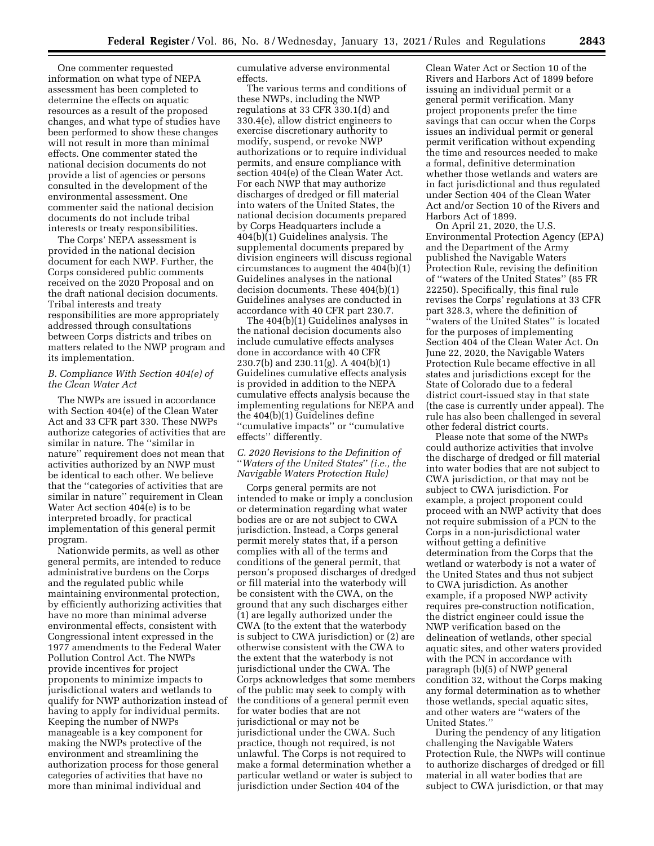One commenter requested information on what type of NEPA assessment has been completed to determine the effects on aquatic resources as a result of the proposed changes, and what type of studies have been performed to show these changes will not result in more than minimal effects. One commenter stated the national decision documents do not provide a list of agencies or persons consulted in the development of the environmental assessment. One commenter said the national decision documents do not include tribal interests or treaty responsibilities.

The Corps' NEPA assessment is provided in the national decision document for each NWP. Further, the Corps considered public comments received on the 2020 Proposal and on the draft national decision documents. Tribal interests and treaty responsibilities are more appropriately addressed through consultations between Corps districts and tribes on matters related to the NWP program and its implementation.

#### *B. Compliance With Section 404(e) of the Clean Water Act*

The NWPs are issued in accordance with Section 404(e) of the Clean Water Act and 33 CFR part 330. These NWPs authorize categories of activities that are similar in nature. The ''similar in nature'' requirement does not mean that activities authorized by an NWP must be identical to each other. We believe that the ''categories of activities that are similar in nature'' requirement in Clean Water Act section 404(e) is to be interpreted broadly, for practical implementation of this general permit program.

Nationwide permits, as well as other general permits, are intended to reduce administrative burdens on the Corps and the regulated public while maintaining environmental protection, by efficiently authorizing activities that have no more than minimal adverse environmental effects, consistent with Congressional intent expressed in the 1977 amendments to the Federal Water Pollution Control Act. The NWPs provide incentives for project proponents to minimize impacts to jurisdictional waters and wetlands to qualify for NWP authorization instead of having to apply for individual permits. Keeping the number of NWPs manageable is a key component for making the NWPs protective of the environment and streamlining the authorization process for those general categories of activities that have no more than minimal individual and

cumulative adverse environmental effects.

The various terms and conditions of these NWPs, including the NWP regulations at 33 CFR 330.1(d) and 330.4(e), allow district engineers to exercise discretionary authority to modify, suspend, or revoke NWP authorizations or to require individual permits, and ensure compliance with section 404(e) of the Clean Water Act. For each NWP that may authorize discharges of dredged or fill material into waters of the United States, the national decision documents prepared by Corps Headquarters include a 404(b)(1) Guidelines analysis. The supplemental documents prepared by division engineers will discuss regional circumstances to augment the 404(b)(1) Guidelines analyses in the national decision documents. These 404(b)(1) Guidelines analyses are conducted in accordance with 40 CFR part 230.7.

The 404(b)(1) Guidelines analyses in the national decision documents also include cumulative effects analyses done in accordance with 40 CFR 230.7(b) and 230.11(g). A 404(b)(1) Guidelines cumulative effects analysis is provided in addition to the NEPA cumulative effects analysis because the implementing regulations for NEPA and the 404(b)(1) Guidelines define ''cumulative impacts'' or ''cumulative effects'' differently.

### *C. 2020 Revisions to the Definition of*  ''*Waters of the United States*'' *(i.e., the Navigable Waters Protection Rule)*

Corps general permits are not intended to make or imply a conclusion or determination regarding what water bodies are or are not subject to CWA jurisdiction. Instead, a Corps general permit merely states that, if a person complies with all of the terms and conditions of the general permit, that person's proposed discharges of dredged or fill material into the waterbody will be consistent with the CWA, on the ground that any such discharges either (1) are legally authorized under the CWA (to the extent that the waterbody is subject to CWA jurisdiction) or (2) are otherwise consistent with the CWA to the extent that the waterbody is not jurisdictional under the CWA. The Corps acknowledges that some members of the public may seek to comply with the conditions of a general permit even for water bodies that are not jurisdictional or may not be jurisdictional under the CWA. Such practice, though not required, is not unlawful. The Corps is not required to make a formal determination whether a particular wetland or water is subject to jurisdiction under Section 404 of the

Clean Water Act or Section 10 of the Rivers and Harbors Act of 1899 before issuing an individual permit or a general permit verification. Many project proponents prefer the time savings that can occur when the Corps issues an individual permit or general permit verification without expending the time and resources needed to make a formal, definitive determination whether those wetlands and waters are in fact jurisdictional and thus regulated under Section 404 of the Clean Water Act and/or Section 10 of the Rivers and Harbors Act of 1899.

On April 21, 2020, the U.S. Environmental Protection Agency (EPA) and the Department of the Army published the Navigable Waters Protection Rule, revising the definition of ''waters of the United States'' (85 FR 22250). Specifically, this final rule revises the Corps' regulations at 33 CFR part 328.3, where the definition of ''waters of the United States'' is located for the purposes of implementing Section 404 of the Clean Water Act. On June 22, 2020, the Navigable Waters Protection Rule became effective in all states and jurisdictions except for the State of Colorado due to a federal district court-issued stay in that state (the case is currently under appeal). The rule has also been challenged in several other federal district courts.

Please note that some of the NWPs could authorize activities that involve the discharge of dredged or fill material into water bodies that are not subject to CWA jurisdiction, or that may not be subject to CWA jurisdiction. For example, a project proponent could proceed with an NWP activity that does not require submission of a PCN to the Corps in a non-jurisdictional water without getting a definitive determination from the Corps that the wetland or waterbody is not a water of the United States and thus not subject to CWA jurisdiction. As another example, if a proposed NWP activity requires pre-construction notification, the district engineer could issue the NWP verification based on the delineation of wetlands, other special aquatic sites, and other waters provided with the PCN in accordance with paragraph (b)(5) of NWP general condition 32, without the Corps making any formal determination as to whether those wetlands, special aquatic sites, and other waters are ''waters of the United States.''

During the pendency of any litigation challenging the Navigable Waters Protection Rule, the NWPs will continue to authorize discharges of dredged or fill material in all water bodies that are subject to CWA jurisdiction, or that may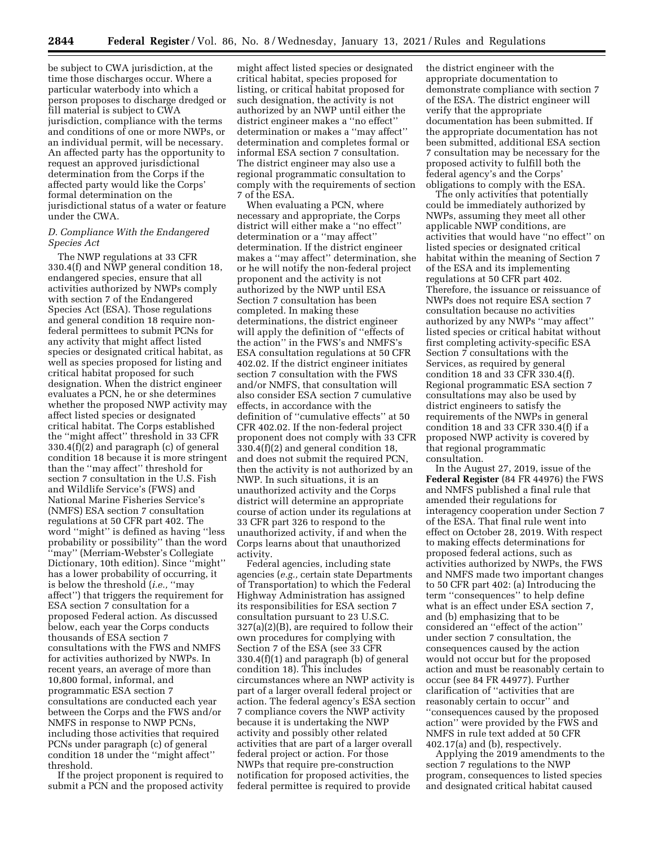be subject to CWA jurisdiction, at the time those discharges occur. Where a particular waterbody into which a person proposes to discharge dredged or fill material is subject to CWA jurisdiction, compliance with the terms and conditions of one or more NWPs, or an individual permit, will be necessary. An affected party has the opportunity to request an approved jurisdictional determination from the Corps if the affected party would like the Corps' formal determination on the jurisdictional status of a water or feature under the CWA.

#### *D. Compliance With the Endangered Species Act*

The NWP regulations at 33 CFR 330.4(f) and NWP general condition 18, endangered species, ensure that all activities authorized by NWPs comply with section 7 of the Endangered Species Act (ESA). Those regulations and general condition 18 require nonfederal permittees to submit PCNs for any activity that might affect listed species or designated critical habitat, as well as species proposed for listing and critical habitat proposed for such designation. When the district engineer evaluates a PCN, he or she determines whether the proposed NWP activity may affect listed species or designated critical habitat. The Corps established the ''might affect'' threshold in 33 CFR 330.4(f)(2) and paragraph (c) of general condition 18 because it is more stringent than the ''may affect'' threshold for section 7 consultation in the U.S. Fish and Wildlife Service's (FWS) and National Marine Fisheries Service's (NMFS) ESA section 7 consultation regulations at 50 CFR part 402. The word ''might'' is defined as having ''less probability or possibility'' than the word ''may'' (Merriam-Webster's Collegiate Dictionary, 10th edition). Since ''might'' has a lower probability of occurring, it is below the threshold (*i.e.,* ''may affect'') that triggers the requirement for ESA section 7 consultation for a proposed Federal action. As discussed below, each year the Corps conducts thousands of ESA section 7 consultations with the FWS and NMFS for activities authorized by NWPs. In recent years, an average of more than 10,800 formal, informal, and programmatic ESA section 7 consultations are conducted each year between the Corps and the FWS and/or NMFS in response to NWP PCNs, including those activities that required PCNs under paragraph (c) of general condition 18 under the ''might affect'' threshold.

If the project proponent is required to submit a PCN and the proposed activity

might affect listed species or designated critical habitat, species proposed for listing, or critical habitat proposed for such designation, the activity is not authorized by an NWP until either the district engineer makes a ''no effect'' determination or makes a ''may affect'' determination and completes formal or informal ESA section 7 consultation. The district engineer may also use a regional programmatic consultation to comply with the requirements of section 7 of the ESA.

When evaluating a PCN, where necessary and appropriate, the Corps district will either make a ''no effect'' determination or a ''may affect'' determination. If the district engineer makes a ''may affect'' determination, she or he will notify the non-federal project proponent and the activity is not authorized by the NWP until ESA Section 7 consultation has been completed. In making these determinations, the district engineer will apply the definition of ''effects of the action'' in the FWS's and NMFS's ESA consultation regulations at 50 CFR 402.02. If the district engineer initiates section 7 consultation with the FWS and/or NMFS, that consultation will also consider ESA section 7 cumulative effects, in accordance with the definition of ''cumulative effects'' at 50 CFR 402.02. If the non-federal project proponent does not comply with 33 CFR 330.4(f)(2) and general condition 18, and does not submit the required PCN, then the activity is not authorized by an NWP. In such situations, it is an unauthorized activity and the Corps district will determine an appropriate course of action under its regulations at 33 CFR part 326 to respond to the unauthorized activity, if and when the Corps learns about that unauthorized activity.

Federal agencies, including state agencies (*e.g.,* certain state Departments of Transportation) to which the Federal Highway Administration has assigned its responsibilities for ESA section 7 consultation pursuant to 23 U.S.C.  $327(a)(2)(B)$ , are required to follow their own procedures for complying with Section 7 of the ESA (see 33 CFR 330.4(f)(1) and paragraph (b) of general condition 18). This includes circumstances where an NWP activity is part of a larger overall federal project or action. The federal agency's ESA section 7 compliance covers the NWP activity because it is undertaking the NWP activity and possibly other related activities that are part of a larger overall federal project or action. For those NWPs that require pre-construction notification for proposed activities, the federal permittee is required to provide

the district engineer with the appropriate documentation to demonstrate compliance with section 7 of the ESA. The district engineer will verify that the appropriate documentation has been submitted. If the appropriate documentation has not been submitted, additional ESA section 7 consultation may be necessary for the proposed activity to fulfill both the federal agency's and the Corps' obligations to comply with the ESA.

The only activities that potentially could be immediately authorized by NWPs, assuming they meet all other applicable NWP conditions, are activities that would have ''no effect'' on listed species or designated critical habitat within the meaning of Section 7 of the ESA and its implementing regulations at 50 CFR part 402. Therefore, the issuance or reissuance of NWPs does not require ESA section 7 consultation because no activities authorized by any NWPs ''may affect'' listed species or critical habitat without first completing activity-specific ESA Section 7 consultations with the Services, as required by general condition 18 and 33 CFR 330.4(f). Regional programmatic ESA section 7 consultations may also be used by district engineers to satisfy the requirements of the NWPs in general condition 18 and 33 CFR 330.4(f) if a proposed NWP activity is covered by that regional programmatic consultation.

In the August 27, 2019, issue of the **Federal Register** (84 FR 44976) the FWS and NMFS published a final rule that amended their regulations for interagency cooperation under Section 7 of the ESA. That final rule went into effect on October 28, 2019. With respect to making effects determinations for proposed federal actions, such as activities authorized by NWPs, the FWS and NMFS made two important changes to 50 CFR part 402: (a) Introducing the term ''consequences'' to help define what is an effect under ESA section 7, and (b) emphasizing that to be considered an ''effect of the action'' under section 7 consultation, the consequences caused by the action would not occur but for the proposed action and must be reasonably certain to occur (see 84 FR 44977). Further clarification of ''activities that are reasonably certain to occur'' and ''consequences caused by the proposed action'' were provided by the FWS and NMFS in rule text added at 50 CFR 402.17(a) and (b), respectively.

Applying the 2019 amendments to the section 7 regulations to the NWP program, consequences to listed species and designated critical habitat caused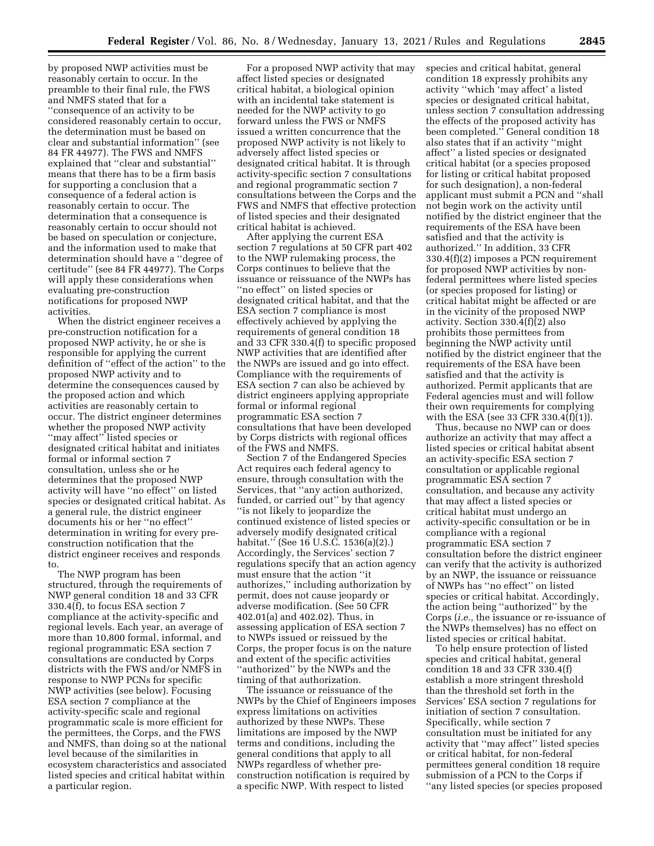by proposed NWP activities must be reasonably certain to occur. In the preamble to their final rule, the FWS and NMFS stated that for a ''consequence of an activity to be considered reasonably certain to occur, the determination must be based on clear and substantial information'' (see 84 FR 44977). The FWS and NMFS explained that ''clear and substantial'' means that there has to be a firm basis for supporting a conclusion that a consequence of a federal action is reasonably certain to occur. The determination that a consequence is reasonably certain to occur should not be based on speculation or conjecture, and the information used to make that determination should have a ''degree of certitude'' (see 84 FR 44977). The Corps will apply these considerations when evaluating pre-construction notifications for proposed NWP activities.

When the district engineer receives a pre-construction notification for a proposed NWP activity, he or she is responsible for applying the current definition of ''effect of the action'' to the proposed NWP activity and to determine the consequences caused by the proposed action and which activities are reasonably certain to occur. The district engineer determines whether the proposed NWP activity ''may affect'' listed species or designated critical habitat and initiates formal or informal section 7 consultation, unless she or he determines that the proposed NWP activity will have ''no effect'' on listed species or designated critical habitat. As a general rule, the district engineer documents his or her ''no effect'' determination in writing for every preconstruction notification that the district engineer receives and responds to.

The NWP program has been structured, through the requirements of NWP general condition 18 and 33 CFR 330.4(f), to focus ESA section 7 compliance at the activity-specific and regional levels. Each year, an average of more than 10,800 formal, informal, and regional programmatic ESA section 7 consultations are conducted by Corps districts with the FWS and/or NMFS in response to NWP PCNs for specific NWP activities (see below). Focusing ESA section 7 compliance at the activity-specific scale and regional programmatic scale is more efficient for the permittees, the Corps, and the FWS and NMFS, than doing so at the national level because of the similarities in ecosystem characteristics and associated listed species and critical habitat within a particular region.

For a proposed NWP activity that may affect listed species or designated critical habitat, a biological opinion with an incidental take statement is needed for the NWP activity to go forward unless the FWS or NMFS issued a written concurrence that the proposed NWP activity is not likely to adversely affect listed species or designated critical habitat. It is through activity-specific section 7 consultations and regional programmatic section 7 consultations between the Corps and the FWS and NMFS that effective protection of listed species and their designated critical habitat is achieved.

After applying the current ESA section 7 regulations at 50 CFR part 402 to the NWP rulemaking process, the Corps continues to believe that the issuance or reissuance of the NWPs has ''no effect'' on listed species or designated critical habitat, and that the ESA section 7 compliance is most effectively achieved by applying the requirements of general condition 18 and 33 CFR 330.4(f) to specific proposed NWP activities that are identified after the NWPs are issued and go into effect. Compliance with the requirements of ESA section 7 can also be achieved by district engineers applying appropriate formal or informal regional programmatic ESA section 7 consultations that have been developed by Corps districts with regional offices of the FWS and NMFS.

Section 7 of the Endangered Species Act requires each federal agency to ensure, through consultation with the Services, that ''any action authorized, funded, or carried out'' by that agency ''is not likely to jeopardize the continued existence of listed species or adversely modify designated critical habitat.'' (See 16 U.S.C. 1536(a)(2).) Accordingly, the Services' section 7 regulations specify that an action agency must ensure that the action ''it authorizes,'' including authorization by permit, does not cause jeopardy or adverse modification. (See 50 CFR 402.01(a) and 402.02). Thus, in assessing application of ESA section 7 to NWPs issued or reissued by the Corps, the proper focus is on the nature and extent of the specific activities ''authorized'' by the NWPs and the timing of that authorization.

The issuance or reissuance of the NWPs by the Chief of Engineers imposes express limitations on activities authorized by these NWPs. These limitations are imposed by the NWP terms and conditions, including the general conditions that apply to all NWPs regardless of whether preconstruction notification is required by a specific NWP. With respect to listed

species and critical habitat, general condition 18 expressly prohibits any activity ''which 'may affect' a listed species or designated critical habitat, unless section 7 consultation addressing the effects of the proposed activity has been completed.'' General condition 18 also states that if an activity ''might affect'' a listed species or designated critical habitat (or a species proposed for listing or critical habitat proposed for such designation), a non-federal applicant must submit a PCN and ''shall not begin work on the activity until notified by the district engineer that the requirements of the ESA have been satisfied and that the activity is authorized.'' In addition, 33 CFR 330.4(f)(2) imposes a PCN requirement for proposed NWP activities by nonfederal permittees where listed species (or species proposed for listing) or critical habitat might be affected or are in the vicinity of the proposed NWP activity. Section 330.4(f)(2) also prohibits those permittees from beginning the NWP activity until notified by the district engineer that the requirements of the ESA have been satisfied and that the activity is authorized. Permit applicants that are Federal agencies must and will follow their own requirements for complying with the ESA (see 33 CFR 330.4 $\overline{f}$  $\overline{f}$  $\overline{f}$  $\overline{f}$  $\overline{f}$  $\overline{f}$ ) $\overline{f}$ .

Thus, because no NWP can or does authorize an activity that may affect a listed species or critical habitat absent an activity-specific ESA section 7 consultation or applicable regional programmatic ESA section 7 consultation, and because any activity that may affect a listed species or critical habitat must undergo an activity-specific consultation or be in compliance with a regional programmatic ESA section 7 consultation before the district engineer can verify that the activity is authorized by an NWP, the issuance or reissuance of NWPs has ''no effect'' on listed species or critical habitat. Accordingly, the action being ''authorized'' by the Corps (*i.e.,* the issuance or re-issuance of the NWPs themselves) has no effect on listed species or critical habitat.

To help ensure protection of listed species and critical habitat, general condition 18 and 33 CFR 330.4(f) establish a more stringent threshold than the threshold set forth in the Services' ESA section 7 regulations for initiation of section 7 consultation. Specifically, while section 7 consultation must be initiated for any activity that ''may affect'' listed species or critical habitat, for non-federal permittees general condition 18 require submission of a PCN to the Corps if ''any listed species (or species proposed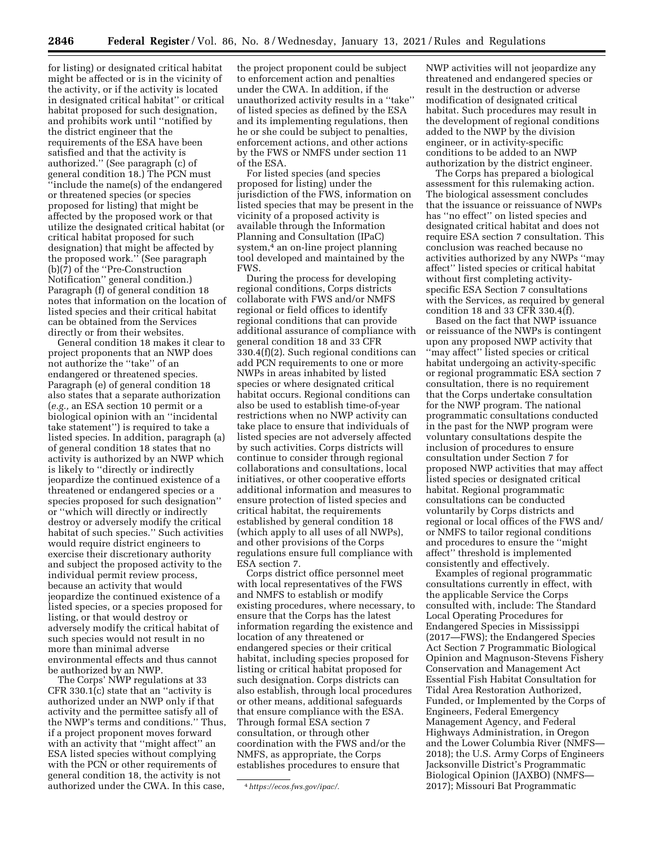for listing) or designated critical habitat might be affected or is in the vicinity of the activity, or if the activity is located in designated critical habitat'' or critical habitat proposed for such designation, and prohibits work until ''notified by the district engineer that the requirements of the ESA have been satisfied and that the activity is authorized.'' (See paragraph (c) of general condition 18.) The PCN must ''include the name(s) of the endangered or threatened species (or species proposed for listing) that might be affected by the proposed work or that utilize the designated critical habitat (or critical habitat proposed for such designation) that might be affected by the proposed work.'' (See paragraph (b)(7) of the ''Pre-Construction Notification'' general condition.) Paragraph (f) of general condition 18 notes that information on the location of listed species and their critical habitat can be obtained from the Services directly or from their websites.

General condition 18 makes it clear to project proponents that an NWP does not authorize the ''take'' of an endangered or threatened species. Paragraph (e) of general condition 18 also states that a separate authorization (*e.g.,* an ESA section 10 permit or a biological opinion with an ''incidental take statement'') is required to take a listed species. In addition, paragraph (a) of general condition 18 states that no activity is authorized by an NWP which is likely to ''directly or indirectly jeopardize the continued existence of a threatened or endangered species or a species proposed for such designation'' or ''which will directly or indirectly destroy or adversely modify the critical habitat of such species.'' Such activities would require district engineers to exercise their discretionary authority and subject the proposed activity to the individual permit review process, because an activity that would jeopardize the continued existence of a listed species, or a species proposed for listing, or that would destroy or adversely modify the critical habitat of such species would not result in no more than minimal adverse environmental effects and thus cannot be authorized by an NWP.

The Corps' NWP regulations at 33 CFR 330.1(c) state that an ''activity is authorized under an NWP only if that activity and the permittee satisfy all of the NWP's terms and conditions.'' Thus, if a project proponent moves forward with an activity that ''might affect'' an ESA listed species without complying with the PCN or other requirements of general condition 18, the activity is not authorized under the CWA. In this case,

the project proponent could be subject to enforcement action and penalties under the CWA. In addition, if the unauthorized activity results in a ''take'' of listed species as defined by the ESA and its implementing regulations, then he or she could be subject to penalties, enforcement actions, and other actions by the FWS or NMFS under section 11 of the ESA.

For listed species (and species proposed for listing) under the jurisdiction of the FWS, information on listed species that may be present in the vicinity of a proposed activity is available through the Information Planning and Consultation (IPaC) system,<sup>4</sup> an on-line project planning tool developed and maintained by the FWS.

During the process for developing regional conditions, Corps districts collaborate with FWS and/or NMFS regional or field offices to identify regional conditions that can provide additional assurance of compliance with general condition 18 and 33 CFR 330.4(f)(2). Such regional conditions can add PCN requirements to one or more NWPs in areas inhabited by listed species or where designated critical habitat occurs. Regional conditions can also be used to establish time-of-year restrictions when no NWP activity can take place to ensure that individuals of listed species are not adversely affected by such activities. Corps districts will continue to consider through regional collaborations and consultations, local initiatives, or other cooperative efforts additional information and measures to ensure protection of listed species and critical habitat, the requirements established by general condition 18 (which apply to all uses of all NWPs), and other provisions of the Corps regulations ensure full compliance with ESA section 7.

Corps district office personnel meet with local representatives of the FWS and NMFS to establish or modify existing procedures, where necessary, to ensure that the Corps has the latest information regarding the existence and location of any threatened or endangered species or their critical habitat, including species proposed for listing or critical habitat proposed for such designation. Corps districts can also establish, through local procedures or other means, additional safeguards that ensure compliance with the ESA. Through formal ESA section 7 consultation, or through other coordination with the FWS and/or the NMFS, as appropriate, the Corps establishes procedures to ensure that

NWP activities will not jeopardize any threatened and endangered species or result in the destruction or adverse modification of designated critical habitat. Such procedures may result in the development of regional conditions added to the NWP by the division engineer, or in activity-specific conditions to be added to an NWP authorization by the district engineer.

The Corps has prepared a biological assessment for this rulemaking action. The biological assessment concludes that the issuance or reissuance of NWPs has ''no effect'' on listed species and designated critical habitat and does not require ESA section 7 consultation. This conclusion was reached because no activities authorized by any NWPs ''may affect'' listed species or critical habitat without first completing activityspecific ESA Section 7 consultations with the Services, as required by general condition 18 and 33 CFR 330.4(f).

Based on the fact that NWP issuance or reissuance of the NWPs is contingent upon any proposed NWP activity that ''may affect'' listed species or critical habitat undergoing an activity-specific or regional programmatic ESA section 7 consultation, there is no requirement that the Corps undertake consultation for the NWP program. The national programmatic consultations conducted in the past for the NWP program were voluntary consultations despite the inclusion of procedures to ensure consultation under Section 7 for proposed NWP activities that may affect listed species or designated critical habitat. Regional programmatic consultations can be conducted voluntarily by Corps districts and regional or local offices of the FWS and/ or NMFS to tailor regional conditions and procedures to ensure the ''might affect'' threshold is implemented consistently and effectively.

Examples of regional programmatic consultations currently in effect, with the applicable Service the Corps consulted with, include: The Standard Local Operating Procedures for Endangered Species in Mississippi (2017—FWS); the Endangered Species Act Section 7 Programmatic Biological Opinion and Magnuson-Stevens Fishery Conservation and Management Act Essential Fish Habitat Consultation for Tidal Area Restoration Authorized, Funded, or Implemented by the Corps of Engineers, Federal Emergency Management Agency, and Federal Highways Administration, in Oregon and the Lower Columbia River (NMFS— 2018); the U.S. Army Corps of Engineers Jacksonville District's Programmatic Biological Opinion (JAXBO) (NMFS— 2017); Missouri Bat Programmatic

<sup>4</sup>*[https://ecos.fws.gov/ipac/.](https://ecos.fws.gov/ipac/)*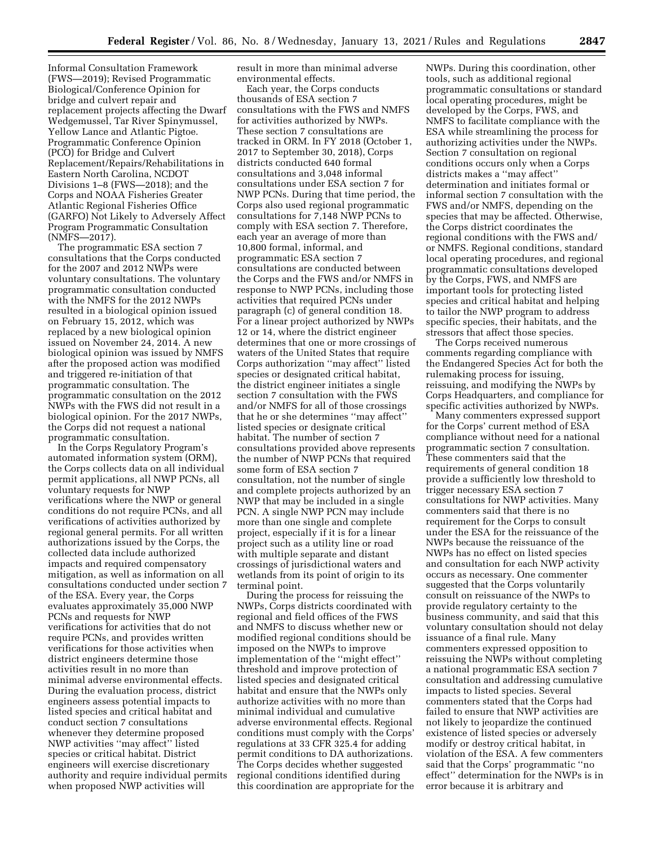Informal Consultation Framework (FWS—2019); Revised Programmatic Biological/Conference Opinion for bridge and culvert repair and replacement projects affecting the Dwarf Wedgemussel, Tar River Spinymussel, Yellow Lance and Atlantic Pigtoe. Programmatic Conference Opinion (PCO) for Bridge and Culvert Replacement/Repairs/Rehabilitations in Eastern North Carolina, NCDOT Divisions 1–8 (FWS—2018); and the Corps and NOAA Fisheries Greater Atlantic Regional Fisheries Office (GARFO) Not Likely to Adversely Affect Program Programmatic Consultation (NMFS—2017).

The programmatic ESA section 7 consultations that the Corps conducted for the 2007 and 2012 NWPs were voluntary consultations. The voluntary programmatic consultation conducted with the NMFS for the 2012 NWPs resulted in a biological opinion issued on February 15, 2012, which was replaced by a new biological opinion issued on November 24, 2014. A new biological opinion was issued by NMFS after the proposed action was modified and triggered re-initiation of that programmatic consultation. The programmatic consultation on the 2012 NWPs with the FWS did not result in a biological opinion. For the 2017 NWPs, the Corps did not request a national programmatic consultation.

In the Corps Regulatory Program's automated information system (ORM), the Corps collects data on all individual permit applications, all NWP PCNs, all voluntary requests for NWP verifications where the NWP or general conditions do not require PCNs, and all verifications of activities authorized by regional general permits. For all written authorizations issued by the Corps, the collected data include authorized impacts and required compensatory mitigation, as well as information on all consultations conducted under section 7 of the ESA. Every year, the Corps evaluates approximately 35,000 NWP PCNs and requests for NWP verifications for activities that do not require PCNs, and provides written verifications for those activities when district engineers determine those activities result in no more than minimal adverse environmental effects. During the evaluation process, district engineers assess potential impacts to listed species and critical habitat and conduct section 7 consultations whenever they determine proposed NWP activities ''may affect'' listed species or critical habitat. District engineers will exercise discretionary authority and require individual permits when proposed NWP activities will

result in more than minimal adverse environmental effects.

Each year, the Corps conducts thousands of ESA section 7 consultations with the FWS and NMFS for activities authorized by NWPs. These section 7 consultations are tracked in ORM. In FY 2018 (October 1, 2017 to September 30, 2018), Corps districts conducted 640 formal consultations and 3,048 informal consultations under ESA section 7 for NWP PCNs. During that time period, the Corps also used regional programmatic consultations for 7,148 NWP PCNs to comply with ESA section 7. Therefore, each year an average of more than 10,800 formal, informal, and programmatic ESA section 7 consultations are conducted between the Corps and the FWS and/or NMFS in response to NWP PCNs, including those activities that required PCNs under paragraph (c) of general condition 18. For a linear project authorized by NWPs 12 or 14, where the district engineer determines that one or more crossings of waters of the United States that require Corps authorization ''may affect'' listed species or designated critical habitat, the district engineer initiates a single section 7 consultation with the FWS and/or NMFS for all of those crossings that he or she determines ''may affect'' listed species or designate critical habitat. The number of section 7 consultations provided above represents the number of NWP PCNs that required some form of ESA section 7 consultation, not the number of single and complete projects authorized by an NWP that may be included in a single PCN. A single NWP PCN may include more than one single and complete project, especially if it is for a linear project such as a utility line or road with multiple separate and distant crossings of jurisdictional waters and wetlands from its point of origin to its terminal point.

During the process for reissuing the NWPs, Corps districts coordinated with regional and field offices of the FWS and NMFS to discuss whether new or modified regional conditions should be imposed on the NWPs to improve implementation of the ''might effect'' threshold and improve protection of listed species and designated critical habitat and ensure that the NWPs only authorize activities with no more than minimal individual and cumulative adverse environmental effects. Regional conditions must comply with the Corps' regulations at 33 CFR 325.4 for adding permit conditions to DA authorizations. The Corps decides whether suggested regional conditions identified during this coordination are appropriate for the

NWPs. During this coordination, other tools, such as additional regional programmatic consultations or standard local operating procedures, might be developed by the Corps, FWS, and NMFS to facilitate compliance with the ESA while streamlining the process for authorizing activities under the NWPs. Section 7 consultation on regional conditions occurs only when a Corps districts makes a ''may affect'' determination and initiates formal or informal section 7 consultation with the FWS and/or NMFS, depending on the species that may be affected. Otherwise, the Corps district coordinates the regional conditions with the FWS and/ or NMFS. Regional conditions, standard local operating procedures, and regional programmatic consultations developed by the Corps, FWS, and NMFS are important tools for protecting listed species and critical habitat and helping to tailor the NWP program to address specific species, their habitats, and the stressors that affect those species.

The Corps received numerous comments regarding compliance with the Endangered Species Act for both the rulemaking process for issuing, reissuing, and modifying the NWPs by Corps Headquarters, and compliance for specific activities authorized by NWPs.

Many commenters expressed support for the Corps' current method of ESA compliance without need for a national programmatic section 7 consultation. These commenters said that the requirements of general condition 18 provide a sufficiently low threshold to trigger necessary ESA section 7 consultations for NWP activities. Many commenters said that there is no requirement for the Corps to consult under the ESA for the reissuance of the NWPs because the reissuance of the NWPs has no effect on listed species and consultation for each NWP activity occurs as necessary. One commenter suggested that the Corps voluntarily consult on reissuance of the NWPs to provide regulatory certainty to the business community, and said that this voluntary consultation should not delay issuance of a final rule. Many commenters expressed opposition to reissuing the NWPs without completing a national programmatic ESA section 7 consultation and addressing cumulative impacts to listed species. Several commenters stated that the Corps had failed to ensure that NWP activities are not likely to jeopardize the continued existence of listed species or adversely modify or destroy critical habitat, in violation of the ESA. A few commenters said that the Corps' programmatic ''no effect'' determination for the NWPs is in error because it is arbitrary and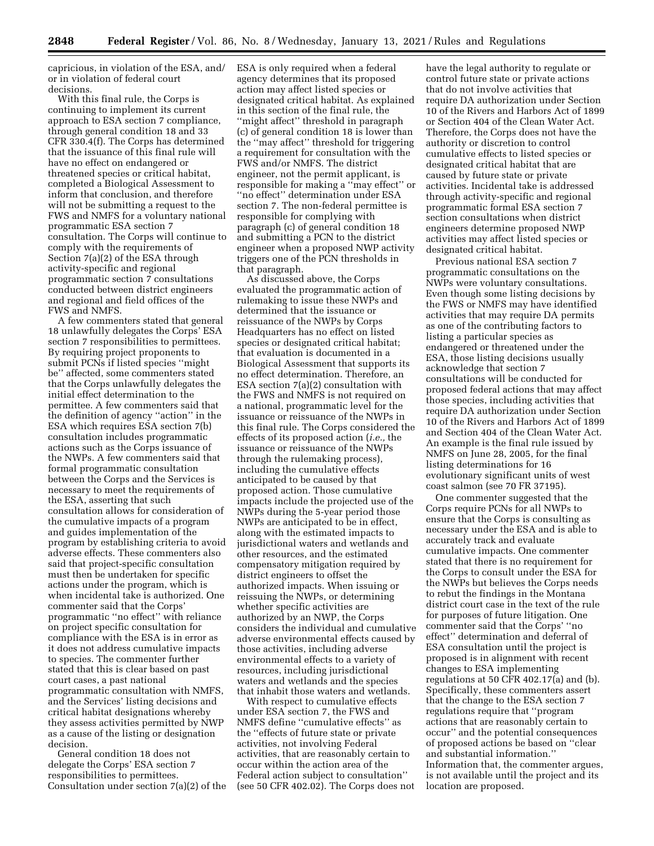capricious, in violation of the ESA, and/ or in violation of federal court decisions.

With this final rule, the Corps is continuing to implement its current approach to ESA section 7 compliance, through general condition 18 and 33 CFR 330.4(f). The Corps has determined that the issuance of this final rule will have no effect on endangered or threatened species or critical habitat, completed a Biological Assessment to inform that conclusion, and therefore will not be submitting a request to the FWS and NMFS for a voluntary national programmatic ESA section 7 consultation. The Corps will continue to comply with the requirements of Section 7(a)(2) of the ESA through activity-specific and regional programmatic section 7 consultations conducted between district engineers and regional and field offices of the FWS and NMFS.

A few commenters stated that general 18 unlawfully delegates the Corps' ESA section 7 responsibilities to permittees. By requiring project proponents to submit PCNs if listed species ''might be'' affected, some commenters stated that the Corps unlawfully delegates the initial effect determination to the permittee. A few commenters said that the definition of agency ''action'' in the ESA which requires ESA section 7(b) consultation includes programmatic actions such as the Corps issuance of the NWPs. A few commenters said that formal programmatic consultation between the Corps and the Services is necessary to meet the requirements of the ESA, asserting that such consultation allows for consideration of the cumulative impacts of a program and guides implementation of the program by establishing criteria to avoid adverse effects. These commenters also said that project-specific consultation must then be undertaken for specific actions under the program, which is when incidental take is authorized. One commenter said that the Corps' programmatic ''no effect'' with reliance on project specific consultation for compliance with the ESA is in error as it does not address cumulative impacts to species. The commenter further stated that this is clear based on past court cases, a past national programmatic consultation with NMFS, and the Services' listing decisions and critical habitat designations whereby they assess activities permitted by NWP as a cause of the listing or designation decision.

General condition 18 does not delegate the Corps' ESA section 7 responsibilities to permittees. Consultation under section 7(a)(2) of the ESA is only required when a federal agency determines that its proposed action may affect listed species or designated critical habitat. As explained in this section of the final rule, the ''might affect'' threshold in paragraph (c) of general condition 18 is lower than the ''may affect'' threshold for triggering a requirement for consultation with the FWS and/or NMFS. The district engineer, not the permit applicant, is responsible for making a ''may effect'' or ''no effect'' determination under ESA section 7. The non-federal permittee is responsible for complying with paragraph (c) of general condition 18 and submitting a PCN to the district engineer when a proposed NWP activity triggers one of the PCN thresholds in that paragraph.

As discussed above, the Corps evaluated the programmatic action of rulemaking to issue these NWPs and determined that the issuance or reissuance of the NWPs by Corps Headquarters has no effect on listed species or designated critical habitat; that evaluation is documented in a Biological Assessment that supports its no effect determination. Therefore, an ESA section 7(a)(2) consultation with the FWS and NMFS is not required on a national, programmatic level for the issuance or reissuance of the NWPs in this final rule. The Corps considered the effects of its proposed action (*i.e.,* the issuance or reissuance of the NWPs through the rulemaking process), including the cumulative effects anticipated to be caused by that proposed action. Those cumulative impacts include the projected use of the NWPs during the 5-year period those NWPs are anticipated to be in effect, along with the estimated impacts to jurisdictional waters and wetlands and other resources, and the estimated compensatory mitigation required by district engineers to offset the authorized impacts. When issuing or reissuing the NWPs, or determining whether specific activities are authorized by an NWP, the Corps considers the individual and cumulative adverse environmental effects caused by those activities, including adverse environmental effects to a variety of resources, including jurisdictional waters and wetlands and the species that inhabit those waters and wetlands.

With respect to cumulative effects under ESA section 7, the FWS and NMFS define ''cumulative effects'' as the ''effects of future state or private activities, not involving Federal activities, that are reasonably certain to occur within the action area of the Federal action subject to consultation'' (see 50 CFR 402.02). The Corps does not

have the legal authority to regulate or control future state or private actions that do not involve activities that require DA authorization under Section 10 of the Rivers and Harbors Act of 1899 or Section 404 of the Clean Water Act. Therefore, the Corps does not have the authority or discretion to control cumulative effects to listed species or designated critical habitat that are caused by future state or private activities. Incidental take is addressed through activity-specific and regional programmatic formal ESA section 7 section consultations when district engineers determine proposed NWP activities may affect listed species or designated critical habitat.

Previous national ESA section 7 programmatic consultations on the NWPs were voluntary consultations. Even though some listing decisions by the FWS or NMFS may have identified activities that may require DA permits as one of the contributing factors to listing a particular species as endangered or threatened under the ESA, those listing decisions usually acknowledge that section 7 consultations will be conducted for proposed federal actions that may affect those species, including activities that require DA authorization under Section 10 of the Rivers and Harbors Act of 1899 and Section 404 of the Clean Water Act. An example is the final rule issued by NMFS on June 28, 2005, for the final listing determinations for 16 evolutionary significant units of west coast salmon (see 70 FR 37195).

One commenter suggested that the Corps require PCNs for all NWPs to ensure that the Corps is consulting as necessary under the ESA and is able to accurately track and evaluate cumulative impacts. One commenter stated that there is no requirement for the Corps to consult under the ESA for the NWPs but believes the Corps needs to rebut the findings in the Montana district court case in the text of the rule for purposes of future litigation. One commenter said that the Corps' ''no effect'' determination and deferral of ESA consultation until the project is proposed is in alignment with recent changes to ESA implementing regulations at 50 CFR 402.17(a) and (b). Specifically, these commenters assert that the change to the ESA section 7 regulations require that ''program actions that are reasonably certain to occur'' and the potential consequences of proposed actions be based on ''clear and substantial information.'' Information that, the commenter argues, is not available until the project and its location are proposed.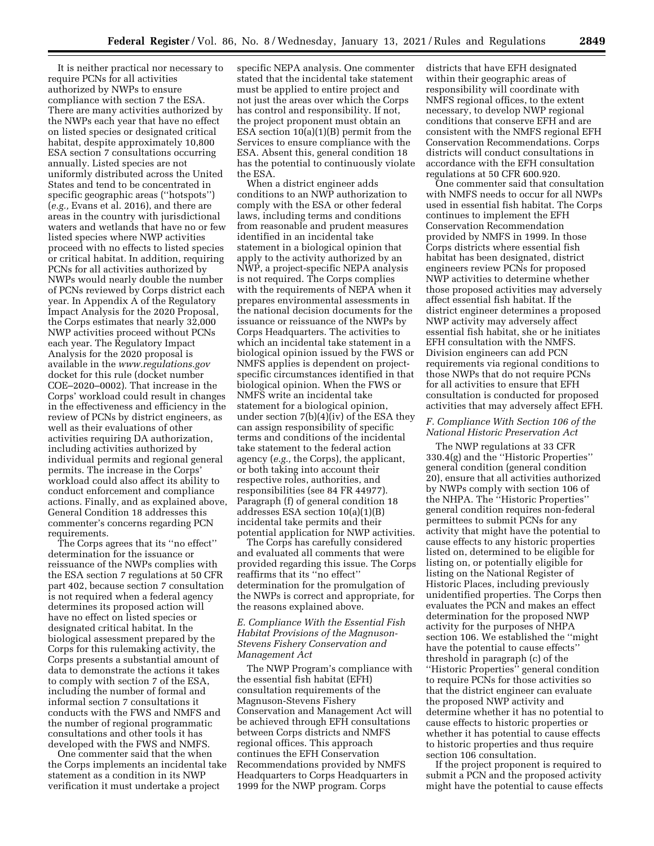It is neither practical nor necessary to require PCNs for all activities authorized by NWPs to ensure compliance with section 7 the ESA. There are many activities authorized by the NWPs each year that have no effect on listed species or designated critical habitat, despite approximately 10,800 ESA section 7 consultations occurring annually. Listed species are not uniformly distributed across the United States and tend to be concentrated in specific geographic areas (''hotspots'') (*e.g.,* Evans et al. 2016), and there are areas in the country with jurisdictional waters and wetlands that have no or few listed species where NWP activities proceed with no effects to listed species or critical habitat. In addition, requiring PCNs for all activities authorized by NWPs would nearly double the number of PCNs reviewed by Corps district each year. In Appendix A of the Regulatory Impact Analysis for the 2020 Proposal, the Corps estimates that nearly 32,000 NWP activities proceed without PCNs each year. The Regulatory Impact Analysis for the 2020 proposal is available in the *[www.regulations.gov](http://www.regulations.gov)*  docket for this rule (docket number COE–2020–0002). That increase in the Corps' workload could result in changes in the effectiveness and efficiency in the review of PCNs by district engineers, as well as their evaluations of other activities requiring DA authorization, including activities authorized by individual permits and regional general permits. The increase in the Corps' workload could also affect its ability to conduct enforcement and compliance actions. Finally, and as explained above, General Condition 18 addresses this commenter's concerns regarding PCN requirements.

The Corps agrees that its ''no effect'' determination for the issuance or reissuance of the NWPs complies with the ESA section 7 regulations at 50 CFR part 402, because section 7 consultation is not required when a federal agency determines its proposed action will have no effect on listed species or designated critical habitat. In the biological assessment prepared by the Corps for this rulemaking activity, the Corps presents a substantial amount of data to demonstrate the actions it takes to comply with section 7 of the ESA, including the number of formal and informal section 7 consultations it conducts with the FWS and NMFS and the number of regional programmatic consultations and other tools it has developed with the FWS and NMFS.

One commenter said that the when the Corps implements an incidental take statement as a condition in its NWP verification it must undertake a project

specific NEPA analysis. One commenter stated that the incidental take statement must be applied to entire project and not just the areas over which the Corps has control and responsibility. If not, the project proponent must obtain an ESA section 10(a)(1)(B) permit from the Services to ensure compliance with the ESA. Absent this, general condition 18 has the potential to continuously violate the ESA.

When a district engineer adds conditions to an NWP authorization to comply with the ESA or other federal laws, including terms and conditions from reasonable and prudent measures identified in an incidental take statement in a biological opinion that apply to the activity authorized by an NWP, a project-specific NEPA analysis is not required. The Corps complies with the requirements of NEPA when it prepares environmental assessments in the national decision documents for the issuance or reissuance of the NWPs by Corps Headquarters. The activities to which an incidental take statement in a biological opinion issued by the FWS or NMFS applies is dependent on projectspecific circumstances identified in that biological opinion. When the FWS or NMFS write an incidental take statement for a biological opinion, under section 7(b)(4)(iv) of the ESA they can assign responsibility of specific terms and conditions of the incidental take statement to the federal action agency (*e.g.,* the Corps), the applicant, or both taking into account their respective roles, authorities, and responsibilities (see 84 FR 44977). Paragraph (f) of general condition 18 addresses ESA section 10(a)(1)(B) incidental take permits and their potential application for NWP activities.

The Corps has carefully considered and evaluated all comments that were provided regarding this issue. The Corps reaffirms that its ''no effect'' determination for the promulgation of the NWPs is correct and appropriate, for the reasons explained above.

# *E. Compliance With the Essential Fish Habitat Provisions of the Magnuson-Stevens Fishery Conservation and Management Act*

The NWP Program's compliance with the essential fish habitat (EFH) consultation requirements of the Magnuson-Stevens Fishery Conservation and Management Act will be achieved through EFH consultations between Corps districts and NMFS regional offices. This approach continues the EFH Conservation Recommendations provided by NMFS Headquarters to Corps Headquarters in 1999 for the NWP program. Corps

districts that have EFH designated within their geographic areas of responsibility will coordinate with NMFS regional offices, to the extent necessary, to develop NWP regional conditions that conserve EFH and are consistent with the NMFS regional EFH Conservation Recommendations. Corps districts will conduct consultations in accordance with the EFH consultation regulations at 50 CFR 600.920.

One commenter said that consultation with NMFS needs to occur for all NWPs used in essential fish habitat. The Corps continues to implement the EFH Conservation Recommendation provided by NMFS in 1999. In those Corps districts where essential fish habitat has been designated, district engineers review PCNs for proposed NWP activities to determine whether those proposed activities may adversely affect essential fish habitat. If the district engineer determines a proposed NWP activity may adversely affect essential fish habitat, she or he initiates EFH consultation with the NMFS. Division engineers can add PCN requirements via regional conditions to those NWPs that do not require PCNs for all activities to ensure that EFH consultation is conducted for proposed activities that may adversely affect EFH.

# *F. Compliance With Section 106 of the National Historic Preservation Act*

The NWP regulations at 33 CFR 330.4(g) and the ''Historic Properties'' general condition (general condition 20), ensure that all activities authorized by NWPs comply with section 106 of the NHPA. The ''Historic Properties'' general condition requires non-federal permittees to submit PCNs for any activity that might have the potential to cause effects to any historic properties listed on, determined to be eligible for listing on, or potentially eligible for listing on the National Register of Historic Places, including previously unidentified properties. The Corps then evaluates the PCN and makes an effect determination for the proposed NWP activity for the purposes of NHPA section 106. We established the ''might have the potential to cause effects'' threshold in paragraph (c) of the ''Historic Properties'' general condition to require PCNs for those activities so that the district engineer can evaluate the proposed NWP activity and determine whether it has no potential to cause effects to historic properties or whether it has potential to cause effects to historic properties and thus require section 106 consultation.

If the project proponent is required to submit a PCN and the proposed activity might have the potential to cause effects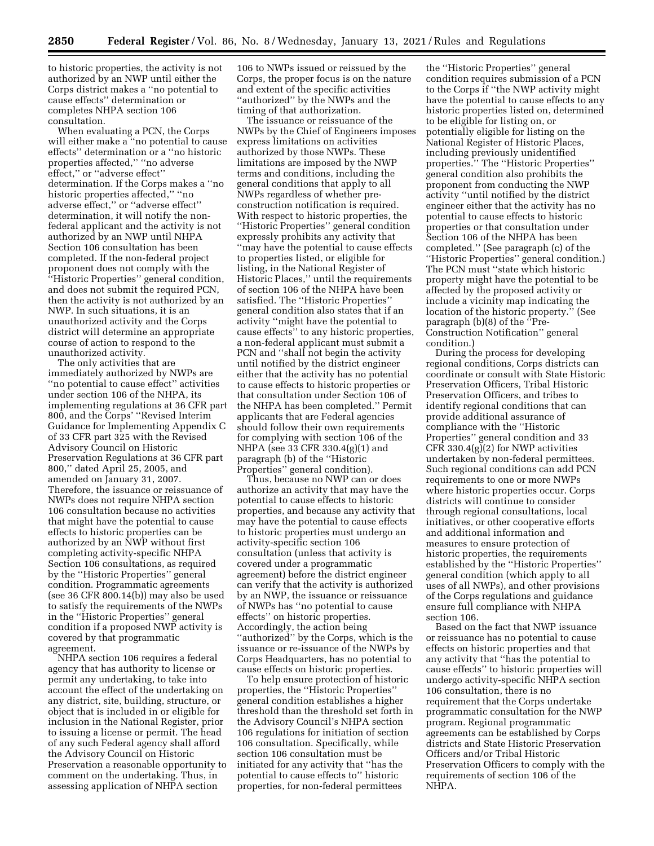to historic properties, the activity is not authorized by an NWP until either the Corps district makes a ''no potential to cause effects'' determination or completes NHPA section 106 consultation.

When evaluating a PCN, the Corps will either make a ''no potential to cause effects'' determination or a ''no historic properties affected,'' ''no adverse effect,'' or ''adverse effect'' determination. If the Corps makes a ''no historic properties affected," "no adverse effect,'' or ''adverse effect'' determination, it will notify the nonfederal applicant and the activity is not authorized by an NWP until NHPA Section 106 consultation has been completed. If the non-federal project proponent does not comply with the ''Historic Properties'' general condition, and does not submit the required PCN, then the activity is not authorized by an NWP. In such situations, it is an unauthorized activity and the Corps district will determine an appropriate course of action to respond to the unauthorized activity.

The only activities that are immediately authorized by NWPs are ''no potential to cause effect'' activities under section 106 of the NHPA, its implementing regulations at 36 CFR part 800, and the Corps' ''Revised Interim Guidance for Implementing Appendix C of 33 CFR part 325 with the Revised Advisory Council on Historic Preservation Regulations at 36 CFR part 800,'' dated April 25, 2005, and amended on January 31, 2007. Therefore, the issuance or reissuance of NWPs does not require NHPA section 106 consultation because no activities that might have the potential to cause effects to historic properties can be authorized by an NWP without first completing activity-specific NHPA Section 106 consultations, as required by the ''Historic Properties'' general condition. Programmatic agreements (see 36 CFR 800.14(b)) may also be used to satisfy the requirements of the NWPs in the ''Historic Properties'' general condition if a proposed NWP activity is covered by that programmatic agreement.

NHPA section 106 requires a federal agency that has authority to license or permit any undertaking, to take into account the effect of the undertaking on any district, site, building, structure, or object that is included in or eligible for inclusion in the National Register, prior to issuing a license or permit. The head of any such Federal agency shall afford the Advisory Council on Historic Preservation a reasonable opportunity to comment on the undertaking. Thus, in assessing application of NHPA section

106 to NWPs issued or reissued by the Corps, the proper focus is on the nature and extent of the specific activities ''authorized'' by the NWPs and the timing of that authorization.

The issuance or reissuance of the NWPs by the Chief of Engineers imposes express limitations on activities authorized by those NWPs. These limitations are imposed by the NWP terms and conditions, including the general conditions that apply to all NWPs regardless of whether preconstruction notification is required. With respect to historic properties, the ''Historic Properties'' general condition expressly prohibits any activity that ''may have the potential to cause effects to properties listed, or eligible for listing, in the National Register of Historic Places,'' until the requirements of section 106 of the NHPA have been satisfied. The ''Historic Properties'' general condition also states that if an activity ''might have the potential to cause effects'' to any historic properties, a non-federal applicant must submit a PCN and ''shall not begin the activity until notified by the district engineer either that the activity has no potential to cause effects to historic properties or that consultation under Section 106 of the NHPA has been completed.'' Permit applicants that are Federal agencies should follow their own requirements for complying with section 106 of the NHPA (see 33 CFR 330.4(g)(1) and paragraph (b) of the ''Historic Properties'' general condition).

Thus, because no NWP can or does authorize an activity that may have the potential to cause effects to historic properties, and because any activity that may have the potential to cause effects to historic properties must undergo an activity-specific section 106 consultation (unless that activity is covered under a programmatic agreement) before the district engineer can verify that the activity is authorized by an NWP, the issuance or reissuance of NWPs has ''no potential to cause effects'' on historic properties. Accordingly, the action being ''authorized'' by the Corps, which is the issuance or re-issuance of the NWPs by Corps Headquarters, has no potential to cause effects on historic properties.

To help ensure protection of historic properties, the ''Historic Properties'' general condition establishes a higher threshold than the threshold set forth in the Advisory Council's NHPA section 106 regulations for initiation of section 106 consultation. Specifically, while section 106 consultation must be initiated for any activity that ''has the potential to cause effects to'' historic properties, for non-federal permittees

the ''Historic Properties'' general condition requires submission of a PCN to the Corps if ''the NWP activity might have the potential to cause effects to any historic properties listed on, determined to be eligible for listing on, or potentially eligible for listing on the National Register of Historic Places, including previously unidentified properties.'' The ''Historic Properties'' general condition also prohibits the proponent from conducting the NWP activity ''until notified by the district engineer either that the activity has no potential to cause effects to historic properties or that consultation under Section 106 of the NHPA has been completed.'' (See paragraph (c) of the ''Historic Properties'' general condition.) The PCN must ''state which historic property might have the potential to be affected by the proposed activity or include a vicinity map indicating the location of the historic property.'' (See paragraph (b)(8) of the ''Pre-Construction Notification'' general condition.)

During the process for developing regional conditions, Corps districts can coordinate or consult with State Historic Preservation Officers, Tribal Historic Preservation Officers, and tribes to identify regional conditions that can provide additional assurance of compliance with the ''Historic Properties'' general condition and 33 CFR 330.4(g)(2) for NWP activities undertaken by non-federal permittees. Such regional conditions can add PCN requirements to one or more NWPs where historic properties occur. Corps districts will continue to consider through regional consultations, local initiatives, or other cooperative efforts and additional information and measures to ensure protection of historic properties, the requirements established by the ''Historic Properties'' general condition (which apply to all uses of all NWPs), and other provisions of the Corps regulations and guidance ensure full compliance with NHPA section 106.

Based on the fact that NWP issuance or reissuance has no potential to cause effects on historic properties and that any activity that ''has the potential to cause effects'' to historic properties will undergo activity-specific NHPA section 106 consultation, there is no requirement that the Corps undertake programmatic consultation for the NWP program. Regional programmatic agreements can be established by Corps districts and State Historic Preservation Officers and/or Tribal Historic Preservation Officers to comply with the requirements of section 106 of the NHPA.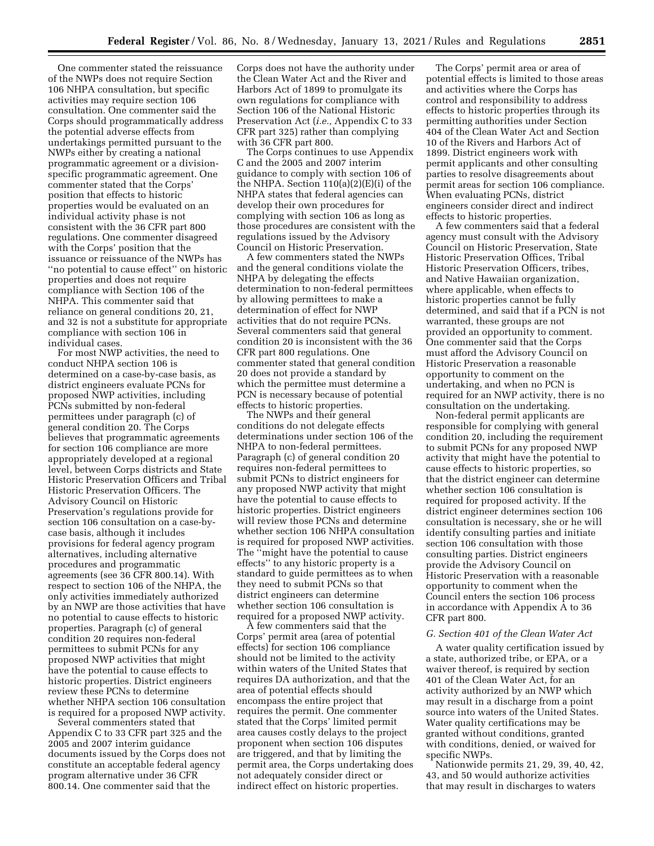One commenter stated the reissuance of the NWPs does not require Section 106 NHPA consultation, but specific activities may require section 106 consultation. One commenter said the Corps should programmatically address the potential adverse effects from undertakings permitted pursuant to the NWPs either by creating a national programmatic agreement or a divisionspecific programmatic agreement. One commenter stated that the Corps' position that effects to historic properties would be evaluated on an individual activity phase is not consistent with the 36 CFR part 800 regulations. One commenter disagreed with the Corps' position that the issuance or reissuance of the NWPs has ''no potential to cause effect'' on historic properties and does not require compliance with Section 106 of the NHPA. This commenter said that reliance on general conditions 20, 21, and 32 is not a substitute for appropriate compliance with section 106 in individual cases.

For most NWP activities, the need to conduct NHPA section 106 is determined on a case-by-case basis, as district engineers evaluate PCNs for proposed NWP activities, including PCNs submitted by non-federal permittees under paragraph (c) of general condition 20. The Corps believes that programmatic agreements for section 106 compliance are more appropriately developed at a regional level, between Corps districts and State Historic Preservation Officers and Tribal Historic Preservation Officers. The Advisory Council on Historic Preservation's regulations provide for section 106 consultation on a case-bycase basis, although it includes provisions for federal agency program alternatives, including alternative procedures and programmatic agreements (see 36 CFR 800.14). With respect to section 106 of the NHPA, the only activities immediately authorized by an NWP are those activities that have no potential to cause effects to historic properties. Paragraph (c) of general condition 20 requires non-federal permittees to submit PCNs for any proposed NWP activities that might have the potential to cause effects to historic properties. District engineers review these PCNs to determine whether NHPA section 106 consultation is required for a proposed NWP activity.

Several commenters stated that Appendix C to 33 CFR part 325 and the 2005 and 2007 interim guidance documents issued by the Corps does not constitute an acceptable federal agency program alternative under 36 CFR 800.14. One commenter said that the

Corps does not have the authority under the Clean Water Act and the River and Harbors Act of 1899 to promulgate its own regulations for compliance with Section 106 of the National Historic Preservation Act (*i.e.,* Appendix C to 33 CFR part 325) rather than complying with 36 CFR part 800.

The Corps continues to use Appendix C and the 2005 and 2007 interim guidance to comply with section 106 of the NHPA. Section 110(a)(2)(E)(i) of the NHPA states that federal agencies can develop their own procedures for complying with section 106 as long as those procedures are consistent with the regulations issued by the Advisory Council on Historic Preservation.

A few commenters stated the NWPs and the general conditions violate the NHPA by delegating the effects determination to non-federal permittees by allowing permittees to make a determination of effect for NWP activities that do not require PCNs. Several commenters said that general condition 20 is inconsistent with the 36 CFR part 800 regulations. One commenter stated that general condition 20 does not provide a standard by which the permittee must determine a PCN is necessary because of potential effects to historic properties.

The NWPs and their general conditions do not delegate effects determinations under section 106 of the NHPA to non-federal permittees. Paragraph (c) of general condition 20 requires non-federal permittees to submit PCNs to district engineers for any proposed NWP activity that might have the potential to cause effects to historic properties. District engineers will review those PCNs and determine whether section 106 NHPA consultation is required for proposed NWP activities. The ''might have the potential to cause effects'' to any historic property is a standard to guide permittees as to when they need to submit PCNs so that district engineers can determine whether section 106 consultation is required for a proposed NWP activity.

A few commenters said that the Corps' permit area (area of potential effects) for section 106 compliance should not be limited to the activity within waters of the United States that requires DA authorization, and that the area of potential effects should encompass the entire project that requires the permit. One commenter stated that the Corps' limited permit area causes costly delays to the project proponent when section 106 disputes are triggered, and that by limiting the permit area, the Corps undertaking does not adequately consider direct or indirect effect on historic properties.

The Corps' permit area or area of potential effects is limited to those areas and activities where the Corps has control and responsibility to address effects to historic properties through its permitting authorities under Section 404 of the Clean Water Act and Section 10 of the Rivers and Harbors Act of 1899. District engineers work with permit applicants and other consulting parties to resolve disagreements about permit areas for section 106 compliance. When evaluating PCNs, district engineers consider direct and indirect effects to historic properties.

A few commenters said that a federal agency must consult with the Advisory Council on Historic Preservation, State Historic Preservation Offices, Tribal Historic Preservation Officers, tribes, and Native Hawaiian organization, where applicable, when effects to historic properties cannot be fully determined, and said that if a PCN is not warranted, these groups are not provided an opportunity to comment. One commenter said that the Corps must afford the Advisory Council on Historic Preservation a reasonable opportunity to comment on the undertaking, and when no PCN is required for an NWP activity, there is no consultation on the undertaking.

Non-federal permit applicants are responsible for complying with general condition 20, including the requirement to submit PCNs for any proposed NWP activity that might have the potential to cause effects to historic properties, so that the district engineer can determine whether section 106 consultation is required for proposed activity. If the district engineer determines section 106 consultation is necessary, she or he will identify consulting parties and initiate section 106 consultation with those consulting parties. District engineers provide the Advisory Council on Historic Preservation with a reasonable opportunity to comment when the Council enters the section 106 process in accordance with Appendix A to 36 CFR part 800.

### *G. Section 401 of the Clean Water Act*

A water quality certification issued by a state, authorized tribe, or EPA, or a waiver thereof, is required by section 401 of the Clean Water Act, for an activity authorized by an NWP which may result in a discharge from a point source into waters of the United States. Water quality certifications may be granted without conditions, granted with conditions, denied, or waived for specific NWPs.

Nationwide permits 21, 29, 39, 40, 42, 43, and 50 would authorize activities that may result in discharges to waters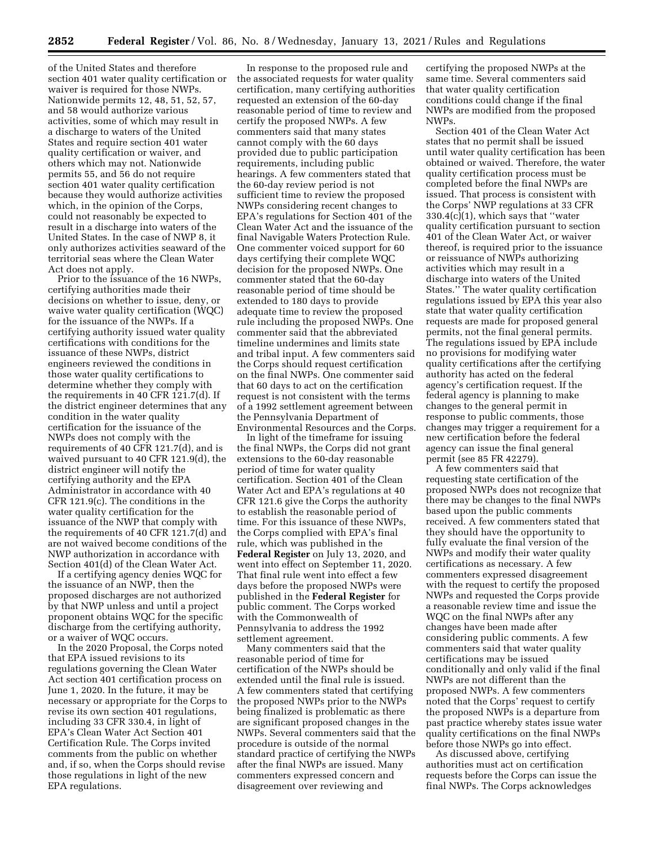of the United States and therefore section 401 water quality certification or waiver is required for those NWPs. Nationwide permits 12, 48, 51, 52, 57, and 58 would authorize various activities, some of which may result in a discharge to waters of the United States and require section 401 water quality certification or waiver, and others which may not. Nationwide permits 55, and 56 do not require section 401 water quality certification because they would authorize activities which, in the opinion of the Corps, could not reasonably be expected to result in a discharge into waters of the United States. In the case of NWP 8, it only authorizes activities seaward of the territorial seas where the Clean Water Act does not apply.

Prior to the issuance of the 16 NWPs, certifying authorities made their decisions on whether to issue, deny, or waive water quality certification (WQC) for the issuance of the NWPs. If a certifying authority issued water quality certifications with conditions for the issuance of these NWPs, district engineers reviewed the conditions in those water quality certifications to determine whether they comply with the requirements in 40 CFR 121.7(d). If the district engineer determines that any condition in the water quality certification for the issuance of the NWPs does not comply with the requirements of 40 CFR 121.7(d), and is waived pursuant to 40 CFR 121.9(d), the district engineer will notify the certifying authority and the EPA Administrator in accordance with 40 CFR 121.9(c). The conditions in the water quality certification for the issuance of the NWP that comply with the requirements of 40 CFR 121.7(d) and are not waived become conditions of the NWP authorization in accordance with Section 401(d) of the Clean Water Act.

If a certifying agency denies WQC for the issuance of an NWP, then the proposed discharges are not authorized by that NWP unless and until a project proponent obtains WQC for the specific discharge from the certifying authority, or a waiver of WQC occurs.

In the 2020 Proposal, the Corps noted that EPA issued revisions to its regulations governing the Clean Water Act section 401 certification process on June 1, 2020. In the future, it may be necessary or appropriate for the Corps to revise its own section 401 regulations, including 33 CFR 330.4, in light of EPA's Clean Water Act Section 401 Certification Rule. The Corps invited comments from the public on whether and, if so, when the Corps should revise those regulations in light of the new EPA regulations.

In response to the proposed rule and the associated requests for water quality certification, many certifying authorities requested an extension of the 60-day reasonable period of time to review and certify the proposed NWPs. A few commenters said that many states cannot comply with the 60 days provided due to public participation requirements, including public hearings. A few commenters stated that the 60-day review period is not sufficient time to review the proposed NWPs considering recent changes to EPA's regulations for Section 401 of the Clean Water Act and the issuance of the final Navigable Waters Protection Rule. One commenter voiced support for 60 days certifying their complete WQC decision for the proposed NWPs. One commenter stated that the 60-day reasonable period of time should be extended to 180 days to provide adequate time to review the proposed rule including the proposed NWPs. One commenter said that the abbreviated timeline undermines and limits state and tribal input. A few commenters said the Corps should request certification on the final NWPs. One commenter said that 60 days to act on the certification request is not consistent with the terms of a 1992 settlement agreement between the Pennsylvania Department of Environmental Resources and the Corps.

In light of the timeframe for issuing the final NWPs, the Corps did not grant extensions to the 60-day reasonable period of time for water quality certification. Section 401 of the Clean Water Act and EPA's regulations at 40 CFR 121.6 give the Corps the authority to establish the reasonable period of time. For this issuance of these NWPs, the Corps complied with EPA's final rule, which was published in the **Federal Register** on July 13, 2020, and went into effect on September 11, 2020. That final rule went into effect a few days before the proposed NWPs were published in the **Federal Register** for public comment. The Corps worked with the Commonwealth of Pennsylvania to address the 1992 settlement agreement.

Many commenters said that the reasonable period of time for certification of the NWPs should be extended until the final rule is issued. A few commenters stated that certifying the proposed NWPs prior to the NWPs being finalized is problematic as there are significant proposed changes in the NWPs. Several commenters said that the procedure is outside of the normal standard practice of certifying the NWPs after the final NWPs are issued. Many commenters expressed concern and disagreement over reviewing and

certifying the proposed NWPs at the same time. Several commenters said that water quality certification conditions could change if the final NWPs are modified from the proposed NWPs.

Section 401 of the Clean Water Act states that no permit shall be issued until water quality certification has been obtained or waived. Therefore, the water quality certification process must be completed before the final NWPs are issued. That process is consistent with the Corps' NWP regulations at 33 CFR 330.4(c)(1), which says that ''water quality certification pursuant to section 401 of the Clean Water Act, or waiver thereof, is required prior to the issuance or reissuance of NWPs authorizing activities which may result in a discharge into waters of the United States.'' The water quality certification regulations issued by EPA this year also state that water quality certification requests are made for proposed general permits, not the final general permits. The regulations issued by EPA include no provisions for modifying water quality certifications after the certifying authority has acted on the federal agency's certification request. If the federal agency is planning to make changes to the general permit in response to public comments, those changes may trigger a requirement for a new certification before the federal agency can issue the final general permit (see 85 FR 42279).

A few commenters said that requesting state certification of the proposed NWPs does not recognize that there may be changes to the final NWPs based upon the public comments received. A few commenters stated that they should have the opportunity to fully evaluate the final version of the NWPs and modify their water quality certifications as necessary. A few commenters expressed disagreement with the request to certify the proposed NWPs and requested the Corps provide a reasonable review time and issue the WQC on the final NWPs after any changes have been made after considering public comments. A few commenters said that water quality certifications may be issued conditionally and only valid if the final NWPs are not different than the proposed NWPs. A few commenters noted that the Corps' request to certify the proposed NWPs is a departure from past practice whereby states issue water quality certifications on the final NWPs before those NWPs go into effect.

As discussed above, certifying authorities must act on certification requests before the Corps can issue the final NWPs. The Corps acknowledges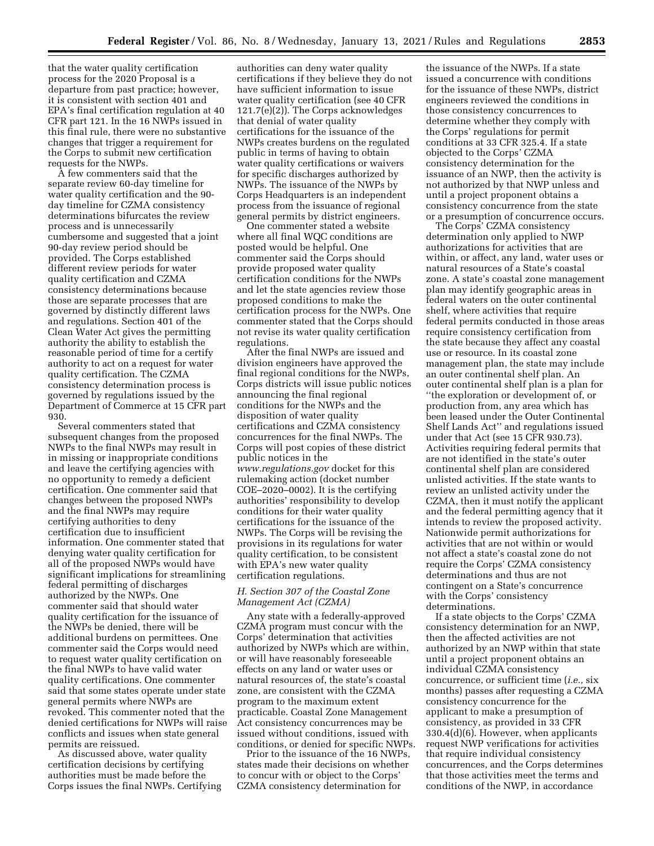that the water quality certification process for the 2020 Proposal is a departure from past practice; however, it is consistent with section 401 and EPA's final certification regulation at 40 CFR part 121. In the 16 NWPs issued in this final rule, there were no substantive changes that trigger a requirement for the Corps to submit new certification requests for the NWPs.

A few commenters said that the separate review 60-day timeline for water quality certification and the 90 day timeline for CZMA consistency determinations bifurcates the review process and is unnecessarily cumbersome and suggested that a joint 90-day review period should be provided. The Corps established different review periods for water quality certification and CZMA consistency determinations because those are separate processes that are governed by distinctly different laws and regulations. Section 401 of the Clean Water Act gives the permitting authority the ability to establish the reasonable period of time for a certify authority to act on a request for water quality certification. The CZMA consistency determination process is governed by regulations issued by the Department of Commerce at 15 CFR part 930.

Several commenters stated that subsequent changes from the proposed NWPs to the final NWPs may result in in missing or inappropriate conditions and leave the certifying agencies with no opportunity to remedy a deficient certification. One commenter said that changes between the proposed NWPs and the final NWPs may require certifying authorities to deny certification due to insufficient information. One commenter stated that denying water quality certification for all of the proposed NWPs would have significant implications for streamlining federal permitting of discharges authorized by the NWPs. One commenter said that should water quality certification for the issuance of the NWPs be denied, there will be additional burdens on permittees. One commenter said the Corps would need to request water quality certification on the final NWPs to have valid water quality certifications. One commenter said that some states operate under state general permits where NWPs are revoked. This commenter noted that the denied certifications for NWPs will raise conflicts and issues when state general permits are reissued.

As discussed above, water quality certification decisions by certifying authorities must be made before the Corps issues the final NWPs. Certifying

authorities can deny water quality certifications if they believe they do not have sufficient information to issue water quality certification (see 40 CFR 121.7(e)(2)). The Corps acknowledges that denial of water quality certifications for the issuance of the NWPs creates burdens on the regulated public in terms of having to obtain water quality certifications or waivers for specific discharges authorized by NWPs. The issuance of the NWPs by Corps Headquarters is an independent process from the issuance of regional general permits by district engineers.

One commenter stated a website where all final WQC conditions are posted would be helpful. One commenter said the Corps should provide proposed water quality certification conditions for the NWPs and let the state agencies review those proposed conditions to make the certification process for the NWPs. One commenter stated that the Corps should not revise its water quality certification regulations.

After the final NWPs are issued and division engineers have approved the final regional conditions for the NWPs, Corps districts will issue public notices announcing the final regional conditions for the NWPs and the disposition of water quality certifications and CZMA consistency concurrences for the final NWPs. The Corps will post copies of these district public notices in the *[www.regulations.gov](http://www.regulations.gov)* docket for this rulemaking action (docket number COE–2020–0002). It is the certifying authorities' responsibility to develop conditions for their water quality certifications for the issuance of the NWPs. The Corps will be revising the provisions in its regulations for water quality certification, to be consistent with EPA's new water quality certification regulations.

## *H. Section 307 of the Coastal Zone Management Act (CZMA)*

Any state with a federally-approved CZMA program must concur with the Corps' determination that activities authorized by NWPs which are within, or will have reasonably foreseeable effects on any land or water uses or natural resources of, the state's coastal zone, are consistent with the CZMA program to the maximum extent practicable. Coastal Zone Management Act consistency concurrences may be issued without conditions, issued with conditions, or denied for specific NWPs.

Prior to the issuance of the 16 NWPs, states made their decisions on whether to concur with or object to the Corps' CZMA consistency determination for

the issuance of the NWPs. If a state issued a concurrence with conditions for the issuance of these NWPs, district engineers reviewed the conditions in those consistency concurrences to determine whether they comply with the Corps' regulations for permit conditions at 33 CFR 325.4. If a state objected to the Corps' CZMA consistency determination for the issuance of an NWP, then the activity is not authorized by that NWP unless and until a project proponent obtains a consistency concurrence from the state or a presumption of concurrence occurs.

The Corps' CZMA consistency determination only applied to NWP authorizations for activities that are within, or affect, any land, water uses or natural resources of a State's coastal zone. A state's coastal zone management plan may identify geographic areas in federal waters on the outer continental shelf, where activities that require federal permits conducted in those areas require consistency certification from the state because they affect any coastal use or resource. In its coastal zone management plan, the state may include an outer continental shelf plan. An outer continental shelf plan is a plan for ''the exploration or development of, or production from, any area which has been leased under the Outer Continental Shelf Lands Act'' and regulations issued under that Act (see 15 CFR 930.73). Activities requiring federal permits that are not identified in the state's outer continental shelf plan are considered unlisted activities. If the state wants to review an unlisted activity under the CZMA, then it must notify the applicant and the federal permitting agency that it intends to review the proposed activity. Nationwide permit authorizations for activities that are not within or would not affect a state's coastal zone do not require the Corps' CZMA consistency determinations and thus are not contingent on a State's concurrence with the Corps' consistency determinations.

If a state objects to the Corps' CZMA consistency determination for an NWP, then the affected activities are not authorized by an NWP within that state until a project proponent obtains an individual CZMA consistency concurrence, or sufficient time (*i.e.,* six months) passes after requesting a CZMA consistency concurrence for the applicant to make a presumption of consistency, as provided in 33 CFR 330.4(d)(6). However, when applicants request NWP verifications for activities that require individual consistency concurrences, and the Corps determines that those activities meet the terms and conditions of the NWP, in accordance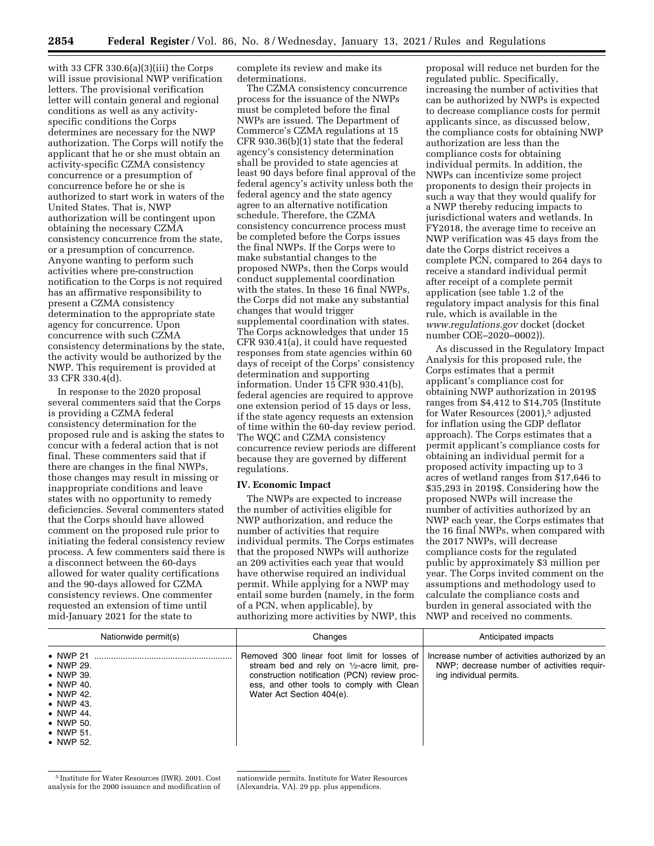with 33 CFR 330.6(a)(3)(iii) the Corps will issue provisional NWP verification letters. The provisional verification letter will contain general and regional conditions as well as any activityspecific conditions the Corps determines are necessary for the NWP authorization. The Corps will notify the applicant that he or she must obtain an activity-specific CZMA consistency concurrence or a presumption of concurrence before he or she is authorized to start work in waters of the United States. That is, NWP authorization will be contingent upon obtaining the necessary CZMA consistency concurrence from the state, or a presumption of concurrence. Anyone wanting to perform such activities where pre-construction notification to the Corps is not required has an affirmative responsibility to present a CZMA consistency determination to the appropriate state agency for concurrence. Upon concurrence with such CZMA consistency determinations by the state, the activity would be authorized by the NWP. This requirement is provided at 33 CFR 330.4(d).

In response to the 2020 proposal several commenters said that the Corps is providing a CZMA federal consistency determination for the proposed rule and is asking the states to concur with a federal action that is not final. These commenters said that if there are changes in the final NWPs, those changes may result in missing or inappropriate conditions and leave states with no opportunity to remedy deficiencies. Several commenters stated that the Corps should have allowed comment on the proposed rule prior to initiating the federal consistency review process. A few commenters said there is a disconnect between the 60-days allowed for water quality certifications and the 90-days allowed for CZMA consistency reviews. One commenter requested an extension of time until mid-January 2021 for the state to

complete its review and make its determinations.

The CZMA consistency concurrence process for the issuance of the NWPs must be completed before the final NWPs are issued. The Department of Commerce's CZMA regulations at 15 CFR 930.36(b)(1) state that the federal agency's consistency determination shall be provided to state agencies at least 90 days before final approval of the federal agency's activity unless both the federal agency and the state agency agree to an alternative notification schedule. Therefore, the CZMA consistency concurrence process must be completed before the Corps issues the final NWPs. If the Corps were to make substantial changes to the proposed NWPs, then the Corps would conduct supplemental coordination with the states. In these 16 final NWPs, the Corps did not make any substantial changes that would trigger supplemental coordination with states. The Corps acknowledges that under 15 CFR 930.41(a), it could have requested responses from state agencies within 60 days of receipt of the Corps' consistency determination and supporting information. Under 15 CFR 930.41(b), federal agencies are required to approve one extension period of 15 days or less, if the state agency requests an extension of time within the 60-day review period. The WQC and CZMA consistency concurrence review periods are different because they are governed by different regulations.

#### **IV. Economic Impact**

The NWPs are expected to increase the number of activities eligible for NWP authorization, and reduce the number of activities that require individual permits. The Corps estimates that the proposed NWPs will authorize an 209 activities each year that would have otherwise required an individual permit. While applying for a NWP may entail some burden (namely, in the form of a PCN, when applicable), by authorizing more activities by NWP, this

proposal will reduce net burden for the regulated public. Specifically, increasing the number of activities that can be authorized by NWPs is expected to decrease compliance costs for permit applicants since, as discussed below, the compliance costs for obtaining NWP authorization are less than the compliance costs for obtaining individual permits. In addition, the NWPs can incentivize some project proponents to design their projects in such a way that they would qualify for a NWP thereby reducing impacts to jurisdictional waters and wetlands. In FY2018, the average time to receive an NWP verification was 45 days from the date the Corps district receives a complete PCN, compared to 264 days to receive a standard individual permit after receipt of a complete permit application (see table 1.2 of the regulatory impact analysis for this final rule, which is available in the *[www.regulations.gov](http://www.regulations.gov)* docket (docket number COE–2020–0002)).

As discussed in the Regulatory Impact Analysis for this proposed rule, the Corps estimates that a permit applicant's compliance cost for obtaining NWP authorization in 2019\$ ranges from \$4,412 to \$14,705 (Institute for Water Resources (2001),5 adjusted for inflation using the GDP deflator approach). The Corps estimates that a permit applicant's compliance costs for obtaining an individual permit for a proposed activity impacting up to 3 acres of wetland ranges from \$17,646 to \$35,293 in 2019\$. Considering how the proposed NWPs will increase the number of activities authorized by an NWP each year, the Corps estimates that the 16 final NWPs, when compared with the 2017 NWPs, will decrease compliance costs for the regulated public by approximately \$3 million per year. The Corps invited comment on the assumptions and methodology used to calculate the compliance costs and burden in general associated with the NWP and received no comments.

| Nationwide permit(s)                                                                                                                                                                                  | Changes                                                                                                                                                                                                                         | Anticipated impacts                                                                                                     |  |  |
|-------------------------------------------------------------------------------------------------------------------------------------------------------------------------------------------------------|---------------------------------------------------------------------------------------------------------------------------------------------------------------------------------------------------------------------------------|-------------------------------------------------------------------------------------------------------------------------|--|--|
| $\bullet$ NWP 21<br>$\bullet$ NWP 29.<br>• NWP 39.<br>$\bullet$ NWP 40.<br>$\bullet$ NWP 42.<br>$\bullet$ NWP 43.<br>$\bullet$ NWP 44.<br>$\bullet$ NWP 50.<br>$\bullet$ NWP 51.<br>$\bullet$ NWP 52. | Removed 300 linear foot limit for losses of<br>stream bed and rely on $\frac{1}{2}$ -acre limit, pre-<br>construction notification (PCN) review proc-<br>ess, and other tools to comply with Clean<br>Water Act Section 404(e). | Increase number of activities authorized by an<br>NWP; decrease number of activities requir-<br>ing individual permits. |  |  |

<sup>5</sup> Institute for Water Resources (IWR). 2001. Cost analysis for the 2000 issuance and modification of

nationwide permits. Institute for Water Resources (Alexandria, VA). 29 pp. plus appendices.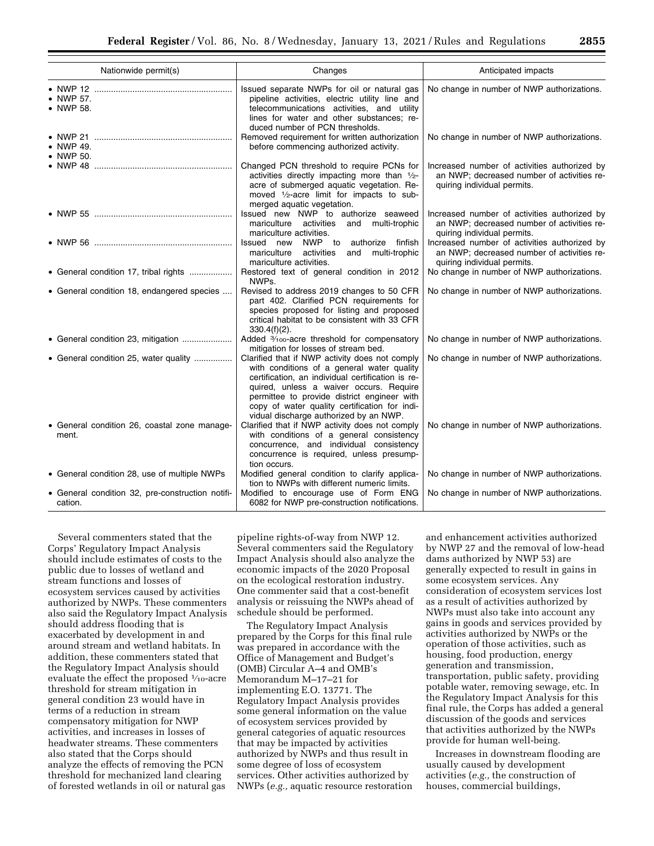| Nationwide permit(s)                                        | Changes                                                                                                                                                                                                                                                                                                                                | Anticipated impacts<br>No change in number of NWP authorizations.<br>No change in number of NWP authorizations.           |  |  |
|-------------------------------------------------------------|----------------------------------------------------------------------------------------------------------------------------------------------------------------------------------------------------------------------------------------------------------------------------------------------------------------------------------------|---------------------------------------------------------------------------------------------------------------------------|--|--|
| • NWP 57.<br>• NWP 58.                                      | Issued separate NWPs for oil or natural gas<br>pipeline activities, electric utility line and<br>telecommunications activities, and utility<br>lines for water and other substances; re-<br>duced number of PCN thresholds.                                                                                                            |                                                                                                                           |  |  |
| • NWP 49.<br>• NWP 50.                                      | Removed requirement for written authorization<br>before commencing authorized activity.                                                                                                                                                                                                                                                |                                                                                                                           |  |  |
|                                                             | Changed PCN threshold to require PCNs for<br>activities directly impacting more than 1/2-<br>acre of submerged aquatic vegetation. Re-<br>moved 1/2-acre limit for impacts to sub-<br>merged aquatic vegetation.                                                                                                                       | Increased number of activities authorized by<br>an NWP; decreased number of activities re-<br>quiring individual permits. |  |  |
|                                                             | Issued new NWP to authorize seaweed<br>mariculture activities and multi-trophic<br>mariculture activities.                                                                                                                                                                                                                             | Increased number of activities authorized by<br>an NWP; decreased number of activities re-<br>quiring individual permits. |  |  |
|                                                             | Issued new NWP to authorize finfish<br>mariculture activities and multi-trophic<br>mariculture activities.                                                                                                                                                                                                                             | Increased number of activities authorized by<br>an NWP; decreased number of activities re-<br>quiring individual permits. |  |  |
| • General condition 17, tribal rights                       | Restored text of general condition in 2012<br>NWPs.                                                                                                                                                                                                                                                                                    | No change in number of NWP authorizations.                                                                                |  |  |
| • General condition 18, endangered species                  | Revised to address 2019 changes to 50 CFR<br>part 402. Clarified PCN requirements for<br>species proposed for listing and proposed<br>critical habitat to be consistent with 33 CFR<br>$330.4(f)(2)$ .                                                                                                                                 | No change in number of NWP authorizations.                                                                                |  |  |
| • General condition 23, mitigation                          | Added 3/100-acre threshold for compensatory<br>mitigation for losses of stream bed.                                                                                                                                                                                                                                                    | No change in number of NWP authorizations.                                                                                |  |  |
| • General condition 25, water quality                       | Clarified that if NWP activity does not comply<br>with conditions of a general water quality<br>certification, an individual certification is re-<br>quired, unless a waiver occurs. Require<br>permittee to provide district engineer with<br>copy of water quality certification for indi-<br>vidual discharge authorized by an NWP. | No change in number of NWP authorizations.                                                                                |  |  |
| • General condition 26, coastal zone manage-<br>ment.       | Clarified that if NWP activity does not comply<br>with conditions of a general consistency<br>concurrence, and individual consistency<br>concurrence is required, unless presump-<br>tion occurs.                                                                                                                                      | No change in number of NWP authorizations.                                                                                |  |  |
| • General condition 28, use of multiple NWPs                | Modified general condition to clarify applica-<br>tion to NWPs with different numeric limits.                                                                                                                                                                                                                                          | No change in number of NWP authorizations.                                                                                |  |  |
| • General condition 32, pre-construction notifi-<br>cation. | Modified to encourage use of Form ENG<br>6082 for NWP pre-construction notifications.                                                                                                                                                                                                                                                  | No change in number of NWP authorizations.                                                                                |  |  |

Several commenters stated that the Corps' Regulatory Impact Analysis should include estimates of costs to the public due to losses of wetland and stream functions and losses of ecosystem services caused by activities authorized by NWPs. These commenters also said the Regulatory Impact Analysis should address flooding that is exacerbated by development in and around stream and wetland habitats. In addition, these commenters stated that the Regulatory Impact Analysis should evaluate the effect the proposed 1⁄10-acre threshold for stream mitigation in general condition 23 would have in terms of a reduction in stream compensatory mitigation for NWP activities, and increases in losses of headwater streams. These commenters also stated that the Corps should analyze the effects of removing the PCN threshold for mechanized land clearing of forested wetlands in oil or natural gas

pipeline rights-of-way from NWP 12. Several commenters said the Regulatory Impact Analysis should also analyze the economic impacts of the 2020 Proposal on the ecological restoration industry. One commenter said that a cost-benefit analysis or reissuing the NWPs ahead of schedule should be performed.

The Regulatory Impact Analysis prepared by the Corps for this final rule was prepared in accordance with the Office of Management and Budget's (OMB) Circular A–4 and OMB's Memorandum M–17–21 for implementing E.O. 13771. The Regulatory Impact Analysis provides some general information on the value of ecosystem services provided by general categories of aquatic resources that may be impacted by activities authorized by NWPs and thus result in some degree of loss of ecosystem services. Other activities authorized by NWPs (*e.g.,* aquatic resource restoration

and enhancement activities authorized by NWP 27 and the removal of low-head dams authorized by NWP 53) are generally expected to result in gains in some ecosystem services. Any consideration of ecosystem services lost as a result of activities authorized by NWPs must also take into account any gains in goods and services provided by activities authorized by NWPs or the operation of those activities, such as housing, food production, energy generation and transmission, transportation, public safety, providing potable water, removing sewage, etc. In the Regulatory Impact Analysis for this final rule, the Corps has added a general discussion of the goods and services that activities authorized by the NWPs provide for human well-being.

Increases in downstream flooding are usually caused by development activities (*e.g.,* the construction of houses, commercial buildings,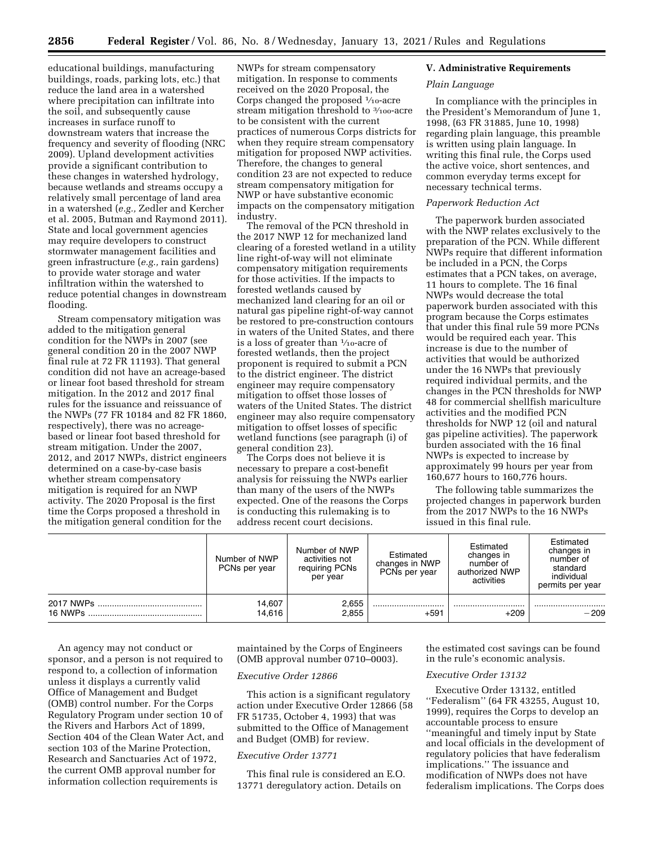educational buildings, manufacturing buildings, roads, parking lots, etc.) that reduce the land area in a watershed where precipitation can infiltrate into the soil, and subsequently cause increases in surface runoff to downstream waters that increase the frequency and severity of flooding (NRC 2009). Upland development activities provide a significant contribution to these changes in watershed hydrology, because wetlands and streams occupy a relatively small percentage of land area in a watershed (*e.g.,* Zedler and Kercher et al. 2005, Butman and Raymond 2011). State and local government agencies may require developers to construct stormwater management facilities and green infrastructure (*e.g.,* rain gardens) to provide water storage and water infiltration within the watershed to reduce potential changes in downstream flooding.

Stream compensatory mitigation was added to the mitigation general condition for the NWPs in 2007 (see general condition 20 in the 2007 NWP final rule at 72 FR 11193). That general condition did not have an acreage-based or linear foot based threshold for stream mitigation. In the 2012 and 2017 final rules for the issuance and reissuance of the NWPs (77 FR 10184 and 82 FR 1860, respectively), there was no acreagebased or linear foot based threshold for stream mitigation. Under the 2007, 2012, and 2017 NWPs, district engineers determined on a case-by-case basis whether stream compensatory mitigation is required for an NWP activity. The 2020 Proposal is the first time the Corps proposed a threshold in the mitigation general condition for the

NWPs for stream compensatory mitigation. In response to comments received on the 2020 Proposal, the Corps changed the proposed  $\frac{1}{10}$ -acre stream mitigation threshold to 3/100-acre to be consistent with the current practices of numerous Corps districts for when they require stream compensatory mitigation for proposed NWP activities. Therefore, the changes to general condition 23 are not expected to reduce stream compensatory mitigation for NWP or have substantive economic impacts on the compensatory mitigation industry.

The removal of the PCN threshold in the 2017 NWP 12 for mechanized land clearing of a forested wetland in a utility line right-of-way will not eliminate compensatory mitigation requirements for those activities. If the impacts to forested wetlands caused by mechanized land clearing for an oil or natural gas pipeline right-of-way cannot be restored to pre-construction contours in waters of the United States, and there is a loss of greater than 1⁄10-acre of forested wetlands, then the project proponent is required to submit a PCN to the district engineer. The district engineer may require compensatory mitigation to offset those losses of waters of the United States. The district engineer may also require compensatory mitigation to offset losses of specific wetland functions (see paragraph (i) of general condition 23).

The Corps does not believe it is necessary to prepare a cost-benefit analysis for reissuing the NWPs earlier than many of the users of the NWPs expected. One of the reasons the Corps is conducting this rulemaking is to address recent court decisions.

#### **V. Administrative Requirements**

### *Plain Language*

In compliance with the principles in the President's Memorandum of June 1, 1998, (63 FR 31885, June 10, 1998) regarding plain language, this preamble is written using plain language. In writing this final rule, the Corps used the active voice, short sentences, and common everyday terms except for necessary technical terms.

#### *Paperwork Reduction Act*

The paperwork burden associated with the NWP relates exclusively to the preparation of the PCN. While different NWPs require that different information be included in a PCN, the Corps estimates that a PCN takes, on average, 11 hours to complete. The 16 final NWPs would decrease the total paperwork burden associated with this program because the Corps estimates that under this final rule 59 more PCNs would be required each year. This increase is due to the number of activities that would be authorized under the 16 NWPs that previously required individual permits, and the changes in the PCN thresholds for NWP 48 for commercial shellfish mariculture activities and the modified PCN thresholds for NWP 12 (oil and natural gas pipeline activities). The paperwork burden associated with the 16 final NWPs is expected to increase by approximately 99 hours per year from 160,677 hours to 160,776 hours.

The following table summarizes the projected changes in paperwork burden from the 2017 NWPs to the 16 NWPs issued in this final rule.

|         | Number of NWP<br>PCNs per year | Number of NWP<br>activities not<br>requiring PCNs<br>per year | Estimated<br>changes in NWP<br>PCNs per year | Estimated<br>changes in<br>number of<br>authorized NWP<br>activities | Estimated<br>changes in<br>number of<br>standard<br>individual<br>permits per year |
|---------|--------------------------------|---------------------------------------------------------------|----------------------------------------------|----------------------------------------------------------------------|------------------------------------------------------------------------------------|
|         | 14,607                         | 2,655                                                         |                                              |                                                                      |                                                                                    |
| 16 NWPs | 14.616                         | 2,855                                                         | $+591$                                       | $+209$                                                               | $-209$                                                                             |

An agency may not conduct or sponsor, and a person is not required to respond to, a collection of information unless it displays a currently valid Office of Management and Budget (OMB) control number. For the Corps Regulatory Program under section 10 of the Rivers and Harbors Act of 1899, Section 404 of the Clean Water Act, and section 103 of the Marine Protection, Research and Sanctuaries Act of 1972, the current OMB approval number for information collection requirements is

maintained by the Corps of Engineers (OMB approval number 0710–0003).

## *Executive Order 12866*

This action is a significant regulatory action under Executive Order 12866 (58 FR 51735, October 4, 1993) that was submitted to the Office of Management and Budget (OMB) for review.

## *Executive Order 13771*

This final rule is considered an E.O. 13771 deregulatory action. Details on

the estimated cost savings can be found in the rule's economic analysis.

#### *Executive Order 13132*

Executive Order 13132, entitled ''Federalism'' (64 FR 43255, August 10, 1999), requires the Corps to develop an accountable process to ensure ''meaningful and timely input by State and local officials in the development of regulatory policies that have federalism implications.'' The issuance and modification of NWPs does not have federalism implications. The Corps does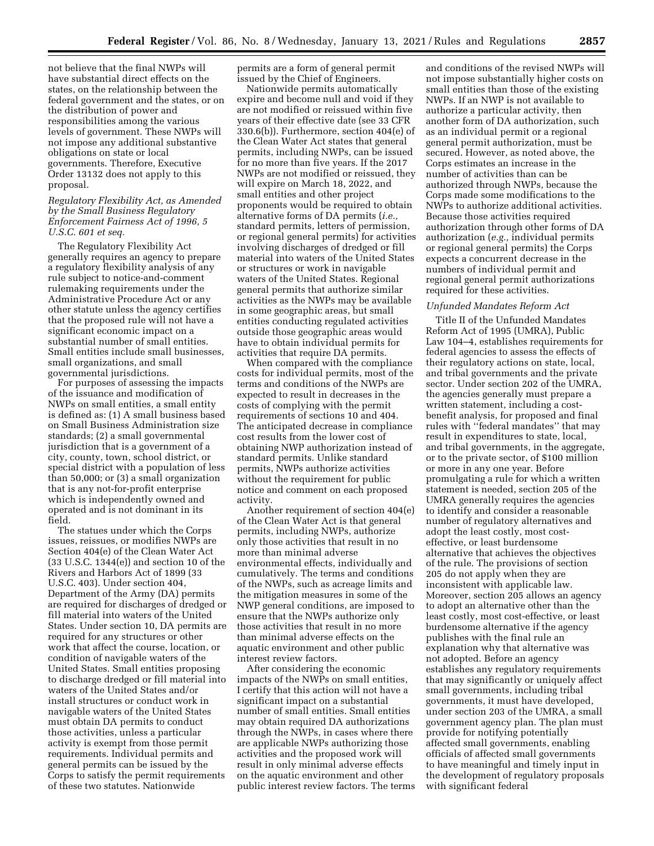not believe that the final NWPs will have substantial direct effects on the states, on the relationship between the federal government and the states, or on the distribution of power and responsibilities among the various levels of government. These NWPs will not impose any additional substantive obligations on state or local governments. Therefore, Executive Order 13132 does not apply to this proposal.

## *Regulatory Flexibility Act, as Amended by the Small Business Regulatory Enforcement Fairness Act of 1996, 5 U.S.C. 601 et seq.*

The Regulatory Flexibility Act generally requires an agency to prepare a regulatory flexibility analysis of any rule subject to notice-and-comment rulemaking requirements under the Administrative Procedure Act or any other statute unless the agency certifies that the proposed rule will not have a significant economic impact on a substantial number of small entities. Small entities include small businesses, small organizations, and small governmental jurisdictions.

For purposes of assessing the impacts of the issuance and modification of NWPs on small entities, a small entity is defined as: (1) A small business based on Small Business Administration size standards; (2) a small governmental jurisdiction that is a government of a city, county, town, school district, or special district with a population of less than 50,000; or (3) a small organization that is any not-for-profit enterprise which is independently owned and operated and is not dominant in its field.

The statues under which the Corps issues, reissues, or modifies NWPs are Section 404(e) of the Clean Water Act (33 U.S.C. 1344(e)) and section 10 of the Rivers and Harbors Act of 1899 (33 U.S.C. 403). Under section 404, Department of the Army (DA) permits are required for discharges of dredged or fill material into waters of the United States. Under section 10, DA permits are required for any structures or other work that affect the course, location, or condition of navigable waters of the United States. Small entities proposing to discharge dredged or fill material into waters of the United States and/or install structures or conduct work in navigable waters of the United States must obtain DA permits to conduct those activities, unless a particular activity is exempt from those permit requirements. Individual permits and general permits can be issued by the Corps to satisfy the permit requirements of these two statutes. Nationwide

permits are a form of general permit issued by the Chief of Engineers.

Nationwide permits automatically expire and become null and void if they are not modified or reissued within five years of their effective date (see 33 CFR 330.6(b)). Furthermore, section 404(e) of the Clean Water Act states that general permits, including NWPs, can be issued for no more than five years. If the 2017 NWPs are not modified or reissued, they will expire on March 18, 2022, and small entities and other project proponents would be required to obtain alternative forms of DA permits (*i.e.,*  standard permits, letters of permission, or regional general permits) for activities involving discharges of dredged or fill material into waters of the United States or structures or work in navigable waters of the United States. Regional general permits that authorize similar activities as the NWPs may be available in some geographic areas, but small entities conducting regulated activities outside those geographic areas would have to obtain individual permits for activities that require DA permits.

When compared with the compliance costs for individual permits, most of the terms and conditions of the NWPs are expected to result in decreases in the costs of complying with the permit requirements of sections 10 and 404. The anticipated decrease in compliance cost results from the lower cost of obtaining NWP authorization instead of standard permits. Unlike standard permits, NWPs authorize activities without the requirement for public notice and comment on each proposed activity.

Another requirement of section 404(e) of the Clean Water Act is that general permits, including NWPs, authorize only those activities that result in no more than minimal adverse environmental effects, individually and cumulatively. The terms and conditions of the NWPs, such as acreage limits and the mitigation measures in some of the NWP general conditions, are imposed to ensure that the NWPs authorize only those activities that result in no more than minimal adverse effects on the aquatic environment and other public interest review factors.

After considering the economic impacts of the NWPs on small entities, I certify that this action will not have a significant impact on a substantial number of small entities. Small entities may obtain required DA authorizations through the NWPs, in cases where there are applicable NWPs authorizing those activities and the proposed work will result in only minimal adverse effects on the aquatic environment and other public interest review factors. The terms

and conditions of the revised NWPs will not impose substantially higher costs on small entities than those of the existing NWPs. If an NWP is not available to authorize a particular activity, then another form of DA authorization, such as an individual permit or a regional general permit authorization, must be secured. However, as noted above, the Corps estimates an increase in the number of activities than can be authorized through NWPs, because the Corps made some modifications to the NWPs to authorize additional activities. Because those activities required authorization through other forms of DA authorization (*e.g.,* individual permits or regional general permits) the Corps expects a concurrent decrease in the numbers of individual permit and regional general permit authorizations required for these activities.

#### *Unfunded Mandates Reform Act*

Title II of the Unfunded Mandates Reform Act of 1995 (UMRA), Public Law 104–4, establishes requirements for federal agencies to assess the effects of their regulatory actions on state, local, and tribal governments and the private sector. Under section 202 of the UMRA, the agencies generally must prepare a written statement, including a costbenefit analysis, for proposed and final rules with ''federal mandates'' that may result in expenditures to state, local, and tribal governments, in the aggregate, or to the private sector, of \$100 million or more in any one year. Before promulgating a rule for which a written statement is needed, section 205 of the UMRA generally requires the agencies to identify and consider a reasonable number of regulatory alternatives and adopt the least costly, most costeffective, or least burdensome alternative that achieves the objectives of the rule. The provisions of section 205 do not apply when they are inconsistent with applicable law. Moreover, section 205 allows an agency to adopt an alternative other than the least costly, most cost-effective, or least burdensome alternative if the agency publishes with the final rule an explanation why that alternative was not adopted. Before an agency establishes any regulatory requirements that may significantly or uniquely affect small governments, including tribal governments, it must have developed, under section 203 of the UMRA, a small government agency plan. The plan must provide for notifying potentially affected small governments, enabling officials of affected small governments to have meaningful and timely input in the development of regulatory proposals with significant federal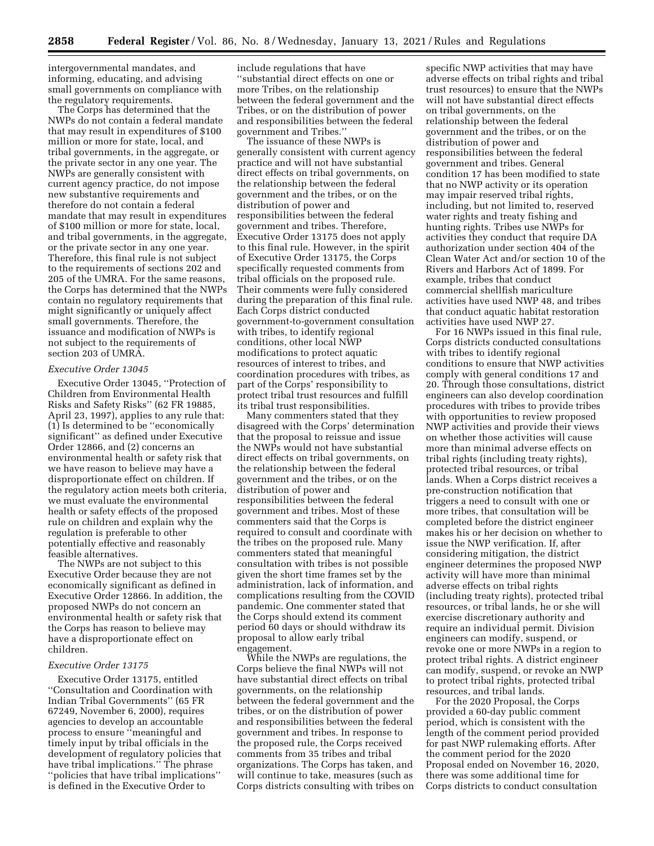intergovernmental mandates, and informing, educating, and advising small governments on compliance with the regulatory requirements.

The Corps has determined that the NWPs do not contain a federal mandate that may result in expenditures of \$100 million or more for state, local, and tribal governments, in the aggregate, or the private sector in any one year. The NWPs are generally consistent with current agency practice, do not impose new substantive requirements and therefore do not contain a federal mandate that may result in expenditures of \$100 million or more for state, local, and tribal governments, in the aggregate, or the private sector in any one year. Therefore, this final rule is not subject to the requirements of sections 202 and 205 of the UMRA. For the same reasons, the Corps has determined that the NWPs contain no regulatory requirements that might significantly or uniquely affect small governments. Therefore, the issuance and modification of NWPs is not subject to the requirements of section 203 of UMRA.

## *Executive Order 13045*

Executive Order 13045, ''Protection of Children from Environmental Health Risks and Safety Risks'' (62 FR 19885, April 23, 1997), applies to any rule that: (1) Is determined to be ''economically significant'' as defined under Executive Order 12866, and (2) concerns an environmental health or safety risk that we have reason to believe may have a disproportionate effect on children. If the regulatory action meets both criteria, we must evaluate the environmental health or safety effects of the proposed rule on children and explain why the regulation is preferable to other potentially effective and reasonably feasible alternatives.

The NWPs are not subject to this Executive Order because they are not economically significant as defined in Executive Order 12866. In addition, the proposed NWPs do not concern an environmental health or safety risk that the Corps has reason to believe may have a disproportionate effect on children.

### *Executive Order 13175*

Executive Order 13175, entitled ''Consultation and Coordination with Indian Tribal Governments'' (65 FR 67249, November 6, 2000), requires agencies to develop an accountable process to ensure ''meaningful and timely input by tribal officials in the development of regulatory policies that have tribal implications.'' The phrase ''policies that have tribal implications'' is defined in the Executive Order to

include regulations that have ''substantial direct effects on one or more Tribes, on the relationship between the federal government and the Tribes, or on the distribution of power and responsibilities between the federal government and Tribes.''

The issuance of these NWPs is generally consistent with current agency practice and will not have substantial direct effects on tribal governments, on the relationship between the federal government and the tribes, or on the distribution of power and responsibilities between the federal government and tribes. Therefore, Executive Order 13175 does not apply to this final rule. However, in the spirit of Executive Order 13175, the Corps specifically requested comments from tribal officials on the proposed rule. Their comments were fully considered during the preparation of this final rule. Each Corps district conducted government-to-government consultation with tribes, to identify regional conditions, other local NWP modifications to protect aquatic resources of interest to tribes, and coordination procedures with tribes, as part of the Corps' responsibility to protect tribal trust resources and fulfill its tribal trust responsibilities.

Many commenters stated that they disagreed with the Corps' determination that the proposal to reissue and issue the NWPs would not have substantial direct effects on tribal governments, on the relationship between the federal government and the tribes, or on the distribution of power and responsibilities between the federal government and tribes. Most of these commenters said that the Corps is required to consult and coordinate with the tribes on the proposed rule. Many commenters stated that meaningful consultation with tribes is not possible given the short time frames set by the administration, lack of information, and complications resulting from the COVID pandemic. One commenter stated that the Corps should extend its comment period 60 days or should withdraw its proposal to allow early tribal engagement.

While the NWPs are regulations, the Corps believe the final NWPs will not have substantial direct effects on tribal governments, on the relationship between the federal government and the tribes, or on the distribution of power and responsibilities between the federal government and tribes. In response to the proposed rule, the Corps received comments from 35 tribes and tribal organizations. The Corps has taken, and will continue to take, measures (such as Corps districts consulting with tribes on

specific NWP activities that may have adverse effects on tribal rights and tribal trust resources) to ensure that the NWPs will not have substantial direct effects on tribal governments, on the relationship between the federal government and the tribes, or on the distribution of power and responsibilities between the federal government and tribes. General condition 17 has been modified to state that no NWP activity or its operation may impair reserved tribal rights, including, but not limited to, reserved water rights and treaty fishing and hunting rights. Tribes use NWPs for activities they conduct that require DA authorization under section 404 of the Clean Water Act and/or section 10 of the Rivers and Harbors Act of 1899. For example, tribes that conduct commercial shellfish mariculture activities have used NWP 48, and tribes that conduct aquatic habitat restoration activities have used NWP 27.

For 16 NWPs issued in this final rule, Corps districts conducted consultations with tribes to identify regional conditions to ensure that NWP activities comply with general conditions 17 and 20. Through those consultations, district engineers can also develop coordination procedures with tribes to provide tribes with opportunities to review proposed NWP activities and provide their views on whether those activities will cause more than minimal adverse effects on tribal rights (including treaty rights), protected tribal resources, or tribal lands. When a Corps district receives a pre-construction notification that triggers a need to consult with one or more tribes, that consultation will be completed before the district engineer makes his or her decision on whether to issue the NWP verification. If, after considering mitigation, the district engineer determines the proposed NWP activity will have more than minimal adverse effects on tribal rights (including treaty rights), protected tribal resources, or tribal lands, he or she will exercise discretionary authority and require an individual permit. Division engineers can modify, suspend, or revoke one or more NWPs in a region to protect tribal rights. A district engineer can modify, suspend, or revoke an NWP to protect tribal rights, protected tribal resources, and tribal lands.

For the 2020 Proposal, the Corps provided a 60-day public comment period, which is consistent with the length of the comment period provided for past NWP rulemaking efforts. After the comment period for the 2020 Proposal ended on November 16, 2020, there was some additional time for Corps districts to conduct consultation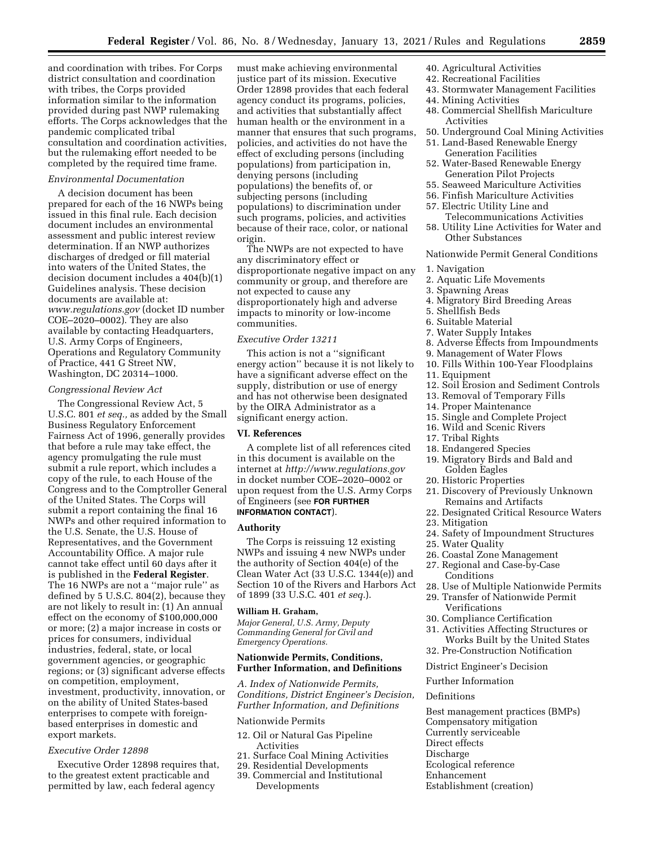and coordination with tribes. For Corps district consultation and coordination with tribes, the Corps provided information similar to the information provided during past NWP rulemaking efforts. The Corps acknowledges that the pandemic complicated tribal consultation and coordination activities, but the rulemaking effort needed to be completed by the required time frame.

#### *Environmental Documentation*

A decision document has been prepared for each of the 16 NWPs being issued in this final rule. Each decision document includes an environmental assessment and public interest review determination. If an NWP authorizes discharges of dredged or fill material into waters of the United States, the decision document includes a 404(b)(1) Guidelines analysis. These decision documents are available at: *[www.regulations.gov](http://www.regulations.gov)* (docket ID number COE–2020–0002). They are also available by contacting Headquarters, U.S. Army Corps of Engineers, Operations and Regulatory Community of Practice, 441 G Street NW, Washington, DC 20314–1000.

### *Congressional Review Act*

The Congressional Review Act, 5 U.S.C. 801 *et seq.,* as added by the Small Business Regulatory Enforcement Fairness Act of 1996, generally provides that before a rule may take effect, the agency promulgating the rule must submit a rule report, which includes a copy of the rule, to each House of the Congress and to the Comptroller General of the United States. The Corps will submit a report containing the final 16 NWPs and other required information to the U.S. Senate, the U.S. House of Representatives, and the Government Accountability Office. A major rule cannot take effect until 60 days after it is published in the **Federal Register**. The 16 NWPs are not a ''major rule'' as defined by 5 U.S.C. 804(2), because they are not likely to result in: (1) An annual effect on the economy of \$100,000,000 or more; (2) a major increase in costs or prices for consumers, individual industries, federal, state, or local government agencies, or geographic regions; or (3) significant adverse effects on competition, employment, investment, productivity, innovation, or on the ability of United States-based enterprises to compete with foreignbased enterprises in domestic and export markets.

## *Executive Order 12898*

Executive Order 12898 requires that, to the greatest extent practicable and permitted by law, each federal agency

must make achieving environmental justice part of its mission. Executive Order 12898 provides that each federal agency conduct its programs, policies, and activities that substantially affect human health or the environment in a manner that ensures that such programs, policies, and activities do not have the effect of excluding persons (including populations) from participation in, denying persons (including populations) the benefits of, or subjecting persons (including populations) to discrimination under such programs, policies, and activities because of their race, color, or national origin.

The NWPs are not expected to have any discriminatory effect or disproportionate negative impact on any community or group, and therefore are not expected to cause any disproportionately high and adverse impacts to minority or low-income communities.

#### *Executive Order 13211*

This action is not a ''significant energy action'' because it is not likely to have a significant adverse effect on the supply, distribution or use of energy and has not otherwise been designated by the OIRA Administrator as a significant energy action.

## **VI. References**

A complete list of all references cited in this document is available on the internet at *<http://www.regulations.gov>*  in docket number COE–2020–0002 or upon request from the U.S. Army Corps of Engineers (see **FOR FURTHER INFORMATION CONTACT**).

#### **Authority**

The Corps is reissuing 12 existing NWPs and issuing 4 new NWPs under the authority of Section 404(e) of the Clean Water Act (33 U.S.C. 1344(e)) and Section 10 of the Rivers and Harbors Act of 1899 (33 U.S.C. 401 *et seq.*).

## **William H. Graham,**

*Major General, U.S. Army, Deputy Commanding General for Civil and Emergency Operations.* 

## **Nationwide Permits, Conditions, Further Information, and Definitions**

*A. Index of Nationwide Permits, Conditions, District Engineer's Decision, Further Information, and Definitions* 

## Nationwide Permits

- 12. Oil or Natural Gas Pipeline Activities
- 21. Surface Coal Mining Activities
- 29. Residential Developments
- 39. Commercial and Institutional Developments
- 40. Agricultural Activities
- 42. Recreational Facilities
- 43. Stormwater Management Facilities
- 44. Mining Activities
- 48. Commercial Shellfish Mariculture Activities
- 50. Underground Coal Mining Activities
- 51. Land-Based Renewable Energy Generation Facilities
- 52. Water-Based Renewable Energy Generation Pilot Projects
- 55. Seaweed Mariculture Activities
- 56. Finfish Mariculture Activities
- 57. Electric Utility Line and
- Telecommunications Activities
- 58. Utility Line Activities for Water and Other Substances

## Nationwide Permit General Conditions

- 1. Navigation
- 2. Aquatic Life Movements
- 3. Spawning Areas
- 4. Migratory Bird Breeding Areas
- 5. Shellfish Beds
- 6. Suitable Material
- 7. Water Supply Intakes
- 8. Adverse Effects from Impoundments
- 9. Management of Water Flows
- 10. Fills Within 100-Year Floodplains
- 11. Equipment
- 12. Soil Erosion and Sediment Controls
- 13. Removal of Temporary Fills
- 14. Proper Maintenance
- 15. Single and Complete Project
- 16. Wild and Scenic Rivers
- 17. Tribal Rights
- 18. Endangered Species
- 19. Migratory Birds and Bald and Golden Eagles
- 20. Historic Properties
- 21. Discovery of Previously Unknown Remains and Artifacts
- 22. Designated Critical Resource Waters
- 23. Mitigation
- 24. Safety of Impoundment Structures
- 25. Water Quality
- 26. Coastal Zone Management
- 27. Regional and Case-by-Case Conditions
- 28. Use of Multiple Nationwide Permits
- 29. Transfer of Nationwide Permit
- Verifications
- 30. Compliance Certification
- 31. Activities Affecting Structures or Works Built by the United States
- 32. Pre-Construction Notification

# District Engineer's Decision

Further Information

## Definitions

Best management practices (BMPs) Compensatory mitigation Currently serviceable Direct effects Discharge Ecological reference Enhancement Establishment (creation)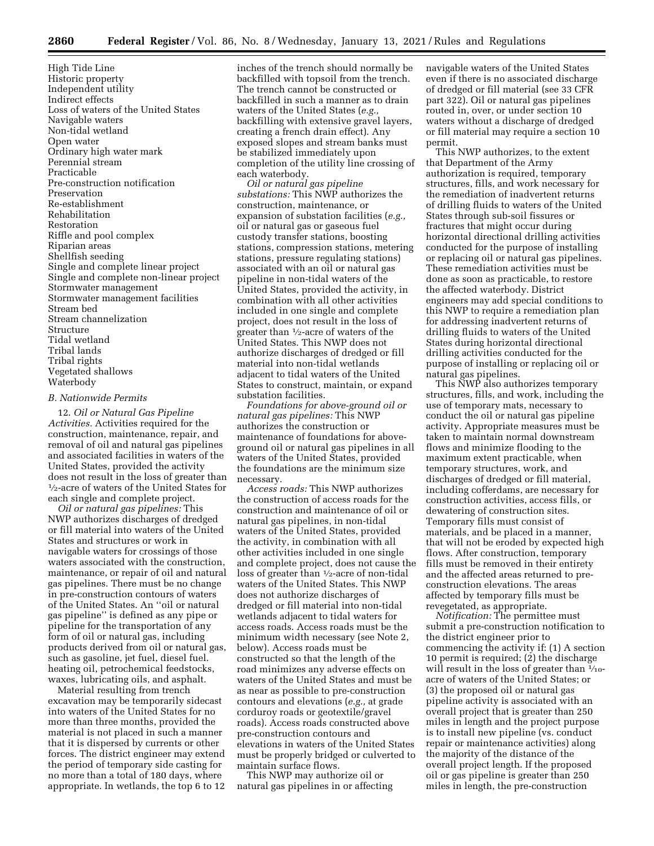High Tide Line Historic property Independent utility Indirect effects Loss of waters of the United States Navigable waters Non-tidal wetland Open water Ordinary high water mark Perennial stream Practicable Pre-construction notification Preservation Re-establishment Rehabilitation Restoration Riffle and pool complex Riparian areas Shellfish seeding Single and complete linear project Single and complete non-linear project Stormwater management Stormwater management facilities Stream bed Stream channelization Structure Tidal wetland Tribal lands Tribal rights Vegetated shallows Waterbody

## *B. Nationwide Permits*

12. *Oil or Natural Gas Pipeline Activities.* Activities required for the construction, maintenance, repair, and removal of oil and natural gas pipelines and associated facilities in waters of the United States, provided the activity does not result in the loss of greater than 1⁄2-acre of waters of the United States for each single and complete project.

*Oil or natural gas pipelines:* This NWP authorizes discharges of dredged or fill material into waters of the United States and structures or work in navigable waters for crossings of those waters associated with the construction, maintenance, or repair of oil and natural gas pipelines. There must be no change in pre-construction contours of waters of the United States. An ''oil or natural gas pipeline'' is defined as any pipe or pipeline for the transportation of any form of oil or natural gas, including products derived from oil or natural gas, such as gasoline, jet fuel, diesel fuel. heating oil, petrochemical feedstocks, waxes, lubricating oils, and asphalt.

Material resulting from trench excavation may be temporarily sidecast into waters of the United States for no more than three months, provided the material is not placed in such a manner that it is dispersed by currents or other forces. The district engineer may extend the period of temporary side casting for no more than a total of 180 days, where appropriate. In wetlands, the top 6 to 12

inches of the trench should normally be backfilled with topsoil from the trench. The trench cannot be constructed or backfilled in such a manner as to drain waters of the United States (*e.g.,*  backfilling with extensive gravel layers, creating a french drain effect). Any exposed slopes and stream banks must be stabilized immediately upon completion of the utility line crossing of each waterbody.

*Oil or natural gas pipeline substations:* This NWP authorizes the construction, maintenance, or expansion of substation facilities (*e.g.,*  oil or natural gas or gaseous fuel custody transfer stations, boosting stations, compression stations, metering stations, pressure regulating stations) associated with an oil or natural gas pipeline in non-tidal waters of the United States, provided the activity, in combination with all other activities included in one single and complete project, does not result in the loss of greater than 1⁄2-acre of waters of the United States. This NWP does not authorize discharges of dredged or fill material into non-tidal wetlands adjacent to tidal waters of the United States to construct, maintain, or expand substation facilities.

*Foundations for above-ground oil or natural gas pipelines:* This NWP authorizes the construction or maintenance of foundations for aboveground oil or natural gas pipelines in all waters of the United States, provided the foundations are the minimum size necessary.

*Access roads:* This NWP authorizes the construction of access roads for the construction and maintenance of oil or natural gas pipelines, in non-tidal waters of the United States, provided the activity, in combination with all other activities included in one single and complete project, does not cause the loss of greater than 1⁄2-acre of non-tidal waters of the United States. This NWP does not authorize discharges of dredged or fill material into non-tidal wetlands adjacent to tidal waters for access roads. Access roads must be the minimum width necessary (see Note 2, below). Access roads must be constructed so that the length of the road minimizes any adverse effects on waters of the United States and must be as near as possible to pre-construction contours and elevations (*e.g.,* at grade corduroy roads or geotextile/gravel roads). Access roads constructed above pre-construction contours and elevations in waters of the United States must be properly bridged or culverted to maintain surface flows.

This NWP may authorize oil or natural gas pipelines in or affecting navigable waters of the United States even if there is no associated discharge of dredged or fill material (see 33 CFR part 322). Oil or natural gas pipelines routed in, over, or under section 10 waters without a discharge of dredged or fill material may require a section 10 permit.

This NWP authorizes, to the extent that Department of the Army authorization is required, temporary structures, fills, and work necessary for the remediation of inadvertent returns of drilling fluids to waters of the United States through sub-soil fissures or fractures that might occur during horizontal directional drilling activities conducted for the purpose of installing or replacing oil or natural gas pipelines. These remediation activities must be done as soon as practicable, to restore the affected waterbody. District engineers may add special conditions to this NWP to require a remediation plan for addressing inadvertent returns of drilling fluids to waters of the United States during horizontal directional drilling activities conducted for the purpose of installing or replacing oil or natural gas pipelines.

This NWP also authorizes temporary structures, fills, and work, including the use of temporary mats, necessary to conduct the oil or natural gas pipeline activity. Appropriate measures must be taken to maintain normal downstream flows and minimize flooding to the maximum extent practicable, when temporary structures, work, and discharges of dredged or fill material, including cofferdams, are necessary for construction activities, access fills, or dewatering of construction sites. Temporary fills must consist of materials, and be placed in a manner, that will not be eroded by expected high flows. After construction, temporary fills must be removed in their entirety and the affected areas returned to preconstruction elevations. The areas affected by temporary fills must be revegetated, as appropriate.

*Notification:* The permittee must submit a pre-construction notification to the district engineer prior to commencing the activity if: (1) A section 10 permit is required; (2) the discharge will result in the loss of greater than  $\frac{1}{10}$ acre of waters of the United States; or (3) the proposed oil or natural gas pipeline activity is associated with an overall project that is greater than 250 miles in length and the project purpose is to install new pipeline (vs. conduct repair or maintenance activities) along the majority of the distance of the overall project length. If the proposed oil or gas pipeline is greater than 250 miles in length, the pre-construction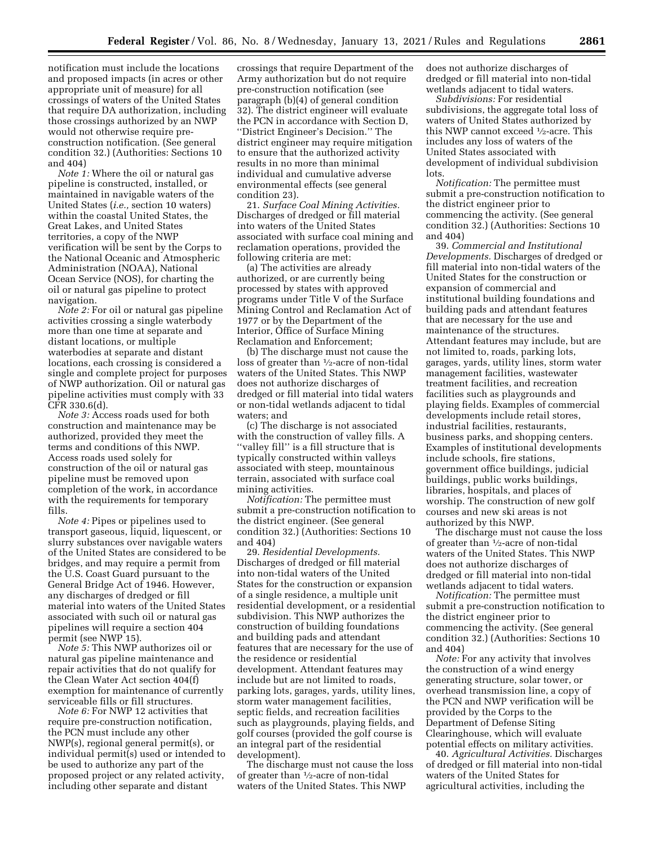notification must include the locations and proposed impacts (in acres or other appropriate unit of measure) for all crossings of waters of the United States that require DA authorization, including those crossings authorized by an NWP would not otherwise require preconstruction notification. (See general condition 32.) (Authorities: Sections 10 and 404)

*Note 1:* Where the oil or natural gas pipeline is constructed, installed, or maintained in navigable waters of the United States (*i.e.,* section 10 waters) within the coastal United States, the Great Lakes, and United States territories, a copy of the NWP verification will be sent by the Corps to the National Oceanic and Atmospheric Administration (NOAA), National Ocean Service (NOS), for charting the oil or natural gas pipeline to protect navigation.

*Note 2:* For oil or natural gas pipeline activities crossing a single waterbody more than one time at separate and distant locations, or multiple waterbodies at separate and distant locations, each crossing is considered a single and complete project for purposes of NWP authorization. Oil or natural gas pipeline activities must comply with 33 CFR 330.6(d).

*Note 3:* Access roads used for both construction and maintenance may be authorized, provided they meet the terms and conditions of this NWP. Access roads used solely for construction of the oil or natural gas pipeline must be removed upon completion of the work, in accordance with the requirements for temporary fills.

*Note 4:* Pipes or pipelines used to transport gaseous, liquid, liquescent, or slurry substances over navigable waters of the United States are considered to be bridges, and may require a permit from the U.S. Coast Guard pursuant to the General Bridge Act of 1946. However, any discharges of dredged or fill material into waters of the United States associated with such oil or natural gas pipelines will require a section 404 permit (see NWP 15).

*Note 5:* This NWP authorizes oil or natural gas pipeline maintenance and repair activities that do not qualify for the Clean Water Act section 404(f) exemption for maintenance of currently serviceable fills or fill structures.

*Note 6:* For NWP 12 activities that require pre-construction notification, the PCN must include any other NWP(s), regional general permit(s), or individual permit(s) used or intended to be used to authorize any part of the proposed project or any related activity, including other separate and distant

crossings that require Department of the Army authorization but do not require pre-construction notification (see paragraph (b)(4) of general condition 32). The district engineer will evaluate the PCN in accordance with Section D, ''District Engineer's Decision.'' The district engineer may require mitigation to ensure that the authorized activity results in no more than minimal individual and cumulative adverse environmental effects (see general condition 23).

21. *Surface Coal Mining Activities.*  Discharges of dredged or fill material into waters of the United States associated with surface coal mining and reclamation operations, provided the following criteria are met:

(a) The activities are already authorized, or are currently being processed by states with approved programs under Title V of the Surface Mining Control and Reclamation Act of 1977 or by the Department of the Interior, Office of Surface Mining Reclamation and Enforcement;

(b) The discharge must not cause the loss of greater than 1⁄2-acre of non-tidal waters of the United States. This NWP does not authorize discharges of dredged or fill material into tidal waters or non-tidal wetlands adjacent to tidal waters; and

(c) The discharge is not associated with the construction of valley fills. A ''valley fill'' is a fill structure that is typically constructed within valleys associated with steep, mountainous terrain, associated with surface coal mining activities.

*Notification:* The permittee must submit a pre-construction notification to the district engineer. (See general condition 32.) (Authorities: Sections 10 and 404)

29. *Residential Developments.*  Discharges of dredged or fill material into non-tidal waters of the United States for the construction or expansion of a single residence, a multiple unit residential development, or a residential subdivision. This NWP authorizes the construction of building foundations and building pads and attendant features that are necessary for the use of the residence or residential development. Attendant features may include but are not limited to roads, parking lots, garages, yards, utility lines, storm water management facilities, septic fields, and recreation facilities such as playgrounds, playing fields, and golf courses (provided the golf course is an integral part of the residential development).

The discharge must not cause the loss of greater than  $\frac{1}{2}$ -acre of non-tidal waters of the United States. This NWP

does not authorize discharges of dredged or fill material into non-tidal wetlands adjacent to tidal waters.

*Subdivisions:* For residential subdivisions, the aggregate total loss of waters of United States authorized by this NWP cannot exceed 1⁄2-acre. This includes any loss of waters of the United States associated with development of individual subdivision lots.

*Notification:* The permittee must submit a pre-construction notification to the district engineer prior to commencing the activity. (See general condition 32.) (Authorities: Sections 10 and 404)

39. *Commercial and Institutional Developments.* Discharges of dredged or fill material into non-tidal waters of the United States for the construction or expansion of commercial and institutional building foundations and building pads and attendant features that are necessary for the use and maintenance of the structures. Attendant features may include, but are not limited to, roads, parking lots, garages, yards, utility lines, storm water management facilities, wastewater treatment facilities, and recreation facilities such as playgrounds and playing fields. Examples of commercial developments include retail stores, industrial facilities, restaurants, business parks, and shopping centers. Examples of institutional developments include schools, fire stations, government office buildings, judicial buildings, public works buildings, libraries, hospitals, and places of worship. The construction of new golf courses and new ski areas is not authorized by this NWP.

The discharge must not cause the loss of greater than 1⁄2-acre of non-tidal waters of the United States. This NWP does not authorize discharges of dredged or fill material into non-tidal wetlands adjacent to tidal waters.

*Notification:* The permittee must submit a pre-construction notification to the district engineer prior to commencing the activity. (See general condition 32.) (Authorities: Sections 10 and 404)

*Note:* For any activity that involves the construction of a wind energy generating structure, solar tower, or overhead transmission line, a copy of the PCN and NWP verification will be provided by the Corps to the Department of Defense Siting Clearinghouse, which will evaluate potential effects on military activities.

40. *Agricultural Activities.* Discharges of dredged or fill material into non-tidal waters of the United States for agricultural activities, including the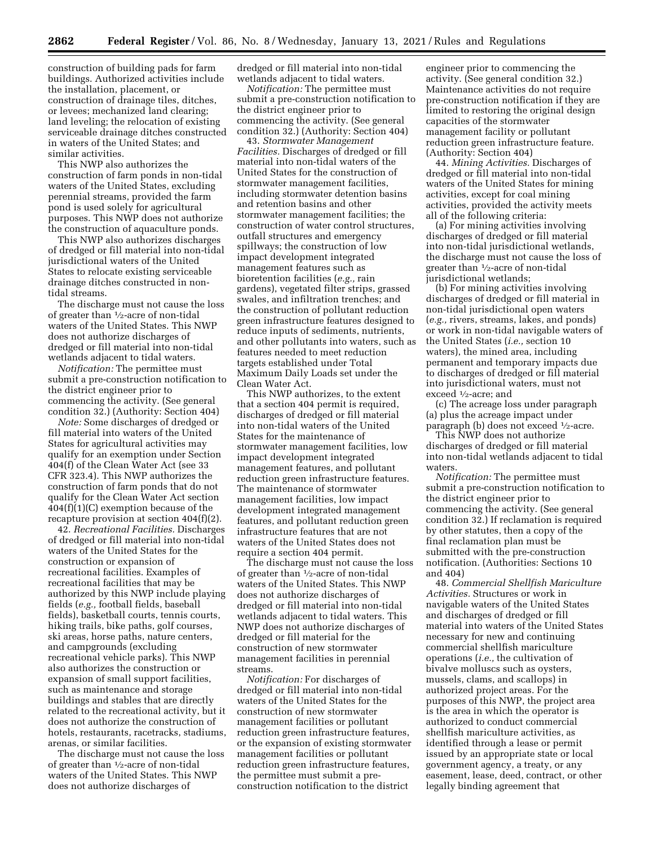construction of building pads for farm buildings. Authorized activities include the installation, placement, or construction of drainage tiles, ditches, or levees; mechanized land clearing; land leveling; the relocation of existing serviceable drainage ditches constructed in waters of the United States; and similar activities.

This NWP also authorizes the construction of farm ponds in non-tidal waters of the United States, excluding perennial streams, provided the farm pond is used solely for agricultural purposes. This NWP does not authorize the construction of aquaculture ponds.

This NWP also authorizes discharges of dredged or fill material into non-tidal jurisdictional waters of the United States to relocate existing serviceable drainage ditches constructed in nontidal streams.

The discharge must not cause the loss of greater than 1⁄2-acre of non-tidal waters of the United States. This NWP does not authorize discharges of dredged or fill material into non-tidal wetlands adjacent to tidal waters.

*Notification:* The permittee must submit a pre-construction notification to the district engineer prior to commencing the activity. (See general condition 32.) (Authority: Section 404)

*Note:* Some discharges of dredged or fill material into waters of the United States for agricultural activities may qualify for an exemption under Section 404(f) of the Clean Water Act (see 33 CFR 323.4). This NWP authorizes the construction of farm ponds that do not qualify for the Clean Water Act section 404(f)(1)(C) exemption because of the recapture provision at section 404(f)(2).

42. *Recreational Facilities.* Discharges of dredged or fill material into non-tidal waters of the United States for the construction or expansion of recreational facilities. Examples of recreational facilities that may be authorized by this NWP include playing fields (*e.g.,* football fields, baseball fields), basketball courts, tennis courts, hiking trails, bike paths, golf courses, ski areas, horse paths, nature centers, and campgrounds (excluding recreational vehicle parks). This NWP also authorizes the construction or expansion of small support facilities, such as maintenance and storage buildings and stables that are directly related to the recreational activity, but it does not authorize the construction of hotels, restaurants, racetracks, stadiums, arenas, or similar facilities.

The discharge must not cause the loss of greater than 1⁄2-acre of non-tidal waters of the United States. This NWP does not authorize discharges of

dredged or fill material into non-tidal wetlands adjacent to tidal waters.

*Notification:* The permittee must submit a pre-construction notification to the district engineer prior to commencing the activity. (See general condition 32.) (Authority: Section 404)

43. *Stormwater Management Facilities.* Discharges of dredged or fill material into non-tidal waters of the United States for the construction of stormwater management facilities, including stormwater detention basins and retention basins and other stormwater management facilities; the construction of water control structures, outfall structures and emergency spillways; the construction of low impact development integrated management features such as bioretention facilities (*e.g.,* rain gardens), vegetated filter strips, grassed swales, and infiltration trenches; and the construction of pollutant reduction green infrastructure features designed to reduce inputs of sediments, nutrients, and other pollutants into waters, such as features needed to meet reduction targets established under Total Maximum Daily Loads set under the Clean Water Act.

This NWP authorizes, to the extent that a section 404 permit is required, discharges of dredged or fill material into non-tidal waters of the United States for the maintenance of stormwater management facilities, low impact development integrated management features, and pollutant reduction green infrastructure features. The maintenance of stormwater management facilities, low impact development integrated management features, and pollutant reduction green infrastructure features that are not waters of the United States does not require a section 404 permit.

The discharge must not cause the loss of greater than 1⁄2-acre of non-tidal waters of the United States. This NWP does not authorize discharges of dredged or fill material into non-tidal wetlands adjacent to tidal waters. This NWP does not authorize discharges of dredged or fill material for the construction of new stormwater management facilities in perennial streams.

*Notification:* For discharges of dredged or fill material into non-tidal waters of the United States for the construction of new stormwater management facilities or pollutant reduction green infrastructure features, or the expansion of existing stormwater management facilities or pollutant reduction green infrastructure features, the permittee must submit a preconstruction notification to the district

engineer prior to commencing the activity. (See general condition 32.) Maintenance activities do not require pre-construction notification if they are limited to restoring the original design capacities of the stormwater management facility or pollutant reduction green infrastructure feature. (Authority: Section 404)

44. *Mining Activities.* Discharges of dredged or fill material into non-tidal waters of the United States for mining activities, except for coal mining activities, provided the activity meets all of the following criteria:

(a) For mining activities involving discharges of dredged or fill material into non-tidal jurisdictional wetlands, the discharge must not cause the loss of greater than 1⁄2-acre of non-tidal jurisdictional wetlands;

(b) For mining activities involving discharges of dredged or fill material in non-tidal jurisdictional open waters (*e.g.,* rivers, streams, lakes, and ponds) or work in non-tidal navigable waters of the United States (*i.e.,* section 10 waters), the mined area, including permanent and temporary impacts due to discharges of dredged or fill material into jurisdictional waters, must not exceed 1⁄2-acre; and

(c) The acreage loss under paragraph (a) plus the acreage impact under paragraph (b) does not exceed 1⁄2-acre.

This NWP does not authorize discharges of dredged or fill material into non-tidal wetlands adjacent to tidal waters.

*Notification:* The permittee must submit a pre-construction notification to the district engineer prior to commencing the activity. (See general condition 32.) If reclamation is required by other statutes, then a copy of the final reclamation plan must be submitted with the pre-construction notification. (Authorities: Sections 10 and 404)

48. *Commercial Shellfish Mariculture Activities.* Structures or work in navigable waters of the United States and discharges of dredged or fill material into waters of the United States necessary for new and continuing commercial shellfish mariculture operations (*i.e.,* the cultivation of bivalve molluscs such as oysters, mussels, clams, and scallops) in authorized project areas. For the purposes of this NWP, the project area is the area in which the operator is authorized to conduct commercial shellfish mariculture activities, as identified through a lease or permit issued by an appropriate state or local government agency, a treaty, or any easement, lease, deed, contract, or other legally binding agreement that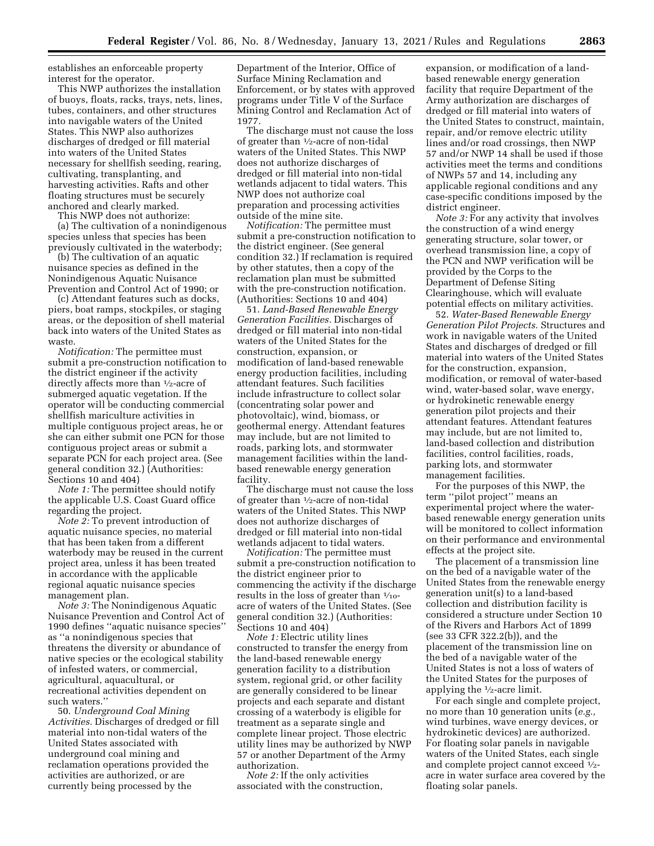establishes an enforceable property interest for the operator.

This NWP authorizes the installation of buoys, floats, racks, trays, nets, lines, tubes, containers, and other structures into navigable waters of the United States. This NWP also authorizes discharges of dredged or fill material into waters of the United States necessary for shellfish seeding, rearing, cultivating, transplanting, and harvesting activities. Rafts and other floating structures must be securely anchored and clearly marked.

This NWP does not authorize:

(a) The cultivation of a nonindigenous species unless that species has been previously cultivated in the waterbody;

(b) The cultivation of an aquatic nuisance species as defined in the Nonindigenous Aquatic Nuisance Prevention and Control Act of 1990; or

(c) Attendant features such as docks, piers, boat ramps, stockpiles, or staging areas, or the deposition of shell material back into waters of the United States as waste.

*Notification:* The permittee must submit a pre-construction notification to the district engineer if the activity directly affects more than 1⁄2-acre of submerged aquatic vegetation. If the operator will be conducting commercial shellfish mariculture activities in multiple contiguous project areas, he or she can either submit one PCN for those contiguous project areas or submit a separate PCN for each project area. (See general condition 32.) (Authorities: Sections 10 and 404)

*Note 1:* The permittee should notify the applicable U.S. Coast Guard office regarding the project.

*Note 2:* To prevent introduction of aquatic nuisance species, no material that has been taken from a different waterbody may be reused in the current project area, unless it has been treated in accordance with the applicable regional aquatic nuisance species management plan.

*Note 3:* The Nonindigenous Aquatic Nuisance Prevention and Control Act of 1990 defines ''aquatic nuisance species'' as ''a nonindigenous species that threatens the diversity or abundance of native species or the ecological stability of infested waters, or commercial, agricultural, aquacultural, or recreational activities dependent on such waters.''

50. *Underground Coal Mining Activities.* Discharges of dredged or fill material into non-tidal waters of the United States associated with underground coal mining and reclamation operations provided the activities are authorized, or are currently being processed by the

Department of the Interior, Office of Surface Mining Reclamation and Enforcement, or by states with approved programs under Title V of the Surface Mining Control and Reclamation Act of 1977.

The discharge must not cause the loss of greater than 1⁄2-acre of non-tidal waters of the United States. This NWP does not authorize discharges of dredged or fill material into non-tidal wetlands adjacent to tidal waters. This NWP does not authorize coal preparation and processing activities outside of the mine site.

*Notification:* The permittee must submit a pre-construction notification to the district engineer. (See general condition 32.) If reclamation is required by other statutes, then a copy of the reclamation plan must be submitted with the pre-construction notification. (Authorities: Sections 10 and 404)

51. *Land-Based Renewable Energy Generation Facilities.* Discharges of dredged or fill material into non-tidal waters of the United States for the construction, expansion, or modification of land-based renewable energy production facilities, including attendant features. Such facilities include infrastructure to collect solar (concentrating solar power and photovoltaic), wind, biomass, or geothermal energy. Attendant features may include, but are not limited to roads, parking lots, and stormwater management facilities within the landbased renewable energy generation facility.

The discharge must not cause the loss of greater than  $\frac{1}{2}$ -acre of non-tidal waters of the United States. This NWP does not authorize discharges of dredged or fill material into non-tidal wetlands adjacent to tidal waters.

*Notification:* The permittee must submit a pre-construction notification to the district engineer prior to commencing the activity if the discharge results in the loss of greater than  $\frac{1}{10}$ acre of waters of the United States. (See general condition 32.) (Authorities: Sections 10 and 404)

*Note 1:* Electric utility lines constructed to transfer the energy from the land-based renewable energy generation facility to a distribution system, regional grid, or other facility are generally considered to be linear projects and each separate and distant crossing of a waterbody is eligible for treatment as a separate single and complete linear project. Those electric utility lines may be authorized by NWP 57 or another Department of the Army authorization.

*Note 2:* If the only activities associated with the construction,

expansion, or modification of a landbased renewable energy generation facility that require Department of the Army authorization are discharges of dredged or fill material into waters of the United States to construct, maintain, repair, and/or remove electric utility lines and/or road crossings, then NWP 57 and/or NWP 14 shall be used if those activities meet the terms and conditions of NWPs 57 and 14, including any applicable regional conditions and any case-specific conditions imposed by the district engineer.

*Note 3:* For any activity that involves the construction of a wind energy generating structure, solar tower, or overhead transmission line, a copy of the PCN and NWP verification will be provided by the Corps to the Department of Defense Siting Clearinghouse, which will evaluate potential effects on military activities.

52. *Water-Based Renewable Energy Generation Pilot Projects.* Structures and work in navigable waters of the United States and discharges of dredged or fill material into waters of the United States for the construction, expansion, modification, or removal of water-based wind, water-based solar, wave energy, or hydrokinetic renewable energy generation pilot projects and their attendant features. Attendant features may include, but are not limited to, land-based collection and distribution facilities, control facilities, roads, parking lots, and stormwater management facilities.

For the purposes of this NWP, the term ''pilot project'' means an experimental project where the waterbased renewable energy generation units will be monitored to collect information on their performance and environmental effects at the project site.

The placement of a transmission line on the bed of a navigable water of the United States from the renewable energy generation unit(s) to a land-based collection and distribution facility is considered a structure under Section 10 of the Rivers and Harbors Act of 1899 (see 33 CFR 322.2(b)), and the placement of the transmission line on the bed of a navigable water of the United States is not a loss of waters of the United States for the purposes of applying the 1⁄2-acre limit.

For each single and complete project, no more than 10 generation units (*e.g.,*  wind turbines, wave energy devices, or hydrokinetic devices) are authorized. For floating solar panels in navigable waters of the United States, each single and complete project cannot exceed 1⁄2 acre in water surface area covered by the floating solar panels.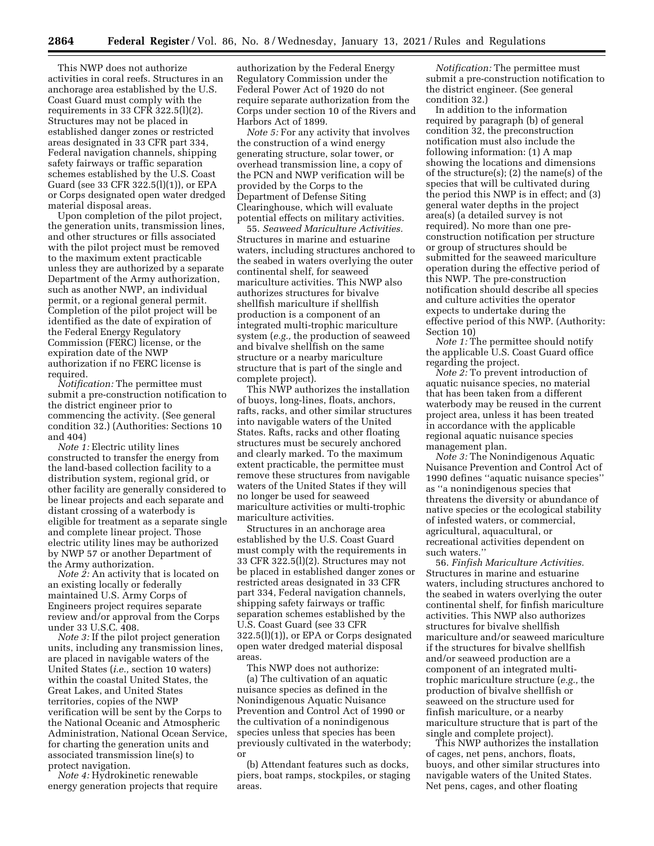This NWP does not authorize activities in coral reefs. Structures in an anchorage area established by the U.S. Coast Guard must comply with the requirements in 33 CFR  $322.5(1)(2)$ . Structures may not be placed in established danger zones or restricted areas designated in 33 CFR part 334, Federal navigation channels, shipping safety fairways or traffic separation schemes established by the U.S. Coast Guard (see 33 CFR 322.5(l)(1)), or EPA or Corps designated open water dredged material disposal areas.

Upon completion of the pilot project, the generation units, transmission lines, and other structures or fills associated with the pilot project must be removed to the maximum extent practicable unless they are authorized by a separate Department of the Army authorization, such as another NWP, an individual permit, or a regional general permit. Completion of the pilot project will be identified as the date of expiration of the Federal Energy Regulatory Commission (FERC) license, or the expiration date of the NWP authorization if no FERC license is required.

*Notification:* The permittee must submit a pre-construction notification to the district engineer prior to commencing the activity. (See general condition 32.) (Authorities: Sections 10 and 404)

*Note 1:* Electric utility lines constructed to transfer the energy from the land-based collection facility to a distribution system, regional grid, or other facility are generally considered to be linear projects and each separate and distant crossing of a waterbody is eligible for treatment as a separate single and complete linear project. Those electric utility lines may be authorized by NWP 57 or another Department of the Army authorization.

*Note 2:* An activity that is located on an existing locally or federally maintained U.S. Army Corps of Engineers project requires separate review and/or approval from the Corps under 33 U.S.C. 408.

*Note 3:* If the pilot project generation units, including any transmission lines, are placed in navigable waters of the United States (*i.e.,* section 10 waters) within the coastal United States, the Great Lakes, and United States territories, copies of the NWP verification will be sent by the Corps to the National Oceanic and Atmospheric Administration, National Ocean Service, for charting the generation units and associated transmission line(s) to protect navigation.

*Note 4:* Hydrokinetic renewable energy generation projects that require authorization by the Federal Energy Regulatory Commission under the Federal Power Act of 1920 do not require separate authorization from the Corps under section 10 of the Rivers and Harbors Act of 1899.

*Note 5:* For any activity that involves the construction of a wind energy generating structure, solar tower, or overhead transmission line, a copy of the PCN and NWP verification will be provided by the Corps to the Department of Defense Siting Clearinghouse, which will evaluate potential effects on military activities.

55. *Seaweed Mariculture Activities.*  Structures in marine and estuarine waters, including structures anchored to the seabed in waters overlying the outer continental shelf, for seaweed mariculture activities. This NWP also authorizes structures for bivalve shellfish mariculture if shellfish production is a component of an integrated multi-trophic mariculture system (*e.g.,* the production of seaweed and bivalve shellfish on the same structure or a nearby mariculture structure that is part of the single and complete project).

This NWP authorizes the installation of buoys, long-lines, floats, anchors, rafts, racks, and other similar structures into navigable waters of the United States. Rafts, racks and other floating structures must be securely anchored and clearly marked. To the maximum extent practicable, the permittee must remove these structures from navigable waters of the United States if they will no longer be used for seaweed mariculture activities or multi-trophic mariculture activities.

Structures in an anchorage area established by the U.S. Coast Guard must comply with the requirements in 33 CFR 322.5(l)(2). Structures may not be placed in established danger zones or restricted areas designated in 33 CFR part 334, Federal navigation channels, shipping safety fairways or traffic separation schemes established by the U.S. Coast Guard (see 33 CFR 322.5(l)(1)), or EPA or Corps designated open water dredged material disposal areas.

This NWP does not authorize: (a) The cultivation of an aquatic nuisance species as defined in the Nonindigenous Aquatic Nuisance Prevention and Control Act of 1990 or the cultivation of a nonindigenous species unless that species has been previously cultivated in the waterbody; or

(b) Attendant features such as docks, piers, boat ramps, stockpiles, or staging areas.

*Notification:* The permittee must submit a pre-construction notification to the district engineer. (See general condition 32.)

In addition to the information required by paragraph (b) of general condition 32, the preconstruction notification must also include the following information: (1) A map showing the locations and dimensions of the structure(s); (2) the name(s) of the species that will be cultivated during the period this NWP is in effect; and (3) general water depths in the project area(s) (a detailed survey is not required). No more than one preconstruction notification per structure or group of structures should be submitted for the seaweed mariculture operation during the effective period of this NWP. The pre-construction notification should describe all species and culture activities the operator expects to undertake during the effective period of this NWP. (Authority: Section 10)

*Note 1:* The permittee should notify the applicable U.S. Coast Guard office regarding the project.

*Note 2:* To prevent introduction of aquatic nuisance species, no material that has been taken from a different waterbody may be reused in the current project area, unless it has been treated in accordance with the applicable regional aquatic nuisance species management plan.

*Note 3:* The Nonindigenous Aquatic Nuisance Prevention and Control Act of 1990 defines ''aquatic nuisance species'' as ''a nonindigenous species that threatens the diversity or abundance of native species or the ecological stability of infested waters, or commercial, agricultural, aquacultural, or recreational activities dependent on such waters.''

56. *Finfish Mariculture Activities.*  Structures in marine and estuarine waters, including structures anchored to the seabed in waters overlying the outer continental shelf, for finfish mariculture activities. This NWP also authorizes structures for bivalve shellfish mariculture and/or seaweed mariculture if the structures for bivalve shellfish and/or seaweed production are a component of an integrated multitrophic mariculture structure (*e.g.,* the production of bivalve shellfish or seaweed on the structure used for finfish mariculture, or a nearby mariculture structure that is part of the single and complete project).

This NWP authorizes the installation of cages, net pens, anchors, floats, buoys, and other similar structures into navigable waters of the United States. Net pens, cages, and other floating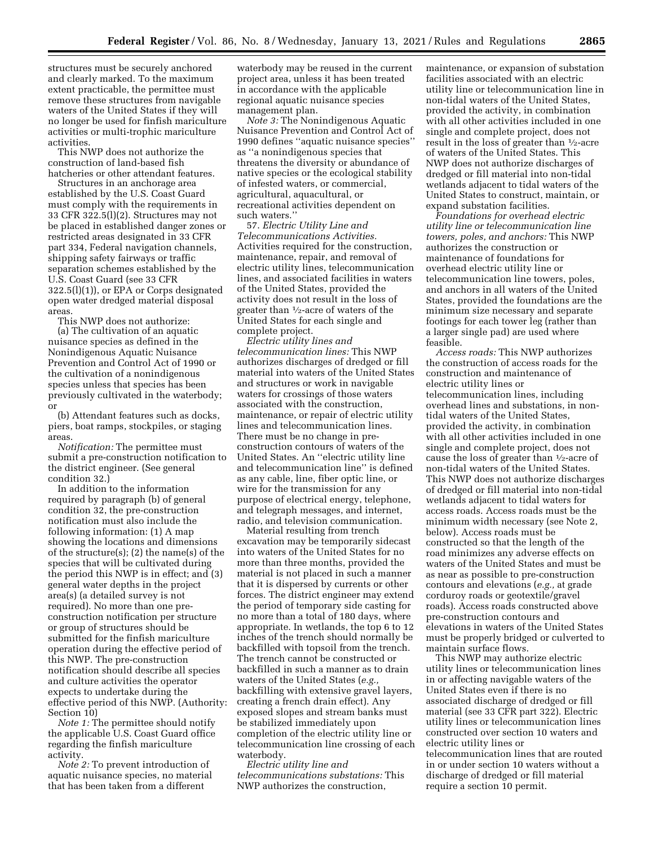structures must be securely anchored and clearly marked. To the maximum extent practicable, the permittee must remove these structures from navigable waters of the United States if they will no longer be used for finfish mariculture activities or multi-trophic mariculture activities.

This NWP does not authorize the construction of land-based fish hatcheries or other attendant features.

Structures in an anchorage area established by the U.S. Coast Guard must comply with the requirements in 33 CFR 322.5(l)(2). Structures may not be placed in established danger zones or restricted areas designated in 33 CFR part 334, Federal navigation channels, shipping safety fairways or traffic separation schemes established by the U.S. Coast Guard (see 33 CFR 322.5(l)(1)), or EPA or Corps designated open water dredged material disposal areas.

This NWP does not authorize: (a) The cultivation of an aquatic nuisance species as defined in the Nonindigenous Aquatic Nuisance Prevention and Control Act of 1990 or the cultivation of a nonindigenous species unless that species has been previously cultivated in the waterbody; or

(b) Attendant features such as docks, piers, boat ramps, stockpiles, or staging areas.

*Notification:* The permittee must submit a pre-construction notification to the district engineer. (See general condition 32.)

In addition to the information required by paragraph (b) of general condition 32, the pre-construction notification must also include the following information: (1) A map showing the locations and dimensions of the structure(s); (2) the name(s) of the species that will be cultivated during the period this NWP is in effect; and (3) general water depths in the project area(s) (a detailed survey is not required). No more than one preconstruction notification per structure or group of structures should be submitted for the finfish mariculture operation during the effective period of this NWP. The pre-construction notification should describe all species and culture activities the operator expects to undertake during the effective period of this NWP. (Authority: Section 10)

*Note 1:* The permittee should notify the applicable U.S. Coast Guard office regarding the finfish mariculture activity.

*Note 2:* To prevent introduction of aquatic nuisance species, no material that has been taken from a different

waterbody may be reused in the current project area, unless it has been treated in accordance with the applicable regional aquatic nuisance species management plan.

*Note 3:* The Nonindigenous Aquatic Nuisance Prevention and Control Act of 1990 defines ''aquatic nuisance species'' as ''a nonindigenous species that threatens the diversity or abundance of native species or the ecological stability of infested waters, or commercial, agricultural, aquacultural, or recreational activities dependent on such waters.''

57. *Electric Utility Line and Telecommunications Activities.*  Activities required for the construction, maintenance, repair, and removal of electric utility lines, telecommunication lines, and associated facilities in waters of the United States, provided the activity does not result in the loss of greater than 1⁄2-acre of waters of the United States for each single and complete project.

*Electric utility lines and telecommunication lines:* This NWP authorizes discharges of dredged or fill material into waters of the United States and structures or work in navigable waters for crossings of those waters associated with the construction, maintenance, or repair of electric utility lines and telecommunication lines. There must be no change in preconstruction contours of waters of the United States. An ''electric utility line and telecommunication line'' is defined as any cable, line, fiber optic line, or wire for the transmission for any purpose of electrical energy, telephone, and telegraph messages, and internet, radio, and television communication.

Material resulting from trench excavation may be temporarily sidecast into waters of the United States for no more than three months, provided the material is not placed in such a manner that it is dispersed by currents or other forces. The district engineer may extend the period of temporary side casting for no more than a total of 180 days, where appropriate. In wetlands, the top 6 to 12 inches of the trench should normally be backfilled with topsoil from the trench. The trench cannot be constructed or backfilled in such a manner as to drain waters of the United States (*e.g.,*  backfilling with extensive gravel layers, creating a french drain effect). Any exposed slopes and stream banks must be stabilized immediately upon completion of the electric utility line or telecommunication line crossing of each waterbody.

*Electric utility line and telecommunications substations:* This NWP authorizes the construction,

maintenance, or expansion of substation facilities associated with an electric utility line or telecommunication line in non-tidal waters of the United States, provided the activity, in combination with all other activities included in one single and complete project, does not result in the loss of greater than 1⁄2-acre of waters of the United States. This NWP does not authorize discharges of dredged or fill material into non-tidal wetlands adjacent to tidal waters of the United States to construct, maintain, or expand substation facilities.

*Foundations for overhead electric utility line or telecommunication line towers, poles, and anchors:* This NWP authorizes the construction or maintenance of foundations for overhead electric utility line or telecommunication line towers, poles, and anchors in all waters of the United States, provided the foundations are the minimum size necessary and separate footings for each tower leg (rather than a larger single pad) are used where feasible.

*Access roads:* This NWP authorizes the construction of access roads for the construction and maintenance of electric utility lines or telecommunication lines, including overhead lines and substations, in nontidal waters of the United States, provided the activity, in combination with all other activities included in one single and complete project, does not cause the loss of greater than 1⁄2-acre of non-tidal waters of the United States. This NWP does not authorize discharges of dredged or fill material into non-tidal wetlands adjacent to tidal waters for access roads. Access roads must be the minimum width necessary (see Note 2, below). Access roads must be constructed so that the length of the road minimizes any adverse effects on waters of the United States and must be as near as possible to pre-construction contours and elevations (*e.g.,* at grade corduroy roads or geotextile/gravel roads). Access roads constructed above pre-construction contours and elevations in waters of the United States must be properly bridged or culverted to maintain surface flows.

This NWP may authorize electric utility lines or telecommunication lines in or affecting navigable waters of the United States even if there is no associated discharge of dredged or fill material (see 33 CFR part 322). Electric utility lines or telecommunication lines constructed over section 10 waters and electric utility lines or telecommunication lines that are routed in or under section 10 waters without a discharge of dredged or fill material require a section 10 permit.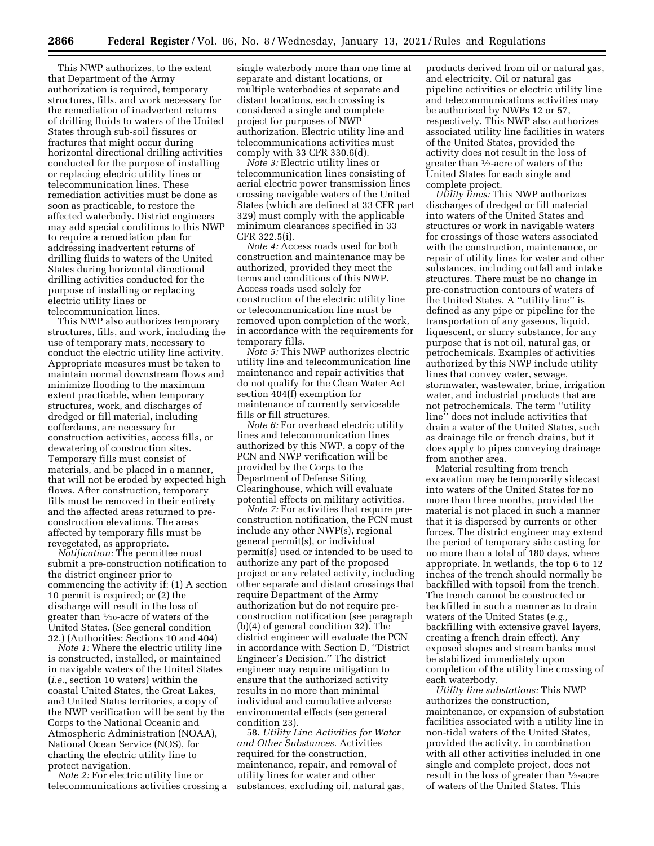This NWP authorizes, to the extent that Department of the Army authorization is required, temporary structures, fills, and work necessary for the remediation of inadvertent returns of drilling fluids to waters of the United States through sub-soil fissures or fractures that might occur during horizontal directional drilling activities conducted for the purpose of installing or replacing electric utility lines or telecommunication lines. These remediation activities must be done as soon as practicable, to restore the affected waterbody. District engineers may add special conditions to this NWP to require a remediation plan for addressing inadvertent returns of drilling fluids to waters of the United States during horizontal directional drilling activities conducted for the purpose of installing or replacing electric utility lines or telecommunication lines.

This NWP also authorizes temporary structures, fills, and work, including the use of temporary mats, necessary to conduct the electric utility line activity. Appropriate measures must be taken to maintain normal downstream flows and minimize flooding to the maximum extent practicable, when temporary structures, work, and discharges of dredged or fill material, including cofferdams, are necessary for construction activities, access fills, or dewatering of construction sites. Temporary fills must consist of materials, and be placed in a manner, that will not be eroded by expected high flows. After construction, temporary fills must be removed in their entirety and the affected areas returned to preconstruction elevations. The areas affected by temporary fills must be revegetated, as appropriate.

*Notification:* The permittee must submit a pre-construction notification to the district engineer prior to commencing the activity if: (1) A section 10 permit is required; or (2) the discharge will result in the loss of greater than 1⁄10-acre of waters of the United States. (See general condition 32.) (Authorities: Sections 10 and 404)

*Note 1:* Where the electric utility line is constructed, installed, or maintained in navigable waters of the United States (*i.e.,* section 10 waters) within the coastal United States, the Great Lakes, and United States territories, a copy of the NWP verification will be sent by the Corps to the National Oceanic and Atmospheric Administration (NOAA), National Ocean Service (NOS), for charting the electric utility line to protect navigation.

*Note 2:* For electric utility line or telecommunications activities crossing a single waterbody more than one time at separate and distant locations, or multiple waterbodies at separate and distant locations, each crossing is considered a single and complete project for purposes of NWP authorization. Electric utility line and telecommunications activities must comply with 33 CFR 330.6(d).

*Note 3:* Electric utility lines or telecommunication lines consisting of aerial electric power transmission lines crossing navigable waters of the United States (which are defined at 33 CFR part 329) must comply with the applicable minimum clearances specified in 33 CFR 322.5(i).

*Note 4:* Access roads used for both construction and maintenance may be authorized, provided they meet the terms and conditions of this NWP. Access roads used solely for construction of the electric utility line or telecommunication line must be removed upon completion of the work, in accordance with the requirements for temporary fills.

*Note 5:* This NWP authorizes electric utility line and telecommunication line maintenance and repair activities that do not qualify for the Clean Water Act section 404(f) exemption for maintenance of currently serviceable fills or fill structures.

*Note 6:* For overhead electric utility lines and telecommunication lines authorized by this NWP, a copy of the PCN and NWP verification will be provided by the Corps to the Department of Defense Siting Clearinghouse, which will evaluate potential effects on military activities.

*Note 7:* For activities that require preconstruction notification, the PCN must include any other NWP(s), regional general permit(s), or individual permit(s) used or intended to be used to authorize any part of the proposed project or any related activity, including other separate and distant crossings that require Department of the Army authorization but do not require preconstruction notification (see paragraph (b)(4) of general condition 32). The district engineer will evaluate the PCN in accordance with Section D, ''District Engineer's Decision.'' The district engineer may require mitigation to ensure that the authorized activity results in no more than minimal individual and cumulative adverse environmental effects (see general condition 23).

58. *Utility Line Activities for Water and Other Substances.* Activities required for the construction, maintenance, repair, and removal of utility lines for water and other substances, excluding oil, natural gas, products derived from oil or natural gas, and electricity. Oil or natural gas pipeline activities or electric utility line and telecommunications activities may be authorized by NWPs 12 or 57, respectively. This NWP also authorizes associated utility line facilities in waters of the United States, provided the activity does not result in the loss of greater than 1⁄2-acre of waters of the United States for each single and complete project.

*Utility lines:* This NWP authorizes discharges of dredged or fill material into waters of the United States and structures or work in navigable waters for crossings of those waters associated with the construction, maintenance, or repair of utility lines for water and other substances, including outfall and intake structures. There must be no change in pre-construction contours of waters of the United States. A ''utility line'' is defined as any pipe or pipeline for the transportation of any gaseous, liquid, liquescent, or slurry substance, for any purpose that is not oil, natural gas, or petrochemicals. Examples of activities authorized by this NWP include utility lines that convey water, sewage, stormwater, wastewater, brine, irrigation water, and industrial products that are not petrochemicals. The term ''utility line'' does not include activities that drain a water of the United States, such as drainage tile or french drains, but it does apply to pipes conveying drainage from another area.

Material resulting from trench excavation may be temporarily sidecast into waters of the United States for no more than three months, provided the material is not placed in such a manner that it is dispersed by currents or other forces. The district engineer may extend the period of temporary side casting for no more than a total of 180 days, where appropriate. In wetlands, the top 6 to 12 inches of the trench should normally be backfilled with topsoil from the trench. The trench cannot be constructed or backfilled in such a manner as to drain waters of the United States (*e.g.,*  backfilling with extensive gravel layers, creating a french drain effect). Any exposed slopes and stream banks must be stabilized immediately upon completion of the utility line crossing of each waterbody.

*Utility line substations:* This NWP authorizes the construction, maintenance, or expansion of substation facilities associated with a utility line in non-tidal waters of the United States, provided the activity, in combination with all other activities included in one single and complete project, does not result in the loss of greater than 1⁄2-acre of waters of the United States. This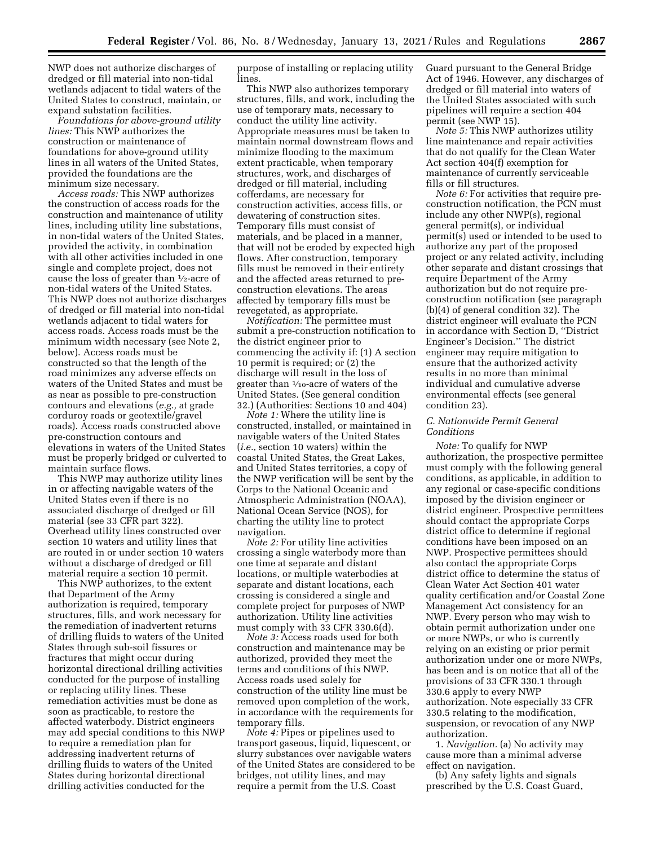NWP does not authorize discharges of dredged or fill material into non-tidal wetlands adjacent to tidal waters of the United States to construct, maintain, or expand substation facilities.

*Foundations for above-ground utility lines:* This NWP authorizes the construction or maintenance of foundations for above-ground utility lines in all waters of the United States, provided the foundations are the minimum size necessary.

*Access roads:* This NWP authorizes the construction of access roads for the construction and maintenance of utility lines, including utility line substations, in non-tidal waters of the United States, provided the activity, in combination with all other activities included in one single and complete project, does not cause the loss of greater than 1⁄2-acre of non-tidal waters of the United States. This NWP does not authorize discharges of dredged or fill material into non-tidal wetlands adjacent to tidal waters for access roads. Access roads must be the minimum width necessary (see Note 2, below). Access roads must be constructed so that the length of the road minimizes any adverse effects on waters of the United States and must be as near as possible to pre-construction contours and elevations (*e.g.,* at grade corduroy roads or geotextile/gravel roads). Access roads constructed above pre-construction contours and elevations in waters of the United States must be properly bridged or culverted to maintain surface flows.

This NWP may authorize utility lines in or affecting navigable waters of the United States even if there is no associated discharge of dredged or fill material (see 33 CFR part 322). Overhead utility lines constructed over section 10 waters and utility lines that are routed in or under section 10 waters without a discharge of dredged or fill material require a section 10 permit.

This NWP authorizes, to the extent that Department of the Army authorization is required, temporary structures, fills, and work necessary for the remediation of inadvertent returns of drilling fluids to waters of the United States through sub-soil fissures or fractures that might occur during horizontal directional drilling activities conducted for the purpose of installing or replacing utility lines. These remediation activities must be done as soon as practicable, to restore the affected waterbody. District engineers may add special conditions to this NWP to require a remediation plan for addressing inadvertent returns of drilling fluids to waters of the United States during horizontal directional drilling activities conducted for the

purpose of installing or replacing utility lines.

This NWP also authorizes temporary structures, fills, and work, including the use of temporary mats, necessary to conduct the utility line activity. Appropriate measures must be taken to maintain normal downstream flows and minimize flooding to the maximum extent practicable, when temporary structures, work, and discharges of dredged or fill material, including cofferdams, are necessary for construction activities, access fills, or dewatering of construction sites. Temporary fills must consist of materials, and be placed in a manner, that will not be eroded by expected high flows. After construction, temporary fills must be removed in their entirety and the affected areas returned to preconstruction elevations. The areas affected by temporary fills must be revegetated, as appropriate.

*Notification:* The permittee must submit a pre-construction notification to the district engineer prior to commencing the activity if: (1) A section 10 permit is required; or (2) the discharge will result in the loss of greater than 1⁄10-acre of waters of the United States. (See general condition 32.) (Authorities: Sections 10 and 404)

*Note 1:* Where the utility line is constructed, installed, or maintained in navigable waters of the United States (*i.e.,* section 10 waters) within the coastal United States, the Great Lakes, and United States territories, a copy of the NWP verification will be sent by the Corps to the National Oceanic and Atmospheric Administration (NOAA), National Ocean Service (NOS), for charting the utility line to protect navigation.

*Note 2:* For utility line activities crossing a single waterbody more than one time at separate and distant locations, or multiple waterbodies at separate and distant locations, each crossing is considered a single and complete project for purposes of NWP authorization. Utility line activities must comply with 33 CFR 330.6(d).

*Note 3:* Access roads used for both construction and maintenance may be authorized, provided they meet the terms and conditions of this NWP. Access roads used solely for construction of the utility line must be removed upon completion of the work, in accordance with the requirements for temporary fills.

*Note 4:* Pipes or pipelines used to transport gaseous, liquid, liquescent, or slurry substances over navigable waters of the United States are considered to be bridges, not utility lines, and may require a permit from the U.S. Coast

Guard pursuant to the General Bridge Act of 1946. However, any discharges of dredged or fill material into waters of the United States associated with such pipelines will require a section 404 permit (see NWP 15).

*Note 5:* This NWP authorizes utility line maintenance and repair activities that do not qualify for the Clean Water Act section 404(f) exemption for maintenance of currently serviceable fills or fill structures.

*Note 6:* For activities that require preconstruction notification, the PCN must include any other NWP(s), regional general permit(s), or individual permit(s) used or intended to be used to authorize any part of the proposed project or any related activity, including other separate and distant crossings that require Department of the Army authorization but do not require preconstruction notification (see paragraph (b)(4) of general condition 32). The district engineer will evaluate the PCN in accordance with Section D, ''District Engineer's Decision.'' The district engineer may require mitigation to ensure that the authorized activity results in no more than minimal individual and cumulative adverse environmental effects (see general condition 23).

## *C. Nationwide Permit General Conditions*

*Note:* To qualify for NWP authorization, the prospective permittee must comply with the following general conditions, as applicable, in addition to any regional or case-specific conditions imposed by the division engineer or district engineer. Prospective permittees should contact the appropriate Corps district office to determine if regional conditions have been imposed on an NWP. Prospective permittees should also contact the appropriate Corps district office to determine the status of Clean Water Act Section 401 water quality certification and/or Coastal Zone Management Act consistency for an NWP. Every person who may wish to obtain permit authorization under one or more NWPs, or who is currently relying on an existing or prior permit authorization under one or more NWPs, has been and is on notice that all of the provisions of 33 CFR 330.1 through 330.6 apply to every NWP authorization. Note especially 33 CFR 330.5 relating to the modification, suspension, or revocation of any NWP authorization.

1. *Navigation.* (a) No activity may cause more than a minimal adverse effect on navigation.

(b) Any safety lights and signals prescribed by the U.S. Coast Guard,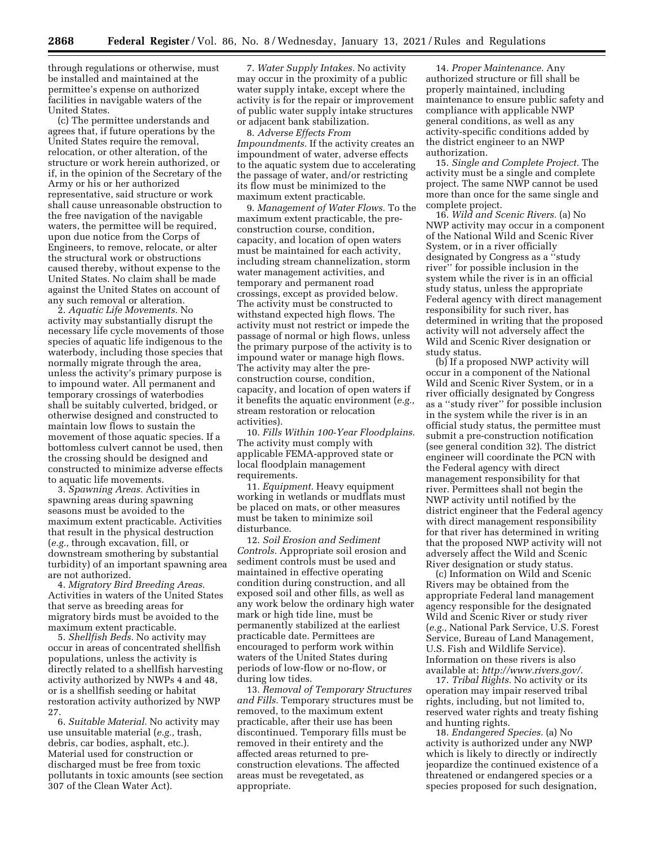through regulations or otherwise, must be installed and maintained at the permittee's expense on authorized facilities in navigable waters of the United States.

(c) The permittee understands and agrees that, if future operations by the United States require the removal, relocation, or other alteration, of the structure or work herein authorized, or if, in the opinion of the Secretary of the Army or his or her authorized representative, said structure or work shall cause unreasonable obstruction to the free navigation of the navigable waters, the permittee will be required, upon due notice from the Corps of Engineers, to remove, relocate, or alter the structural work or obstructions caused thereby, without expense to the United States. No claim shall be made against the United States on account of any such removal or alteration.

2. *Aquatic Life Movements.* No activity may substantially disrupt the necessary life cycle movements of those species of aquatic life indigenous to the waterbody, including those species that normally migrate through the area, unless the activity's primary purpose is to impound water. All permanent and temporary crossings of waterbodies shall be suitably culverted, bridged, or otherwise designed and constructed to maintain low flows to sustain the movement of those aquatic species. If a bottomless culvert cannot be used, then the crossing should be designed and constructed to minimize adverse effects to aquatic life movements.

3. *Spawning Areas.* Activities in spawning areas during spawning seasons must be avoided to the maximum extent practicable. Activities that result in the physical destruction (*e.g.,* through excavation, fill, or downstream smothering by substantial turbidity) of an important spawning area are not authorized.

4. *Migratory Bird Breeding Areas.*  Activities in waters of the United States that serve as breeding areas for migratory birds must be avoided to the maximum extent practicable.

5. *Shellfish Beds.* No activity may occur in areas of concentrated shellfish populations, unless the activity is directly related to a shellfish harvesting activity authorized by NWPs 4 and 48, or is a shellfish seeding or habitat restoration activity authorized by NWP 27.

6. *Suitable Material.* No activity may use unsuitable material (*e.g.,* trash, debris, car bodies, asphalt, etc.). Material used for construction or discharged must be free from toxic pollutants in toxic amounts (see section 307 of the Clean Water Act).

7. *Water Supply Intakes.* No activity may occur in the proximity of a public water supply intake, except where the activity is for the repair or improvement of public water supply intake structures or adjacent bank stabilization.

8. *Adverse Effects From Impoundments.* If the activity creates an impoundment of water, adverse effects to the aquatic system due to accelerating the passage of water, and/or restricting its flow must be minimized to the maximum extent practicable.

9. *Management of Water Flows.* To the maximum extent practicable, the preconstruction course, condition, capacity, and location of open waters must be maintained for each activity, including stream channelization, storm water management activities, and temporary and permanent road crossings, except as provided below. The activity must be constructed to withstand expected high flows. The activity must not restrict or impede the passage of normal or high flows, unless the primary purpose of the activity is to impound water or manage high flows. The activity may alter the preconstruction course, condition, capacity, and location of open waters if it benefits the aquatic environment (*e.g.,*  stream restoration or relocation activities).

10. *Fills Within 100-Year Floodplains.*  The activity must comply with applicable FEMA-approved state or local floodplain management requirements.

11. *Equipment.* Heavy equipment working in wetlands or mudflats must be placed on mats, or other measures must be taken to minimize soil disturbance.

12. *Soil Erosion and Sediment Controls.* Appropriate soil erosion and sediment controls must be used and maintained in effective operating condition during construction, and all exposed soil and other fills, as well as any work below the ordinary high water mark or high tide line, must be permanently stabilized at the earliest practicable date. Permittees are encouraged to perform work within waters of the United States during periods of low-flow or no-flow, or during low tides.

13. *Removal of Temporary Structures and Fills.* Temporary structures must be removed, to the maximum extent practicable, after their use has been discontinued. Temporary fills must be removed in their entirety and the affected areas returned to preconstruction elevations. The affected areas must be revegetated, as appropriate.

14. *Proper Maintenance.* Any authorized structure or fill shall be properly maintained, including maintenance to ensure public safety and compliance with applicable NWP general conditions, as well as any activity-specific conditions added by the district engineer to an NWP authorization.

15. *Single and Complete Project.* The activity must be a single and complete project. The same NWP cannot be used more than once for the same single and complete project.

16. *Wild and Scenic Rivers.* (a) No NWP activity may occur in a component of the National Wild and Scenic River System, or in a river officially designated by Congress as a ''study river'' for possible inclusion in the system while the river is in an official study status, unless the appropriate Federal agency with direct management responsibility for such river, has determined in writing that the proposed activity will not adversely affect the Wild and Scenic River designation or study status.

(b) If a proposed NWP activity will occur in a component of the National Wild and Scenic River System, or in a river officially designated by Congress as a ''study river'' for possible inclusion in the system while the river is in an official study status, the permittee must submit a pre-construction notification (see general condition 32). The district engineer will coordinate the PCN with the Federal agency with direct management responsibility for that river. Permittees shall not begin the NWP activity until notified by the district engineer that the Federal agency with direct management responsibility for that river has determined in writing that the proposed NWP activity will not adversely affect the Wild and Scenic River designation or study status.

(c) Information on Wild and Scenic Rivers may be obtained from the appropriate Federal land management agency responsible for the designated Wild and Scenic River or study river (*e.g.,* National Park Service, U.S. Forest Service, Bureau of Land Management, U.S. Fish and Wildlife Service). Information on these rivers is also available at: *<http://www.rivers.gov/>*.

17. *Tribal Rights.* No activity or its operation may impair reserved tribal rights, including, but not limited to, reserved water rights and treaty fishing and hunting rights.

18. *Endangered Species.* (a) No activity is authorized under any NWP which is likely to directly or indirectly jeopardize the continued existence of a threatened or endangered species or a species proposed for such designation,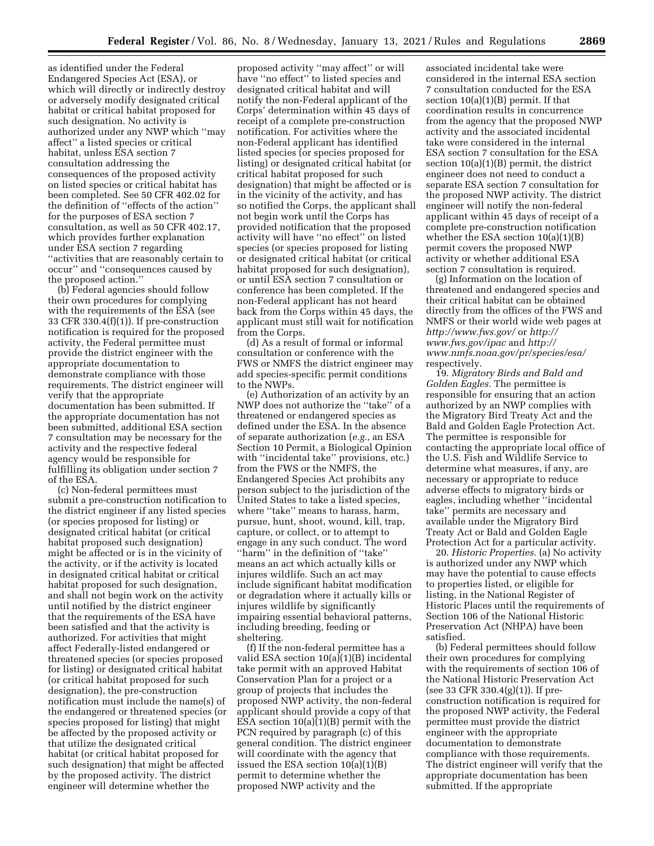as identified under the Federal Endangered Species Act (ESA), or which will directly or indirectly destroy or adversely modify designated critical habitat or critical habitat proposed for such designation. No activity is authorized under any NWP which ''may affect'' a listed species or critical habitat, unless ESA section 7 consultation addressing the consequences of the proposed activity on listed species or critical habitat has been completed. See 50 CFR 402.02 for the definition of ''effects of the action'' for the purposes of ESA section 7 consultation, as well as 50 CFR 402.17, which provides further explanation under ESA section 7 regarding ''activities that are reasonably certain to occur'' and ''consequences caused by the proposed action.''

(b) Federal agencies should follow their own procedures for complying with the requirements of the ESA (see 33 CFR 330.4(f)(1)). If pre-construction notification is required for the proposed activity, the Federal permittee must provide the district engineer with the appropriate documentation to demonstrate compliance with those requirements. The district engineer will verify that the appropriate documentation has been submitted. If the appropriate documentation has not been submitted, additional ESA section 7 consultation may be necessary for the activity and the respective federal agency would be responsible for fulfilling its obligation under section 7 of the ESA.

(c) Non-federal permittees must submit a pre-construction notification to the district engineer if any listed species (or species proposed for listing) or designated critical habitat (or critical habitat proposed such designation) might be affected or is in the vicinity of the activity, or if the activity is located in designated critical habitat or critical habitat proposed for such designation, and shall not begin work on the activity until notified by the district engineer that the requirements of the ESA have been satisfied and that the activity is authorized. For activities that might affect Federally-listed endangered or threatened species (or species proposed for listing) or designated critical habitat (or critical habitat proposed for such designation), the pre-construction notification must include the name(s) of the endangered or threatened species (or species proposed for listing) that might be affected by the proposed activity or that utilize the designated critical habitat (or critical habitat proposed for such designation) that might be affected by the proposed activity. The district engineer will determine whether the

proposed activity ''may affect'' or will have ''no effect'' to listed species and designated critical habitat and will notify the non-Federal applicant of the Corps' determination within 45 days of receipt of a complete pre-construction notification. For activities where the non-Federal applicant has identified listed species (or species proposed for listing) or designated critical habitat (or critical habitat proposed for such designation) that might be affected or is in the vicinity of the activity, and has so notified the Corps, the applicant shall not begin work until the Corps has provided notification that the proposed activity will have ''no effect'' on listed species (or species proposed for listing or designated critical habitat (or critical habitat proposed for such designation), or until ESA section 7 consultation or conference has been completed. If the non-Federal applicant has not heard back from the Corps within 45 days, the applicant must still wait for notification from the Corps.

(d) As a result of formal or informal consultation or conference with the FWS or NMFS the district engineer may add species-specific permit conditions to the NWPs.

(e) Authorization of an activity by an NWP does not authorize the ''take'' of a threatened or endangered species as defined under the ESA. In the absence of separate authorization (*e.g.,* an ESA Section 10 Permit, a Biological Opinion with ''incidental take'' provisions, etc.) from the FWS or the NMFS, the Endangered Species Act prohibits any person subject to the jurisdiction of the United States to take a listed species, where ''take'' means to harass, harm, pursue, hunt, shoot, wound, kill, trap, capture, or collect, or to attempt to engage in any such conduct. The word ''harm'' in the definition of ''take'' means an act which actually kills or injures wildlife. Such an act may include significant habitat modification or degradation where it actually kills or injures wildlife by significantly impairing essential behavioral patterns, including breeding, feeding or sheltering.

(f) If the non-federal permittee has a valid ESA section 10(a)(1)(B) incidental take permit with an approved Habitat Conservation Plan for a project or a group of projects that includes the proposed NWP activity, the non-federal applicant should provide a copy of that ESA section 10(a)(1)(B) permit with the PCN required by paragraph (c) of this general condition. The district engineer will coordinate with the agency that issued the ESA section  $10(a)(1)(B)$ permit to determine whether the proposed NWP activity and the

associated incidental take were considered in the internal ESA section 7 consultation conducted for the ESA section 10(a)(1)(B) permit. If that coordination results in concurrence from the agency that the proposed NWP activity and the associated incidental take were considered in the internal ESA section 7 consultation for the ESA section 10(a)(1)(B) permit, the district engineer does not need to conduct a separate ESA section 7 consultation for the proposed NWP activity. The district engineer will notify the non-federal applicant within 45 days of receipt of a complete pre-construction notification whether the ESA section 10(a)(1)(B) permit covers the proposed NWP activity or whether additional ESA section 7 consultation is required.

(g) Information on the location of threatened and endangered species and their critical habitat can be obtained directly from the offices of the FWS and NMFS or their world wide web pages at *<http://www.fws.gov/>*or *[http://](http://www.fws.gov/ipac) [www.fws.gov/ipac](http://www.fws.gov/ipac)* and *[http://](http://www.nmfs.noaa.gov/pr/species/esa/) [www.nmfs.noaa.gov/pr/species/esa/](http://www.nmfs.noaa.gov/pr/species/esa/)*  respectively.

19. *Migratory Birds and Bald and Golden Eagles.* The permittee is responsible for ensuring that an action authorized by an NWP complies with the Migratory Bird Treaty Act and the Bald and Golden Eagle Protection Act. The permittee is responsible for contacting the appropriate local office of the U.S. Fish and Wildlife Service to determine what measures, if any, are necessary or appropriate to reduce adverse effects to migratory birds or eagles, including whether ''incidental take'' permits are necessary and available under the Migratory Bird Treaty Act or Bald and Golden Eagle Protection Act for a particular activity.

20. *Historic Properties.* (a) No activity is authorized under any NWP which may have the potential to cause effects to properties listed, or eligible for listing, in the National Register of Historic Places until the requirements of Section 106 of the National Historic Preservation Act (NHPA) have been satisfied.

(b) Federal permittees should follow their own procedures for complying with the requirements of section 106 of the National Historic Preservation Act (see 33 CFR 330.4(g)(1)). If preconstruction notification is required for the proposed NWP activity, the Federal permittee must provide the district engineer with the appropriate documentation to demonstrate compliance with those requirements. The district engineer will verify that the appropriate documentation has been submitted. If the appropriate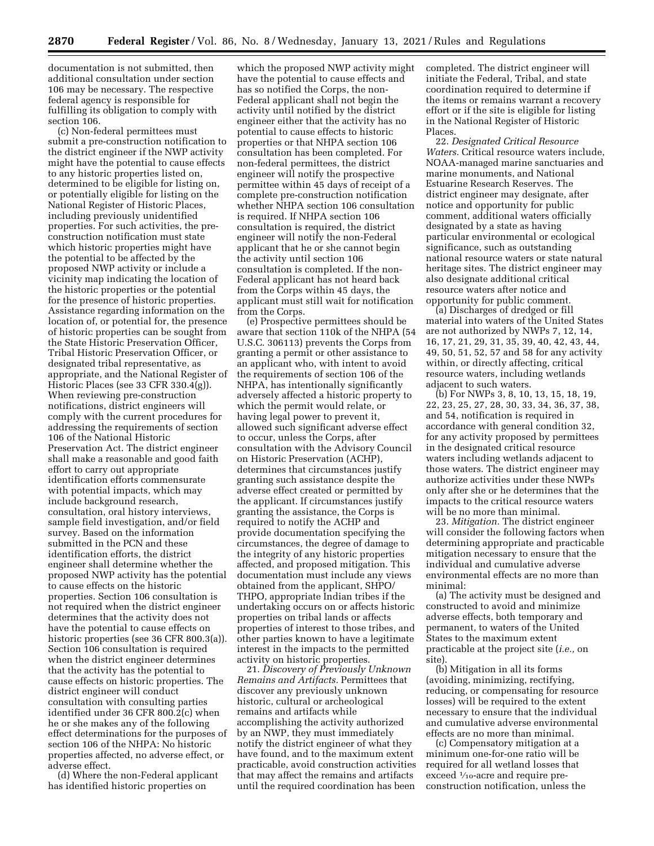documentation is not submitted, then additional consultation under section 106 may be necessary. The respective federal agency is responsible for fulfilling its obligation to comply with section 106.

(c) Non-federal permittees must submit a pre-construction notification to the district engineer if the NWP activity might have the potential to cause effects to any historic properties listed on, determined to be eligible for listing on, or potentially eligible for listing on the National Register of Historic Places, including previously unidentified properties. For such activities, the preconstruction notification must state which historic properties might have the potential to be affected by the proposed NWP activity or include a vicinity map indicating the location of the historic properties or the potential for the presence of historic properties. Assistance regarding information on the location of, or potential for, the presence of historic properties can be sought from the State Historic Preservation Officer, Tribal Historic Preservation Officer, or designated tribal representative, as appropriate, and the National Register of Historic Places (see 33 CFR 330.4(g)). When reviewing pre-construction notifications, district engineers will comply with the current procedures for addressing the requirements of section 106 of the National Historic Preservation Act. The district engineer shall make a reasonable and good faith effort to carry out appropriate identification efforts commensurate with potential impacts, which may include background research, consultation, oral history interviews, sample field investigation, and/or field survey. Based on the information submitted in the PCN and these identification efforts, the district engineer shall determine whether the proposed NWP activity has the potential to cause effects on the historic properties. Section 106 consultation is not required when the district engineer determines that the activity does not have the potential to cause effects on historic properties (see 36 CFR 800.3(a)). Section 106 consultation is required when the district engineer determines that the activity has the potential to cause effects on historic properties. The district engineer will conduct consultation with consulting parties identified under 36 CFR 800.2(c) when he or she makes any of the following effect determinations for the purposes of section 106 of the NHPA: No historic properties affected, no adverse effect, or adverse effect.

(d) Where the non-Federal applicant has identified historic properties on

which the proposed NWP activity might have the potential to cause effects and has so notified the Corps, the non-Federal applicant shall not begin the activity until notified by the district engineer either that the activity has no potential to cause effects to historic properties or that NHPA section 106 consultation has been completed. For non-federal permittees, the district engineer will notify the prospective permittee within 45 days of receipt of a complete pre-construction notification whether NHPA section 106 consultation is required. If NHPA section 106 consultation is required, the district engineer will notify the non-Federal applicant that he or she cannot begin the activity until section 106 consultation is completed. If the non-Federal applicant has not heard back from the Corps within 45 days, the applicant must still wait for notification from the Corps.

(e) Prospective permittees should be aware that section 110k of the NHPA (54 U.S.C. 306113) prevents the Corps from granting a permit or other assistance to an applicant who, with intent to avoid the requirements of section 106 of the NHPA, has intentionally significantly adversely affected a historic property to which the permit would relate, or having legal power to prevent it, allowed such significant adverse effect to occur, unless the Corps, after consultation with the Advisory Council on Historic Preservation (ACHP), determines that circumstances justify granting such assistance despite the adverse effect created or permitted by the applicant. If circumstances justify granting the assistance, the Corps is required to notify the ACHP and provide documentation specifying the circumstances, the degree of damage to the integrity of any historic properties affected, and proposed mitigation. This documentation must include any views obtained from the applicant, SHPO/ THPO, appropriate Indian tribes if the undertaking occurs on or affects historic properties on tribal lands or affects properties of interest to those tribes, and other parties known to have a legitimate interest in the impacts to the permitted activity on historic properties.

21. *Discovery of Previously Unknown Remains and Artifacts.* Permittees that discover any previously unknown historic, cultural or archeological remains and artifacts while accomplishing the activity authorized by an NWP, they must immediately notify the district engineer of what they have found, and to the maximum extent practicable, avoid construction activities that may affect the remains and artifacts until the required coordination has been

completed. The district engineer will initiate the Federal, Tribal, and state coordination required to determine if the items or remains warrant a recovery effort or if the site is eligible for listing in the National Register of Historic Places.

22. *Designated Critical Resource Waters.* Critical resource waters include, NOAA-managed marine sanctuaries and marine monuments, and National Estuarine Research Reserves. The district engineer may designate, after notice and opportunity for public comment, additional waters officially designated by a state as having particular environmental or ecological significance, such as outstanding national resource waters or state natural heritage sites. The district engineer may also designate additional critical resource waters after notice and opportunity for public comment.

(a) Discharges of dredged or fill material into waters of the United States are not authorized by NWPs 7, 12, 14, 16, 17, 21, 29, 31, 35, 39, 40, 42, 43, 44, 49, 50, 51, 52, 57 and 58 for any activity within, or directly affecting, critical resource waters, including wetlands adjacent to such waters.

(b) For NWPs 3, 8, 10, 13, 15, 18, 19, 22, 23, 25, 27, 28, 30, 33, 34, 36, 37, 38, and 54, notification is required in accordance with general condition 32, for any activity proposed by permittees in the designated critical resource waters including wetlands adjacent to those waters. The district engineer may authorize activities under these NWPs only after she or he determines that the impacts to the critical resource waters will be no more than minimal.

23. *Mitigation.* The district engineer will consider the following factors when determining appropriate and practicable mitigation necessary to ensure that the individual and cumulative adverse environmental effects are no more than minimal:

(a) The activity must be designed and constructed to avoid and minimize adverse effects, both temporary and permanent, to waters of the United States to the maximum extent practicable at the project site (*i.e.,* on site).

(b) Mitigation in all its forms (avoiding, minimizing, rectifying, reducing, or compensating for resource losses) will be required to the extent necessary to ensure that the individual and cumulative adverse environmental effects are no more than minimal.

(c) Compensatory mitigation at a minimum one-for-one ratio will be required for all wetland losses that exceed  $\frac{1}{10}$ -acre and require preconstruction notification, unless the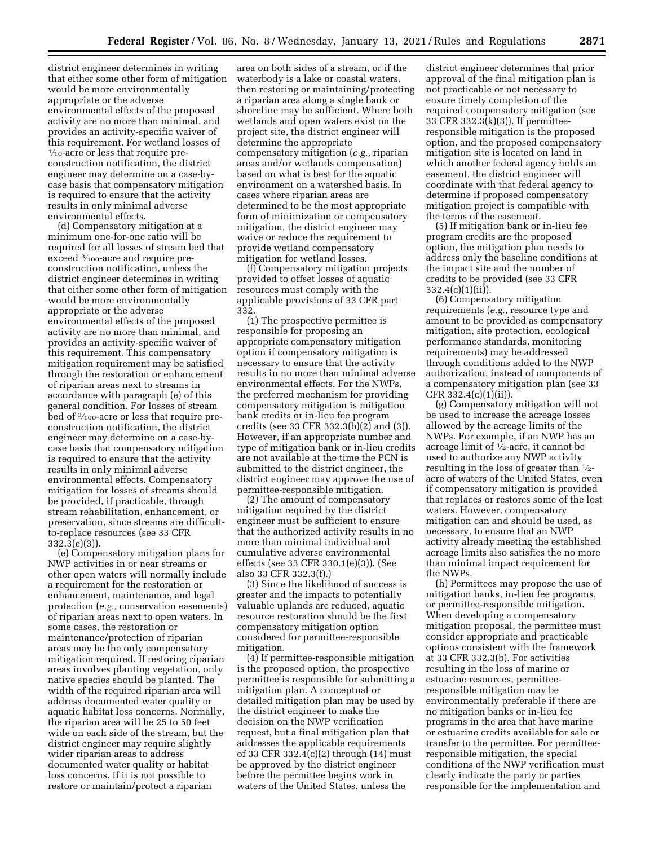district engineer determines in writing that either some other form of mitigation would be more environmentally appropriate or the adverse environmental effects of the proposed activity are no more than minimal, and provides an activity-specific waiver of this requirement. For wetland losses of 1⁄10-acre or less that require preconstruction notification, the district engineer may determine on a case-bycase basis that compensatory mitigation is required to ensure that the activity results in only minimal adverse environmental effects.

(d) Compensatory mitigation at a minimum one-for-one ratio will be required for all losses of stream bed that exceed 3⁄100-acre and require preconstruction notification, unless the district engineer determines in writing that either some other form of mitigation would be more environmentally appropriate or the adverse environmental effects of the proposed activity are no more than minimal, and provides an activity-specific waiver of this requirement. This compensatory mitigation requirement may be satisfied through the restoration or enhancement of riparian areas next to streams in accordance with paragraph (e) of this general condition. For losses of stream bed of  $\frac{3}{100}$ -acre or less that require preconstruction notification, the district engineer may determine on a case-bycase basis that compensatory mitigation is required to ensure that the activity results in only minimal adverse environmental effects. Compensatory mitigation for losses of streams should be provided, if practicable, through stream rehabilitation, enhancement, or preservation, since streams are difficultto-replace resources (see 33 CFR 332.3(e)(3)).

(e) Compensatory mitigation plans for NWP activities in or near streams or other open waters will normally include a requirement for the restoration or enhancement, maintenance, and legal protection (*e.g.,* conservation easements) of riparian areas next to open waters. In some cases, the restoration or maintenance/protection of riparian areas may be the only compensatory mitigation required. If restoring riparian areas involves planting vegetation, only native species should be planted. The width of the required riparian area will address documented water quality or aquatic habitat loss concerns. Normally, the riparian area will be 25 to 50 feet wide on each side of the stream, but the district engineer may require slightly wider riparian areas to address documented water quality or habitat loss concerns. If it is not possible to restore or maintain/protect a riparian

area on both sides of a stream, or if the waterbody is a lake or coastal waters, then restoring or maintaining/protecting a riparian area along a single bank or shoreline may be sufficient. Where both wetlands and open waters exist on the project site, the district engineer will determine the appropriate compensatory mitigation (*e.g.,* riparian areas and/or wetlands compensation) based on what is best for the aquatic environment on a watershed basis. In cases where riparian areas are determined to be the most appropriate form of minimization or compensatory mitigation, the district engineer may waive or reduce the requirement to provide wetland compensatory mitigation for wetland losses.

(f) Compensatory mitigation projects provided to offset losses of aquatic resources must comply with the applicable provisions of 33 CFR part 332.

(1) The prospective permittee is responsible for proposing an appropriate compensatory mitigation option if compensatory mitigation is necessary to ensure that the activity results in no more than minimal adverse environmental effects. For the NWPs, the preferred mechanism for providing compensatory mitigation is mitigation bank credits or in-lieu fee program credits (see 33 CFR 332.3(b)(2) and (3)). However, if an appropriate number and type of mitigation bank or in-lieu credits are not available at the time the PCN is submitted to the district engineer, the district engineer may approve the use of permittee-responsible mitigation.

(2) The amount of compensatory mitigation required by the district engineer must be sufficient to ensure that the authorized activity results in no more than minimal individual and cumulative adverse environmental effects (see 33 CFR 330.1(e)(3)). (See also 33 CFR 332.3(f).)

(3) Since the likelihood of success is greater and the impacts to potentially valuable uplands are reduced, aquatic resource restoration should be the first compensatory mitigation option considered for permittee-responsible mitigation.

(4) If permittee-responsible mitigation is the proposed option, the prospective permittee is responsible for submitting a mitigation plan. A conceptual or detailed mitigation plan may be used by the district engineer to make the decision on the NWP verification request, but a final mitigation plan that addresses the applicable requirements of 33 CFR 332.4(c)(2) through (14) must be approved by the district engineer before the permittee begins work in waters of the United States, unless the

district engineer determines that prior approval of the final mitigation plan is not practicable or not necessary to ensure timely completion of the required compensatory mitigation (see 33 CFR 332.3(k)(3)). If permitteeresponsible mitigation is the proposed option, and the proposed compensatory mitigation site is located on land in which another federal agency holds an easement, the district engineer will coordinate with that federal agency to determine if proposed compensatory mitigation project is compatible with the terms of the easement.

(5) If mitigation bank or in-lieu fee program credits are the proposed option, the mitigation plan needs to address only the baseline conditions at the impact site and the number of credits to be provided (see 33 CFR  $332.4(c)(1)(ii)$ .

(6) Compensatory mitigation requirements (*e.g.,* resource type and amount to be provided as compensatory mitigation, site protection, ecological performance standards, monitoring requirements) may be addressed through conditions added to the NWP authorization, instead of components of a compensatory mitigation plan (see 33 CFR  $332.4(c)(1)(ii)$ .

(g) Compensatory mitigation will not be used to increase the acreage losses allowed by the acreage limits of the NWPs. For example, if an NWP has an acreage limit of 1⁄2-acre, it cannot be used to authorize any NWP activity resulting in the loss of greater than 1⁄2 acre of waters of the United States, even if compensatory mitigation is provided that replaces or restores some of the lost waters. However, compensatory mitigation can and should be used, as necessary, to ensure that an NWP activity already meeting the established acreage limits also satisfies the no more than minimal impact requirement for the NWPs.

(h) Permittees may propose the use of mitigation banks, in-lieu fee programs, or permittee-responsible mitigation. When developing a compensatory mitigation proposal, the permittee must consider appropriate and practicable options consistent with the framework at 33 CFR 332.3(b). For activities resulting in the loss of marine or estuarine resources, permitteeresponsible mitigation may be environmentally preferable if there are no mitigation banks or in-lieu fee programs in the area that have marine or estuarine credits available for sale or transfer to the permittee. For permitteeresponsible mitigation, the special conditions of the NWP verification must clearly indicate the party or parties responsible for the implementation and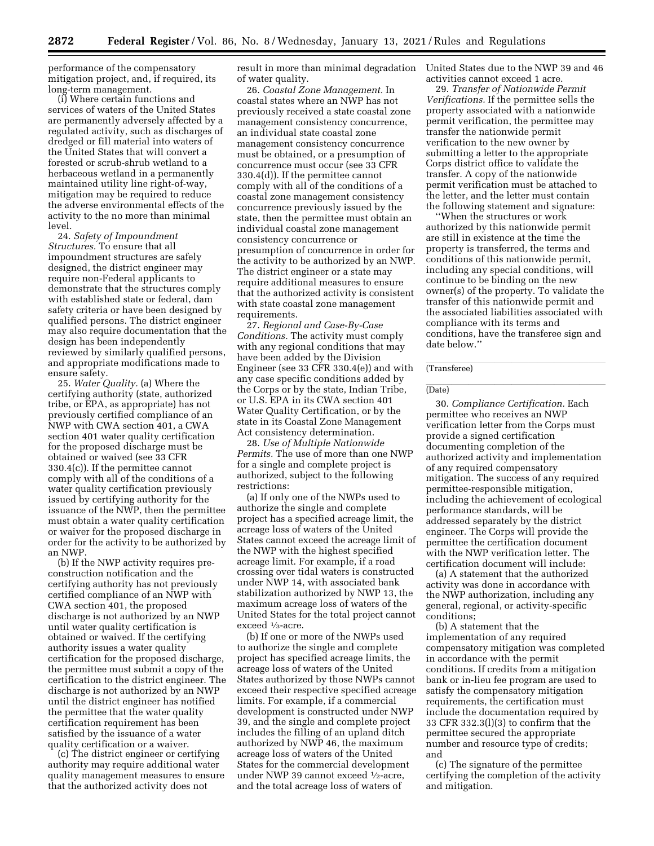performance of the compensatory mitigation project, and, if required, its long-term management.

(i) Where certain functions and services of waters of the United States are permanently adversely affected by a regulated activity, such as discharges of dredged or fill material into waters of the United States that will convert a forested or scrub-shrub wetland to a herbaceous wetland in a permanently maintained utility line right-of-way, mitigation may be required to reduce the adverse environmental effects of the activity to the no more than minimal level.

24. *Safety of Impoundment Structures.* To ensure that all impoundment structures are safely designed, the district engineer may require non-Federal applicants to demonstrate that the structures comply with established state or federal, dam safety criteria or have been designed by qualified persons. The district engineer may also require documentation that the design has been independently reviewed by similarly qualified persons, and appropriate modifications made to ensure safety.

25. *Water Quality.* (a) Where the certifying authority (state, authorized tribe, or EPA, as appropriate) has not previously certified compliance of an NWP with CWA section 401, a CWA section 401 water quality certification for the proposed discharge must be obtained or waived (see 33 CFR 330.4(c)). If the permittee cannot comply with all of the conditions of a water quality certification previously issued by certifying authority for the issuance of the NWP, then the permittee must obtain a water quality certification or waiver for the proposed discharge in order for the activity to be authorized by an NWP.

(b) If the NWP activity requires preconstruction notification and the certifying authority has not previously certified compliance of an NWP with CWA section 401, the proposed discharge is not authorized by an NWP until water quality certification is obtained or waived. If the certifying authority issues a water quality certification for the proposed discharge, the permittee must submit a copy of the certification to the district engineer. The discharge is not authorized by an NWP until the district engineer has notified the permittee that the water quality certification requirement has been satisfied by the issuance of a water quality certification or a waiver.

(c) The district engineer or certifying authority may require additional water quality management measures to ensure that the authorized activity does not

result in more than minimal degradation of water quality.

26. *Coastal Zone Management.* In coastal states where an NWP has not previously received a state coastal zone management consistency concurrence, an individual state coastal zone management consistency concurrence must be obtained, or a presumption of concurrence must occur (see 33 CFR 330.4(d)). If the permittee cannot comply with all of the conditions of a coastal zone management consistency concurrence previously issued by the state, then the permittee must obtain an individual coastal zone management consistency concurrence or presumption of concurrence in order for the activity to be authorized by an NWP. The district engineer or a state may require additional measures to ensure that the authorized activity is consistent with state coastal zone management requirements.

27. *Regional and Case-By-Case Conditions.* The activity must comply with any regional conditions that may have been added by the Division Engineer (see 33 CFR 330.4(e)) and with any case specific conditions added by the Corps or by the state, Indian Tribe, or U.S. EPA in its CWA section 401 Water Quality Certification, or by the state in its Coastal Zone Management Act consistency determination.

28. *Use of Multiple Nationwide Permits.* The use of more than one NWP for a single and complete project is authorized, subject to the following restrictions:

(a) If only one of the NWPs used to authorize the single and complete project has a specified acreage limit, the acreage loss of waters of the United States cannot exceed the acreage limit of the NWP with the highest specified acreage limit. For example, if a road crossing over tidal waters is constructed under NWP 14, with associated bank stabilization authorized by NWP 13, the maximum acreage loss of waters of the United States for the total project cannot exceed  $\frac{1}{3}$ -acre.

(b) If one or more of the NWPs used to authorize the single and complete project has specified acreage limits, the acreage loss of waters of the United States authorized by those NWPs cannot exceed their respective specified acreage limits. For example, if a commercial development is constructed under NWP 39, and the single and complete project includes the filling of an upland ditch authorized by NWP 46, the maximum acreage loss of waters of the United States for the commercial development under NWP 39 cannot exceed <sup>1</sup>/<sub>2</sub>-acre, and the total acreage loss of waters of

United States due to the NWP 39 and 46 activities cannot exceed 1 acre.

29. *Transfer of Nationwide Permit Verifications.* If the permittee sells the property associated with a nationwide permit verification, the permittee may transfer the nationwide permit verification to the new owner by submitting a letter to the appropriate Corps district office to validate the transfer. A copy of the nationwide permit verification must be attached to the letter, and the letter must contain the following statement and signature:

''When the structures or work authorized by this nationwide permit are still in existence at the time the property is transferred, the terms and conditions of this nationwide permit, including any special conditions, will continue to be binding on the new owner(s) of the property. To validate the transfer of this nationwide permit and the associated liabilities associated with compliance with its terms and conditions, have the transferee sign and date below.''

## (Transferee)

## (Date) and the contract of the contract of the contract of the contract of the contract of the contract of the contract of the contract of the contract of the contract of the contract of the contract of the contract of the

30. *Compliance Certification.* Each permittee who receives an NWP verification letter from the Corps must provide a signed certification documenting completion of the authorized activity and implementation of any required compensatory mitigation. The success of any required permittee-responsible mitigation, including the achievement of ecological performance standards, will be addressed separately by the district engineer. The Corps will provide the permittee the certification document with the NWP verification letter. The certification document will include:

(a) A statement that the authorized activity was done in accordance with the NWP authorization, including any general, regional, or activity-specific conditions;

(b) A statement that the implementation of any required compensatory mitigation was completed in accordance with the permit conditions. If credits from a mitigation bank or in-lieu fee program are used to satisfy the compensatory mitigation requirements, the certification must include the documentation required by 33 CFR 332.3(l)(3) to confirm that the permittee secured the appropriate number and resource type of credits; and

(c) The signature of the permittee certifying the completion of the activity and mitigation.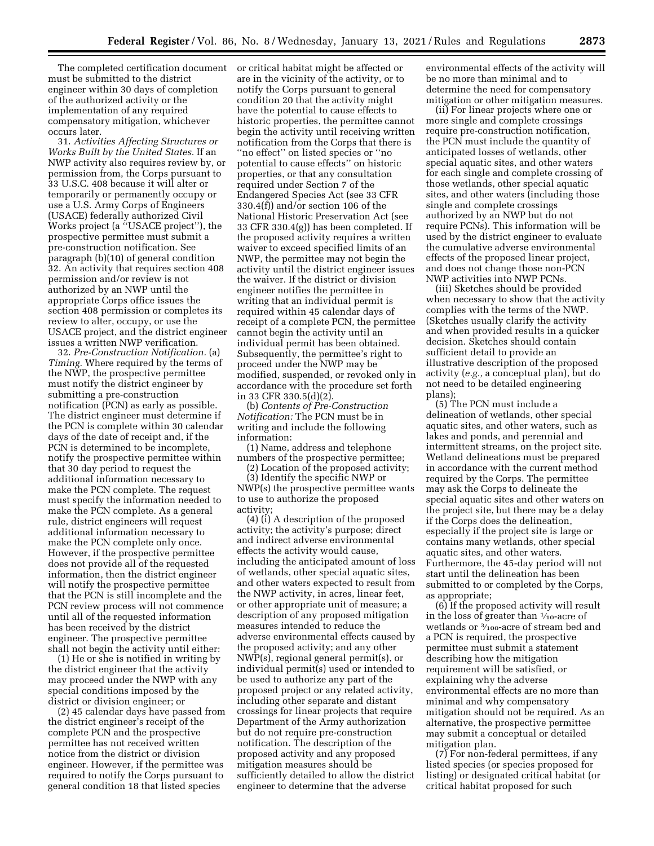The completed certification document must be submitted to the district engineer within 30 days of completion of the authorized activity or the implementation of any required compensatory mitigation, whichever occurs later.

31. *Activities Affecting Structures or Works Built by the United States.* If an NWP activity also requires review by, or permission from, the Corps pursuant to 33 U.S.C. 408 because it will alter or temporarily or permanently occupy or use a U.S. Army Corps of Engineers (USACE) federally authorized Civil Works project (a ''USACE project''), the prospective permittee must submit a pre-construction notification. See paragraph (b)(10) of general condition 32. An activity that requires section 408 permission and/or review is not authorized by an NWP until the appropriate Corps office issues the section 408 permission or completes its review to alter, occupy, or use the USACE project, and the district engineer issues a written NWP verification.

32. *Pre-Construction Notification.* (a) *Timing.* Where required by the terms of the NWP, the prospective permittee must notify the district engineer by submitting a pre-construction notification (PCN) as early as possible. The district engineer must determine if the PCN is complete within 30 calendar days of the date of receipt and, if the PCN is determined to be incomplete, notify the prospective permittee within that 30 day period to request the additional information necessary to make the PCN complete. The request must specify the information needed to make the PCN complete. As a general rule, district engineers will request additional information necessary to make the PCN complete only once. However, if the prospective permittee does not provide all of the requested information, then the district engineer will notify the prospective permittee that the PCN is still incomplete and the PCN review process will not commence until all of the requested information has been received by the district engineer. The prospective permittee shall not begin the activity until either:

(1) He or she is notified in writing by the district engineer that the activity may proceed under the NWP with any special conditions imposed by the district or division engineer; or

(2) 45 calendar days have passed from the district engineer's receipt of the complete PCN and the prospective permittee has not received written notice from the district or division engineer. However, if the permittee was required to notify the Corps pursuant to general condition 18 that listed species

or critical habitat might be affected or are in the vicinity of the activity, or to notify the Corps pursuant to general condition 20 that the activity might have the potential to cause effects to historic properties, the permittee cannot begin the activity until receiving written notification from the Corps that there is ''no effect'' on listed species or ''no potential to cause effects'' on historic properties, or that any consultation required under Section 7 of the Endangered Species Act (see 33 CFR 330.4(f)) and/or section 106 of the National Historic Preservation Act (see 33 CFR 330.4(g)) has been completed. If the proposed activity requires a written waiver to exceed specified limits of an NWP, the permittee may not begin the activity until the district engineer issues the waiver. If the district or division engineer notifies the permittee in writing that an individual permit is required within 45 calendar days of receipt of a complete PCN, the permittee cannot begin the activity until an individual permit has been obtained. Subsequently, the permittee's right to proceed under the NWP may be modified, suspended, or revoked only in accordance with the procedure set forth in 33 CFR 330.5(d)(2).

(b) *Contents of Pre-Construction Notification:* The PCN must be in writing and include the following information:

(1) Name, address and telephone numbers of the prospective permittee;

(2) Location of the proposed activity; (3) Identify the specific NWP or NWP(s) the prospective permittee wants to use to authorize the proposed activity;

(4) (i) A description of the proposed activity; the activity's purpose; direct and indirect adverse environmental effects the activity would cause, including the anticipated amount of loss of wetlands, other special aquatic sites, and other waters expected to result from the NWP activity, in acres, linear feet, or other appropriate unit of measure; a description of any proposed mitigation measures intended to reduce the adverse environmental effects caused by the proposed activity; and any other NWP(s), regional general permit(s), or individual permit(s) used or intended to be used to authorize any part of the proposed project or any related activity, including other separate and distant crossings for linear projects that require Department of the Army authorization but do not require pre-construction notification. The description of the proposed activity and any proposed mitigation measures should be sufficiently detailed to allow the district engineer to determine that the adverse

environmental effects of the activity will be no more than minimal and to determine the need for compensatory mitigation or other mitigation measures.

(ii) For linear projects where one or more single and complete crossings require pre-construction notification, the PCN must include the quantity of anticipated losses of wetlands, other special aquatic sites, and other waters for each single and complete crossing of those wetlands, other special aquatic sites, and other waters (including those single and complete crossings authorized by an NWP but do not require PCNs). This information will be used by the district engineer to evaluate the cumulative adverse environmental effects of the proposed linear project, and does not change those non-PCN NWP activities into NWP PCNs.

(iii) Sketches should be provided when necessary to show that the activity complies with the terms of the NWP. (Sketches usually clarify the activity and when provided results in a quicker decision. Sketches should contain sufficient detail to provide an illustrative description of the proposed activity (*e.g.,* a conceptual plan), but do not need to be detailed engineering plans);

(5) The PCN must include a delineation of wetlands, other special aquatic sites, and other waters, such as lakes and ponds, and perennial and intermittent streams, on the project site. Wetland delineations must be prepared in accordance with the current method required by the Corps. The permittee may ask the Corps to delineate the special aquatic sites and other waters on the project site, but there may be a delay if the Corps does the delineation, especially if the project site is large or contains many wetlands, other special aquatic sites, and other waters. Furthermore, the 45-day period will not start until the delineation has been submitted to or completed by the Corps, as appropriate;

(6) If the proposed activity will result in the loss of greater than 1⁄10-acre of wetlands or 3⁄100-acre of stream bed and a PCN is required, the prospective permittee must submit a statement describing how the mitigation requirement will be satisfied, or explaining why the adverse environmental effects are no more than minimal and why compensatory mitigation should not be required. As an alternative, the prospective permittee may submit a conceptual or detailed mitigation plan.

(7) For non-federal permittees, if any listed species (or species proposed for listing) or designated critical habitat (or critical habitat proposed for such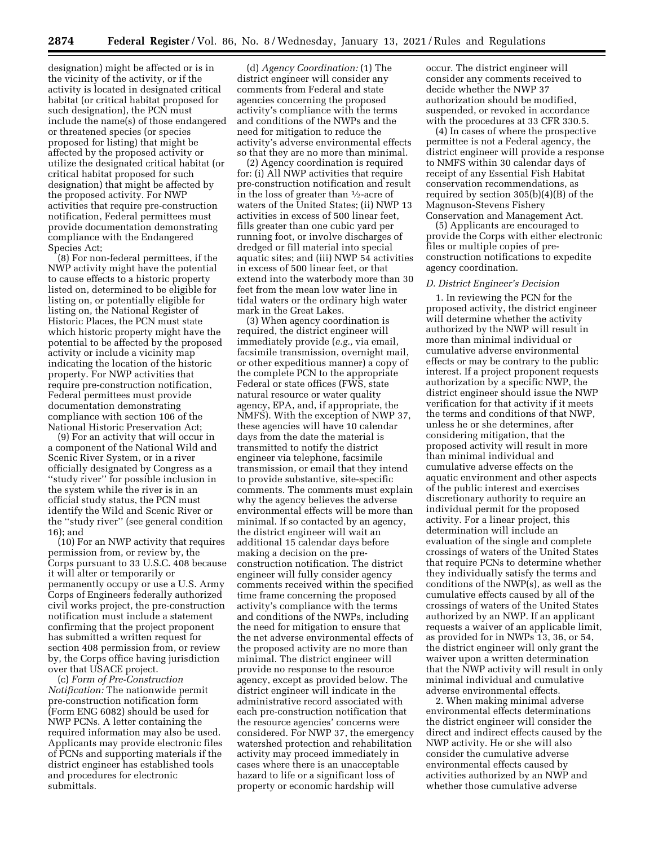designation) might be affected or is in the vicinity of the activity, or if the activity is located in designated critical habitat (or critical habitat proposed for such designation), the PCN must include the name(s) of those endangered or threatened species (or species proposed for listing) that might be affected by the proposed activity or utilize the designated critical habitat (or critical habitat proposed for such designation) that might be affected by the proposed activity. For NWP activities that require pre-construction notification, Federal permittees must provide documentation demonstrating compliance with the Endangered Species Act;

(8) For non-federal permittees, if the NWP activity might have the potential to cause effects to a historic property listed on, determined to be eligible for listing on, or potentially eligible for listing on, the National Register of Historic Places, the PCN must state which historic property might have the potential to be affected by the proposed activity or include a vicinity map indicating the location of the historic property. For NWP activities that require pre-construction notification, Federal permittees must provide documentation demonstrating compliance with section 106 of the National Historic Preservation Act;

(9) For an activity that will occur in a component of the National Wild and Scenic River System, or in a river officially designated by Congress as a ''study river'' for possible inclusion in the system while the river is in an official study status, the PCN must identify the Wild and Scenic River or the ''study river'' (see general condition 16); and

(10) For an NWP activity that requires permission from, or review by, the Corps pursuant to 33 U.S.C. 408 because it will alter or temporarily or permanently occupy or use a U.S. Army Corps of Engineers federally authorized civil works project, the pre-construction notification must include a statement confirming that the project proponent has submitted a written request for section 408 permission from, or review by, the Corps office having jurisdiction over that USACE project.

(c) *Form of Pre-Construction Notification:* The nationwide permit pre-construction notification form (Form ENG 6082) should be used for NWP PCNs. A letter containing the required information may also be used. Applicants may provide electronic files of PCNs and supporting materials if the district engineer has established tools and procedures for electronic submittals.

(d) *Agency Coordination:* (1) The district engineer will consider any comments from Federal and state agencies concerning the proposed activity's compliance with the terms and conditions of the NWPs and the need for mitigation to reduce the activity's adverse environmental effects so that they are no more than minimal.

(2) Agency coordination is required for: (i) All NWP activities that require pre-construction notification and result in the loss of greater than 1⁄2-acre of waters of the United States; (ii) NWP 13 activities in excess of 500 linear feet, fills greater than one cubic yard per running foot, or involve discharges of dredged or fill material into special aquatic sites; and (iii) NWP 54 activities in excess of 500 linear feet, or that extend into the waterbody more than 30 feet from the mean low water line in tidal waters or the ordinary high water mark in the Great Lakes.

(3) When agency coordination is required, the district engineer will immediately provide (*e.g.,* via email, facsimile transmission, overnight mail, or other expeditious manner) a copy of the complete PCN to the appropriate Federal or state offices (FWS, state natural resource or water quality agency, EPA, and, if appropriate, the NMFS). With the exception of NWP 37, these agencies will have 10 calendar days from the date the material is transmitted to notify the district engineer via telephone, facsimile transmission, or email that they intend to provide substantive, site-specific comments. The comments must explain why the agency believes the adverse environmental effects will be more than minimal. If so contacted by an agency, the district engineer will wait an additional 15 calendar days before making a decision on the preconstruction notification. The district engineer will fully consider agency comments received within the specified time frame concerning the proposed activity's compliance with the terms and conditions of the NWPs, including the need for mitigation to ensure that the net adverse environmental effects of the proposed activity are no more than minimal. The district engineer will provide no response to the resource agency, except as provided below. The district engineer will indicate in the administrative record associated with each pre-construction notification that the resource agencies' concerns were considered. For NWP 37, the emergency watershed protection and rehabilitation activity may proceed immediately in cases where there is an unacceptable hazard to life or a significant loss of property or economic hardship will

occur. The district engineer will consider any comments received to decide whether the NWP 37 authorization should be modified, suspended, or revoked in accordance with the procedures at 33 CFR 330.5.

(4) In cases of where the prospective permittee is not a Federal agency, the district engineer will provide a response to NMFS within 30 calendar days of receipt of any Essential Fish Habitat conservation recommendations, as required by section 305(b)(4)(B) of the Magnuson-Stevens Fishery Conservation and Management Act.

(5) Applicants are encouraged to provide the Corps with either electronic files or multiple copies of preconstruction notifications to expedite agency coordination.

#### *D. District Engineer's Decision*

1. In reviewing the PCN for the proposed activity, the district engineer will determine whether the activity authorized by the NWP will result in more than minimal individual or cumulative adverse environmental effects or may be contrary to the public interest. If a project proponent requests authorization by a specific NWP, the district engineer should issue the NWP verification for that activity if it meets the terms and conditions of that NWP, unless he or she determines, after considering mitigation, that the proposed activity will result in more than minimal individual and cumulative adverse effects on the aquatic environment and other aspects of the public interest and exercises discretionary authority to require an individual permit for the proposed activity. For a linear project, this determination will include an evaluation of the single and complete crossings of waters of the United States that require PCNs to determine whether they individually satisfy the terms and conditions of the NWP(s), as well as the cumulative effects caused by all of the crossings of waters of the United States authorized by an NWP. If an applicant requests a waiver of an applicable limit, as provided for in NWPs 13, 36, or 54, the district engineer will only grant the waiver upon a written determination that the NWP activity will result in only minimal individual and cumulative adverse environmental effects.

2. When making minimal adverse environmental effects determinations the district engineer will consider the direct and indirect effects caused by the NWP activity. He or she will also consider the cumulative adverse environmental effects caused by activities authorized by an NWP and whether those cumulative adverse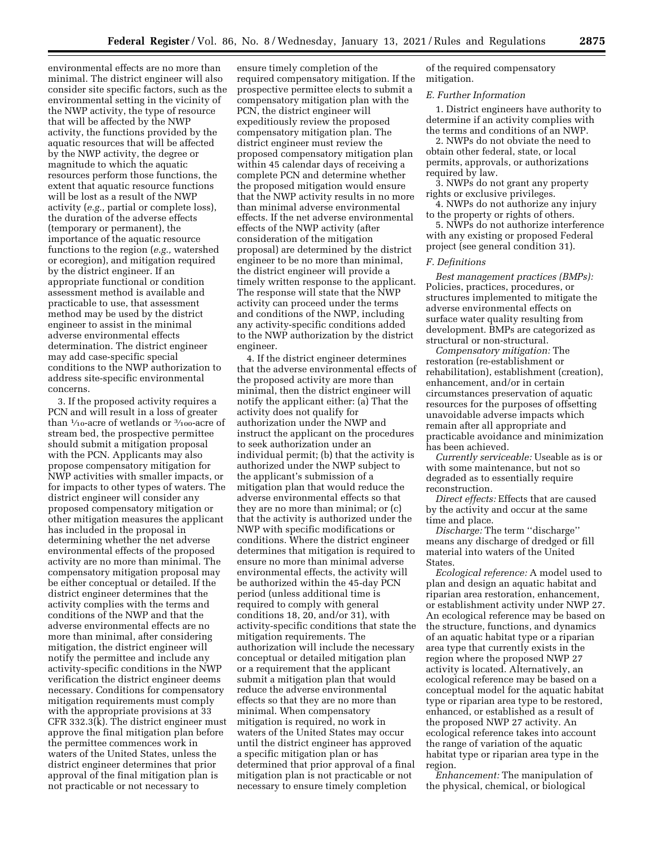environmental effects are no more than minimal. The district engineer will also consider site specific factors, such as the environmental setting in the vicinity of the NWP activity, the type of resource that will be affected by the NWP activity, the functions provided by the aquatic resources that will be affected by the NWP activity, the degree or magnitude to which the aquatic resources perform those functions, the extent that aquatic resource functions will be lost as a result of the NWP activity (*e.g.,* partial or complete loss), the duration of the adverse effects (temporary or permanent), the importance of the aquatic resource functions to the region (*e.g.,* watershed or ecoregion), and mitigation required by the district engineer. If an appropriate functional or condition assessment method is available and practicable to use, that assessment method may be used by the district engineer to assist in the minimal adverse environmental effects determination. The district engineer may add case-specific special conditions to the NWP authorization to address site-specific environmental concerns.

3. If the proposed activity requires a PCN and will result in a loss of greater than 1⁄10-acre of wetlands or 3⁄100-acre of stream bed, the prospective permittee should submit a mitigation proposal with the PCN. Applicants may also propose compensatory mitigation for NWP activities with smaller impacts, or for impacts to other types of waters. The district engineer will consider any proposed compensatory mitigation or other mitigation measures the applicant has included in the proposal in determining whether the net adverse environmental effects of the proposed activity are no more than minimal. The compensatory mitigation proposal may be either conceptual or detailed. If the district engineer determines that the activity complies with the terms and conditions of the NWP and that the adverse environmental effects are no more than minimal, after considering mitigation, the district engineer will notify the permittee and include any activity-specific conditions in the NWP verification the district engineer deems necessary. Conditions for compensatory mitigation requirements must comply with the appropriate provisions at 33 CFR 332.3(k). The district engineer must approve the final mitigation plan before the permittee commences work in waters of the United States, unless the district engineer determines that prior approval of the final mitigation plan is not practicable or not necessary to

ensure timely completion of the required compensatory mitigation. If the prospective permittee elects to submit a compensatory mitigation plan with the PCN, the district engineer will expeditiously review the proposed compensatory mitigation plan. The district engineer must review the proposed compensatory mitigation plan within 45 calendar days of receiving a complete PCN and determine whether the proposed mitigation would ensure that the NWP activity results in no more than minimal adverse environmental effects. If the net adverse environmental effects of the NWP activity (after consideration of the mitigation proposal) are determined by the district engineer to be no more than minimal, the district engineer will provide a timely written response to the applicant. The response will state that the NWP activity can proceed under the terms and conditions of the NWP, including any activity-specific conditions added to the NWP authorization by the district engineer.

4. If the district engineer determines that the adverse environmental effects of the proposed activity are more than minimal, then the district engineer will notify the applicant either: (a) That the activity does not qualify for authorization under the NWP and instruct the applicant on the procedures to seek authorization under an individual permit; (b) that the activity is authorized under the NWP subject to the applicant's submission of a mitigation plan that would reduce the adverse environmental effects so that they are no more than minimal; or (c) that the activity is authorized under the NWP with specific modifications or conditions. Where the district engineer determines that mitigation is required to ensure no more than minimal adverse environmental effects, the activity will be authorized within the 45-day PCN period (unless additional time is required to comply with general conditions 18, 20, and/or 31), with activity-specific conditions that state the mitigation requirements. The authorization will include the necessary conceptual or detailed mitigation plan or a requirement that the applicant submit a mitigation plan that would reduce the adverse environmental effects so that they are no more than minimal. When compensatory mitigation is required, no work in waters of the United States may occur until the district engineer has approved a specific mitigation plan or has determined that prior approval of a final mitigation plan is not practicable or not necessary to ensure timely completion

of the required compensatory mitigation.

#### *E. Further Information*

1. District engineers have authority to determine if an activity complies with the terms and conditions of an NWP.

2. NWPs do not obviate the need to obtain other federal, state, or local permits, approvals, or authorizations required by law.

3. NWPs do not grant any property rights or exclusive privileges.

4. NWPs do not authorize any injury to the property or rights of others.

5. NWPs do not authorize interference with any existing or proposed Federal project (see general condition 31).

## *F. Definitions*

*Best management practices (BMPs):*  Policies, practices, procedures, or structures implemented to mitigate the adverse environmental effects on surface water quality resulting from development. BMPs are categorized as structural or non-structural.

*Compensatory mitigation:* The restoration (re-establishment or rehabilitation), establishment (creation), enhancement, and/or in certain circumstances preservation of aquatic resources for the purposes of offsetting unavoidable adverse impacts which remain after all appropriate and practicable avoidance and minimization has been achieved.

*Currently serviceable:* Useable as is or with some maintenance, but not so degraded as to essentially require reconstruction.

*Direct effects:* Effects that are caused by the activity and occur at the same time and place.

*Discharge:* The term ''discharge'' means any discharge of dredged or fill material into waters of the United States.

*Ecological reference:* A model used to plan and design an aquatic habitat and riparian area restoration, enhancement, or establishment activity under NWP 27. An ecological reference may be based on the structure, functions, and dynamics of an aquatic habitat type or a riparian area type that currently exists in the region where the proposed NWP 27 activity is located. Alternatively, an ecological reference may be based on a conceptual model for the aquatic habitat type or riparian area type to be restored, enhanced, or established as a result of the proposed NWP 27 activity. An ecological reference takes into account the range of variation of the aquatic habitat type or riparian area type in the region.

*Enhancement:* The manipulation of the physical, chemical, or biological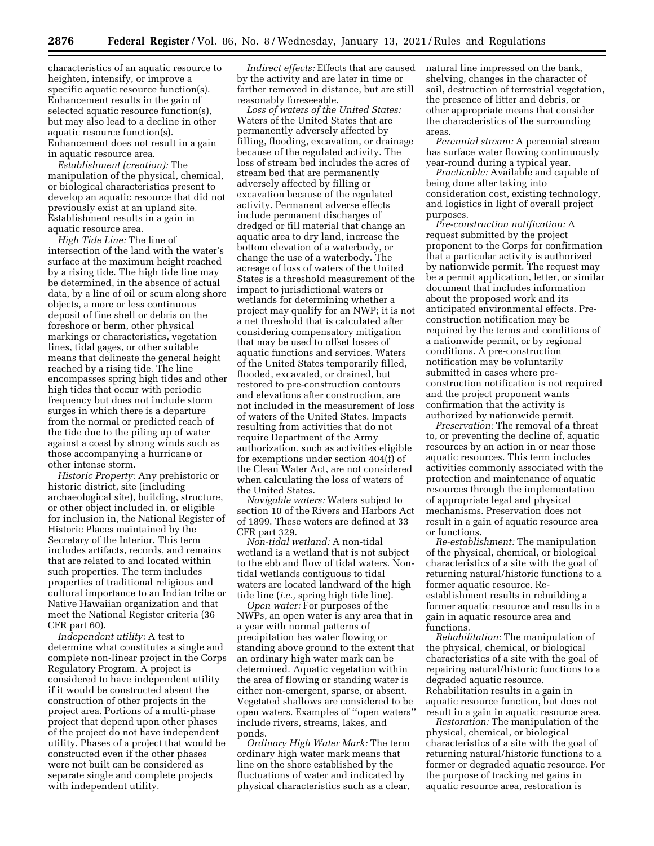characteristics of an aquatic resource to heighten, intensify, or improve a specific aquatic resource function(s). Enhancement results in the gain of selected aquatic resource function(s), but may also lead to a decline in other aquatic resource function(s). Enhancement does not result in a gain in aquatic resource area.

*Establishment (creation):* The manipulation of the physical, chemical, or biological characteristics present to develop an aquatic resource that did not previously exist at an upland site. Establishment results in a gain in aquatic resource area.

*High Tide Line:* The line of intersection of the land with the water's surface at the maximum height reached by a rising tide. The high tide line may be determined, in the absence of actual data, by a line of oil or scum along shore objects, a more or less continuous deposit of fine shell or debris on the foreshore or berm, other physical markings or characteristics, vegetation lines, tidal gages, or other suitable means that delineate the general height reached by a rising tide. The line encompasses spring high tides and other high tides that occur with periodic frequency but does not include storm surges in which there is a departure from the normal or predicted reach of the tide due to the piling up of water against a coast by strong winds such as those accompanying a hurricane or other intense storm.

*Historic Property:* Any prehistoric or historic district, site (including archaeological site), building, structure, or other object included in, or eligible for inclusion in, the National Register of Historic Places maintained by the Secretary of the Interior. This term includes artifacts, records, and remains that are related to and located within such properties. The term includes properties of traditional religious and cultural importance to an Indian tribe or Native Hawaiian organization and that meet the National Register criteria (36 CFR part 60).

*Independent utility:* A test to determine what constitutes a single and complete non-linear project in the Corps Regulatory Program. A project is considered to have independent utility if it would be constructed absent the construction of other projects in the project area. Portions of a multi-phase project that depend upon other phases of the project do not have independent utility. Phases of a project that would be constructed even if the other phases were not built can be considered as separate single and complete projects with independent utility.

*Indirect effects:* Effects that are caused by the activity and are later in time or farther removed in distance, but are still reasonably foreseeable.

*Loss of waters of the United States:*  Waters of the United States that are permanently adversely affected by filling, flooding, excavation, or drainage because of the regulated activity. The loss of stream bed includes the acres of stream bed that are permanently adversely affected by filling or excavation because of the regulated activity. Permanent adverse effects include permanent discharges of dredged or fill material that change an aquatic area to dry land, increase the bottom elevation of a waterbody, or change the use of a waterbody. The acreage of loss of waters of the United States is a threshold measurement of the impact to jurisdictional waters or wetlands for determining whether a project may qualify for an NWP; it is not a net threshold that is calculated after considering compensatory mitigation that may be used to offset losses of aquatic functions and services. Waters of the United States temporarily filled, flooded, excavated, or drained, but restored to pre-construction contours and elevations after construction, are not included in the measurement of loss of waters of the United States. Impacts resulting from activities that do not require Department of the Army authorization, such as activities eligible for exemptions under section 404(f) of the Clean Water Act, are not considered when calculating the loss of waters of the United States.

*Navigable waters:* Waters subject to section 10 of the Rivers and Harbors Act of 1899. These waters are defined at 33 CFR part 329.

*Non-tidal wetland:* A non-tidal wetland is a wetland that is not subject to the ebb and flow of tidal waters. Nontidal wetlands contiguous to tidal waters are located landward of the high tide line (*i.e.,* spring high tide line).

*Open water:* For purposes of the NWPs, an open water is any area that in a year with normal patterns of precipitation has water flowing or standing above ground to the extent that an ordinary high water mark can be determined. Aquatic vegetation within the area of flowing or standing water is either non-emergent, sparse, or absent. Vegetated shallows are considered to be open waters. Examples of ''open waters'' include rivers, streams, lakes, and ponds.

*Ordinary High Water Mark:* The term ordinary high water mark means that line on the shore established by the fluctuations of water and indicated by physical characteristics such as a clear,

natural line impressed on the bank, shelving, changes in the character of soil, destruction of terrestrial vegetation, the presence of litter and debris, or other appropriate means that consider the characteristics of the surrounding areas.

*Perennial stream:* A perennial stream has surface water flowing continuously year-round during a typical year.

*Practicable:* Available and capable of being done after taking into consideration cost, existing technology, and logistics in light of overall project purposes.

*Pre-construction notification:* A request submitted by the project proponent to the Corps for confirmation that a particular activity is authorized by nationwide permit. The request may be a permit application, letter, or similar document that includes information about the proposed work and its anticipated environmental effects. Preconstruction notification may be required by the terms and conditions of a nationwide permit, or by regional conditions. A pre-construction notification may be voluntarily submitted in cases where preconstruction notification is not required and the project proponent wants confirmation that the activity is authorized by nationwide permit.

*Preservation:* The removal of a threat to, or preventing the decline of, aquatic resources by an action in or near those aquatic resources. This term includes activities commonly associated with the protection and maintenance of aquatic resources through the implementation of appropriate legal and physical mechanisms. Preservation does not result in a gain of aquatic resource area or functions.

*Re-establishment:* The manipulation of the physical, chemical, or biological characteristics of a site with the goal of returning natural/historic functions to a former aquatic resource. Reestablishment results in rebuilding a former aquatic resource and results in a gain in aquatic resource area and functions.

*Rehabilitation:* The manipulation of the physical, chemical, or biological characteristics of a site with the goal of repairing natural/historic functions to a degraded aquatic resource. Rehabilitation results in a gain in aquatic resource function, but does not result in a gain in aquatic resource area.

*Restoration:* The manipulation of the physical, chemical, or biological characteristics of a site with the goal of returning natural/historic functions to a former or degraded aquatic resource. For the purpose of tracking net gains in aquatic resource area, restoration is